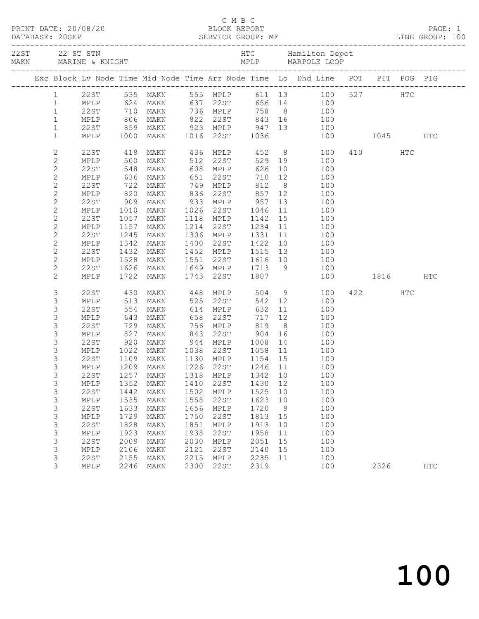|                              |              |                      |                                                                      |      |                        |                                                                         |                | Exc Block Lv Node Time Mid Node Time Arr Node Time Lo Dhd Line POT PIT POG PIG   |          |     |     |
|------------------------------|--------------|----------------------|----------------------------------------------------------------------|------|------------------------|-------------------------------------------------------------------------|----------------|----------------------------------------------------------------------------------|----------|-----|-----|
| $\mathbf{1}$                 |              |                      |                                                                      |      |                        |                                                                         |                | 555 MPLP 611 13 100 527 HTC                                                      |          |     |     |
| $\mathbf{1}$                 |              |                      | 22ST 535 MAKN<br>MPLP 624 MAKN                                       |      | 637 22ST               |                                                                         |                | $656$ 14 100                                                                     |          |     |     |
| $\mathbf{1}$                 | 22ST         | 710 MAKN             |                                                                      |      | 736 MPLP               |                                                                         |                | 758 8 100                                                                        |          |     |     |
| $\mathbf{1}$                 |              |                      | MPLP 806 MAKN<br>22ST 859 MAKN<br>MPLP 1000 MAKN                     |      |                        |                                                                         |                |                                                                                  |          |     |     |
| $\mathbf{1}$                 |              |                      |                                                                      |      |                        |                                                                         |                | 100                                                                              |          |     |     |
| $\mathbf{1}$                 |              |                      |                                                                      |      |                        |                                                                         |                | 822 22ST 843 16 100<br>923 MPLP 947 13 100<br>1016 22ST 1036 100<br>100 1045 HTC |          |     |     |
| $\mathbf{2}$                 | 22ST         | 418                  | MAKN                                                                 |      |                        |                                                                         |                | 436 MPLP 452 8 100<br>512 22ST 529 19 100<br>608 MPLP 626 10 100                 | 410 HTC  |     |     |
| $\mathbf{2}$                 | MPLP         | 500<br>548           | MAKN                                                                 |      |                        |                                                                         |                |                                                                                  |          |     |     |
| $\mathbf{2}$                 | 22ST         |                      | MAKN                                                                 |      |                        |                                                                         |                |                                                                                  |          |     |     |
| $\mathbf{2}$                 | MPLP         | 636                  | MAKN                                                                 |      | 651 22ST               |                                                                         |                | 710 12<br>100                                                                    |          |     |     |
| $\mathbf{2}$                 | 22ST         | 722                  | MAKN                                                                 |      | 749 MPLP               | 812                                                                     | 8 <sup>8</sup> | 100                                                                              |          |     |     |
| $\mathbf{2}$                 | MPLP         | 820 MAKN<br>909 MAKN |                                                                      |      |                        | 836     22ST              857<br>933     MPLP             957<br>857 12 |                | 100                                                                              |          |     |     |
| $\mathbf{2}$                 | 22ST         |                      |                                                                      |      | 22ST                   |                                                                         | 13             | 100                                                                              |          |     |     |
| $\mathbf{2}$                 | MPLP<br>22ST | 1010<br>1057         | MAKN                                                                 | 1026 |                        | 1046                                                                    | 11             | 100<br>100                                                                       |          |     |     |
| $\mathbf{2}$<br>$\mathbf{2}$ | MPLP         | 1157                 | MAKN<br>MAKN                                                         |      | 1118 MPLP<br>1214 22ST | 1142 15                                                                 |                | 100                                                                              |          |     |     |
| $\mathbf{2}$                 | 22ST         | 1245                 | MAKN                                                                 |      | 1306 MPLP              | $1234$ 11<br>1331 11                                                    |                | 100                                                                              |          |     |     |
| $\mathbf{2}$                 | MPLP         | 1342                 | MAKN                                                                 |      |                        | 1400 22ST 1422                                                          | 10             | 100                                                                              |          |     |     |
| $\mathbf{2}$                 | 22ST         | 1432                 | MAKN                                                                 |      | 1452 MPLP              |                                                                         |                | 1515 13 100                                                                      |          |     |     |
| $\mathbf{2}$                 | MPLP         | 1528                 | MAKN                                                                 |      |                        |                                                                         |                |                                                                                  |          |     |     |
| $\mathbf{2}$                 | 22ST         | $1520$<br>$1626$     | MAKN                                                                 |      |                        |                                                                         |                | $\frac{100}{100}$<br>100                                                         |          |     |     |
| $\overline{2}$               | MPLP         |                      | 1722 MAKN                                                            |      | 1743 22ST              |                                                                         |                | $1807$ $100$                                                                     | 1816 HTC |     |     |
| 3                            | 22ST         |                      | MAKN                                                                 |      |                        | 504                                                                     |                | $\frac{9}{10}$<br>100                                                            | 422      | HTC |     |
| 3                            | MPLP         | 430<br>513           | MAKN                                                                 |      | 448 MPLP<br>525 22ST   | 542 12                                                                  |                | 100                                                                              |          |     |     |
| 3                            | 22ST         | 554                  | MAKN                                                                 |      | 614 MPLP               | 632                                                                     | 11             | 100                                                                              |          |     |     |
| 3                            | MPLP         | 643                  | MAKN                                                                 | 658  | 22ST                   | 717                                                                     | 12             | 100                                                                              |          |     |     |
| 3                            | 22ST         | 729<br>827           |                                                                      |      |                        |                                                                         |                | 100                                                                              |          |     |     |
| 3                            | MPLP         |                      | MAKN 756 MPLP 819 8<br>MAKN 843 22ST 904 16<br>MAKN 944 MPLP 1008 14 |      |                        |                                                                         |                | 100                                                                              |          |     |     |
| 3                            | 22ST         | 920                  |                                                                      |      |                        |                                                                         |                | 100                                                                              |          |     |     |
| 3                            | MPLP         | 1022 MAKN            |                                                                      |      |                        | 1038 22ST 1058 11                                                       |                | 100                                                                              |          |     |     |
| 3                            | 22ST         |                      | 1109 MAKN                                                            |      | 1130 MPLP              | 1154 15                                                                 |                | 100                                                                              |          |     |     |
| 3<br>3                       | 22ST         | 1257                 | MPLP 1209 MAKN 1226 22ST 1246 11<br>MAKN                             | 1318 | MPLP                   | 1342                                                                    | 10             | 100<br>100                                                                       |          |     |     |
| 3                            | MPLP         | 1352                 | <b>MAKN</b>                                                          | 1410 | 22ST                   | 1430                                                                    | 12             | 100                                                                              |          |     |     |
| 3                            | <b>22ST</b>  | 1442                 | MAKN                                                                 | 1502 | MPLP                   | 1525                                                                    | 10             | 100                                                                              |          |     |     |
| 3                            | MPLP         | 1535                 | MAKN                                                                 | 1558 | 22ST                   | 1623                                                                    | 10             | 100                                                                              |          |     |     |
| 3                            | 22ST         | 1633                 | MAKN                                                                 | 1656 | MPLP                   | 1720                                                                    | 9              | 100                                                                              |          |     |     |
| $\mathfrak{Z}$               | MPLP         | 1729                 | MAKN                                                                 | 1750 | 22ST                   | 1813                                                                    | 15             | 100                                                                              |          |     |     |
| 3                            | <b>22ST</b>  | 1828                 | MAKN                                                                 | 1851 | MPLP                   | 1913                                                                    | 10             | 100                                                                              |          |     |     |
| 3                            | MPLP         | 1923                 | MAKN                                                                 | 1938 | 22ST                   | 1958                                                                    | 11             | 100                                                                              |          |     |     |
| 3                            | 22ST         | 2009                 | MAKN                                                                 | 2030 | MPLP                   | 2051                                                                    | 15             | 100                                                                              |          |     |     |
| 3                            | MPLP         | 2106                 | MAKN                                                                 | 2121 | 22ST                   | 2140                                                                    | 15             | 100                                                                              |          |     |     |
| 3                            | 22ST         | 2155                 | MAKN                                                                 | 2215 | MPLP                   | 2235                                                                    | 11             | 100                                                                              |          |     |     |
| 3                            | MPLP         | 2246                 | MAKN                                                                 | 2300 | 22ST                   | 2319                                                                    |                | 100                                                                              | 2326     |     | HTC |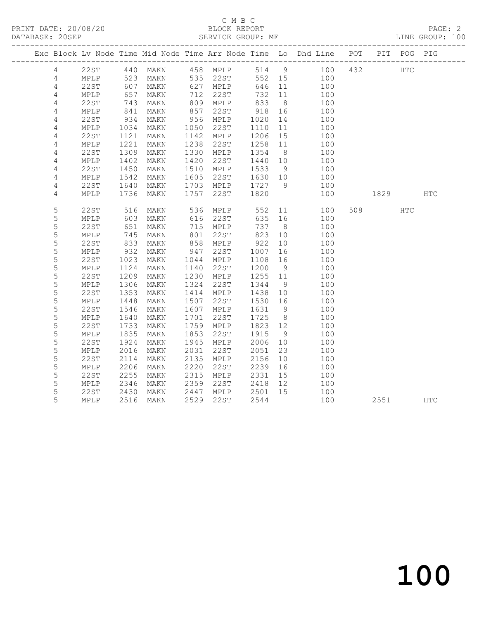#### C M B C<br>BLOCK REPORT SERVICE GROUP: MF

|                |                 |      |                        |      |               |         |                | Exc Block Lv Node Time Mid Node Time Arr Node Time Lo Dhd Line POT PIT POG PIG |          |     |            |
|----------------|-----------------|------|------------------------|------|---------------|---------|----------------|--------------------------------------------------------------------------------|----------|-----|------------|
| $\overline{4}$ |                 |      | 22ST 440 MAKN 458 MPLP |      |               |         |                | 514 9 100 432                                                                  | HTC      |     |            |
| 4              | MPLP            | 523  |                        |      | MAKN 535 22ST |         |                | 552 15 100                                                                     |          |     |            |
| 4              | 22ST            | 607  | MAKN                   |      | 627 MPLP      | 646     | 11             | 100                                                                            |          |     |            |
| $\overline{4}$ | MPLP            | 657  | MAKN                   |      | 712 22ST      | 732 11  |                | 100                                                                            |          |     |            |
| 4              | 22ST            | 743  | MAKN                   |      | 809 MPLP      | 833     | 8 <sup>8</sup> | 100                                                                            |          |     |            |
| 4              | MPLP            | 841  | MAKN                   | 857  | 22ST          | 918     | 16             | 100                                                                            |          |     |            |
| 4              | 22ST            | 934  | MAKN                   |      | 956 MPLP      | 1020    | 14             | 100                                                                            |          |     |            |
| 4              | MPLP            | 1034 | MAKN                   | 1050 | 22ST          | 1110    | 11             | 100                                                                            |          |     |            |
| $\overline{4}$ | 22ST            | 1121 | MAKN                   | 1142 | MPLP          | 1206 15 |                | 100                                                                            |          |     |            |
| 4              | $\texttt{MPLP}$ | 1221 | MAKN                   | 1238 | 22ST          | 1258    | 11             | 100                                                                            |          |     |            |
| $\sqrt{4}$     | 22ST            | 1309 | MAKN                   |      | 1330 MPLP     | 1354    | 8 <sup>8</sup> | 100                                                                            |          |     |            |
| 4              | MPLP            | 1402 | MAKN                   | 1420 | 22ST          | 1440 10 |                | 100                                                                            |          |     |            |
| 4              | 22ST            | 1450 | MAKN                   | 1510 | MPLP          | 1533    | 9              | 100                                                                            |          |     |            |
| 4              | MPLP            | 1542 | MAKN                   | 1605 | 22ST          | 1630 10 |                | 100                                                                            |          |     |            |
| 4              | 22ST            | 1640 | MAKN                   | 1703 | MPLP          | 1727 9  |                | 100                                                                            |          |     |            |
| 4              | MPLP            | 1736 | MAKN                   | 1757 | 22ST          | 1820    |                | 100                                                                            | 1829 HTC |     |            |
|                |                 |      |                        |      |               |         |                |                                                                                |          |     |            |
| 5              | <b>22ST</b>     | 516  | MAKN                   |      | 536 MPLP      | 552     |                | 11<br>100                                                                      | 508 700  | HTC |            |
| 5              | MPLP            | 603  | MAKN                   |      | 616 22ST      | 635     | 16             | 100                                                                            |          |     |            |
| 5              | 22ST            | 651  | MAKN                   |      | 715 MPLP      | 737 8   |                | 100                                                                            |          |     |            |
| $\mathsf S$    | $\texttt{MPLP}$ | 745  | MAKN                   | 801  | 22ST          | 823     | 10             | 100                                                                            |          |     |            |
| 5              | 22ST            | 833  | MAKN                   | 858  | MPLP          | 922     | 10             | 100                                                                            |          |     |            |
| 5              | MPLP            | 932  | MAKN                   | 947  | 22ST          | 1007    | 16             | 100                                                                            |          |     |            |
| 5              | 22ST            | 1023 | MAKN                   |      | 1044 MPLP     | 1108 16 |                | 100                                                                            |          |     |            |
| 5              | MPLP            | 1124 | MAKN                   | 1140 | 22ST          | 1200    | 9              | 100                                                                            |          |     |            |
| 5              | 22ST            | 1209 | MAKN                   | 1230 | MPLP          | 1255 11 |                | 100                                                                            |          |     |            |
| 5              | MPLP            | 1306 | MAKN                   | 1324 | 22ST          | 1344    | 9              | 100                                                                            |          |     |            |
| 5              | 22ST            | 1353 | MAKN                   | 1414 | MPLP          | 1438 10 |                | 100                                                                            |          |     |            |
| 5              | MPLP            | 1448 | MAKN                   | 1507 | 22ST          | 1530 16 |                | 100                                                                            |          |     |            |
| 5              | 22ST            | 1546 | MAKN                   | 1607 | MPLP          | 1631    | 9              | 100                                                                            |          |     |            |
| 5              | MPLP            | 1640 | MAKN                   | 1701 | 22ST          | 1725    | 8 <sup>8</sup> | 100                                                                            |          |     |            |
| 5              | 22ST            | 1733 | MAKN                   |      | 1759 MPLP     | 1823 12 |                | 100                                                                            |          |     |            |
| 5              | MPLP            | 1835 | MAKN                   | 1853 | 22ST          | 1915    | 9              | 100                                                                            |          |     |            |
| 5              | <b>22ST</b>     | 1924 | MAKN                   | 1945 | MPLP          | 2006    | 10             | 100                                                                            |          |     |            |
| 5              | MPLP            | 2016 | MAKN                   | 2031 | 22ST          | 2051    | 23             | 100                                                                            |          |     |            |
| 5              | <b>22ST</b>     | 2114 | MAKN                   | 2135 | MPLP          | 2156    | 10             | 100                                                                            |          |     |            |
| 5              | $\texttt{MPLP}$ | 2206 | MAKN                   | 2220 | 22ST          | 2239    | 16             | 100                                                                            |          |     |            |
| 5              | 22ST            | 2255 | MAKN                   | 2315 | MPLP          | 2331    | 15             | 100                                                                            |          |     |            |
| 5              | MPLP            | 2346 | MAKN                   | 2359 | 22ST          | 2418 12 |                | 100                                                                            |          |     |            |
| 5              | 22ST            | 2430 | MAKN                   | 2447 | MPLP          | 2501    | 15             | 100                                                                            |          |     |            |
| 5              | MPLP            | 2516 | MAKN                   | 2529 | 22ST          | 2544    |                | 100                                                                            | 2551     |     | <b>HTC</b> |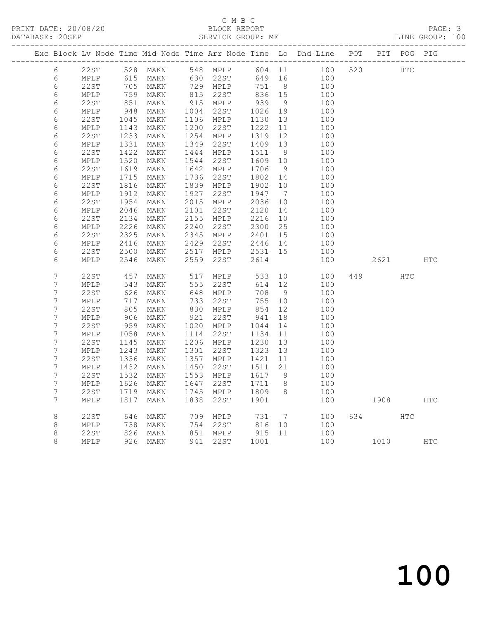#### C M B C<br>BLOCK REPORT SERVICE GROUP: MF

|                          |                 |                   |                                                      |            |                        |                                                            |                | Exc Block Lv Node Time Mid Node Time Arr Node Time Lo Dhd Line POT PIT POG PIG |          |     |     |
|--------------------------|-----------------|-------------------|------------------------------------------------------|------------|------------------------|------------------------------------------------------------|----------------|--------------------------------------------------------------------------------|----------|-----|-----|
| 6                        | 22ST            |                   | 528 MAKN 548 PH --<br>528 MAKN 548 PH --<br>630 22ST |            | 548 MPLP<br>630 22ST   |                                                            |                | 604 11 100<br>649 16 100                                                       | 520 HTC  |     |     |
| 6                        | MPLP            |                   |                                                      |            |                        |                                                            |                |                                                                                |          |     |     |
| $\epsilon$               | 22ST            | 705<br>759        | MAKN                                                 |            | 729 MPLP<br>815 22ST   | $751$ 8<br>836 15                                          |                | 100                                                                            |          |     |     |
| $\epsilon$               | MPLP            |                   | MAKN                                                 |            |                        |                                                            |                | 100                                                                            |          |     |     |
| 6                        | 22ST            | 851<br>948        | MAKN                                                 |            | 915 MPLP               | 939                                                        | 9              | 100                                                                            |          |     |     |
| $\epsilon$               | MPLP            |                   | MAKN                                                 |            | 1004 22ST              | 1026                                                       | 19             | 100                                                                            |          |     |     |
| $\epsilon$               | 22ST            | 1045              | MAKN                                                 |            | 1106 MPLP              | 1130                                                       | 13             | 100                                                                            |          |     |     |
| $\epsilon$               | MPLP            | 1143              | MAKN                                                 |            | 1200 22ST              | 1222                                                       | 11             | 100                                                                            |          |     |     |
| 6                        | 22ST            | 1233              | MAKN                                                 |            | 1254 MPLP              | 1319                                                       | 12             | 100                                                                            |          |     |     |
| 6                        | $\texttt{MPLP}$ | 1331              | MAKN                                                 | 1349       | 22st                   | 1409 13                                                    |                | 100                                                                            |          |     |     |
| $\epsilon$               | 22ST            | 1422              | MAKN                                                 |            | 1444 MPLP              | 1511                                                       | 9              | 100                                                                            |          |     |     |
| $\epsilon$               | MPLP            | 1520              | MAKN                                                 | 1544       | 22ST                   | 1609 10                                                    |                | 100                                                                            |          |     |     |
| 6                        | 22ST            | 1619              | MAKN                                                 |            | 1642 MPLP              | 1706                                                       | 9              | 100                                                                            |          |     |     |
| 6                        | $\texttt{MPLP}$ | 1715              | MAKN                                                 | 1736       | 22ST                   | 1802                                                       | 14             | 100                                                                            |          |     |     |
| 6                        | 22ST            | 1816              | MAKN                                                 |            | 1839 MPLP              | 1902                                                       | 10             | 100                                                                            |          |     |     |
| $\epsilon$               | MPLP            | 1912              | MAKN                                                 | 1927       | 22ST                   | 1947<br>2036                                               | $\overline{7}$ | 100                                                                            |          |     |     |
| 6                        | 22ST            | 1954              | MAKN                                                 | 2101       | 2015 MPLP              |                                                            | 10             | 100                                                                            |          |     |     |
| $\epsilon$<br>$\epsilon$ | MPLP<br>22ST    | 2046              | MAKN                                                 |            | 22ST                   | 2120<br>2216                                               | 14             | 100<br>100                                                                     |          |     |     |
| $\epsilon$               | MPLP            | 2134<br>2226      | MAKN<br>MAKN                                         |            | 2155 MPLP<br>2240 22ST |                                                            | 10<br>25       | 100                                                                            |          |     |     |
|                          |                 |                   |                                                      |            |                        | 2300<br>2401                                               |                |                                                                                |          |     |     |
| 6<br>$\epsilon$          | 22ST<br>MPLP    | 2325<br>2416      | MAKN                                                 | 2429       | 2345 MPLP<br>22ST      |                                                            | 15<br>14       | 100                                                                            |          |     |     |
| $\epsilon$               |                 | 2500              | MAKN                                                 |            | 2517 MPLP              | 2446<br>2531                                               | 15             | 100                                                                            |          |     |     |
| 6                        | 22ST<br>MPLP    | 2546              | MAKN<br>MAKN                                         | 2559       | 22ST                   | 2614                                                       |                | 100<br>100                                                                     | 2621     |     | HTC |
|                          |                 |                   |                                                      |            |                        |                                                            |                |                                                                                |          |     |     |
| $\overline{7}$           | 22ST            | 457               | MAKN                                                 | 517        | MPLP                   | 533                                                        | 10             | 100                                                                            | 449      | HTC |     |
| $\boldsymbol{7}$         | MPLP            | 543               | MAKN                                                 | 555        | 22ST                   | 614                                                        | 12             | 100                                                                            |          |     |     |
| $\overline{7}$           | 22ST            | 626<br>717        | MAKN                                                 | 648<br>733 | MPLP                   | 708                                                        | 9              | 100                                                                            |          |     |     |
| $\boldsymbol{7}$         | MPLP            |                   | MAKN                                                 |            | 22ST                   | 755                                                        | 10             | 100                                                                            |          |     |     |
| $\overline{7}$           | 22ST            |                   | MAKN                                                 |            | 830 MPLP               | 854                                                        | 12             | 100                                                                            |          |     |     |
| $\boldsymbol{7}$         | MPLP            | 80.<br>906<br>759 | MAKN                                                 |            | 921 22ST               | 941                                                        | 18             | 100                                                                            |          |     |     |
| $\boldsymbol{7}$         | 22ST            | 959               | MAKN                                                 |            | 1020 MPLP              | 1044                                                       | 14             | 100                                                                            |          |     |     |
| $\boldsymbol{7}$         | MPLP            | 1058              | MAKN                                                 |            | 1114 22ST              | 1134                                                       | 11             | 100                                                                            |          |     |     |
| $\boldsymbol{7}$         | <b>22ST</b>     | 1145              | MAKN                                                 |            | 1206 MPLP              | 1230                                                       | 13             | 100                                                                            |          |     |     |
| $\boldsymbol{7}$         | MPLP            | 1243              | MAKN                                                 | 1301       | 22ST                   | 1323                                                       | 13             | 100                                                                            |          |     |     |
| $\boldsymbol{7}$         | 22ST            | 1336              | MAKN                                                 |            | 1357 MPLP              | 1421                                                       | 11             | 100                                                                            |          |     |     |
| $\boldsymbol{7}$         | MPLP            | 1432              | MAKN                                                 |            | 1450 22ST              | 1511                                                       | 21             | 100                                                                            |          |     |     |
| $\boldsymbol{7}$         | 22ST            | 1532              | MAKN                                                 |            | 1553 MPLP              | 1617 9                                                     |                | 100                                                                            |          |     |     |
| $\boldsymbol{7}$         | MPLP            | 1626              | MAKN                                                 | 1647       | 22ST                   | 1711 8                                                     |                | 100                                                                            |          |     |     |
| $\boldsymbol{7}$         | 22ST            | 1719              | MAKN                                                 |            | 1745 MPLP              | 1809 8                                                     |                | 100                                                                            |          |     |     |
| 7                        | MPLP            | 1817              | MAKN                                                 | 1838       | 22ST                   | 1901                                                       |                | 100                                                                            | 1908 HTC |     |     |
| $\,8\,$                  | 22ST            | 646               | MAKN                                                 |            | 709 MPLP               |                                                            |                | 7<br>100                                                                       | 634 639  | HTC |     |
| $\,8\,$                  | MPLP            | 738               | MAKN                                                 |            | 754 22ST               | 731 7<br>816 10                                            |                | 100                                                                            |          |     |     |
| $\,8\,$                  | 22ST            |                   | MAKN                                                 |            |                        |                                                            |                | 100                                                                            |          |     |     |
| $\,8\,$                  | MPLP            |                   | 826 MAKN<br>926 MAKN                                 |            | 851 MPLP<br>941 22ST   | $\begin{array}{cc} 915 & 11 \\ 1001 & \end{array}$<br>1001 |                | 100 1010 HTC                                                                   |          |     |     |
|                          |                 |                   |                                                      |            |                        |                                                            |                |                                                                                |          |     |     |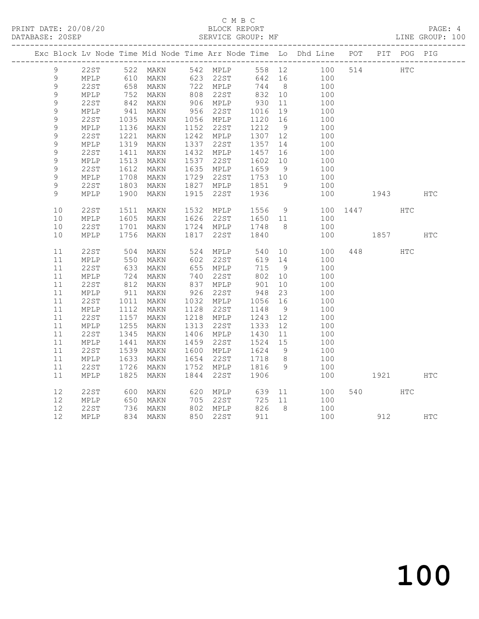#### C M B C<br>BLOCK REPORT SERVICE GROUP: MF

|                |                 |                    |                                                        |                                       |                           |     | Exc Block Lv Node Time Mid Node Time Arr Node Time Lo Dhd Line POT PIT POG PIG |          |                                                                                                                                                                                                                                 |               |            |
|----------------|-----------------|--------------------|--------------------------------------------------------|---------------------------------------|---------------------------|-----|--------------------------------------------------------------------------------|----------|---------------------------------------------------------------------------------------------------------------------------------------------------------------------------------------------------------------------------------|---------------|------------|
| 9              |                 |                    |                                                        |                                       |                           |     | 22ST 522 MAKN 542 MPLP 558 12 100 514 HTC                                      |          |                                                                                                                                                                                                                                 |               |            |
| 9              | MPLP            |                    |                                                        |                                       |                           |     | 642 16 100<br>744 8 100                                                        |          |                                                                                                                                                                                                                                 |               |            |
| $\mathsf 9$    | 22ST            |                    |                                                        |                                       | 744 8                     |     | 100                                                                            |          |                                                                                                                                                                                                                                 |               |            |
| $\mathsf 9$    | MPLP            |                    | 752 MAKN<br>842 MAKN                                   | 808 22ST                              | 832 10                    |     | 100                                                                            |          |                                                                                                                                                                                                                                 |               |            |
| $\mathsf 9$    | 22ST            |                    |                                                        | 906 MPLP                              | 930 11                    |     | 100                                                                            |          |                                                                                                                                                                                                                                 |               |            |
| 9              | MPLP            | 941                | MAKN                                                   | $956$ 22ST $1016$ 19                  |                           |     | 100                                                                            |          |                                                                                                                                                                                                                                 |               |            |
| $\mathsf 9$    | 22ST            | 1035               | MAKN                                                   | 1056 MPLP<br>1152 22ST                |                           |     | $\begin{array}{c}\n100\n\end{array}$                                           |          |                                                                                                                                                                                                                                 |               |            |
| $\mathsf 9$    | MPLP            |                    | 1136 MAKN                                              |                                       | $1120 - 10$<br>$1212 - 9$ |     | 100                                                                            |          |                                                                                                                                                                                                                                 |               |            |
| $\mathsf 9$    | 22ST            | 1221               | MAKN                                                   | 1242 MPLP 1307 12                     |                           |     | 100                                                                            |          |                                                                                                                                                                                                                                 |               |            |
| $\mathsf 9$    | MPLP            |                    | 1319 MAKN                                              |                                       |                           |     | 100                                                                            |          |                                                                                                                                                                                                                                 |               |            |
| $\mathsf 9$    | 22ST            | 1411               | MAKN                                                   |                                       |                           |     | 100                                                                            |          |                                                                                                                                                                                                                                 |               |            |
| $\mathsf 9$    | MPLP            | 1513               | MAKN                                                   | 1537 22ST                             | 1602 10<br>1659 9         |     | 100                                                                            |          |                                                                                                                                                                                                                                 |               |            |
| $\mathsf 9$    | 22ST            | 1612               | MAKN                                                   | 1635 MPLP                             |                           |     | 100                                                                            |          |                                                                                                                                                                                                                                 |               |            |
| 9              | MPLP            | 1708               | MAKN                                                   | 1729 22ST 1753 10                     |                           |     | 100                                                                            |          |                                                                                                                                                                                                                                 |               |            |
| $\mathsf 9$    | 22ST            | 1803               | MAKN                                                   | 1827 MPLP 1851 9<br>1915 22ST 1936    |                           |     | 100                                                                            |          |                                                                                                                                                                                                                                 |               |            |
| $\overline{9}$ | MPLP            | 1900               | MAKN                                                   |                                       |                           |     | 100                                                                            |          | 1943                                                                                                                                                                                                                            |               | HTC        |
|                |                 |                    |                                                        |                                       |                           |     |                                                                                |          |                                                                                                                                                                                                                                 |               |            |
| 10             | 22ST            | 1511               | MAKN                                                   | 1532 MPLP 1556 9<br>1626 22ST 1650 11 |                           |     |                                                                                | 100 1447 |                                                                                                                                                                                                                                 | $_{\rm{HTC}}$ |            |
| 10             | MPLP            |                    | 1605 MAKN                                              |                                       |                           |     | 100                                                                            |          |                                                                                                                                                                                                                                 |               |            |
| 10             | 22ST            |                    | 1701 MAKN 1724 MPLP 1748 8<br>1756 MAKN 1817 22ST 1840 |                                       |                           |     | 100                                                                            |          |                                                                                                                                                                                                                                 |               |            |
| 10             | MPLP            |                    |                                                        |                                       |                           |     | 100                                                                            | 1857     |                                                                                                                                                                                                                                 |               | <b>HTC</b> |
| 11             | 22ST            |                    | MAKN                                                   |                                       |                           |     | 100                                                                            | 448      |                                                                                                                                                                                                                                 | <b>HTC</b>    |            |
| 11             | MPLP            | 504<br>550         | MAKN                                                   |                                       |                           |     | 100                                                                            |          |                                                                                                                                                                                                                                 |               |            |
| 11             | 22ST            |                    |                                                        |                                       | 715 9                     |     | 100                                                                            |          |                                                                                                                                                                                                                                 |               |            |
| 11             | MPLP            |                    | 633 MAKN<br>724 MAKN                                   | 655 MPLP<br>740 22ST                  | 802 10                    |     | 100                                                                            |          |                                                                                                                                                                                                                                 |               |            |
| 11             | 22ST            |                    | 812 MAKN                                               | 837 MPLP 901 10                       |                           |     | 100                                                                            |          |                                                                                                                                                                                                                                 |               |            |
| 11             | MPLP            | $\frac{911}{1011}$ | MAKN                                                   | 926 22ST                              | 948                       | 23  | 100                                                                            |          |                                                                                                                                                                                                                                 |               |            |
| 11             | 22ST            | 1011               | MAKN                                                   | 1032 MPLP                             | 1056 16                   |     | 100                                                                            |          |                                                                                                                                                                                                                                 |               |            |
| 11             | MPLP            |                    | 1112 MAKN                                              | 1128 22ST                             | 1148                      | 9   | 100                                                                            |          |                                                                                                                                                                                                                                 |               |            |
| 11             | 22ST            | 1157               | MAKN                                                   | 1218 MPLP                             | 1243 12                   |     | 100                                                                            |          |                                                                                                                                                                                                                                 |               |            |
| 11             | MPLP            | 1255               | MAKN                                                   | 1313 22ST                             | 1333 12                   |     | 100                                                                            |          |                                                                                                                                                                                                                                 |               |            |
| 11             | 22ST            | 1345               | MAKN                                                   | 1406 MPLP                             | 1430 11<br>1524 15        |     | 100                                                                            |          |                                                                                                                                                                                                                                 |               |            |
| 11             | $\texttt{MPLP}$ | 1441               | MAKN                                                   | 1459 22ST                             |                           |     | 100                                                                            |          |                                                                                                                                                                                                                                 |               |            |
| 11             | 22ST            |                    | 1539 MAKN                                              | 1600 MPLP 1624                        |                           | - 9 | 100                                                                            |          |                                                                                                                                                                                                                                 |               |            |
| 11             | MPLP            | 1633               | MAKN                                                   |                                       |                           |     | 100                                                                            |          |                                                                                                                                                                                                                                 |               |            |
| 11             | 22ST            |                    | 1726 MAKN                                              | 1654 22ST 1718 8<br>1752 MPLP 1816 9  |                           |     | 100                                                                            |          |                                                                                                                                                                                                                                 |               |            |
| 11             | MPLP            | 1825               | MAKN                                                   | 1844 22ST                             | 1906                      |     | 100                                                                            |          | 1921 — 1921 — 1922 — 1923 — 1924 — 1925 — 1927 — 1928 — 1928 — 1928 — 1928 — 1928 — 1928 — 1928 — 1928 — 1928 — 1928 — 1928 — 1928 — 1928 — 1928 — 1928 — 1928 — 1928 — 1928 — 1928 — 1928 — 1928 — 1928 — 1928 — 1928 — 1928 — |               | HTC        |
|                |                 |                    |                                                        |                                       |                           |     |                                                                                |          |                                                                                                                                                                                                                                 |               |            |
| 12             | 22ST            | 600                | MAKN                                                   | 620 MPLP                              |                           |     | 639 11<br>100                                                                  |          | 540 6                                                                                                                                                                                                                           | <b>HTC</b>    |            |
| 12             | MPLP            |                    | 650 MAKN<br>736 MAKN<br>MAKN                           | 705 22ST<br>802 MPLP                  | 725 11                    |     | 100                                                                            |          |                                                                                                                                                                                                                                 |               |            |
| 12             | 22ST            |                    |                                                        |                                       | 826 8                     |     | 100                                                                            |          |                                                                                                                                                                                                                                 |               |            |
| 12             | MPLP            |                    | 834 MAKN                                               | 850 22ST                              | 911                       |     |                                                                                | 100      |                                                                                                                                                                                                                                 | 912 HTC       |            |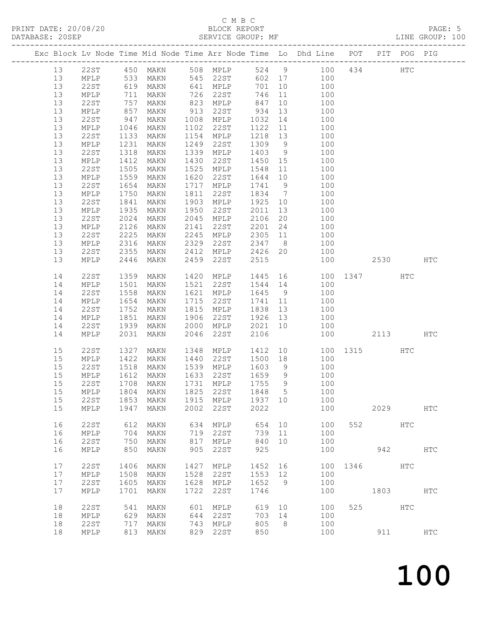#### C M B C<br>BLOCK REPORT SERVICE GROUP: MF

|    |                 |                   |           |      |                                    |          |    | Exc Block Lv Node Time Mid Node Time Arr Node Time Lo Dhd Line POT PIT POG PIG                                                                                                                                                      |              |      |          |               |
|----|-----------------|-------------------|-----------|------|------------------------------------|----------|----|-------------------------------------------------------------------------------------------------------------------------------------------------------------------------------------------------------------------------------------|--------------|------|----------|---------------|
| 13 |                 |                   |           |      |                                    |          |    | 22ST 450 MAKN 508 MPLP 524 9 100 434 HTC<br>MPLP 533 MAKN 545 22ST 602 17 100                                                                                                                                                       |              |      |          |               |
| 13 |                 |                   |           |      |                                    |          |    |                                                                                                                                                                                                                                     |              |      |          |               |
| 13 | 22ST            | 619               | MAKN      |      | 641 MPLP                           | 701      | 10 | 100                                                                                                                                                                                                                                 |              |      |          |               |
| 13 | MPLP            |                   | MAKN      |      | 726 22ST                           | 746      | 11 | 100                                                                                                                                                                                                                                 |              |      |          |               |
| 13 | 22ST            | 711<br>757<br>857 | MAKN      |      | 823 MPLP                           |          | 10 | $\begin{array}{c}\n100\n\end{array}$                                                                                                                                                                                                |              |      |          |               |
| 13 | MPLP            |                   | MAKN      | 913  | 22ST                               | 84 / 934 | 13 | 100                                                                                                                                                                                                                                 |              |      |          |               |
| 13 | 22ST            | 947               | MAKN      | 1008 | MPLP                               | 1032     | 14 | 100                                                                                                                                                                                                                                 |              |      |          |               |
| 13 | MPLP            | 1046              | MAKN      | 1102 | 22ST                               | 1122     |    | $11$ and $11$ and $11$ and $11$ and $11$ and $11$ and $11$ and $11$ and $11$ and $11$ and $11$ and $11$ and $11$ and $11$ and $11$ and $11$ and $11$ and $11$ and $11$ and $11$ and $11$ and $11$ and $11$ and $11$ and $11$<br>100 |              |      |          |               |
|    |                 |                   |           |      |                                    |          |    |                                                                                                                                                                                                                                     |              |      |          |               |
| 13 | 22ST            | 1133              | MAKN      | 1154 | MPLP                               | 1218     | 13 | 100                                                                                                                                                                                                                                 |              |      |          |               |
| 13 | MPLP            | 1231              | MAKN      | 1249 | 22ST                               | 1309 9   |    | 100<br>100                                                                                                                                                                                                                          |              |      |          |               |
| 13 | 22ST            | 1318              | MAKN      | 1339 | MPLP                               | 1403     | 9  |                                                                                                                                                                                                                                     |              |      |          |               |
| 13 | MPLP            | 1412              | MAKN      | 1430 | 22ST                               | 1450 15  |    | 100                                                                                                                                                                                                                                 |              |      |          |               |
| 13 | 22ST            | 1505              | MAKN      | 1525 | MPLP                               | 1548     | 11 | 100                                                                                                                                                                                                                                 |              |      |          |               |
| 13 | $\texttt{MPLP}$ | 1559              | MAKN      | 1620 | 22ST                               | 1644     | 10 | 100<br>100                                                                                                                                                                                                                          |              |      |          |               |
| 13 | 22ST            | 1654              | MAKN      | 1717 | MPLP                               | 1741 9   |    |                                                                                                                                                                                                                                     |              |      |          |               |
| 13 | MPLP            | 1750              | MAKN      | 1811 | 22ST                               |          |    | 1834 7 100                                                                                                                                                                                                                          |              |      |          |               |
| 13 | 22ST            | 1841              | MAKN      | 1903 | MPLP                               | 1925     | 10 | 100                                                                                                                                                                                                                                 |              |      |          |               |
| 13 | MPLP            | 1935              | MAKN      | 1950 | 22ST                               | 2011     | 13 | 100                                                                                                                                                                                                                                 |              |      |          |               |
| 13 | 22ST            | 2024              | MAKN      | 2045 | MPLP                               | 2106     | 20 | 100                                                                                                                                                                                                                                 |              |      |          |               |
| 13 | MPLP            | 2126              | MAKN      | 2141 | 22ST                               | 2201     | 24 | 100                                                                                                                                                                                                                                 |              |      |          |               |
| 13 | 22ST            | 2225              | MAKN      | 2245 | MPLP                               | 2305     |    | 11 100                                                                                                                                                                                                                              |              |      |          |               |
| 13 | MPLP            | 2316              | MAKN      | 2329 | 22ST                               | 2347 8   |    | 100                                                                                                                                                                                                                                 |              |      |          |               |
| 13 | 22ST            | 2355              | MAKN      | 2412 | MPLP                               | 2426     | 20 | 100                                                                                                                                                                                                                                 |              |      |          |               |
| 13 | MPLP            | 2446              | MAKN      | 2459 | 22ST                               | 2515     |    | 100                                                                                                                                                                                                                                 |              | 2530 |          | HTC           |
|    |                 |                   |           |      |                                    |          |    |                                                                                                                                                                                                                                     |              |      |          |               |
| 14 | 22ST            | 1359              | MAKN      | 1420 | MPLP                               | 1445     |    |                                                                                                                                                                                                                                     |              |      |          |               |
| 14 | MPLP            | 1501              | MAKN      | 1521 | 22ST                               |          |    | 1445 16 100 1347 HTC<br>1544 14 100                                                                                                                                                                                                 |              |      |          |               |
| 14 | 22ST            | 1558              | MAKN      | 1621 | MPLP                               |          |    | 1645 9 100                                                                                                                                                                                                                          |              |      |          |               |
| 14 | MPLP            | 1654              | MAKN      | 1715 | 22ST                               | 1741     | 11 | 100                                                                                                                                                                                                                                 |              |      |          |               |
| 14 | 22ST            | 1752              | MAKN      | 1815 | MPLP                               | 1838     | 13 | $\frac{100}{100}$                                                                                                                                                                                                                   |              |      |          |               |
| 14 | MPLP            | 1851              | MAKN      | 1906 | 22ST                               | 1926 13  |    | 100                                                                                                                                                                                                                                 |              |      |          |               |
| 14 | 22ST            | 1939              | MAKN      | 2000 | MPLP                               | 2021     | 10 | 100                                                                                                                                                                                                                                 |              |      |          |               |
| 14 | MPLP            | 2031              | MAKN      | 2046 | 22ST                               | 2106     |    | 100                                                                                                                                                                                                                                 |              | 2113 |          | <b>HTC</b>    |
|    |                 |                   |           |      |                                    |          |    |                                                                                                                                                                                                                                     |              |      |          |               |
| 15 | 22ST            | 1327              | MAKN      | 1348 | MPLP                               | 1412     |    | 10                                                                                                                                                                                                                                  | 100 1315 HTC |      |          |               |
| 15 | MPLP            | 1422              | MAKN      | 1440 | 22ST                               |          |    | 1500 18 100                                                                                                                                                                                                                         |              |      |          |               |
| 15 | 22ST            | 1518              | MAKN      |      | 1539 MPLP                          | 1603     | 9  | 100                                                                                                                                                                                                                                 |              |      |          |               |
| 15 | MPLP            | 1612<br>1708      | MAKN      | 1633 | 22ST                               | 1659 9   |    | 100                                                                                                                                                                                                                                 |              |      |          |               |
| 15 | 22ST            |                   | MAKN      |      | 1731 MPLP                          | 1755 9   |    | 100                                                                                                                                                                                                                                 |              |      |          |               |
|    |                 |                   |           |      | 15 MPLP 1804 MAKN 1825 22ST 1848 5 |          |    | 100                                                                                                                                                                                                                                 |              |      |          |               |
| 15 | 22ST            |                   | 1853 MAKN |      | 1915 MPLP                          | 1937 10  |    | 100                                                                                                                                                                                                                                 |              |      |          |               |
| 15 | MPLP            | 1947              | MAKN      | 2002 | 22ST                               | 2022     |    | 100                                                                                                                                                                                                                                 |              | 2029 |          | HTC           |
|    |                 |                   |           |      |                                    |          |    |                                                                                                                                                                                                                                     |              |      |          |               |
| 16 | 22ST            | 612               | MAKN      | 634  | MPLP                               | 654      | 10 | 100                                                                                                                                                                                                                                 |              | 552  | HTC      |               |
| 16 | MPLP            | 704               | MAKN      | 719  | 22ST                               | 739      | 11 | 100                                                                                                                                                                                                                                 |              |      |          |               |
| 16 | 22ST            | 750               | MAKN      | 817  | MPLP                               | 840      | 10 | 100                                                                                                                                                                                                                                 |              |      |          |               |
| 16 | MPLP            | 850               | MAKN      | 905  | 22ST                               | 925      |    | 100                                                                                                                                                                                                                                 |              |      | 942      | HTC           |
|    |                 |                   |           |      |                                    |          |    |                                                                                                                                                                                                                                     |              |      |          |               |
| 17 | 22ST            | 1406              | MAKN      | 1427 | MPLP                               | 1452 16  |    |                                                                                                                                                                                                                                     | 100 1346 HTC |      |          |               |
| 17 | MPLP            | 1508              | MAKN      | 1528 | 22ST                               | 1553 12  |    | 100                                                                                                                                                                                                                                 |              |      |          |               |
| 17 | 22ST            | 1605              | MAKN      |      | 1628 MPLP                          | 1652 9   |    | 100                                                                                                                                                                                                                                 |              |      |          |               |
| 17 | MPLP            | 1701              | MAKN      | 1722 | 22ST                               | 1746     |    | 100                                                                                                                                                                                                                                 |              | 1803 |          | HTC           |
| 18 | 22ST            | 541               | MAKN      |      | 601 MPLP                           | 619      | 10 | 100                                                                                                                                                                                                                                 |              | 525  | HTC      |               |
| 18 | MPLP            | 629               | MAKN      |      | 644 22ST                           | 703 14   |    | 100                                                                                                                                                                                                                                 |              |      |          |               |
| 18 |                 | 717               |           |      | 743 MPLP                           | 805      | 8  | 100                                                                                                                                                                                                                                 |              |      |          |               |
|    | 22ST            |                   | MAKN      |      |                                    |          |    |                                                                                                                                                                                                                                     |              |      |          |               |
| 18 | MPLP            |                   | 813 MAKN  |      | 829 22ST                           | 850      |    | 100                                                                                                                                                                                                                                 |              |      | 911 — 10 | $_{\rm{HTC}}$ |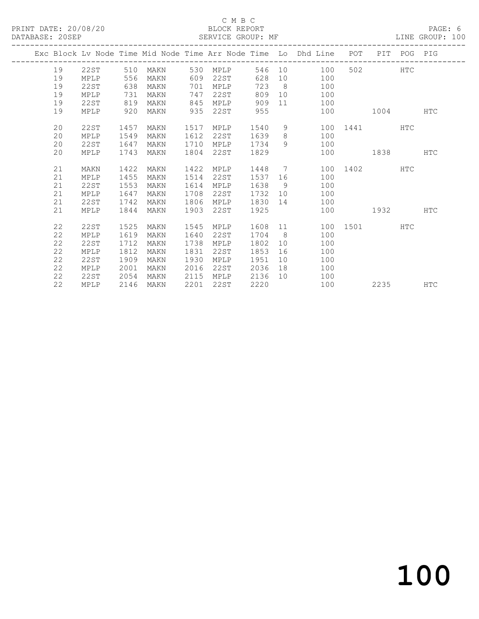#### C M B C<br>BLOCK REPORT SERVICE GROUP: MF

|  |    |      |      |          |      |          |         |    | Exc Block Lv Node Time Mid Node Time Arr Node Time Lo Dhd Line POT PIT POG PIG |         |              |            |            |
|--|----|------|------|----------|------|----------|---------|----|--------------------------------------------------------------------------------|---------|--------------|------------|------------|
|  | 19 | 22ST | 510  | MAKN 530 |      | MPLP     |         |    | 100<br>546 10                                                                  |         | 502 200      | <b>HTC</b> |            |
|  | 19 | MPLP | 556  | MAKN     | 609  | 22ST     |         |    | 628 10 100                                                                     |         |              |            |            |
|  | 19 | 22ST | 638  | MAKN     | 701  | MPLP     | 723 8   |    | 100                                                                            |         |              |            |            |
|  | 19 | MPLP | 731  | MAKN     | 747  | 22ST     | 809     |    | 10 100                                                                         |         |              |            |            |
|  | 19 | 22ST | 819  | MAKN     | 845  | MPLP     | 909     |    | 11 100                                                                         |         |              |            |            |
|  | 19 | MPLP | 920  | MAKN     | 935  | 22ST 955 |         |    |                                                                                | 100     | 1004         |            | <b>HTC</b> |
|  |    |      |      |          |      |          |         |    |                                                                                |         |              |            |            |
|  | 20 | 22ST | 1457 | MAKN     | 1517 | MPLP     | 1540    |    | $9 \quad \bullet$                                                              |         | 100 1441 HTC |            |            |
|  | 20 | MPLP | 1549 | MAKN     | 1612 | 22ST     | 1639    |    | 8<br>100                                                                       |         |              |            |            |
|  | 20 | 22ST | 1647 | MAKN     | 1710 | MPLP     | 1734    |    | 100<br>$9 \left( \frac{1}{2} \right)$                                          |         |              |            |            |
|  | 20 | MPLP | 1743 | MAKN     | 1804 | 22ST     | 1829    |    |                                                                                |         | 100 1838     |            | <b>HTC</b> |
|  | 21 | MAKN | 1422 | MAKN     | 1422 | MPLP     | 1448 7  |    |                                                                                |         | 100 1402     | <b>HTC</b> |            |
|  | 21 | MPLP | 1455 | MAKN     | 1514 | 22ST     | 1537    |    | 100                                                                            |         |              |            |            |
|  | 21 | 22ST | 1553 | MAKN     | 1614 | MPLP     | 1638    |    | $9 \left( \frac{1}{2} \right)$<br>100                                          |         |              |            |            |
|  | 21 | MPLP | 1647 | MAKN     | 1708 | 22ST     | 1732 10 |    | 100                                                                            |         |              |            |            |
|  | 21 | 22ST | 1742 | MAKN     | 1806 | MPLP     | 1830    |    | 100                                                                            |         |              |            |            |
|  | 21 | MPLP | 1844 | MAKN     | 1903 | 22ST     | 1925    |    |                                                                                |         | 100 1932     |            | <b>HTC</b> |
|  |    |      |      |          |      |          |         |    |                                                                                |         |              |            |            |
|  | 22 | 22ST | 1525 | MAKN     | 1545 | MPLP     | 1608 11 |    |                                                                                |         | 100 1501     | <b>HTC</b> |            |
|  | 22 | MPLP | 1619 | MAKN     | 1640 | 22ST     | 1704    |    | $8 \overline{)}$<br>100                                                        |         |              |            |            |
|  | 22 | 22ST | 1712 | MAKN     | 1738 | MPLP     | 1802    |    | 100                                                                            |         |              |            |            |
|  | 22 | MPLP | 1812 | MAKN     | 1831 | 22ST     | 1853    | 16 | 100                                                                            |         |              |            |            |
|  | 22 | 22ST | 1909 | MAKN     | 1930 | MPLP     | 1951    |    | 10<br>100                                                                      |         |              |            |            |
|  | 22 | MPLP | 2001 | MAKN     | 2016 | 22ST     | 2036    |    | 100                                                                            |         |              |            |            |
|  | 22 | 22ST | 2054 | MAKN     | 2115 | MPLP     | 2136    |    | 100                                                                            |         |              |            |            |
|  | 22 | MPLP | 2146 | MAKN     | 2201 | 22ST     | 2220    |    |                                                                                | 100 000 |              |            | HTC        |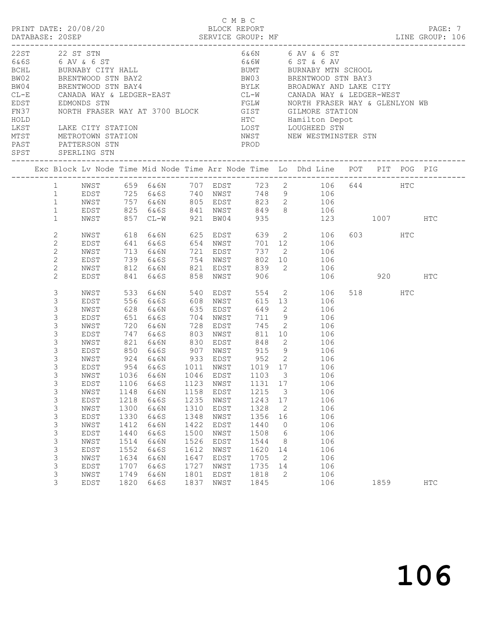| PRINT DATE: 20/08/20 |                                                                                                                                |                                                                                                                                                                                                                                                                                                                |                                                              |                                                                                                                                                        |                                                              | C M B C                                                                                                      | BLOCK REPORT                                                                                                    |                                                                                            |                                                                                                                                                                                                                                                                                                                          |         | PAGE: 7    |
|----------------------|--------------------------------------------------------------------------------------------------------------------------------|----------------------------------------------------------------------------------------------------------------------------------------------------------------------------------------------------------------------------------------------------------------------------------------------------------------|--------------------------------------------------------------|--------------------------------------------------------------------------------------------------------------------------------------------------------|--------------------------------------------------------------|--------------------------------------------------------------------------------------------------------------|-----------------------------------------------------------------------------------------------------------------|--------------------------------------------------------------------------------------------|--------------------------------------------------------------------------------------------------------------------------------------------------------------------------------------------------------------------------------------------------------------------------------------------------------------------------|---------|------------|
| HOLD                 |                                                                                                                                | 22ST 22 ST STN<br>6& 6S 6 AV & 6 ST<br>BCHL BURNABY CITY HALL<br>BW02 BRENTWOOD STN BAY2<br>BW04 BRENTWOOD STN BAY4<br>CL-E CANADA WAY & LEDGER-EAST<br>EDST EDMONDS STN<br>FN37 NORTH FRASER WAY AT 3700 BLOCK<br>LKST LAKE CITY STATION<br>MTST METROTOWN STATION<br>PAST PATTERSON STN<br>SPST SPERLING STN |                                                              |                                                                                                                                                        |                                                              |                                                                                                              | PROD                                                                                                            |                                                                                            | 6&6N 6 AV & 6 ST<br>6&6W 6 ST & 6 AV<br>BUMT BURNABY MTN SCHOOL<br>BW03 BRENTWOOD STN BAY3<br>BYLK BROADWAY AND LAKE CITY<br>CL-W CANADA WAY & LEDGER-WEST<br>FGLW         NORTH FRASER WAY & GLENLYON WB<br>GIST         GILMORE STATION<br>HTC         Hamilton Depot<br>LOST LOUGHEED STN<br>NWST NEW WESTMINSTER STN |         |            |
|                      |                                                                                                                                |                                                                                                                                                                                                                                                                                                                |                                                              |                                                                                                                                                        |                                                              |                                                                                                              |                                                                                                                 |                                                                                            | Exc Block Lv Node Time Mid Node Time Arr Node Time Lo Dhd Line POT PIT POG PIG                                                                                                                                                                                                                                           |         |            |
|                      | 1<br>$\mathbf{1}$<br>$\mathbf{1}$                                                                                              | NWST                                                                                                                                                                                                                                                                                                           |                                                              |                                                                                                                                                        |                                                              |                                                                                                              |                                                                                                                 |                                                                                            | 1 NWST 659 6&6N 707 EDST 723 2 106 644 HTC<br>1 EDST 725 6&6S 740 NWST 748 9 106<br>757 6&6N 805 EDST 823 2 106<br>EDST 825 6&6S 841 NWST 849 8 106<br>NWST 857 CL-W 921 BW04 935 123<br>123 1007 HTC                                                                                                                    |         |            |
|                      | 2<br>$\mathbf{2}$<br>$\mathbf{2}$<br>$\mathbf{2}$<br>$\mathbf{2}$<br>$\overline{2}$                                            | NWST<br>EDST<br>NWST<br>EDST<br>NWST<br>EDST                                                                                                                                                                                                                                                                   |                                                              | 618 6&6N 625 EDST<br>841 6&6S 858 NWST                                                                                                                 |                                                              |                                                                                                              | 737 2                                                                                                           |                                                                                            | 639 2 106<br>$701$ 12 106<br>$737$ 2 106<br>106<br>$802 \t 10 \t 106$<br>812 6&6N 821 EDST 839 2 106<br>906 106 920 HTC                                                                                                                                                                                                  | 603 HTC |            |
|                      | 3<br>3<br>3<br>$\mathsf 3$<br>3<br>3<br>3<br>3<br>3<br>3<br>3<br>3<br>$\mathsf 3$<br>3<br>3<br>$\mathsf 3$<br>$\mathsf 3$<br>3 | NWST<br>EDST<br>NWST<br>EDST<br>NWST<br>EDST<br>NWST<br>EDST<br>NWST<br>EDST<br>NWST<br>EDST<br>NWST<br>EDST<br>NWST<br>EDST<br>NWST<br>EDST                                                                                                                                                                   | 1036<br>1106<br>1148<br>1218<br>1300<br>1330<br>1412<br>1440 | 533 6&6N<br>556 6&6S 608 NWST<br>628 6&6N<br>651 6&6S<br>720 6&6N<br>747 6&6S 803 NWST<br>6&6N<br>6&6S<br>6&6N<br>6&6S<br>6&6N<br>6&6S<br>6&6N<br>6&6S | 1046<br>1123<br>1158<br>1235<br>1310<br>1348<br>1422<br>1500 | 540 EDST<br>635 EDST<br>704 NWST<br>728 EDST<br>EDST<br>NWST<br>EDST<br>NWST<br>EDST<br>NWST<br>EDST<br>NWST | 554<br>711 9<br>745<br>821 6&6N 830 EDST 848<br>1103<br>1131 17<br>1215<br>1243<br>1328<br>1356<br>1440<br>1508 | $\overline{\mathbf{3}}$<br>$\overline{\mathbf{3}}$<br>17<br>2<br>16<br>$\overline{0}$<br>6 | 2 106<br>615 13 106<br>649 2 106<br>106<br>$\frac{100}{2}$ 106<br>811 10 106<br>2 106<br>915 9 106<br>952 2 106<br>954 6&6S 1011 NWST 1019 17 106<br>106<br>106<br>106<br>106<br>106<br>106<br>106<br>106                                                                                                                | 518 HTC |            |
|                      | 3<br>3<br>$\mathsf 3$<br>3<br>3<br>3                                                                                           | NWST<br>EDST<br>NWST<br>EDST<br>NWST<br>EDST                                                                                                                                                                                                                                                                   | 1514<br>1552<br>1634<br>1707<br>1749<br>1820                 | 6&6N<br>6&6S<br>6&6N<br>6&6S<br>6&6N<br>6&6S                                                                                                           | 1526<br>1612<br>1647<br>1727<br>1801<br>1837                 | EDST<br>NWST<br>EDST<br>NWST<br>EDST<br>NWST                                                                 | 1544<br>1620<br>1705<br>1735<br>1818<br>1845                                                                    | 8<br>14<br>$\overline{2}$<br>14<br>2                                                       | 106<br>106<br>106<br>106<br>106<br>106                                                                                                                                                                                                                                                                                   | 1859    | <b>HTC</b> |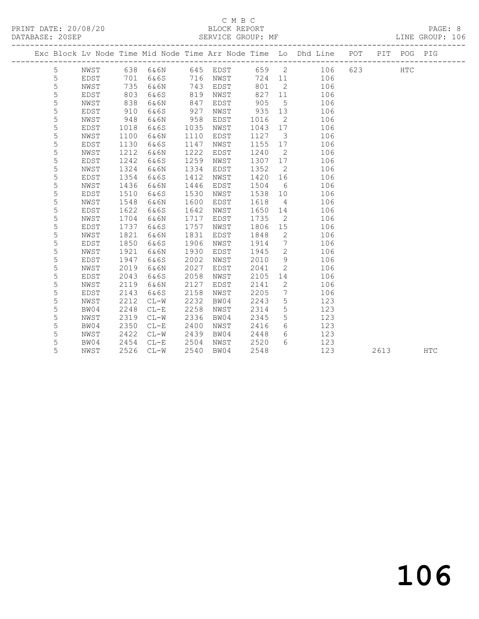#### C M B C<br>BLOCK REPORT SERVICE GROUP: MF

|  |   |             |      |                   |      |      |        |                              | Exc Block Lv Node Time Mid Node Time Arr Node Time Lo Dhd Line POT |     | PIT  | POG PIG    |            |
|--|---|-------------|------|-------------------|------|------|--------|------------------------------|--------------------------------------------------------------------|-----|------|------------|------------|
|  | 5 | NWST        |      | 638 6&6N 645 EDST |      |      |        |                              | 659 2 106                                                          | 623 |      | <b>HTC</b> |            |
|  | 5 | EDST        | 701  | 6&6S              | 716  | NWST | 724 11 |                              | 106                                                                |     |      |            |            |
|  | 5 | NWST        | 735  | 6&6N              | 743  | EDST | 801    | $\overline{2}$               | 106                                                                |     |      |            |            |
|  | 5 | EDST        | 803  | 6&6S              | 819  | NWST | 827    | 11                           | 106                                                                |     |      |            |            |
|  | 5 | NWST        | 838  | 6&6N              | 847  | EDST | 905    | $5^{\circ}$                  | 106                                                                |     |      |            |            |
|  | 5 | EDST        | 910  | 6&6S              | 927  | NWST | 935    | 13                           | 106                                                                |     |      |            |            |
|  | 5 | NWST        | 948  | 6&6N              | 958  | EDST | 1016   | $\overline{2}$               | 106                                                                |     |      |            |            |
|  | 5 | EDST        | 1018 | 6&6S              | 1035 | NWST | 1043   | 17                           | 106                                                                |     |      |            |            |
|  | 5 | NWST        | 1100 | 6&6N              | 1110 | EDST | 1127   | $\overline{\mathbf{3}}$      | 106                                                                |     |      |            |            |
|  | 5 | <b>EDST</b> | 1130 | 6&6S              | 1147 | NWST | 1155   | 17                           | 106                                                                |     |      |            |            |
|  | 5 | NWST        | 1212 | 6&6N              | 1222 | EDST | 1240   | $\overline{2}$               | 106                                                                |     |      |            |            |
|  | 5 | <b>EDST</b> | 1242 | 6&6S              | 1259 | NWST | 1307   | 17                           | 106                                                                |     |      |            |            |
|  | 5 | NWST        | 1324 | 6&6N              | 1334 | EDST | 1352   | $\overline{2}$               | 106                                                                |     |      |            |            |
|  | 5 | <b>EDST</b> | 1354 | 6&6S              | 1412 | NWST | 1420   | 16                           | 106                                                                |     |      |            |            |
|  | 5 | NWST        | 1436 | 6&6N              | 1446 | EDST | 1504   | 6                            | 106                                                                |     |      |            |            |
|  | 5 | EDST        | 1510 | 6&6S              | 1530 | NWST | 1538   | 10                           | 106                                                                |     |      |            |            |
|  | 5 | NWST        | 1548 | 6&6N              | 1600 | EDST | 1618   | $\overline{4}$               | 106                                                                |     |      |            |            |
|  | 5 | <b>EDST</b> | 1622 | 6&6S              | 1642 | NWST | 1650   | 14                           | 106                                                                |     |      |            |            |
|  | 5 | NWST        | 1704 | 6&6N              | 1717 | EDST | 1735   | $\overline{\phantom{0}}^2$   | 106                                                                |     |      |            |            |
|  | 5 | EDST        | 1737 | 6&6S              | 1757 | NWST | 1806   | 15                           | 106                                                                |     |      |            |            |
|  | 5 | NWST        | 1821 | 6&6N              | 1831 | EDST | 1848   | 2                            | 106                                                                |     |      |            |            |
|  | 5 | <b>EDST</b> | 1850 | 6&6S              | 1906 | NWST | 1914   | $7\phantom{.0}\phantom{.0}7$ | 106                                                                |     |      |            |            |
|  | 5 | NWST        | 1921 | 6&6N              | 1930 | EDST | 1945   | $\mathbf{2}$                 | 106                                                                |     |      |            |            |
|  | 5 | EDST        | 1947 | 6&6S              | 2002 | NWST | 2010   | 9                            | 106                                                                |     |      |            |            |
|  | 5 | NWST        | 2019 | 6&6N              | 2027 | EDST | 2041   | 2                            | 106                                                                |     |      |            |            |
|  | 5 | EDST        | 2043 | 6&6S              | 2058 | NWST | 2105   | 14                           | 106                                                                |     |      |            |            |
|  | 5 | NWST        | 2119 | 6&6N              | 2127 | EDST | 2141   | 2                            | 106                                                                |     |      |            |            |
|  | 5 | EDST        | 2143 | 6&6S              | 2158 | NWST | 2205   | $7\phantom{.0}$              | 106                                                                |     |      |            |            |
|  | 5 | NWST        | 2212 | $CL-W$            | 2232 | BW04 | 2243   | 5                            | 123                                                                |     |      |            |            |
|  | 5 | BW04        | 2248 | $CL-E$            | 2258 | NWST | 2314   | 5                            | 123                                                                |     |      |            |            |
|  | 5 | NWST        | 2319 | $CL-W$            | 2336 | BW04 | 2345   | 5                            | 123                                                                |     |      |            |            |
|  | 5 | BW04        | 2350 | $CL - E$          | 2400 | NWST | 2416   | 6                            | 123                                                                |     |      |            |            |
|  | 5 | NWST        | 2422 | $CL-W$            | 2439 | BW04 | 2448   | 6                            | 123                                                                |     |      |            |            |
|  | 5 | BW04        | 2454 | $CL-E$            | 2504 | NWST | 2520   | 6                            | 123                                                                |     |      |            |            |
|  | 5 | NWST        | 2526 | $CL-W$            | 2540 | BW04 | 2548   |                              | 123                                                                |     | 2613 |            | <b>HTC</b> |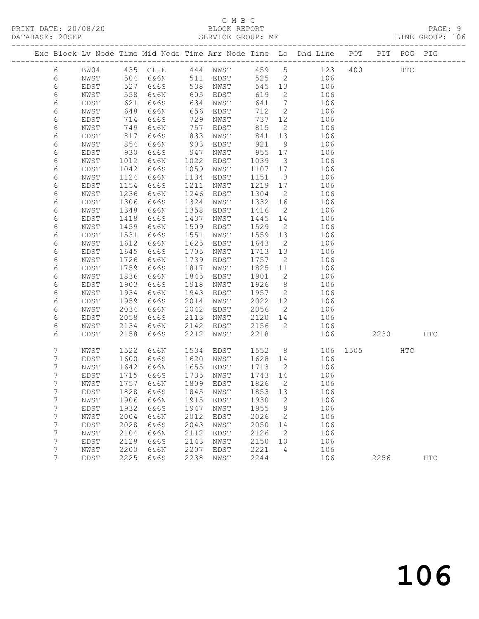#### C M B C<br>BLOCK REPORT SERVICE GROUP: MF

|                 |              |              |                             |              |           |              |                         | Exc Block Lv Node Time Mid Node Time Arr Node Time Lo Dhd Line POT |          |      | PIT POG PIG |               |
|-----------------|--------------|--------------|-----------------------------|--------------|-----------|--------------|-------------------------|--------------------------------------------------------------------|----------|------|-------------|---------------|
| $6\,$           | BW04         |              | 435 CL-E 444 NWST           |              |           | 459 5        |                         | 123                                                                |          | 400  | HTC         |               |
| 6               | NWST         | 504          | 6&6N                        |              | 511 EDST  | 525          | $\overline{2}$          | 106                                                                |          |      |             |               |
| 6               | EDST         | 527          | 6&6S                        |              | 538 NWST  | 545 13       |                         | 106                                                                |          |      |             |               |
| 6               | NWST         | 558          | 6&6N                        | 605          | EDST      | 619          | 2                       | 106                                                                |          |      |             |               |
| $\epsilon$      | EDST         | 621          | 6&6S                        | 634          | NWST      | 641          | $\overline{7}$          | 106                                                                |          |      |             |               |
| 6               | NWST         | 648          | 6&6N                        | 656          | EDST      | 712          | $\overline{2}$          | 106                                                                |          |      |             |               |
| 6               | EDST         | 714          | 6&6S                        | 729          | NWST      | 737          | 12                      | 106                                                                |          |      |             |               |
| 6               | NWST         | 749          | 6&6N                        | 757          | EDST      | 815          | $\overline{2}$          | 106                                                                |          |      |             |               |
| 6               | EDST         | 817          | 6&6S                        | 833          | NWST      | 841          | 13                      | 106                                                                |          |      |             |               |
| 6               | NWST         | 854          | 6&6N                        | 903          | EDST      | 921          | 9                       | 106                                                                |          |      |             |               |
| 6               | EDST         | 930          | 6&6S                        | 947          | NWST      | 955 17       |                         | 106                                                                |          |      |             |               |
| 6               | NWST         | 1012         | 6&6N                        | 1022         | EDST      | 1039         | $\overline{\mathbf{3}}$ | 106                                                                |          |      |             |               |
| 6               | EDST         | 1042         | 6&6S                        | 1059         | NWST      | 1107 17      |                         | 106                                                                |          |      |             |               |
| 6               | NWST         | 1124         | 6&6N                        | 1134         | EDST      | 1151         | $\overline{\mathbf{3}}$ | 106                                                                |          |      |             |               |
| 6               | EDST         | 1154         | 6&6S                        | 1211         | NWST      | 1219         | 17                      | 106                                                                |          |      |             |               |
| 6               | NWST         | 1236         | 6&6N                        | 1246         | EDST      | 1304         | $\overline{2}$          | 106                                                                |          |      |             |               |
| 6               | EDST         | 1306         | 6&6S                        | 1324         | NWST      | 1332 16      |                         | 106                                                                |          |      |             |               |
| 6               | NWST         | 1348         | 6&6N                        | 1358         | EDST      | 1416         | $\overline{2}$          | 106                                                                |          |      |             |               |
| 6               | EDST         | 1418         | 6&6S                        | 1437         | NWST      | 1445 14      |                         | 106                                                                |          |      |             |               |
| 6               | NWST         | 1459         | 6&6N                        | 1509         | EDST      | 1529         | $\overline{2}$          | 106                                                                |          |      |             |               |
| 6               | EDST         | 1531         | 6&6S                        | 1551         | NWST      | 1559 13      |                         | 106                                                                |          |      |             |               |
| 6               | NWST         | 1612         | 6&6N                        | 1625         | EDST      | 1643         | $\overline{2}$          | 106                                                                |          |      |             |               |
| 6               | EDST         | 1645         | 6&6S                        | 1705         | NWST      | 1713 13      |                         | 106                                                                |          |      |             |               |
| 6               | NWST         | 1726         | 6&6N                        | 1739         | EDST      | 1757         | $\overline{2}$          | 106                                                                |          |      |             |               |
| 6               | EDST         | 1759         | 6&6S                        | 1817         | NWST      | 1825         | 11                      | 106                                                                |          |      |             |               |
| 6               | NWST         | 1836         | 6&6N                        | 1845         | EDST      | 1901         | $\overline{2}$          | 106                                                                |          |      |             |               |
| 6               | EDST         | 1903         | 6&6S                        | 1918         | NWST      | 1926         | 8 <sup>8</sup>          | 106                                                                |          |      |             |               |
| 6               | NWST         | 1934         | 6&6N                        | 1943         | EDST      | 1957         | $\overline{2}$          | 106                                                                |          |      |             |               |
| 6               | EDST         | 1959         | 6&6S                        | 2014         | NWST      | 2022         | 12                      | 106                                                                |          |      |             |               |
| 6               | NWST         | 2034         | 6&6N                        | 2042         | EDST      | 2056         | $\overline{2}$          | 106                                                                |          |      |             |               |
| 6               | EDST<br>NWST | 2058<br>2134 | 6&6S<br>6&6N                | 2113<br>2142 | NWST      | 2120<br>2156 | 14<br>$\overline{2}$    | 106<br>106                                                         |          |      |             |               |
| 6<br>6          | EDST         | 2158         |                             | 2212         | EDST      | 2218         |                         | 106                                                                |          |      |             | HTC           |
|                 |              |              | 6&6S                        |              | NWST      |              |                         |                                                                    |          | 2230 |             |               |
| 7               | NWST         | 1522         | 6&6N                        | 1534         | EDST      | 1552         |                         | 8 <sup>1</sup>                                                     | 106 1505 |      | HTC         |               |
| 7               | EDST         | 1600         | 6&6S                        | 1620         | NWST      | 1628 14      |                         | 106                                                                |          |      |             |               |
| 7               | NWST         | 1642         | 6&6N                        | 1655         | EDST      | 1713         | $\overline{2}$          | 106                                                                |          |      |             |               |
| 7               | EDST         | 1715         | 6&6S                        | 1735         | NWST      | 1743 14      |                         | 106                                                                |          |      |             |               |
| 7               | NWST         | 1757         | 6&6N                        |              | 1809 EDST | 1826         | $\overline{2}$          | 106                                                                |          |      |             |               |
| $7\phantom{.0}$ | EDST         |              | 1828 6&6S 1845 NWST 1853 13 |              |           |              |                         | 106                                                                |          |      |             |               |
| 7               | NWST         | 1906         | 6 & 6 N                     | 1915         | EDST      | 1930         | 2                       | 106                                                                |          |      |             |               |
| 7               | EDST         | 1932         | 6&6S                        | 1947         | NWST      | 1955         | 9                       | 106                                                                |          |      |             |               |
| 7               | NWST         | 2004         | 6&6N                        | 2012         | EDST      | 2026         | 2                       | 106                                                                |          |      |             |               |
| 7               | EDST         | 2028         | 6&6S                        | 2043         | NWST      | 2050         | 14                      | 106                                                                |          |      |             |               |
| 7               | NWST         | 2104         | 6&6N                        | 2112         | EDST      | 2126         | 2                       | 106                                                                |          |      |             |               |
| 7               | EDST         | 2128         | 6&6S                        | 2143         | NWST      | 2150         | 10                      | 106                                                                |          |      |             |               |
| 7               | NWST         | 2200         | 6&6N                        | 2207         | EDST      | 2221         | 4                       | 106                                                                |          |      |             |               |
| $7\phantom{.0}$ | EDST         | 2225         | 6&6S                        | 2238         | NWST      | 2244         |                         | 106                                                                |          | 2256 |             | $_{\rm{HTC}}$ |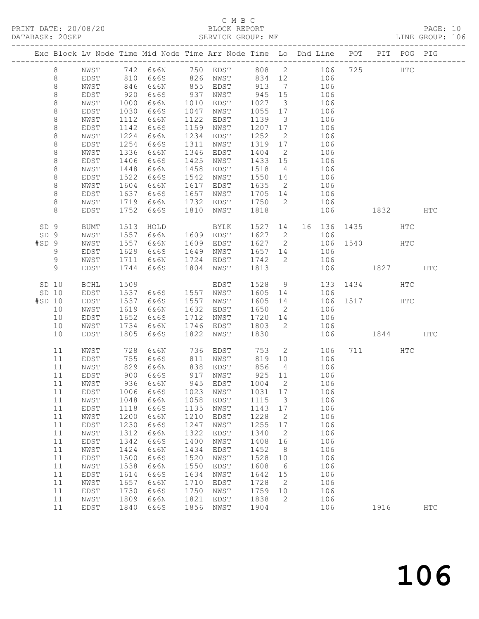PRINT DATE: 20/08/20 BLOCK REPORT DATABASE: 20SEP

# C M B C<br>BLOCK REPORT

PAGE: 10<br>LINE GROUP: 106

|        |                    |              |              |      |              | Exc Block Lv Node Time Mid Node Time Arr Node Time Lo Dhd Line POT |      |                              |    |     |      |      | PIT POG PIG   |               |
|--------|--------------------|--------------|--------------|------|--------------|--------------------------------------------------------------------|------|------------------------------|----|-----|------|------|---------------|---------------|
|        | $\,8\,$            | NWST         | 742          | 6&6N | 750          | EDST                                                               | 808  | $\overline{2}$               |    | 106 | 725  |      | $_{\rm{HTC}}$ |               |
|        | $\,8\,$            | <b>EDST</b>  | 810          | 6&6S | 826          | NWST                                                               | 834  | 12                           |    | 106 |      |      |               |               |
|        | $\,8\,$            | NWST         | 846          | 6&6N | 855          | EDST                                                               | 913  | $7\phantom{.0}\phantom{.0}7$ |    | 106 |      |      |               |               |
|        | $\,8\,$            | EDST         | 920          | 6&6S | 937          | NWST                                                               | 945  | 15                           |    | 106 |      |      |               |               |
|        | $\,8\,$            | NWST         | 1000         | 6&6N | 1010         | EDST                                                               | 1027 | $\overline{\mathbf{3}}$      |    | 106 |      |      |               |               |
|        | $\,8\,$            | EDST         | 1030         | 6&6S | 1047         | NWST                                                               | 1055 | 17                           |    | 106 |      |      |               |               |
|        | $\,8\,$            | NWST         | 1112         | 6&6N | 1122         | EDST                                                               | 1139 | $\mathcal{S}$                |    | 106 |      |      |               |               |
|        | $\,8\,$            | EDST         | 1142         | 6&6S | 1159         | NWST                                                               | 1207 | 17                           |    | 106 |      |      |               |               |
|        | $\,8\,$            | NWST         | 1224         | 6&6N | 1234         | EDST                                                               | 1252 | 2                            |    | 106 |      |      |               |               |
|        | $\,8\,$            | EDST         | 1254         | 6&6S | 1311         | NWST                                                               | 1319 | 17                           |    | 106 |      |      |               |               |
|        | $\,8\,$            | NWST         | 1336         | 6&6N | 1346         | EDST                                                               | 1404 | $\overline{2}$               |    | 106 |      |      |               |               |
|        | $\,8\,$            | EDST         | 1406         | 6&6S | 1425         | NWST                                                               | 1433 | 15                           |    | 106 |      |      |               |               |
|        | 8                  | NWST         | 1448         | 6&6N | 1458         | EDST                                                               | 1518 | $\overline{4}$               |    | 106 |      |      |               |               |
|        | $\,8\,$            | EDST         | 1522         | 6&6S | 1542         | NWST                                                               | 1550 | 14                           |    | 106 |      |      |               |               |
|        | $\,8\,$            | NWST         | 1604         | 6&6N | 1617         | EDST                                                               | 1635 | 2                            |    | 106 |      |      |               |               |
|        | $\,8\,$            | EDST         | 1637         | 6&6S | 1657<br>1732 | NWST                                                               | 1705 | 14<br>2                      |    | 106 |      |      |               |               |
|        | $\,8\,$<br>$\,8\,$ | NWST<br>EDST | 1719<br>1752 | 6&6N |              | EDST                                                               | 1750 |                              |    | 106 |      |      |               | <b>HTC</b>    |
|        |                    |              |              | 6&6S | 1810         | NWST                                                               | 1818 |                              |    | 106 |      | 1832 |               |               |
| SD 9   |                    | BUMT         | 1513         | HOLD |              | BYLK                                                               | 1527 | 14                           | 16 | 136 | 1435 |      | HTC           |               |
| SD 9   |                    | NWST         | 1557         | 6&6N | 1609         | EDST                                                               | 1627 | 2                            |    | 106 |      |      |               |               |
| #SD 9  |                    | NWST         | 1557         | 6&6N | 1609         | EDST                                                               | 1627 | $\mathbf{2}$                 |    | 106 | 1540 |      | HTC           |               |
|        | 9                  | EDST         | 1629         | 6&6S | 1649         | NWST                                                               | 1657 | 14                           |    | 106 |      |      |               |               |
|        | 9                  | NWST         | 1711         | 6&6N | 1724         | EDST                                                               | 1742 | $\mathbf{2}$                 |    | 106 |      |      |               |               |
|        | 9                  | EDST         | 1744         | 6&6S | 1804         | NWST                                                               | 1813 |                              |    | 106 |      | 1827 |               | <b>HTC</b>    |
| SD 10  |                    | <b>BCHL</b>  | 1509         |      |              | EDST                                                               | 1528 | 9                            |    | 133 | 1434 |      | <b>HTC</b>    |               |
| SD 10  |                    | EDST         | 1537         | 6&6S | 1557         | NWST                                                               | 1605 | 14                           |    | 106 |      |      |               |               |
| #SD 10 |                    | EDST         | 1537         | 6&6S | 1557         | NWST                                                               | 1605 | 14                           |    | 106 | 1517 |      | HTC           |               |
|        | 10                 | NWST         | 1619         | 6&6N | 1632         | EDST                                                               | 1650 | $\overline{2}$               |    | 106 |      |      |               |               |
|        | 10                 | EDST         | 1652         | 6&6S | 1712         | NWST                                                               | 1720 | 14                           |    | 106 |      |      |               |               |
|        | 10                 | NWST         | 1734         | 6&6N | 1746         | EDST                                                               | 1803 | $\mathbf{2}$                 |    | 106 |      |      |               |               |
|        | 10                 | EDST         | 1805         | 6&6S | 1822         | NWST                                                               | 1830 |                              |    | 106 |      | 1844 |               | <b>HTC</b>    |
|        | 11                 | NWST         | 728          | 6&6N | 736          | EDST                                                               | 753  | 2                            |    | 106 | 711  |      | HTC           |               |
|        | 11                 | EDST         | 755          | 6&6S | 811          | NWST                                                               | 819  | 10                           |    | 106 |      |      |               |               |
|        | 11                 | NWST         | 829          | 6&6N | 838          | EDST                                                               | 856  | $\overline{4}$               |    | 106 |      |      |               |               |
|        | 11                 | EDST         | 900          | 6&6S | 917          | NWST                                                               | 925  | 11                           |    | 106 |      |      |               |               |
|        | 11                 | NWST         | 936          | 6&6N | 945          | EDST                                                               | 1004 | 2                            |    | 106 |      |      |               |               |
|        | 11                 | EDST         |              |      |              | 1006 6&6S 1023 NWST 1031 17                                        |      |                              |    | 106 |      |      |               |               |
|        | 11                 | ${\tt NWST}$ | 1048         | 6&6N | 1058         | EDST                                                               | 1115 | 3                            |    | 106 |      |      |               |               |
|        | 11                 | EDST         | 1118         | 6&6S | 1135         | NWST                                                               | 1143 | 17                           |    | 106 |      |      |               |               |
|        | 11                 | NWST         | 1200         | 6&6N | 1210         | EDST                                                               | 1228 | 2                            |    | 106 |      |      |               |               |
|        | 11                 | EDST         | 1230         | 6&6S | 1247         | NWST                                                               | 1255 | 17                           |    | 106 |      |      |               |               |
|        | 11                 | ${\tt NWST}$ | 1312         | 6&6N | 1322         | EDST                                                               | 1340 | $\mathbf{2}$                 |    | 106 |      |      |               |               |
|        | 11                 | EDST         | 1342         | 6&6S | 1400         | NWST                                                               | 1408 | 16                           |    | 106 |      |      |               |               |
|        | 11                 | NWST         | 1424         | 6&6N | 1434         | EDST                                                               | 1452 | 8                            |    | 106 |      |      |               |               |
|        | 11                 | EDST         | 1500         | 6&6S | 1520         | NWST                                                               | 1528 | 10                           |    | 106 |      |      |               |               |
|        | 11                 | NWST         | 1538         | 6&6N | 1550         | EDST                                                               | 1608 | 6                            |    | 106 |      |      |               |               |
|        | 11                 | EDST         | 1614         | 6&6S | 1634         | NWST                                                               | 1642 | 15                           |    | 106 |      |      |               |               |
|        | 11                 | NWST         | 1657         | 6&6N | 1710         | EDST                                                               | 1728 | 2                            |    | 106 |      |      |               |               |
|        | 11                 | EDST         | 1730         | 6&6S | 1750         | NWST                                                               | 1759 | 10                           |    | 106 |      |      |               |               |
|        | 11                 | NWST         | 1809         | 6&6N | 1821         | EDST                                                               | 1838 | 2                            |    | 106 |      |      |               |               |
|        | 11                 | EDST         | 1840         | 6&6S | 1856         | NWST                                                               | 1904 |                              |    | 106 |      | 1916 |               | $_{\rm{HTC}}$ |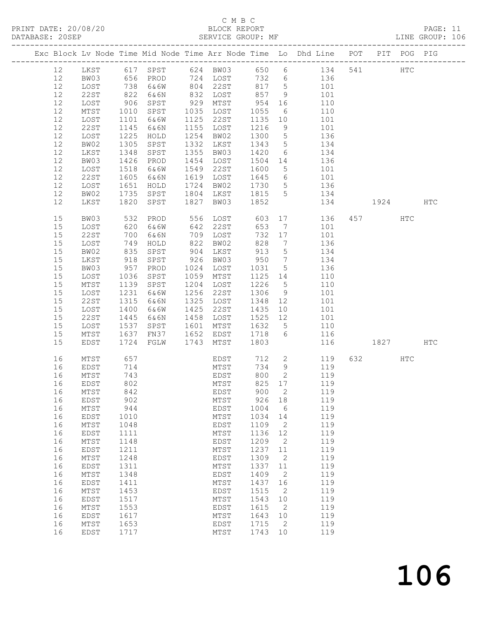# C M B C<br>BLOCK REPORT

| DATABASE: 20SEP |    |                 |              | SERVICE GROUP: MF |      |                                              |         |                              |                                                                                |           |            | LINE GROUP: 106 |  |
|-----------------|----|-----------------|--------------|-------------------|------|----------------------------------------------|---------|------------------------------|--------------------------------------------------------------------------------|-----------|------------|-----------------|--|
|                 |    |                 |              |                   |      |                                              |         |                              | Exc Block Lv Node Time Mid Node Time Arr Node Time Lo Dhd Line POT PIT POG PIG |           |            |                 |  |
|                 | 12 |                 |              |                   |      |                                              |         |                              | LKST 617 SPST 624 BW03 650 6 134 541 HTC                                       |           |            |                 |  |
|                 | 12 | BW03            |              |                   |      |                                              |         |                              | 656 PROD 724 LOST 732 6 136                                                    |           |            |                 |  |
|                 | 12 | LOST            |              | 6&6W              |      |                                              | 817 5   |                              | 101                                                                            |           |            |                 |  |
|                 | 12 | 22ST            | 738<br>822   | 6&6N              |      | 804 22ST 817<br>832 LOST 857<br>929 MTST 954 |         | 9                            | 101                                                                            |           |            |                 |  |
|                 | 12 | LOST            | 906          | SPST              |      |                                              |         | 16                           | 110                                                                            |           |            |                 |  |
|                 | 12 | MTST            | 1010         | SPST              |      | 1035 LOST                                    | 1055    | $6\overline{6}$              | 110                                                                            |           |            |                 |  |
|                 |    |                 |              |                   |      |                                              |         |                              |                                                                                |           |            |                 |  |
|                 | 12 | LOST            | 1101         | 6&6W              |      | 1125 22ST                                    | 1135    | 10                           | 101                                                                            |           |            |                 |  |
|                 | 12 | 22ST            | 1145         | 6&6N              |      | 1155 LOST                                    | 1216    | 9                            | 101                                                                            |           |            |                 |  |
|                 | 12 | LOST            | 1225         | HOLD              |      | 1254 BW02                                    | 1300    | $5\overline{)}$              | 136                                                                            |           |            |                 |  |
|                 | 12 | BW02            | 1305         | SPST              |      | 1332 LKST                                    | 1343    | $5\overline{)}$              | 134                                                                            |           |            |                 |  |
|                 | 12 | LKST            | 1348         | SPST              |      | 1355 BW03                                    | 1420    | 6                            | 134                                                                            |           |            |                 |  |
|                 | 12 | BW03            | 1426         | PROD              |      | 1454 LOST                                    | 1504 14 |                              | 136                                                                            |           |            |                 |  |
|                 | 12 | LOST            | 1518         | 6&6W              |      | 1549 22ST                                    | 1600    | $5\overline{)}$              | 101                                                                            |           |            |                 |  |
|                 | 12 | 22ST            | 1605         | 6&6N              |      | 1619 LOST 1645                               |         |                              | 6 101                                                                          |           |            |                 |  |
|                 | 12 | LOST            | 1651         | HOLD              |      | 1724 BW02                                    | 1730    | $5\overline{)}$              | 136                                                                            |           |            |                 |  |
|                 | 12 | BW02            | 1735         | SPST              |      | 1804 LKST                                    | 1815    | $5\overline{)}$              | 134                                                                            |           |            |                 |  |
|                 | 12 | LKST            | 1820         | SPST              |      | 1827 BW03                                    | 1852    |                              | 134                                                                            | 1924 HTC  |            |                 |  |
|                 | 15 | BW03            | 532          | PROD              |      | 556 LOST 603                                 |         |                              | 17<br>136                                                                      | 457 — 157 | <b>HTC</b> |                 |  |
|                 | 15 | LOST            |              | 6&6W              | 642  | 22ST                                         | 653     |                              | 101                                                                            |           |            |                 |  |
|                 |    |                 | 620<br>700   |                   |      |                                              | 732     | $7\overline{ }$              |                                                                                |           |            |                 |  |
|                 | 15 | 22ST            | 749          | 6&6N              |      | 709 LOST                                     |         | 17                           | 101<br>136                                                                     |           |            |                 |  |
|                 | 15 | LOST            |              | HOLD              |      | 822 BW02                                     | 828     | $7\phantom{.0}\phantom{.0}7$ |                                                                                |           |            |                 |  |
|                 | 15 | BW02            | 835          | SPST              |      | 904 LKST                                     | 913     | $5\overline{)}$              | 134                                                                            |           |            |                 |  |
|                 | 15 | LKST            | 918<br>957   | SPST              |      | 926 BW03                                     | 950     | $\overline{7}$               | 134                                                                            |           |            |                 |  |
|                 | 15 | BW03            |              | PROD              |      | 1024 LOST                                    | 1031    | $5\overline{)}$              | 136                                                                            |           |            |                 |  |
|                 | 15 | LOST            | 1036         | SPST              |      | 1059 MTST                                    | 1125 14 |                              | 110                                                                            |           |            |                 |  |
|                 | 15 | MTST            | 1139         | SPST              |      | 1204 LOST                                    | 1226    | $5\overline{)}$              | 110                                                                            |           |            |                 |  |
|                 | 15 | LOST            | 1231         | 6&6W              | 1256 | 22ST                                         | 1306    | 9                            | 101                                                                            |           |            |                 |  |
|                 | 15 | 22ST            | 1315         | 6&6N              |      | 1325 LOST                                    | 1348    | 12                           | 101                                                                            |           |            |                 |  |
|                 | 15 | LOST            | 1400         | 6&6W              | 1425 | 22ST                                         | 1435    | 10                           | 101                                                                            |           |            |                 |  |
|                 | 15 | 22ST            | 1445         | 6&6N              |      | 1458 LOST                                    | 1525 12 |                              | 101                                                                            |           |            |                 |  |
|                 | 15 | LOST            | 1537         | SPST              |      | 1601 MTST                                    | 1632    | $5\overline{)}$              | 110                                                                            |           |            |                 |  |
|                 | 15 | MTST            | 1637<br>1724 | FN37              |      | 1652 EDST                                    | 1718    | 6                            | 116                                                                            |           |            |                 |  |
|                 | 15 | EDST            | 1724         | FGLW              | 1743 | MTST                                         | 1803    |                              | 116                                                                            | 1827 HTC  |            |                 |  |
|                 | 16 | MTST            | 657          |                   |      | EDST 712                                     |         |                              | $\overline{2}$<br>119                                                          | 632       | HTC        |                 |  |
|                 | 16 | EDST            | 714<br>743   |                   |      | MTST<br>EDST                                 | 734     | 9                            | 119                                                                            |           |            |                 |  |
|                 | 16 | MTST            |              |                   |      | EDST                                         | 800     | 2                            | 119                                                                            |           |            |                 |  |
|                 |    | 16 EDST         | 802          |                   |      |                                              |         |                              | MTST 825 17 119                                                                |           |            |                 |  |
|                 | 16 | MTST            | 842          |                   |      | EDST                                         | 900     | 2                            | 119                                                                            |           |            |                 |  |
|                 | 16 | EDST            | 902          |                   |      | MTST                                         | 926     | 18                           | 119                                                                            |           |            |                 |  |
|                 | 16 | $\mathtt{MTST}$ | 944          |                   |      | EDST                                         | 1004    | 6                            | 119                                                                            |           |            |                 |  |
|                 | 16 | EDST            | 1010         |                   |      | MTST                                         | 1034    | 14                           | 119                                                                            |           |            |                 |  |
|                 | 16 | MTST            | 1048         |                   |      | EDST                                         | 1109    | 2                            | 119                                                                            |           |            |                 |  |
|                 | 16 | EDST            | 1111         |                   |      | MTST                                         | 1136    | 12                           | 119                                                                            |           |            |                 |  |
|                 | 16 | $\mathtt{MTST}$ | 1148         |                   |      | EDST                                         | 1209    | $\overline{2}$               | 119                                                                            |           |            |                 |  |
|                 | 16 | EDST            | 1211         |                   |      | MTST                                         | 1237    | 11                           | 119                                                                            |           |            |                 |  |
|                 | 16 | MTST            | 1248         |                   |      | EDST                                         | 1309    | $\overline{2}$               | 119                                                                            |           |            |                 |  |
|                 | 16 | EDST            | 1311         |                   |      | MTST                                         | 1337    | 11                           | 119                                                                            |           |            |                 |  |
|                 | 16 | $\mathtt{MTST}$ | 1348         |                   |      | EDST                                         | 1409    | $\overline{2}$               | 119                                                                            |           |            |                 |  |
|                 |    |                 | 1411         |                   |      |                                              | 1437    | 16                           | 119                                                                            |           |            |                 |  |
|                 | 16 | EDST            |              |                   |      | MTST                                         |         |                              |                                                                                |           |            |                 |  |
|                 | 16 | MTST            | 1453         |                   |      | EDST                                         | 1515    | $\overline{2}$               | 119                                                                            |           |            |                 |  |
|                 | 16 | EDST            | 1517         |                   |      | MTST                                         | 1543    | 10                           | 119                                                                            |           |            |                 |  |
|                 | 16 | MTST            | 1553         |                   |      | EDST                                         | 1615    | $\overline{2}$               | 119                                                                            |           |            |                 |  |
|                 | 16 | EDST            | 1617         |                   |      | MTST                                         | 1643    | 10                           | 119                                                                            |           |            |                 |  |
|                 | 16 | MTST            | 1653         |                   |      | EDST                                         | 1715    | $\overline{2}$               | 119                                                                            |           |            |                 |  |
|                 | 16 | <b>EDST</b>     | 1717         |                   |      | MTST                                         | 1743 10 |                              | 119                                                                            |           |            |                 |  |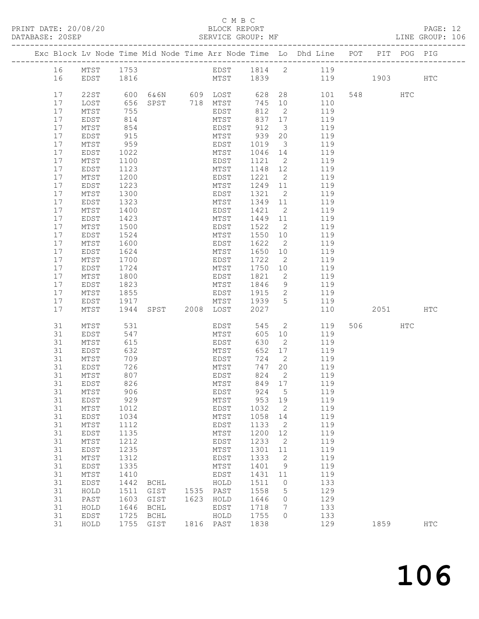#### C M B C

| DATABASE: 20SEP |          |                 |              | SERVICE GROUP: MF                                       |                      |               |                                  | LINE GROUP: 106                                                                |         |         |            |  |
|-----------------|----------|-----------------|--------------|---------------------------------------------------------|----------------------|---------------|----------------------------------|--------------------------------------------------------------------------------|---------|---------|------------|--|
|                 |          |                 |              |                                                         |                      |               |                                  | Exc Block Lv Node Time Mid Node Time Arr Node Time Lo Dhd Line POT PIT POG PIG |         |         |            |  |
|                 |          | 16 MTST 1753    |              |                                                         |                      |               |                                  | EDST 1814 2 119                                                                |         |         |            |  |
|                 | 16       | EDST 1816       |              |                                                         |                      |               |                                  | MTST 1839 119 1903 HTC                                                         |         |         |            |  |
|                 | 17       | 22ST            |              |                                                         |                      |               |                                  | 628 28<br>101                                                                  | 548 HTC |         |            |  |
|                 | 17       | LOST            | 656          | 600 6&6N      609  LOST<br>656   SPST        718   MTST |                      | 745 10        |                                  | 110                                                                            |         |         |            |  |
|                 | 17       | MTST            | 755          |                                                         | EDST                 | 812           | $\overline{2}$                   | 119                                                                            |         |         |            |  |
|                 | 17       | EDST            | 814          |                                                         | MTST                 | 837 17        |                                  | 119                                                                            |         |         |            |  |
|                 | 17       |                 |              |                                                         | EDST                 | 912           | $\overline{\mathbf{3}}$          | 119                                                                            |         |         |            |  |
|                 |          | MTST            | 854<br>915   |                                                         | HEST 512<br>MTST 939 |               |                                  |                                                                                |         |         |            |  |
|                 | 17       | EDST            | 959          |                                                         | EDST 1019            |               | 20                               | 119                                                                            |         |         |            |  |
|                 | 17       | MTST            |              |                                                         |                      |               | $\overline{\mathbf{3}}$          | 119                                                                            |         |         |            |  |
|                 | 17       | EDST            | 1022         |                                                         | MTST                 | 1046 14       | $\overline{2}$                   | 119                                                                            |         |         |            |  |
|                 | 17       | MTST            | 1100         |                                                         | EDST                 | 1121          |                                  | 119                                                                            |         |         |            |  |
|                 | 17       | EDST            | 1123<br>1200 |                                                         | MTST                 | 1148 12       |                                  | 119<br>119                                                                     |         |         |            |  |
|                 | 17       | MTST            |              |                                                         | EDST                 | 1221          | $\overline{2}$                   |                                                                                |         |         |            |  |
|                 | 17       | EDST            | 1223         |                                                         | MTST                 | 1249 11       |                                  | 119                                                                            |         |         |            |  |
|                 | 17       | MTST            | 1300         |                                                         | EDST                 | 1321          | $\overline{2}$                   | 119                                                                            |         |         |            |  |
|                 | 17       | EDST            | 1323         |                                                         | MTST                 | 1349 11       |                                  | 119                                                                            |         |         |            |  |
|                 | 17       | MTST            | 1400         |                                                         | EDST                 | 1421          | $\overline{2}$                   | 119                                                                            |         |         |            |  |
|                 | 17       | EDST            | 1423         |                                                         | MTST                 | 1449 11       |                                  | 119                                                                            |         |         |            |  |
|                 | 17       | MTST            | 1500         |                                                         | EDST                 | 1522          | $\overline{2}$                   | 119                                                                            |         |         |            |  |
|                 | 17       | EDST            | 1524         |                                                         | MTST                 | 1550 10       |                                  | 119                                                                            |         |         |            |  |
|                 | 17       | MTST            | 1600         |                                                         | EDST                 | 1622          | $\overline{2}$                   | 119                                                                            |         |         |            |  |
|                 | 17       | EDST            | 1624         |                                                         | MTST                 | 1650          | 10                               | 119                                                                            |         |         |            |  |
|                 | 17       | MTST            | 1700         |                                                         | EDST                 | 1722          | $\overline{2}$                   | 119                                                                            |         |         |            |  |
|                 | 17       | EDST            | 1724         |                                                         | MTST                 | 1750 10       |                                  | 119                                                                            |         |         |            |  |
|                 | 17       | MTST            | 1800         |                                                         | EDST                 | 1821          | $\overline{2}$                   | 119                                                                            |         |         |            |  |
|                 | 17       | EDST            | 1823         |                                                         | MTST                 | 1846          | 9                                | 119                                                                            |         |         |            |  |
|                 | 17       | MTST            | 1855         |                                                         | EDST                 | 1915<br>1939  | $\overline{2}$<br>5 <sup>5</sup> | 119                                                                            |         |         |            |  |
|                 | 17<br>17 | EDST<br>MTST    | 1917         | ---<br>1944 SPST 2008 LOST                              | MTST                 | 2027          |                                  | 119<br>110                                                                     |         | 2051 70 | HTC        |  |
|                 |          |                 |              |                                                         |                      |               |                                  |                                                                                |         |         |            |  |
|                 | 31       | MTST            | 531          |                                                         | EDST                 | 545           | $\overline{2}$                   | 119                                                                            | 506 700 | HTC     |            |  |
|                 | 31       | EDST            | 547          |                                                         | MTST<br>EDST         | 605 10        |                                  | 119                                                                            |         |         |            |  |
|                 | 31       | MTST            | 615          |                                                         | MTST                 | 630           | $\overline{2}$                   | 119                                                                            |         |         |            |  |
|                 | 31       | EDST            | 632          |                                                         |                      | 652 17        |                                  | 119                                                                            |         |         |            |  |
|                 | 31       | MTST<br>EDST    | 709          |                                                         | EDST                 | 724           | $\overline{2}$                   | 119                                                                            |         |         |            |  |
|                 | 31<br>31 | MTST            | 726<br>807   |                                                         | MTST<br>EDST         | 747 20<br>824 | $\overline{2}$                   | 119<br>119                                                                     |         |         |            |  |
|                 |          | 31 EDST         | 826          |                                                         |                      |               |                                  | MTST 849 17 119                                                                |         |         |            |  |
|                 | 31       | MTST            | 906          |                                                         | EDST                 | 924           | 5                                | 119                                                                            |         |         |            |  |
|                 | 31       | EDST            | 929          |                                                         | MTST                 | 953 19        |                                  | 119                                                                            |         |         |            |  |
|                 | 31       | $\mathtt{MTST}$ | 1012         |                                                         | EDST                 | 1032          | $\overline{2}$                   | 119                                                                            |         |         |            |  |
|                 | 31       | EDST            | 1034         |                                                         | MTST                 | 1058          | 14                               | 119                                                                            |         |         |            |  |
|                 | 31       | MTST            | 1112         |                                                         | EDST                 | 1133          | 2                                | 119                                                                            |         |         |            |  |
|                 | 31       | EDST            | 1135         |                                                         | MTST                 | 1200          | 12                               | 119                                                                            |         |         |            |  |
|                 | 31       | $\mathtt{MTST}$ | 1212         |                                                         | EDST                 | 1233          | $\overline{\phantom{a}}$         | 119                                                                            |         |         |            |  |
|                 | 31       | EDST            | 1235         |                                                         | MTST                 | 1301 11       |                                  | 119                                                                            |         |         |            |  |
|                 | 31       | MTST            | 1312         |                                                         | EDST                 | 1333          | $\overline{\phantom{a}}$         | 119                                                                            |         |         |            |  |
|                 | 31       | EDST            | 1335         |                                                         | MTST                 | 1401          | 9                                | 119                                                                            |         |         |            |  |
|                 | 31       | MTST            | 1410         |                                                         | EDST                 | 1431          | 11                               | 119                                                                            |         |         |            |  |
|                 | 31       | EDST            | 1442         | BCHL                                                    | HOLD                 | 1511          | $\overline{0}$                   | 133                                                                            |         |         |            |  |
|                 | 31       | HOLD            | 1511         | GIST                                                    | 1535 PAST            | 1558          | 5                                | 129                                                                            |         |         |            |  |
|                 | 31       | PAST            | 1603         | GIST                                                    | 1623 HOLD            | 1646          | $\circ$                          | 129                                                                            |         |         |            |  |
|                 | 31       | HOLD            | 1646         | BCHL                                                    | EDST                 | 1718          | $7\phantom{.0}$                  | 133                                                                            |         |         |            |  |
|                 | 31       | EDST            | 1725         | BCHL                                                    | HOLD                 | 1755          | $\circ$                          | 133                                                                            |         |         |            |  |
|                 | 31       | HOLD            |              | 1755 GIST                                               | 1816 PAST            | 1838          |                                  | 129                                                                            | 1859    |         | <b>HTC</b> |  |
|                 |          |                 |              |                                                         |                      |               |                                  |                                                                                |         |         |            |  |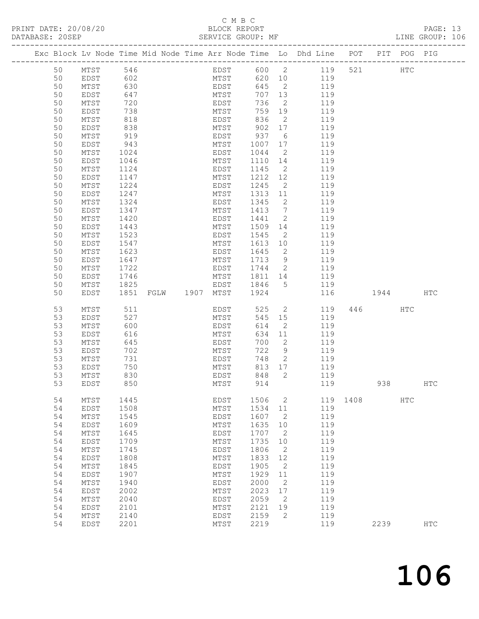### C M B C <br>C M B C <br>BLOCK REPOR

| PRINT DATE: 20/08/20<br>DATABASE: 20SEP |    |      |     |  |      | BLOCK REPORT | SERVICE GROUP: MF |    |                                                                                |     |      | PAGE: 13<br>LINE GROUP: 106 |  |
|-----------------------------------------|----|------|-----|--|------|--------------|-------------------|----|--------------------------------------------------------------------------------|-----|------|-----------------------------|--|
|                                         |    |      |     |  |      |              |                   |    | Exc Block Ly Node Time Mid Node Time Arr Node Time Lo Dhd Line POT PIT POG PIG |     |      |                             |  |
|                                         | 50 | MTST | 546 |  | EDST |              | 600 2             |    | 119                                                                            | 521 | HTC. |                             |  |
|                                         | 50 | EDST | 602 |  | MTST |              | 620               | 10 | 119                                                                            |     |      |                             |  |
|                                         | 50 | MTST | 630 |  | EDST |              | 645 2             |    | 119                                                                            |     |      |                             |  |

| JU | TAT DI          | v J U |      |      | <b>LUSI</b> | ひせつ  | $\sim$          | エエフ |      |      |     |               |  |
|----|-----------------|-------|------|------|-------------|------|-----------------|-----|------|------|-----|---------------|--|
| 50 | EDST            | 647   |      |      | MTST        | 707  | 13              | 119 |      |      |     |               |  |
| 50 | $\mathtt{MTST}$ | 720   |      |      | EDST        | 736  | $\mathbf{2}$    | 119 |      |      |     |               |  |
| 50 | EDST            | 738   |      |      | MTST        | 759  | 19              | 119 |      |      |     |               |  |
| 50 | $\mathtt{MTST}$ | 818   |      |      | EDST        | 836  | $\mathbf{2}$    | 119 |      |      |     |               |  |
| 50 | EDST            | 838   |      |      | MTST        | 902  | 17              | 119 |      |      |     |               |  |
|    |                 |       |      |      |             |      |                 |     |      |      |     |               |  |
| 50 | MTST            | 919   |      |      | EDST        | 937  | 6               | 119 |      |      |     |               |  |
| 50 | EDST            | 943   |      |      | MTST        | 1007 | 17              | 119 |      |      |     |               |  |
| 50 | $\mathtt{MTST}$ | 1024  |      |      | EDST        | 1044 | 2               | 119 |      |      |     |               |  |
| 50 | EDST            | 1046  |      |      | MTST        | 1110 | 14              | 119 |      |      |     |               |  |
| 50 | MTST            | 1124  |      |      | EDST        | 1145 | $\overline{2}$  | 119 |      |      |     |               |  |
| 50 | EDST            | 1147  |      |      | MTST        | 1212 | 12              | 119 |      |      |     |               |  |
| 50 | $\mathtt{MTST}$ | 1224  |      |      | EDST        | 1245 | $\mathbf{2}$    | 119 |      |      |     |               |  |
|    |                 |       |      |      |             |      |                 |     |      |      |     |               |  |
| 50 | EDST            | 1247  |      |      | MTST        | 1313 | 11              | 119 |      |      |     |               |  |
| 50 | MTST            | 1324  |      |      | EDST        | 1345 | 2               | 119 |      |      |     |               |  |
| 50 | EDST            | 1347  |      |      | MTST        | 1413 | $7\phantom{.0}$ | 119 |      |      |     |               |  |
| 50 | MTST            | 1420  |      |      | EDST        | 1441 | 2               | 119 |      |      |     |               |  |
| 50 | EDST            | 1443  |      |      | MTST        | 1509 | 14              | 119 |      |      |     |               |  |
| 50 | MTST            | 1523  |      |      | EDST        | 1545 | 2               | 119 |      |      |     |               |  |
| 50 | EDST            | 1547  |      |      | MTST        | 1613 | 10              | 119 |      |      |     |               |  |
| 50 | $\mathtt{MTST}$ | 1623  |      |      |             | 1645 | 2               | 119 |      |      |     |               |  |
|    |                 |       |      |      | EDST        |      |                 |     |      |      |     |               |  |
| 50 | EDST            | 1647  |      |      | MTST        | 1713 | 9               | 119 |      |      |     |               |  |
| 50 | $\mathtt{MTST}$ | 1722  |      |      | EDST        | 1744 | 2               | 119 |      |      |     |               |  |
| 50 | EDST            | 1746  |      |      | MTST        | 1811 | 14              | 119 |      |      |     |               |  |
| 50 | $\mathtt{MTST}$ | 1825  |      |      | EDST        | 1846 | 5               | 119 |      |      |     |               |  |
| 50 | EDST            | 1851  | FGLW | 1907 | MTST        | 1924 |                 | 116 |      | 1944 |     | HTC           |  |
|    |                 |       |      |      |             |      |                 |     |      |      |     |               |  |
| 53 | MTST            | 511   |      |      | EDST        | 525  | $\mathbf{2}$    | 119 | 446  |      | HTC |               |  |
| 53 | EDST            | 527   |      |      | MTST        | 545  | $15$            | 119 |      |      |     |               |  |
|    |                 |       |      |      |             |      |                 |     |      |      |     |               |  |
| 53 | $\mathtt{MTST}$ | 600   |      |      | EDST        | 614  | $\mathbf{2}$    | 119 |      |      |     |               |  |
| 53 | EDST            | 616   |      |      | MTST        | 634  | 11              | 119 |      |      |     |               |  |
| 53 | MTST            | 645   |      |      | EDST        | 700  | 2               | 119 |      |      |     |               |  |
| 53 | EDST            | 702   |      |      | MTST        | 722  | 9               | 119 |      |      |     |               |  |
| 53 | $\mathtt{MTST}$ | 731   |      |      | EDST        | 748  | $\overline{2}$  | 119 |      |      |     |               |  |
| 53 | EDST            | 750   |      |      | MTST        | 813  | 17              | 119 |      |      |     |               |  |
| 53 | MTST            | 830   |      |      | EDST        | 848  | $\mathbf{2}$    | 119 |      |      |     |               |  |
| 53 | <b>EDST</b>     | 850   |      |      | MTST        | 914  |                 | 119 |      | 938  |     | <b>HTC</b>    |  |
|    |                 |       |      |      |             |      |                 |     |      |      |     |               |  |
|    |                 |       |      |      |             |      |                 |     |      |      |     |               |  |
| 54 | MTST            | 1445  |      |      | EDST        | 1506 | 2               | 119 | 1408 |      | HTC |               |  |
| 54 | EDST            | 1508  |      |      | MTST        | 1534 | 11              | 119 |      |      |     |               |  |
| 54 | MTST            | 1545  |      |      | EDST        | 1607 | 2               | 119 |      |      |     |               |  |
| 54 | EDST            | 1609  |      |      | MTST        | 1635 | 10              | 119 |      |      |     |               |  |
| 54 | $\mathtt{MTST}$ | 1645  |      |      | EDST        | 1707 | $\mathbf{2}$    | 119 |      |      |     |               |  |
| 54 | EDST            | 1709  |      |      | MTST        | 1735 | 10              | 119 |      |      |     |               |  |
| 54 | MTST            | 1745  |      |      | EDST        | 1806 | 2               | 119 |      |      |     |               |  |
| 54 | EDST            | 1808  |      |      | MTST        | 1833 | 12              | 119 |      |      |     |               |  |
|    |                 |       |      |      |             |      |                 |     |      |      |     |               |  |
| 54 | MTST            | 1845  |      |      | EDST        | 1905 | $\mathbf{2}$    | 119 |      |      |     |               |  |
| 54 | EDST            | 1907  |      |      | MTST        | 1929 | 11              | 119 |      |      |     |               |  |
| 54 | MTST            | 1940  |      |      | EDST        | 2000 | 2               | 119 |      |      |     |               |  |
| 54 | EDST            | 2002  |      |      | MTST        | 2023 | 17              | 119 |      |      |     |               |  |
| 54 | MTST            | 2040  |      |      | EDST        | 2059 | $\mathbf{2}$    | 119 |      |      |     |               |  |
| 54 | EDST            | 2101  |      |      | MTST        | 2121 | 19              | 119 |      |      |     |               |  |
| 54 | MTST            | 2140  |      |      | EDST        | 2159 | 2               | 119 |      |      |     |               |  |
| 54 | EDST            | 2201  |      |      | MTST        | 2219 |                 | 119 |      | 2239 |     | $_{\rm{HTC}}$ |  |
|    |                 |       |      |      |             |      |                 |     |      |      |     |               |  |
|    |                 |       |      |      |             |      |                 |     |      |      |     |               |  |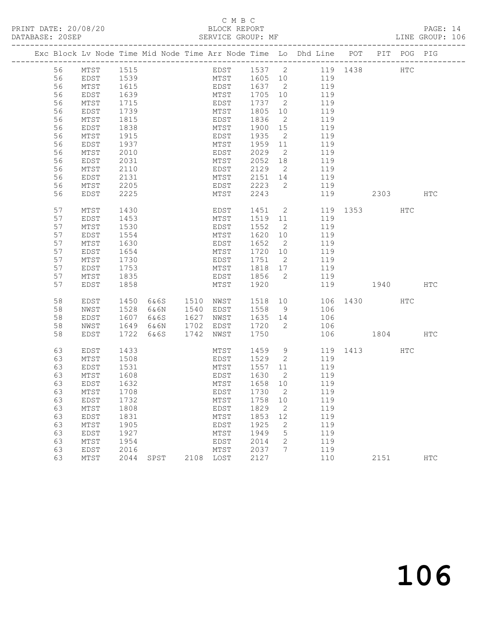PRINT DATE: 20/08/20 BLOCK REPORT<br>
DATABASE: 20SEP<br>
SERVICE GROUP: MF

### C M B C<br>BLOCK REPORT

PAGE: 14<br>LINE GROUP: 106

|  |    |      |      |      |           |      |      |              |                |     |     | Exc Block Lv Node Time Mid Node Time Arr Node Time Lo Dhd Line POT PIT POG PIG |     |               |
|--|----|------|------|------|-----------|------|------|--------------|----------------|-----|-----|--------------------------------------------------------------------------------|-----|---------------|
|  | 56 | MTST | 1515 |      |           |      |      |              |                |     |     | EDST 1537 2 119 1438 HTC                                                       |     |               |
|  | 56 | EDST | 1539 |      |           |      |      | MTST 1605 10 |                | 119 |     |                                                                                |     |               |
|  | 56 | MTST | 1615 |      |           |      |      | EDST 1637 2  |                |     | 119 |                                                                                |     |               |
|  | 56 | EDST | 1639 |      |           | MTST |      | 1705 10      |                |     | 119 |                                                                                |     |               |
|  | 56 | MTST | 1715 |      |           | EDST |      | 1737 2       |                |     | 119 |                                                                                |     |               |
|  | 56 | EDST | 1739 |      |           | MTST |      | 1805 10      |                |     | 119 |                                                                                |     |               |
|  | 56 | MTST | 1815 |      |           | EDST |      | 1836         | $\overline{2}$ |     | 119 |                                                                                |     |               |
|  | 56 | EDST | 1838 |      |           | MTST |      | 1900 15      |                |     | 119 |                                                                                |     |               |
|  | 56 | MTST | 1915 |      |           | EDST |      | 1935         | $\overline{2}$ |     | 119 |                                                                                |     |               |
|  | 56 | EDST | 1937 |      |           | MTST |      | 1959 11      |                |     | 119 |                                                                                |     |               |
|  | 56 | MTST | 2010 |      |           | EDST |      | 2029         | $\overline{2}$ |     | 119 |                                                                                |     |               |
|  | 56 | EDST | 2031 |      |           | MTST |      | 2052 18      |                |     | 119 |                                                                                |     |               |
|  | 56 | MTST | 2110 |      |           | EDST |      | 2129         | $\overline{2}$ |     | 119 |                                                                                |     |               |
|  | 56 | EDST | 2131 |      |           | MTST |      | 2151 14      |                |     | 119 |                                                                                |     |               |
|  | 56 | MTST | 2205 |      |           |      | EDST | 2223         | $\overline{2}$ |     | 119 |                                                                                |     |               |
|  | 56 | EDST | 2225 |      |           | MTST |      | 2243         |                |     | 119 | 2303                                                                           |     | HTC           |
|  | 57 | MTST | 1430 |      |           | EDST |      | 1451 2       |                |     |     | 119 1353                                                                       | HTC |               |
|  | 57 | EDST | 1453 |      |           | MTST |      | 1519 11      |                |     | 119 |                                                                                |     |               |
|  | 57 | MTST | 1530 |      |           | EDST |      | 1552         | $\overline{2}$ |     | 119 |                                                                                |     |               |
|  | 57 | EDST | 1554 |      |           | MTST |      | 1620 10      |                |     | 119 |                                                                                |     |               |
|  | 57 | MTST | 1630 |      |           | EDST |      | 1652 2       |                |     | 119 |                                                                                |     |               |
|  | 57 | EDST | 1654 |      |           | MTST |      | 1720 10      |                |     | 119 |                                                                                |     |               |
|  | 57 | MTST | 1730 |      |           | EDST |      | 1751         | $\overline{2}$ |     | 119 |                                                                                |     |               |
|  | 57 | EDST | 1753 |      |           | MTST |      | 1818 17      |                |     | 119 |                                                                                |     |               |
|  | 57 | MTST | 1835 |      |           | EDST |      | 1856 2       |                |     | 119 |                                                                                |     |               |
|  | 57 | EDST | 1858 |      |           | MTST |      | 1920         |                |     | 119 | 1940 HTC                                                                       |     |               |
|  | 58 | EDST | 1450 | 6&6S | 1510 NWST |      |      | 1518 10      |                |     |     | 106 1430 HTC                                                                   |     |               |
|  | 58 | NWST | 1528 | 6&6N | 1540 EDST |      |      | 1558         | 9              |     | 106 |                                                                                |     |               |
|  | 58 | EDST | 1607 | 6&6S | 1627 NWST |      |      | 1635 14      |                |     | 106 |                                                                                |     |               |
|  | 58 | NWST | 1649 | 6&6N | 1702      | EDST |      | 1720         | $\overline{2}$ |     | 106 |                                                                                |     |               |
|  | 58 | EDST | 1722 | 6&6S | 1742      | NWST |      | 1750         |                |     |     | 106 1804                                                                       |     | HTC           |
|  | 63 | EDST | 1433 |      |           | MTST |      | 1459 9       |                |     |     | 119 1413                                                                       | HTC |               |
|  | 63 | MTST | 1508 |      |           | EDST |      | 1529 2       |                |     | 119 |                                                                                |     |               |
|  | 63 | EDST | 1531 |      |           | MTST |      | 1557 11      |                |     | 119 |                                                                                |     |               |
|  | 63 | MTST | 1608 |      |           | EDST |      | 1630         | $\overline{2}$ |     | 119 |                                                                                |     |               |
|  | 63 | EDST | 1632 |      |           | MTST |      | 1658 10      |                |     | 119 |                                                                                |     |               |
|  | 63 | MTST | 1708 |      |           |      |      | EDST 1730 2  |                |     | 119 |                                                                                |     |               |
|  | 63 | EDST | 1732 |      |           | MTST |      | 1758         | 10             |     | 119 |                                                                                |     |               |
|  | 63 | MTST | 1808 |      |           | EDST |      | 1829         | $\overline{2}$ |     | 119 |                                                                                |     |               |
|  | 63 | EDST | 1831 |      |           | MTST |      | 1853         | 12             |     | 119 |                                                                                |     |               |
|  | 63 | MTST | 1905 |      |           | EDST |      | 1925         | $\mathbf{2}$   |     | 119 |                                                                                |     |               |
|  | 63 | EDST | 1927 |      |           | MTST |      | 1949         | 5              |     | 119 |                                                                                |     |               |
|  | 63 | MTST | 1954 |      |           | EDST |      | 2014         | 2              |     | 119 |                                                                                |     |               |
|  | 63 | EDST | 2016 |      |           | MTST |      | 2037         | 7              |     | 119 |                                                                                |     |               |
|  | 63 | MTST | 2044 | SPST | 2108 LOST |      |      | 2127         |                |     | 110 | 2151                                                                           |     | $_{\rm{HTC}}$ |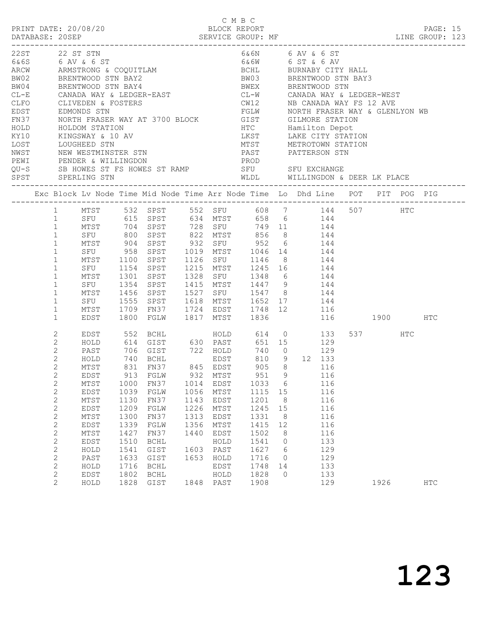|      |                             |                                 |      |                                                                                                                                                                                                   |      | C M B C   |                                                                    |                 |              |              |         |            |  |
|------|-----------------------------|---------------------------------|------|---------------------------------------------------------------------------------------------------------------------------------------------------------------------------------------------------|------|-----------|--------------------------------------------------------------------|-----------------|--------------|--------------|---------|------------|--|
|      |                             | PRINT DATE: 20/08/20            |      |                                                                                                                                                                                                   |      |           | BLOCK REPORT                                                       |                 |              |              |         | PAGE: 15   |  |
|      |                             | 22ST 22 ST STN                  |      |                                                                                                                                                                                                   |      |           | 6&6N 6 AV & 6 ST                                                   |                 |              |              |         |            |  |
|      |                             | 6&6S 6 AV & 6 ST                |      |                                                                                                                                                                                                   |      |           | 6&6W 6 ST & 6 AV                                                   |                 |              |              |         |            |  |
|      |                             |                                 |      |                                                                                                                                                                                                   |      |           |                                                                    |                 |              |              |         |            |  |
|      |                             |                                 |      |                                                                                                                                                                                                   |      |           |                                                                    |                 |              |              |         |            |  |
|      |                             |                                 |      | ARCW ARMSTRONG & COQUITLAM BOHL BURNABY CITY HALL BURNABY CITY HALL BURNABY CITY HALL BURNABY CITY HALL BURNABY CITY HALL BURNABY CITY HALL BURNABY CITY HALL BURNABY CITY HALL BURNABY CITY HALL |      |           |                                                                    |                 |              |              |         |            |  |
|      |                             |                                 |      | CL-E CANADA WAY & LEDGER-EAST                                                                                                                                                                     |      |           | CL-W CANADA WAY & LEDGER-WEST                                      |                 |              |              |         |            |  |
|      |                             |                                 |      |                                                                                                                                                                                                   |      |           |                                                                    |                 |              |              |         |            |  |
|      |                             |                                 |      |                                                                                                                                                                                                   |      |           |                                                                    |                 |              |              |         |            |  |
|      |                             |                                 |      | CLFO CLIVEDEN & FOSTERS<br>EDST EDMONDS STN<br>FN37 NORTH FRASER WAY AT 3700 BLOCK                                                                                                                |      |           |                                                                    |                 |              |              |         |            |  |
| HOLD |                             | HOLDOM STATION                  |      |                                                                                                                                                                                                   |      |           | HTC Hamilton Depot                                                 |                 |              |              |         |            |  |
| KY10 |                             |                                 |      | KINGSWAY & 10 AV                                                                                                                                                                                  |      |           | LKST LAKE CITY STATION                                             |                 |              |              |         |            |  |
| LOST |                             |                                 |      |                                                                                                                                                                                                   |      |           |                                                                    |                 |              |              |         |            |  |
| NWST |                             |                                 |      | LOUGHEED STN<br>NEW WESTMINSTER STN                                                                                                                                                               |      |           |                                                                    |                 |              |              |         |            |  |
|      |                             |                                 |      | PEWI PENDER & WILLINGDON                                                                                                                                                                          |      |           | PROD                                                               |                 |              |              |         |            |  |
|      |                             |                                 |      | QU-S SB HOWES ST FS HOWES ST RAMP SFU SFU SFU EXCHANGE                                                                                                                                            |      |           |                                                                    |                 |              |              |         |            |  |
|      |                             | SPST SPERLING STN               |      |                                                                                                                                                                                                   |      |           | WLDL WILLINGDON & DEER LK PLACE                                    |                 |              |              |         |            |  |
|      |                             |                                 |      | Exc Block Lv Node Time Mid Node Time Arr Node Time Lo Dhd Line POT PIT POG PIG                                                                                                                    |      |           |                                                                    |                 |              |              |         |            |  |
|      |                             |                                 |      | 1 MTST 532 SPST 552 SFU 608 7 144 507 HTC<br>1 SFU 615 SPST 634 MTST 658 6 144                                                                                                                    |      |           |                                                                    |                 |              |              |         |            |  |
|      |                             |                                 |      |                                                                                                                                                                                                   |      |           |                                                                    |                 |              |              |         |            |  |
|      | 1                           |                                 |      | MTST 704 SPST 728 SFU 749 11 144                                                                                                                                                                  |      |           |                                                                    |                 |              |              |         |            |  |
|      | 1                           |                                 |      | SFU 800 SPST 822 MTST 856 8 144                                                                                                                                                                   |      |           |                                                                    |                 |              |              |         |            |  |
|      | $\mathbf{1}$                |                                 |      | MTST 904 SPST 932 SFU 952 6 144<br>SFU 958 SPST 1019 MTST 1046 14 144<br>MTST 1100 SPST 1126 SFU 1146 8 144                                                                                       |      |           |                                                                    |                 |              |              |         |            |  |
|      | $\mathbf{1}$                |                                 |      |                                                                                                                                                                                                   |      |           |                                                                    |                 |              |              |         |            |  |
|      | $\mathbf{1}$                |                                 |      |                                                                                                                                                                                                   |      |           |                                                                    |                 |              |              |         |            |  |
|      | $\mathbf{1}$<br>$\mathbf 1$ | MTST                            |      | SFU 1154 SPST 1215 MTST 1245 16 144                                                                                                                                                               |      |           |                                                                    |                 |              |              |         |            |  |
|      | $\mathbf{1}$                |                                 |      | 1301 SPST                                                                                                                                                                                         |      |           |                                                                    |                 |              |              |         |            |  |
|      | $\mathbf{1}$                | SFU 1354 SPST<br>MTST 1456 SPST |      |                                                                                                                                                                                                   |      |           | 1328 SFU 1348 6 144<br>1415 MTST 1447 9 144<br>1527 SFU 1547 8 144 |                 |              |              |         |            |  |
|      | $\mathbf{1}$                |                                 |      | SFU 1555 SPST 1618 MTST 1652 17 144                                                                                                                                                               |      |           |                                                                    |                 |              |              |         |            |  |
|      | $\mathbf 1$                 | MTST                            |      | 1709 FN37 1724 EDST 1748 12 116                                                                                                                                                                   |      |           |                                                                    |                 |              |              |         |            |  |
|      | $\mathbf{1}$                | EDST                            |      | 1800 FGLW                                                                                                                                                                                         |      |           | 1817 MTST 1836                                                     |                 |              | 116 1900 HTC |         |            |  |
|      | 2                           |                                 |      | EDST 552 BCHL                                                                                                                                                                                     |      |           | HOLD 614 0 133                                                     |                 |              |              | 537 HTC |            |  |
|      | 2                           | HOLD                            |      | 614 GIST 630 PAST 651 15 129                                                                                                                                                                      |      |           |                                                                    |                 |              |              |         |            |  |
|      | $\mathbf{2}$                | PAST                            |      |                                                                                                                                                                                                   |      |           |                                                                    |                 |              | 129          |         |            |  |
|      | $\mathbf{2}$                | HOLD                            |      |                                                                                                                                                                                                   |      |           |                                                                    |                 | 810 9 12 133 |              |         |            |  |
|      | $\mathbf 2$                 | MTST                            |      | 831 FN37 845 EDST                                                                                                                                                                                 |      |           |                                                                    |                 | 905 8 116    |              |         |            |  |
|      | 2                           | EDST                            | 913  | FGLW                                                                                                                                                                                              | 932  | MTST      | 951                                                                | $\overline{9}$  |              | 116          |         |            |  |
|      | $\mathbf{2}$                | MTST                            | 1000 | FN37                                                                                                                                                                                              | 1014 | EDST      | 1033                                                               | $6\overline{6}$ |              | 116          |         |            |  |
|      | $\sqrt{2}$                  | EDST                            | 1039 | FGLW                                                                                                                                                                                              | 1056 | MTST      | 1115                                                               | 15              |              | 116          |         |            |  |
|      | $\mathbf{2}$                | MTST                            | 1130 | FN37                                                                                                                                                                                              | 1143 | EDST      | 1201                                                               | 8 <sup>8</sup>  |              | 116          |         |            |  |
|      | $\mathbf{2}$                | EDST                            | 1209 | FGLW                                                                                                                                                                                              | 1226 | MTST      | 1245                                                               | 15              |              | 116          |         |            |  |
|      | $\mathbf{2}$                | MTST                            | 1300 | FN37                                                                                                                                                                                              | 1313 | EDST      | 1331                                                               | 8 <sup>8</sup>  |              | 116          |         |            |  |
|      | $\sqrt{2}$                  | EDST                            | 1339 | FGLW                                                                                                                                                                                              | 1356 | MTST      | 1415                                                               | 12              |              | 116          |         |            |  |
|      | $\mathbf{2}$                | MTST                            | 1427 | FN37                                                                                                                                                                                              | 1440 | EDST      | 1502                                                               | 8               |              | 116          |         |            |  |
|      | $\mathbf{2}$                | EDST                            | 1510 | BCHL                                                                                                                                                                                              |      | HOLD      | 1541                                                               | $\circ$         |              | 133          |         |            |  |
|      | $\mathbf{2}$                | HOLD                            | 1541 | GIST                                                                                                                                                                                              | 1603 | PAST      | 1627                                                               | 6               |              | 129          |         |            |  |
|      | $\sqrt{2}$                  | PAST                            | 1633 | GIST                                                                                                                                                                                              | 1653 | HOLD      | 1716                                                               | $\circ$         |              | 129          |         |            |  |
|      | $\mathbf{2}$                | HOLD                            | 1716 | <b>BCHL</b>                                                                                                                                                                                       |      | EDST      | 1748                                                               | 14              |              | 133          |         |            |  |
|      | $\mathbf{2}$                | EDST                            | 1802 | BCHL                                                                                                                                                                                              |      | HOLD      | 1828                                                               | $\Omega$        |              | 133          |         |            |  |
|      | $\mathbf{2}$                | HOLD                            |      | 1828 GIST                                                                                                                                                                                         |      | 1848 PAST | 1908                                                               |                 |              | 129          | 1926    | <b>HTC</b> |  |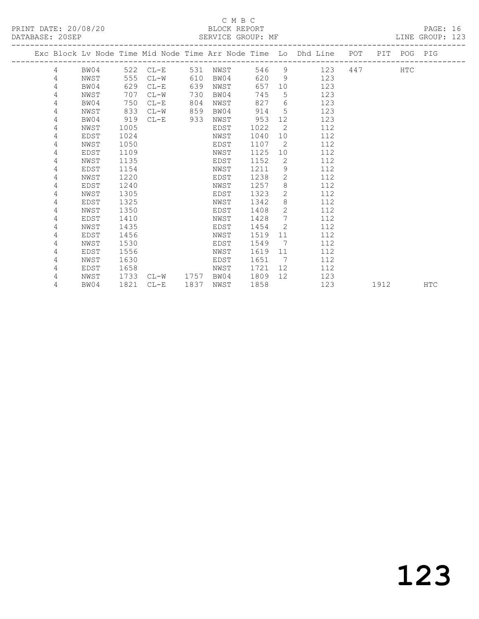# C M B C<br>
PRINT DATE: 20/08/20<br>
DATABASE: 20SER

| DATABASE: 20SEP |   |      |      | SERVICE GROUP: MF |      |      |      |                 |                                                                                |      |            | LINE GROUP: 123 |  |
|-----------------|---|------|------|-------------------|------|------|------|-----------------|--------------------------------------------------------------------------------|------|------------|-----------------|--|
|                 |   |      |      |                   |      |      |      |                 | Exc Block Lv Node Time Mid Node Time Arr Node Time Lo Dhd Line POT PIT POG PIG |      |            |                 |  |
|                 | 4 |      |      | BW04 522 CL-E     | 531  | NWST |      |                 | 546 9<br>123                                                                   |      | <b>HTC</b> |                 |  |
|                 | 4 | NWST | 555  | $CL-W$            | 610  | BW04 | 620  | $9^{\circ}$     | 123                                                                            |      |            |                 |  |
|                 | 4 | BW04 | 629  | $CL-E$            | 639  | NWST | 657  |                 | 10<br>123                                                                      |      |            |                 |  |
|                 | 4 | NWST | 707  | $CL-W$            | 730  | BW04 | 745  | $5^{\circ}$     | 123                                                                            |      |            |                 |  |
|                 | 4 | BW04 | 750  | $CL-E$            | 804  | NWST | 827  | 6               | 123                                                                            |      |            |                 |  |
|                 | 4 | NWST | 833  | $CL-W$            | 859  | BW04 | 914  | 5               | 123                                                                            |      |            |                 |  |
|                 | 4 | BW04 | 919  | $CL-E$            | 933  | NWST | 953  | 12 <sup>°</sup> | 123                                                                            |      |            |                 |  |
|                 | 4 | NWST | 1005 |                   |      | EDST | 1022 | 2               | 112                                                                            |      |            |                 |  |
|                 | 4 | EDST | 1024 |                   |      | NWST | 1040 | 10              | 112                                                                            |      |            |                 |  |
|                 | 4 | NWST | 1050 |                   |      | EDST | 1107 | 2               | 112                                                                            |      |            |                 |  |
|                 | 4 | EDST | 1109 |                   |      | NWST | 1125 | 10              | 112                                                                            |      |            |                 |  |
|                 | 4 | NWST | 1135 |                   |      | EDST | 1152 | 2               | 112                                                                            |      |            |                 |  |
|                 | 4 | EDST | 1154 |                   |      | NWST | 1211 | 9               | 112                                                                            |      |            |                 |  |
|                 | 4 | NWST | 1220 |                   |      | EDST | 1238 | $\overline{2}$  | 112                                                                            |      |            |                 |  |
|                 | 4 | EDST | 1240 |                   |      | NWST | 1257 | 8               | 112                                                                            |      |            |                 |  |
|                 | 4 | NWST | 1305 |                   |      | EDST | 1323 | $\overline{2}$  | 112                                                                            |      |            |                 |  |
|                 | 4 | EDST | 1325 |                   |      | NWST | 1342 | 8               | 112                                                                            |      |            |                 |  |
|                 | 4 | NWST | 1350 |                   |      | EDST | 1408 | $\overline{2}$  | 112                                                                            |      |            |                 |  |
|                 | 4 | EDST | 1410 |                   |      | NWST | 1428 | $7\overline{ }$ | 112                                                                            |      |            |                 |  |
|                 | 4 | NWST | 1435 |                   |      | EDST | 1454 | 2               | 112                                                                            |      |            |                 |  |
|                 | 4 | EDST | 1456 |                   |      | NWST | 1519 | 11              | 112                                                                            |      |            |                 |  |
|                 | 4 | NWST | 1530 |                   |      | EDST | 1549 | 7               | 112                                                                            |      |            |                 |  |
|                 | 4 | EDST | 1556 |                   |      | NWST | 1619 | 11              | 112                                                                            |      |            |                 |  |
|                 | 4 | NWST | 1630 |                   |      | EDST | 1651 | 7               | 112                                                                            |      |            |                 |  |
|                 | 4 | EDST | 1658 |                   |      | NWST | 1721 | 12              | 112                                                                            |      |            |                 |  |
|                 | 4 | NWST | 1733 | CL-W 1757         |      | BW04 | 1809 | 12              | 123                                                                            |      |            |                 |  |
|                 | 4 | BW04 | 1821 | $CL-E$            | 1837 | NWST | 1858 |                 | 123                                                                            | 1912 |            | HTC             |  |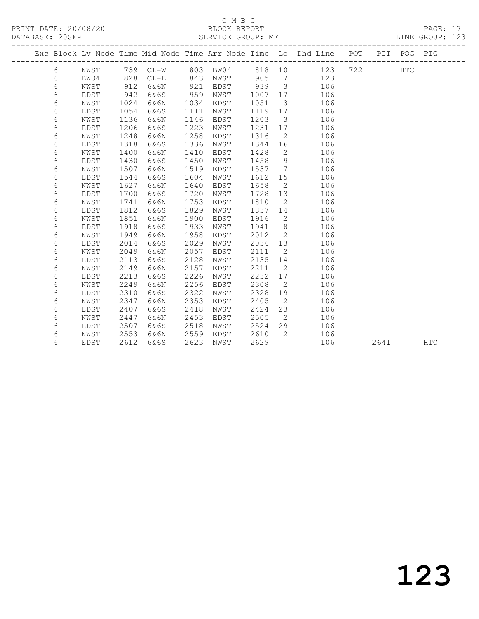PRINT DATE: 20/08/20 BLOCK REPORT<br>
DATABASE: 20SEP<br>
SERVICE GROUP: MF

# C M B C<br>BLOCK REPORT

PAGE: 17<br>LINE GROUP: 123

|  |   |             |      | Exc Block Lv Node Time Mid Node Time Arr Node Time Lo Dhd Line POT |      |      |      |                      |     |     |      | PIT POG PIG |            |
|--|---|-------------|------|--------------------------------------------------------------------|------|------|------|----------------------|-----|-----|------|-------------|------------|
|  | 6 | NWST        |      | 739 CL-W                                                           | 803  | BW04 | 818  | 10                   | 123 | 722 |      | <b>HTC</b>  |            |
|  | 6 | BW04        | 828  | $CL-E$                                                             | 843  | NWST | 905  | $\overline{7}$       | 123 |     |      |             |            |
|  | 6 | NWST        | 912  | 6&6N                                                               | 921  | EDST | 939  | $\mathbf{3}$         | 106 |     |      |             |            |
|  | 6 | EDST        | 942  | 6&6S                                                               | 959  | NWST | 1007 | 17                   | 106 |     |      |             |            |
|  | 6 | NWST        | 1024 | 6&6N                                                               | 1034 | EDST | 1051 | $\mathcal{S}$        | 106 |     |      |             |            |
|  | 6 | EDST        | 1054 | 6&6S                                                               | 1111 | NWST | 1119 | 17                   | 106 |     |      |             |            |
|  | 6 | NWST        | 1136 | 6&6N                                                               | 1146 | EDST | 1203 | $\mathcal{S}$        | 106 |     |      |             |            |
|  | 6 | EDST        | 1206 | 6&6S                                                               | 1223 | NWST | 1231 | 17                   | 106 |     |      |             |            |
|  | 6 | NWST        | 1248 | 6&6N                                                               | 1258 | EDST | 1316 | 2                    | 106 |     |      |             |            |
|  | 6 | EDST        | 1318 | 6&6S                                                               | 1336 | NWST | 1344 | 16                   | 106 |     |      |             |            |
|  | 6 | NWST        | 1400 | 6&6N                                                               | 1410 | EDST | 1428 | 2                    | 106 |     |      |             |            |
|  | 6 | EDST        | 1430 | 6&6S                                                               | 1450 | NWST | 1458 | 9                    | 106 |     |      |             |            |
|  | 6 | NWST        | 1507 | 6&6N                                                               | 1519 | EDST | 1537 | $\overline{7}$       | 106 |     |      |             |            |
|  | 6 | EDST        | 1544 | 6&6S                                                               | 1604 | NWST | 1612 | 15                   | 106 |     |      |             |            |
|  | 6 | NWST        | 1627 | 6&6N                                                               | 1640 | EDST | 1658 | $\overline{2}$       | 106 |     |      |             |            |
|  | 6 | EDST        | 1700 | 6&6S                                                               | 1720 | NWST | 1728 | 13                   | 106 |     |      |             |            |
|  | 6 | NWST        | 1741 | 6&6N                                                               | 1753 | EDST | 1810 | $\overline{2}$       | 106 |     |      |             |            |
|  | 6 | EDST        | 1812 | 6&6S                                                               | 1829 | NWST | 1837 | 14                   | 106 |     |      |             |            |
|  | 6 | NWST        | 1851 | 6&6N                                                               | 1900 | EDST | 1916 | 2                    | 106 |     |      |             |            |
|  | 6 | EDST        | 1918 | 6&6S                                                               | 1933 | NWST | 1941 | 8                    | 106 |     |      |             |            |
|  | 6 | NWST        | 1949 | 6&6N                                                               | 1958 | EDST | 2012 | 2                    | 106 |     |      |             |            |
|  | 6 | EDST        | 2014 | 6&6S                                                               | 2029 | NWST | 2036 | 13                   | 106 |     |      |             |            |
|  | 6 | NWST        | 2049 | 6&6N                                                               | 2057 | EDST | 2111 | 2                    | 106 |     |      |             |            |
|  | 6 | EDST        | 2113 | 6&6S                                                               | 2128 | NWST | 2135 | 14                   | 106 |     |      |             |            |
|  | 6 | NWST        | 2149 | 6&6N                                                               | 2157 | EDST | 2211 | 2                    | 106 |     |      |             |            |
|  | 6 | EDST        | 2213 | 6&6S                                                               | 2226 | NWST | 2232 | 17                   | 106 |     |      |             |            |
|  | 6 | NWST        | 2249 | 6&6N                                                               | 2256 | EDST | 2308 | 2                    | 106 |     |      |             |            |
|  | 6 | <b>EDST</b> | 2310 | 6&6S                                                               | 2322 | NWST | 2328 | 19                   | 106 |     |      |             |            |
|  | 6 | NWST        | 2347 | 6&6N                                                               | 2353 | EDST | 2405 | $\overline{2}$       | 106 |     |      |             |            |
|  | 6 | EDST        | 2407 | 6&6S                                                               | 2418 | NWST | 2424 | 23<br>$\overline{2}$ | 106 |     |      |             |            |
|  | 6 | NWST        | 2447 | 6&6N                                                               | 2453 | EDST | 2505 |                      | 106 |     |      |             |            |
|  | 6 | EDST        | 2507 | 6&6S                                                               | 2518 | NWST | 2524 | 29<br>2              | 106 |     |      |             |            |
|  | 6 | NWST        | 2553 | 6&6N                                                               | 2559 | EDST | 2610 |                      | 106 |     |      |             |            |
|  | 6 | EDST        | 2612 | 6&6S                                                               | 2623 | NWST | 2629 |                      | 106 |     | 2641 |             | <b>HTC</b> |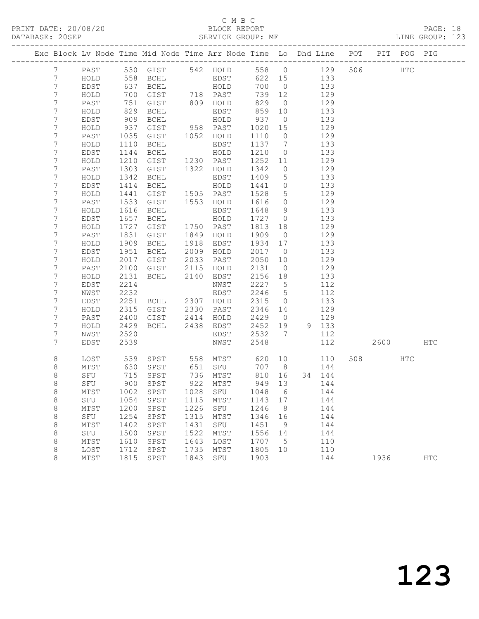#### C M B C DATABASE: 20SEP SERVICE GROUP: MF LINE GROUP: 123

| Exc Block Lv Node Time Mid Node Time Arr Node Time Lo Dhd Line POT PIT POG PIG |      |                                                                                             |                                    |      |                      |            |                 |               |     |         |     |            |
|--------------------------------------------------------------------------------|------|---------------------------------------------------------------------------------------------|------------------------------------|------|----------------------|------------|-----------------|---------------|-----|---------|-----|------------|
| 7 <sup>7</sup>                                                                 |      |                                                                                             | PAST 530 GIST 542 HOLD 558 0 129   |      |                      |            |                 |               |     | 506 HTC |     |            |
| $7\phantom{.0}$                                                                | HOLD |                                                                                             | 558 BCHL                           |      | EDST                 |            |                 | 622 15 133    |     |         |     |            |
| $7\phantom{.}$                                                                 | EDST | 637                                                                                         |                                    |      | BCHL HOLD            | 700 0      |                 | 133           |     |         |     |            |
| 7                                                                              | HOLD | $\begin{array}{ccc}\n & & & & & \\ 0 & & & & & \\ 829 & & & & \\ 90 & & & & \\ \end{array}$ |                                    |      |                      | 739 12     |                 |               | 129 |         |     |            |
| $\boldsymbol{7}$                                                               | PAST |                                                                                             | GIST 718 PAST                      |      |                      |            | $\overline{0}$  |               | 129 |         |     |            |
| 7                                                                              | HOLD |                                                                                             | GIST 809 HOLD<br>BCHL EDST<br>BCHL |      |                      | 829<br>859 | 10              |               | 133 |         |     |            |
| 7                                                                              | EDST |                                                                                             | BCHL                               |      | HOLD                 | 937        | $\overline{0}$  | 133           |     |         |     |            |
| 7                                                                              | HOLD | 937                                                                                         | GIST 958 PAST                      |      |                      | 1020 15    |                 |               | 129 |         |     |            |
| $\overline{7}$                                                                 | PAST | 1035                                                                                        | GIST 1052 HOLD                     |      |                      | 1110 0     |                 |               | 129 |         |     |            |
| 7                                                                              | HOLD | 1110                                                                                        | BCHL                               |      | EDST                 | 1137 7     |                 |               | 133 |         |     |            |
| 7                                                                              | EDST | 1144                                                                                        | BCHL                               |      | HOLD                 | 1210       | $\overline{0}$  |               | 133 |         |     |            |
| 7                                                                              | HOLD | 1210                                                                                        | GIST 1230 PAST                     |      |                      | 1252 11    |                 |               | 129 |         |     |            |
| 7                                                                              | PAST | 1303                                                                                        | GIST                               |      | 1322 HOLD            | 1342       | $\overline{0}$  |               | 129 |         |     |            |
| 7                                                                              | HOLD | 1342                                                                                        | BCHL                               |      | EDST                 | 1409       | $5\overline{)}$ |               | 133 |         |     |            |
| $\overline{7}$                                                                 | EDST | 1414                                                                                        | BCHL                               |      | HOLD                 | 1441 0     |                 |               | 133 |         |     |            |
| $\overline{7}$                                                                 | HOLD | 1441                                                                                        | GIST 1505 PAST                     |      |                      | 1528       | $5\overline{)}$ |               | 129 |         |     |            |
| 7                                                                              | PAST | 1533                                                                                        | GIST                               |      | 1553 HOLD            | 1616       | $\overline{0}$  |               | 129 |         |     |            |
| $\overline{7}$                                                                 | HOLD | 1616                                                                                        | BCHL                               |      | EDST                 | 1648 9     |                 |               | 133 |         |     |            |
| 7                                                                              | EDST | 1657                                                                                        | BCHL                               |      | HOLD                 | 1727 0     |                 |               | 133 |         |     |            |
| $\overline{7}$                                                                 | HOLD | 1727                                                                                        | GIST 1750 PAST                     |      |                      | 1813 18    |                 |               | 129 |         |     |            |
| 7                                                                              | PAST | 1831                                                                                        | GIST                               |      | 1849 HOLD            | 1909       | $\overline{0}$  |               | 129 |         |     |            |
| $\overline{7}$                                                                 | HOLD | 1909                                                                                        | BCHL                               |      | 1918 EDST            | 1934 17    |                 |               | 133 |         |     |            |
| 7                                                                              | EDST | 1951                                                                                        | BCHL                               |      | 2009 HOLD            | 2017 0     |                 |               | 133 |         |     |            |
| $\overline{7}$                                                                 | HOLD | 2017                                                                                        |                                    |      | GIST 2033 PAST       | 2050       | 10              |               | 129 |         |     |            |
| 7                                                                              | PAST | 2100                                                                                        |                                    |      |                      | 2131 0     |                 |               | 129 |         |     |            |
| $\overline{7}$                                                                 | HOLD | 2131                                                                                        | GIST 2115 HOLD<br>BCHL 2140 EDST   |      |                      | 2156 18    |                 |               | 133 |         |     |            |
| 7                                                                              | EDST | 2214                                                                                        |                                    |      | NWST                 | 2227 5     |                 |               | 112 |         |     |            |
| 7                                                                              | NWST | 2232                                                                                        |                                    |      | EDST                 | 2246 5     |                 |               | 112 |         |     |            |
| 7                                                                              | EDST | 2251                                                                                        | BCHL 2307 HOLD                     |      |                      | 2315       | $\overline{0}$  |               | 133 |         |     |            |
| $\overline{7}$                                                                 | HOLD | 2315                                                                                        | GIST 2330 PAST<br>GIST 2414 HOLD   |      |                      | 2346 14    |                 |               | 129 |         |     |            |
| 7                                                                              | PAST | 2400                                                                                        |                                    |      |                      | 2429 0     |                 |               | 129 |         |     |            |
| $\overline{7}$                                                                 | HOLD | 2429                                                                                        |                                    |      | BCHL 2438 EDST       |            |                 | 2452 19 9 133 |     |         |     |            |
| 7                                                                              | NWST | 2520                                                                                        |                                    |      | EDST                 | 2532 7     |                 |               | 112 |         |     |            |
| $7\phantom{.}$                                                                 | EDST | 2539                                                                                        |                                    |      | NWST                 | 2548       |                 |               | 112 | 2600    |     | HTC        |
| 8                                                                              | LOST |                                                                                             | 539 SPST 558 MTST 620 10 110       |      |                      |            |                 |               |     | 508 30  | HTC |            |
| 8                                                                              | MTST | 630                                                                                         |                                    |      | SPST 651 SFU         | 707 8      |                 |               | 144 |         |     |            |
| $\,8\,$                                                                        | SFU  | 715                                                                                         | SPST                               |      | 736 MTST<br>922 MTST | 810 16     |                 | 34 144        |     |         |     |            |
| $\,8\,$                                                                        | SFU  | 900                                                                                         | SPST                               |      | 922 MTST             | 949 13     |                 |               | 144 |         |     |            |
| 8                                                                              | MTST |                                                                                             | 1002 SPST 1028 SFU 1048 6 144      |      |                      |            |                 |               |     |         |     |            |
| 8                                                                              | SFU  | 1054                                                                                        | SPST                               | 1115 | MTST                 | 1143 17    |                 |               | 144 |         |     |            |
| 8                                                                              | MTST | 1200                                                                                        | SPST                               | 1226 | SFU                  | 1246       | 8 <sup>8</sup>  |               | 144 |         |     |            |
| $\,8\,$                                                                        | SFU  | 1254                                                                                        | SPST                               | 1315 | MTST                 | 1346       | 16              |               | 144 |         |     |            |
| 8                                                                              | MTST | 1402                                                                                        | SPST                               | 1431 | SFU                  | 1451       | - 9             |               | 144 |         |     |            |
| 8                                                                              | SFU  | 1500                                                                                        | SPST                               | 1522 | MTST                 | 1556       | 14              |               | 144 |         |     |            |
| 8                                                                              | MTST | 1610                                                                                        | SPST                               | 1643 | LOST                 | 1707       | $5^{\circ}$     |               | 110 |         |     |            |
| 8                                                                              | LOST | 1712                                                                                        | SPST                               | 1735 | MTST                 | 1805       | 10              |               | 110 |         |     |            |
| 8                                                                              | MTST | 1815                                                                                        | SPST                               | 1843 | SFU                  | 1903       |                 |               | 144 | 1936    |     | <b>HTC</b> |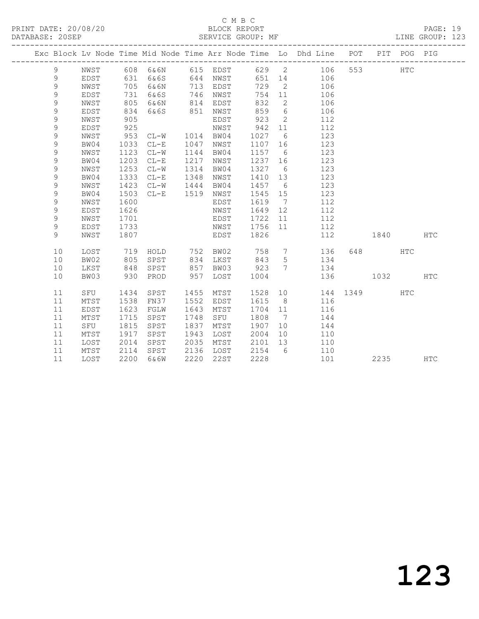#### C M B C<br>BLOCK REPORT PRINT DATE: 20/08/20 BLOCK REPORT DATABASE: 20SEP

PAGE: 19<br>LINE GROUP: 123

|               |      |      |                |      |                   |         |                 | Exc Block Lv Node Time Mid Node Time Arr Node Time Lo Dhd Line POT |          |         | PIT POG PIG |            |
|---------------|------|------|----------------|------|-------------------|---------|-----------------|--------------------------------------------------------------------|----------|---------|-------------|------------|
| 9             | NWST |      |                |      | 608 6&6N 615 EDST |         |                 | 629 2 106                                                          |          | 553 3   | <b>HTC</b>  |            |
| 9             | EDST | 631  | 6&6S           |      | 644 NWST          |         |                 | 651 14 106                                                         |          |         |             |            |
| 9             | NWST | 705  | 6&6N           |      | 713 EDST          | 729     |                 | 2 106                                                              |          |         |             |            |
| 9             | EDST | 731  | 6&6S           |      | 746 NWST          | 754     | 11              | 106                                                                |          |         |             |            |
| $\mathsf 9$   | NWST | 805  | 6&6N           | 814  | EDST              | 832     | $\overline{2}$  | 106                                                                |          |         |             |            |
| $\mathsf 9$   | EDST | 834  | 6&6S           | 851  | NWST              | 859     | $6\overline{6}$ | 106                                                                |          |         |             |            |
| 9             | NWST | 905  |                |      | EDST              | 923     | $\overline{2}$  | 112                                                                |          |         |             |            |
| 9             | EDST | 925  |                |      | NWST              | 942     | 11              | 112                                                                |          |         |             |            |
| 9             | NWST | 953  | CL-W 1014 BW04 |      |                   | 1027    | 6               | 123                                                                |          |         |             |            |
| $\mathsf 9$   | BW04 | 1033 | $CL-E$         | 1047 | NWST              | 1107 16 |                 | 123                                                                |          |         |             |            |
| 9             | NWST | 1123 | $CL-W$         | 1144 | BW04              | 1157 6  |                 | 123                                                                |          |         |             |            |
| 9             | BW04 | 1203 | $CL-E$         | 1217 | NWST              | 1237 16 |                 | 123                                                                |          |         |             |            |
| 9             | NWST | 1253 | $CL-W$         | 1314 | BW04              | 1327 6  |                 | 123                                                                |          |         |             |            |
| 9             | BW04 | 1333 | $CL-E$         | 1348 | NWST              | 1410 13 |                 | 123                                                                |          |         |             |            |
| $\mathcal{G}$ | NWST | 1423 | $CL-W$         | 1444 | BW04              | 1457    | $6\overline{6}$ | 123                                                                |          |         |             |            |
| 9             | BW04 | 1503 | $CL-E$         | 1519 | NWST              | 1545 15 |                 | 123                                                                |          |         |             |            |
| 9             | NWST | 1600 |                |      | EDST              | 1619    | $\overline{7}$  | 112                                                                |          |         |             |            |
| 9             | EDST | 1626 |                |      | NWST              | 1649    | 12              | 112                                                                |          |         |             |            |
| 9             | NWST | 1701 |                |      | EDST              | 1722    | 11              | 112                                                                |          |         |             |            |
| 9             | EDST | 1733 |                |      | NWST              | 1756 11 |                 | 112                                                                |          |         |             |            |
| 9             | NWST | 1807 |                |      | EDST              | 1826    |                 | 112                                                                |          | 1840    |             | <b>HTC</b> |
| 10            | LOST | 719  | HOLD 752 BW02  |      |                   |         |                 | 758 7 136                                                          |          | 648 HTC |             |            |
| 10            | BW02 | 805  | SPST           |      | 834 LKST          | 843     | $5\overline{)}$ | 134                                                                |          |         |             |            |
| 10            | LKST | 848  | SPST           | 857  | BW03              | 923     | $7\phantom{0}$  | 134                                                                |          |         |             |            |
| 10            | BW03 | 930  | PROD           | 957  | LOST              | 1004    |                 | 136                                                                |          | 1032    |             | <b>HTC</b> |
| 11            | SFU  | 1434 | SPST           | 1455 | MTST              |         |                 | 1528 10                                                            | 144 1349 |         | <b>HTC</b>  |            |
| 11            | MTST | 1538 | FN37           | 1552 | EDST              | 1615    | 8 <sup>8</sup>  | 116                                                                |          |         |             |            |
| 11            | EDST | 1623 | FGLW           | 1643 | MTST              | 1704    | 11              | 116                                                                |          |         |             |            |
| 11            | MTST | 1715 | SPST           | 1748 | SFU               | 1808    | 7               | 144                                                                |          |         |             |            |
| 11            | SFU  | 1815 | SPST           | 1837 | MTST              | 1907    | 10              | 144                                                                |          |         |             |            |
| 11            | MTST | 1917 | SPST           | 1943 | LOST              | 2004    | 10              | 110                                                                |          |         |             |            |
| 11            | LOST | 2014 | SPST           | 2035 | MTST              | 2101    | 13              | 110                                                                |          |         |             |            |
| 11            | MTST | 2114 | SPST           | 2136 | LOST              | 2154    | 6               | 110                                                                |          |         |             |            |
| 11            | LOST |      | 2200 6&6W      | 2220 | 22ST              | 2228    |                 | 101                                                                |          | 2235    |             | <b>HTC</b> |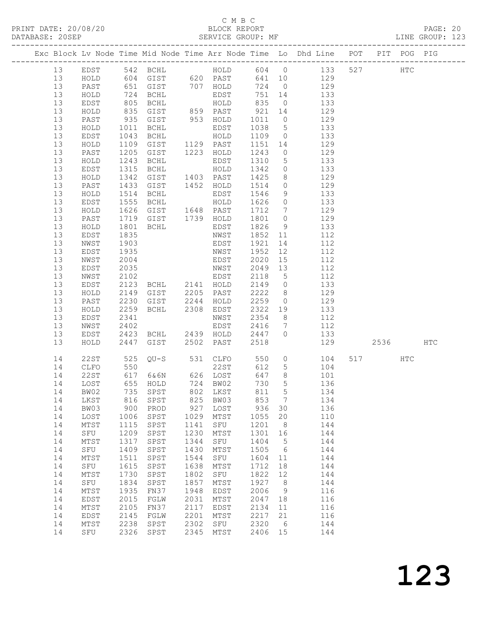PRINT DATE: 20/08/20 BLOCK REPORT DATABASE: 20SEP

# C M B C<br>BLOCK REPORT

PAGE: 20<br>LINE GROUP: 123

|  |          |                 |                  |                                  |              |                   |              |                     | Exc Block Lv Node Time Mid Node Time Arr Node Time Lo Dhd Line POT PIT POG PIG |      |              |     |
|--|----------|-----------------|------------------|----------------------------------|--------------|-------------------|--------------|---------------------|--------------------------------------------------------------------------------|------|--------------|-----|
|  | 13       | EDST            |                  | 542 BCHL                         |              |                   |              |                     | HOLD 604 0 133                                                                 | 527  | $_{\rm HTC}$ |     |
|  | 13       | HOLD            |                  |                                  |              |                   |              |                     |                                                                                |      |              |     |
|  | 13       | PAST            |                  |                                  |              |                   |              |                     |                                                                                |      |              |     |
|  | 13       | HOLD            |                  |                                  |              |                   |              |                     |                                                                                |      |              |     |
|  | 13       | EDST            | 805              | BCHL                             |              | HOLD              | 835          |                     | $0$ 133                                                                        |      |              |     |
|  | 13       | HOLD            | 835<br>935       | GIST                             |              | 859 PAST          | 921          | 14                  | 129                                                                            |      |              |     |
|  | 13       | PAST            |                  | GIST                             |              | 953 HOLD<br>EDST  | 1011         | $\overline{0}$      | 129<br>5 133                                                                   |      |              |     |
|  | 13       | $\verb HOLD $   | 1011             | BCHL                             |              | EDST              | 1038         |                     |                                                                                |      |              |     |
|  | 13<br>13 | EDST<br>HOLD    | 1043<br>1109     | BCHL<br>GIST                     |              | HOLD<br>1129 PAST | 1109<br>1151 | 14                  | $0 \t 133$                                                                     |      |              |     |
|  | 13       | PAST            | 1205             | GIST                             |              | 1223 HOLD         | 1243         | $\overline{0}$      | 129<br>129                                                                     |      |              |     |
|  | 13       | HOLD            | 1243             | BCHL                             |              | EDST              | 1310         | 5 <sup>5</sup>      | 133                                                                            |      |              |     |
|  | 13       | EDST            | 1315             | BCHL                             |              | HOLD              | 1342         |                     | $0$ 133                                                                        |      |              |     |
|  | 13       | HOLD            | 1342             | GIST                             |              | 1403 PAST         | 1425         | 8                   | 129                                                                            |      |              |     |
|  | 13       | PAST            | 1433             | GIST                             |              | 1452 HOLD         | 1514         | $\overline{0}$      | 129                                                                            |      |              |     |
|  | 13       | HOLD            | 1514             | BCHL                             |              | EDST              | 1546         | 9                   | 133                                                                            |      |              |     |
|  | 13       | EDST            | 1555             | BCHL                             |              | HOLD              | 1626         | $\overline{0}$      | 133                                                                            |      |              |     |
|  | 13       | HOLD            | 1626             | GIST                             |              | 1648 PAST         | 1712         | $7\overline{ }$     | 129                                                                            |      |              |     |
|  | 13       | PAST            | 1719             | GIST 1739 HOLD                   |              |                   | 1801         | $\overline{0}$      | 129                                                                            |      |              |     |
|  | 13       | HOLD            | $\frac{1}{1801}$ | BCHL                             |              | EDST              | 1826         | 9                   | 133                                                                            |      |              |     |
|  | 13       | EDST            | 1835             |                                  |              | NWST              | 1852         | 11                  | 112                                                                            |      |              |     |
|  | 13<br>13 | NWST<br>EDST    | 1903<br>1935     |                                  |              | EDST              | 1921<br>1952 | 14<br>12            | 112<br>112                                                                     |      |              |     |
|  | 13       | NWST            | 2004             | NWST<br>EDST<br>NWST             |              |                   | 2020         | 15                  | 112                                                                            |      |              |     |
|  | 13       | EDST            | 2035             |                                  |              |                   | 2049         | 13                  | 112                                                                            |      |              |     |
|  | 13       | NWST            | 2102             |                                  |              | EDST              | 2118         | $5^{\circ}$         | 112                                                                            |      |              |     |
|  | 13       | EDST            | 2123             |                                  |              |                   | 2149         | $\overline{0}$      | 133                                                                            |      |              |     |
|  | 13       | HOLD            | 2149             | BCHL 2141 HOLD<br>GIST 2205 PAST |              |                   | 2222         | 8 <sup>8</sup>      | 129                                                                            |      |              |     |
|  | 13       | PAST            | 2230             | GIST                             | 2244         | HOLD              | 2259         | $\overline{0}$      | 129                                                                            |      |              |     |
|  | 13       | HOLD            | 2259             | BCHL 2308                        |              | EDST              | 2322         | 19                  | 133                                                                            |      |              |     |
|  | 13       | EDST            | 2341             |                                  |              | NWST              | 2354         | 8 <sup>8</sup>      | 112                                                                            |      |              |     |
|  | 13       | NWST            | 2402             |                                  |              | EDST              | 2416         | $7\overline{ }$     | 112                                                                            |      |              |     |
|  | 13       | EDST            | 2423             | BCHL                             |              | 2439 HOLD         | 2447         | $\Omega$            | 133                                                                            |      |              |     |
|  | 13       | HOLD            | 2447             | GIST                             |              | 2502 PAST         | 2518         |                     | 129                                                                            | 2536 |              | HTC |
|  | 14       | 22ST            | 525<br>550       |                                  |              | $QU-S$ 531 $CLFO$ | 550          |                     | $\overline{O}$<br>104                                                          | 517  | HTC          |     |
|  | 14       | CLFO            |                  |                                  |              | 22ST              | 612          | 5 <sup>5</sup>      | 104                                                                            |      |              |     |
|  | 14       | 22ST            |                  | 617 6&6N 626 LOST<br>655 HOLD    |              |                   | 647          | 8 <sup>8</sup><br>5 | 101                                                                            |      |              |     |
|  | 14       | LOST<br>14 BW02 |                  | 735 SPST 802 LKST 811 5          |              | 724 BW02          | 730          |                     | 136<br>134                                                                     |      |              |     |
|  | 14       | LKST            | 816              | SPST                             | 825          | BW03              | 853          | 7                   | 134                                                                            |      |              |     |
|  | 14       | BW03            | 900              | PROD                             | 927          | LOST              | 936          | 30                  | 136                                                                            |      |              |     |
|  | 14       | LOST            | 1006             | SPST                             | 1029         | MTST              | 1055         | 20                  | 110                                                                            |      |              |     |
|  | 14       | MTST            | 1115             | SPST                             | 1141         | SFU               | 1201         | 8                   | 144                                                                            |      |              |     |
|  | 14       | SFU             | 1209             | SPST                             | 1230         | MTST              | 1301         | 16                  | 144                                                                            |      |              |     |
|  | 14       | MTST            | 1317             | SPST                             | 1344         | SFU               | 1404         | 5                   | 144                                                                            |      |              |     |
|  | 14       | SFU             | 1409             | SPST                             | 1430         | MTST              | 1505         | 6                   | 144                                                                            |      |              |     |
|  | 14       | MTST            | 1511             | SPST                             | 1544         | SFU               | 1604         | 11                  | 144                                                                            |      |              |     |
|  | 14       | SFU             | 1615             | SPST                             | 1638         | MTST              | 1712         | 18                  | 144                                                                            |      |              |     |
|  | 14       | MTST            | 1730             | SPST                             | 1802         | SFU               | 1822         | 12                  | 144                                                                            |      |              |     |
|  | 14<br>14 | SFU<br>MTST     | 1834<br>1935     | SPST<br>FN37                     | 1857<br>1948 | MTST<br>EDST      | 1927<br>2006 | 8<br>9              | 144<br>116                                                                     |      |              |     |
|  | 14       | EDST            | 2015             | FGLW                             | 2031         | MTST              | 2047         | 18                  | 116                                                                            |      |              |     |
|  | 14       | MTST            | 2105             | FN37                             | 2117         | EDST              | 2134         | 11                  | 116                                                                            |      |              |     |
|  | 14       | EDST            | 2145             | FGLW                             | 2201         | MTST              | 2217         | 21                  | 116                                                                            |      |              |     |
|  | 14       | MTST            | 2238             | SPST                             | 2302         | ${\tt SFU}$       | 2320         | 6                   | 144                                                                            |      |              |     |
|  | 14       | SFU             | 2326             | SPST                             | 2345         | MTST              | 2406         | 15                  | 144                                                                            |      |              |     |
|  |          |                 |                  |                                  |              |                   |              |                     |                                                                                |      |              |     |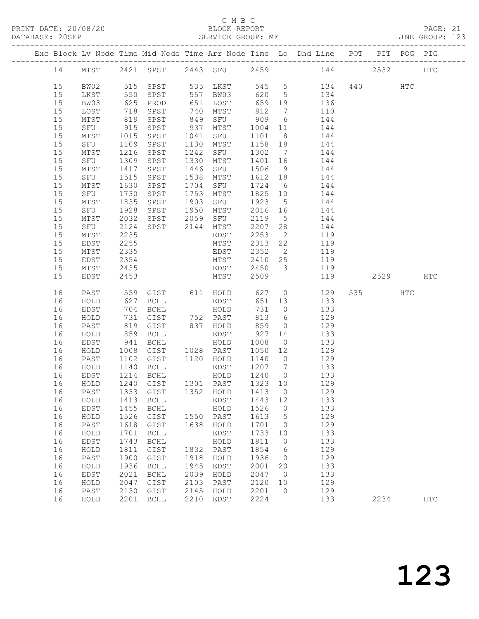#### C M B C

|  | DATABASE: 20SEP |              |                     | SERVICE GROUP: MF      |              |                      |                     |                      | LINE GROUP: 123                                                                            |          |            |  |
|--|-----------------|--------------|---------------------|------------------------|--------------|----------------------|---------------------|----------------------|--------------------------------------------------------------------------------------------|----------|------------|--|
|  |                 |              |                     |                        |              |                      |                     |                      | Exc Block Lv Node Time Mid Node Time Arr Node Time Lo Dhd Line POT PIT POG PIG             |          |            |  |
|  |                 |              |                     |                        |              |                      |                     |                      | 14 MTST 2421 SPST 2443 SFU 2459 144 2532 HTC                                               |          |            |  |
|  | 15              | BW02         |                     |                        |              |                      |                     |                      | 515 SPST 535 LKST 545 5 134<br>550 SPST 557 BW03 620 5 134<br>625 PROD 651 LOST 659 19 136 | 440 HTC  |            |  |
|  | 15              | LKST         |                     |                        |              |                      |                     |                      |                                                                                            |          |            |  |
|  | 15              | BW03         |                     |                        |              |                      |                     |                      |                                                                                            |          |            |  |
|  | 15              | LOST         | 718                 | SPST                   |              | 740 MTST             | 812                 | $\overline{7}$       | 110                                                                                        |          |            |  |
|  | 15              | MTST         | 819                 | SPST                   |              |                      |                     |                      | 849 SFU 909 6 144                                                                          |          |            |  |
|  | 15              | SFU          |                     | SPST                   |              | 937 MTST 1004 11     |                     |                      | 144                                                                                        |          |            |  |
|  | 15              | MTST         | $915$<br>$1015$     | SPST                   |              | 1041 SFU             | 1101 8              |                      | 144                                                                                        |          |            |  |
|  | 15              | SFU          | 1109                | SPST                   |              | 1130 MTST            |                     |                      | 1158 18 144                                                                                |          |            |  |
|  | 15              | MTST         | 1216                | SPST                   |              | 1242 SFU             |                     |                      | 1302 7 144                                                                                 |          |            |  |
|  | 15              | SFU          | 1309<br>1417        | SPST                   |              | 1330 MTST            |                     |                      |                                                                                            |          |            |  |
|  | 15              | MTST         |                     | SPST                   |              | 1446 SFU             |                     |                      | 1401 16 144<br>1506 9 144                                                                  |          |            |  |
|  | 15              | SFU 1515     |                     | SPST                   |              | 1538 MTST            |                     |                      | 1612 18 144                                                                                |          |            |  |
|  | 15              | MTST         | 1630                | SPST                   |              | 1704 SFU             |                     |                      | 1724 6 144                                                                                 |          |            |  |
|  | 15              | SFU          |                     | SPST                   |              | 1753 MTST            | $\frac{1}{1825}$ 10 |                      | 144                                                                                        |          |            |  |
|  | 15              | MTST         | $\frac{1730}{1835}$ | SPST                   |              | 1903 SFU             | 1923 5              |                      | 144                                                                                        |          |            |  |
|  | 15              | SFU          | 1928                |                        |              | SPST 1950 MTST       |                     |                      | 2016 16 144                                                                                |          |            |  |
|  | 15              | MTST         | 2032                |                        |              | SPST 2059 SFU        | 2119 5              |                      | 144                                                                                        |          |            |  |
|  | 15              | SFU          | 2124                | SPST 2144 MTST         |              |                      | 2207 28             |                      | 144                                                                                        |          |            |  |
|  | 15              | MTST         | 2235                |                        |              | EDST                 | 2253                | $\overline{2}$       | 119                                                                                        |          |            |  |
|  | 15              | EDST         | 2255                |                        |              | MTST                 |                     |                      | 2313 22 119                                                                                |          |            |  |
|  | 15              | MTST         | 2335                |                        |              | EDST                 |                     |                      | 2352 2 119                                                                                 |          |            |  |
|  | 15              | EDST         | 2354                |                        |              | MTST                 |                     |                      | 2410 25 119                                                                                |          |            |  |
|  | 15              | MTST         | 2435                |                        |              | <b>EDST</b>          | 2450 3              |                      | 119                                                                                        |          |            |  |
|  | 15              | EDST         | 2453                |                        |              | <b>MTST</b>          | 2509                |                      | 119                                                                                        | 2529 HTC |            |  |
|  | 16              | PAST         |                     |                        |              |                      |                     |                      | 559 GIST 611 HOLD 627 0 129                                                                | 535 HTC  |            |  |
|  | 16              | HOLD         |                     | $627$ BCHL<br>704 ROUT |              | EDST<br>EDST<br>HOLD | 651 13              |                      | 133                                                                                        |          |            |  |
|  | 16              | EDST         |                     | 704 BCHL               |              |                      | 731 0               |                      | $\frac{1}{133}$                                                                            |          |            |  |
|  | 16              | HOLD         | 731                 | GIST 752 PAST          |              |                      | 813                 |                      | 6 129                                                                                      |          |            |  |
|  | 16              | PAST         | 819                 | GIST                   |              | 837 HOLD             | 859                 | $\overline{0}$       | 129                                                                                        |          |            |  |
|  | 16              | HOLD         | 859<br>941          | BCHL                   |              | EDST<br>HOLD         | $927$ 14            |                      | 133                                                                                        |          |            |  |
|  | 16              | EDST         |                     | BCHL                   |              |                      | 1008                | $\overline{0}$       | 133                                                                                        |          |            |  |
|  | 16              | HOLD         | 1008                |                        |              |                      |                     |                      | GIST 1028 PAST 1050 12 129                                                                 |          |            |  |
|  | 16              | PAST         | 1102                | GIST 1120 HOLD         |              |                      |                     |                      | 1140 0 129                                                                                 |          |            |  |
|  | 16              | HOLD         |                     | 1140 BCHL<br>1214 BCHL |              | EDST<br>EDST<br>HOLD | 1207 7              |                      | $\begin{array}{c} 133 \\ 133 \end{array}$                                                  |          |            |  |
|  | 16              | EDST         |                     |                        |              |                      | $12400$             |                      |                                                                                            |          |            |  |
|  |                 |              |                     |                        |              |                      |                     |                      | 16 HOLD 1240 GIST 1301 PAST 1323 10 129                                                    |          |            |  |
|  | 16              | PAST         |                     | 1333 GIST              |              | 1352 HOLD            | 1413                | $\overline{0}$       | 129                                                                                        |          |            |  |
|  | 16              | HOLD         | 1413                | BCHL                   |              | EDST                 | 1443 12             |                      | 133                                                                                        |          |            |  |
|  | 16              | EDST         | 1455                | BCHL                   |              | HOLD                 | 1526                | $\overline{0}$       | 133                                                                                        |          |            |  |
|  | 16              | HOLD         | 1526                | GIST                   |              | 1550 PAST            | 1613                | $5^{\circ}$          | 129                                                                                        |          |            |  |
|  | 16              | PAST         | 1618                | GIST                   | 1638         | HOLD                 | 1701                | $\overline{0}$       | 129                                                                                        |          |            |  |
|  | 16              | HOLD         | 1701                | <b>BCHL</b>            |              | EDST                 | 1733                | 10                   | 133                                                                                        |          |            |  |
|  | 16              | EDST         | 1743                | BCHL                   |              | HOLD<br>1832 PAST    | 1811                | $\overline{0}$       | 133                                                                                        |          |            |  |
|  | 16              | HOLD         | 1811                | $\texttt{GIST}$        |              |                      | 1854                | $6\overline{6}$      | 129                                                                                        |          |            |  |
|  | 16<br>16        | PAST         | 1900                | GIST<br><b>BCHL</b>    | 1918<br>1945 | HOLD                 | 1936<br>2001        | $\overline{0}$<br>20 | 129<br>133                                                                                 |          |            |  |
|  | 16              | HOLD<br>EDST | 1936<br>2021        | BCHL                   | 2039         | EDST<br>HOLD         | 2047                | $\overline{0}$       | 133                                                                                        |          |            |  |
|  | 16              | HOLD         | 2047                | GIST                   | 2103         | PAST                 | 2120                | 10                   | 129                                                                                        |          |            |  |
|  | 16              | PAST         | 2130                | GIST                   | 2145         | HOLD                 | 2201                | $\overline{0}$       | 129                                                                                        |          |            |  |
|  | 16              | HOLD         | 2201                | BCHL                   | 2210         | EDST                 | 2224                |                      | 133                                                                                        | 2234     | <b>HTC</b> |  |
|  |                 |              |                     |                        |              |                      |                     |                      |                                                                                            |          |            |  |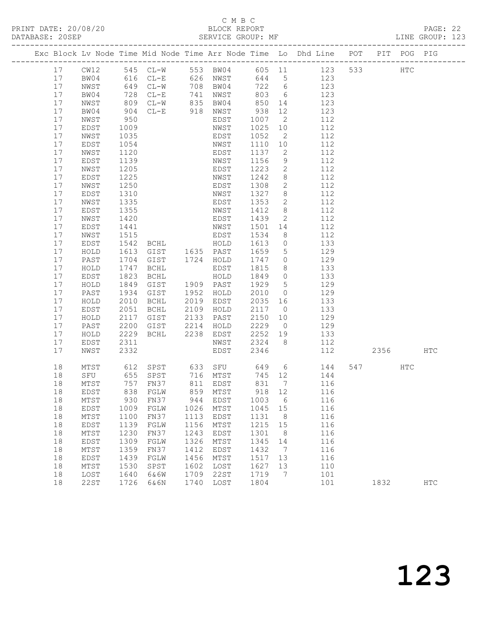# C M B C

|  | DATABASE: 20SEP |                 |              |                                                                                |      |           |              |                 |         |     |          |     |            |  |
|--|-----------------|-----------------|--------------|--------------------------------------------------------------------------------|------|-----------|--------------|-----------------|---------|-----|----------|-----|------------|--|
|  |                 |                 |              | Exc Block Lv Node Time Mid Node Time Arr Node Time Lo Dhd Line POT PIT POG PIG |      |           |              |                 |         |     |          |     |            |  |
|  | 17              |                 |              | CW12 545 CL-W 553 BW04 605 11 123 533 HTC                                      |      |           |              |                 |         |     |          |     |            |  |
|  | 17              | BW04            |              | 616 CL-E 626 NWST 644 5 123                                                    |      |           |              |                 |         |     |          |     |            |  |
|  | 17              | NWST            |              | 649 CL-W 708 BW04 722 6<br>728 CL-E 741 NWST 803 6<br>809 CL-W 835 BW04 850 14 |      |           |              |                 |         | 123 |          |     |            |  |
|  | 17              | BW04            |              |                                                                                |      |           |              |                 |         | 123 |          |     |            |  |
|  | 17              | NWST            |              |                                                                                |      |           | 850          |                 |         | 123 |          |     |            |  |
|  | 17              | BW04            | 904          | CL-E 918 NWST                                                                  |      |           | 938          | 12              | 123     |     |          |     |            |  |
|  | 17              | NWST            | 950          |                                                                                |      | EDST      | 1007 2       |                 |         | 112 |          |     |            |  |
|  | 17              | EDST            | 1009         |                                                                                |      | NWST      | 1025 10      |                 |         | 112 |          |     |            |  |
|  | 17              | NWST            | 1035         |                                                                                |      | EDST      | 1052         | $\overline{2}$  |         | 112 |          |     |            |  |
|  | 17              | EDST            | 1054         |                                                                                |      | NWST      | 1110 10      |                 | 112     |     |          |     |            |  |
|  | 17              | NWST            | 1120         |                                                                                |      | EDST      | 1137         | $\overline{2}$  |         | 112 |          |     |            |  |
|  | 17              | EDST            | 1139         |                                                                                |      | NWST      | 1156         | 9               |         | 112 |          |     |            |  |
|  | 17              | NWST            | 1205         |                                                                                |      | EDST      | 1223         | $\overline{c}$  |         | 112 |          |     |            |  |
|  | 17              | EDST            | 1225         |                                                                                |      | NWST      | 1242         | 8 <sup>8</sup>  |         | 112 |          |     |            |  |
|  | 17              | NWST            | 1250         |                                                                                |      | EDST      | 1308         | $\overline{2}$  |         | 112 |          |     |            |  |
|  | 17              | EDST            | 1310<br>1335 |                                                                                |      | NWST      | 1327         | 8 <sup>8</sup>  |         | 112 |          |     |            |  |
|  | 17              | NWST            |              |                                                                                |      | EDST      | 1353         | $\overline{2}$  |         | 112 |          |     |            |  |
|  | 17              | EDST            | 1355         |                                                                                |      | NWST      | 1412         | 8 <sup>8</sup>  |         | 112 |          |     |            |  |
|  | 17              | NWST            | 1420         |                                                                                |      | EDST      | 1439         | $\overline{2}$  |         | 112 |          |     |            |  |
|  | 17              | EDST            | 1441         |                                                                                |      | NWST      | 1501         | 14              |         | 112 |          |     |            |  |
|  | 17              | NWST            | 1515<br>1542 | BCHL HOLD                                                                      |      | EDST      | 1534         | 8               | $0$ 133 | 112 |          |     |            |  |
|  | 17<br>17        | EDST            | 1613         | GIST 1635 PAST                                                                 |      |           | 1613<br>1659 | $5\overline{)}$ | 129     |     |          |     |            |  |
|  | 17              | HOLD<br>PAST    | 1704         | GIST                                                                           |      | 1724 HOLD | 1747         | $\overline{0}$  |         | 129 |          |     |            |  |
|  | 17              | HOLD            | 1747         | BCHL                                                                           |      | EDST      | 1815         | 8 <sup>8</sup>  |         | 133 |          |     |            |  |
|  | 17              | EDST            | 1823         | BCHL                                                                           |      | HOLD      | 1849 0       |                 |         | 133 |          |     |            |  |
|  | 17              | HOLD            | 1849         | GIST 1909 PAST                                                                 |      |           | 1929         | $5\overline{)}$ | 129     |     |          |     |            |  |
|  | 17              | PAST            | 1934         | GIST                                                                           |      | 1952 HOLD | 2010         | $\overline{0}$  |         | 129 |          |     |            |  |
|  | 17              | HOLD            | 2010         | BCHL                                                                           |      | 2019 EDST | 2035 16      |                 |         | 133 |          |     |            |  |
|  | 17              | EDST            | 2051         | BCHL                                                                           |      | 2109 HOLD | 2117 0       |                 |         | 133 |          |     |            |  |
|  | 17              | HOLD            | 2117         | GIST 2133 PAST                                                                 |      |           | 2150         | 10              | 129     |     |          |     |            |  |
|  | 17              | PAST            | 2200         | GIST 2214 HOLD                                                                 |      |           | 2229         | $\overline{0}$  |         | 129 |          |     |            |  |
|  | 17              | HOLD            | 2229         | BCHL 2238 EDST                                                                 |      |           | 2252 19      |                 |         | 133 |          |     |            |  |
|  | 17              | EDST            | 2311         |                                                                                |      | NWST      | 2324 8       |                 |         | 112 |          |     |            |  |
|  | 17              | NWST            | 2332         |                                                                                |      | EDST      | 2346         |                 |         | 112 | 2356 HTC |     |            |  |
|  | 18              |                 |              | MTST 612 SPST 633 SFU 649 6 144<br>SFU 655 SPST 716 MTST 745 12 144            |      |           |              |                 |         |     | 547      | HTC |            |  |
|  | 18              |                 |              |                                                                                |      |           |              |                 |         |     |          |     |            |  |
|  |                 |                 |              | 18 MTST 757 FN37 811 EDST 831 7 116                                            |      |           |              |                 |         |     |          |     |            |  |
|  | 18              | EDST            | 838          | FGLW                                                                           | 859  | MTST      | 918          | 12              |         | 116 |          |     |            |  |
|  | 18              | MTST            | 930          | FN37                                                                           | 944  | EDST      | 1003         | 6               |         | 116 |          |     |            |  |
|  | 18              | EDST            | 1009         | FGLW                                                                           | 1026 | MTST      | 1045         | 15              |         | 116 |          |     |            |  |
|  | 18              | MTST            | 1100         | FN37                                                                           | 1113 | EDST      | 1131         | 8               |         | 116 |          |     |            |  |
|  | 18              | EDST            | 1139         | FGLW                                                                           | 1156 | MTST      | 1215         | 15              |         | 116 |          |     |            |  |
|  | 18              | $\mathtt{MTST}$ | 1230         | FN37                                                                           | 1243 | EDST      | 1301         | 8 <sup>8</sup>  |         | 116 |          |     |            |  |
|  | 18              | EDST            | 1309         | FGLW                                                                           | 1326 | MTST      | 1345         | 14              |         | 116 |          |     |            |  |
|  | 18              | $\mathtt{MTST}$ | 1359         | FN37                                                                           | 1412 | EDST      | 1432         | $\overline{7}$  |         | 116 |          |     |            |  |
|  | 18              | EDST            | 1439         | FGLW                                                                           | 1456 | MTST      | 1517         | 13              |         | 116 |          |     |            |  |
|  | 18              | MTST            | 1530         | SPST                                                                           | 1602 | LOST      | 1627         | 13              |         | 110 |          |     |            |  |
|  | 18              | LOST            | 1640         | 6&6W                                                                           | 1709 | 22ST      | 1719         | $\overline{7}$  |         | 101 |          |     |            |  |
|  | 18              | 22ST            | 1726         | 6&6N                                                                           | 1740 | LOST      | 1804         |                 |         | 101 | 1832     |     | <b>HTC</b> |  |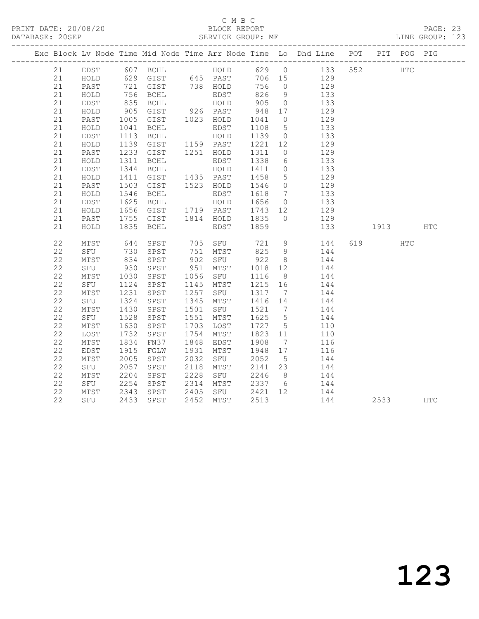PRINT DATE: 20/08/20 BLOCK REPORT DATABASE: 20SEP

# C M B C<br>BLOCK REPORT

PAGE: 23<br>LINE GROUP: 123

|    |      |                                    | Exc Block Lv Node Time Mid Node Time Arr Node Time Lo Dhd Line POT PIT POG PIG  |                              |                   |                 |                  |     |          |     |     |
|----|------|------------------------------------|---------------------------------------------------------------------------------|------------------------------|-------------------|-----------------|------------------|-----|----------|-----|-----|
|    |      |                                    | 21 EDST 607 BCHL HOLD 629 0 133 552                                             |                              |                   |                 |                  |     | HTC      |     |     |
| 21 | HOLD |                                    | 629 GIST 645 PAST 706 15 129                                                    |                              |                   |                 |                  |     |          |     |     |
| 21 | PAST |                                    |                                                                                 |                              | 756 0             |                 | 129              |     |          |     |     |
| 21 | HOLD |                                    |                                                                                 | EDST<br>HOLD                 | 826 9             |                 | 133              |     |          |     |     |
| 21 | EDST | 835                                | BCHL                                                                            |                              | 905               | $\overline{0}$  | 133              |     |          |     |     |
| 21 | HOLD | $905$<br>1005<br>1041              | GIST 926 PAST<br>GIST 1023 HOLD<br>BCHL EDST                                    |                              | 948               | 17              | 129              |     |          |     |     |
| 21 | PAST |                                    |                                                                                 |                              | 1041 0            |                 | 129              |     |          |     |     |
| 21 | HOLD |                                    |                                                                                 |                              | 1108 5            |                 | 133              |     |          |     |     |
| 21 | EDST | 1113                               | BCHL HOLD                                                                       |                              | 1139 0            |                 | 133              |     |          |     |     |
| 21 | HOLD |                                    | 1139 GIST - 1159 PAST<br>1233 GIST - 1251 HOLD                                  |                              | 1221 12<br>1311 0 |                 | 129              |     |          |     |     |
| 21 | PAST |                                    |                                                                                 |                              |                   |                 | 129              |     |          |     |     |
| 21 | HOLD | 1311                               | BCHL                                                                            | EDST                         | 1338              | $6\overline{6}$ | 133              |     |          |     |     |
| 21 | EDST | 1344<br>1411                       | BCHL                                                                            | HOLD                         | 1411 0<br>1458 5  |                 | 133              |     |          |     |     |
| 21 | HOLD |                                    |                                                                                 |                              |                   |                 | 129              |     |          |     |     |
| 21 | PAST | 1503                               | GIST 1523 HOLD 1546 0                                                           |                              |                   |                 | 129              |     |          |     |     |
| 21 | HOLD |                                    |                                                                                 |                              | 1618              | $7\overline{ }$ | 133              |     |          |     |     |
| 21 | EDST |                                    | 1546 BCHL EDST<br>1625 BCHL HOLD<br>1656 GIST 1719 PAST                         |                              | 1656 0<br>1743 12 |                 | 133              |     |          |     |     |
| 21 | HOLD |                                    |                                                                                 |                              |                   |                 | $\frac{1}{129}$  |     |          |     |     |
| 21 | PAST |                                    | 1755 GIST 1814 HOLD 1835                                                        |                              |                   | $\overline{0}$  | 129              |     |          |     |     |
| 21 | HOLD | 1835                               | BCHL                                                                            | EDST                         | 1859              |                 | 133              |     | 1913     |     | HTC |
| 22 | MTST |                                    | 644 SPST 705 SFU 721 9 144                                                      |                              |                   |                 |                  |     | 619      | HTC |     |
| 22 | SFU  |                                    |                                                                                 |                              |                   |                 | 144              |     |          |     |     |
| 22 | MTST | 730<br>834                         |                                                                                 |                              |                   |                 | 144              |     |          |     |     |
| 22 | SFU  | 930                                | SPST                                                                            | 951 MTST                     | 1018 12           |                 | 144              |     |          |     |     |
| 22 |      |                                    |                                                                                 |                              | 1116 8            |                 | 144              |     |          |     |     |
| 22 |      |                                    |                                                                                 |                              | 1215 16           |                 | 144              |     |          |     |     |
| 22 |      | MTST 1030<br>SFU 1124<br>MTST 1231 | SPST 1257 SFU                                                                   |                              | 1317 7            |                 | $144$<br>$144$   |     |          |     |     |
| 22 | SFU  | 1324                               | SPST                                                                            | 1345 MTST                    | 1416 14           |                 | 144              |     |          |     |     |
| 22 | MTST | 1430<br>1528                       | SPST                                                                            | 1501 SFU                     |                   |                 | 144              |     |          |     |     |
| 22 | SFU  |                                    | SPST                                                                            | 1551 MTST                    | 1521 7<br>1625 5  |                 | $\frac{1}{1}$    |     |          |     |     |
| 22 | MTST | 1630                               | SPST                                                                            | 1703 LOST                    | 1727 5            |                 | 110              |     |          |     |     |
| 22 | LOST |                                    | SPST                                                                            | 1754 MTST                    |                   |                 | 110              |     |          |     |     |
| 22 | MTST | 1732<br>1834                       | FN37                                                                            | 1848 EDST                    | 1823 11<br>1908 7 |                 | 116              |     |          |     |     |
| 22 | EDST | 1915                               | FGLW                                                                            | 1931 MTST                    | 1948 17           |                 | 116              |     |          |     |     |
| 22 | MTST | 2005<br>2057                       | SPST                                                                            | 2032 SFU<br>2118 MTST<br>SFU | 2052              | $5\overline{)}$ | 144              |     |          |     |     |
| 22 | SFU  | 2057                               | SPST                                                                            |                              | 2141 23           |                 | 144              |     |          |     |     |
| 22 | MTST | 2204                               | SPST                                                                            | 2228 SFU                     | 2246 8            |                 | $\frac{1}{1}$ 44 |     |          |     |     |
| 22 | SFU  | 2254                               | SPST                                                                            | 2314 MTST                    |                   |                 | 2337 6 144       |     |          |     |     |
| 22 | MTST |                                    | SPST 2405 SFU 2421 12<br>SPST 2452 MTST 2513<br>MTST 2343 SPST<br>SFU 2433 SPST |                              |                   |                 | 144              |     |          |     |     |
| 22 |      |                                    |                                                                                 |                              |                   |                 |                  | 144 | 2533 HTC |     |     |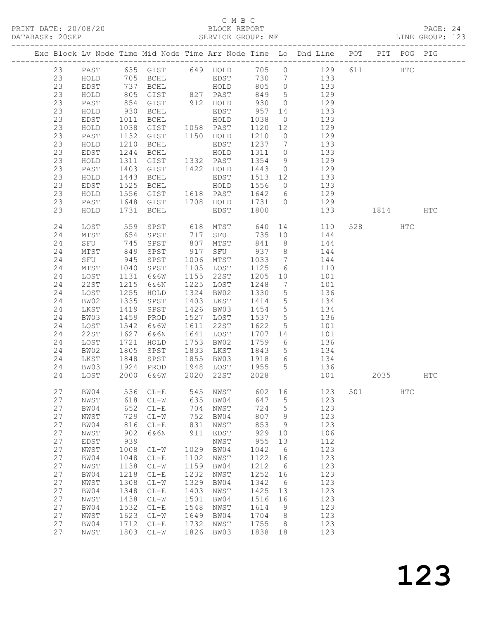PRINT DATE: 20/08/20 BLOCK REPORT DATABASE: 20SEP

# C M B C<br>BLOCK REPORT

PAGE: 24<br>LINE GROUP: 123

|          |              |              |                     |      |                                 |                                            |                 | Exc Block Lv Node Time Mid Node Time Arr Node Time Lo Dhd Line POT                               |          | PIT POG PIG  |     |
|----------|--------------|--------------|---------------------|------|---------------------------------|--------------------------------------------|-----------------|--------------------------------------------------------------------------------------------------|----------|--------------|-----|
| 23       |              |              |                     |      |                                 |                                            |                 | PAST 635 GIST 649 HOLD 705 0 129<br>HOLD 705 BCHL EDST 730 7 133<br>EDST 737 BCHL HOLD 805 0 133 | 611 HTC  |              |     |
| 23       |              |              |                     |      |                                 |                                            |                 |                                                                                                  |          |              |     |
| 23       |              |              |                     |      |                                 |                                            |                 |                                                                                                  |          |              |     |
| 23       | HOLD         | 805          | GIST 827 PAST 849 5 |      |                                 |                                            |                 | 129                                                                                              |          |              |     |
| 23       | PAST         | 854<br>930   | GIST                |      | 912 HOLD                        | 930                                        | $\overline{O}$  | 129                                                                                              |          |              |     |
| 23       | HOLD         |              | BCHL                |      | EDST                            | 957 14<br>1038 0                           |                 | 133                                                                                              |          |              |     |
| 23       | EDST         | 1011         | BCHL                |      | EDST<br>HOLD                    |                                            |                 | $0$ 133                                                                                          |          |              |     |
| 23       | HOLD         | 1038         | GIST 1058 PAST      |      |                                 |                                            |                 | 1120 12 129                                                                                      |          |              |     |
| 23       | PAST         | 1132         | GIST                |      | 1150 HOLD                       | 1210 0                                     |                 | 129                                                                                              |          |              |     |
| 23       | HOLD         | 1210         | BCHL                |      |                                 | 1237 7                                     |                 | 133                                                                                              |          |              |     |
| 23       | EDST         | 1244         | BCHL                |      | EDST<br>HOLD                    | $\begin{array}{c}\n1311 \\ 0\n\end{array}$ |                 | $\frac{1}{133}$                                                                                  |          |              |     |
| 23       | HOLD         | 1311         | GIST 1332 PAST      |      |                                 |                                            |                 | 1354 9 129                                                                                       |          |              |     |
| 23       | PAST         | 1403         | GIST                |      | 1422 HOLD 1443                  |                                            | $\overline{0}$  | 129                                                                                              |          |              |     |
| 23       | HOLD         | 1443         | BCHL                |      | EDST<br>HOLD                    | $\overline{1513}$ 12                       |                 | 133                                                                                              |          |              |     |
| 23       | EDST         | 1525         | BCHL                |      |                                 | 1556 0                                     |                 | $\frac{1}{133}$                                                                                  |          |              |     |
| 23       | HOLD         | 1556         |                     |      |                                 |                                            |                 | GIST 1618 PAST 1642 6 129                                                                        |          |              |     |
| 23       | PAST         |              |                     |      |                                 |                                            |                 | 1648 GIST 1708 HOLD 1731 0 129                                                                   |          |              |     |
| 23       | HOLD         | 1731         | BCHL                |      | EDST                            | 1800                                       |                 | 133                                                                                              | 1814     |              | HTC |
| 24       | LOST         |              |                     |      |                                 |                                            |                 | 559 SPST 618 MTST 640 14 110                                                                     | 528 32   | HTC          |     |
| 24       | MTST         | 654          | SPST                |      | 717 SFU                         |                                            |                 | 735 10 144                                                                                       |          |              |     |
| 24       | SFU          |              | SPST                |      |                                 |                                            |                 | 144                                                                                              |          |              |     |
| 24       | MTST         | 745<br>849   | SPST                |      | 807 MTST 841 8<br>917 SFU 937 8 |                                            |                 | 144                                                                                              |          |              |     |
| 24       | SFU          | 945          | SPST                |      | 1006 MTST                       | 1033                                       |                 | $7 \qquad \qquad 144$                                                                            |          |              |     |
| 24       | MTST         | 1040         | SPST                |      | 1105 LOST                       | 1125                                       |                 | 6 110                                                                                            |          |              |     |
| 24       | LOST         | 1131         | 6&6W                |      | 1155 22ST                       | 1205 10                                    |                 |                                                                                                  |          |              |     |
| 24       | 22ST         | 1215         | 6&6N                |      | 1225 LOST                       | $1205$ 10<br>1248 7                        |                 | 101<br>101                                                                                       |          |              |     |
| 24       |              | 1255         |                     |      | 1324 BW02                       | 1330 5                                     |                 | 136                                                                                              |          |              |     |
| 24       | LOST<br>BW02 | 1335         | HOLD<br>SPST        |      | 1403 LKST                       | 1414 5                                     |                 | 134                                                                                              |          |              |     |
| 24       | LKST         | 1419         | SPST                |      | 1426 BW03                       | 1454                                       | $5\overline{)}$ |                                                                                                  |          |              |     |
| 24       | BW03         | 1459         | PROD                |      | 1527 LOST                       | 1537 5                                     |                 | 134<br>136                                                                                       |          |              |     |
| 24       | LOST         | 1542         | 6&6W                |      | 1611 22ST                       | 1622                                       | $5\overline{)}$ | 101                                                                                              |          |              |     |
| 24       | 22ST         | 1627         | 6&6N                |      | 1641 LOST                       |                                            |                 | 1707 14 101                                                                                      |          |              |     |
|          |              |              |                     |      |                                 |                                            |                 |                                                                                                  |          |              |     |
| 24<br>24 | LOST<br>BW02 | 1721<br>1805 | HOLD<br>SPST        |      | 1753 BW02<br>1833 LKST          | 1759 6<br>1843 5                           |                 | 136<br>134                                                                                       |          |              |     |
| 24       |              | 1848         |                     |      | 1855 BW03 1918 6                |                                            |                 | $134$<br>$134$                                                                                   |          |              |     |
| 24       | LKST<br>BW03 | 1924         | SPST<br>PROD        |      |                                 |                                            |                 | 1948 LOST 1955 5 136                                                                             |          |              |     |
| 24       | LOST         | 2000         | 6&6W                |      | 2020 22ST                       | 2028                                       |                 | 101                                                                                              | 2035 HTC |              |     |
|          |              |              |                     |      |                                 |                                            |                 |                                                                                                  |          |              |     |
| 27       |              |              |                     |      |                                 |                                            |                 | BW04 536 CL-E 545 NWST 602 16 123 501                                                            |          | $_{\rm HTC}$ |     |
| 27       | NWST         | 618          | $CL - W$            | 635  | BW04                            | 647                                        | 5               | 123                                                                                              |          |              |     |
| 27       | BW04         | 652          | $CL-E$              | 704  | NWST                            | 724                                        | $\mathsf S$     | 123                                                                                              |          |              |     |
| 27       | NWST         | 729          | $CL-W$              | 752  | BW04                            | 807                                        | $\mathcal{G}$   | 123                                                                                              |          |              |     |
| 27       | BW04         | 816          | $CL-E$              | 831  | NWST                            | 853                                        | 9               | 123                                                                                              |          |              |     |
| 27       | NWST         | 902          | 6&6N                | 911  | EDST                            | 929                                        | 10              | 106                                                                                              |          |              |     |
| 27       | EDST         | 939          |                     |      | NWST                            | 955                                        | 13              | 112                                                                                              |          |              |     |
| 27       | NWST         | 1008         | $CL-W$              | 1029 | BW04                            | 1042                                       | 6               | 123                                                                                              |          |              |     |
| 27       | BW04         | 1048         | $CL-E$              | 1102 | NWST                            | 1122                                       | 16              | 123                                                                                              |          |              |     |
| 27       | NWST         | 1138         | $CL-W$              | 1159 | BW04                            | 1212                                       | $6\overline{6}$ | 123                                                                                              |          |              |     |
| 27       | BW04         | 1218         | $CL-E$              | 1232 | NWST                            | 1252                                       | 16              | 123                                                                                              |          |              |     |
| 27       | NWST         | 1308         | $CL-W$              | 1329 | BW04                            | 1342                                       | $6\overline{6}$ | 123                                                                                              |          |              |     |
| 27       | BW04         | 1348         | $CL-E$              | 1403 | NWST                            | 1425                                       | 13              | 123                                                                                              |          |              |     |
| 27       | NWST         | 1438         | $CL-W$              | 1501 | BW04                            | 1516                                       | 16              | 123                                                                                              |          |              |     |
| 27       | BW04         | 1532         | $CL-E$              | 1548 | NWST                            | 1614                                       | 9               | 123                                                                                              |          |              |     |
| 27       | NWST         | 1623         | $CL-W$              | 1649 | BW04                            | 1704                                       | 8 <sup>8</sup>  | 123                                                                                              |          |              |     |
| 27       | BW04         | 1712         | $CL-E$              | 1732 | NWST                            | 1755                                       | 8 <sup>8</sup>  | 123                                                                                              |          |              |     |
| 27       | NWST         |              | 1803 CL-W           | 1826 | BW03                            | 1838 18                                    |                 | 123                                                                                              |          |              |     |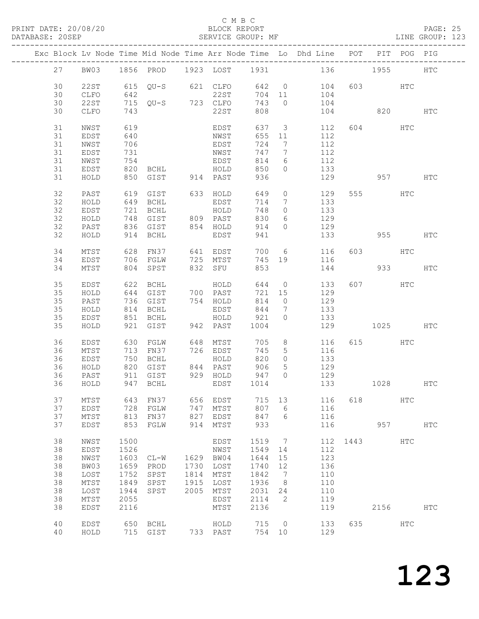PRINT DATE: 20/08/20 BLOCK REPORT BATABASE: 20SEP

#### C M B C<br>BLOCK REPORT

PAGE: 25<br>LINE GROUP: 123

|    |                 |      |                          |      |          |        |                 | Exc Block Lv Node Time Mid Node Time Arr Node Time Lo Dhd Line POT PIT POG PIG |          |          |               |               |
|----|-----------------|------|--------------------------|------|----------|--------|-----------------|--------------------------------------------------------------------------------|----------|----------|---------------|---------------|
| 27 | BW03            |      | 1856 PROD 1923 LOST 1931 |      |          |        |                 |                                                                                | 136 1955 |          |               | ${\tt HTC}$   |
| 30 | 22ST            |      | 615 QU-S 621 CLFO        |      |          |        |                 | 642 0 104                                                                      |          | 603 HTC  |               |               |
| 30 | CLFO            | 642  |                          |      | 22ST     |        |                 | 704 11 104                                                                     |          |          |               |               |
| 30 | 22ST            |      | 715 QU-S 723 CLFO        |      |          | 743    | $\bigcirc$      | 104                                                                            |          |          |               |               |
|    |                 |      |                          |      |          |        |                 |                                                                                |          |          |               |               |
| 30 | CLFO            | 743  |                          |      | 22ST     | 808    |                 | 104                                                                            | 820      |          |               | HTC           |
| 31 | NWST            | 619  |                          |      | EDST     | 637    |                 | 112<br>$\overline{\mathbf{3}}$                                                 |          | 604      | HTC           |               |
| 31 | EDST            | 640  |                          |      | NWST     | 655    | 11              | 112                                                                            |          |          |               |               |
| 31 | NWST            | 706  |                          |      | EDST     | 724    | $\overline{7}$  | 112                                                                            |          |          |               |               |
| 31 | EDST            | 731  |                          |      | NWST     | 747    | $\overline{7}$  | 112                                                                            |          |          |               |               |
| 31 | NWST            | 754  |                          |      | EDST     | 814    | $6\overline{6}$ | 112                                                                            |          |          |               |               |
| 31 | EDST            | 820  | BCHL                     |      | HOLD     | 850    | $\Omega$        | 133                                                                            |          |          |               |               |
| 31 | HOLD            |      | 850 GIST 914 PAST        |      |          | 936    |                 | 129                                                                            |          | 957 000  |               | HTC           |
|    |                 |      |                          |      |          |        |                 |                                                                                |          |          |               |               |
| 32 | PAST            | 619  | GIST                     |      | 633 HOLD | 649    | $\circ$         | 129                                                                            |          | 555 75   | HTC           |               |
| 32 | HOLD            |      | 649 BCHL                 |      | EDST     | 714    | $\overline{7}$  | 133                                                                            |          |          |               |               |
| 32 | EDST            | 721  | BCHL                     |      | HOLD     | 748    | $\overline{0}$  | 133                                                                            |          |          |               |               |
| 32 | HOLD            |      | 748 GIST                 |      | 809 PAST | 830    | 6               | 129                                                                            |          |          |               |               |
| 32 | PAST            |      | 836 GIST                 |      | 854 HOLD | 914    | $\overline{0}$  | 129                                                                            |          |          |               |               |
| 32 | HOLD            |      | 914 BCHL                 |      | EDST     | 941    |                 | 133                                                                            | 955 HTC  |          |               |               |
|    |                 |      |                          |      |          |        |                 |                                                                                |          |          |               |               |
| 34 | MTST            |      | 628 FN37                 |      | 641 EDST |        |                 | 700 6<br>116                                                                   |          | 603 HTC  |               |               |
| 34 | EDST            |      | 706 FGLW                 |      | 725 MTST | 745 19 |                 | 116                                                                            |          |          |               |               |
| 34 | MTST            |      | 804 SPST                 |      | 832 SFU  | 853    |                 | 144                                                                            |          |          | 933 — 100     | $_{\rm HTC}$  |
| 35 | EDST            |      | 622 BCHL                 |      | HOLD     | 644 0  |                 | 133                                                                            |          | 607 HTC  |               |               |
| 35 | HOLD            |      | 644 GIST                 |      | 700 PAST | 721 15 |                 | 129                                                                            |          |          |               |               |
| 35 | PAST            |      | 736 GIST                 |      | 754 HOLD | 814    | $\overline{0}$  | 129                                                                            |          |          |               |               |
| 35 | HOLD            | 814  | BCHL                     |      | EDST     | 844    | $\overline{7}$  | 133                                                                            |          |          |               |               |
|    |                 |      |                          |      | HOLD     |        | $\circ$         |                                                                                |          |          |               |               |
| 35 | EDST            |      | 851 BCHL                 |      |          | 921    |                 | 133                                                                            |          |          |               |               |
| 35 | HOLD            |      | 921 GIST                 |      | 942 PAST | 1004   |                 | 129                                                                            |          | 1025     |               | HTC           |
| 36 | EDST            | 630  | FGLW                     |      | 648 MTST | 705    | 8               | 116                                                                            |          | 615 — 10 | HTC           |               |
| 36 | MTST            |      | 713 FN37                 |      | 726 EDST | 745    | $5\phantom{.0}$ | 116                                                                            |          |          |               |               |
| 36 | EDST            | 750  | BCHL                     |      | HOLD     | 820    | $\overline{0}$  | 133                                                                            |          |          |               |               |
| 36 | HOLD            |      | 820 GIST                 |      | 844 PAST | 906    | $5\overline{)}$ | 129                                                                            |          |          |               |               |
| 36 | PAST            |      | 911 GIST                 |      | 929 HOLD | 947    | $\Omega$        | 129                                                                            |          |          |               |               |
| 36 | HOLD            |      | 947 BCHL                 |      | EDST     | 1014   |                 | 133                                                                            | 1028 HTC |          |               |               |
|    |                 |      |                          |      |          |        |                 |                                                                                |          |          |               |               |
| 37 | MTST            | 643  | FN37                     | 656  | EDST     | 715    | 13              | 116                                                                            | 618      |          | HTC           |               |
| 37 | EDST            | 728  | FGLW                     | 747  | MTST     | 807    | 6               | 116                                                                            |          |          |               |               |
| 37 | MTST            | 813  | FN37                     | 827  | EDST     | 847    | 6               | 116                                                                            |          |          |               |               |
| 37 | EDST            | 853  | FGLW                     | 914  | MTST     | 933    |                 | 116                                                                            |          | 957      |               | $_{\rm{HTC}}$ |
| 38 | NWST            | 1500 |                          |      | EDST     | 1519   | 7               | 112                                                                            | 1443     |          | $_{\rm{HTC}}$ |               |
| 38 | EDST            | 1526 |                          |      | NWST     | 1549   | 14              | 112                                                                            |          |          |               |               |
| 38 | NWST            | 1603 | $CL-W$                   | 1629 | BW04     | 1644   | 15              | 123                                                                            |          |          |               |               |
| 38 |                 | 1659 |                          | 1730 | LOST     | 1740   |                 | 136                                                                            |          |          |               |               |
|    | BW03            |      | PROD                     |      |          |        | 12              |                                                                                |          |          |               |               |
| 38 | LOST            | 1752 | SPST                     | 1814 | MTST     | 1842   | 7               | 110                                                                            |          |          |               |               |
| 38 | $\mathtt{MTST}$ | 1849 | SPST                     | 1915 | LOST     | 1936   | 8               | 110                                                                            |          |          |               |               |
| 38 | LOST            | 1944 | SPST                     | 2005 | MTST     | 2031   | 24              | 110                                                                            |          |          |               |               |
| 38 | $\mathtt{MTST}$ | 2055 |                          |      | EDST     | 2114   | 2               | 119                                                                            |          |          |               |               |
| 38 | EDST            | 2116 |                          |      | MTST     | 2136   |                 | 119                                                                            |          | 2156     |               | HTC           |
| 40 | EDST            | 650  | BCHL                     |      | HOLD     | 715    | $\overline{0}$  | 133                                                                            | 635      |          | HTC           |               |
| 40 | HOLD            |      | 715 GIST                 |      | 733 PAST | 754 10 |                 | 129                                                                            |          |          |               |               |
|    |                 |      |                          |      |          |        |                 |                                                                                |          |          |               |               |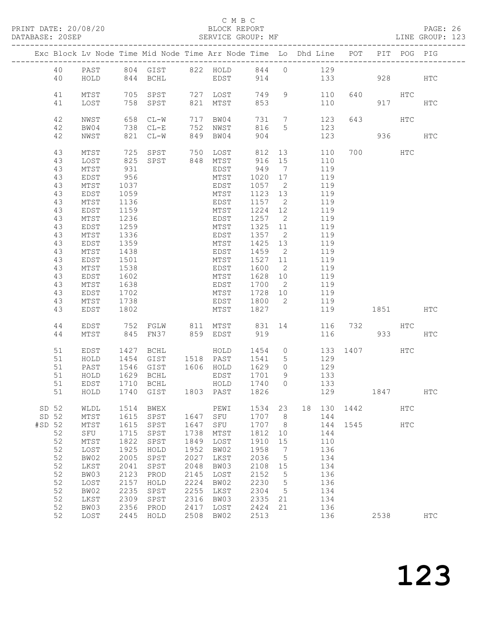PRINT DATE: 20/08/20 BLOCK REPORT DATABASE: 20SEP

#### C M B C<br>BLOCK REPORT

PAGE: 26<br>LINE GROUP: 123

|          |                 |      | Exc Block Lv Node Time Mid Node Time Arr Node Time Lo Dhd Line POT PIT POG PIG |              |                      |               |                              |     |     |      |           |               |              |
|----------|-----------------|------|--------------------------------------------------------------------------------|--------------|----------------------|---------------|------------------------------|-----|-----|------|-----------|---------------|--------------|
| 40       | PAST            |      | 804 GIST 822 HOLD 844                                                          |              |                      |               | $\circ$                      | 129 |     |      |           |               |              |
| 40       | HOLD            |      | 844 BCHL                                                                       |              | EDST                 | 914           |                              |     |     | 133  | 928       |               | HTC          |
|          |                 |      |                                                                                |              |                      |               |                              |     |     |      |           |               |              |
| 41       | MTST            | 705  | SPST                                                                           |              | 727 LOST             | 749           | 9                            |     | 110 | 640  | HTC       |               |              |
| 41       | LOST            | 758  | SPST                                                                           | 821          | MTST                 | 853           |                              |     | 110 |      |           | 917           | HTC          |
|          |                 |      |                                                                                |              |                      |               |                              |     |     |      |           |               |              |
| 42       | NWST            | 658  | $CL-W$                                                                         |              | 717 BW04             | 731           |                              |     | 123 | 643  |           | HTC           |              |
| 42       |                 | 738  | $CL-E$                                                                         |              | NWST                 | 816           | $7\overline{ }$<br>5         |     | 123 |      |           |               |              |
|          | BW04            |      |                                                                                | 752          |                      |               |                              |     |     |      |           |               |              |
| 42       | NWST            | 821  | $CL-W$                                                                         | 849          | BW04                 | 904           |                              |     | 123 |      | 936 7     |               | <b>HTC</b>   |
| 43       | MTST            | 725  | SPST                                                                           | 750          | LOST                 | 812           | 13                           |     | 110 |      | 700 — 200 | HTC           |              |
| 43       | LOST            | 825  | SPST                                                                           |              | 848 MTST<br>848 MTST | 916           | 15                           |     | 110 |      |           |               |              |
| 43       | MTST            | 931  |                                                                                |              | EDST                 | 949           | $7\phantom{.0}\phantom{.0}7$ |     | 119 |      |           |               |              |
|          |                 |      |                                                                                |              |                      |               |                              |     |     |      |           |               |              |
| 43       | EDST            | 956  |                                                                                |              | MTST                 | 1020          | 17                           |     | 119 |      |           |               |              |
| 43       | MTST            | 1037 |                                                                                |              | EDST                 | 1057          | $\overline{2}$               |     | 119 |      |           |               |              |
| 43       | EDST            | 1059 |                                                                                |              | MTST                 | 1123          | 13                           |     | 119 |      |           |               |              |
| 43       | MTST            | 1136 |                                                                                |              | EDST                 | 1157          | $\overline{2}$               |     | 119 |      |           |               |              |
| 43       | EDST            | 1159 |                                                                                |              | MTST                 | 1224          | 12                           |     | 119 |      |           |               |              |
| 43       | MTST            | 1236 |                                                                                |              | EDST                 | 1257          | $\overline{2}$               |     | 119 |      |           |               |              |
| 43       | EDST            | 1259 |                                                                                |              | MTST                 | 1325          | 11                           |     | 119 |      |           |               |              |
| 43       | $\mathtt{MTST}$ | 1336 |                                                                                |              | EDST                 | 1357          | $\overline{2}$               |     | 119 |      |           |               |              |
| 43       | EDST            | 1359 |                                                                                |              | MTST                 | 1425          | 13                           |     | 119 |      |           |               |              |
| 43       | $\mathtt{MTST}$ | 1438 |                                                                                |              | EDST                 | 1459          | $\overline{2}$               |     | 119 |      |           |               |              |
| 43       | EDST            | 1501 |                                                                                |              | MTST                 | 1527 11       |                              |     | 119 |      |           |               |              |
| 43       | MTST            | 1538 |                                                                                |              | EDST                 | 1600          | 2                            |     | 119 |      |           |               |              |
| 43       | EDST            | 1602 |                                                                                |              | MTST                 | 1628          | 10                           |     | 119 |      |           |               |              |
| 43       | MTST            | 1638 |                                                                                |              | EDST                 | 1700          | $\overline{\phantom{0}}^2$   |     | 119 |      |           |               |              |
| 43       | EDST            | 1702 |                                                                                |              | MTST                 | 1728          | 10                           |     | 119 |      |           |               |              |
| 43       | MTST            | 1738 |                                                                                |              | EDST                 | 1800          | $\overline{\phantom{0}}^2$   |     | 119 |      |           |               |              |
| 43       | EDST            | 1802 |                                                                                |              | MTST                 | 1827          |                              |     | 119 |      | 1851 1890 |               | HTC          |
|          |                 |      |                                                                                |              |                      |               |                              |     |     |      |           |               |              |
| 44       | EDST            | 752  | FGLW                                                                           |              | 811 MTST             | 831 14<br>919 |                              |     | 116 | 732  |           | HTC           |              |
| 44       | MTST            | 845  | FN37                                                                           |              | 859 EDST             |               |                              |     | 116 |      | 933       |               | HTC          |
|          |                 |      |                                                                                |              |                      | 1454          |                              |     |     |      |           |               |              |
| 51       | EDST            | 1427 | BCHL                                                                           |              | HOLD                 |               | $\circ$                      |     | 133 |      | 1407      | HTC           |              |
| 51       | HOLD            | 1454 | GIST                                                                           |              | 1518 PAST            | 1541          | 5                            |     | 129 |      |           |               |              |
| 51       | PAST            | 1546 | GIST                                                                           |              | 1606 HOLD            | 1629          | $\circ$                      |     | 129 |      |           |               |              |
| 51       | HOLD            | 1629 | BCHL                                                                           |              | EDST                 | 1701<br>1740  | 9<br>$\Omega$                |     | 133 |      |           |               |              |
| 51       | EDST            | 1710 | BCHL                                                                           |              | HOLD                 |               |                              |     | 133 |      |           |               |              |
|          | 51 HOLD         |      | 1740 GIST 1803 PAST 1826                                                       |              |                      |               |                              |     | 129 |      | 1847      |               | $_{\rm HTC}$ |
| SD 52    | WLDL            | 1514 | BWEX                                                                           |              | PEWI                 | 1534          | 23                           | 18  | 130 | 1442 |           | HTC           |              |
| SD 52    | MTST            | 1615 | SPST                                                                           | 1647         | SFU                  | 1707          | 8                            |     | 144 |      |           |               |              |
| #SD 52   |                 | 1615 |                                                                                | 1647         | ${\tt SFU}$          | 1707          |                              |     | 144 | 1545 |           |               |              |
| 52       | MTST            | 1715 | SPST                                                                           | 1738         |                      | 1812          | 8                            |     | 144 |      |           | $_{\rm{HTC}}$ |              |
|          | SFU             |      | SPST                                                                           |              | MTST                 |               | 10                           |     |     |      |           |               |              |
| 52       | $MTST$          | 1822 | SPST                                                                           | 1849         | LOST                 | 1910          | 15                           |     | 110 |      |           |               |              |
| 52       | LOST            | 1925 | ${\tt HOLD}$                                                                   | 1952         | BW02                 | 1958          | 7                            |     | 136 |      |           |               |              |
| 52       | BW02            | 2005 | SPST                                                                           | 2027         | LKST                 | 2036          | $\mathsf S$                  |     | 134 |      |           |               |              |
| 52       | LKST            | 2041 | SPST                                                                           | 2048         | BW03                 | 2108          | 15                           |     | 134 |      |           |               |              |
| 52       | BW03            | 2123 | PROD                                                                           | 2145         | LOST                 | 2152          | $\mathsf S$                  |     | 136 |      |           |               |              |
| 52       | LOST            | 2157 | HOLD                                                                           | 2224         | BW02                 | 2230          | 5                            |     | 136 |      |           |               |              |
| 52<br>52 | BW02            | 2235 | SPST                                                                           | 2255<br>2316 | LKST                 | 2304          | 5                            |     | 134 |      |           |               |              |
| 52       | LKST            | 2309 | SPST                                                                           |              | BW03                 | 2335          | 21                           |     | 134 |      |           |               |              |
|          | BW03            | 2356 | PROD                                                                           | 2417         | LOST                 | 2424          | 21                           |     | 136 |      |           |               |              |
| 52       | LOST            | 2445 | HOLD                                                                           | 2508         | BW02                 | 2513          |                              |     | 136 |      | 2538      |               | <b>HTC</b>   |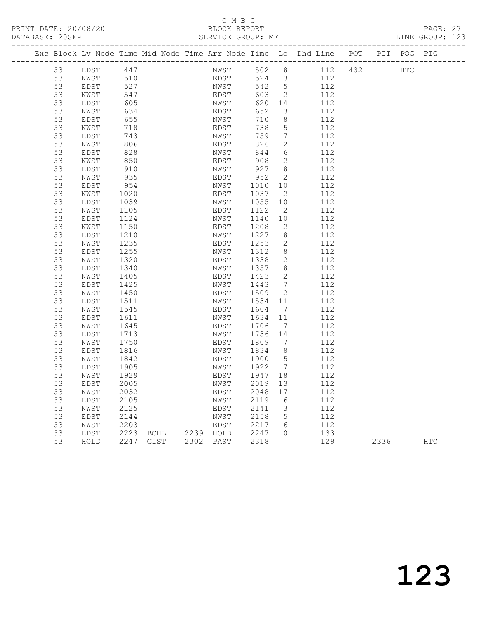PRINT DATE: 20/08/20 BLOCK REPORT BATABASE: 20SEP

## C M B C<br>BLOCK REPORT

PAGE: 27<br>LINE GROUP: 123

|  |    | Exc Block Lv Node Time Mid Node Time Arr Node Time Lo Dhd Line POT PIT POG PIG |           |      |           |      |       |                              |     |     |      |            |     |
|--|----|--------------------------------------------------------------------------------|-----------|------|-----------|------|-------|------------------------------|-----|-----|------|------------|-----|
|  | 53 | EDST                                                                           | 447       |      |           | NWST | 502   | 8                            | 112 | 432 |      | <b>HTC</b> |     |
|  | 53 | NWST                                                                           | 510       |      |           | EDST | 524 3 |                              | 112 |     |      |            |     |
|  | 53 | EDST                                                                           | 527       |      |           | NWST | 542   | $5\overline{)}$              | 112 |     |      |            |     |
|  | 53 | NWST                                                                           | 547       |      |           | EDST | 603   | $\overline{\phantom{a}}$     | 112 |     |      |            |     |
|  | 53 | EDST                                                                           | 605       |      |           | NWST | 620   | 14                           | 112 |     |      |            |     |
|  | 53 | NWST                                                                           | 634       |      |           | EDST | 652   | $\mathcal{S}$                | 112 |     |      |            |     |
|  | 53 | EDST                                                                           | 655       |      |           | NWST | 710   | 8                            | 112 |     |      |            |     |
|  | 53 | NWST                                                                           | 718       |      |           | EDST | 738   | 5                            | 112 |     |      |            |     |
|  | 53 | EDST                                                                           | 743       |      |           | NWST | 759   | 7                            | 112 |     |      |            |     |
|  | 53 | NWST                                                                           | 806       |      |           | EDST | 826   | 2                            | 112 |     |      |            |     |
|  | 53 | EDST                                                                           | 828       |      |           | NWST | 844   | 6                            | 112 |     |      |            |     |
|  | 53 | NWST                                                                           | 850       |      |           | EDST | 908   | 2                            | 112 |     |      |            |     |
|  | 53 | EDST                                                                           | 910       |      |           | NWST | 927   | 8 <sup>8</sup>               | 112 |     |      |            |     |
|  | 53 | NWST                                                                           | 935       |      |           | EDST | 952   | $\overline{2}$               | 112 |     |      |            |     |
|  | 53 | EDST                                                                           | 954       |      |           | NWST | 1010  | 10                           | 112 |     |      |            |     |
|  | 53 | NWST                                                                           | 1020      |      |           | EDST | 1037  | 2                            | 112 |     |      |            |     |
|  | 53 | EDST                                                                           | 1039      |      |           | NWST | 1055  | 10                           | 112 |     |      |            |     |
|  | 53 | NWST                                                                           | 1105      |      |           | EDST | 1122  | $\overline{2}$               | 112 |     |      |            |     |
|  | 53 | EDST                                                                           | 1124      |      |           | NWST | 1140  | 10                           | 112 |     |      |            |     |
|  | 53 | NWST                                                                           | 1150      |      |           | EDST | 1208  | 2                            | 112 |     |      |            |     |
|  | 53 | EDST                                                                           | 1210      |      |           | NWST | 1227  | 8                            | 112 |     |      |            |     |
|  | 53 | NWST                                                                           | 1235      |      |           | EDST | 1253  | 2                            | 112 |     |      |            |     |
|  | 53 | EDST                                                                           | 1255      |      |           | NWST | 1312  | 8                            | 112 |     |      |            |     |
|  | 53 | NWST                                                                           | 1320      |      |           | EDST | 1338  | $\mathbf{2}$                 | 112 |     |      |            |     |
|  | 53 | EDST                                                                           | 1340      |      |           | NWST | 1357  | 8                            | 112 |     |      |            |     |
|  | 53 | NWST                                                                           | 1405      |      |           | EDST | 1423  | 2                            | 112 |     |      |            |     |
|  | 53 | EDST                                                                           | 1425      |      |           | NWST | 1443  | $7\phantom{.0}\phantom{.0}7$ | 112 |     |      |            |     |
|  | 53 | NWST                                                                           | 1450      |      |           | EDST | 1509  | $\overline{2}$               | 112 |     |      |            |     |
|  | 53 | EDST                                                                           | 1511      |      |           | NWST | 1534  | 11                           | 112 |     |      |            |     |
|  | 53 | NWST                                                                           | 1545      |      |           | EDST | 1604  | $\overline{7}$               | 112 |     |      |            |     |
|  | 53 | EDST                                                                           | 1611      |      |           | NWST | 1634  | 11                           | 112 |     |      |            |     |
|  | 53 | NWST                                                                           | 1645      |      |           | EDST | 1706  | $\overline{7}$               | 112 |     |      |            |     |
|  | 53 | EDST                                                                           | 1713      |      |           | NWST | 1736  | 14                           | 112 |     |      |            |     |
|  | 53 | NWST                                                                           | 1750      |      |           | EDST | 1809  | $\overline{7}$               | 112 |     |      |            |     |
|  | 53 | EDST                                                                           | 1816      |      |           | NWST | 1834  | 8 <sup>8</sup>               | 112 |     |      |            |     |
|  | 53 | NWST                                                                           | 1842      |      |           | EDST | 1900  | 5                            | 112 |     |      |            |     |
|  | 53 | EDST                                                                           | 1905      |      |           | NWST | 1922  | $\overline{7}$               | 112 |     |      |            |     |
|  | 53 | NWST                                                                           | 1929      |      |           | EDST | 1947  | 18                           | 112 |     |      |            |     |
|  | 53 | EDST                                                                           | 2005      |      |           | NWST | 2019  | 13                           | 112 |     |      |            |     |
|  | 53 | NWST                                                                           | 2032      |      |           | EDST | 2048  | 17                           | 112 |     |      |            |     |
|  | 53 | EDST                                                                           | 2105      |      |           | NWST | 2119  | - 6                          | 112 |     |      |            |     |
|  | 53 | NWST                                                                           | 2125      |      |           | EDST | 2141  | $\mathcal{E}$                | 112 |     |      |            |     |
|  | 53 | EDST                                                                           | 2144      |      |           | NWST | 2158  | 5                            | 112 |     |      |            |     |
|  | 53 | NWST                                                                           | 2203      |      |           | EDST | 2217  | 6                            | 112 |     |      |            |     |
|  | 53 | EDST                                                                           | 2223      | BCHL | 2239 HOLD |      | 2247  | $\Omega$                     | 133 |     |      |            |     |
|  | 53 | HOLD                                                                           | 2247 GIST |      | 2302 PAST |      | 2318  |                              | 129 |     | 2336 |            | HTC |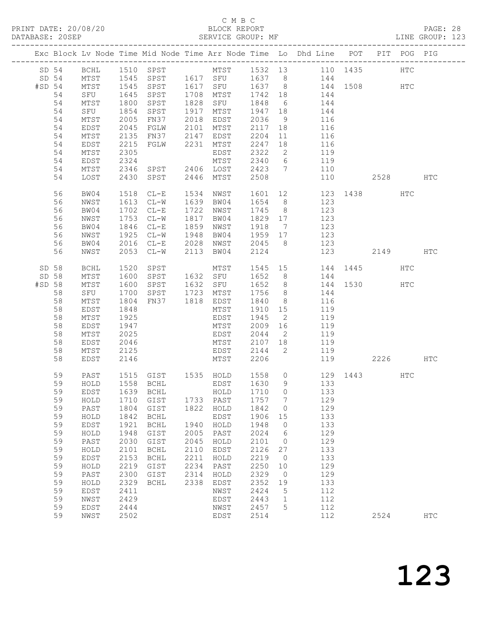# C M B C

| DATABASE: 20SEP   |          |                                            |                  | SERVICE GROUP: MF                |      |                        |         |                 | LINE GROUP: 123                                                                |     |          |     |            |  |
|-------------------|----------|--------------------------------------------|------------------|----------------------------------|------|------------------------|---------|-----------------|--------------------------------------------------------------------------------|-----|----------|-----|------------|--|
|                   |          |                                            |                  |                                  |      |                        |         |                 | Exc Block Lv Node Time Mid Node Time Arr Node Time Lo Dhd Line POT PIT POG PIG |     |          |     |            |  |
|                   |          |                                            |                  |                                  |      |                        |         |                 | SD 54 BCHL 1510 SPST MTST 1532 13 110 1435 HTC                                 |     |          |     |            |  |
| SD 54             |          |                                            |                  |                                  |      |                        |         |                 | MTST 1545 SPST 1617 SFU 1637 8 144                                             |     |          |     |            |  |
| #SD <sub>54</sub> |          | MTST<br>MTST 1545<br>SFU 1645<br>MTST 1800 |                  |                                  |      |                        |         |                 |                                                                                |     |          |     |            |  |
|                   | 54       |                                            |                  |                                  |      |                        |         |                 | SPST 1617 SFU 1637 8 144 1508 HTC<br>SPST 1708 MTST 1742 18 144                |     |          |     |            |  |
|                   | 54       |                                            |                  | SPST                             |      | 1828 SFU               | 1848 6  |                 | $144$<br>$144$                                                                 |     |          |     |            |  |
|                   | 54       | SFU                                        | 1854             | SPST                             |      | 1917 MTST 1947 18      |         |                 | 144                                                                            |     |          |     |            |  |
|                   | 54       | MTST                                       | 2005             | FN37 2018 EDST                   |      |                        | 2036    | 9               | 116                                                                            |     |          |     |            |  |
|                   | 54       | EDST                                       | 2045             | FGLW                             |      | 2101 MTST              | 2117 18 |                 | 116                                                                            |     |          |     |            |  |
|                   | 54       | MTST                                       | 2135             |                                  |      | FN37 2147 EDST         | 2204    |                 | $\begin{array}{c} 11 \end{array}$<br>116                                       |     |          |     |            |  |
|                   | 54       | EDST                                       | 2215             |                                  |      | FGLW 2231 MTST         | 2247    | 18              | 116                                                                            |     |          |     |            |  |
|                   | 54       | MTST                                       | 2305             |                                  |      | EDST                   | 2322    | $\overline{2}$  | 119                                                                            |     |          |     |            |  |
|                   | 54       | EDST                                       |                  |                                  |      | MTST                   | 2340 6  |                 | 119                                                                            |     |          |     |            |  |
|                   | 54       | MTST                                       | $2324$<br>$2346$ |                                  |      | SPST 2406 LOST 2423 7  |         |                 | 110                                                                            |     |          |     |            |  |
|                   | 54       | LOST                                       | 2430             | SPST                             |      | 2446 MTST              | 2508    |                 |                                                                                | 110 | 2528     |     | HTC        |  |
|                   |          |                                            |                  |                                  |      |                        |         |                 |                                                                                |     |          |     |            |  |
|                   | 56<br>56 | BW04                                       |                  | 1518 CL-E<br>1613 CL-W           |      | 1534 NWST<br>1639 BW04 | 1654 8  |                 | 1601 12 123 1438 HTC<br>123                                                    |     |          |     |            |  |
|                   | 56       | NWST                                       | 1702             |                                  |      | 1722 NWST              | 1745 8  |                 | 123                                                                            |     |          |     |            |  |
|                   |          | BW04                                       |                  | $CL-E$                           |      |                        |         |                 |                                                                                |     |          |     |            |  |
|                   | 56       | NWST                                       | 1753             | $CL-W$                           |      | 1817 BW04              | 1829 17 |                 | 123                                                                            |     |          |     |            |  |
|                   | 56       | BW04                                       |                  | $CL-E$                           |      | 1859 NWST              | 1918 7  |                 | 123<br>$\begin{array}{c} 125 \\ 123 \end{array}$                               |     |          |     |            |  |
|                   | 56       | NWST                                       | $1840$<br>$1925$ | CL-W 1948 BW04                   |      |                        | 1959 17 |                 | 123                                                                            |     |          |     |            |  |
|                   | 56       | BW04                                       |                  | 2016 CL-E                        |      | 2028 NWST              | 2045 8  |                 |                                                                                |     |          |     |            |  |
|                   | 56       | NWST                                       |                  | 2053 CL-W                        | 2113 | BW04                   | 2124    |                 |                                                                                | 123 | 2149     |     | HTC        |  |
| SD 58             |          | BCHL                                       | 1520             | SPST                             |      |                        |         |                 | MTST 1545 15 144 1445                                                          |     |          | HTC |            |  |
| SD 58             |          | MTST                                       | 1600             | SPST 1632 SFU                    |      |                        |         |                 | $1652$ 8 $144$                                                                 |     |          |     |            |  |
| #SD 58            |          | MTST                                       | 1600             | SPST 1632 SFU                    |      |                        |         |                 | 1652 8 144 1530 HTC                                                            |     |          |     |            |  |
|                   | 58       | SFU                                        | 1700             | SPST 1723 MTST<br>FN37 1818 EDST |      |                        | 1756    | 8 <sup>8</sup>  | 144                                                                            |     |          |     |            |  |
|                   | 58       | MTST                                       | 1804             |                                  |      |                        | 1840    | 8 <sup>8</sup>  | 116                                                                            |     |          |     |            |  |
|                   | 58       | EDST                                       | 1848             |                                  |      | MTST                   | 1910 15 |                 | 119                                                                            |     |          |     |            |  |
|                   | 58       | MTST                                       | 1925             |                                  |      | EDST                   | 1945    | $\overline{2}$  | 119                                                                            |     |          |     |            |  |
|                   | 58       | EDST                                       | 1947             |                                  |      | MTST                   | 2009    | 16              | 119                                                                            |     |          |     |            |  |
|                   | 58       | MTST                                       | 2025             |                                  |      | EDST                   | 2044 2  |                 | 119                                                                            |     |          |     |            |  |
|                   | 58       | EDST                                       | 2046             |                                  |      | MTST                   | 2107 18 |                 | 119                                                                            |     |          |     |            |  |
|                   | 58       | MTST                                       | 2125             |                                  |      | EDST 2144              |         |                 | 2 119                                                                          |     |          |     |            |  |
|                   | 58       | EDST                                       | 2146             |                                  |      | MTST                   | 2206    |                 |                                                                                | 119 | 2226 HTC |     |            |  |
|                   | 59       | PAST                                       |                  |                                  |      |                        |         |                 | 1515 GIST 1535 HOLD 1558 0 129 1443                                            |     |          | HTC |            |  |
|                   | 59       |                                            |                  |                                  |      |                        |         |                 |                                                                                |     |          |     |            |  |
|                   | 59       | EDST                                       |                  | 1639 BCHL                        |      | HOLD                   | 1710    | $\overline{0}$  | 133                                                                            |     |          |     |            |  |
|                   | 59       | HOLD                                       | 1710             | GIST                             |      | 1733 PAST              | 1757    | $\overline{7}$  | 129                                                                            |     |          |     |            |  |
|                   | 59       | PAST                                       | 1804             | GIST                             | 1822 | HOLD                   | 1842    | $\overline{0}$  | 129                                                                            |     |          |     |            |  |
|                   | 59       | HOLD                                       | 1842             | BCHL                             |      | EDST                   | 1906    | 15              | 133                                                                            |     |          |     |            |  |
|                   | 59       | EDST                                       | 1921             | <b>BCHL</b>                      | 1940 | HOLD                   | 1948    | $\overline{0}$  | 133                                                                            |     |          |     |            |  |
|                   | 59       | HOLD                                       | 1948             | GIST                             | 2005 | PAST                   | 2024    | $6\overline{6}$ | 129                                                                            |     |          |     |            |  |
|                   | 59       | PAST                                       | 2030             | GIST                             | 2045 | HOLD                   | 2101    | $\overline{0}$  | 129                                                                            |     |          |     |            |  |
|                   | 59       | HOLD                                       | 2101             | $\operatorname{BCHL}$            | 2110 | EDST                   | 2126 27 |                 | 133                                                                            |     |          |     |            |  |
|                   | 59       | EDST                                       | 2153             | BCHL                             | 2211 | HOLD                   | 2219    | $\overline{0}$  | 133                                                                            |     |          |     |            |  |
|                   | 59       | HOLD                                       | 2219             | GIST                             | 2234 | PAST                   | 2250    | 10              | 129                                                                            |     |          |     |            |  |
|                   | 59       | PAST                                       | 2300             | GIST                             | 2314 | HOLD                   | 2329    | $\overline{0}$  | 129                                                                            |     |          |     |            |  |
|                   | 59       | HOLD                                       | 2329             | BCHL                             | 2338 | EDST                   | 2352    | 19              | 133                                                                            |     |          |     |            |  |
|                   | 59       | <b>EDST</b>                                | 2411             |                                  |      | NWST                   | 2424    | $5^{\circ}$     | 112                                                                            |     |          |     |            |  |
|                   | 59       | NWST                                       | 2429             |                                  |      | EDST                   | 2443    | $\overline{1}$  | 112                                                                            |     |          |     |            |  |
|                   | 59       | EDST                                       | 2444             |                                  |      | NWST                   | 2457    | $5^{\circ}$     | 112                                                                            |     |          |     |            |  |
|                   | 59       | NWST                                       | 2502             |                                  |      | EDST                   | 2514    |                 | 112                                                                            |     | 2524     |     | <b>HTC</b> |  |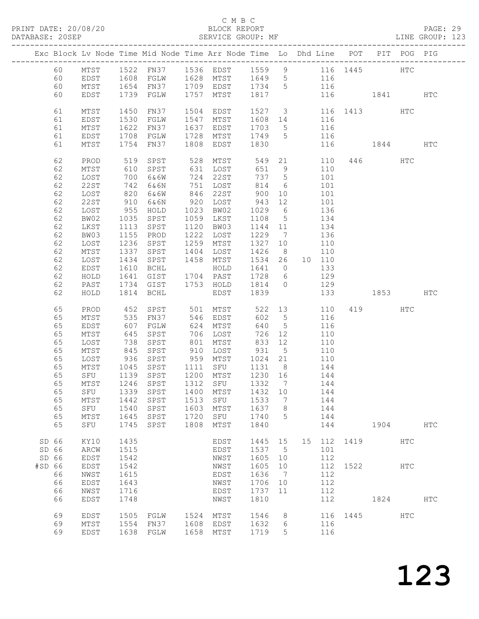#### C M B C DATABASE: 20<br>SERVICE GROUP: MF

| PRINT DATE: 20/08/20<br>DATABASE: 20SEP                                                                                                                                                                                                    |                                                                                                                                                                                                                                                                                                 |                                                                                                                                                                                                                                  |                                                                                      |                                                                                      |                                                          |                                                                                                           |                      |                 |                          |            |  |
|--------------------------------------------------------------------------------------------------------------------------------------------------------------------------------------------------------------------------------------------|-------------------------------------------------------------------------------------------------------------------------------------------------------------------------------------------------------------------------------------------------------------------------------------------------|----------------------------------------------------------------------------------------------------------------------------------------------------------------------------------------------------------------------------------|--------------------------------------------------------------------------------------|--------------------------------------------------------------------------------------|----------------------------------------------------------|-----------------------------------------------------------------------------------------------------------|----------------------|-----------------|--------------------------|------------|--|
| Exc Block Lv Node Time Mid Node Time Arr Node Time Lo Dhd Line POT PIT POG PIG                                                                                                                                                             |                                                                                                                                                                                                                                                                                                 |                                                                                                                                                                                                                                  |                                                                                      |                                                                                      |                                                          |                                                                                                           |                      |                 |                          |            |  |
| MTST<br>60<br>60<br>EDST                                                                                                                                                                                                                   | 60 MTST 1522 FN37 1536 EDST 1559 9 116 1445 HTC<br>60 EDST 1608 FGLW 1628 MTST 1649 5 116<br>1654 FN37 1709 EDST 1734 5 116<br>1739 FGLW                                                                                                                                                        | 1757 MTST 1817 116 1841 HTC                                                                                                                                                                                                      |                                                                                      |                                                                                      |                                                          |                                                                                                           |                      |                 |                          |            |  |
| 61<br>MTST<br>61<br>EDST<br>61<br>MTST<br>61<br>EDST<br>61<br>MTST                                                                                                                                                                         | 1450<br>FN37<br>1530<br>FGLW<br>1622<br>FN37<br>1708<br>FGLW<br>1754 FN37                                                                                                                                                                                                                       | 1504 EDST<br>1547 MTST 1608 14 116<br>1637 EDST                                                                                                                                                                                  |                                                                                      |                                                                                      |                                                          | 1527 3 116 1413 HTC<br>1703 5 116<br>1728 MTST 1749 5 116<br>1808 EDST 1830 116                           | 116 1844 HTC         |                 |                          |            |  |
| 62<br>PROD<br>62<br>MTST<br>62<br>LOST<br>62<br>22ST<br>62<br>LOST<br>62<br>22ST<br>62<br>LOST<br>62<br>BW02<br>62<br>LKST<br>62<br>BW03<br>62<br>LOST<br>62<br>MTST<br>62<br>LOST<br>62<br>EDST<br>62<br>HOLD<br>62<br>PAST<br>62<br>HOLD | 519<br>SPST<br>610 SPST<br>700 6&6W<br>742 6&6N<br>820 6&6W<br>910 6&6N<br>955 HOLD<br>1035 SPST<br>1113 SPST<br>1155<br>PROD<br>1236<br>SPST<br>1337 SPST<br>1434<br>SPST<br>1610<br>BCHL<br>1814 BCHL                                                                                         | 528 MTST 549 21 110 446 HTC<br>751 LOST<br>846 22ST<br>920 LOST<br>1023 BW02<br>1059 LKST<br>1120 BW03<br>1222 LOST<br>1259 MTST<br>1458 MTST 1534 26 10 110<br>1641 GIST 1704 PAST 1728 6 129<br>1734 GIST 1753 HOLD 1814 0 129 | 1404 LOST 1426<br>HOLD<br>EDST 1839                                                  | 814<br>900<br>943 12<br>1029 6<br>1108<br>1144 11<br>1229<br>1327 10                 | $\overline{7}$<br>$\begin{array}{c} 8 \\ 10 \end{array}$ | 6 101<br>10 101<br>101<br>136<br>$5 \t 134$<br>134<br>136<br>110<br>110<br>1641 0 133<br>133 1853 HTC     |                      |                 |                          |            |  |
| 65<br>PROD<br>65<br>MTST<br>65<br>EDST<br>65<br>MTST<br>65<br>LOST<br>65<br>MTST<br>65<br>LOST<br>65<br>MTST<br>65<br>MTST<br>65<br>${\tt SFU}$<br>65<br>MTST<br>65<br>${\tt SFU}$<br>65<br>$MTST$<br>65<br>${\tt SFU}$                    | 452 SPST<br>535 FN37<br>607 FGLW<br>645 SPST<br>738 SPST 801 MTST 833 12 110<br>845 SPST 910 LOST 931 5 110<br>936 SPST 959 MTST 1024 21 110<br>1045 SPST<br>65 SFU 1139 SPST 1200 MTST 1230 16<br>1246<br>SPST<br>1339<br>SPST<br>SPST<br>1442<br>1540<br>SPST<br>1645<br>SPST<br>1745<br>SPST | 706 LOST<br>1111 SFU<br>1312<br>1400<br>1513<br>1603<br>1720<br>1808                                                                                                                                                             | 624 MTST<br>SFU<br>MTST<br>${\tt SFU}$<br>MTST<br>${\tt SFU}$<br>MTST                | 640<br>726<br>1332<br>1432<br>1533<br>1637<br>1740<br>1840                           | 7<br>10<br>7<br>8<br>5                                   | 522 13 110<br>602 5 116<br>5 116<br>12 110<br>1131 8 144<br>144<br>144<br>144<br>144<br>144<br>144<br>144 |                      | 419 HTC<br>1904 |                          | <b>HTC</b> |  |
| SD 66<br>KY10<br>SD 66<br>ARCW<br>SD 66<br><b>EDST</b><br>#SD 66<br><b>EDST</b><br>66<br>NWST<br>66<br>EDST<br>66<br>NWST<br>66<br><b>EDST</b><br>69<br>EDST<br>69<br>MTST<br>69<br><b>EDST</b>                                            | 1435<br>1515<br>1542<br>1542<br>1615<br>1643<br>1716<br>1748<br>1505<br>FGLW<br>1554<br>FN37<br>1638<br>FGLW                                                                                                                                                                                    | 1524<br>1608<br>1658                                                                                                                                                                                                             | EDST<br>EDST<br>NWST<br>NWST<br>EDST<br>NWST<br>EDST<br>NWST<br>MTST<br>EDST<br>MTST | 1445<br>1537<br>1605<br>1605<br>1636<br>1706<br>1737<br>1810<br>1546<br>1632<br>1719 | 15<br>5<br>10<br>10<br>7<br>10<br>11<br>8<br>6<br>5      | 15<br>112<br>101<br>112<br>112<br>112<br>112<br>112<br>112<br>116<br>116<br>116                           | 1419<br>1522<br>1445 | 1824            | <b>HTC</b><br>HTC<br>HTC | HTC        |  |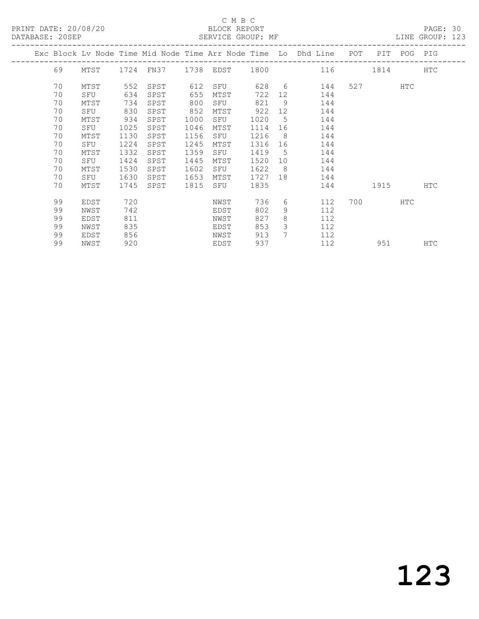PRINT DATE: 20/08/20 BLOCK REPORT<br>
DATABASE: 20SEP<br>
SERVICE GROUP: MF

### C M B C<br>BLOCK REPORT

PAGE: 30<br>LINE GROUP: 123

|  |    |      |      |      |      |      |      |                 | Exc Block Lv Node Time Mid Node Time Arr Node Time Lo Dhd Line | POT | PIT            | POG PIG    |            |
|--|----|------|------|------|------|------|------|-----------------|----------------------------------------------------------------|-----|----------------|------------|------------|
|  | 69 | MTST |      |      |      |      |      |                 | 1724 FN37 1738 EDST 1800 116                                   |     | 1814           |            | <b>HTC</b> |
|  | 70 | MTST | 552  | SPST | 612  | SFU  | 628  |                 | $6\degree$<br>144                                              |     | 527 and $\sim$ | HTC        |            |
|  | 70 | SFU  | 634  | SPST | 655  | MTST | 722  | 12 <sup>°</sup> | 144                                                            |     |                |            |            |
|  | 70 | MTST | 734  | SPST | 800  | SFU  | 821  | 9               | 144                                                            |     |                |            |            |
|  | 70 | SFU  | 830  | SPST | 852  | MTST | 922  | 12 <sup>°</sup> | 144                                                            |     |                |            |            |
|  | 70 | MTST | 934  | SPST | 1000 | SFU  | 1020 | 5               | 144                                                            |     |                |            |            |
|  | 70 | SFU  | 1025 | SPST | 1046 | MTST | 1114 | 16              | 144                                                            |     |                |            |            |
|  | 70 | MTST | 1130 | SPST | 1156 | SFU  | 1216 | 8               | 144                                                            |     |                |            |            |
|  | 70 | SFU  | 1224 | SPST | 1245 | MTST | 1316 | 16              | 144                                                            |     |                |            |            |
|  | 70 | MTST | 1332 | SPST | 1359 | SFU  | 1419 | 5               | 144                                                            |     |                |            |            |
|  | 70 | SFU  | 1424 | SPST | 1445 | MTST | 1520 | 10              | 144                                                            |     |                |            |            |
|  | 70 | MTST | 1530 | SPST | 1602 | SFU  | 1622 | 8               | 144                                                            |     |                |            |            |
|  | 70 | SFU  | 1630 | SPST | 1653 | MTST | 1727 | 18              | 144                                                            |     |                |            |            |
|  | 70 | MTST | 1745 | SPST | 1815 | SFU  | 1835 |                 | 144                                                            |     | 1915           |            | HTC        |
|  | 99 | EDST | 720  |      |      | NWST | 736  | 6               | 112                                                            |     | 700 — 200      | <b>HTC</b> |            |
|  | 99 | NWST | 742  |      |      | EDST | 802  | 9               | 112                                                            |     |                |            |            |
|  | 99 | EDST | 811  |      |      | NWST | 827  | 8               | 112                                                            |     |                |            |            |
|  | 99 | NWST | 835  |      |      | EDST | 853  | 3               | 112                                                            |     |                |            |            |
|  | 99 | EDST | 856  |      |      | NWST | 913  | $7^{\circ}$     | 112                                                            |     |                |            |            |
|  | 99 | NWST | 920  |      |      | EDST | 937  |                 | 112                                                            |     | 951            |            | HTC        |
|  |    |      |      |      |      |      |      |                 |                                                                |     |                |            |            |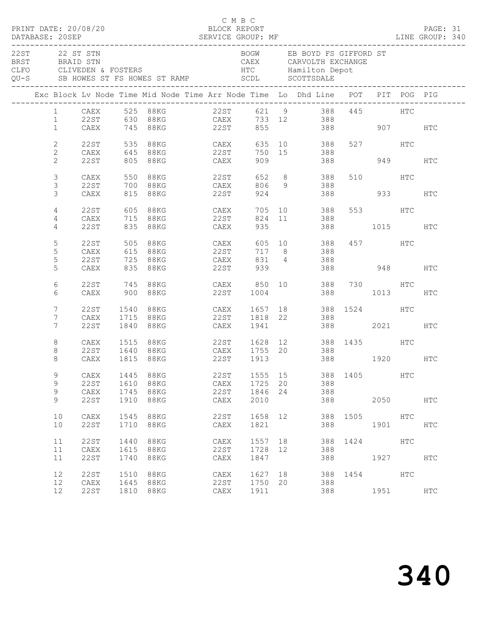|                  |                 |      |      |                            | C M B C |         |    |                                                                                                                                                              |              |         |           | PAGE: 31<br>LINE GROUP: 340 |  |
|------------------|-----------------|------|------|----------------------------|---------|---------|----|--------------------------------------------------------------------------------------------------------------------------------------------------------------|--------------|---------|-----------|-----------------------------|--|
| $22ST$ 22 ST STN |                 |      |      |                            |         |         |    | BOGW EB BOYD FS GIFFORD ST<br>CAEX       CARVOLTH EXCHANGE<br>HTC         Hamilton Depot<br>QU-S SB HOWES ST FS HOWES ST RAMP SCDL SCOTTSDALE                |              |         |           |                             |  |
|                  |                 |      |      |                            |         |         |    | Exc Block Lv Node Time Mid Node Time Arr Node Time Lo Dhd Line POT PIT POG PIG                                                                               |              |         |           |                             |  |
|                  |                 |      |      |                            |         |         |    | 1 CAEX 525 88KG 22ST 621 9 388 445 HTC                                                                                                                       |              |         |           |                             |  |
|                  |                 |      |      |                            |         |         |    | $\begin{tabular}{lllllllllll} 1 & 22ST & 630 & 88KG & \text{CAEX} & 733 & 12 & 388 \\ 1 & CAEX & 745 & 88KG & 22ST & 855 & 388 & 907 & HTC \\ \end{tabular}$ |              |         |           |                             |  |
|                  | $\mathbf{2}$    |      |      |                            |         |         |    | 22ST 535 88KG CAEX 635 10 388 527 HTC                                                                                                                        |              |         |           |                             |  |
|                  | $\overline{2}$  | CAEX |      | 645 88KG 22ST              |         |         |    | 750 15 388                                                                                                                                                   |              |         |           |                             |  |
|                  | $\overline{2}$  | 22ST |      | 805 88KG CAEX              |         | 909     |    |                                                                                                                                                              | 388 949 HTC  |         |           |                             |  |
|                  | 3               | CAEX |      | 550 88KG 22ST              |         |         |    | 652 8 388                                                                                                                                                    |              | 510 HTC |           |                             |  |
|                  | 3               | 22ST |      | 700 88KG CAEX 806 9 388    |         |         |    |                                                                                                                                                              |              |         |           |                             |  |
|                  | 3               | CAEX |      | 815 88KG                   | 22ST    |         |    | 924                                                                                                                                                          | 388 933      |         |           | HTC                         |  |
|                  | $\overline{4}$  |      |      | 22ST 605 88KG CAEX         |         |         |    | 705 10 388                                                                                                                                                   |              | 553 HTC |           |                             |  |
|                  | 4               | CAEX |      | 715 88KG 22ST              |         |         |    | 824 11 388                                                                                                                                                   |              |         |           |                             |  |
|                  | 4               | 22ST |      | 835 88KG CAEX              |         | 935     |    |                                                                                                                                                              | 388 1015 HTC |         |           |                             |  |
|                  | 5               | 22ST |      | 505 88KG CAEX              |         |         |    | 605 10 388 457 HTC                                                                                                                                           |              |         |           |                             |  |
|                  | 5               | CAEX |      | 615 88KG 22ST              |         |         |    | 717 8 388                                                                                                                                                    |              |         |           |                             |  |
|                  | 5               | 22ST |      | 725 88KG CAEX              |         |         |    | 831 4 388                                                                                                                                                    |              |         |           |                             |  |
|                  | 5               | CAEX |      | 835 88KG                   | 22ST    | 939     |    |                                                                                                                                                              | 388 948 HTC  |         |           |                             |  |
|                  | 6               | 22ST |      |                            |         |         |    |                                                                                                                                                              |              |         |           |                             |  |
|                  | 6               | CAEX |      |                            |         |         |    | 900 88KG 22ST 1004 388 1013 HTC                                                                                                                              |              |         |           |                             |  |
|                  | $7\phantom{.0}$ | 22ST | 1540 |                            |         |         |    | 88KG CAEX 1657 18 388 1524 HTC                                                                                                                               |              |         |           |                             |  |
|                  | $7\phantom{.0}$ | CAEX |      | 1715 88KG 22ST 1818 22 388 |         |         |    |                                                                                                                                                              |              |         |           |                             |  |
|                  | $7\phantom{.0}$ | 22ST |      | 1840 88KG                  | CAEX    |         |    | 1941 388 2021                                                                                                                                                |              |         |           | <b>HTC</b>                  |  |
|                  | 8               | CAEX |      |                            |         |         |    | 1515 88KG 22ST 1628 12 388 1435 HTC                                                                                                                          |              |         |           |                             |  |
|                  | 8               | 22ST |      |                            |         |         |    | 1640 88KG CAEX 1755 20 388                                                                                                                                   |              |         |           |                             |  |
|                  | 8               | CAEX |      | 1815 88KG 22ST 1913        |         |         |    | 388 1920 HTC                                                                                                                                                 |              |         |           |                             |  |
|                  | 9               | CAEX | 1445 | 88KG                       | 22ST    | 1555 15 |    |                                                                                                                                                              | 388 1405     |         | HTC       |                             |  |
|                  | 9               | 22ST | 1610 | 88KG                       | CAEX    | 1725    | 20 | 388                                                                                                                                                          |              |         |           |                             |  |
|                  | 9               | CAEX | 1745 | 88KG                       | 22ST    | 1846    | 24 | 388                                                                                                                                                          |              |         |           |                             |  |
|                  | 9               | 22ST | 1910 | 88KG                       | CAEX    | 2010    |    | 388                                                                                                                                                          |              |         | 2050 70   | HTC                         |  |
|                  | 10              | CAEX | 1545 | <b>88KG</b>                | 22ST    | 1658    | 12 | 388                                                                                                                                                          | 1505         | HTC     |           |                             |  |
|                  | 10              | 22ST | 1710 | <b>88KG</b>                | CAEX    | 1821    |    | 388                                                                                                                                                          |              | 1901    |           | HTC                         |  |
|                  | 11              | 22ST | 1440 | 88KG                       | CAEX    | 1557 18 |    | 388                                                                                                                                                          | 1424         |         | HTC       |                             |  |
|                  | 11              | CAEX | 1615 | 88KG                       | 22ST    | 1728    | 12 | 388                                                                                                                                                          |              |         |           |                             |  |
|                  | 11              | 22ST | 1740 | 88KG                       | CAEX    | 1847    |    | 388                                                                                                                                                          |              |         | 1927      | HTC                         |  |
|                  | 12              | 22ST | 1510 | 88KG                       | CAEX    | 1627 18 |    | 388                                                                                                                                                          | 1454 HTC     |         |           |                             |  |
|                  | 12              | CAEX | 1645 | 88KG                       | 22ST    | 1750    | 20 | 388                                                                                                                                                          |              |         |           |                             |  |
|                  | 12              | 22ST | 1810 | 88KG                       | CAEX    | 1911    |    | 388                                                                                                                                                          |              |         | 1951 1990 | HTC                         |  |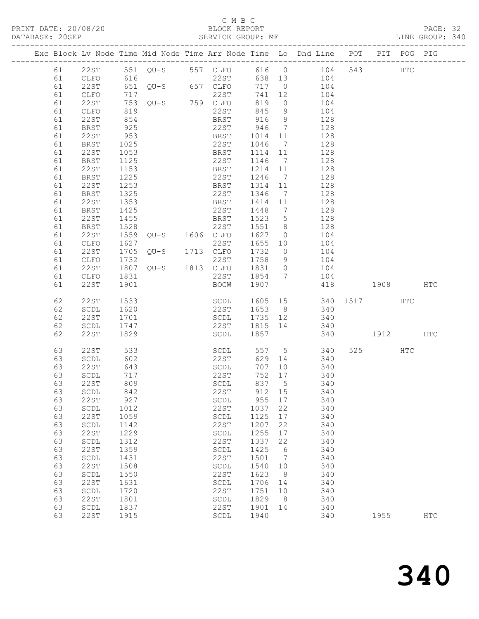#### C M B C<br>BLOCK REPORT

| DATABASE: 20SEP |          |                                               |                   | SERVICE GROUP: MF                                     |                                                                                                                                                                                                                               |                  |                 | LINE GROUP: 340                                                                |          |      |     |     |  |
|-----------------|----------|-----------------------------------------------|-------------------|-------------------------------------------------------|-------------------------------------------------------------------------------------------------------------------------------------------------------------------------------------------------------------------------------|------------------|-----------------|--------------------------------------------------------------------------------|----------|------|-----|-----|--|
|                 |          |                                               |                   |                                                       |                                                                                                                                                                                                                               |                  |                 | Exc Block Lv Node Time Mid Node Time Arr Node Time Lo Dhd Line POT PIT POG PIG |          |      |     |     |  |
|                 |          |                                               |                   |                                                       |                                                                                                                                                                                                                               |                  |                 | 61  22ST  551  QU-S  557  CLFO  616  0  104  543  HTC                          |          |      |     |     |  |
|                 | 61       | CLFO 616                                      |                   |                                                       |                                                                                                                                                                                                                               |                  |                 | 22ST 638 13 104                                                                |          |      |     |     |  |
|                 | 61       | 22ST                                          |                   |                                                       |                                                                                                                                                                                                                               |                  |                 | 717 0 104                                                                      |          |      |     |     |  |
|                 | 61       | CLFO                                          |                   |                                                       |                                                                                                                                                                                                                               | 741 12           |                 | 104                                                                            |          |      |     |     |  |
|                 | 61       | 22ST                                          |                   |                                                       |                                                                                                                                                                                                                               | 819              | $\overline{0}$  | $\frac{1}{104}$                                                                |          |      |     |     |  |
|                 | 61       | CLFO                                          | 819               |                                                       | 22ST                                                                                                                                                                                                                          | 845              |                 | 9 104                                                                          |          |      |     |     |  |
|                 | 61       | 22ST                                          | 854               |                                                       | BRST                                                                                                                                                                                                                          | 916              | 9               | 128                                                                            |          |      |     |     |  |
|                 | 61       | BRST                                          | 925               |                                                       | 22ST 946<br>BRST 1014                                                                                                                                                                                                         |                  | $7\overline{ }$ | 128                                                                            |          |      |     |     |  |
|                 | 61       | 22ST                                          | 953               |                                                       |                                                                                                                                                                                                                               | 1014 11          |                 | 128                                                                            |          |      |     |     |  |
|                 | 61       | BRST                                          | 1025              |                                                       | 22ST                                                                                                                                                                                                                          | 1046             | $\overline{7}$  | 128                                                                            |          |      |     |     |  |
|                 | 61       | 22ST                                          | 1053              |                                                       | BRST                                                                                                                                                                                                                          | 1114 11          |                 | 128                                                                            |          |      |     |     |  |
|                 | 61       | BRST                                          | 1125              |                                                       | 22ST                                                                                                                                                                                                                          | 1146 7           |                 | 128                                                                            |          |      |     |     |  |
|                 | 61       | 22ST                                          | $\frac{1}{1}$ 153 |                                                       | BRST                                                                                                                                                                                                                          | 1214 11          |                 | 128                                                                            |          |      |     |     |  |
|                 | 61       | BRST                                          | 1225              |                                                       | 22ST                                                                                                                                                                                                                          | 1246 7           |                 | 128                                                                            |          |      |     |     |  |
|                 | 61       | 22ST                                          | 1253              |                                                       | BRST                                                                                                                                                                                                                          | 1314             | 11              | 128                                                                            |          |      |     |     |  |
|                 | 61       | BRST                                          | 1325<br>1353      |                                                       | 22ST                                                                                                                                                                                                                          | 1346 7           |                 | 128                                                                            |          |      |     |     |  |
|                 | 61       | 22ST                                          |                   |                                                       | <b>BRST</b>                                                                                                                                                                                                                   | 1414 11          |                 | 128                                                                            |          |      |     |     |  |
|                 | 61       | BRST                                          | 1425              |                                                       | 22ST                                                                                                                                                                                                                          | 1448 7           |                 | 128                                                                            |          |      |     |     |  |
|                 | 61       | 22ST                                          | 1455              | 1020<br>1559 QU-S 1606 CLFO<br>1627 1606 CLFO<br>1627 | BRST                                                                                                                                                                                                                          | 1523 5           |                 | 128                                                                            |          |      |     |     |  |
|                 | 61<br>61 | BRST<br>22ST                                  |                   |                                                       |                                                                                                                                                                                                                               | 1551 8<br>1627 0 |                 | 128<br>104                                                                     |          |      |     |     |  |
|                 | 61       | CLFO                                          |                   |                                                       |                                                                                                                                                                                                                               |                  |                 | 1655 10 104                                                                    |          |      |     |     |  |
|                 | 61       | 22ST                                          | 1705              |                                                       | $\begin{array}{ccc}\n\sim & & & & & & \\ \text{QU-S} & & 1713 & \text{CLFO} & \\ & & & & & \\ \text{22ST} & & & & \\ \text{22ST} & & & & \\ \text{22ST} & & & & \\ \text{22ST} & & & & \\ \text{22ST} & & & & \\ \end{array}$ |                  |                 | 1732 0 104                                                                     |          |      |     |     |  |
|                 | 61       | CLFO                                          |                   |                                                       |                                                                                                                                                                                                                               |                  |                 | 1758 9 104                                                                     |          |      |     |     |  |
|                 | 61       | 22ST                                          |                   |                                                       |                                                                                                                                                                                                                               | 1831 0           |                 | 104                                                                            |          |      |     |     |  |
|                 | 61       | CLFO                                          | 1831              |                                                       |                                                                                                                                                                                                                               |                  |                 | 22ST 1854 7 104                                                                |          |      |     |     |  |
|                 | 61       | 22ST                                          | 1901              |                                                       |                                                                                                                                                                                                                               |                  |                 | BOGW 1907 418 1908 HTC                                                         |          |      |     |     |  |
|                 | 62       | 22ST                                          | 1533              |                                                       |                                                                                                                                                                                                                               |                  |                 | SCDL 1605 15 340 1517 HTC                                                      |          |      |     |     |  |
|                 | 62       | SCDL                                          | 1620              |                                                       | 22ST                                                                                                                                                                                                                          |                  |                 | $1653$ 8 340                                                                   |          |      |     |     |  |
|                 | 62       | 22ST                                          | 1701              |                                                       | SCDL                                                                                                                                                                                                                          |                  |                 | 1735 12 340                                                                    |          |      |     |     |  |
|                 | 62       | SCDL                                          | 1747              |                                                       |                                                                                                                                                                                                                               |                  |                 | 22ST 1815 14 340                                                               |          |      |     |     |  |
|                 | 62       | 22ST                                          | 1829              |                                                       | SCDL                                                                                                                                                                                                                          | 1857             |                 |                                                                                | 340 1912 |      |     | HTC |  |
|                 | 63       | 22ST                                          | 533               |                                                       | SCDL                                                                                                                                                                                                                          |                  |                 | 557 5 340                                                                      |          | 525  | HTC |     |  |
|                 | 63       | SCDL                                          | 602               |                                                       | 22ST                                                                                                                                                                                                                          |                  |                 | 629 14 340                                                                     |          |      |     |     |  |
|                 | 63       | 22ST                                          | 643<br>717        |                                                       | SCDL                                                                                                                                                                                                                          | 707 10           |                 | 340                                                                            |          |      |     |     |  |
|                 | 63       | SCDL                                          |                   |                                                       | 22ST                                                                                                                                                                                                                          |                  |                 | $\begin{array}{ccc}\n752 & 17 \\ \hline\n\end{array}$<br>340                   |          |      |     |     |  |
|                 | 63       | 22ST                                          | 809               |                                                       |                                                                                                                                                                                                                               |                  |                 | SCDL 837 5 340                                                                 |          |      |     |     |  |
|                 | 63       | SCDL                                          | 842               |                                                       | 22ST                                                                                                                                                                                                                          | 912              | 15              | 340                                                                            |          |      |     |     |  |
|                 | 63       | 22ST                                          | 927               |                                                       | SCDL                                                                                                                                                                                                                          | 955 17           |                 | 340                                                                            |          |      |     |     |  |
|                 | 63       | SCDL                                          | 1012              |                                                       | 22ST                                                                                                                                                                                                                          | 1037             | 22              | 340                                                                            |          |      |     |     |  |
|                 | 63       | 22ST                                          | 1059              |                                                       | SCDL                                                                                                                                                                                                                          | 1125             | 17              | 340                                                                            |          |      |     |     |  |
|                 | 63       | SCDL                                          | 1142              |                                                       | 22ST                                                                                                                                                                                                                          | 1207             | 22              | 340                                                                            |          |      |     |     |  |
|                 | 63       | 22ST                                          | 1229              |                                                       | $\operatorname{\mathsf{SCDL}}$                                                                                                                                                                                                | 1255             | 17              | 340                                                                            |          |      |     |     |  |
|                 | 63       | SCDL                                          | 1312              |                                                       | 22ST                                                                                                                                                                                                                          | 1337             | 22              | 340                                                                            |          |      |     |     |  |
|                 | 63       | 22ST                                          | 1359              |                                                       | $\operatorname{\mathsf{SCDL}}$                                                                                                                                                                                                | 1425             | 6               | 340                                                                            |          |      |     |     |  |
|                 | 63       | SCDL                                          | 1431              |                                                       | 22ST                                                                                                                                                                                                                          | 1501             | $\overline{7}$  | 340                                                                            |          |      |     |     |  |
|                 | 63       | 22ST                                          | 1508              |                                                       | SCDL                                                                                                                                                                                                                          | 1540             | 10              | 340                                                                            |          |      |     |     |  |
|                 | 63<br>63 | $\operatorname{\mathsf{SCDL}}$<br><b>22ST</b> | 1550<br>1631      |                                                       | 22ST<br>$\operatorname{\mathsf{SCDL}}$                                                                                                                                                                                        | 1623<br>1706     | 8<br>14         | 340<br>340                                                                     |          |      |     |     |  |
|                 | 63       | $\operatorname{\mathsf{SCDL}}$                | 1720              |                                                       | 22ST                                                                                                                                                                                                                          | 1751             | 10              | 340                                                                            |          |      |     |     |  |
|                 | 63       | 22ST                                          | 1801              |                                                       | SCDL                                                                                                                                                                                                                          | 1829             | 8               | 340                                                                            |          |      |     |     |  |
|                 | 63       | SCDL                                          | 1837              |                                                       | 22ST                                                                                                                                                                                                                          | 1901             | 14              | 340                                                                            |          |      |     |     |  |
|                 | 63       | 22ST                                          | 1915              |                                                       | $\operatorname{\mathsf{SCDL}}$                                                                                                                                                                                                | 1940             |                 | 340                                                                            |          | 1955 |     | HTC |  |
|                 |          |                                               |                   |                                                       |                                                                                                                                                                                                                               |                  |                 |                                                                                |          |      |     |     |  |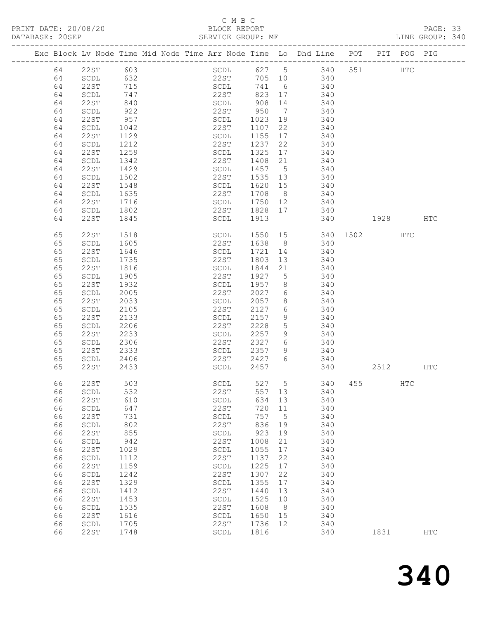## C M B C

| DATABASE: 20SEP |    |                                |                                                                                | SERVICE GROUP: MF          |                  |                 |                        |          |     | LINE GROUP: 340 |  |
|-----------------|----|--------------------------------|--------------------------------------------------------------------------------|----------------------------|------------------|-----------------|------------------------|----------|-----|-----------------|--|
|                 |    |                                | Exc Block Lv Node Time Mid Node Time Arr Node Time Lo Dhd Line POT PIT POG PIG |                            |                  |                 |                        |          |     |                 |  |
|                 | 64 |                                | 22ST 603                                                                       |                            |                  |                 | SCDL 627 5 340 551 HTC |          |     |                 |  |
|                 | 64 | SCDL 632                       |                                                                                | 22ST                       |                  |                 | 705 10 340             |          |     |                 |  |
|                 | 64 | 22ST                           | 715                                                                            |                            |                  |                 | SCDL 741 6 340         |          |     |                 |  |
|                 | 64 | SCDL                           |                                                                                |                            | 823 17           |                 | 340                    |          |     |                 |  |
|                 | 64 | 22ST                           | 747<br>840                                                                     | 22ST 823 17<br>SCDL 908 14 |                  |                 | 340                    |          |     |                 |  |
|                 |    |                                |                                                                                | 22ST 950 7                 |                  |                 |                        |          |     |                 |  |
|                 | 64 | SCDL                           | 922                                                                            |                            |                  |                 | 340                    |          |     |                 |  |
|                 | 64 | 22ST                           | 957                                                                            | SCDL                       | 1023             | 19              | 340                    |          |     |                 |  |
|                 | 64 | SCDL                           | 1042                                                                           | 22ST                       | 1107 22          |                 | 340                    |          |     |                 |  |
|                 | 64 | 22ST                           | 1129                                                                           | SCDL                       | 1155 17          |                 | 340                    |          |     |                 |  |
|                 | 64 | SCDL                           | 1212                                                                           | 22ST                       | 1237             | 22              | 340                    |          |     |                 |  |
|                 | 64 | 22ST                           | 1259                                                                           | SCDL                       | 1325             |                 | 17 340                 |          |     |                 |  |
|                 | 64 | SCDL                           | 1342                                                                           | 22ST                       | 1408 21          |                 | 340                    |          |     |                 |  |
|                 | 64 | 22ST                           | 1429                                                                           | SCDL                       | $\frac{1457}{5}$ |                 | 340                    |          |     |                 |  |
|                 | 64 | SCDL                           | 1502                                                                           | 22ST                       |                  |                 | 1535 13 340            |          |     |                 |  |
|                 | 64 | 22ST                           | 1548                                                                           | SCDL                       | 1620 15          |                 | 340                    |          |     |                 |  |
|                 | 64 | SCDL                           |                                                                                |                            | 1708 8           |                 | 340                    |          |     |                 |  |
|                 | 64 | 22ST                           | 1635<br>1716                                                                   | 22ST<br>SCDL               | 1750 12          |                 | 340                    |          |     |                 |  |
|                 |    |                                | 1802                                                                           |                            |                  |                 | 22ST 1828 17 340       |          |     |                 |  |
|                 | 64 | SCDL                           |                                                                                |                            |                  |                 |                        |          |     |                 |  |
|                 | 64 | 22ST                           | 1845                                                                           | SCDL 1913                  |                  |                 | 340 1928 HTC           |          |     |                 |  |
|                 | 65 | 22ST                           | 1518                                                                           | SCDL                       |                  |                 | 1550 15 340 1502 HTC   |          |     |                 |  |
|                 | 65 | SCDL                           | 1605                                                                           | 22ST                       |                  |                 | 1638 8 340             |          |     |                 |  |
|                 | 65 | 22ST                           | 1646                                                                           | SCDL                       | 1721             |                 | 14 340                 |          |     |                 |  |
|                 | 65 | SCDL                           | 1735                                                                           | 22ST                       | 1803             | 13              | 340                    |          |     |                 |  |
|                 | 65 | 22ST                           | 1816                                                                           | SCDL                       | 1844             | 21              | 340                    |          |     |                 |  |
|                 | 65 | SCDL                           | 1905                                                                           | 22ST                       |                  |                 | 1927 5 340             |          |     |                 |  |
|                 | 65 | 22ST                           | 1932                                                                           | SCDL 1957 8                |                  |                 | 340                    |          |     |                 |  |
|                 | 65 | SCDL                           | 2005                                                                           | 22ST                       | 2027             |                 | $6\overline{}$<br>340  |          |     |                 |  |
|                 | 65 | 22ST                           | 2033                                                                           | SCDL                       | 2057             | 8               | 340                    |          |     |                 |  |
|                 |    |                                |                                                                                |                            |                  |                 | 340                    |          |     |                 |  |
|                 | 65 | SCDL                           | 2105                                                                           | 22ST                       | 2127             | 6               |                        |          |     |                 |  |
|                 | 65 | 22ST                           | 2133                                                                           | SCDL                       | 2157             | 9               | 340                    |          |     |                 |  |
|                 | 65 | SCDL                           | 2206                                                                           | 22ST                       | 2228             | $5\overline{)}$ | 340                    |          |     |                 |  |
|                 | 65 | 22ST                           | 2233                                                                           | SCDL                       | 2257             | 9               | 340                    |          |     |                 |  |
|                 | 65 | SCDL                           | 2306                                                                           | 22ST                       | 2327 6           |                 | 340                    |          |     |                 |  |
|                 | 65 | 22ST                           | 2333                                                                           | SCDL 2357                  |                  | 9               | 340                    |          |     |                 |  |
|                 | 65 | SCDL                           | 2406                                                                           | 22ST                       | 2427             |                 | 6 340                  |          |     |                 |  |
|                 | 65 | 22ST                           | 2433                                                                           | SCDL                       | 2457             |                 | 340                    | 2512 HTC |     |                 |  |
|                 | 66 | 22ST                           | 503                                                                            | SCDL <sub>527</sub>        |                  |                 | 5 340 455              |          | HTC |                 |  |
|                 | 66 | SCDL                           | 532                                                                            | 22ST                       | 557              | 13              | 340                    |          |     |                 |  |
|                 | 66 | 22ST                           | 610                                                                            | SCDL                       | 634              | 13              | 340                    |          |     |                 |  |
|                 | 66 | SCDL                           | 647                                                                            | 22ST                       | 720              | 11              | 340                    |          |     |                 |  |
|                 | 66 | 22ST                           | 731                                                                            | SCDL                       | 757              | 5               | 340                    |          |     |                 |  |
|                 | 66 |                                | 802                                                                            | 22ST                       | 836              |                 | 340                    |          |     |                 |  |
|                 |    | SCDL                           |                                                                                |                            |                  | 19              |                        |          |     |                 |  |
|                 | 66 | 22ST                           | 855                                                                            | SCDL                       | 923              | 19              | 340                    |          |     |                 |  |
|                 | 66 | SCDL                           | 942                                                                            | 22ST                       | 1008             | 21              | 340                    |          |     |                 |  |
|                 | 66 | 22ST                           | 1029                                                                           | SCDL                       | 1055             | 17              | 340                    |          |     |                 |  |
|                 | 66 | SCDL                           | 1112                                                                           | 22ST                       | 1137             | 22              | 340                    |          |     |                 |  |
|                 | 66 | 22ST                           | 1159                                                                           | SCDL                       | 1225             | 17              | 340                    |          |     |                 |  |
|                 | 66 | SCDL                           | 1242                                                                           | 22ST                       | 1307             | 22              | 340                    |          |     |                 |  |
|                 | 66 | 22ST                           | 1329                                                                           | SCDL                       | 1355             | 17              | 340                    |          |     |                 |  |
|                 | 66 | $\operatorname{\mathsf{SCDL}}$ | 1412                                                                           | 22ST                       | 1440             | 13              | 340                    |          |     |                 |  |
|                 | 66 | 22ST                           | 1453                                                                           | SCDL                       | 1525             | 10              | 340                    |          |     |                 |  |
|                 |    |                                | 1535                                                                           | 22ST                       | 1608             | 8 <sup>8</sup>  | 340                    |          |     |                 |  |
|                 | 66 | SCDL                           |                                                                                |                            |                  |                 |                        |          |     |                 |  |
|                 | 66 | 22ST                           | 1616                                                                           | SCDL                       | 1650             | 15              | 340                    |          |     |                 |  |
|                 | 66 | SCDL                           | 1705                                                                           | 22ST                       | 1736             | 12              | 340                    |          |     |                 |  |
|                 | 66 | 22ST                           | 1748                                                                           | SCDL                       | 1816             |                 | 340                    | 1831     |     | HTC             |  |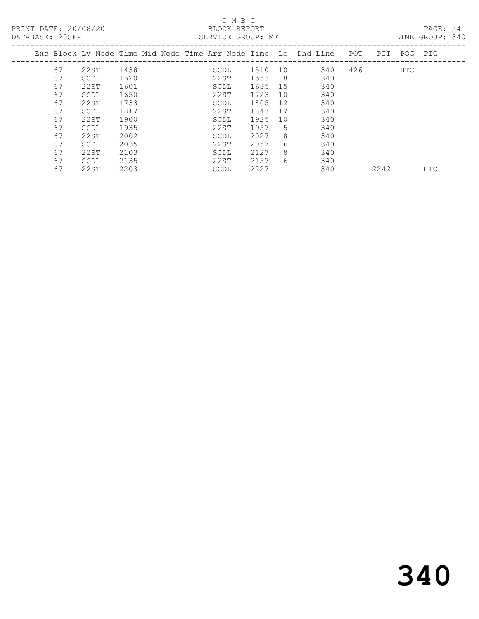# C M B C C M B C C M B C C M B C C M B C C M B C C M B C C M B C C M B C C M B C C M B C C M B C C M B C C M B C C M B C C M B C C M B C C M B C C M B C C M B C C M B C C M B C C M B C C M B C C M B C C M B C C M B C C M B

| DATABASE: 20SEP |    |      |      |  |      | SERVICE GROUP: MF |     |                                                                    |          |      |             | LINE GROUP: 340 |  |
|-----------------|----|------|------|--|------|-------------------|-----|--------------------------------------------------------------------|----------|------|-------------|-----------------|--|
|                 |    |      |      |  |      |                   |     | Exc Block Lv Node Time Mid Node Time Arr Node Time Lo Dhd Line POT |          |      | PIT POG PIG |                 |  |
|                 | 67 | 22ST | 1438 |  | SCDL | 1510              | 10  |                                                                    | 340 1426 |      | HTC         |                 |  |
|                 | 67 | SCDL | 1520 |  | 22ST | 1553              | - 8 | 340                                                                |          |      |             |                 |  |
|                 | 67 | 22ST | 1601 |  | SCDL | 1635              | 15  | 340                                                                |          |      |             |                 |  |
|                 | 67 | SCDL | 1650 |  | 22ST | 1723              | 10  | 340                                                                |          |      |             |                 |  |
|                 | 67 | 22ST | 1733 |  | SCDL | 1805              | 12  | 340                                                                |          |      |             |                 |  |
|                 | 67 | SCDL | 1817 |  | 22ST | 1843              | 17  | 340                                                                |          |      |             |                 |  |
|                 | 67 | 22ST | 1900 |  | SCDL | 1925              | 10  | 340                                                                |          |      |             |                 |  |
|                 | 67 | SCDL | 1935 |  | 22ST | 1957              | 5   | 340                                                                |          |      |             |                 |  |
|                 | 67 | 22ST | 2002 |  | SCDL | 2027              | 8   | 340                                                                |          |      |             |                 |  |
|                 | 67 | SCDL | 2035 |  | 22ST | 2057              | 6   | 340                                                                |          |      |             |                 |  |
|                 | 67 | 22ST | 2103 |  | SCDL | 2127              | 8   | 340                                                                |          |      |             |                 |  |
|                 | 67 | SCDL | 2135 |  | 22ST | 2157              | 6   | 340                                                                |          |      |             |                 |  |
|                 | 67 | 22ST | 2203 |  | SCDL | 2227              |     | 340                                                                |          | 2242 |             | <b>HTC</b>      |  |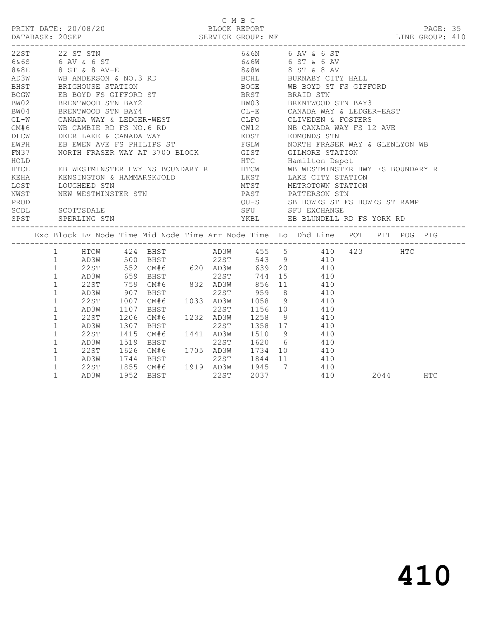C M B C PRINT DATE: 20/08/20 BLOCK REPORT PAGE: 35 DATABASE: 20SEP SERVICE GROUP: MF LINE GROUP: 410 ------------------------------------------------------------------------------------------------- 22ST 22 ST STN 6&6N 6 AV & 6 ST 6&6S 6 AV & 6 ST 6&6W 6 ST & 6 AV 8&8E 8 ST & 8 AV-E 8 and 8 ST & 8 AV 8 ST & 8 AV AD3W WB ANDERSON & NO.3 RD BCHL BURNABY CITY HALL BHST BRIGHOUSE STATION BOGE WB BOYD ST FS GIFFORD<br>BOGW EB BOYD FS GIFFORD ST BRST BRAID STN<br>BW02 BRENTWOOD STN BAY2 BW03 BRENTWOOD STN BAY3 BOGW BEB BOYD FS GIFFORD ST BRST BW02 BRENTWOOD STN BAY2 BW03 BW04 BRENTWOOD STN BAY4 CL-E BW04 BRENTWOOD STN BAY4 CL-E CANADA WAY & LEDGER-EAST CL-W CANADA WAY & LEDGER-WEST CLFO CLIVEDEN & FOSTERS CM#6 WB CAMBIE RD FS NO.6 RD CW12 NB CANADA WAY FS 12 AVE DLCW DEER LAKE & CANADA WAY EDST EDMONDS STN EWPH EB EWEN AVE FS PHILIPS ST FGLW NORTH FRASER WAY & GLENLYON WB FN37 MORTH FRASER WAY AT 3700 BLOCK GIST GILMORE STATION HOLD HTC Hamilton Depot HTCE EB WESTMINSTER HWY NS BOUNDARY R HTCW WB WESTMINSTER HWY FS BOUNDARY R KEHA KENSINGTON & HAMMARSKJOLD LKST LAKE CITY STATION LOST LOUGHEED STN MTST METROTOWN STATION NWST NEW WESTMINSTER STN PAST PATTERSON STN PROD BE EXAMPLE TO A RESERVE THE SERVICE STATES OUT-SALLO SERVE STATES STAR FS HOWES ST RAMP SCDL SCOTTSDALE SFU SFU EXCHANGE SPST SPERLING STN YKBL EB BLUNDELL RD FS YORK RD ------------------------------------------------------------------------------------------------- Exc Block Lv Node Time Mid Node Time Arr Node Time Lo Dhd Line POT PIT POG PIG ------------------------------------------------------------------------------------------------- 1 HTCW 424 BHST AD3W 455 5 410 423 HTC 1 AD3W 500 BHST 22ST 543 9 410 1 22ST 552 CM#6 620 AD3W 639 20 410 1 AD3W 659 BHST 22ST 744 15 410 1 22ST 759 CM#6 832 AD3W 856 11 410 1 AD3W 907 BHST 22ST 959 8 410 1 22ST 1007 CM#6 1033 AD3W 1058 9 410 1 AD3W 1107 BHST 22ST 1156 10 410 1 22ST 1206 CM#6 1232 AD3W 1258 9 410 1 AD3W 1307 BHST 22ST 1358 17 410 1 22ST 1415 CM#6 1441 AD3W 1510 9 410 1 AD3W 1519 BHST 22ST 1620 6 410 1 22ST 1626 CM#6 1705 AD3W 1734 10 410 1 AD3W 1744 BHST 22ST 1844 11 410 1 22ST 1855 CM#6 1919 AD3W 1945 7 410

1 AD3W 1952 BHST 22ST 2037 410 2044 HTC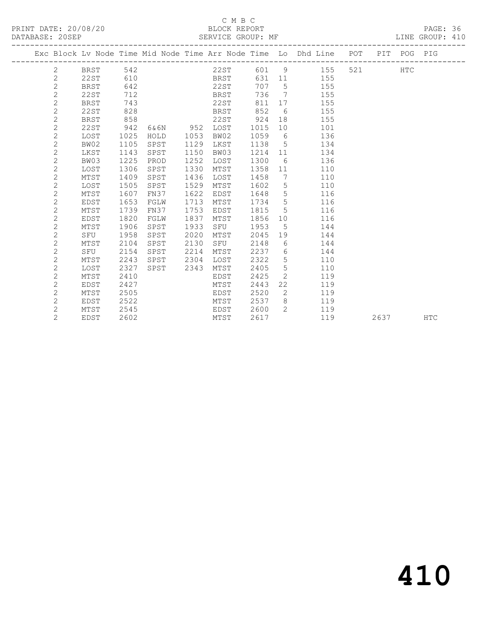### C M B C<br>BLOCK REPORT

LINE GROUP: 410

|                |             |      |      |      |      |      |                 | Exc Block Lv Node Time Mid Node Time Arr Node Time Lo Dhd Line POT PIT POG PIG |     |      |     |            |
|----------------|-------------|------|------|------|------|------|-----------------|--------------------------------------------------------------------------------|-----|------|-----|------------|
| 2              | BRST        | 542  |      |      | 22ST |      |                 | 601 9<br>155                                                                   | 521 |      | HTC |            |
| $\mathbf{2}$   | 22ST        | 610  |      |      | BRST |      | 631 11          | 155                                                                            |     |      |     |            |
| $\mathbf{2}$   | BRST        | 642  |      |      | 22ST | 707  | $5^{\circ}$     | 155                                                                            |     |      |     |            |
| $\overline{c}$ | 22ST        | 712  |      |      | BRST | 736  | $\overline{7}$  | 155                                                                            |     |      |     |            |
| $\overline{c}$ | <b>BRST</b> | 743  |      |      | 22ST | 811  | 17              | 155                                                                            |     |      |     |            |
| $\mathbf{2}$   | <b>22ST</b> | 828  |      |      | BRST | 852  | 6               | 155                                                                            |     |      |     |            |
| $\mathbf{2}$   | <b>BRST</b> | 858  |      |      | 22ST | 924  | 18              | 155                                                                            |     |      |     |            |
| $\mathbf{2}$   | 22ST        | 942  | 6&6N | 952  | LOST | 1015 | 10              | 101                                                                            |     |      |     |            |
| $\overline{c}$ | LOST        | 1025 | HOLD | 1053 | BW02 | 1059 | 6               | 136                                                                            |     |      |     |            |
| $\mathbf{2}$   | BW02        | 1105 | SPST | 1129 | LKST | 1138 | $5^{\circ}$     | 134                                                                            |     |      |     |            |
| 2              | LKST        | 1143 | SPST | 1150 | BW03 | 1214 | 11              | 134                                                                            |     |      |     |            |
| $\mathbf{2}$   | BW03        | 1225 | PROD | 1252 | LOST | 1300 | 6               | 136                                                                            |     |      |     |            |
| $\mathbf{2}$   | LOST        | 1306 | SPST | 1330 | MTST | 1358 | 11              | 110                                                                            |     |      |     |            |
| $\overline{c}$ | MTST        | 1409 | SPST | 1436 | LOST | 1458 | 7               | 110                                                                            |     |      |     |            |
| $\mathbf{2}$   | LOST        | 1505 | SPST | 1529 | MTST | 1602 | 5               | 110                                                                            |     |      |     |            |
| $\mathbf{2}$   | MTST        | 1607 | FN37 | 1622 | EDST | 1648 | $5\phantom{.0}$ | 116                                                                            |     |      |     |            |
| $\mathbf{2}$   | EDST        | 1653 | FGLW | 1713 | MTST | 1734 | $5\phantom{.0}$ | 116                                                                            |     |      |     |            |
| $\overline{c}$ | MTST        | 1739 | FN37 | 1753 | EDST | 1815 | 5               | 116                                                                            |     |      |     |            |
| $\overline{c}$ | <b>EDST</b> | 1820 | FGLW | 1837 | MTST | 1856 | 10              | 116                                                                            |     |      |     |            |
| $\mathbf{2}$   | MTST        | 1906 | SPST | 1933 | SFU  | 1953 | 5               | 144                                                                            |     |      |     |            |
| $\mathbf{2}$   | SFU         | 1958 | SPST | 2020 | MTST | 2045 | 19              | 144                                                                            |     |      |     |            |
| $\mathbf{2}$   | MTST        | 2104 | SPST | 2130 | SFU  | 2148 | 6               | 144                                                                            |     |      |     |            |
| $\overline{c}$ | SFU         | 2154 | SPST | 2214 | MTST | 2237 | 6               | 144                                                                            |     |      |     |            |
| $\overline{c}$ | MTST        | 2243 | SPST | 2304 | LOST | 2322 | $5\phantom{.0}$ | 110                                                                            |     |      |     |            |
| 2              | LOST        | 2327 | SPST | 2343 | MTST | 2405 | 5               | 110                                                                            |     |      |     |            |
| $\mathbf{2}$   | MTST        | 2410 |      |      | EDST | 2425 | 2               | 119                                                                            |     |      |     |            |
| $\mathbf{2}$   | EDST        | 2427 |      |      | MTST | 2443 | 22              | 119                                                                            |     |      |     |            |
| $\overline{c}$ | MTST        | 2505 |      |      | EDST | 2520 | 2               | 119                                                                            |     |      |     |            |
| $\mathbf{2}$   | EDST        | 2522 |      |      | MTST | 2537 | 8               | 119                                                                            |     |      |     |            |
| 2              | MTST        | 2545 |      |      | EDST | 2600 | $\overline{2}$  | 119                                                                            |     |      |     |            |
| $\overline{2}$ | EDST        | 2602 |      |      | MTST | 2617 |                 | 119                                                                            |     | 2637 |     | <b>HTC</b> |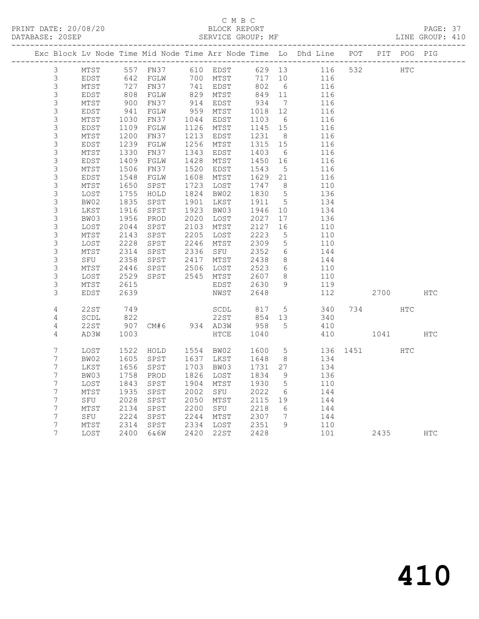### C M B C<br>BLOCK REPORT

PAGE: 37<br>LINE GROUP: 410

|                  |      |             |                       |      |                       |                 |                 | Exc Block Lv Node Time Mid Node Time Arr Node Time Lo Dhd Line POT PIT POG PIG |          |     |            |
|------------------|------|-------------|-----------------------|------|-----------------------|-----------------|-----------------|--------------------------------------------------------------------------------|----------|-----|------------|
| $\mathcal{S}$    | MTST |             |                       |      |                       |                 |                 | 557 FN37 610 EDST 629 13 116 532                                               | HTC      |     |            |
| $\mathfrak{Z}$   | EDST |             |                       |      |                       |                 | 717 10          |                                                                                |          |     |            |
| $\mathsf S$      | MTST |             | 642 FGLW<br>727 FN37  |      | 700 MTST<br>741 EDST  |                 | 802 6           | 116<br>116                                                                     |          |     |            |
| $\mathfrak{Z}$   | EDST | 808<br>900  | FGLW                  |      | 829 MTST<br>914 EDST  | 849 11<br>934 7 |                 | 116                                                                            |          |     |            |
| $\mathsf 3$      | MTST |             | FN37                  |      |                       |                 |                 | 116                                                                            |          |     |            |
| $\mathsf 3$      | EDST |             | FGLW                  | 959  | MTST                  | 1018            | 12              | 116                                                                            |          |     |            |
| $\mathsf S$      | MTST | 941<br>1030 | FN37                  | 1044 | EDST                  | 1103            | 6               | 116                                                                            |          |     |            |
| $\mathsf S$      | EDST | 1109        | FGLW                  |      | 1126 MTST             | 1145 15         |                 | 116                                                                            |          |     |            |
| $\mathsf 3$      | MTST | 1200        | FN37                  | 1213 | EDST                  | 1231            | 8 <sup>8</sup>  | 116                                                                            |          |     |            |
| $\mathsf S$      | EDST | 1239        | FGLW                  | 1256 | MTST                  | 1315 15         |                 | 116                                                                            |          |     |            |
| $\mathsf 3$      | MTST | 1330        | FN37                  | 1343 | EDST                  | 1403            | 6               | 116                                                                            |          |     |            |
| $\mathsf S$      | EDST | 1409        | FGLW                  | 1428 | MTST                  | 1450            | 16              | 116                                                                            |          |     |            |
| $\mathsf S$      | MTST | 1506        | FN37                  | 1520 | EDST                  | 1543            | $5^{\circ}$     | 116                                                                            |          |     |            |
| $\mathsf S$      | EDST | 1548        | FGLW                  | 1608 | MTST                  | 1629 21         |                 | 116                                                                            |          |     |            |
| $\mathsf 3$      | MTST | 1650        | SPST                  | 1723 | LOST                  | 1747 8          |                 | 110                                                                            |          |     |            |
| $\mathfrak{Z}$   | LOST | 1755        | HOLD                  | 1824 | BW02                  | 1830            | $5\overline{)}$ | 136                                                                            |          |     |            |
| 3                | BW02 | 1835        | SPST                  | 1901 | LKST                  | 1911            | $5^{\circ}$     | 134                                                                            |          |     |            |
| $\mathsf S$      | LKST | 1916        | SPST                  | 1923 | BW03                  | 1946            | 10              | 134                                                                            |          |     |            |
| $\mathsf S$      | BW03 | 1956        | PROD                  | 2020 | LOST                  | 2027            | 17              | 136                                                                            |          |     |            |
| $\mathsf 3$      | LOST | 2044        | SPST                  | 2103 | MTST                  | 2127            | 16              | 110                                                                            |          |     |            |
| 3                | MTST | 2143        | SPST                  | 2205 | LOST                  | 2223            | $5^{\circ}$     | 110                                                                            |          |     |            |
| 3                | LOST | 2228        | SPST                  |      | 2246 MTST<br>2336 SFU | 2309            | $5^{\circ}$     | 110                                                                            |          |     |            |
| $\mathsf S$      | MTST | 2314        | SPST                  |      |                       | 2352            | $6\overline{6}$ | 144                                                                            |          |     |            |
| $\mathsf S$      | SFU  | 2358        | SPST                  | 2417 | MTST                  | 2438            | 8 <sup>8</sup>  | 144                                                                            |          |     |            |
| $\mathfrak{Z}$   | MTST | 2446        | SPST                  |      | 2506 LOST             | 2523            | $6\overline{6}$ | 110                                                                            |          |     |            |
| 3                | LOST | 2529        | SPST                  |      | 2545 MTST             | 2607            | 8 <sup>8</sup>  | 110                                                                            |          |     |            |
| 3                | MTST | 2615        |                       |      | EDST                  | 2630<br>2648    | 9               | 119                                                                            |          |     |            |
| 3                | EDST | 2639        |                       |      | NWST                  | 2648            |                 | 112                                                                            | 2700 HTC |     |            |
| 4                | 22ST | 749         |                       |      | SCDL                  | 817             |                 | 5 340                                                                          | 734      | HTC |            |
| 4                | SCDL | 822         |                       |      | 22ST                  | 854 13          |                 | 340                                                                            |          |     |            |
| 4                | 22ST | 907         | 22ST<br>CM#6 934 AD3W |      |                       | 958 5           |                 | 410                                                                            |          |     |            |
| 4                | AD3W | 1003        |                       |      | HTCE                  | 1040            |                 | 410                                                                            | 1041     |     | <b>HTC</b> |
| 7                | LOST | 1522        | HOLD                  |      | 1554 BW02             | 1600            | $5^{\circ}$     | 136                                                                            | 1451 \   | HTC |            |
| 7                | BW02 | 1605        | SPST                  |      | 1637 LKST             | 1648            | 8 <sup>8</sup>  | 134                                                                            |          |     |            |
| $\overline{7}$   | LKST | 1656        | SPST                  | 1703 | BW03                  | 1731            | 27              | 134                                                                            |          |     |            |
| 7                | BW03 | 1758        | PROD                  | 1826 | LOST                  | 1834            | 9               | 136                                                                            |          |     |            |
| $\boldsymbol{7}$ | LOST | 1843        | SPST                  | 1904 | MTST                  | 1930            | $5^{\circ}$     | 110                                                                            |          |     |            |
| $\overline{7}$   | MTST | 1935        | SPST                  | 2002 | SFU                   | 2022            | 6               | 144                                                                            |          |     |            |
| $\overline{7}$   | SFU  | 2028        | SPST                  | 2050 | MTST                  | 2115 19         |                 | 144                                                                            |          |     |            |
| $\overline{7}$   | MTST | 2134        | SPST                  | 2200 | SFU                   | 2218 6          |                 | 144                                                                            |          |     |            |
| $\overline{7}$   | SFU  | 2224        | SPST                  | 2244 | MTST                  | 2307 7          |                 | 144                                                                            |          |     |            |
| $\overline{7}$   | MTST | 2314        | SPST                  |      | 2334 LOST             | 2351            | 9               | 110                                                                            |          |     |            |
| 7                | LOST | 2400        | 6&6W                  |      | 2420 22ST             | 2428            |                 | 101                                                                            | 2435     |     | <b>HTC</b> |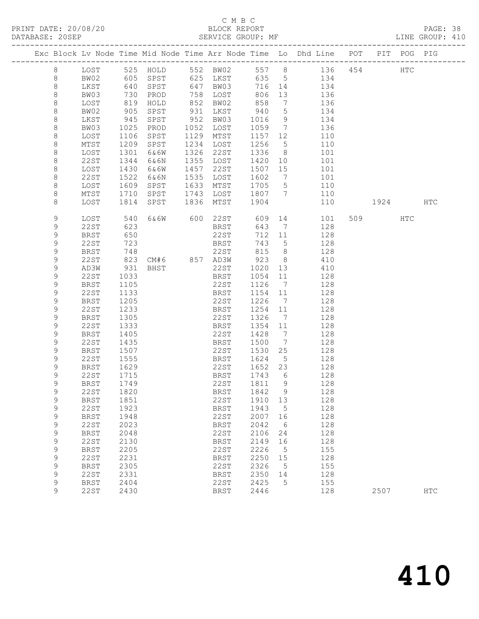### C M B C<br>BLOCK REPORT

PAGE: 38<br>LINE GROUP: 410

|  |             |              |              |               |      |               |              |                      | Exc Block Lv Node Time Mid Node Time Arr Node Time Lo Dhd Line POT |         | PIT POG PIG |            |
|--|-------------|--------------|--------------|---------------|------|---------------|--------------|----------------------|--------------------------------------------------------------------|---------|-------------|------------|
|  | 8           | LOST         |              |               |      |               |              |                      |                                                                    |         | HTC         |            |
|  | 8           | BW02         |              |               |      |               |              |                      |                                                                    |         |             |            |
|  | 8           | LKST         | 640          | SPST          |      | 647 BW03      | 716 14       |                      | 134                                                                |         |             |            |
|  | $\,8\,$     | BW03         | 730          | PROD          |      | 758 LOST      | 806          | 13                   | 136                                                                |         |             |            |
|  | 8           | LOST         | 819          | HOLD          | 852  | BW02          | 858          | $\overline{7}$       | 136                                                                |         |             |            |
|  | $\,8\,$     | BW02         | 905          | SPST          |      | 931 LKST      | 940          | $5\overline{)}$      | 134                                                                |         |             |            |
|  | 8           | LKST         | 945          | SPST          | 952  | BW03          | 1016         | 9                    | 134                                                                |         |             |            |
|  | $\,8\,$     | BW03         | 1025         | PROD          | 1052 | LOST          | 1059         | $\overline{7}$       | 136                                                                |         |             |            |
|  | $\,8\,$     | LOST         | 1106         | SPST          | 1129 | MTST          | 1157         | 12                   | 110                                                                |         |             |            |
|  | $\,8\,$     | MTST         | 1209         | SPST          | 1234 | LOST          | 1256         | $5^{\circ}$          | 110                                                                |         |             |            |
|  | 8           | LOST         | 1301         | 6&6W          | 1326 | 22ST          | 1336         | 8 <sup>8</sup>       | 101                                                                |         |             |            |
|  | 8           | 22ST         | 1344         | 6&6N          | 1355 | LOST          | 1420         | 10                   | 101                                                                |         |             |            |
|  | 8           | LOST         | 1430         | 6&6W          | 1457 | 22ST          | 1507         | 15                   | 101                                                                |         |             |            |
|  | $\,8\,$     | 22ST         | 1522         | 6&6N          | 1535 | LOST          | 1602         | $\overline{7}$       | 101                                                                |         |             |            |
|  | 8           | LOST         | 1609         | SPST          | 1633 | MTST          | 1705         | $5^{\circ}$          | 110                                                                |         |             |            |
|  | 8           | MTST         | 1710         | SPST          | 1743 | LOST          | 1807         | $7\overline{ }$      | 110                                                                |         |             |            |
|  | 8           | LOST         | 1814         | SPST          | 1836 | MTST          | 1904         |                      | 110                                                                | 1924    |             | HTC        |
|  | 9           | LOST         | 540          |               |      | 6&6W 600 22ST | 609          |                      | 14<br>101                                                          | 509 HTC |             |            |
|  | 9           | 22ST         | 623          |               |      | BRST          | 643          | 7                    | 128                                                                |         |             |            |
|  | 9           | <b>BRST</b>  | 650          |               |      | 22ST          | 712          | 11                   | 128                                                                |         |             |            |
|  | 9           | 22ST         | 723          |               |      | BRST          | 743          | $5^{\circ}$          | 128                                                                |         |             |            |
|  | 9           | <b>BRST</b>  | 748          |               |      | 22ST          | 815          | 8 <sup>8</sup>       | 128                                                                |         |             |            |
|  | 9           | 22ST         | 823          | CM#6 857 AD3W |      |               | 923          | 8 <sup>8</sup>       | 410                                                                |         |             |            |
|  | 9           | AD3W         | 931          | BHST          |      | 22ST          | 1020         | 13                   | 410                                                                |         |             |            |
|  | 9           | 22ST         | 1033         |               |      | BRST          | 1054         | 11                   | 128                                                                |         |             |            |
|  | 9           | BRST         | 1105         |               |      | 22ST          | 1126         | $\overline{7}$       | 128                                                                |         |             |            |
|  | 9           | 22ST         | 1133         |               |      | BRST          | 1154         | 11                   | 128                                                                |         |             |            |
|  | 9           | BRST         | 1205         |               |      | 22ST          | 1226         | $\overline{7}$       | 128                                                                |         |             |            |
|  | 9           | 22ST         | 1233         |               |      | BRST          | 1254         | 11                   | 128                                                                |         |             |            |
|  | 9<br>9      | <b>BRST</b>  | 1305         |               |      | 22ST          | 1326<br>1354 | $\overline{7}$<br>11 | 128                                                                |         |             |            |
|  | 9           | 22ST<br>BRST | 1333<br>1405 |               |      | BRST<br>22ST  | 1428         | $\overline{7}$       | 128<br>128                                                         |         |             |            |
|  | 9           | 22ST         | 1435         |               |      | BRST          | 1500         | $\overline{7}$       | 128                                                                |         |             |            |
|  | 9           | <b>BRST</b>  | 1507         |               |      | 22ST          | 1530         | 25                   | 128                                                                |         |             |            |
|  | 9           | 22ST         | 1555         |               |      | BRST          | 1624         | $5\overline{)}$      | 128                                                                |         |             |            |
|  | 9           | <b>BRST</b>  | 1629         |               |      | 22ST          | 1652 23      |                      | 128                                                                |         |             |            |
|  | 9           | 22ST         | 1715         |               |      | BRST          | 1743         | 6                    | 128                                                                |         |             |            |
|  | 9           | <b>BRST</b>  | 1749         |               |      | 22ST          | 1811 9       |                      | 128                                                                |         |             |            |
|  | 9           | 22ST 1820    |              |               |      | BRST 1842 9   |              |                      | 128                                                                |         |             |            |
|  | 9           | BRST         | 1851         |               |      | 22ST          | 1910         | 13                   | 128                                                                |         |             |            |
|  | $\mathsf 9$ | <b>22ST</b>  | 1923         |               |      | <b>BRST</b>   | 1943         | 5                    | 128                                                                |         |             |            |
|  | $\mathsf 9$ | <b>BRST</b>  | 1948         |               |      | 22ST          | 2007         | 16                   | 128                                                                |         |             |            |
|  | $\mathsf 9$ | <b>22ST</b>  | 2023         |               |      | BRST          | 2042         | 6                    | 128                                                                |         |             |            |
|  | 9           | <b>BRST</b>  | 2048         |               |      | 22ST          | 2106         | 24                   | 128                                                                |         |             |            |
|  | 9           | <b>22ST</b>  | 2130         |               |      | <b>BRST</b>   | 2149         | 16                   | 128                                                                |         |             |            |
|  | 9           | <b>BRST</b>  | 2205         |               |      | 22ST          | 2226         | 5                    | 155                                                                |         |             |            |
|  | $\mathsf 9$ | 22ST         | 2231         |               |      | BRST          | 2250         | 15                   | 128                                                                |         |             |            |
|  | 9           | <b>BRST</b>  | 2305         |               |      | 22ST          | 2326         | 5                    | 155                                                                |         |             |            |
|  | 9           | <b>22ST</b>  | 2331         |               |      | <b>BRST</b>   | 2350         | 14                   | 128                                                                |         |             |            |
|  | 9           | <b>BRST</b>  | 2404         |               |      | 22ST          | 2425         | 5                    | 155                                                                |         |             |            |
|  | 9           | <b>22ST</b>  | 2430         |               |      | <b>BRST</b>   | 2446         |                      | 128                                                                | 2507    |             | <b>HTC</b> |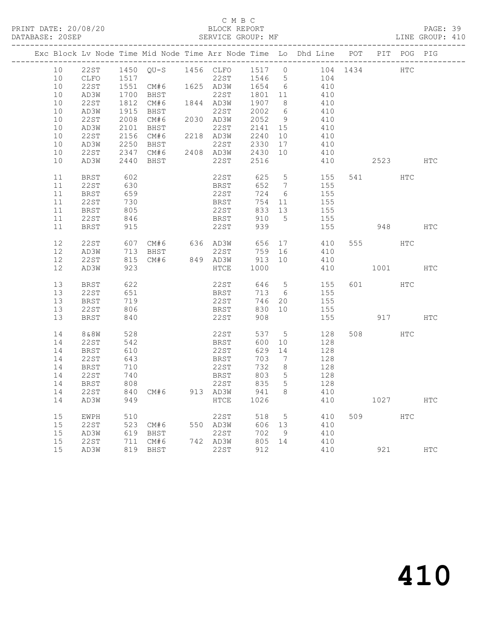### C M B C<br>BLOCK REPORT

PAGE: 39<br>LINE GROUP: 410

|  |    |                  |            |          | Exc Block Lv Node Time Mid Node Time Arr Node Time Lo Dhd Line POT |         |                 |                 |     |          | PIT POG PIG |            |
|--|----|------------------|------------|----------|--------------------------------------------------------------------|---------|-----------------|-----------------|-----|----------|-------------|------------|
|  | 10 |                  |            |          | 22ST 1450 QU-S 1456 CLFO 1517 0 104 1434 HTC                       |         |                 |                 |     |          |             |            |
|  | 10 | CLFO             | 1517       |          |                                                                    |         |                 | 22ST 1546 5 104 |     |          |             |            |
|  | 10 | 22ST             |            |          | 1551 CM#6 1625 AD3W 1654 6                                         |         |                 | 410             |     |          |             |            |
|  | 10 | AD3W             | 1700       | BHST     | 22ST                                                               | 1801 11 |                 | 410             |     |          |             |            |
|  | 10 | 22ST             | 1812       | CM#6     | 1844 AD3W                                                          | 1907 8  |                 | 410             |     |          |             |            |
|  | 10 |                  | 1915       | BHST     | 22ST                                                               | 2002 6  |                 | 410             |     |          |             |            |
|  |    | AD3W             |            |          | 2030 AD3W                                                          | 2052 9  |                 |                 |     |          |             |            |
|  | 10 | 22ST             | 2008       | CM#6     |                                                                    |         |                 | 410             |     |          |             |            |
|  | 10 | AD3W             | 2101       |          | 22ST                                                               | 2141 15 |                 | 410             |     |          |             |            |
|  | 10 | 22ST             | 2156       |          | 2218 AD3W 2240 10<br>22ST 2330 17                                  |         |                 | 410             |     |          |             |            |
|  | 10 | AD3W             | 2250       | BHST     |                                                                    |         |                 | 410             |     |          |             |            |
|  | 10 | 22ST             |            |          | 2347 CM#6 2408 AD3W 2430 10                                        |         |                 | 410             |     |          |             |            |
|  | 10 | AD3W             | 2440       | BHST     | 22ST                                                               | 2516    |                 | 410             |     | 2523 HTC |             |            |
|  | 11 | BRST             | 602        |          | 22ST                                                               | 625 5   |                 |                 | 155 | 541 HTC  |             |            |
|  | 11 | 22ST             | 630        |          | <b>BRST</b>                                                        | 652 7   |                 | 155             |     |          |             |            |
|  | 11 | BRST             | 659        |          | 22ST                                                               | 724 6   |                 | 155             |     |          |             |            |
|  | 11 | 22ST             |            |          |                                                                    | 754 11  |                 | 155             |     |          |             |            |
|  | 11 | BRST             | 730<br>805 |          | BRST<br>22ST                                                       | 833 13  |                 | 155             |     |          |             |            |
|  | 11 | 22ST             | 846        |          | <b>BRST</b>                                                        | 910 5   |                 | 155             |     |          |             |            |
|  | 11 | BRST             | 915        |          | 22ST                                                               | 939     |                 | 155             |     | 948      |             | <b>HTC</b> |
|  |    |                  |            |          |                                                                    |         |                 |                 |     |          |             |            |
|  | 12 | 22ST             | 607        |          | CM#6 636 AD3W                                                      |         |                 | 656 17 410      |     | 555 HTC  |             |            |
|  | 12 | AD3W             | 713        | BHST     | 22ST                                                               | 759 16  |                 | 410             |     |          |             |            |
|  | 12 | 22ST             | 815        | CM#6     | 849 AD3W 913 10                                                    |         |                 | 410             |     |          |             |            |
|  | 12 | AD3W             | 923        |          | HTCE                                                               | 1000    |                 | 410             |     | 1001     |             | <b>HTC</b> |
|  |    |                  |            |          | 22ST                                                               |         |                 | 646 5           |     |          |             |            |
|  | 13 | BRST             | 622        |          |                                                                    |         |                 |                 | 155 | 601 HTC  |             |            |
|  | 13 | 22 S T           | 651        |          | <b>BRST</b>                                                        | 713 6   |                 | 155             |     |          |             |            |
|  | 13 | <b>BRST</b>      | 719        |          | 22ST                                                               | 746 20  |                 | 155             |     |          |             |            |
|  | 13 | 22ST             | 806        |          | BRST                                                               | 830 10  |                 | 155             |     |          |             |            |
|  | 13 | BRST             | 840        |          | 22ST                                                               | 908     |                 | 155             |     |          | 917 — 10    | HTC        |
|  | 14 | 8&8W             | 528        |          | 22ST                                                               | 537 5   |                 |                 | 128 | 508 30   | HTC         |            |
|  | 14 | 22ST             | 542        |          | BRST                                                               | 600     | 10              | 128             |     |          |             |            |
|  | 14 | BRST             | 610        |          | 22ST                                                               | 629     | 14              | 128             |     |          |             |            |
|  | 14 | 22ST             | 643        |          | BRST                                                               | 703     | $\overline{7}$  | 128             |     |          |             |            |
|  | 14 | BRST             | 710        |          | 22ST                                                               | 732     | 8 <sup>8</sup>  | 128             |     |          |             |            |
|  | 14 | 22ST             | 740        |          | BRST                                                               | 803     | $5\overline{)}$ | 128             |     |          |             |            |
|  | 14 | BRST             | 808        |          | 22ST                                                               | 835     | 5               | 128             |     |          |             |            |
|  |    | 14 22ST 840 CM#6 |            |          | 913 AD3W                                                           | 941 8   |                 | 410             |     |          |             |            |
|  | 14 | AD3W             | 949        |          | HTCE                                                               | 1026    |                 | 410             |     | 1027     |             | <b>HTC</b> |
|  | 15 |                  | 510        |          | 22ST                                                               | 518     | $5\overline{)}$ | 410             |     | 509      | HTC         |            |
|  | 15 | EWPH<br>22ST     | 523        |          |                                                                    | 606 13  |                 | 410             |     |          |             |            |
|  | 15 |                  |            | CM#6     | 550 AD3W<br>22ST                                                   |         |                 | 410             |     |          |             |            |
|  |    | AD3W             | 619        | BHST     |                                                                    | 702     | - 9             |                 |     |          |             |            |
|  | 15 | 22ST             | 711        | CM#6     | 742 AD3W                                                           | 805     | 14              | 410             |     |          |             |            |
|  | 15 | AD3W             |            | 819 BHST | 22ST                                                               | 912     |                 | 410             |     | 921      |             | HTC        |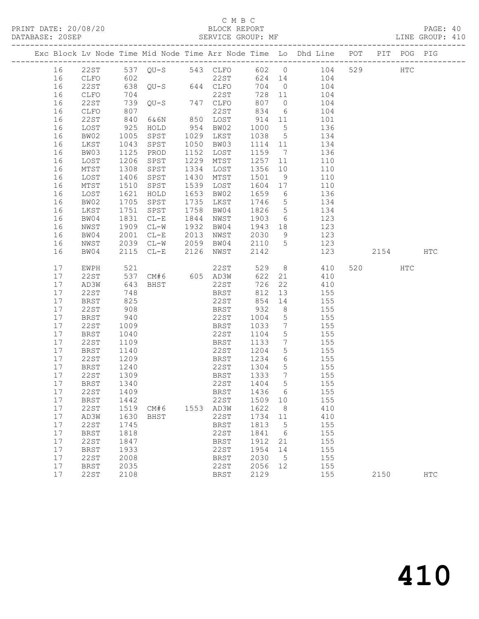### C M B C<br>BLOCK REPORT

SERVICE GROUP: MF

|  |          |                     |              |                   |      |                       |              |                              | Exc Block Lv Node Time Mid Node Time Arr Node Time Lo Dhd Line POT |         | PIT POG PIG |            |
|--|----------|---------------------|--------------|-------------------|------|-----------------------|--------------|------------------------------|--------------------------------------------------------------------|---------|-------------|------------|
|  | 16       |                     |              |                   |      |                       |              |                              | 22ST 537 QU-S 543 CLFO 602 0 104                                   | 529     | HTC         |            |
|  | 16       | CLFO                | 602          |                   |      | 22ST                  |              |                              | 624 14 104                                                         |         |             |            |
|  | 16       | 22ST                |              |                   |      | $638$ QU-S $644$ CLFO | 704          |                              | $0$ 104                                                            |         |             |            |
|  | 16       | CLFO                | 704          |                   |      | 22ST                  | 728 11       |                              | 104                                                                |         |             |            |
|  | 16       | 22ST                | 739          | $QU-S$ 747 $CLFO$ |      |                       | 807 0        |                              | 104                                                                |         |             |            |
|  | 16       | CLFO                | 807          |                   |      | 22ST                  | 834          | 6                            | 104                                                                |         |             |            |
|  | 16       | 22ST                | 840          | 6&6N              |      | 850 LOST              | 914 11       |                              | 101                                                                |         |             |            |
|  | 16       | LOST                | 925          | HOLD              | 954  | BW02                  | 1000 5       |                              | 136                                                                |         |             |            |
|  | 16       | BW02                | 1005         | SPST              |      | 1029 LKST             | 1038 5       |                              | 134                                                                |         |             |            |
|  | 16       | LKST                | 1043         | SPST              |      | 1050 BW03             | 1114 11      |                              | 134                                                                |         |             |            |
|  | 16       | BW03                | 1125         | PROD              |      | 1152 LOST             | 1159         | $7\phantom{0}$               | 136                                                                |         |             |            |
|  | 16       | LOST                | 1206         | SPST              | 1229 | MTST                  | 1257         | 11                           | 110                                                                |         |             |            |
|  | 16       | MTST                | 1308         | SPST              |      | 1334 LOST             | 1356 10      |                              | 110                                                                |         |             |            |
|  | 16       | LOST                | 1406         | SPST              | 1430 | MTST                  | 1501         | 9                            | 110                                                                |         |             |            |
|  | 16       | MTST                | 1510         | SPST              | 1539 | LOST                  | 1604 17      |                              | 110                                                                |         |             |            |
|  | 16       | LOST                | 1621         | HOLD              | 1653 | BW02<br>1735 LKST     | 1659         | $6\overline{6}$              | 136<br>134                                                         |         |             |            |
|  | 16       | BW02                | 1705<br>1751 | SPST              | 1758 |                       | 1746<br>1826 | $5\overline{)}$              | 134                                                                |         |             |            |
|  | 16<br>16 | LKST<br>BW04        | 1831         | SPST<br>$CL-E$    | 1844 | BW04<br>NWST          | 1903         | $5\overline{)}$<br>6         | 123                                                                |         |             |            |
|  | 16       | NWST                | 1909         | $CL-W$            | 1932 | BW04                  | 1943 18      |                              | 123                                                                |         |             |            |
|  | 16       | BW04                | 2001         | $CL-E$            | 2013 | NWST                  | 2030         | 9                            | 123                                                                |         |             |            |
|  | 16       | NWST                | 2039         | $CL-W$ 2059       |      | BW04                  | 2110 5       |                              | 123                                                                |         |             |            |
|  | 16       | BW04                |              | 2115 CL-E         | 2126 | NWST                  | 2142         |                              | 123                                                                | 2154    |             | HTC        |
|  |          |                     |              |                   |      |                       |              |                              |                                                                    |         |             |            |
|  | 17       | EWPH                |              |                   |      | 22ST                  | 529          | 8 <sup>8</sup>               | 410                                                                | 520 320 | HTC         |            |
|  | 17       | 22ST                | 521<br>537   |                   |      | $CM#6$ 605 $AD3W$     | 622          | 21                           | 410                                                                |         |             |            |
|  | 17       | AD3W                | 643          | BHST              |      | 22ST                  | 726          |                              | 22 410                                                             |         |             |            |
|  | 17       | 22ST                | 748          |                   |      | <b>BRST</b>           | 812          | 13                           | 155                                                                |         |             |            |
|  | 17       | <b>BRST</b>         | 825          |                   |      | 22ST                  | 854          | 14                           | 155                                                                |         |             |            |
|  | 17       | 22ST                | 908          |                   |      | BRST                  | 932          | 8 <sup>8</sup>               | 155                                                                |         |             |            |
|  | 17       | BRST                | 940          |                   |      | 22ST                  | 1004         | $5\overline{)}$              | 155                                                                |         |             |            |
|  | 17       | 22ST                | 1009         |                   |      | BRST                  | 1033         | $7\phantom{.0}\phantom{.0}7$ | 155                                                                |         |             |            |
|  | 17       | BRST                | 1040         |                   |      | 22ST                  | 1104         | $5\overline{)}$              | 155                                                                |         |             |            |
|  | 17       | 22ST                | 1109         |                   |      | BRST                  | 1133         | $\overline{7}$               | 155                                                                |         |             |            |
|  | 17       | BRST                | 1140         |                   |      | 22ST                  | 1204         | 5 <sup>5</sup>               | 155                                                                |         |             |            |
|  | 17       | 22ST                | 1209         |                   |      | BRST                  | 1234         | 6                            | 155                                                                |         |             |            |
|  | 17       | BRST                | 1240         |                   |      | 22ST                  | 1304         | $5\overline{)}$              | 155                                                                |         |             |            |
|  | 17       | 22ST                | 1309         |                   |      | BRST                  | 1333         | $\overline{7}$               | 155                                                                |         |             |            |
|  | 17       | BRST                | 1340         |                   |      | 22ST                  | 1404         | 5                            | 155                                                                |         |             |            |
|  | 17       | 22ST 1409           |              |                   |      | BRST 1436 6           |              |                              | 155                                                                |         |             |            |
|  | 17       | BRST                | 1442         |                   |      | 22ST                  | 1509         | 10                           | 155                                                                |         |             |            |
|  | 17       | 22ST                | 1519         | CM# 6             |      | 1553 AD3W             | 1622         | 8 <sup>8</sup>               | 410                                                                |         |             |            |
|  | 17<br>17 | AD3W                | 1630         | BHST              |      | 22ST                  | 1734<br>1813 | 11<br>$-5$                   | 410                                                                |         |             |            |
|  | 17       | 22ST<br><b>BRST</b> | 1745<br>1818 |                   |      | BRST<br>22ST          | 1841         | 6                            | 155<br>155                                                         |         |             |            |
|  | 17       | <b>22ST</b>         | 1847         |                   |      | BRST                  | 1912         | 21                           | 155                                                                |         |             |            |
|  | 17       | <b>BRST</b>         | 1933         |                   |      | 22ST                  | 1954         | 14                           | 155                                                                |         |             |            |
|  | 17       | 22ST                | 2008         |                   |      | BRST                  | 2030         | $5^{\circ}$                  | 155                                                                |         |             |            |
|  | 17       | <b>BRST</b>         | 2035         |                   |      | 22ST                  | 2056         | 12                           | 155                                                                |         |             |            |
|  | 17       | 22ST                | 2108         |                   |      | <b>BRST</b>           | 2129         |                              | 155                                                                | 2150    |             | <b>HTC</b> |
|  |          |                     |              |                   |      |                       |              |                              |                                                                    |         |             |            |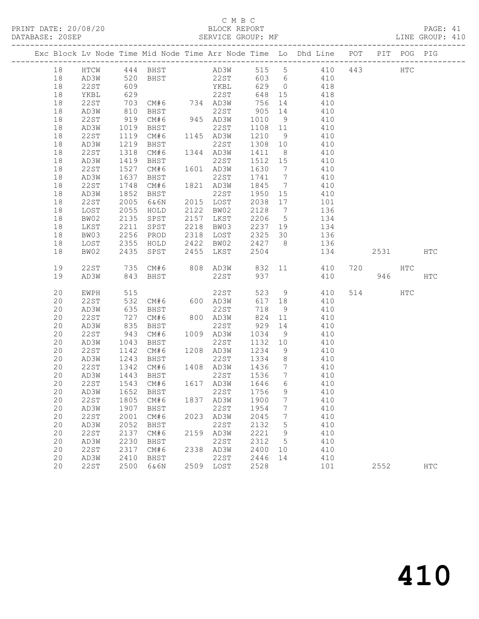### C M B C DATABASE: 20SEP SERVICE GROUP: MF LINE GROUP: 410

|          |              |                  |                             |      |                                                                  |                            |                 | Exc Block Lv Node Time Mid Node Time Arr Node Time Lo Dhd Line POT |         | PIT POG PIG |            |
|----------|--------------|------------------|-----------------------------|------|------------------------------------------------------------------|----------------------------|-----------------|--------------------------------------------------------------------|---------|-------------|------------|
| 18       |              |                  |                             |      |                                                                  |                            |                 |                                                                    |         |             |            |
| 18       |              |                  |                             |      |                                                                  |                            |                 |                                                                    |         |             |            |
| 18       |              |                  |                             |      |                                                                  |                            |                 |                                                                    |         |             |            |
| 18       | YKBL         | 629              |                             |      | 22ST                                                             |                            |                 | 648 15 418                                                         |         |             |            |
| 18       | 22 S T       |                  |                             |      |                                                                  |                            |                 | 410                                                                |         |             |            |
| 18       | AD3W         | 703<br>810       |                             |      | CM#6 734 AD3W 756 14<br>BHST 22ST 905 14<br>CM#6 945 AD3W 1010 9 |                            |                 | 410                                                                |         |             |            |
| 18       | 22ST         | 919              |                             |      |                                                                  |                            |                 | 1010 9 410                                                         |         |             |            |
| 18       | AD3W         | 1019             | BHST                        |      | 22ST                                                             | 1108 11                    |                 | 410                                                                |         |             |            |
| 18       | 22ST         | 1119<br>1219     | CM#6                        |      | 1145 AD3W                                                        | 1210 9<br>1308 10          |                 | 410                                                                |         |             |            |
| 18       | AD3W         |                  | BHST                        |      | 22ST                                                             |                            |                 | 410                                                                |         |             |            |
| 18       | 22ST         | 1318             | $CM#6$ $1344$ $AD3W$        |      |                                                                  |                            |                 | 1411 8 410                                                         |         |             |            |
| 18       | AD3W         | 1419             | BHST                        |      | 22ST                                                             | 1512 15                    |                 | 410                                                                |         |             |            |
| 18       | 22ST         | 1527<br>1637     | CM#6                        |      | 1601 AD3W                                                        | 1630                       | $\overline{7}$  | 410                                                                |         |             |            |
| 18       | AD3W         |                  | BHST                        |      | 22ST                                                             | 1741 7                     |                 | 410                                                                |         |             |            |
| 18       | 22ST         | 1748             | CM#6                        |      | 1821 AD3W                                                        | 1845 7                     |                 | 410                                                                |         |             |            |
| 18       | AD3W         | 1852             | BHST                        |      | 22ST                                                             | 1950 15                    |                 | 410                                                                |         |             |            |
| 18       | 22ST         | 2005             | 6&6N                        |      | 2015 LOST                                                        | 2038 17                    |                 | 101                                                                |         |             |            |
| 18       | LOST         | 2055<br>2135     | HOLD                        |      | 2122 BW02                                                        | 2128 7                     |                 | 136                                                                |         |             |            |
| 18       | BW02         |                  | SPST                        |      | .<br>2157 LKST                                                   | $\frac{2206}{}$ 5          |                 | $\frac{1}{134}$                                                    |         |             |            |
| 18       | LKST         | 2211             | SPST                        |      | 2218 BW03                                                        |                            |                 | 2237 19 134                                                        |         |             |            |
| 18       | BW03         | 2256             | PROD                        |      | 2318 LOST                                                        |                            |                 | 2325 30 136                                                        |         |             |            |
| 18       | LOST         |                  |                             |      |                                                                  |                            |                 | 136                                                                |         |             |            |
| 18       | BW02         |                  |                             |      |                                                                  |                            |                 | 134                                                                | 2531    |             | HTC        |
| 19       | 22ST         |                  | 735 CM#6 808 AD3W 832       |      |                                                                  |                            |                 | 11 410                                                             | 720 HTC |             |            |
| 19       | AD3W         | 843              | BHST                        |      | 22ST                                                             | 937                        |                 | 410                                                                |         | 946 — 10    | HTC        |
| 20       | EWPH         | 515              |                             |      | 22ST                                                             |                            |                 | 523 9 410                                                          | 514 HTC |             |            |
| 20       | 22ST         | 532              |                             |      | CM#6 600 AD3W                                                    |                            |                 | 617 18 410                                                         |         |             |            |
| 20       | AD3W         | 635<br>727       | BHST                        |      | 22ST                                                             |                            |                 | 410                                                                |         |             |            |
| 20       | 22ST         |                  | CM#6                        |      | 22ST<br>800 AD3W<br>22ST                                         | $718$ 9<br>824 11          |                 | 410                                                                |         |             |            |
| 20       | AD3W         | 835              | BHST                        |      | 22ST                                                             |                            |                 | 929 14 410                                                         |         |             |            |
| 20       | 22ST         | 943              | CM#6                        |      | 1009 AD3W                                                        | 1034                       |                 | 9 410                                                              |         |             |            |
| 20       | AD3W         | $1045$<br>$1142$ | BHST                        |      | 22ST                                                             | $1132$ -<br>1234 9<br>-1 8 |                 | 410                                                                |         |             |            |
| 20       | 22ST         |                  | CM#6                        |      | 1208 AD3W                                                        |                            |                 | 410                                                                |         |             |            |
| 20       | AD3W         | 1243             | BHST                        |      |                                                                  |                            |                 | 22ST 1334 8 410                                                    |         |             |            |
| 20       | 22ST         | 1342             |                             |      |                                                                  |                            |                 | CM#6 1408 AD3W 1436 7 410                                          |         |             |            |
| 20       | AD3W         |                  | 1443 BHST<br>1543 CM#6      |      | 22ST                                                             | 1536 7<br>1646 6           | $7\overline{)}$ | 410                                                                |         |             |            |
| 20       | 22ST         |                  |                             |      | 1617 AD3W                                                        |                            |                 | 410                                                                |         |             |            |
|          |              |                  | 20 AD3W 1652 BHST 22ST 1756 |      |                                                                  |                            | 9               | 410                                                                |         |             |            |
| 20       | 22ST         | 1805             | CM#6                        |      | 1837 AD3W                                                        | 1900                       | $7\phantom{.0}$ | 410                                                                |         |             |            |
| 20       | AD3W         | 1907             | BHST                        |      | 22ST                                                             | 1954                       | 7               | 410                                                                |         |             |            |
| 20       | 22ST         | 2001             | CM#6                        |      | 2023 AD3W                                                        | 2045                       | 7               | 410                                                                |         |             |            |
| 20<br>20 | AD3W<br>22ST | 2052<br>2137     | <b>BHST</b>                 | 2159 | 22ST                                                             | 2132<br>2221               | 5               | 410<br>410                                                         |         |             |            |
| 20       | AD3W         | 2230             | CM#6<br>BHST                |      | AD3W<br>22ST                                                     | 2312                       | 9<br>5          | 410                                                                |         |             |            |
| 20       | 22ST         | 2317             | CM#6                        | 2338 | AD3W                                                             | 2400                       | 10              | 410                                                                |         |             |            |
| 20       | AD3W         | 2410             | BHST                        |      | 22ST                                                             | 2446                       | 14              | 410                                                                |         |             |            |
| 20       | 22ST         | 2500             | 6&6N                        |      | 2509 LOST                                                        | 2528                       |                 | 101                                                                | 2552    |             | <b>HTC</b> |
|          |              |                  |                             |      |                                                                  |                            |                 |                                                                    |         |             |            |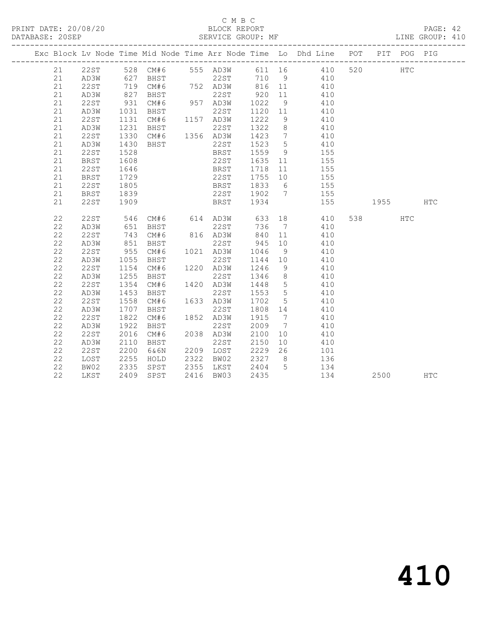#### C M B C<br>BLOCK REPORT SERVICE GROUP: MF

|    |      |                      |                             |                                                      |         |                 | Exc Block Lv Node Time Mid Node Time Arr Node Time Lo Dhd Line POT |          | PIT POG PIG |  |
|----|------|----------------------|-----------------------------|------------------------------------------------------|---------|-----------------|--------------------------------------------------------------------|----------|-------------|--|
| 21 |      |                      |                             |                                                      |         |                 | 22ST 528 CM#6 555 AD3W 611 16 410 520                              |          | <b>HTC</b>  |  |
| 21 | AD3W |                      |                             |                                                      |         |                 |                                                                    |          |             |  |
| 21 | 22ST |                      |                             |                                                      |         |                 |                                                                    |          |             |  |
| 21 | AD3W |                      |                             |                                                      |         |                 |                                                                    |          |             |  |
| 21 | 22ST | 931                  | CM#6 957 AD3W 1022 9        |                                                      |         |                 | 410                                                                |          |             |  |
| 21 | AD3W | 1031                 | <b>BHST</b>                 | 22ST                                                 | 1120 11 |                 | 410                                                                |          |             |  |
| 21 | 22ST | 1131<br>1231         |                             |                                                      | 1222    | 9               | 410                                                                |          |             |  |
| 21 | AD3W |                      | CM#6 1157 AD3W<br>BHST 22ST |                                                      | 1322 8  |                 | 410                                                                |          |             |  |
| 21 | 22ST | 1330                 | $CM#6$ 1356 AD3W            |                                                      | 1423 7  |                 | 410                                                                |          |             |  |
| 21 | AD3W | 1430                 | BHST                        | 22ST                                                 | 1523 5  |                 | 410                                                                |          |             |  |
| 21 | 22ST | 1528                 |                             | <b>EXAMPLE BRST</b>                                  | 1559 9  |                 | 155                                                                |          |             |  |
| 21 | BRST | 1608                 |                             | 22ST                                                 | 1635 11 |                 | 155                                                                |          |             |  |
| 21 | 22ST | 1646<br>1729         |                             | BRST 1718 11<br>22ST 1755 10                         |         |                 | 155                                                                |          |             |  |
| 21 | BRST |                      |                             |                                                      |         |                 | 22ST 1755 10 155<br>BRST 1833 6 155                                |          |             |  |
| 21 | 22ST | -<br>1805            |                             |                                                      |         |                 |                                                                    |          |             |  |
| 21 | BRST | 1839                 |                             |                                                      |         |                 | 22ST 1902 7 155                                                    |          |             |  |
| 21 | 22ST | 1909                 |                             |                                                      |         |                 | BRST 1934 155 1955 HTC                                             |          |             |  |
|    |      |                      |                             |                                                      |         |                 |                                                                    |          |             |  |
| 22 | 22ST |                      |                             |                                                      |         |                 |                                                                    | 538 HTC  |             |  |
| 22 | AD3W |                      |                             |                                                      |         |                 |                                                                    |          |             |  |
| 22 | 22ST |                      | 743 CM#6                    | 816 AD3W                                             |         |                 | 840 11 410                                                         |          |             |  |
| 22 | AD3W | 851                  | BHST                        | 22ST                                                 | 945 10  |                 | 410                                                                |          |             |  |
| 22 | 22ST |                      | 955 CM#6                    | 1021 AD3W                                            | 1046 9  |                 | 410                                                                |          |             |  |
| 22 | AD3W | 1055<br>1154<br>1255 | BHST                        | 22ST                                                 | 1144 10 |                 | 410                                                                |          |             |  |
| 22 | 22ST |                      | CM#6                        | 1220 AD3W                                            | 1246 9  |                 | 410                                                                |          |             |  |
| 22 | AD3W |                      | BHST                        | 22ST                                                 | 1346 8  |                 | 410                                                                |          |             |  |
| 22 | 22ST | 1354                 | CM#6                        | 1420 AD3W                                            | 1448 5  |                 | 410                                                                |          |             |  |
| 22 | AD3W | 1453                 | BHST                        | 22ST                                                 | 1553 5  |                 | 410                                                                |          |             |  |
| 22 | 22ST | 1558                 | CM#6                        | 1633 AD3W                                            | 1702    | $5\overline{)}$ | 410                                                                |          |             |  |
| 22 | AD3W |                      | BHST                        | 22ST                                                 | 1808 14 |                 | 410                                                                |          |             |  |
| 22 | 22ST | $1 / 1$<br>1822      | CM#6                        | 1852 AD3W                                            | 1915 7  |                 | 410                                                                |          |             |  |
| 22 | AD3W | 1922                 | BHST                        | 22ST                                                 | 2009 7  |                 | 410                                                                |          |             |  |
| 22 | 22ST | 2016                 | CM#6                        | 2038 AD3W                                            | 2100    | 10              | 410                                                                |          |             |  |
| 22 | AD3W | 2110                 | BHST                        | 22ST                                                 | 2150    |                 | 10 410                                                             |          |             |  |
| 22 | 22ST | 2200                 | 6&6N                        | 2209 LOST                                            |         |                 | 2229  26  101                                                      |          |             |  |
| 22 | LOST | 2255<br>2335         | HOLD                        | 2322 BW02     2327    8<br>2355   LKST     2404    5 |         |                 | 136<br>134                                                         |          |             |  |
| 22 | BW02 |                      | SPST                        |                                                      |         |                 |                                                                    |          |             |  |
| 22 | LKST |                      | 2409 SPST                   | 2416 BW03                                            | 2435    |                 | 134                                                                | 2500 HTC |             |  |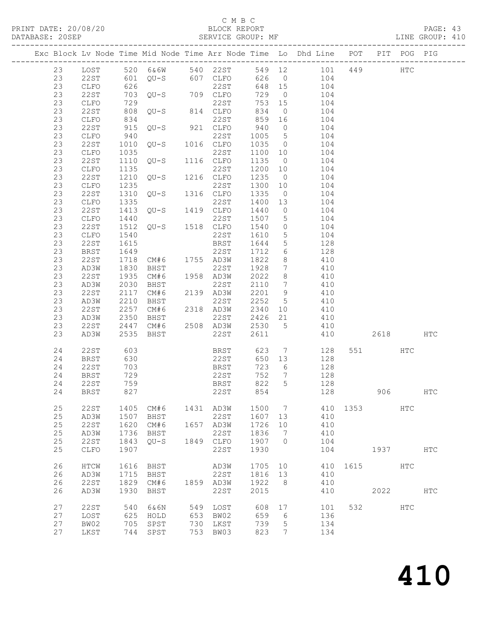### C M B C<br>BLOCK REPORT

#### SERVICE GROUP: MF

|  |          |              |            |                        |     |                  |            |                                    | Exc Block Lv Node Time Mid Node Time Arr Node Time Lo Dhd Line POT                                        |                                                                                                                                                                                                                               | PIT POG PIG   |              |
|--|----------|--------------|------------|------------------------|-----|------------------|------------|------------------------------------|-----------------------------------------------------------------------------------------------------------|-------------------------------------------------------------------------------------------------------------------------------------------------------------------------------------------------------------------------------|---------------|--------------|
|  | 23       |              |            |                        |     |                  |            |                                    | LOST 520 6&6W 540 22ST 549 12 101 449 HTC<br>22ST 601 QU-S 607 CLFO 626 0 104<br>CLFO 626 22ST 648 15 104 |                                                                                                                                                                                                                               |               |              |
|  | 23       |              |            |                        |     |                  |            |                                    |                                                                                                           |                                                                                                                                                                                                                               |               |              |
|  | 23       |              |            |                        |     |                  |            |                                    |                                                                                                           |                                                                                                                                                                                                                               |               |              |
|  | 23       | 22ST         |            | 703 QU-S 709 CLFO      |     |                  | 729        |                                    | $0$ 104                                                                                                   |                                                                                                                                                                                                                               |               |              |
|  | 23       | CLFO         | 729        | $QU-S$ 814 $CLFO$      |     |                  | 753 15     |                                    | 104                                                                                                       |                                                                                                                                                                                                                               |               |              |
|  | 23       | 22ST         | 808        |                        |     |                  | 834        | $\overline{0}$                     | 104                                                                                                       |                                                                                                                                                                                                                               |               |              |
|  | 23       | CLFO         | 834        |                        |     | 22ST             | 859        | 16                                 | 104                                                                                                       |                                                                                                                                                                                                                               |               |              |
|  | 23       | 22ST         | 915        | $QU-S$ 921 $CLFO$      |     |                  | 940        |                                    | $0$ 104                                                                                                   |                                                                                                                                                                                                                               |               |              |
|  | 23       | CLFO         | 940        | $QU-S$                 |     | 22ST             | 1005       | $5\overline{)}$                    | 104                                                                                                       |                                                                                                                                                                                                                               |               |              |
|  | 23       | 22ST         | 1010       |                        |     | 1016 CLFO        | 1035 0     |                                    | 104                                                                                                       |                                                                                                                                                                                                                               |               |              |
|  | 23       | CLFO         | 1035       |                        |     | 22ST             | 1100 10    |                                    | 104                                                                                                       |                                                                                                                                                                                                                               |               |              |
|  | 23       | 22ST         | 1110       | 22ST<br>QU-S 1116 CLFO |     |                  | 1135       | $\overline{0}$                     | 104                                                                                                       |                                                                                                                                                                                                                               |               |              |
|  | 23       | CLFO         | 1135       |                        |     | 22ST             | 1200 10    |                                    | 104                                                                                                       |                                                                                                                                                                                                                               |               |              |
|  | 23       | 22ST         | 1210       | $QU-S$ 1216 $CLFO$     |     |                  | 1235       | $\overline{0}$                     | 104                                                                                                       |                                                                                                                                                                                                                               |               |              |
|  | 23       | CLFO         | 1235       |                        |     | 22ST             | 1300 10    |                                    | 104                                                                                                       |                                                                                                                                                                                                                               |               |              |
|  | 23       | 22ST         | 1310       | $QU-S$ 1316 $CLFO$     |     |                  | 1335       | $\overline{0}$                     | 104                                                                                                       |                                                                                                                                                                                                                               |               |              |
|  | 23       | CLFO         | 1335       | 22ST<br>QU-S 1419 CLFO |     | 22ST             | 1400       | 13                                 | 104                                                                                                       |                                                                                                                                                                                                                               |               |              |
|  | 23       | 22ST         | 1413       |                        |     |                  | 1440       | $\overline{0}$                     | 104                                                                                                       |                                                                                                                                                                                                                               |               |              |
|  | 23       | CLFO         | 1440       | 22ST<br>QU-S 1518 CLFO |     | 22ST             | 1507       | $5\overline{)}$                    | 104                                                                                                       |                                                                                                                                                                                                                               |               |              |
|  | 23       | 22ST         | 1512       |                        |     |                  | 1540       | $\overline{0}$                     | 104                                                                                                       |                                                                                                                                                                                                                               |               |              |
|  | 23       | CLFO         | 1540       |                        |     | 22ST             | 1610       | $5\overline{)}$                    | 104                                                                                                       |                                                                                                                                                                                                                               |               |              |
|  | 23       | 22ST         | 1615       |                        |     | BRST             | 1644       | $5\overline{)}$                    | 128                                                                                                       |                                                                                                                                                                                                                               |               |              |
|  | 23       | BRST         | 1649       |                        |     | 22ST             | 1712       | $6\overline{6}$                    | 128                                                                                                       |                                                                                                                                                                                                                               |               |              |
|  | 23       | 22ST         | 1718       | CM#6 1755 AD3W         |     |                  | 1822       | 8 <sup>8</sup>                     | 410                                                                                                       |                                                                                                                                                                                                                               |               |              |
|  | 23       | AD3W         | 1830       | BHST                   |     | 22ST             | 1928       | $7\phantom{.0}\phantom{.0}7$       | 410                                                                                                       |                                                                                                                                                                                                                               |               |              |
|  | 23       | 22ST         | 1935       | CM#6                   |     | 1958 AD3W        | 2022       | 8 <sup>8</sup>                     | 410                                                                                                       |                                                                                                                                                                                                                               |               |              |
|  | 23       | AD3W         | 2030       | BHST                   |     | 22ST             | 2110       | $\overline{7}$                     | 410                                                                                                       |                                                                                                                                                                                                                               |               |              |
|  | 23       | 22ST         | 2117       | CM#6                   |     | 2139 AD3W        | 2201 9     |                                    | 410                                                                                                       |                                                                                                                                                                                                                               |               |              |
|  | 23       | AD3W         | 2210       | BHST                   |     | 22ST             | 2252       | $5^{\circ}$                        | 410                                                                                                       |                                                                                                                                                                                                                               |               |              |
|  | 23       | 22ST         | 2257       | CM#6                   |     | 2318 AD3W        | 2340       | 10                                 | 410                                                                                                       |                                                                                                                                                                                                                               |               |              |
|  | 23       | AD3W         | 2350       | BHST                   |     | 22ST             | 2426 21    |                                    | 410                                                                                                       |                                                                                                                                                                                                                               |               |              |
|  | 23       | 22ST         | 2447       | CM#6                   |     | 2508 AD3W 2530   |            | $5^{\circ}$                        | 410                                                                                                       |                                                                                                                                                                                                                               |               |              |
|  | 23       | AD3W         | 2535       | BHST                   |     | 22ST             | 2611       |                                    | 410                                                                                                       | 2618                                                                                                                                                                                                                          |               | $_{\rm HTC}$ |
|  |          |              |            |                        |     |                  |            |                                    |                                                                                                           |                                                                                                                                                                                                                               |               |              |
|  | 24       | 22ST         | 603<br>630 |                        |     | BRST 623<br>22ST |            |                                    | $7\overline{ }$<br>128                                                                                    | 551 HTC                                                                                                                                                                                                                       |               |              |
|  | 24       | BRST         |            |                        |     |                  | 650 13     |                                    | 128                                                                                                       |                                                                                                                                                                                                                               |               |              |
|  | 24       | 22ST         | 703        |                        |     | BRST             | 723<br>752 | $6\overline{6}$<br>$7\overline{ }$ | 128                                                                                                       |                                                                                                                                                                                                                               |               |              |
|  | 24<br>24 | BRST<br>22ST | 729<br>759 |                        |     | 22ST<br>BRST     | 822        | $5\overline{)}$                    | 128<br>128                                                                                                |                                                                                                                                                                                                                               |               |              |
|  |          | 24 BRST      | 827        |                        |     | 22ST 854         |            |                                    | 128                                                                                                       |                                                                                                                                                                                                                               |               |              |
|  |          |              |            |                        |     |                  |            |                                    |                                                                                                           | 906                                                                                                                                                                                                                           |               | $_{\rm HTC}$ |
|  | 25       | <b>22ST</b>  | 1405       | CM#6                   |     | 1431 AD3W        | 1500       | $\overline{7}$                     |                                                                                                           | 410 1353 HTC                                                                                                                                                                                                                  |               |              |
|  | 25       | AD3W         | 1507       | BHST                   |     | 22ST             | 1607 13    |                                    | 410                                                                                                       |                                                                                                                                                                                                                               |               |              |
|  | 25       | <b>22ST</b>  | 1620       | CM#6                   |     | 1657 AD3W        | 1726       | 10                                 | 410                                                                                                       |                                                                                                                                                                                                                               |               |              |
|  | 25       | AD3W         | 1736       | BHST                   |     | 22ST             | 1836       | $\overline{7}$                     | 410                                                                                                       |                                                                                                                                                                                                                               |               |              |
|  | 25       | 22ST         | 1843       | QU-S                   |     | 1849 CLFO        | 1907       | $\bigcirc$                         | 104                                                                                                       |                                                                                                                                                                                                                               |               |              |
|  | 25       | CLFO         | 1907       |                        |     | 22ST             | 1930       |                                    | 104                                                                                                       | 1937   1937   1937   1937   1937   1937   1937   1937   1938   1938   1939   1939   1939   1939   1939   1939   1939   1939   1939   1939   1939   1939   1939   1939   1939   1939   1939   1939   1939   1939   1939   1939 |               | HTC          |
|  |          |              |            |                        |     |                  |            |                                    |                                                                                                           |                                                                                                                                                                                                                               |               |              |
|  | 26       | HTCW         | 1616       | BHST                   |     | AD3W             | 1705       | 10                                 |                                                                                                           | 410 1615 HTC                                                                                                                                                                                                                  |               |              |
|  | 26       | AD3W         | 1715       | BHST                   |     | 22ST             | 1816       | 13                                 | 410                                                                                                       |                                                                                                                                                                                                                               |               |              |
|  | 26       | 22ST         | 1829       | CM#6                   |     | 1859 AD3W        | 1922       | 8 <sup>8</sup>                     | 410                                                                                                       |                                                                                                                                                                                                                               |               |              |
|  | 26       | AD3W         | 1930       | BHST                   |     | 22ST             | 2015       |                                    | 410                                                                                                       | 2022                                                                                                                                                                                                                          |               | HTC          |
|  |          |              |            |                        |     |                  |            |                                    |                                                                                                           |                                                                                                                                                                                                                               |               |              |
|  | 27       | 22ST         | 540        | 6&6N                   | 549 | LOST             | 608        | 17                                 | 101                                                                                                       | 532                                                                                                                                                                                                                           | $_{\rm{HTC}}$ |              |
|  | 27       | LOST         | 625        | HOLD                   | 653 | BW02             | 659        | 6                                  | 136                                                                                                       |                                                                                                                                                                                                                               |               |              |
|  | 27       | BW02         | 705        | SPST                   | 730 | LKST             | 739        | 5                                  | 134                                                                                                       |                                                                                                                                                                                                                               |               |              |
|  | 27       | LKST         |            | 744 SPST               | 753 | BW03             | 823        | $7\phantom{.0}$                    | 134                                                                                                       |                                                                                                                                                                                                                               |               |              |
|  |          |              |            |                        |     |                  |            |                                    |                                                                                                           |                                                                                                                                                                                                                               |               |              |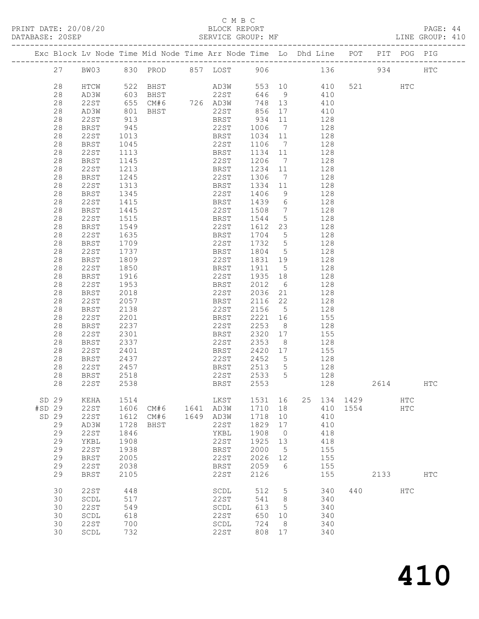### C M B C<br>BLOCK REPORT

PAGE: 44<br>LINE GROUP: 410

| Exc Block Lv Node Time Mid Node Time Arr Node Time Lo Dhd Line POT PIT POG PIG<br>BW03 830 PROD 857 LOST 906 136 934<br>27<br><b>HTC</b><br>AD3W<br>22ST<br>553 10 410<br>28<br>522   BHST<br>603   BHST<br>521 000<br>HTCW<br>HTC<br>28<br>646 9<br>AD3W<br>410<br>655 CM#6 726 AD3W<br>28<br>748 13<br>410<br>22ST<br>28<br>22ST<br>856<br>AD3W<br>801<br>17<br>BHST<br>410<br>913<br>28<br>934<br>11<br>128<br>22ST<br>BRST<br>28<br>945<br>22ST<br>$7\overline{ }$<br>BRST<br>1006<br>128<br>28<br>1034<br>128<br>22ST<br>1013<br>BRST<br>11<br>28<br>22ST<br>BRST<br>1045<br>1106<br>$\overline{7}$<br>128<br>28<br>128<br>22ST<br>1113<br>BRST<br>1134 11<br>28<br>22ST<br>1206<br>BRST<br>1145<br>$\overline{7}$<br>128<br>1213<br>128<br>28<br>22ST<br>BRST<br>1234 11<br>28<br>BRST<br>1245<br>22ST<br>1306<br>$7\overline{ }$<br>128<br>28<br>22ST<br>1313<br>BRST<br>1334 11<br>128<br>28<br>1345<br>22ST<br>1406<br>9<br>128<br>BRST<br>1415<br>128<br>28<br>22ST<br>1439<br>BRST<br>6<br>28<br>22ST<br>1508<br>$\overline{7}$<br>BRST<br>1445<br>128<br>28<br>22ST<br>1544<br>$5\overline{)}$<br>1515<br>BRST<br>128<br>28<br>22ST<br>1612 23<br>BRST<br>1549<br>128<br>1635<br>28<br>22ST<br>1704 5<br>BRST<br>128<br>28<br>1709<br>22ST<br>1732 5<br>128<br>BRST<br>28<br>22ST<br>1737<br>1804<br>$5\overline{)}$<br>BRST<br>128<br>28<br>1809<br>22ST<br>1831<br>128<br>BRST<br>19<br>28<br>22ST<br>1850<br>1911 5<br>BRST<br>128<br>28<br>22ST<br>1935 18<br>128<br>BRST<br>1916<br>28<br>22ST<br>1953<br>2012<br>BRST<br>6<br>128<br>28<br>2018<br>22ST<br>2036<br>128<br>BRST<br>21<br>28<br>2057<br>22<br>22ST<br>BRST<br>2116<br>128<br>28<br>22ST<br>2156<br>128<br>BRST<br>2138<br>$5\overline{)}$<br>28<br>22ST<br>2221<br>2201<br>BRST<br>16<br>155<br>2253<br>28<br>2237<br>22ST<br>128<br>BRST<br>8 <sup>8</sup><br>28<br>2320<br>155<br>22ST<br>2301<br>BRST<br>17<br>28<br>22ST<br>2353<br>128<br>BRST<br>2337<br>8 <sup>8</sup><br>28<br>2420<br>22ST<br>2401<br>BRST<br>17<br>155<br>28<br>22ST<br>2452<br>128<br>BRST<br>2437<br>$5\overline{)}$<br>28<br>2513<br>22ST<br>2457<br>BRST<br>$5\overline{)}$<br>128<br>128<br>2518<br>22ST<br>28<br>2533<br>$5\overline{)}$<br>BRST<br>28<br>22ST<br>2538<br>2553<br>128<br>BRST<br>2614<br>HTC<br>SD 29<br>KEHA<br>1514<br>LKST<br>1531<br>16<br>25<br>134 1429<br>$_{\rm{HTC}}$<br>#SD 29<br>22ST<br>1606<br>1710<br>18<br>410<br>1554<br>CM#6<br>1641<br>AD3W<br>$_{\rm{HTC}}$<br>SD 29<br>22ST<br>1612<br>1649<br>1718<br>CM#6<br>AD3W<br>10<br>410<br>29<br>1728<br>22ST<br>1829<br>410<br>AD3W<br>BHST<br>17<br>29<br><b>22ST</b><br>1846<br>1908<br>$\overline{0}$<br>418<br>YKBL<br>29<br>1908<br>22ST<br>1925<br>418<br>YKBL<br>13<br>29<br><b>22ST</b><br>1938<br>2000<br>155<br><b>BRST</b><br>5<br>29<br><b>BRST</b><br>2005<br>22ST<br>2026<br>155<br>12<br>29<br><b>22ST</b><br>2038<br>2059<br>6<br>155<br><b>BRST</b><br>29<br>2105<br>22ST<br>2126<br>155<br>2133<br><b>BRST</b><br><b>HTC</b><br>30<br><b>22ST</b><br>448<br>512<br>440<br>5<br>340<br>HTC<br>SCDL<br>517<br>30<br>$\operatorname{\mathsf{SCDL}}$<br>22ST<br>541<br>8<br>340<br>30<br><b>22ST</b><br>549<br>613<br>340<br>SCDL<br>5<br>30<br>$\operatorname{\mathsf{SCDL}}$<br>618<br>22ST<br>650<br>340<br>10<br>30<br><b>22ST</b><br>700<br>724<br>340<br>$\operatorname{\mathsf{SCDL}}$<br>8<br>30<br>732<br>22ST<br>808<br>340<br>$\operatorname{\mathsf{SCDL}}$<br>17 |  |  |  |  |  |  |  |  |
|-------------------------------------------------------------------------------------------------------------------------------------------------------------------------------------------------------------------------------------------------------------------------------------------------------------------------------------------------------------------------------------------------------------------------------------------------------------------------------------------------------------------------------------------------------------------------------------------------------------------------------------------------------------------------------------------------------------------------------------------------------------------------------------------------------------------------------------------------------------------------------------------------------------------------------------------------------------------------------------------------------------------------------------------------------------------------------------------------------------------------------------------------------------------------------------------------------------------------------------------------------------------------------------------------------------------------------------------------------------------------------------------------------------------------------------------------------------------------------------------------------------------------------------------------------------------------------------------------------------------------------------------------------------------------------------------------------------------------------------------------------------------------------------------------------------------------------------------------------------------------------------------------------------------------------------------------------------------------------------------------------------------------------------------------------------------------------------------------------------------------------------------------------------------------------------------------------------------------------------------------------------------------------------------------------------------------------------------------------------------------------------------------------------------------------------------------------------------------------------------------------------------------------------------------------------------------------------------------------------------------------------------------------------------------------------------------------------------------------------------------------------------------------------------------------------------------------------------------------------------------------------------------------------------------------------------------------------------------------------------------------------------------------------------------------------------------------------------------------------------------------------------------------------------------------------------------------------------------------------------------------------------------------------------------------------------------------------------------------------------------------------------------------------------------------------------|--|--|--|--|--|--|--|--|
|                                                                                                                                                                                                                                                                                                                                                                                                                                                                                                                                                                                                                                                                                                                                                                                                                                                                                                                                                                                                                                                                                                                                                                                                                                                                                                                                                                                                                                                                                                                                                                                                                                                                                                                                                                                                                                                                                                                                                                                                                                                                                                                                                                                                                                                                                                                                                                                                                                                                                                                                                                                                                                                                                                                                                                                                                                                                                                                                                                                                                                                                                                                                                                                                                                                                                                                                                                                                                                           |  |  |  |  |  |  |  |  |
|                                                                                                                                                                                                                                                                                                                                                                                                                                                                                                                                                                                                                                                                                                                                                                                                                                                                                                                                                                                                                                                                                                                                                                                                                                                                                                                                                                                                                                                                                                                                                                                                                                                                                                                                                                                                                                                                                                                                                                                                                                                                                                                                                                                                                                                                                                                                                                                                                                                                                                                                                                                                                                                                                                                                                                                                                                                                                                                                                                                                                                                                                                                                                                                                                                                                                                                                                                                                                                           |  |  |  |  |  |  |  |  |
|                                                                                                                                                                                                                                                                                                                                                                                                                                                                                                                                                                                                                                                                                                                                                                                                                                                                                                                                                                                                                                                                                                                                                                                                                                                                                                                                                                                                                                                                                                                                                                                                                                                                                                                                                                                                                                                                                                                                                                                                                                                                                                                                                                                                                                                                                                                                                                                                                                                                                                                                                                                                                                                                                                                                                                                                                                                                                                                                                                                                                                                                                                                                                                                                                                                                                                                                                                                                                                           |  |  |  |  |  |  |  |  |
|                                                                                                                                                                                                                                                                                                                                                                                                                                                                                                                                                                                                                                                                                                                                                                                                                                                                                                                                                                                                                                                                                                                                                                                                                                                                                                                                                                                                                                                                                                                                                                                                                                                                                                                                                                                                                                                                                                                                                                                                                                                                                                                                                                                                                                                                                                                                                                                                                                                                                                                                                                                                                                                                                                                                                                                                                                                                                                                                                                                                                                                                                                                                                                                                                                                                                                                                                                                                                                           |  |  |  |  |  |  |  |  |
|                                                                                                                                                                                                                                                                                                                                                                                                                                                                                                                                                                                                                                                                                                                                                                                                                                                                                                                                                                                                                                                                                                                                                                                                                                                                                                                                                                                                                                                                                                                                                                                                                                                                                                                                                                                                                                                                                                                                                                                                                                                                                                                                                                                                                                                                                                                                                                                                                                                                                                                                                                                                                                                                                                                                                                                                                                                                                                                                                                                                                                                                                                                                                                                                                                                                                                                                                                                                                                           |  |  |  |  |  |  |  |  |
|                                                                                                                                                                                                                                                                                                                                                                                                                                                                                                                                                                                                                                                                                                                                                                                                                                                                                                                                                                                                                                                                                                                                                                                                                                                                                                                                                                                                                                                                                                                                                                                                                                                                                                                                                                                                                                                                                                                                                                                                                                                                                                                                                                                                                                                                                                                                                                                                                                                                                                                                                                                                                                                                                                                                                                                                                                                                                                                                                                                                                                                                                                                                                                                                                                                                                                                                                                                                                                           |  |  |  |  |  |  |  |  |
|                                                                                                                                                                                                                                                                                                                                                                                                                                                                                                                                                                                                                                                                                                                                                                                                                                                                                                                                                                                                                                                                                                                                                                                                                                                                                                                                                                                                                                                                                                                                                                                                                                                                                                                                                                                                                                                                                                                                                                                                                                                                                                                                                                                                                                                                                                                                                                                                                                                                                                                                                                                                                                                                                                                                                                                                                                                                                                                                                                                                                                                                                                                                                                                                                                                                                                                                                                                                                                           |  |  |  |  |  |  |  |  |
|                                                                                                                                                                                                                                                                                                                                                                                                                                                                                                                                                                                                                                                                                                                                                                                                                                                                                                                                                                                                                                                                                                                                                                                                                                                                                                                                                                                                                                                                                                                                                                                                                                                                                                                                                                                                                                                                                                                                                                                                                                                                                                                                                                                                                                                                                                                                                                                                                                                                                                                                                                                                                                                                                                                                                                                                                                                                                                                                                                                                                                                                                                                                                                                                                                                                                                                                                                                                                                           |  |  |  |  |  |  |  |  |
|                                                                                                                                                                                                                                                                                                                                                                                                                                                                                                                                                                                                                                                                                                                                                                                                                                                                                                                                                                                                                                                                                                                                                                                                                                                                                                                                                                                                                                                                                                                                                                                                                                                                                                                                                                                                                                                                                                                                                                                                                                                                                                                                                                                                                                                                                                                                                                                                                                                                                                                                                                                                                                                                                                                                                                                                                                                                                                                                                                                                                                                                                                                                                                                                                                                                                                                                                                                                                                           |  |  |  |  |  |  |  |  |
|                                                                                                                                                                                                                                                                                                                                                                                                                                                                                                                                                                                                                                                                                                                                                                                                                                                                                                                                                                                                                                                                                                                                                                                                                                                                                                                                                                                                                                                                                                                                                                                                                                                                                                                                                                                                                                                                                                                                                                                                                                                                                                                                                                                                                                                                                                                                                                                                                                                                                                                                                                                                                                                                                                                                                                                                                                                                                                                                                                                                                                                                                                                                                                                                                                                                                                                                                                                                                                           |  |  |  |  |  |  |  |  |
|                                                                                                                                                                                                                                                                                                                                                                                                                                                                                                                                                                                                                                                                                                                                                                                                                                                                                                                                                                                                                                                                                                                                                                                                                                                                                                                                                                                                                                                                                                                                                                                                                                                                                                                                                                                                                                                                                                                                                                                                                                                                                                                                                                                                                                                                                                                                                                                                                                                                                                                                                                                                                                                                                                                                                                                                                                                                                                                                                                                                                                                                                                                                                                                                                                                                                                                                                                                                                                           |  |  |  |  |  |  |  |  |
|                                                                                                                                                                                                                                                                                                                                                                                                                                                                                                                                                                                                                                                                                                                                                                                                                                                                                                                                                                                                                                                                                                                                                                                                                                                                                                                                                                                                                                                                                                                                                                                                                                                                                                                                                                                                                                                                                                                                                                                                                                                                                                                                                                                                                                                                                                                                                                                                                                                                                                                                                                                                                                                                                                                                                                                                                                                                                                                                                                                                                                                                                                                                                                                                                                                                                                                                                                                                                                           |  |  |  |  |  |  |  |  |
|                                                                                                                                                                                                                                                                                                                                                                                                                                                                                                                                                                                                                                                                                                                                                                                                                                                                                                                                                                                                                                                                                                                                                                                                                                                                                                                                                                                                                                                                                                                                                                                                                                                                                                                                                                                                                                                                                                                                                                                                                                                                                                                                                                                                                                                                                                                                                                                                                                                                                                                                                                                                                                                                                                                                                                                                                                                                                                                                                                                                                                                                                                                                                                                                                                                                                                                                                                                                                                           |  |  |  |  |  |  |  |  |
|                                                                                                                                                                                                                                                                                                                                                                                                                                                                                                                                                                                                                                                                                                                                                                                                                                                                                                                                                                                                                                                                                                                                                                                                                                                                                                                                                                                                                                                                                                                                                                                                                                                                                                                                                                                                                                                                                                                                                                                                                                                                                                                                                                                                                                                                                                                                                                                                                                                                                                                                                                                                                                                                                                                                                                                                                                                                                                                                                                                                                                                                                                                                                                                                                                                                                                                                                                                                                                           |  |  |  |  |  |  |  |  |
|                                                                                                                                                                                                                                                                                                                                                                                                                                                                                                                                                                                                                                                                                                                                                                                                                                                                                                                                                                                                                                                                                                                                                                                                                                                                                                                                                                                                                                                                                                                                                                                                                                                                                                                                                                                                                                                                                                                                                                                                                                                                                                                                                                                                                                                                                                                                                                                                                                                                                                                                                                                                                                                                                                                                                                                                                                                                                                                                                                                                                                                                                                                                                                                                                                                                                                                                                                                                                                           |  |  |  |  |  |  |  |  |
|                                                                                                                                                                                                                                                                                                                                                                                                                                                                                                                                                                                                                                                                                                                                                                                                                                                                                                                                                                                                                                                                                                                                                                                                                                                                                                                                                                                                                                                                                                                                                                                                                                                                                                                                                                                                                                                                                                                                                                                                                                                                                                                                                                                                                                                                                                                                                                                                                                                                                                                                                                                                                                                                                                                                                                                                                                                                                                                                                                                                                                                                                                                                                                                                                                                                                                                                                                                                                                           |  |  |  |  |  |  |  |  |
|                                                                                                                                                                                                                                                                                                                                                                                                                                                                                                                                                                                                                                                                                                                                                                                                                                                                                                                                                                                                                                                                                                                                                                                                                                                                                                                                                                                                                                                                                                                                                                                                                                                                                                                                                                                                                                                                                                                                                                                                                                                                                                                                                                                                                                                                                                                                                                                                                                                                                                                                                                                                                                                                                                                                                                                                                                                                                                                                                                                                                                                                                                                                                                                                                                                                                                                                                                                                                                           |  |  |  |  |  |  |  |  |
|                                                                                                                                                                                                                                                                                                                                                                                                                                                                                                                                                                                                                                                                                                                                                                                                                                                                                                                                                                                                                                                                                                                                                                                                                                                                                                                                                                                                                                                                                                                                                                                                                                                                                                                                                                                                                                                                                                                                                                                                                                                                                                                                                                                                                                                                                                                                                                                                                                                                                                                                                                                                                                                                                                                                                                                                                                                                                                                                                                                                                                                                                                                                                                                                                                                                                                                                                                                                                                           |  |  |  |  |  |  |  |  |
|                                                                                                                                                                                                                                                                                                                                                                                                                                                                                                                                                                                                                                                                                                                                                                                                                                                                                                                                                                                                                                                                                                                                                                                                                                                                                                                                                                                                                                                                                                                                                                                                                                                                                                                                                                                                                                                                                                                                                                                                                                                                                                                                                                                                                                                                                                                                                                                                                                                                                                                                                                                                                                                                                                                                                                                                                                                                                                                                                                                                                                                                                                                                                                                                                                                                                                                                                                                                                                           |  |  |  |  |  |  |  |  |
|                                                                                                                                                                                                                                                                                                                                                                                                                                                                                                                                                                                                                                                                                                                                                                                                                                                                                                                                                                                                                                                                                                                                                                                                                                                                                                                                                                                                                                                                                                                                                                                                                                                                                                                                                                                                                                                                                                                                                                                                                                                                                                                                                                                                                                                                                                                                                                                                                                                                                                                                                                                                                                                                                                                                                                                                                                                                                                                                                                                                                                                                                                                                                                                                                                                                                                                                                                                                                                           |  |  |  |  |  |  |  |  |
|                                                                                                                                                                                                                                                                                                                                                                                                                                                                                                                                                                                                                                                                                                                                                                                                                                                                                                                                                                                                                                                                                                                                                                                                                                                                                                                                                                                                                                                                                                                                                                                                                                                                                                                                                                                                                                                                                                                                                                                                                                                                                                                                                                                                                                                                                                                                                                                                                                                                                                                                                                                                                                                                                                                                                                                                                                                                                                                                                                                                                                                                                                                                                                                                                                                                                                                                                                                                                                           |  |  |  |  |  |  |  |  |
|                                                                                                                                                                                                                                                                                                                                                                                                                                                                                                                                                                                                                                                                                                                                                                                                                                                                                                                                                                                                                                                                                                                                                                                                                                                                                                                                                                                                                                                                                                                                                                                                                                                                                                                                                                                                                                                                                                                                                                                                                                                                                                                                                                                                                                                                                                                                                                                                                                                                                                                                                                                                                                                                                                                                                                                                                                                                                                                                                                                                                                                                                                                                                                                                                                                                                                                                                                                                                                           |  |  |  |  |  |  |  |  |
|                                                                                                                                                                                                                                                                                                                                                                                                                                                                                                                                                                                                                                                                                                                                                                                                                                                                                                                                                                                                                                                                                                                                                                                                                                                                                                                                                                                                                                                                                                                                                                                                                                                                                                                                                                                                                                                                                                                                                                                                                                                                                                                                                                                                                                                                                                                                                                                                                                                                                                                                                                                                                                                                                                                                                                                                                                                                                                                                                                                                                                                                                                                                                                                                                                                                                                                                                                                                                                           |  |  |  |  |  |  |  |  |
|                                                                                                                                                                                                                                                                                                                                                                                                                                                                                                                                                                                                                                                                                                                                                                                                                                                                                                                                                                                                                                                                                                                                                                                                                                                                                                                                                                                                                                                                                                                                                                                                                                                                                                                                                                                                                                                                                                                                                                                                                                                                                                                                                                                                                                                                                                                                                                                                                                                                                                                                                                                                                                                                                                                                                                                                                                                                                                                                                                                                                                                                                                                                                                                                                                                                                                                                                                                                                                           |  |  |  |  |  |  |  |  |
|                                                                                                                                                                                                                                                                                                                                                                                                                                                                                                                                                                                                                                                                                                                                                                                                                                                                                                                                                                                                                                                                                                                                                                                                                                                                                                                                                                                                                                                                                                                                                                                                                                                                                                                                                                                                                                                                                                                                                                                                                                                                                                                                                                                                                                                                                                                                                                                                                                                                                                                                                                                                                                                                                                                                                                                                                                                                                                                                                                                                                                                                                                                                                                                                                                                                                                                                                                                                                                           |  |  |  |  |  |  |  |  |
|                                                                                                                                                                                                                                                                                                                                                                                                                                                                                                                                                                                                                                                                                                                                                                                                                                                                                                                                                                                                                                                                                                                                                                                                                                                                                                                                                                                                                                                                                                                                                                                                                                                                                                                                                                                                                                                                                                                                                                                                                                                                                                                                                                                                                                                                                                                                                                                                                                                                                                                                                                                                                                                                                                                                                                                                                                                                                                                                                                                                                                                                                                                                                                                                                                                                                                                                                                                                                                           |  |  |  |  |  |  |  |  |
|                                                                                                                                                                                                                                                                                                                                                                                                                                                                                                                                                                                                                                                                                                                                                                                                                                                                                                                                                                                                                                                                                                                                                                                                                                                                                                                                                                                                                                                                                                                                                                                                                                                                                                                                                                                                                                                                                                                                                                                                                                                                                                                                                                                                                                                                                                                                                                                                                                                                                                                                                                                                                                                                                                                                                                                                                                                                                                                                                                                                                                                                                                                                                                                                                                                                                                                                                                                                                                           |  |  |  |  |  |  |  |  |
|                                                                                                                                                                                                                                                                                                                                                                                                                                                                                                                                                                                                                                                                                                                                                                                                                                                                                                                                                                                                                                                                                                                                                                                                                                                                                                                                                                                                                                                                                                                                                                                                                                                                                                                                                                                                                                                                                                                                                                                                                                                                                                                                                                                                                                                                                                                                                                                                                                                                                                                                                                                                                                                                                                                                                                                                                                                                                                                                                                                                                                                                                                                                                                                                                                                                                                                                                                                                                                           |  |  |  |  |  |  |  |  |
|                                                                                                                                                                                                                                                                                                                                                                                                                                                                                                                                                                                                                                                                                                                                                                                                                                                                                                                                                                                                                                                                                                                                                                                                                                                                                                                                                                                                                                                                                                                                                                                                                                                                                                                                                                                                                                                                                                                                                                                                                                                                                                                                                                                                                                                                                                                                                                                                                                                                                                                                                                                                                                                                                                                                                                                                                                                                                                                                                                                                                                                                                                                                                                                                                                                                                                                                                                                                                                           |  |  |  |  |  |  |  |  |
|                                                                                                                                                                                                                                                                                                                                                                                                                                                                                                                                                                                                                                                                                                                                                                                                                                                                                                                                                                                                                                                                                                                                                                                                                                                                                                                                                                                                                                                                                                                                                                                                                                                                                                                                                                                                                                                                                                                                                                                                                                                                                                                                                                                                                                                                                                                                                                                                                                                                                                                                                                                                                                                                                                                                                                                                                                                                                                                                                                                                                                                                                                                                                                                                                                                                                                                                                                                                                                           |  |  |  |  |  |  |  |  |
|                                                                                                                                                                                                                                                                                                                                                                                                                                                                                                                                                                                                                                                                                                                                                                                                                                                                                                                                                                                                                                                                                                                                                                                                                                                                                                                                                                                                                                                                                                                                                                                                                                                                                                                                                                                                                                                                                                                                                                                                                                                                                                                                                                                                                                                                                                                                                                                                                                                                                                                                                                                                                                                                                                                                                                                                                                                                                                                                                                                                                                                                                                                                                                                                                                                                                                                                                                                                                                           |  |  |  |  |  |  |  |  |
|                                                                                                                                                                                                                                                                                                                                                                                                                                                                                                                                                                                                                                                                                                                                                                                                                                                                                                                                                                                                                                                                                                                                                                                                                                                                                                                                                                                                                                                                                                                                                                                                                                                                                                                                                                                                                                                                                                                                                                                                                                                                                                                                                                                                                                                                                                                                                                                                                                                                                                                                                                                                                                                                                                                                                                                                                                                                                                                                                                                                                                                                                                                                                                                                                                                                                                                                                                                                                                           |  |  |  |  |  |  |  |  |
|                                                                                                                                                                                                                                                                                                                                                                                                                                                                                                                                                                                                                                                                                                                                                                                                                                                                                                                                                                                                                                                                                                                                                                                                                                                                                                                                                                                                                                                                                                                                                                                                                                                                                                                                                                                                                                                                                                                                                                                                                                                                                                                                                                                                                                                                                                                                                                                                                                                                                                                                                                                                                                                                                                                                                                                                                                                                                                                                                                                                                                                                                                                                                                                                                                                                                                                                                                                                                                           |  |  |  |  |  |  |  |  |
|                                                                                                                                                                                                                                                                                                                                                                                                                                                                                                                                                                                                                                                                                                                                                                                                                                                                                                                                                                                                                                                                                                                                                                                                                                                                                                                                                                                                                                                                                                                                                                                                                                                                                                                                                                                                                                                                                                                                                                                                                                                                                                                                                                                                                                                                                                                                                                                                                                                                                                                                                                                                                                                                                                                                                                                                                                                                                                                                                                                                                                                                                                                                                                                                                                                                                                                                                                                                                                           |  |  |  |  |  |  |  |  |
|                                                                                                                                                                                                                                                                                                                                                                                                                                                                                                                                                                                                                                                                                                                                                                                                                                                                                                                                                                                                                                                                                                                                                                                                                                                                                                                                                                                                                                                                                                                                                                                                                                                                                                                                                                                                                                                                                                                                                                                                                                                                                                                                                                                                                                                                                                                                                                                                                                                                                                                                                                                                                                                                                                                                                                                                                                                                                                                                                                                                                                                                                                                                                                                                                                                                                                                                                                                                                                           |  |  |  |  |  |  |  |  |
|                                                                                                                                                                                                                                                                                                                                                                                                                                                                                                                                                                                                                                                                                                                                                                                                                                                                                                                                                                                                                                                                                                                                                                                                                                                                                                                                                                                                                                                                                                                                                                                                                                                                                                                                                                                                                                                                                                                                                                                                                                                                                                                                                                                                                                                                                                                                                                                                                                                                                                                                                                                                                                                                                                                                                                                                                                                                                                                                                                                                                                                                                                                                                                                                                                                                                                                                                                                                                                           |  |  |  |  |  |  |  |  |
|                                                                                                                                                                                                                                                                                                                                                                                                                                                                                                                                                                                                                                                                                                                                                                                                                                                                                                                                                                                                                                                                                                                                                                                                                                                                                                                                                                                                                                                                                                                                                                                                                                                                                                                                                                                                                                                                                                                                                                                                                                                                                                                                                                                                                                                                                                                                                                                                                                                                                                                                                                                                                                                                                                                                                                                                                                                                                                                                                                                                                                                                                                                                                                                                                                                                                                                                                                                                                                           |  |  |  |  |  |  |  |  |
|                                                                                                                                                                                                                                                                                                                                                                                                                                                                                                                                                                                                                                                                                                                                                                                                                                                                                                                                                                                                                                                                                                                                                                                                                                                                                                                                                                                                                                                                                                                                                                                                                                                                                                                                                                                                                                                                                                                                                                                                                                                                                                                                                                                                                                                                                                                                                                                                                                                                                                                                                                                                                                                                                                                                                                                                                                                                                                                                                                                                                                                                                                                                                                                                                                                                                                                                                                                                                                           |  |  |  |  |  |  |  |  |
|                                                                                                                                                                                                                                                                                                                                                                                                                                                                                                                                                                                                                                                                                                                                                                                                                                                                                                                                                                                                                                                                                                                                                                                                                                                                                                                                                                                                                                                                                                                                                                                                                                                                                                                                                                                                                                                                                                                                                                                                                                                                                                                                                                                                                                                                                                                                                                                                                                                                                                                                                                                                                                                                                                                                                                                                                                                                                                                                                                                                                                                                                                                                                                                                                                                                                                                                                                                                                                           |  |  |  |  |  |  |  |  |
|                                                                                                                                                                                                                                                                                                                                                                                                                                                                                                                                                                                                                                                                                                                                                                                                                                                                                                                                                                                                                                                                                                                                                                                                                                                                                                                                                                                                                                                                                                                                                                                                                                                                                                                                                                                                                                                                                                                                                                                                                                                                                                                                                                                                                                                                                                                                                                                                                                                                                                                                                                                                                                                                                                                                                                                                                                                                                                                                                                                                                                                                                                                                                                                                                                                                                                                                                                                                                                           |  |  |  |  |  |  |  |  |
|                                                                                                                                                                                                                                                                                                                                                                                                                                                                                                                                                                                                                                                                                                                                                                                                                                                                                                                                                                                                                                                                                                                                                                                                                                                                                                                                                                                                                                                                                                                                                                                                                                                                                                                                                                                                                                                                                                                                                                                                                                                                                                                                                                                                                                                                                                                                                                                                                                                                                                                                                                                                                                                                                                                                                                                                                                                                                                                                                                                                                                                                                                                                                                                                                                                                                                                                                                                                                                           |  |  |  |  |  |  |  |  |
|                                                                                                                                                                                                                                                                                                                                                                                                                                                                                                                                                                                                                                                                                                                                                                                                                                                                                                                                                                                                                                                                                                                                                                                                                                                                                                                                                                                                                                                                                                                                                                                                                                                                                                                                                                                                                                                                                                                                                                                                                                                                                                                                                                                                                                                                                                                                                                                                                                                                                                                                                                                                                                                                                                                                                                                                                                                                                                                                                                                                                                                                                                                                                                                                                                                                                                                                                                                                                                           |  |  |  |  |  |  |  |  |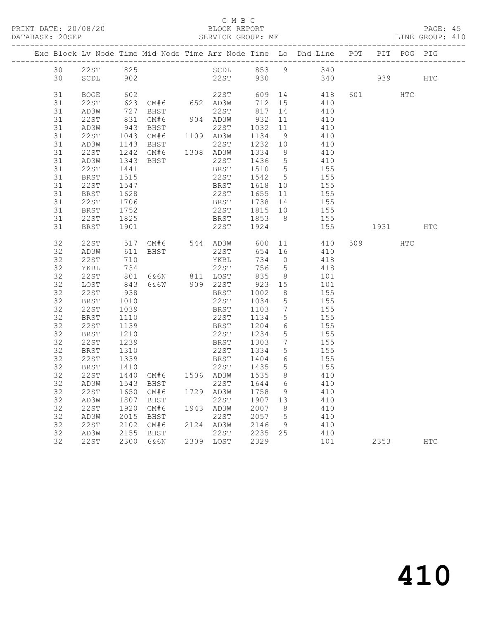| PRINT DATE: 20/08/20<br>DATABASE: 20SEP |    |              |                   |              |      | C M B C<br>BLOCK REPORT    |         |    | SERVICE GROUP: MF                                                                                       |         |     | PAGE: 45<br>LINE GROUP: 410 |  |
|-----------------------------------------|----|--------------|-------------------|--------------|------|----------------------------|---------|----|---------------------------------------------------------------------------------------------------------|---------|-----|-----------------------------|--|
|                                         |    |              |                   |              |      |                            |         |    | Exc Block Lv Node Time Mid Node Time Arr Node Time Lo Dhd Line POT PIT POG PIG                          |         |     |                             |  |
|                                         |    |              |                   |              |      |                            |         |    | 30 22ST 825 SCDL 853 9 340                                                                              |         |     |                             |  |
|                                         |    | 30 SCDL 902  |                   |              |      |                            |         |    | 22ST 930 340 939 HTC                                                                                    |         |     |                             |  |
|                                         | 31 | BOGE 602     |                   |              |      |                            |         |    | 22ST 609 14 418                                                                                         | 601 HTC |     |                             |  |
|                                         | 31 | 22ST         |                   |              |      |                            |         |    | $623$ CM#6 $652$ AD3W 712 15 410                                                                        |         |     |                             |  |
|                                         | 31 | AD3W         |                   |              |      |                            |         |    |                                                                                                         |         |     |                             |  |
|                                         | 31 | 22ST         |                   |              |      |                            |         |    |                                                                                                         |         |     |                             |  |
|                                         | 31 | AD3W         |                   |              |      |                            |         |    |                                                                                                         |         |     |                             |  |
|                                         | 31 | 22ST         |                   |              |      |                            |         |    | 727 BHST<br>831 CM#6 904 AD3W 932 11 410<br>943 BHST 22ST 1032 11 410<br>1043 CM#6 1109 AD3W 1134 9 410 |         |     |                             |  |
|                                         | 31 | AD3W         | 1143              |              |      |                            |         |    |                                                                                                         |         |     |                             |  |
|                                         | 31 | 22ST         | 1242              |              |      |                            |         |    | BHST 22ST 1232 10 410<br>CM#6 1308 AD3W 1334 9 410                                                      |         |     |                             |  |
|                                         | 31 | AD3W         | 1343<br>1441      | <b>BHST</b>  |      |                            |         |    | 22ST 1436 5 410<br>BRST 1510 5 155                                                                      |         |     |                             |  |
|                                         | 31 | 22ST         |                   |              |      |                            |         |    |                                                                                                         |         |     |                             |  |
|                                         | 31 | BRST         | 1515              |              |      |                            |         |    | 22ST 1542 5 155                                                                                         |         |     |                             |  |
|                                         | 31 | 22ST         | 1547              |              |      |                            |         |    | BRST 1618 10 155                                                                                        |         |     |                             |  |
|                                         | 31 | BRST         |                   | 1628<br>1706 |      |                            |         |    | 22ST 1655 11 155<br>BRST 1738 14 155                                                                    |         |     |                             |  |
|                                         | 31 | 22ST         |                   |              |      |                            |         |    |                                                                                                         |         |     |                             |  |
|                                         | 31 | BRST         | 1752              |              |      |                            |         |    | 22ST 1815 10 155                                                                                        |         |     |                             |  |
|                                         | 31 | 22 S T       | 1825              |              |      |                            |         |    | BRST 1853 8 155                                                                                         |         |     |                             |  |
|                                         | 31 | BRST         | 1901              |              |      |                            |         |    | 22ST 1924 155 1931 HTC                                                                                  |         |     |                             |  |
|                                         | 32 | 22ST         |                   |              |      |                            |         |    | 517 CM#6 544 AD3W 600 11 410                                                                            | 509     | HTC |                             |  |
|                                         | 32 | AD3W         | 611               |              |      | BHST 22ST                  |         |    | 654 16 410                                                                                              |         |     |                             |  |
|                                         | 32 | 22ST         | 710<br>734<br>801 |              |      | YKBL<br>22ST               | $734$ 0 |    | 418                                                                                                     |         |     |                             |  |
|                                         | 32 | YKBL         |                   |              |      |                            | 756 5   |    | 418                                                                                                     |         |     |                             |  |
|                                         | 32 | 22 S T       |                   |              |      |                            |         |    | 6&6N 811 LOST 835 8 101                                                                                 |         |     |                             |  |
|                                         | 32 | LOST         | 843               |              |      |                            |         |    | 6&6W 909 22ST 923 15 101                                                                                |         |     |                             |  |
|                                         | 32 | 22ST         | $938$<br>$1010$   |              |      | BRST 1002 8<br>22ST 1034 5 |         |    | $\begin{array}{c} 155 \\ 155 \end{array}$                                                               |         |     |                             |  |
|                                         | 32 | BRST         |                   |              |      |                            |         |    |                                                                                                         |         |     |                             |  |
|                                         | 32 | 22 S T       | 1039              |              |      |                            |         |    | BRST 1103 7 155                                                                                         |         |     |                             |  |
|                                         | 32 | BRST         | 1110              |              |      |                            |         |    | 22ST 1134 5 155                                                                                         |         |     |                             |  |
|                                         | 32 | 22ST         | 1139<br>1210      |              |      |                            |         |    | BRST 1204 6 155<br>22ST 1234 5 155                                                                      |         |     |                             |  |
|                                         | 32 | BRST         |                   |              |      |                            |         |    |                                                                                                         |         |     |                             |  |
|                                         | 32 | 22ST         | 1239              |              |      |                            |         |    | Express 1254 5 135<br>BRST 1303 7 155                                                                   |         |     |                             |  |
|                                         | 32 | BRST         | 1310              |              |      |                            |         |    | 22ST 1334 5 155                                                                                         |         |     |                             |  |
|                                         | 32 | 22ST         | 1339              |              |      | BRST                       |         |    | 1404 6 155                                                                                              |         |     |                             |  |
|                                         |    | 32 BRST 1410 |                   |              |      | 22ST 1435 5                |         |    | 155                                                                                                     |         |     |                             |  |
|                                         | 32 | 22ST         | 1440              | CM#6         |      | 1506 AD3W                  | 1535    | 8  | 410                                                                                                     |         |     |                             |  |
|                                         | 32 | AD3W         | 1543              | BHST         |      | 22ST                       | 1644    | 6  | 410                                                                                                     |         |     |                             |  |
|                                         | 32 | <b>22ST</b>  | 1650              | CM#6         | 1729 | AD3W                       | 1758    | 9  | 410                                                                                                     |         |     |                             |  |
|                                         | 32 | AD3W         | 1807              | BHST         |      | 22ST                       | 1907    | 13 | 410                                                                                                     |         |     |                             |  |
|                                         | 32 | <b>22ST</b>  | 1920              | CM#6         | 1943 | AD3W                       | 2007    | 8  | 410                                                                                                     |         |     |                             |  |
|                                         | 32 | AD3W         | 2015              | BHST         |      | 22ST                       | 2057    | 5  | 410                                                                                                     |         |     |                             |  |
|                                         | 32 | <b>22ST</b>  | 2102              | CM#6         | 2124 | AD3W                       | 2146    | 9  | 410                                                                                                     |         |     |                             |  |
|                                         | 32 | AD3W         | 2155              | BHST         |      | 22ST                       | 2235    | 25 | 410                                                                                                     |         |     |                             |  |
|                                         | 32 | 22ST         | 2300              | 6&6N         |      | 2309 LOST                  | 2329    |    | 101                                                                                                     | 2353    |     | $_{\rm{HTC}}$               |  |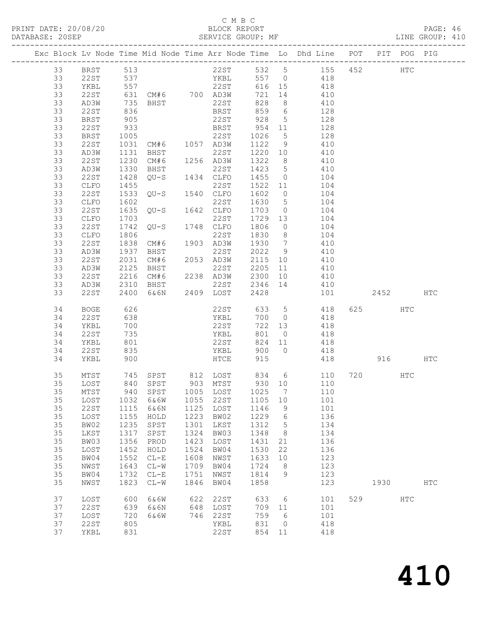### C M B C

| DATABASE: 20SEP |    |              |                                                                      | SERVICE GROUP: MF                              |      |                            |         |                 |                                                                                |     |              |     | LINE GROUP: 410 |  |
|-----------------|----|--------------|----------------------------------------------------------------------|------------------------------------------------|------|----------------------------|---------|-----------------|--------------------------------------------------------------------------------|-----|--------------|-----|-----------------|--|
|                 |    |              |                                                                      |                                                |      |                            |         |                 | Exc Block Lv Node Time Mid Node Time Arr Node Time Lo Dhd Line POT PIT POG PIG |     |              |     |                 |  |
|                 |    |              |                                                                      |                                                |      |                            |         |                 | 33 BRST 513 22ST 532 5 155 452 HTC                                             |     |              |     |                 |  |
|                 | 33 | 22ST 537     |                                                                      |                                                |      |                            |         |                 | YKBL 557 0 418                                                                 |     |              |     |                 |  |
|                 | 33 | YKBL         |                                                                      |                                                |      |                            |         |                 | 616 15 418                                                                     |     |              |     |                 |  |
|                 | 33 | 22ST         |                                                                      |                                                |      |                            | 721 14  |                 | 410                                                                            |     |              |     |                 |  |
|                 | 33 | AD3W         |                                                                      |                                                |      |                            | 828 8   |                 | 410                                                                            |     |              |     |                 |  |
|                 | 33 | 22ST         | 836                                                                  |                                                |      |                            |         |                 | BRST 859 6 128                                                                 |     |              |     |                 |  |
|                 | 33 | BRST         | 905                                                                  |                                                |      | 22ST 928 5                 |         |                 | 128                                                                            |     |              |     |                 |  |
|                 | 33 | 22ST         | 933                                                                  |                                                |      |                            |         |                 | 128                                                                            |     |              |     |                 |  |
|                 | 33 | BRST         | 1005                                                                 |                                                |      | BRST 954 11<br>22ST 1026 5 |         |                 | 128                                                                            |     |              |     |                 |  |
|                 | 33 | 22ST         |                                                                      | 1005 22ST 1026 5<br>1031 CM#6 1057 AD3W 1122 9 |      |                            |         |                 | 410                                                                            |     |              |     |                 |  |
|                 | 33 | AD3W         | 1131                                                                 |                                                |      |                            |         |                 | 1220 10 410                                                                    |     |              |     |                 |  |
|                 | 33 | 22ST         |                                                                      | BHST 22ST<br>CM#6 1256 AD3W<br>BHST 22ST       |      |                            | 1322 8  |                 | 410                                                                            |     |              |     |                 |  |
|                 | 33 | AD3W         | 1230<br>1330                                                         |                                                |      |                            |         |                 | $1423$ 5 410                                                                   |     |              |     |                 |  |
|                 | 33 | 22ST         | 1428                                                                 |                                                |      |                            |         |                 | QU-S 1434 CLFO 1455 0 104                                                      |     |              |     |                 |  |
|                 | 33 | CLFO         | 1455                                                                 |                                                |      | 22ST                       | 1522    |                 | 11 104                                                                         |     |              |     |                 |  |
|                 | 33 | 22ST         | 1533                                                                 | 22ST<br>QU-S 1540 CLFO                         |      |                            | 1602 0  |                 | 104                                                                            |     |              |     |                 |  |
|                 | 33 | CLFO         | 1602                                                                 |                                                |      |                            | 1630 5  |                 | 104                                                                            |     |              |     |                 |  |
|                 | 33 | 22ST         | 1635                                                                 | $QU-S$ 1642 $CLFO$                             |      |                            | 1703 0  |                 | 104                                                                            |     |              |     |                 |  |
|                 | 33 | CLFO         | 1703                                                                 |                                                |      | 22ST                       | 1729 13 |                 | 104                                                                            |     |              |     |                 |  |
|                 | 33 | 22ST         | 1742                                                                 | 22ST<br>QU-S 1748 CLFO                         |      |                            | 1806    | $\overline{0}$  |                                                                                |     |              |     |                 |  |
|                 | 33 | CLFO         | 1806                                                                 |                                                |      | 22ST                       | 1830 8  |                 | 104<br>104                                                                     |     |              |     |                 |  |
|                 | 33 | 22ST         | 1838                                                                 | CM#6                                           |      | 1903 AD3W 1930 7           |         |                 | 410                                                                            |     |              |     |                 |  |
|                 | 33 |              | 1937                                                                 |                                                |      | 22ST                       | 2022 9  |                 | 410                                                                            |     |              |     |                 |  |
|                 | 33 | AD3W<br>22ST |                                                                      | BHST<br>CM#6                                   |      |                            | 2115 10 |                 |                                                                                |     |              |     |                 |  |
|                 | 33 | AD3W         | 2031<br>2125<br>2125                                                 |                                                |      | 2053 AD3W                  |         |                 | 410                                                                            |     |              |     |                 |  |
|                 | 33 | 22ST         | 2216                                                                 |                                                |      |                            |         |                 | BHST 22ST 2205 11 410<br>CM#6 2238 AD3W 2300 10 410                            |     |              |     |                 |  |
|                 | 33 | AD3W         | 2310                                                                 | <b>BHST</b>                                    |      |                            |         |                 | 22ST 2346 14 410                                                               |     |              |     |                 |  |
|                 | 33 | 22ST         | 2400                                                                 |                                                |      | 6&6N 2409 LOST             | 2428    |                 |                                                                                |     | 101 2452 HTC |     |                 |  |
|                 |    |              |                                                                      |                                                |      |                            |         |                 |                                                                                |     |              |     |                 |  |
|                 | 34 | BOGE         | 626                                                                  |                                                |      | 22ST                       |         |                 | 633 5 418                                                                      |     |              | HTC |                 |  |
|                 | 34 | 22ST         | 638                                                                  |                                                |      | YKBL                       |         |                 | 700 0 418                                                                      |     |              |     |                 |  |
|                 | 34 | YKBL         | 700                                                                  |                                                |      | 22ST                       | 722     |                 | 13 418                                                                         |     |              |     |                 |  |
|                 | 34 | 22ST         | $\begin{array}{c} \n \sqrt{2} \\  801 \\  \hline\n 25\n \end{array}$ |                                                |      | YKBL<br>22ST               | 801 0   |                 | 418                                                                            |     |              |     |                 |  |
|                 | 34 | YKBL         |                                                                      |                                                |      |                            | 824 11  |                 | 418                                                                            |     |              |     |                 |  |
|                 | 34 | 22ST         | 835                                                                  |                                                |      | YKBL                       |         |                 | 900 0 418                                                                      |     |              |     |                 |  |
|                 | 34 | YKBL         | 900                                                                  |                                                |      | HTCE                       | 915     |                 | 418 916 HTC                                                                    |     |              |     |                 |  |
|                 | 35 | MTST         |                                                                      | 745 SPST 812 LOST                              |      |                            |         |                 | 834 6 110 720 HTC                                                              |     |              |     |                 |  |
|                 |    |              |                                                                      | 35 LOST 840 SPST 903 MTST                      |      |                            |         |                 | 930 10 110                                                                     |     |              |     |                 |  |
|                 | 35 | MTST         | 940                                                                  | SPST                                           | 1005 | LOST                       | 1025    | $\overline{7}$  | 110                                                                            |     |              |     |                 |  |
|                 | 35 | LOST         | 1032                                                                 | 6&6W                                           | 1055 | 22ST                       | 1105 10 |                 | 101                                                                            |     |              |     |                 |  |
|                 | 35 | 22ST         | 1115                                                                 | 6&6N                                           | 1125 | LOST                       | 1146    | 9               | 101                                                                            |     |              |     |                 |  |
|                 | 35 | LOST         | 1155                                                                 | HOLD                                           | 1223 | BW02                       | 1229    | $6\overline{6}$ | 136                                                                            |     |              |     |                 |  |
|                 | 35 | BW02         | 1235                                                                 | SPST                                           | 1301 | LKST                       | 1312    | $5^{\circ}$     | 134                                                                            |     |              |     |                 |  |
|                 | 35 | LKST         | 1317                                                                 | SPST                                           | 1324 | BW03                       | 1348    | 8 <sup>8</sup>  | 134                                                                            |     |              |     |                 |  |
|                 | 35 | BW03         | 1356                                                                 | PROD                                           | 1423 | LOST                       | 1431    | 21              | 136                                                                            |     |              |     |                 |  |
|                 | 35 | LOST         | 1452                                                                 | HOLD                                           | 1524 | BW04                       | 1530    | 22              | 136                                                                            |     |              |     |                 |  |
|                 | 35 | BW04         | 1552                                                                 | $CL-E$                                         | 1608 | NWST                       | 1633    | 10              | 123                                                                            |     |              |     |                 |  |
|                 | 35 | NWST         | 1643                                                                 | $CL-W$                                         | 1709 | BW04                       | 1724    | 8 <sup>8</sup>  | 123                                                                            |     |              |     |                 |  |
|                 | 35 | BW04         | 1732                                                                 | $CL-E$                                         | 1751 | NWST                       | 1814    | 9               | 123                                                                            |     |              |     |                 |  |
|                 | 35 | NWST         | 1823                                                                 | $CL-W$                                         | 1846 | BW04                       | 1858    |                 | 123                                                                            |     | 1930         |     | <b>HTC</b>      |  |
|                 | 37 | LOST         | 600                                                                  | 6&6W                                           | 622  | 22ST                       | 633     | $6\overline{6}$ | 101                                                                            | 529 |              | HTC |                 |  |
|                 | 37 | 22ST         | 639                                                                  | 6&6N                                           | 648  | LOST                       | 709 11  |                 | 101                                                                            |     |              |     |                 |  |
|                 | 37 | LOST         | 720                                                                  | 6&6W                                           | 746  | 22ST                       | 759     | 6               | 101                                                                            |     |              |     |                 |  |
|                 | 37 | 22ST         | 805                                                                  |                                                |      | YKBL                       | 831     | $\overline{0}$  | 418                                                                            |     |              |     |                 |  |
|                 | 37 | YKBL         | 831                                                                  |                                                |      | 22ST                       | 854 11  |                 | 418                                                                            |     |              |     |                 |  |
|                 |    |              |                                                                      |                                                |      |                            |         |                 |                                                                                |     |              |     |                 |  |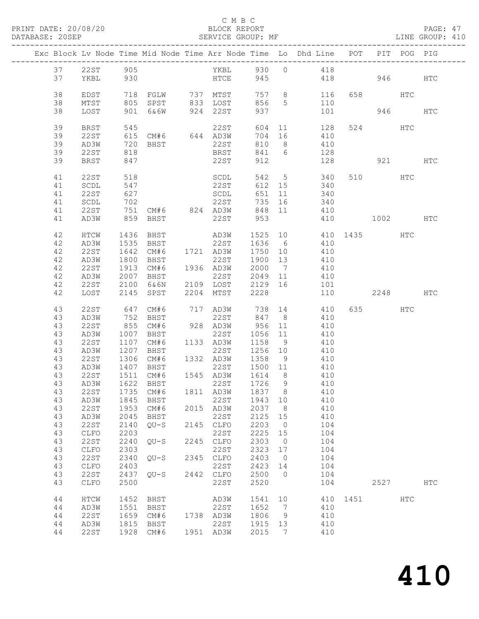#### C M B C<br>BLOCK REPORT SERVICE GROUP: MF

|  |          |               |              |                             |      |                                               |                   |                | Exc Block Lv Node Time Mid Node Time Arr Node Time Lo Dhd Line POT |              |          | PIT POG PIG |            |
|--|----------|---------------|--------------|-----------------------------|------|-----------------------------------------------|-------------------|----------------|--------------------------------------------------------------------|--------------|----------|-------------|------------|
|  |          | 37 22ST 905   |              |                             |      |                                               |                   |                | YKBL 930 0 418                                                     |              |          |             |            |
|  | 37       | YKBL          | 930          |                             |      | HTCE 945                                      |                   |                | 418 946                                                            |              |          |             | HTC        |
|  |          |               |              |                             |      |                                               |                   |                |                                                                    |              |          |             |            |
|  | 38       | EDST          |              |                             |      | 718 FGLW 737 MTST                             |                   |                | 757 8 116                                                          |              | 658 HTC  |             |            |
|  | 38       | MTST          |              |                             |      | 805 SPST 833 LOST                             | 856 5             |                | 110                                                                |              |          |             |            |
|  | 38       | LOST          |              |                             |      | 901 6&6W 924 22ST                             | 937               |                | 101                                                                |              |          | 946 940     | HTC        |
|  |          |               |              |                             |      |                                               |                   |                |                                                                    |              |          |             |            |
|  | 39       | BRST          | 545          |                             |      | 22ST                                          | 604               |                | 11 128                                                             |              | 524      | HTC         |            |
|  | 39       | 22ST          |              | 615 CM#6 644 AD3W           |      |                                               | 704               | 16             | 410                                                                |              |          |             |            |
|  | 39       | AD3W          |              |                             |      |                                               | 810 8             |                | 410                                                                |              |          |             |            |
|  | 39       | 22ST          | 818          | $720$ BHST<br>818           |      | 22ST<br>BRST                                  | 841 6             |                | $128$                                                              |              |          |             |            |
|  | 39       | BRST          | 847          |                             |      | 22ST                                          | 912               |                | 128                                                                |              | 921 HTC  |             |            |
|  |          |               |              |                             |      |                                               |                   |                |                                                                    |              |          |             |            |
|  | 41       | 22ST          | 518          |                             |      | SCDL                                          |                   |                | 542 5 340                                                          |              | 510 HTC  |             |            |
|  | 41       | SCDL          | 547          |                             |      | 22ST                                          |                   |                | $612$ $15$ $340$                                                   |              |          |             |            |
|  | 41       | 22ST          | 627          |                             |      | SCDL                                          |                   |                | 651 11 340                                                         |              |          |             |            |
|  | 41       | SCDL          | 702          |                             |      | 22ST                                          | 735               |                | 16 340                                                             |              |          |             |            |
|  | 41       | 22 S T        |              |                             |      | 751 CM#6 824 AD3W<br>859 BHST 22ST            | 848 11            |                | 410                                                                |              |          |             |            |
|  | 41       | AD3W          |              |                             |      |                                               | 953               |                |                                                                    | 410 1002 HTC |          |             |            |
|  |          |               |              |                             |      |                                               |                   |                |                                                                    |              |          |             |            |
|  | 42       | HTCW          | 1436         |                             |      | BHST AD3W                                     |                   |                | 1525 10 410 1435 HTC                                               |              |          |             |            |
|  | 42       | AD3W          | 1535         | BHST                        |      | 22ST 1636 6<br>1721 AD3W 1750 10              |                   |                | 410                                                                |              |          |             |            |
|  | 42       | 22ST          | 1642         | CM#6                        |      |                                               |                   |                | 410                                                                |              |          |             |            |
|  | 42       | AD3W          | 1800         | BHST                        |      | 22ST 1900 13                                  |                   |                | 410                                                                |              |          |             |            |
|  | 42       | 22ST          | 1913         | CM#6                        |      | 1936 AD3W                                     | 2000 7            |                | 410                                                                |              |          |             |            |
|  | 42       | AD3W          | 2007         |                             |      | 22ST<br>2007 BHST 22ST<br>2100 6&6N 2109 LOST | 2049 11           |                | 410                                                                |              |          |             |            |
|  | 42       | 22ST          |              |                             |      |                                               | 2129 16           |                | 101                                                                |              |          |             |            |
|  | 42       | LOST          |              | 2145 SPST                   |      | 2204 MTST                                     | 2228              |                | 110                                                                |              | 2248 HTC |             |            |
|  |          |               |              |                             |      |                                               |                   |                |                                                                    |              |          |             |            |
|  | 43       | 22ST          | 647          | CM#6                        |      |                                               |                   |                | 717 AD3W 738 14 410                                                |              | 635 HTC  |             |            |
|  | 43       | AD3W          | 752<br>855   | BHST                        |      | 22ST                                          | 847 8             |                | 410<br>956 11 410                                                  |              |          |             |            |
|  | 43       | 22ST          |              | CM#6                        |      | 928 AD3W                                      |                   |                |                                                                    |              |          |             |            |
|  | 43       | AD3W          | 1007         | BHST                        |      | 22ST<br>1133 AD3W                             | 1056 11           |                | 410                                                                |              |          |             |            |
|  | 43<br>43 | 22ST<br>AD3W  | 1107<br>1207 | CM#6<br><b>BHST</b>         |      | 22ST                                          | 1158 9<br>1256 10 |                | 410<br>410                                                         |              |          |             |            |
|  | 43       | 22ST          |              | $1306$ $CM#6$ $1332$ $AD3W$ |      |                                               |                   |                | $1358$ 9 410                                                       |              |          |             |            |
|  | 43       | AD3W          |              | 1407 BHST                   |      |                                               |                   |                | 22ST 1500 11 410                                                   |              |          |             |            |
|  | 43       | 22 S T        |              | 1511 CM#6                   |      | 1545 AD3W 1614 8                              |                   |                | 410                                                                |              |          |             |            |
|  | 43       | AD3W          |              | 1622 BHST                   |      | 22ST                                          | 1726 9            |                | 410                                                                |              |          |             |            |
|  |          |               |              |                             |      |                                               |                   |                | 43  22ST  1735  CM#6  1811  AD3W  1837  8  410                     |              |          |             |            |
|  | 43       | AD3W          | 1845         | BHST                        |      | 22ST                                          | 1943 10           |                | 410                                                                |              |          |             |            |
|  | 43       | 22ST          | 1953         | CM#6                        |      | 2015 AD3W                                     | 2037              | 8 <sup>8</sup> | 410                                                                |              |          |             |            |
|  | 43       | AD3W          | 2045         | BHST                        |      | 22ST                                          | 2125              | 15             | 410                                                                |              |          |             |            |
|  | 43       | <b>22ST</b>   | 2140         | $QU-S$                      |      | 2145 CLFO                                     | 2203              | $\overline{0}$ | 104                                                                |              |          |             |            |
|  | 43       | CLFO          | 2203         |                             |      | 22ST                                          | 2225              | 15             | 104                                                                |              |          |             |            |
|  | 43       | <b>22ST</b>   | 2240         | $QU-S$                      | 2245 | ${\tt CLFO}$                                  | 2303              | $\overline{0}$ | 104                                                                |              |          |             |            |
|  | 43       | CLFO          | 2303         |                             |      | 22ST                                          | 2323              | 17             | 104                                                                |              |          |             |            |
|  | 43       | 22ST          | 2340         | $QU-S$                      |      | 2345 CLFO                                     | 2403              | $\overline{0}$ | 104                                                                |              |          |             |            |
|  | 43       | CLFO          | 2403         |                             |      | 22ST                                          | 2423              | 14             | 104                                                                |              |          |             |            |
|  | 43       | 22ST          | 2437         | $QU-S$                      |      | 2442 CLFO                                     | 2500              | $\bigcirc$     | 104                                                                |              |          |             |            |
|  | 43       | CLFO          | 2500         |                             |      | 22ST                                          | 2520              |                | 104                                                                |              | 2527     |             | <b>HTC</b> |
|  |          |               |              |                             |      |                                               |                   |                |                                                                    |              |          |             |            |
|  | 44       | $\verb HTCW $ | 1452         | BHST                        |      | AD3W                                          | 1541              | 10             | 410                                                                | 1451         |          | HTC         |            |
|  | 44       | AD3W          | 1551         | BHST                        |      | 22ST                                          | 1652              | 7              | 410                                                                |              |          |             |            |
|  | 44       | <b>22ST</b>   | 1659         | CM#6                        |      | 1738 AD3W                                     | 1806              | 9              | 410                                                                |              |          |             |            |
|  | 44       | AD3W          | 1815         | BHST                        |      | 22ST                                          | 1915 13           |                | 410                                                                |              |          |             |            |
|  | 44       | 22ST          |              | 1928 CM#6                   |      | 1951 AD3W                                     | 2015              | 7              | 410                                                                |              |          |             |            |
|  |          |               |              |                             |      |                                               |                   |                |                                                                    |              |          |             |            |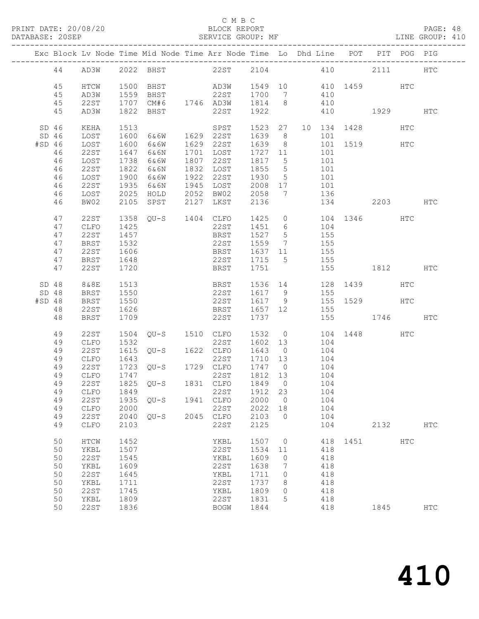## C M B C<br>BLOCK REPORT<br>SERVICE GROUP: MF

| DATABASE: 20SEP |                  |      |      | SERVICE GROUP: MF                                                              |                              |             |                 |     |                                           |                                                  |      |     | LINE GROUP: 410 |
|-----------------|------------------|------|------|--------------------------------------------------------------------------------|------------------------------|-------------|-----------------|-----|-------------------------------------------|--------------------------------------------------|------|-----|-----------------|
|                 |                  |      |      | Exc Block Lv Node Time Mid Node Time Arr Node Time Lo Dhd Line POT PIT POG PIG |                              |             |                 |     |                                           |                                                  |      |     |                 |
|                 |                  |      |      | 44 AD3W 2022 BHST 22ST 2104 410 2111 HTC                                       |                              |             |                 |     |                                           |                                                  |      |     |                 |
|                 | 45               | HTCW |      |                                                                                |                              |             |                 |     |                                           |                                                  |      |     |                 |
|                 | 45               | AD3W |      | 1559 BHST                                                                      | 22ST 1700 7                  |             |                 |     | 410                                       |                                                  |      |     |                 |
|                 | 45               | 22ST |      | $1707$ CM#6 $1746$ AD3W $1814$ 8 $410$                                         |                              |             |                 |     |                                           |                                                  |      |     |                 |
|                 | 45               | AD3W |      | 1822 BHST                                                                      | 22ST                         |             |                 |     |                                           | 1922 410 1929                                    |      |     | HTC             |
|                 | SD <sub>46</sub> | KEHA | 1513 |                                                                                | SPST 1523 27 10 134 1428 HTC |             |                 |     |                                           |                                                  |      |     |                 |
|                 | SD <sub>46</sub> | LOST | 1600 | 6&6W 1629 22ST                                                                 |                              | 1639 8      |                 |     | 101                                       |                                                  |      |     |                 |
| #SD 46          |                  | LOST | 1600 | 6&6W                                                                           | 1629 22ST                    | 1639 8      |                 |     |                                           | 101 1519 HTC                                     |      |     |                 |
|                 | 46               | 22ST | 1647 | 6&6N                                                                           | 1701 LOST                    | 1727 11     |                 | 101 |                                           |                                                  |      |     |                 |
|                 | 46               | LOST | 1738 | 6&6W                                                                           | 1807 22ST                    | 1817 5      |                 |     | 101                                       |                                                  |      |     |                 |
|                 | 46               | 22ST | 1822 | 6&6N                                                                           | 1832 LOST 1855               |             | $5\overline{)}$ |     | $\frac{1}{101}$                           |                                                  |      |     |                 |
|                 | 46               | LOST | 1900 | 6&6W                                                                           | 1922 22ST 1930 5             |             |                 |     | 101                                       |                                                  |      |     |                 |
|                 | 46               | 22ST | 1935 | 6&6N                                                                           | 1945 LOST                    | 2008 17 101 |                 |     |                                           |                                                  |      |     |                 |
|                 | 46               | LOST | 2025 | HOLD                                                                           | 2052 BW02                    | 2058 7      |                 |     | 136                                       |                                                  |      |     |                 |
|                 | 46               | BW02 | 2105 |                                                                                | SPST 2127 LKST               | 2136        |                 |     |                                           | 134 2203 HTC                                     |      |     |                 |
|                 | 47               | 22ST |      | 1358 QU-S 1404 CLFO                                                            |                              |             |                 |     |                                           | 1425 0 104 1346 HTC                              |      |     |                 |
|                 | 47               | CLFO | 1425 |                                                                                | 22ST                         | 1451 6      |                 |     | 104                                       |                                                  |      |     |                 |
|                 | 47               | 22ST | 1457 |                                                                                | BRST                         | 1527 5      |                 |     | 155                                       |                                                  |      |     |                 |
|                 | 47               | BRST | 1532 |                                                                                | 22ST 1559 7                  |             |                 |     | 155                                       |                                                  |      |     |                 |
|                 | 47               | 22ST | 1606 |                                                                                | BRST 1637 11 155             |             |                 |     |                                           |                                                  |      |     |                 |
|                 | 47               | BRST | 1648 |                                                                                | 22ST 1715 5 155              |             |                 |     |                                           |                                                  |      |     |                 |
|                 | 47               | 22ST | 1720 |                                                                                | BRST                         | 1751        |                 |     |                                           | 155 1812 HTC                                     |      |     |                 |
|                 | SD 48            | 8&8E | 1513 |                                                                                | BRST 1536 14 128 1439        |             |                 |     |                                           |                                                  |      | HTC |                 |
|                 | SD 48            | BRST | 1550 |                                                                                | 22ST                         |             |                 |     |                                           |                                                  |      |     |                 |
| #SD 48          |                  | BRST | 1550 |                                                                                | 22ST 1617 9                  |             |                 |     |                                           | 1617 9 155<br>1617 9 155 1529 HTC<br>1657 12 155 |      |     |                 |
|                 | 48               | 22ST | 1626 |                                                                                | <b>BRST</b>                  | 1657 12     |                 |     | 155                                       |                                                  |      |     |                 |
|                 | 48               | BRST | 1709 |                                                                                | 22ST                         | 1737        |                 |     |                                           | 155 1746                                         |      |     | <b>HTC</b>      |
|                 | 49               | 22ST |      | 1504 QU-S 1510 CLFO 1532 0 104 1448 HTC<br>1532 0 22ST 1602 13 104 1448        |                              |             |                 |     |                                           |                                                  |      |     |                 |
|                 | 49               | CLFO | 1532 |                                                                                | 22ST                         | 1602 13     |                 |     | 104                                       |                                                  |      |     |                 |
|                 | 49               | 22ST | 1615 | $QU-S$ $1622$ $CLFO$                                                           |                              | 1643 0 104  |                 |     |                                           |                                                  |      |     |                 |
|                 | 49               | CLFO | 1643 |                                                                                | 22ST                         | 1710 13     |                 | 104 |                                           |                                                  |      |     |                 |
|                 | 49               | 22ST |      | 1723 QU-S 1729 CLFO 1747 0                                                     |                              |             |                 |     | $\begin{array}{c} 104 \\ 104 \end{array}$ |                                                  |      |     |                 |
|                 | 49               | CLFO | 1747 |                                                                                | 22ST 1812 13                 |             |                 |     |                                           |                                                  |      |     |                 |
|                 | 49               |      |      | 22ST 1825 QU-S 1831 CLFO 1849 0 104                                            |                              |             |                 |     |                                           |                                                  |      |     |                 |
|                 | 49               | CLFO | 1849 |                                                                                | 22ST                         | 1912 23     |                 |     | 104                                       |                                                  |      |     |                 |
|                 | 49               | 22ST | 1935 | QU-S                                                                           | 1941 CLFO                    | 2000        | $\overline{0}$  |     | 104                                       |                                                  |      |     |                 |
|                 | 49               | CLFO | 2000 |                                                                                | 22ST                         | 2022        | 18              |     | 104                                       |                                                  |      |     |                 |
|                 | 49               | 22ST | 2040 | $QU-S$                                                                         | 2045 CLFO                    | 2103        | $\overline{0}$  |     | 104                                       |                                                  |      |     |                 |
|                 | 49               | CLFO | 2103 |                                                                                | 22ST                         | 2125        |                 |     | 104                                       |                                                  | 2132 |     | <b>HTC</b>      |
|                 | 50               | HTCW | 1452 |                                                                                | YKBL                         | 1507 0      |                 |     |                                           | 418 1451 HTC                                     |      |     |                 |
|                 | 50               | YKBL | 1507 |                                                                                | 22ST                         | 1534        | 11              |     | 418                                       |                                                  |      |     |                 |
|                 | 50               | 22ST | 1545 |                                                                                | YKBL                         | 1609        | $\overline{0}$  |     | 418                                       |                                                  |      |     |                 |
|                 | 50               | YKBL | 1609 |                                                                                | 22ST                         | 1638        | 7               |     | 418                                       |                                                  |      |     |                 |
|                 | 50               | 22ST | 1645 |                                                                                | YKBL                         | 1711        | $\overline{0}$  |     | 418                                       |                                                  |      |     |                 |
|                 | 50               | YKBL | 1711 |                                                                                | 22ST                         | 1737        | - 8             |     | 418                                       |                                                  |      |     |                 |
|                 | 50               | 22ST | 1745 |                                                                                | YKBL                         | 1809        | $\overline{0}$  |     | 418                                       |                                                  |      |     |                 |
|                 | 50               | YKBL | 1809 |                                                                                | 22ST                         | 1831        | 5               |     | 418                                       |                                                  |      |     |                 |
|                 | 50               | 22ST | 1836 |                                                                                | BOGW                         | 1844        |                 |     | 418                                       |                                                  | 1845 |     | HTC             |
|                 |                  |      |      |                                                                                |                              |             |                 |     |                                           |                                                  |      |     |                 |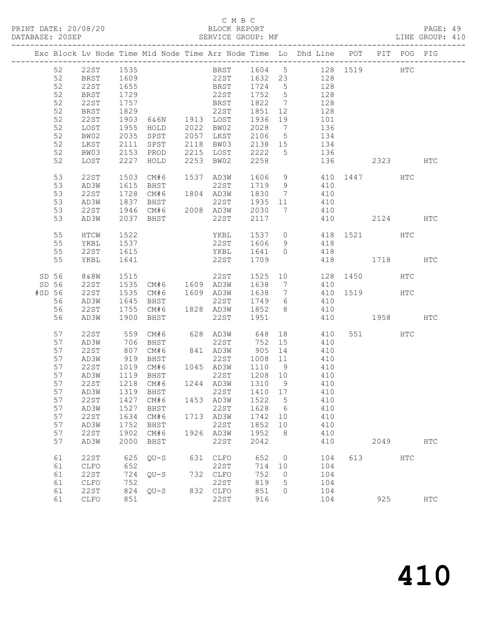### C M B C<br>BLOCK REPORT

| DATABASE: 20SEP |              |              | SERVICE GROUP: MF                |                |      |                | LINE GROUP: 410                                                                |              |         |      |            |  |
|-----------------|--------------|--------------|----------------------------------|----------------|------|----------------|--------------------------------------------------------------------------------|--------------|---------|------|------------|--|
|                 |              |              |                                  |                |      |                | Exc Block Lv Node Time Mid Node Time Arr Node Time Lo Dhd Line POT PIT POG PIG |              |         |      |            |  |
|                 | 52 22ST 1535 |              |                                  |                |      |                | BRST 1604 5 128 1519 HTC                                                       |              |         |      |            |  |
| 52              |              |              | BRST 1609                        |                |      |                | 22ST 1632 23 128                                                               |              |         |      |            |  |
| 52              | 22ST         | 1655         |                                  |                |      |                |                                                                                |              |         |      |            |  |
| 52              | BRST         |              |                                  |                |      |                | BRST 1724 5 128<br>22ST 1752 5 128                                             |              |         |      |            |  |
| 52              | 22ST         | 1729<br>1757 |                                  |                |      |                | E231 1732 3 120<br>BRST 1822 7 128                                             |              |         |      |            |  |
| 52              | BRST         | 1829         |                                  |                |      |                |                                                                                |              |         |      |            |  |
| 52              | 22ST         | 1903         |                                  |                |      |                | 22 5 1851 12<br>6 46 1913 10 5 1936 19<br>101                                  |              |         |      |            |  |
| 52              | LOST         |              |                                  |                |      |                |                                                                                |              |         |      |            |  |
| 52              | BW02         |              |                                  |                |      |                |                                                                                |              |         |      |            |  |
| 52              | LKST         | 2111         |                                  |                |      |                | SPST 2118 BW03 2138 15 134                                                     |              |         |      |            |  |
| 52              | BW03         | 2153         |                                  | PROD 2215 LOST |      |                | 2222 5 136                                                                     |              |         |      |            |  |
| 52              | LOST         |              | 2227 HOLD                        | 2253 BW02      | 2258 |                |                                                                                | 136 2323 HTC |         |      |            |  |
| 53              | 22ST         | 1503         | CM#6                             | 1537 AD3W      |      |                | 1606 9 410 1447                                                                |              |         | HTC  |            |  |
| 53              | AD3W         | 1615         | <b>BHST</b>                      | 22ST 1719 9    |      |                | 410                                                                            |              |         |      |            |  |
| 53              | 22ST         |              |                                  |                |      |                |                                                                                |              |         |      |            |  |
| 53              | AD3W         | 1728<br>1837 |                                  |                |      |                | CM#6 1804 AD3W 1830 7 410<br>BHST 22ST 1935 11 410                             |              |         |      |            |  |
| 53              | 22 S T       |              |                                  |                |      |                |                                                                                |              |         |      |            |  |
| 53              | AD3W         |              | 2037 BHST                        | 22ST           | 2117 |                | 410 2124 HTC                                                                   |              |         |      |            |  |
|                 |              |              |                                  |                |      |                |                                                                                |              |         |      |            |  |
| 55              | HTCW         | 1522         |                                  |                |      |                | YKBL 1537 0 418 1521 HTC                                                       |              |         |      |            |  |
| 55              | YKBL         | 1537         |                                  |                |      |                | $22ST$ $1606$ 9 $418$                                                          |              |         |      |            |  |
| 55              | 22ST         | 1615         |                                  |                |      |                | YKBL 1641 0 418                                                                |              |         |      |            |  |
| 55              | YKBL         | 1641         |                                  | 22ST           | 1709 |                |                                                                                | 418 1718     |         |      | HTC        |  |
| SD 56           | 8 & 8 W      |              |                                  |                |      |                | 22ST 1525 10 128 1450                                                          |              |         | HTC  |            |  |
| SD 56           | 22ST         |              |                                  |                |      |                |                                                                                |              |         |      |            |  |
| #SD 56          | 22ST         | 1535         |                                  |                |      |                | CM#6 1609 AD3W 1638 7 410 1519 HTC<br>BHST 22ST 1749 6 410                     |              |         |      |            |  |
| 56              | AD3W         | 1645         |                                  |                |      |                |                                                                                |              |         |      |            |  |
| 56              | 22ST         |              | $1755$ CM#6 $1828$ AD3W $1852$ 8 |                |      |                | $\frac{1}{410}$                                                                |              |         |      |            |  |
| 56              | AD3W         |              | 1900 BHST                        | 22ST 1951      |      |                | 410 1958                                                                       |              |         |      | HTC        |  |
| 57              | 22ST         |              |                                  |                |      |                | 18 410                                                                         |              | 551 HTC |      |            |  |
| 57              | AD3W         |              |                                  |                |      |                | 410                                                                            |              |         |      |            |  |
| 57              | 22 ST        | 807          |                                  |                |      |                | CM#6 841 AD3W 905 14 410                                                       |              |         |      |            |  |
| 57              | AD3W         | 919          | <b>BHST</b>                      |                |      |                | 22ST 1008 11 410                                                               |              |         |      |            |  |
| 57              | 22ST         |              |                                  |                |      |                | 1019 CM#6 1045 AD3W 1110 9 410<br>1119 BHST 22ST 1208 10 410                   |              |         |      |            |  |
| 57              | AD3W         |              |                                  |                |      |                |                                                                                |              |         |      |            |  |
|                 |              |              |                                  |                |      |                | 57 22ST 1218 CM#6 1244 AD3W 1310 9 410                                         |              |         |      |            |  |
| 57              | AD3W         |              | 1319 BHST                        | 22ST           | 1410 | 17             | 410                                                                            |              |         |      |            |  |
| 57              | 22ST         | 1427         | CM#6                             | 1453 AD3W      | 1522 | $5^{\circ}$    | 410                                                                            |              |         |      |            |  |
| 57              | AD3W         | 1527         | BHST                             | 22ST           | 1628 | 6              | 410                                                                            |              |         |      |            |  |
| 57              | 22ST         | 1634         | CM#6                             | 1713 AD3W      | 1742 | 10             | 410                                                                            |              |         |      |            |  |
| 57              | AD3W         | 1752         | BHST                             | 22ST           | 1852 | 10             | 410                                                                            |              |         |      |            |  |
| 57              | 22ST         | 1902         | CM#6                             | 1926 AD3W      | 1952 | 8              | 410                                                                            |              |         |      |            |  |
| 57              | AD3W         | 2000         | BHST                             | 22ST           | 2042 |                | 410                                                                            |              |         | 2049 | HTC        |  |
| 61              | <b>22ST</b>  | 625          | $QU-S$                           | 631 CLFO       | 652  | $\overline{0}$ | 104                                                                            | 613          |         | HTC  |            |  |
| 61              | ${\tt CLFO}$ | 652          |                                  | 22ST           | 714  | 10             | 104                                                                            |              |         |      |            |  |
| 61              | 22ST         | 724          | QU-S                             | 732 CLFO       | 752  | $\overline{0}$ | 104                                                                            |              |         |      |            |  |
| 61              | ${\tt CLFO}$ | 752          |                                  | 22ST           | 819  | 5              | 104                                                                            |              |         |      |            |  |
| 61              | 22ST         | 824          | $QU-S$                           | 832 CLFO       | 851  | $\circ$        | 104                                                                            |              |         |      |            |  |
| 61              | CLFO         | 851          |                                  | 22ST           | 916  |                | 104                                                                            |              | 925     |      | <b>HTC</b> |  |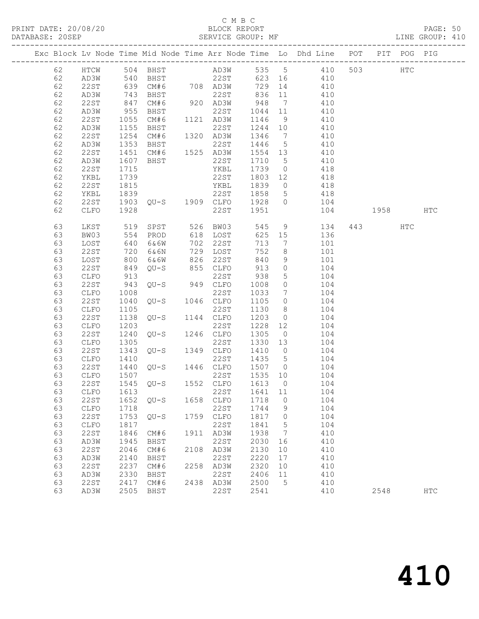### C M B C<br>
C M B C<br>
ELOCK REPORT

| DATABASE: 20SEP |    |      |                    |                                | SERVICE GROUP: MF                        |         |                 | LINE GROUP: 410                                                                         |         |            |  |
|-----------------|----|------|--------------------|--------------------------------|------------------------------------------|---------|-----------------|-----------------------------------------------------------------------------------------|---------|------------|--|
|                 |    |      |                    |                                |                                          |         |                 | Exc Block Lv Node Time Mid Node Time Arr Node Time Lo Dhd Line POT PIT POG PIG          |         |            |  |
|                 |    |      |                    |                                |                                          |         |                 | 62 HTCW 504 BHST AD3W 535 5 410 503 HTC                                                 |         |            |  |
|                 | 62 |      |                    |                                |                                          |         |                 | AD3W 540 BHST 22ST 623 16 410                                                           |         |            |  |
|                 | 62 | 22ST |                    |                                |                                          |         |                 | 639 CM#6 708 AD3W 729 14 410<br>743 BHST 22ST 836 11 410<br>847 CM#6 920 AD3W 948 7 410 |         |            |  |
|                 | 62 | AD3W |                    |                                |                                          |         |                 |                                                                                         |         |            |  |
|                 | 62 | 22ST |                    |                                |                                          |         |                 |                                                                                         |         |            |  |
|                 | 62 | AD3W | 955                |                                |                                          |         |                 | BHST 22ST 1044 11 410                                                                   |         |            |  |
|                 | 62 | 22ST |                    | CM#6 1121 AD3W                 |                                          | 1146    | 9               | 410                                                                                     |         |            |  |
|                 | 62 |      | 1055               |                                |                                          | 1244 10 |                 | 410                                                                                     |         |            |  |
|                 |    | AD3W |                    |                                |                                          |         |                 |                                                                                         |         |            |  |
|                 | 62 | 22ST |                    |                                |                                          | 1346 7  |                 | 410<br>410                                                                              |         |            |  |
|                 | 62 | AD3W | 1353               | <b>BHST</b>                    | 22ST                                     | 1446 5  |                 |                                                                                         |         |            |  |
|                 | 62 | 22ST | 1451               | CM#6 1525 AD3W                 |                                          | 1554 13 |                 | 410                                                                                     |         |            |  |
|                 | 62 | AD3W | $\frac{160}{1715}$ | BHST                           | 22ST                                     | 1710 5  |                 | 410                                                                                     |         |            |  |
|                 | 62 | 22ST |                    |                                | YKBL                                     | 1739 0  |                 | 418                                                                                     |         |            |  |
|                 | 62 | YKBL | 1739               | 22ST                           |                                          |         |                 | 1803 12 418                                                                             |         |            |  |
|                 | 62 | 22ST | 1815               |                                | YKBL                                     |         |                 | 1839 0 418                                                                              |         |            |  |
|                 | 62 | YKBL |                    |                                |                                          |         |                 | 418                                                                                     |         |            |  |
|                 | 62 | 22ST |                    |                                |                                          |         |                 | 104                                                                                     |         |            |  |
|                 | 62 | CLFO | 1928               |                                | 22ST 1951                                |         |                 | 104 1958 HTC                                                                            |         |            |  |
|                 | 63 | LKST | 519<br>554<br>640  |                                | SPST 526 BW03 545<br>PROD 618 LOST 625   |         |                 | 9 134                                                                                   | 443 HTC |            |  |
|                 | 63 | BW03 |                    |                                |                                          | 625 15  |                 | 136                                                                                     |         |            |  |
|                 | 63 | LOST |                    | 6&6W                           | 702 22ST                                 | 713     | $\overline{7}$  | 101                                                                                     |         |            |  |
|                 | 63 | 22ST | 720                | 6&6N                           | 729 LOST                                 | 752     | 8 <sup>8</sup>  | 101                                                                                     |         |            |  |
|                 | 63 | LOST |                    | 6&6W                           | 6&6W 826 22ST<br>QU-S 855 CLFO           | 840     |                 | 9 101                                                                                   |         |            |  |
|                 | 63 | 22ST | 800<br>849         |                                |                                          | 913     | $\overline{0}$  | 104                                                                                     |         |            |  |
|                 | 63 | CLFO | 913                |                                | 22ST                                     | 938     | $5\overline{)}$ | 104                                                                                     |         |            |  |
|                 | 63 | 22ST | 943                |                                | QU-S 949 CLFO 1008                       |         | $\overline{0}$  | 104                                                                                     |         |            |  |
|                 | 63 | CLFO | 1008               |                                | 22ST                                     | 1033    |                 | 7 104                                                                                   |         |            |  |
|                 | 63 | 22ST | 1040               | $QU-S$ 1046 $CLFO$             |                                          | 1105    | $\overline{0}$  | 104                                                                                     |         |            |  |
|                 | 63 | CLFO | 1105               |                                | 22ST                                     | 1130    |                 | $\begin{array}{ccc}\n 0 & 104 \\  8 & 104\n\end{array}$                                 |         |            |  |
|                 | 63 | 22ST | 1138               |                                | $QU-S$ 1144 $CLFO$                       | 1203    |                 | $0$ 104                                                                                 |         |            |  |
|                 | 63 | CLFO | 1203               |                                | 22ST                                     | 1228    |                 | 12 104                                                                                  |         |            |  |
|                 | 63 | 22ST | 1240               | $22ST$<br>$QU-S$ $1246$ $CLFO$ |                                          | 1305 0  |                 | 104                                                                                     |         |            |  |
|                 | 63 |      | 1305               |                                |                                          |         |                 | $1330$ $13$ $104$                                                                       |         |            |  |
|                 |    | CLFO |                    |                                | $22ST$<br>$QU-S$ $1349$ $CLFO$           |         |                 | 1410 0 104                                                                              |         |            |  |
|                 | 63 | 22ST | 1343               |                                |                                          |         |                 |                                                                                         |         |            |  |
|                 | 63 | CLFO | 1410               |                                | 22ST 1435 5<br>$QU-S$ 1446 $CLFO$ 1507 0 |         |                 | 104                                                                                     |         |            |  |
|                 | 63 | 22ST | 1440<br>1507       |                                | 22ST 1535 10                             |         |                 | 104                                                                                     |         |            |  |
|                 | 63 | CLFO |                    |                                |                                          |         |                 | 104                                                                                     |         |            |  |
|                 | 63 |      |                    |                                |                                          |         |                 | 22ST 1545 QU-S 1552 CLFO 1613 0 104                                                     |         |            |  |
|                 | 63 | CLFO | 1613               |                                | 22ST                                     | 1641    | 11              | 104                                                                                     |         |            |  |
|                 | 63 | 22ST | 1652               | QU-S                           | 1658 CLFO                                | 1718    | $\overline{0}$  | 104                                                                                     |         |            |  |
|                 | 63 | CLFO | 1718               |                                | 22ST                                     | 1744    | 9               | 104                                                                                     |         |            |  |
|                 | 63 | 22ST | 1753               | $QU-S$                         | 1759 CLFO                                | 1817    | $\overline{0}$  | 104                                                                                     |         |            |  |
|                 | 63 | CLFO | 1817               |                                | 22ST                                     | 1841    | 5               | 104                                                                                     |         |            |  |
|                 | 63 | 22ST | 1846               | CM#6                           | 1911 AD3W                                | 1938    | $\overline{7}$  | 410                                                                                     |         |            |  |
|                 | 63 | AD3W | 1945               | BHST                           | 22ST                                     | 2030    | 16              | 410                                                                                     |         |            |  |
|                 | 63 | 22ST | 2046               | CM#6                           | 2108 AD3W                                | 2130    | 10              | 410                                                                                     |         |            |  |
|                 | 63 | AD3W | 2140               | BHST                           | 22ST                                     | 2220    | 17              | 410                                                                                     |         |            |  |
|                 | 63 | 22ST | 2237               | CM#6                           | 2258 AD3W                                | 2320    | 10              | 410                                                                                     |         |            |  |
|                 | 63 | AD3W | 2330               | BHST                           | 22ST                                     | 2406    | 11              | 410                                                                                     |         |            |  |
|                 | 63 | 22ST | 2417               | CM#6                           | 2438 AD3W                                | 2500    | $5\phantom{.0}$ | 410                                                                                     |         |            |  |
|                 | 63 | AD3W | 2505               | BHST                           | 22ST                                     | 2541    |                 | 410                                                                                     | 2548    | <b>HTC</b> |  |
|                 |    |      |                    |                                |                                          |         |                 |                                                                                         |         |            |  |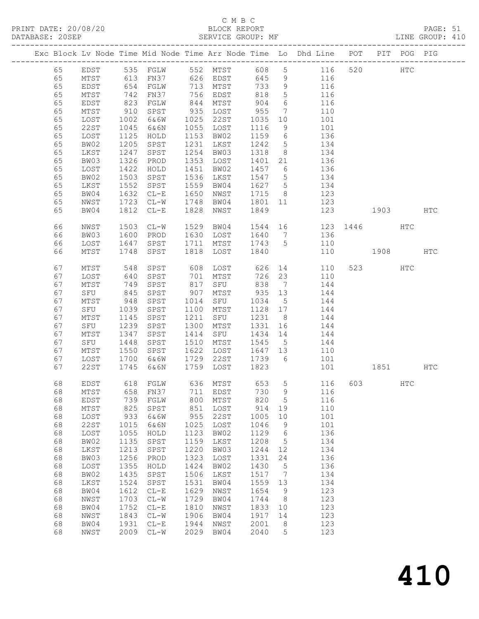### C M B C<br>BLOCK REPORT

PAGE: 51<br>LINE GROUP: 410

|  |          |                 |                 |                                                  |              |              |              |                 | Exc Block Lv Node Time Mid Node Time Arr Node Time Lo Dhd Line POT |      |          | PIT POG PIG  |     |
|--|----------|-----------------|-----------------|--------------------------------------------------|--------------|--------------|--------------|-----------------|--------------------------------------------------------------------|------|----------|--------------|-----|
|  | 65       | EDST            |                 |                                                  |              |              |              |                 | 535 FGLW 552 MTST 608 5 116                                        | 520  |          | $_{\rm HTC}$ |     |
|  | 65       | MTST            |                 |                                                  |              |              | 645          | 9               | 116                                                                |      |          |              |     |
|  | 65       | EDST            |                 | 613 FN37      626 EDST<br>654 FGLW      713 MTST |              |              | 733          | 9               | 116                                                                |      |          |              |     |
|  | 65       | MTST            | 742             | FN37                                             |              | 756 EDST     | 818          | $5\overline{)}$ | 116                                                                |      |          |              |     |
|  | 65       | EDST            | 823             | FGLW                                             | 844          | MTST         | 904          | $6\overline{6}$ | 116                                                                |      |          |              |     |
|  | 65       | MTST            | 910             | SPST                                             |              | 935 LOST     | 955          | $7\overline{ }$ | 110                                                                |      |          |              |     |
|  | 65       | LOST            | 1002            | 6&6W                                             | 1025         | 22ST         | 1035         | 10 <sub>1</sub> | 101                                                                |      |          |              |     |
|  | 65       | 22ST            | 1045            | 6&6N                                             |              | 1055 LOST    | 1116         | 9               | 101                                                                |      |          |              |     |
|  | 65       | LOST            | 1125            | HOLD                                             |              | 1153 BW02    | 1159         | $6\overline{6}$ | 136                                                                |      |          |              |     |
|  | 65       | BW02            | 1205            | SPST                                             | 1231         | LKST         | 1242         | $5\overline{)}$ | 134                                                                |      |          |              |     |
|  | 65       | LKST            | 1247            | SPST                                             | 1254         | BW03         | 1318         | 8 <sup>8</sup>  | 134                                                                |      |          |              |     |
|  | 65       | BW03            | 1326            | PROD                                             |              | 1353 LOST    | 1401 21      |                 | 136                                                                |      |          |              |     |
|  | 65       | LOST            | 1422            | HOLD                                             | 1451         | BW02         | 1457 6       |                 | 136                                                                |      |          |              |     |
|  | 65       | BW02            | 1503            | SPST                                             | 1536         | LKST         | 1547 5       |                 | 134                                                                |      |          |              |     |
|  | 65       | LKST            | 1552            | SPST                                             | 1559         | BW04         | 1627 5       |                 | 134                                                                |      |          |              |     |
|  | 65       | BW04            | 1632            | $CL-E$                                           | 1650         | NWST         | 1715         | 8 <sup>8</sup>  | 123                                                                |      |          |              |     |
|  | 65       | NWST            | 1723            | $CL-W$                                           | 1748         | BW04         | 1801 11      |                 | 123                                                                |      |          |              |     |
|  | 65       | BW04            | 1812            | $CL-E$                                           | 1828         | NWST         | 1849         |                 | 123                                                                | 1903 |          |              | HTC |
|  | 66       | NWST            | 1503            | $CL-W$                                           | 1529         | BW04         |              |                 | 1544 16 123 1446 HTC                                               |      |          |              |     |
|  | 66       | BW03            | 1600            | PROD                                             |              | 1630 LOST    |              |                 | 1640 7 136                                                         |      |          |              |     |
|  | 66       | LOST            | 1647            | SPST                                             | 1711         | MTST         | 1743 5       |                 | 110                                                                |      |          |              |     |
|  | 66       | MTST            | 1748            | SPST                                             | 1818         | LOST         | 1840         |                 | 110                                                                | 1908 |          |              | HTC |
|  | 67       | MTST            | 548             | SPST                                             | 608          | LOST         | 626          |                 | 14 \,<br>110                                                       |      | 523      | HTC          |     |
|  | 67       | LOST            | 640             | SPST                                             | 701          | MTST         | 726          | 23              | 110                                                                |      |          |              |     |
|  | 67       | MTST            | 749             | SPST                                             | 817          | SFU          | 838          | $\overline{7}$  | 144                                                                |      |          |              |     |
|  | 67       | SFU             | $\frac{1}{845}$ | SPST                                             | 907          | MTST         | $935$ 13     |                 | 144                                                                |      |          |              |     |
|  | 67       | MTST            | 948             | SPST                                             | 1014         | SFU          | 1034         | $5\overline{)}$ | 144                                                                |      |          |              |     |
|  | 67       | SFU             | 1039            | SPST                                             | 1100         | MTST         | 1128 17      |                 | 144                                                                |      |          |              |     |
|  | 67       | MTST            | 1145            | SPST                                             | 1211         | SFU          | 1231         | 8 <sup>8</sup>  | 144                                                                |      |          |              |     |
|  | 67       | SFU             | 1239            | SPST                                             | 1300         | MTST         | 1331         | 16              | 144                                                                |      |          |              |     |
|  | 67       | MTST            | 1347            | SPST                                             | 1414         | SFU          | 1434 14      |                 | 144                                                                |      |          |              |     |
|  | 67       | SFU             | 1448            | SPST                                             | 1510         | MTST         | 1545         | $5\overline{)}$ | 144                                                                |      |          |              |     |
|  | 67       | MTST            | 1550            | SPST                                             | 1622         | LOST         | 1647 13      |                 | 110                                                                |      |          |              |     |
|  | 67       | LOST            | 1700            | 6 & 6 W                                          |              | 1729 22ST    | 1739 6       |                 | 101                                                                |      |          |              |     |
|  | 67       | 22ST            | 1745            | 6&6N                                             | 1759         | LOST         | 1823         |                 | 101                                                                |      | 1851 HTC |              |     |
|  | 68       | EDST            |                 | 618 FGLW                                         |              | 636 MTST     |              |                 | 653 5 116                                                          |      | 603 HTC  |              |     |
|  |          |                 |                 |                                                  |              |              |              |                 | 68 MTST 658 FN37 711 EDST 730 9 116                                |      |          |              |     |
|  | 68       | EDST            | 739             | FGLW                                             | 800          | MTST         | 820          | 5               | 116                                                                |      |          |              |     |
|  | 68       | $\mathtt{MTST}$ | 825             | SPST                                             | 851          | LOST         | 914          | 19              | 110                                                                |      |          |              |     |
|  | 68       | LOST            | 933             | 6&6W                                             | 955          | 22ST         | 1005         | 10              | 101                                                                |      |          |              |     |
|  | 68       | <b>22ST</b>     | 1015            | 6&6N                                             | 1025         | LOST         | 1046         | 9               | 101                                                                |      |          |              |     |
|  | 68       | LOST            | 1055            | HOLD                                             | 1123         | BW02         | 1129         | 6               | 136                                                                |      |          |              |     |
|  | 68       | BW02            | 1135            | SPST                                             | 1159         | LKST         | 1208         | 5               | 134                                                                |      |          |              |     |
|  | 68       | LKST            | 1213            | SPST                                             | 1220         | BW03         | 1244         | 12              | 134                                                                |      |          |              |     |
|  | 68<br>68 | BW03            | 1256<br>1355    | PROD                                             | 1323<br>1424 | LOST         | 1331<br>1430 | 24              | 136<br>136                                                         |      |          |              |     |
|  | 68       | LOST<br>BW02    | 1435            | HOLD<br>SPST                                     | 1506         | BW02<br>LKST | 1517         | 5<br>7          | 134                                                                |      |          |              |     |
|  | 68       | LKST            | 1524            | SPST                                             | 1531         | BW04         | 1559         | 13              | 134                                                                |      |          |              |     |
|  | 68       | BW04            | 1612            | $\rm C\,L\!-\!E$                                 | 1629         | NWST         | 1654         | 9               | 123                                                                |      |          |              |     |
|  | 68       | NWST            | 1703            | $CL-W$                                           | 1729         | BW04         | 1744         | 8               | 123                                                                |      |          |              |     |
|  | 68       | BW04            | 1752            | $CL-E$                                           | 1810         | NWST         | 1833         | 10              | 123                                                                |      |          |              |     |
|  | 68       | NWST            | 1843            | $CL-W$                                           | 1906         | BW04         | 1917         | 14              | 123                                                                |      |          |              |     |
|  | 68       | BW04            | 1931            | $CL-E$                                           | 1944         | NWST         | 2001         | 8               | 123                                                                |      |          |              |     |
|  | 68       | NWST            | 2009            | $CL-W$                                           | 2029         | BW04         | 2040         | 5               | 123                                                                |      |          |              |     |
|  |          |                 |                 |                                                  |              |              |              |                 |                                                                    |      |          |              |     |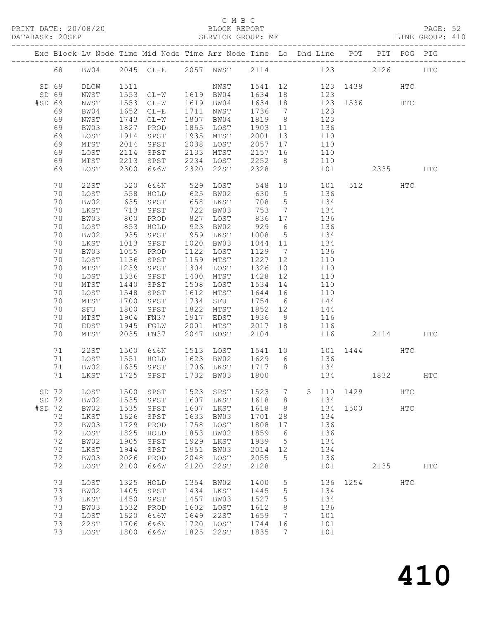### C M B C<br>BLOCK REPORT

PAGE: 52<br>LINE GROUP: 410

|          |                 |                   | Exc Block Lv Node Time Mid Node Time Arr Node Time Lo Dhd Line POT PIT POG PIG |      |                             |            |                 |            |            |          |              |               |               |
|----------|-----------------|-------------------|--------------------------------------------------------------------------------|------|-----------------------------|------------|-----------------|------------|------------|----------|--------------|---------------|---------------|
| 68       | BW04            |                   | 2045 CL-E 2057 NWST                                                            |      |                             |            |                 |            |            | 2114 123 | 2126         |               | <b>HTC</b>    |
|          |                 |                   |                                                                                |      |                             |            |                 |            |            |          |              |               |               |
| SD 69    | DLCW            | 1511              |                                                                                |      | NWST 1541 12 123 1438       |            |                 |            |            |          |              | HTC           |               |
| SD 69    | NWST            |                   | $1553$ CL-W $1619$ BW04                                                        |      |                             | 1634 18    |                 | 123        |            |          |              |               |               |
| #SD 69   | NWST            | 1553              | $CL-W$                                                                         |      | 1619 BW04                   | 1634 18    |                 |            |            |          | 123 1536 HTC |               |               |
| 69       | BW04            | 1652              | $CL-E$                                                                         | 1711 | NWST                        | 1736       | $7\overline{ }$ |            | 123        |          |              |               |               |
| 69       | NWST            | 1743              | $CL-W$                                                                         | 1807 | BW04                        | 1819       | 8 <sup>8</sup>  |            | 123        |          |              |               |               |
| 69       | BW03            | 1827              | PROD                                                                           | 1855 | LOST                        | 1903 11    |                 | 136        |            |          |              |               |               |
| 69       | LOST            | 1914              | SPST                                                                           | 1935 | MTST                        | 2001       | 13              |            | 110        |          |              |               |               |
| 69       | $\mathtt{MTST}$ | 2014              | SPST                                                                           | 2038 | LOST                        | 2057       | 17              |            | 110        |          |              |               |               |
| 69       | LOST            | 2114              | SPST                                                                           | 2133 | MTST                        | 2157 16    |                 |            | 110        |          |              |               |               |
| 69       | MTST            | 2213              | SPST                                                                           |      | 2234 LOST                   | 2252       | 8 <sup>8</sup>  |            | 110        |          |              |               |               |
| 69       | LOST            | 2300              | 6&6W                                                                           | 2320 | 22ST                        | 2328       |                 |            | 101        |          | 2335 HTC     |               |               |
|          |                 |                   |                                                                                |      |                             |            |                 |            |            |          |              |               |               |
| 70       | <b>22ST</b>     | 520               | 6&6N                                                                           |      | 529 LOST                    | 548        |                 | $10$ $101$ |            |          | 512          | HTC           |               |
| 70       | LOST            | 558               | HOLD                                                                           | 625  | BW02                        | 630        | $5\overline{)}$ |            | 136        |          |              |               |               |
| 70       | BW02            | 635               | SPST                                                                           | 658  | LKST                        | 708        | $5\overline{)}$ | 134        |            |          |              |               |               |
| 70       | LKST            | 713               | SPST                                                                           | 722  | BW03                        | 753        | $\overline{7}$  |            | 134        |          |              |               |               |
| 70       | BW03            | 800               | PROD                                                                           | 827  | LOST                        | 836<br>929 | 17              |            | 136        |          |              |               |               |
| 70       | LOST            | $\frac{0.1}{853}$ | HOLD                                                                           | 923  | BW02                        |            | $6\overline{6}$ |            | 136        |          |              |               |               |
| 70       | BW02            | 935               | SPST                                                                           | 959  | LKST                        | 1008       | $5\overline{)}$ | 134        |            |          |              |               |               |
| 70       | LKST            | 1013              | SPST                                                                           | 1020 | BW03                        | 1044       | 11              |            | 134        |          |              |               |               |
| 70       | BW03            | 1055              | PROD                                                                           | 1122 | LOST                        | 1129       | $\overline{7}$  |            | 136        |          |              |               |               |
| 70       | LOST            | 1136              | SPST                                                                           | 1159 | MTST                        | 1227       | 12              |            | 110        |          |              |               |               |
| 70       | MTST            | 1239              | SPST                                                                           | 1304 | LOST                        | 1326       | 10              |            | 110        |          |              |               |               |
| 70       | LOST            | 1336              | SPST                                                                           | 1400 | MTST                        | 1428       | 12              |            | 110        |          |              |               |               |
| 70       | $\mathtt{MTST}$ | 1440              | SPST                                                                           | 1508 | LOST                        | 1534       | 14              |            | 110        |          |              |               |               |
| 70       | LOST            | 1548              | SPST                                                                           | 1612 | MTST                        | 1644 16    |                 |            | 110        |          |              |               |               |
| 70       | MTST            | 1700              | SPST                                                                           | 1734 | SFU                         | 1754       | 6               |            | 144        |          |              |               |               |
| 70       | SFU             | 1800              | SPST                                                                           | 1822 | MTST                        | 1852 12    |                 |            | 144        |          |              |               |               |
| 70       | $\mathtt{MTST}$ | 1904              | FN37                                                                           | 1917 | EDST                        | 1936       | 9               |            | 116        |          |              |               |               |
| 70       | EDST            | 1945              | FGLW                                                                           | 2001 | MTST                        | 2017 18    |                 |            | 116        |          |              |               |               |
| 70       | MTST            | 2035              | FN37                                                                           | 2047 | EDST                        | 2104       |                 |            | 116        |          | 2114         |               | HTC           |
|          |                 |                   |                                                                                |      |                             |            |                 |            |            |          |              |               |               |
| 71       | 22ST            | 1500              | 6&6N                                                                           |      | 1513 LOST                   | 1541       |                 |            |            |          | 10 101 1444  | HTC           |               |
| 71       | LOST            | 1551              | HOLD                                                                           |      | 1623 BW02                   | 1629 6     |                 |            | 136<br>134 |          |              |               |               |
| 71       | BW02            | 1635              | SPST                                                                           |      | 1706 LKST                   | 1717 8     |                 |            |            |          |              |               |               |
| 71       | LKST            |                   | 1725 SPST                                                                      | 1732 | BW03                        | 1800       |                 |            |            |          | 134 1832     |               | HTC           |
|          |                 |                   |                                                                                |      |                             |            |                 |            |            |          |              |               |               |
| SD 72    | LOST            |                   | 1500 SPST                                                                      |      | 1523 SPST 1523 7 5 110 1429 |            |                 |            |            |          |              | <b>HTC</b>    |               |
| SD 72    | BW02            | 1535              | SPST                                                                           | 1607 | LKST                        | 1618       | 8               |            | 134        |          |              |               |               |
| $#SD$ 72 | BW02            | 1535              | SPST                                                                           | 1607 | LKST                        | 1618       | - 8             |            | 134        | 1500     |              | $_{\rm{HTC}}$ |               |
| 72       | LKST            | 1626              | SPST                                                                           | 1633 | BW03                        | 1701       | 28              |            | 134        |          |              |               |               |
| 72       | BW03            | 1729              | PROD                                                                           | 1758 | LOST                        | 1808       | 17              |            | 136        |          |              |               |               |
| 72       | LOST            | 1825              | HOLD                                                                           | 1853 | BW02                        | 1859       | 6               |            | 136        |          |              |               |               |
| 72       | BW02            | 1905              | SPST                                                                           | 1929 | LKST                        | 1939       | 5               |            | 134        |          |              |               |               |
| 72       | LKST            | 1944              | SPST                                                                           | 1951 | BW03                        | 2014       | 12              |            | 134        |          |              |               |               |
| 72       | BW03            | 2026              | PROD                                                                           | 2048 | LOST                        | 2055       | 5               |            | 136        |          |              |               |               |
| 72       | LOST            | 2100              | 6&6W                                                                           | 2120 | 22ST                        | 2128       |                 |            | 101        |          | 2135         |               | $_{\rm{HTC}}$ |
| 73       |                 |                   |                                                                                | 1354 |                             |            |                 |            |            | 1254     |              | <b>HTC</b>    |               |
|          | LOST            | 1325              | HOLD                                                                           |      | BW02                        | 1400       | 5               |            | 136        |          |              |               |               |
| 73       | BW02            | 1405              | SPST                                                                           | 1434 | LKST                        | 1445       | 5               |            | 134        |          |              |               |               |
| 73       | LKST            | 1450              | SPST                                                                           | 1457 | BW03                        | 1527       | 5               |            | 134        |          |              |               |               |
| 73       | BW03            | 1532              | PROD                                                                           | 1602 | LOST                        | 1612       | 8               |            | 136        |          |              |               |               |
| 73       | LOST            | 1620              | 6&6W                                                                           | 1649 | 22ST                        | 1659       | 7               |            | 101        |          |              |               |               |
| 73       | <b>22ST</b>     | 1706              | 6&6N                                                                           | 1720 | LOST                        | 1744       | 16              |            | 101        |          |              |               |               |
| 73       | LOST            | 1800              | 6&6W                                                                           | 1825 | 22ST                        | 1835       | 7               |            | 101        |          |              |               |               |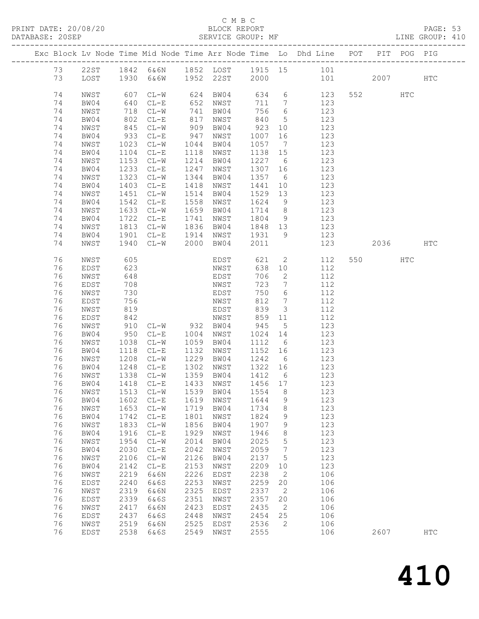### C M B C<br>BLOCK REPORT<br>SERVICE GROUP: MF

| DATABASE: 20SEP |    |              |      |                                  |      |            |         |                              |                                                                                |         |     | LINE GROUP: 410 |  |
|-----------------|----|--------------|------|----------------------------------|------|------------|---------|------------------------------|--------------------------------------------------------------------------------|---------|-----|-----------------|--|
|                 |    |              |      |                                  |      |            |         |                              | Exc Block Lv Node Time Mid Node Time Arr Node Time Lo Dhd Line POT PIT POG PIG |         |     |                 |  |
|                 |    |              |      |                                  |      |            |         |                              | 73 22ST 1842 6&6N 1852 LOST 1915 15 101                                        |         |     |                 |  |
|                 | 73 |              |      | LOST 1930 6&6W 1952 22ST 2000    |      |            |         |                              | 101 2007 HTC                                                                   |         |     |                 |  |
|                 | 74 | NWST         |      | 607 CL-W<br>640 CL-E             |      | 624 BW04   |         |                              | 634 6 123                                                                      | 552     | HTC |                 |  |
|                 | 74 | BW04         |      |                                  |      | $652$ NWST | 711 7   |                              | 123                                                                            |         |     |                 |  |
|                 | 74 | NWST         |      | 718 CL-W                         |      | 741 BW04   | 756     | 6                            | 123                                                                            |         |     |                 |  |
|                 | 74 | BW04         |      |                                  | 817  | NWST       | 840     | 5 <sup>5</sup>               | 123                                                                            |         |     |                 |  |
|                 | 74 | NWST         |      | 802 CL-E<br>845 CL-W<br>933 CL-E | 909  | BW04       | 923     | 10                           | 123                                                                            |         |     |                 |  |
|                 | 74 | BW04         |      |                                  | 947  | NWST       | 1007    | 16                           | 123                                                                            |         |     |                 |  |
|                 | 74 |              |      | $CL-W$                           | 1044 | BW04       | 1057    |                              | 123                                                                            |         |     |                 |  |
|                 | 74 | NWST<br>BW04 | 1023 |                                  | 1118 |            |         | $\overline{7}$               | 123                                                                            |         |     |                 |  |
|                 |    |              | 1104 | $CL-E$                           |      | NWST       | 1138 15 |                              |                                                                                |         |     |                 |  |
|                 | 74 | NWST         | 1153 | $CL-W$                           |      | 1214 BW04  | 1227    | $6\overline{6}$              | 123                                                                            |         |     |                 |  |
|                 | 74 | BW04         | 1233 | $CL-E$                           | 1247 | NWST       | 1307    | 16                           | 123                                                                            |         |     |                 |  |
|                 | 74 | NWST         | 1323 | $CL-W$                           |      | 1344 BW04  | 1357    | $6\overline{6}$              | 123                                                                            |         |     |                 |  |
|                 | 74 | BW04         | 1403 | $CL-E$                           |      | 1418 NWST  | 1441    | 10                           | 123                                                                            |         |     |                 |  |
|                 | 74 | NWST         | 1451 | $CL-W$                           |      | 1514 BW04  | 1529    | 13                           | 123                                                                            |         |     |                 |  |
|                 | 74 | BW04         |      | 1542 CL-E                        | 1558 | NWST       | 1624    | 9                            | 123                                                                            |         |     |                 |  |
|                 | 74 | NWST         | 1633 | $CL-W$                           |      | 1659 BW04  | 1714    | 8 <sup>8</sup>               | 123                                                                            |         |     |                 |  |
|                 | 74 | BW04         | 1722 | $CL-E$                           | 1741 | NWST       | 1804    | 9                            | 123                                                                            |         |     |                 |  |
|                 | 74 | NWST         | 1813 | $CL-W$                           |      | 1836 BW04  | 1848    | 13                           | 123                                                                            |         |     |                 |  |
|                 | 74 | BW04         |      | 1901 CL-E                        |      | 1914 NWST  | 1931    | 9                            | 123                                                                            |         |     |                 |  |
|                 | 74 | NWST         |      | 1940 CL-W                        |      | 2000 BW04  | 2011    |                              | 123                                                                            | 2036 70 |     | HTC             |  |
|                 | 76 | NWST         | 605  |                                  |      | EDST       | 621     | $\overline{2}$               | 112                                                                            | 550 000 | HTC |                 |  |
|                 | 76 | EDST         | 623  |                                  |      | NWST       | 638     | 10                           | 112                                                                            |         |     |                 |  |
|                 | 76 | NWST         | 648  |                                  |      | EDST       | 706     | $\overline{2}$               | 112                                                                            |         |     |                 |  |
|                 | 76 | EDST         | 708  |                                  |      | NWST       | 723     | $\overline{7}$               | 112                                                                            |         |     |                 |  |
|                 | 76 | NWST         | 730  |                                  |      | EDST       | 750     | 6                            | 112                                                                            |         |     |                 |  |
|                 | 76 | EDST         | 756  |                                  |      | NWST       | 812     | $7\phantom{.0}\phantom{.0}7$ | 112                                                                            |         |     |                 |  |
|                 | 76 | NWST         | 819  |                                  |      | EDST       | 839     | $\mathcal{S}$                | 112                                                                            |         |     |                 |  |
|                 | 76 | EDST         | 842  |                                  |      | NWST       | 859     | 11                           | 112                                                                            |         |     |                 |  |
|                 | 76 | NWST         |      | 910 CL-W 932 BW04                |      |            | 945     | $5\overline{)}$              | 123                                                                            |         |     |                 |  |
|                 | 76 | BW04         |      | 950 CL-E                         |      | 1004 NWST  | 1024    | 14                           | 123                                                                            |         |     |                 |  |
|                 | 76 | NWST         | 1038 | $CL-W$                           |      | 1059 BW04  | 1112    | $6\overline{6}$              | 123                                                                            |         |     |                 |  |
|                 | 76 | BW04         | 1118 | $CL-E$                           | 1132 | NWST       | 1152 16 |                              | 123                                                                            |         |     |                 |  |
|                 | 76 | NWST         | 1208 | $CL-W$                           |      | 1229 BW04  | 1242    | 6                            | 123                                                                            |         |     |                 |  |
|                 | 76 | BW04         |      |                                  |      | 1302 NWST  | 1322 16 |                              |                                                                                |         |     |                 |  |
|                 | 76 | NWST         |      | 1248 CL-E<br>1338 CL-W           |      | 1359 BW04  | 1412    | $6\overline{6}$              | $\begin{array}{c} 123 \\ 123 \end{array}$                                      |         |     |                 |  |
|                 |    |              |      |                                  |      |            |         |                              | 76 BW04 1418 CL-E 1433 NWST 1456 17 123                                        |         |     |                 |  |
|                 | 76 | NWST         | 1513 | $CL-W$                           | 1539 | BW04       | 1554    | 8                            | 123                                                                            |         |     |                 |  |
|                 | 76 | BW04         | 1602 | $CL-E$                           | 1619 | NWST       | 1644    | $\mathcal{G}$                | 123                                                                            |         |     |                 |  |
|                 | 76 | NWST         | 1653 | $CL-W$                           | 1719 | BW04       | 1734    | 8                            | 123                                                                            |         |     |                 |  |
|                 | 76 | BW04         | 1742 | $CL-E$                           | 1801 | NWST       | 1824    | 9                            | 123                                                                            |         |     |                 |  |
|                 | 76 |              | 1833 |                                  | 1856 |            |         |                              | 123                                                                            |         |     |                 |  |
|                 |    | NWST         |      | $CL-W$                           |      | BW04       | 1907    | 9                            |                                                                                |         |     |                 |  |
|                 | 76 | BW04         | 1916 | $CL-E$                           | 1929 | NWST       | 1946    | 8                            | 123                                                                            |         |     |                 |  |
|                 | 76 | NWST         | 1954 | $CL-W$                           | 2014 | BW04       | 2025    | $5\phantom{.0}$              | 123                                                                            |         |     |                 |  |
|                 | 76 | BW04         | 2030 | $CL-E$                           | 2042 | NWST       | 2059    | $\overline{7}$               | 123                                                                            |         |     |                 |  |
|                 | 76 | NWST         | 2106 | $CL-W$                           | 2126 | BW04       | 2137    | 5                            | 123                                                                            |         |     |                 |  |
|                 | 76 | BW04         | 2142 | $CL-E$                           | 2153 | NWST       | 2209    | 10                           | 123                                                                            |         |     |                 |  |
|                 | 76 | NWST         | 2219 | 6&6N                             | 2226 | EDST       | 2238    | $\overline{2}$               | 106                                                                            |         |     |                 |  |
|                 | 76 | EDST         | 2240 | 6&6S                             | 2253 | NWST       | 2259    | 20                           | 106                                                                            |         |     |                 |  |
|                 | 76 | NWST         | 2319 | 6&6N                             | 2325 | EDST       | 2337    | $\overline{\phantom{a}}$     | 106                                                                            |         |     |                 |  |
|                 | 76 | EDST         | 2339 | 6&6S                             | 2351 | NWST       | 2357    | 20                           | 106                                                                            |         |     |                 |  |
|                 | 76 | NWST         | 2417 | 6&6N                             | 2423 | EDST       | 2435    | $\overline{2}$               | 106                                                                            |         |     |                 |  |
|                 | 76 | EDST         | 2437 | 6&6S                             | 2448 | NWST       | 2454    | 25                           | 106                                                                            |         |     |                 |  |
|                 | 76 | NWST         | 2519 | 6&6N                             | 2525 | EDST       | 2536    | $\overline{2}$               | 106                                                                            |         |     |                 |  |
|                 | 76 | EDST         | 2538 | 6&6S                             | 2549 | NWST       | 2555    |                              | 106                                                                            | 2607    |     | <b>HTC</b>      |  |
|                 |    |              |      |                                  |      |            |         |                              |                                                                                |         |     |                 |  |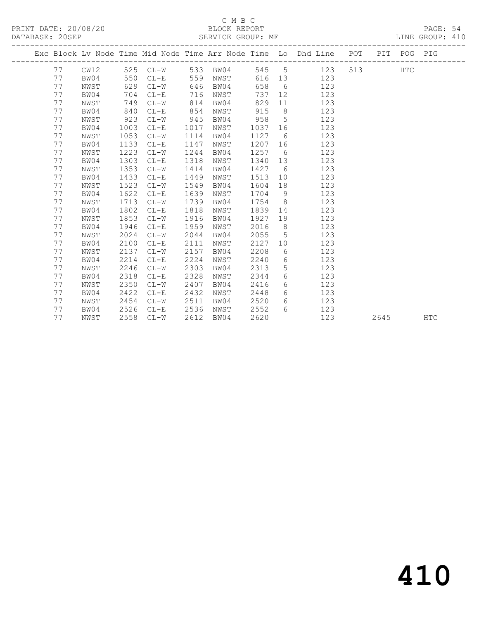#### C M B C<br>BLOCK REPORT SERVICE GROUP: MF

|  |    |      |     |      | Exc Block Lv Node Time Mid Node Time Arr Node Time Lo Dhd Line POT |      |      |      |         |                |            |     |     | PIT POG PIG |  |
|--|----|------|-----|------|--------------------------------------------------------------------|------|------|------|---------|----------------|------------|-----|-----|-------------|--|
|  | 77 | CW12 |     |      | 525 CL-W 533 BW04                                                  |      |      |      |         |                | 545 5 123  |     | 513 | <b>HTC</b>  |  |
|  | 77 | BW04 |     | 550  | $CL-E$                                                             | 559  |      | NWST |         |                | 616 13 123 |     |     |             |  |
|  | 77 | NWST |     | 629  | $CL-W$                                                             | 646  | BW04 |      | 658     | 6              |            | 123 |     |             |  |
|  | 77 | BW04 |     | 704  | $CL-E$                                                             | 716  |      | NWST | 737     |                |            | 123 |     |             |  |
|  | 77 | NWST |     | 749  | $CL-W$                                                             | 814  |      | BW04 | 829     | 11             |            | 123 |     |             |  |
|  | 77 | BW04 | 840 |      | $CL-E$                                                             | 854  | NWST |      | 915     | 8 <sup>8</sup> |            | 123 |     |             |  |
|  | 77 | NWST | 923 |      | $CL-W$                                                             | 945  | BW04 |      | 958     | $5^{\circ}$    |            | 123 |     |             |  |
|  | 77 | BW04 |     | 1003 | $CL-E$                                                             | 1017 | NWST |      | 1037 16 |                |            | 123 |     |             |  |
|  | 77 | NWST |     | 1053 | $CL-W$                                                             | 1114 | BW04 |      | 1127    | 6              |            | 123 |     |             |  |
|  | 77 | BW04 |     | 1133 | $CL-E$                                                             | 1147 | NWST |      | 1207 16 |                |            | 123 |     |             |  |
|  | 77 | NWST |     | 1223 | $CL-W$                                                             | 1244 | BW04 |      | 1257 6  |                |            | 123 |     |             |  |
|  | 77 | BW04 |     | 1303 | $CL-E$                                                             | 1318 | NWST |      | 1340 13 |                |            | 123 |     |             |  |
|  | 77 | NWST |     | 1353 | $CL-W$                                                             | 1414 | BW04 |      | 1427    | 6              |            | 123 |     |             |  |
|  | 77 | BW04 |     | 1433 | $CL-E$                                                             | 1449 | NWST |      | 1513    | 10             |            | 123 |     |             |  |
|  | 77 | NWST |     | 1523 | $CL-W$                                                             | 1549 | BW04 |      | 1604    | 18             |            | 123 |     |             |  |
|  | 77 | BW04 |     | 1622 | $CL-E$                                                             | 1639 | NWST |      | 1704    | 9              |            | 123 |     |             |  |
|  | 77 | NWST |     | 1713 | $CL-W$                                                             | 1739 | BW04 |      | 1754 8  |                |            | 123 |     |             |  |
|  | 77 | BW04 |     | 1802 | $CL-E$                                                             | 1818 | NWST |      | 1839    | 14             |            | 123 |     |             |  |
|  | 77 | NWST |     | 1853 | $CL-W$                                                             | 1916 | BW04 |      | 1927    | 19             |            | 123 |     |             |  |
|  | 77 | BW04 |     | 1946 | $CL-E$                                                             | 1959 | NWST |      | 2016    | 8 <sup>8</sup> |            | 123 |     |             |  |
|  | 77 | NWST |     | 2024 | $CL-W$                                                             | 2044 | BW04 |      | 2055    | $5^{\circ}$    |            | 123 |     |             |  |
|  | 77 | BW04 |     | 2100 | $CL-E$                                                             | 2111 | NWST |      | 2127    |                | 10         | 123 |     |             |  |
|  | 77 | NWST |     | 2137 | $CL-W$                                                             | 2157 | BW04 |      | 2208    | 6              |            | 123 |     |             |  |
|  | 77 | BW04 |     | 2214 | $CL-E$                                                             | 2224 | NWST |      | 2240    | 6              |            | 123 |     |             |  |
|  | 77 | NWST |     | 2246 | $CL-W$                                                             | 2303 | BW04 |      | 2313    | 5              |            | 123 |     |             |  |
|  | 77 | BW04 |     | 2318 | $CL-E$                                                             | 2328 | NWST |      | 2344    | 6              |            | 123 |     |             |  |
|  | 77 | NWST |     | 2350 | $CL-W$                                                             | 2407 | BW04 |      | 2416    | 6              |            | 123 |     |             |  |
|  | 77 | BW04 |     | 2422 | $CL-E$                                                             | 2432 | NWST |      | 2448    | 6              |            | 123 |     |             |  |
|  | 77 | NWST |     | 2454 | $CL-W$                                                             | 2511 | BW04 |      | 2520    | $6^{\circ}$    |            | 123 |     |             |  |

77 BW04 2526 CL-E 2536 NWST 2552 6 123

77 NWST 2558 CL-W 2612 BW04 2620 123 2645 HTC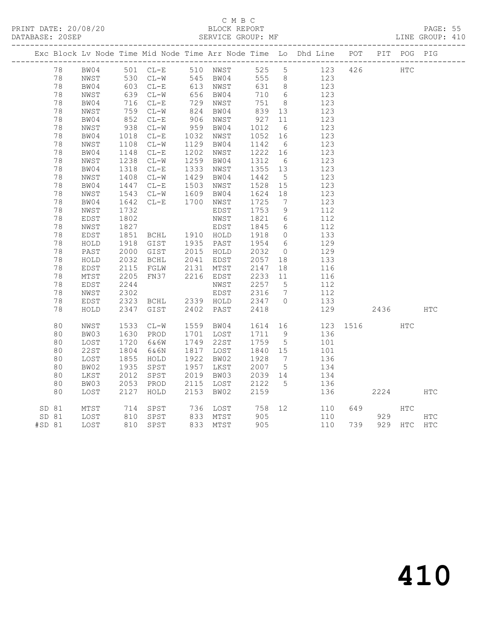### C M B C<br>BLOCK REPORT

PAGE: 55<br>LINE GROUP: 410

PRINT DATE: 20/08/20 BLOCK REPORT BATABASE: 20SEP

|          |                         |                       |                                            |      |                        |                |                              | Exc Block Lv Node Time Mid Node Time Arr Node Time Lo Dhd Line POT PIT POG PIG |     |          |             |            |
|----------|-------------------------|-----------------------|--------------------------------------------|------|------------------------|----------------|------------------------------|--------------------------------------------------------------------------------|-----|----------|-------------|------------|
| 78       |                         |                       | BW04 501 CL-E 510 NWST                     |      |                        |                | 525 5                        | 123                                                                            |     | 426 HTC  |             |            |
| 78       | NWST                    |                       | 530 CL-W 545 BW04<br>603 CL-E 613 NWST     |      |                        | 555 8          |                              | 123                                                                            |     |          |             |            |
| 78       | BW04                    |                       |                                            |      |                        | 631 8          |                              | 123                                                                            |     |          |             |            |
| 78       | NWST                    |                       | 639 CL-W<br>716 CL-E                       |      | 656 BW04<br>729 NWST   | 710            | $6\overline{6}$              | 123                                                                            |     |          |             |            |
| 78       | BW04                    |                       |                                            |      |                        | 751 8          |                              | 123                                                                            |     |          |             |            |
| 78       | NWST                    |                       | $CL-W$                                     |      | 824 BW04               | 839 13         |                              | 123                                                                            |     |          |             |            |
| 78       | BW04                    | $752$<br>852<br>938   | $CL-E$                                     |      | 906 NWST               | 927            | 11                           | 123                                                                            |     |          |             |            |
| 78       | NWST                    | 938                   | $CL-W$                                     |      | 959 BW04               | 1012           | 6                            | 123                                                                            |     |          |             |            |
| 78       | BW04                    | 1018<br>1108          | $CL-E$                                     |      | 1032 NWST              | 1052 16        |                              | 123                                                                            |     |          |             |            |
| 78       | NWST                    |                       | $CL-W$                                     |      | 1129 BW04              | 1142 6         |                              | 123                                                                            |     |          |             |            |
| 78       | BW04                    | 1148<br>1238          | $CL-E$                                     | 1202 | NWST                   | 1222 16        |                              | 123                                                                            |     |          |             |            |
| 78       | NWST                    | 1238                  | $CL-W$                                     |      | 1259 BW04              | 1312           | $6\overline{6}$              | 123                                                                            |     |          |             |            |
| 78       | BW04                    | 1318                  | $CL-E$                                     |      | 1333 NWST              | 1355 13        |                              | 123                                                                            |     |          |             |            |
| 78       | NWST                    | 1408<br>1447          | $CL-W$                                     |      | 1429 BW04              | 1442           | $5\overline{)}$              | 123                                                                            |     |          |             |            |
| 78       | BW04                    |                       | $CL-E$                                     | 1503 | NWST                   | 1528 15        |                              | 123                                                                            |     |          |             |            |
| 78       | NWST                    | 1543<br>1642          | $CL-W$                                     | 1609 | BW04                   | 1624           | 18                           | 123                                                                            |     |          |             |            |
| 78       | BW04                    |                       | CL-E 1700 NWST                             |      |                        | 1725           | $7\phantom{.0}\phantom{.0}7$ | 123                                                                            |     |          |             |            |
| 78       | NWST                    | 1732                  |                                            |      | EDST                   | 1753           | $\overline{9}$               | 112                                                                            |     |          |             |            |
| 78       | EDST                    | 1802                  |                                            |      | NWST                   | 1821           | $6\overline{6}$              | 112                                                                            |     |          |             |            |
| 78       | NWST                    | $100 -$<br>$1827 -$   |                                            |      | EDST                   | 1845           | $6\overline{6}$              | 112                                                                            |     |          |             |            |
| 78       | EDST                    | 1851<br>1918          | BCHL 1910 HOLD                             |      |                        | 1918           | $\overline{0}$               | 133                                                                            |     |          |             |            |
| 78       | HOLD                    |                       | GIST 1935 PAST                             |      | 2015 HOLD              | 1954 6         |                              | 129                                                                            |     |          |             |            |
| 78       | PAST                    |                       | 2000 GIST                                  |      |                        | 2032           | $\overline{0}$               | 129                                                                            |     |          |             |            |
| 78<br>78 | HOLD                    | 2032                  | BCHL                                       |      | 2041 EDST<br>2131 MTST | 2057<br>2147   | 18                           | 133                                                                            |     |          |             |            |
| 78       | EDST<br>$\mathtt{MTST}$ | 2115<br>2205          | FGLW<br>FN37                               |      | 2216 EDST              | 2233 11        | 18                           | 116<br>116                                                                     |     |          |             |            |
| 78       | EDST                    | 2244                  |                                            |      | NWST                   | 2257 5         |                              | 112                                                                            |     |          |             |            |
| 78       |                         | 2302                  |                                            |      |                        | 2316           | $7\overline{ }$              | 112                                                                            |     |          |             |            |
| 78       | NWST<br>EDST            |                       |                                            |      | EDST                   | 2347 0         |                              | 133                                                                            |     |          |             |            |
| 78       | HOLD                    | 2323                  | 2323 BCHL 2339 HOLD<br>2347 GIST 2402 PAST |      |                        | 2418           |                              | 129                                                                            |     | 2436     |             | HTC        |
|          |                         |                       |                                            |      |                        |                |                              |                                                                                |     |          |             |            |
| 80       | NWST                    | 1533                  | $CL-W$                                     |      | 1559 BW04              |                |                              | 1614 16                                                                        |     | 123 1516 | HTC         |            |
| 80       | BW03                    | 1630                  | PROD                                       |      | 1701 LOST              | 1711 9         |                              | 136                                                                            |     |          |             |            |
| 80       | LOST                    |                       | 6&6W                                       |      | 1749 22ST              | 1759 5         |                              | 101                                                                            |     |          |             |            |
| 80       | 22ST                    | $1/2$<br>1804<br>1955 | 6&6N                                       |      | 1817 LOST              | 1840 15        |                              | 101                                                                            |     |          |             |            |
| 80       | LOST                    | $1855$<br>$1935$      | HOLD                                       |      | 1922 BW02              | 1928           | $7\overline{)}$              | 136                                                                            |     |          |             |            |
| 80       | BW02                    |                       | SPST                                       |      | 1957 LKST              | 2007 5         |                              | 134                                                                            |     |          |             |            |
| 80       | LKST                    | 2012                  | SPST                                       |      | 2019 BW03              | 2039 14        |                              | 134                                                                            |     |          |             |            |
| 80       | BW03                    | 2053                  | PROD                                       |      | 2115 LOST              | 2122 5<br>2159 |                              | 136                                                                            |     |          |             |            |
| 80       | LOST                    | 2127                  | HOLD                                       | 2153 | BW02                   | 2159           |                              | 136                                                                            |     | 2224     |             | HTC        |
| SD 81    | MTST                    | 714                   | SPST                                       |      | 736 LOST               | 758            |                              | 12<br>110                                                                      | 649 |          | <b>HTC</b>  |            |
| SD 81    | LOST                    | 810                   | SPST                                       |      | 833 MTST               | 905            |                              | 110                                                                            |     | 929      |             | <b>HTC</b> |
| #SD 81   | LOST                    |                       | 810 SPST                                   |      | 833 MTST               | 905            |                              | 110                                                                            | 739 |          | 929 HTC HTC |            |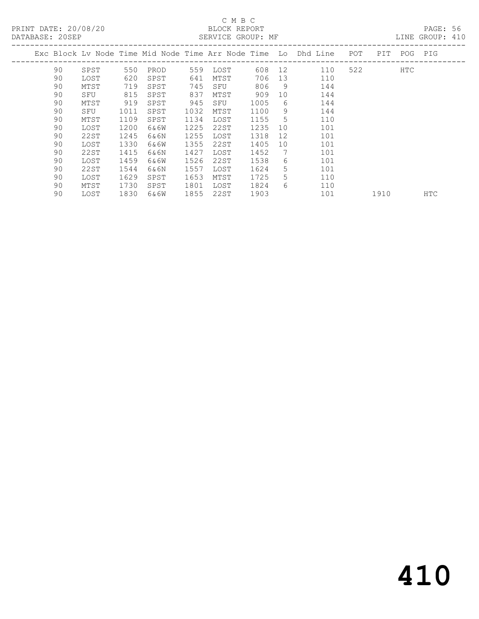### C M B C<br>BLOCK REPORT

LINE GROUP: 410

|  |    |      |      |         |      |      |        |                   | Exc Block Lv Node Time Mid Node Time Arr Node Time (Lo) Dhd Line | POT | PIT. | POG | PIG        |
|--|----|------|------|---------|------|------|--------|-------------------|------------------------------------------------------------------|-----|------|-----|------------|
|  | 90 | SPST | 550  | PROD    | 559  | LOST | 608 12 |                   | 110                                                              | 522 |      | HTC |            |
|  | 90 | LOST | 620  | SPST    | 641  | MTST | 706    | 13                | 110                                                              |     |      |     |            |
|  | 90 | MTST | 719  | SPST    | 745  | SFU  | 806    | 9                 | 144                                                              |     |      |     |            |
|  | 90 | SFU  | 815  | SPST    | 837  | MTST | 909    | 10                | 144                                                              |     |      |     |            |
|  | 90 | MTST | 919  | SPST    | 945  | SFU  | 1005   | 6                 | 144                                                              |     |      |     |            |
|  | 90 | SFU  | 1011 | SPST    | 1032 | MTST | 1100   | 9                 | 144                                                              |     |      |     |            |
|  | 90 | MTST | 1109 | SPST    | 1134 | LOST | 1155   | 5                 | 110                                                              |     |      |     |            |
|  | 90 | LOST | 1200 | 6&6W    | 1225 | 22ST | 1235   | 10                | 101                                                              |     |      |     |            |
|  | 90 | 22ST | 1245 | 6&6N    | 1255 | LOST | 1318   | $12 \overline{ }$ | 101                                                              |     |      |     |            |
|  | 90 | LOST | 1330 | 6&6W    | 1355 | 22ST | 1405   | 10 <sup>°</sup>   | 101                                                              |     |      |     |            |
|  | 90 | 22ST | 1415 | 6&6N    | 1427 | LOST | 1452   | 7                 | 101                                                              |     |      |     |            |
|  | 90 | LOST | 1459 | 6&6W    | 1526 | 22ST | 1538   | 6.                | 101                                                              |     |      |     |            |
|  | 90 | 22ST | 1544 | 6 & 6 N | 1557 | LOST | 1624   | 5.                | 101                                                              |     |      |     |            |
|  | 90 | LOST | 1629 | SPST    | 1653 | MTST | 1725   | 5.                | 110                                                              |     |      |     |            |
|  | 90 | MTST | 1730 | SPST    | 1801 | LOST | 1824   | 6                 | 110                                                              |     |      |     |            |
|  | 90 | LOST | 1830 | 6&6W    | 1855 | 22ST | 1903   |                   | 101                                                              |     | 1910 |     | <b>HTC</b> |
|  |    |      |      |         |      |      |        |                   |                                                                  |     |      |     |            |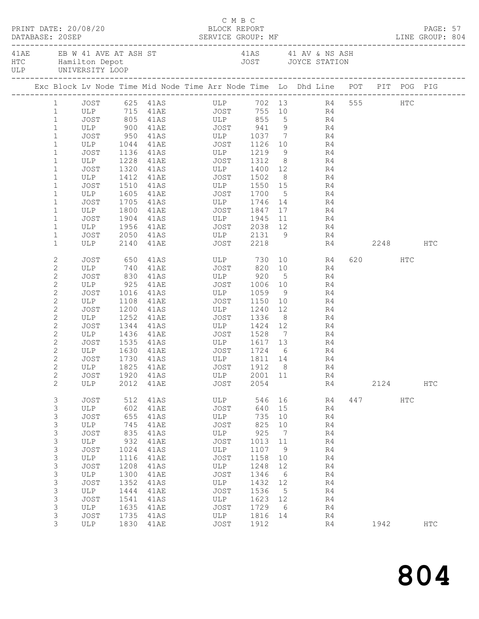|  |                              | PRINT DATE: 20/08/20 |      |              | C M B C<br>BLOCK REPORT |                 |                 |                                                                                                 |         |         |     | PAGE: 57   |  |
|--|------------------------------|----------------------|------|--------------|-------------------------|-----------------|-----------------|-------------------------------------------------------------------------------------------------|---------|---------|-----|------------|--|
|  |                              |                      |      |              |                         |                 |                 | 41AE EB W 41 AVE AT ASH ST 41AS 41 AV & NS ASH HTC Hamilton Depot 61 AM 2005 70 AVE STATION ULP |         |         |     |            |  |
|  |                              |                      |      |              |                         |                 |                 | Exc Block Lv Node Time Mid Node Time Arr Node Time Lo Dhd Line POT PIT POG PIG                  |         |         |     |            |  |
|  | $1 \qquad \qquad$            |                      |      |              |                         |                 |                 | JOST 625 41AS ULP 702 13 R4 555 HTC                                                             |         |         |     |            |  |
|  | $\mathbf{1}$                 |                      |      |              |                         |                 |                 | ULP 715 41AE JOST 755 10 R4<br>JOST 805 41AS ULP 855 5 R4<br>ULP 900 41AE JOST 941 9 R4         |         |         |     |            |  |
|  | $\mathbf{1}$                 |                      |      |              |                         |                 |                 |                                                                                                 |         |         |     |            |  |
|  | $\mathbf{1}$                 |                      |      |              |                         |                 |                 |                                                                                                 |         |         |     |            |  |
|  | $\mathbf{1}$                 |                      |      |              |                         |                 |                 | JOST 950 41AS ULP 1037 7 R4                                                                     |         |         |     |            |  |
|  | $\mathbf 1$                  | ULP                  |      |              |                         |                 |                 |                                                                                                 |         |         |     |            |  |
|  | $\mathbf{1}$                 | JOST<br>ULP          |      | 1136 41AS    | ULP 1219                |                 |                 | $\begin{array}{c} 9 \\ 8 \end{array}$<br>R4<br>R4                                               |         |         |     |            |  |
|  | $\mathbf{1}$<br>$\mathbf{1}$ |                      |      |              |                         |                 |                 | 1320 41AS ULP 1400 12 R4                                                                        |         |         |     |            |  |
|  | $\mathbf 1$                  | JOST<br>ULP          | 1412 | 41AE JOST    |                         | 1502            |                 | 8 R4                                                                                            |         |         |     |            |  |
|  | $\mathbf{1}$                 | JOST                 |      |              |                         |                 |                 |                                                                                                 |         |         |     |            |  |
|  | $\mathbf{1}$                 | ULP                  |      |              |                         |                 |                 |                                                                                                 |         |         |     |            |  |
|  | $\mathbf 1$                  | JOST                 |      |              |                         |                 |                 | 1705 41AS ULP 1746 14 R4                                                                        |         |         |     |            |  |
|  | $\mathbf 1$                  | ULP                  | 1800 | 41AE         | JOST 1847               |                 |                 | 17 / 17<br>R4                                                                                   |         |         |     |            |  |
|  | $\mathbf 1$                  | JOST                 |      |              |                         |                 |                 |                                                                                                 |         |         |     |            |  |
|  | $\mathbf{1}$                 | ULP                  |      |              |                         |                 |                 | $\begin{array}{ccc}\n 11 & & \text{R4} \\  12 & & \text{R4}\n \end{array}$                      |         |         |     |            |  |
|  | $\mathbf 1$                  | JOST                 |      |              | 2050 41AS ULP 2131 9    |                 |                 | R4                                                                                              |         |         |     |            |  |
|  | $\mathbf{1}$                 | ULP                  | 2140 |              | 41AE JOST 2218          |                 |                 |                                                                                                 | R4 2248 |         |     | HTC        |  |
|  | $\mathbf{2}$                 | JOST                 |      |              |                         |                 |                 | 650 41AS ULP 730 10 R4                                                                          |         | 620 HTC |     |            |  |
|  | $\mathbf{2}$                 |                      |      |              |                         |                 |                 | ULP 740 41AE JOST 820 10 R4                                                                     |         |         |     |            |  |
|  | $\mathbf{2}$                 | JOST                 | 830  |              | 41AS ULP 920            |                 | $5\overline{)}$ | R4                                                                                              |         |         |     |            |  |
|  | $\mathbf{2}$                 | ULP                  | 925  |              | 41AE JOST 1006 10       |                 |                 | R4                                                                                              |         |         |     |            |  |
|  | $\mathbf{2}$                 | JOST                 | 1016 | 41AS         | ULP                     | 1059            | 9               | R4                                                                                              |         |         |     |            |  |
|  | $\mathbf{2}$                 | ULP                  |      |              |                         |                 | 10              | R4                                                                                              |         |         |     |            |  |
|  | $\mathbf{2}$                 | JOST                 | 1200 |              | 41AS ULP 1240           |                 | 12              | R4                                                                                              |         |         |     |            |  |
|  | $\mathbf{2}$                 | ULP                  | 1252 | 41AE         | JOST                    | 1336            | 8 <sup>8</sup>  | R4                                                                                              |         |         |     |            |  |
|  | $\mathbf{2}$                 | JOST                 | 1344 | 41AS         | ULP 1424 12             |                 |                 | R4                                                                                              |         |         |     |            |  |
|  | $\mathbf{2}$                 | ULP                  |      |              |                         |                 |                 | R <sub>4</sub>                                                                                  |         |         |     |            |  |
|  | $\mathbf{2}$                 | JOST                 |      |              |                         |                 |                 | 1535 41AS ULP 1617 13 R4                                                                        |         |         |     |            |  |
|  | 2                            | ULP                  | 1630 |              | 41AE JOST 1724 6        |                 |                 | R <sub>4</sub>                                                                                  |         |         |     |            |  |
|  | $\overline{c}$               | JOST                 |      | 1730 41AS    | ULP                     | 1811 14         |                 | R4                                                                                              |         |         |     |            |  |
|  | $\mathbf{2}$                 |                      |      |              |                         |                 |                 | ULP 1825 41AE 50ST 1912 8 R4                                                                    |         |         |     |            |  |
|  | $\mathbf{2}$<br>2            | JOST<br>ULP          | 2012 | 1920 41AS    | ULP<br>JOST             | 2001 11<br>2054 |                 | R4                                                                                              |         | 2124    |     | <b>HTC</b> |  |
|  |                              |                      |      | 41AE         |                         |                 |                 | R4                                                                                              |         |         |     |            |  |
|  | 3                            | <b>JOST</b>          | 512  | 41AS         | ULP                     | 546             | 16              | R4                                                                                              |         | 447     | HTC |            |  |
|  | 3<br>3                       | ULP<br><b>JOST</b>   | 655  | 602 41AE     | JOST<br>ULP             | 640<br>735      | 15              | R4                                                                                              |         |         |     |            |  |
|  | $\mathsf 3$                  | ULP                  | 745  | 41AS<br>41AE | JOST                    | 825             | 10<br>10        | R4<br>R4                                                                                        |         |         |     |            |  |
|  | $\mathsf 3$                  | JOST                 | 835  | 41AS         | ULP                     | 925             | $\overline{7}$  | R4                                                                                              |         |         |     |            |  |
|  | 3                            | ULP                  | 932  | 41AE         | JOST                    | 1013 11         |                 | R4                                                                                              |         |         |     |            |  |
|  | 3                            | <b>JOST</b>          | 1024 | 41AS         | ULP                     | 1107            | 9               | R4                                                                                              |         |         |     |            |  |
|  | $\mathsf S$                  | ULP                  | 1116 | 41AE         | JOST                    | 1158            | 10              | R4                                                                                              |         |         |     |            |  |
|  | $\mathsf 3$                  | JOST                 | 1208 | 41AS         | ULP                     | 1248            | 12              | R4                                                                                              |         |         |     |            |  |
|  | 3                            | ULP                  | 1300 | 41AE         | JOST                    | 1346            | $6\overline{6}$ | R4                                                                                              |         |         |     |            |  |
|  | 3                            | JOST                 | 1352 | 41AS         | ULP                     | 1432            | 12              | R4                                                                                              |         |         |     |            |  |
|  | $\mathsf S$                  | ULP                  | 1444 | 41AE         | JOST                    | 1536            | $5^{\circ}$     | R4                                                                                              |         |         |     |            |  |
|  | 3                            | JOST                 | 1541 | 41AS         | ULP                     | 1623            | 12              | R4                                                                                              |         |         |     |            |  |
|  | 3                            | ULP                  | 1635 | 41AE         | JOST                    | 1729            | 6               | R4                                                                                              |         |         |     |            |  |
|  | 3                            | <b>JOST</b>          | 1735 | 41AS         | ULP                     | 1816            | 14              | R4                                                                                              |         |         |     |            |  |
|  | 3                            | ULP                  | 1830 | 41AE         | JOST                    | 1912            |                 | R4                                                                                              |         | 1942    |     | <b>HTC</b> |  |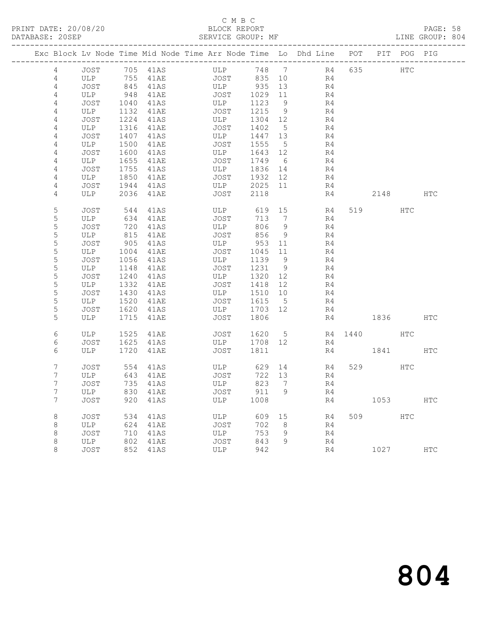#### C M B C DATABASE: 20SEP SERVICE GROUP: MF LINE GROUP: 804

|                |             |              |              | Exc Block Lv Node Time Mid Node Time Arr Node Time Lo Dhd Line POT |                 |                 |                |     |             | PIT POG PIG |               |
|----------------|-------------|--------------|--------------|--------------------------------------------------------------------|-----------------|-----------------|----------------|-----|-------------|-------------|---------------|
| $\overline{4}$ | JOST        |              | 705 41AS     | ULP                                                                |                 |                 | 748 7 R4       | 635 | HTC         |             |               |
| 4              | ULP         | 755          | 41AE         | JOST 835 10                                                        |                 |                 | R4             |     |             |             |               |
| 4              | JOST        | 845          | 41AS         | ULP 935                                                            |                 | 13              | R <sub>4</sub> |     |             |             |               |
| 4              | ULP         | 948          | 41AE         | JOST                                                               | 1029            | 11              | R4             |     |             |             |               |
| 4              | JOST        | 1040         | 41AS         | ULP                                                                | 1123            | 9               | R4             |     |             |             |               |
| 4              | ULP         | 1132         | 41AE         | JOST                                                               | 1215            | 9               | R4             |     |             |             |               |
| 4              | JOST        | 1224         | 41AS         | ULP                                                                | 1304 12         |                 | R4             |     |             |             |               |
| 4              | ULP         | 1316         | 41AE         | JOST                                                               | 1402            | $5^{\circ}$     | R4             |     |             |             |               |
| 4              | JOST        | 1407         | 41AS         | ULP                                                                | 1447 13         |                 | R4             |     |             |             |               |
| 4              | ULP         | 1500         | 41AE         | JOST                                                               | 1555            | $5\overline{)}$ | R4             |     |             |             |               |
| 4              | JOST        | 1600         | 41AS         | ULP                                                                | 1643 12         |                 | R4             |     |             |             |               |
| 4              | ULP<br>JOST | 1655         | 41AE         | JOST<br>ULP                                                        | 1749<br>1836 14 | 6               | R4<br>R4       |     |             |             |               |
| 4<br>4         | ULP         | 1755<br>1850 | 41AS<br>41AE | JOST                                                               | 1932 12         |                 | R4             |     |             |             |               |
| 4              | JOST        | 1944         | 41AS         | ULP                                                                | 2025 11         |                 | R4             |     |             |             |               |
| 4              | ULP         | 2036         | 41AE         | JOST                                                               | 2118            |                 | R4             |     | 2148        |             | HTC           |
|                |             |              |              |                                                                    |                 |                 |                |     |             |             |               |
| 5              | JOST        | 544          | 41AS         | ULP                                                                | 619 15          |                 | R4             |     | 519         | HTC         |               |
| 5              | ULP         | 634          | 41AE         | JOST                                                               | 713             | $\overline{7}$  | R4             |     |             |             |               |
| 5              | JOST        | 720          | 41AS         | ULP                                                                | 806             | 9               | R4             |     |             |             |               |
| 5              | ULP         | 815          | 41AE         | JOST                                                               | 856             | 9               | R4             |     |             |             |               |
| 5              | JOST        | 905          | 41AS         | ULP                                                                | 953             | 11              | R4             |     |             |             |               |
| 5              | ULP         | 1004         | 41AE         | JOST                                                               | 1045            | 11              | R4             |     |             |             |               |
| 5              | JOST        | 1056         | 41AS         | ULP                                                                | 1139            | 9               | R4             |     |             |             |               |
| 5              | ULP         | 1148         | 41AE         | JOST                                                               | 1231 9          |                 | R4             |     |             |             |               |
| 5              | JOST        | 1240         | 41AS         | ULP                                                                | 1320 12         |                 | R4             |     |             |             |               |
| 5              | ULP         | 1332         | 41AE         | JOST                                                               | 1418 12         |                 | R4             |     |             |             |               |
| 5<br>5         | JOST        | 1430         | 41AS         | ULP<br>JOST                                                        | 1510 10         | $5^{\circ}$     | R4<br>R4       |     |             |             |               |
| 5              | ULP<br>JOST | 1520<br>1620 | 41AE<br>41AS | ULP                                                                | 1615<br>1703 12 |                 | R4             |     |             |             |               |
| 5              | ULP         |              | 1715 41AE    | JOST                                                               | 1806            |                 | R4             |     | 1836        |             | HTC           |
|                |             |              |              |                                                                    |                 |                 |                |     |             |             |               |
| 6              | ULP         | 1525         | 41AE         | JOST                                                               | 1620 5          |                 |                |     | R4 1440 HTC |             |               |
| 6              | JOST        | 1625         | 41AS         | ULP                                                                | 1708 12         |                 | R4             |     |             |             |               |
| 6              | ULP         |              | 1720 41AE    | JOST                                                               | 1811            |                 | R4             |     | 1841        |             | HTC           |
| 7              | JOST        | 554          | 41AS         | ULP                                                                |                 |                 | 629 14<br>R4   |     | 529         | HTC         |               |
| 7              | ULP         | 643          | 41AE         | JOST                                                               | 722 13          |                 | R4             |     |             |             |               |
| 7              | JOST        |              | 735 41AS     | ULP                                                                | 823             | $\overline{7}$  | R4             |     |             |             |               |
| 7              | ULP         |              | 830 41AE     | JOST                                                               | 911             | 9               | R4             |     |             |             |               |
| 7              | JOST        | 920          | 41AS         | ULP                                                                | 1008            |                 | R4             |     | 1053        |             | <b>HTC</b>    |
| 8              | JOST        | 534          | 41AS         | ULP                                                                | 609             | 15              | R4             |     | 509         | HTC         |               |
| 8              | ULP         | 624          | 41AE         | JOST                                                               | 702             | 8 <sup>8</sup>  | R4             |     |             |             |               |
| 8              | JOST        | 710          | 41AS         | ULP                                                                | 753             | 9               | R4             |     |             |             |               |
| 8              | ULP         | 802          | 41AE         | JOST                                                               | 843             | 9               | R4             |     |             |             |               |
| 8              | JOST        | 852          | 41AS         | ULP                                                                | 942             |                 | R4             |     | 1027        |             | $_{\rm{HTC}}$ |
|                |             |              |              |                                                                    |                 |                 |                |     |             |             |               |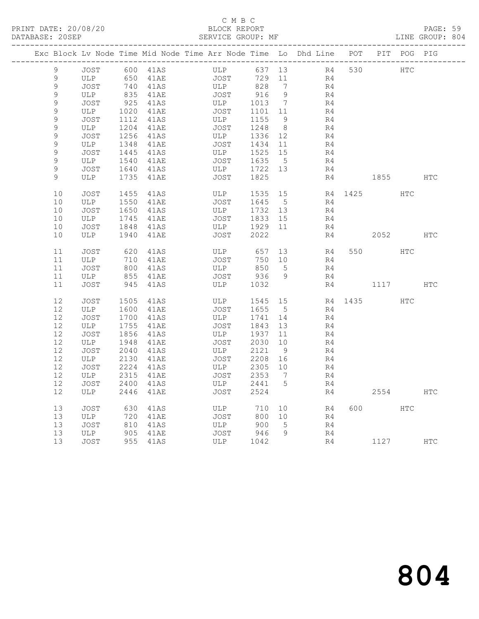### C M B C<br>BLOCK REPORT

PAGE: 59<br>LINE GROUP: 804

|                  |             |              |              | Exc Block Lv Node Time Mid Node Time Arr Node Time Lo Dhd Line POT |              |                      |          |      |            | PIT POG PIG |            |
|------------------|-------------|--------------|--------------|--------------------------------------------------------------------|--------------|----------------------|----------|------|------------|-------------|------------|
|                  |             |              |              |                                                                    |              |                      |          |      |            |             |            |
| 9                | JOST        |              | 600 41AS     | ULP                                                                |              | 637 13               | R4       | 530  | <b>HTC</b> |             |            |
| 9                | ULP         |              | 650 41AE     | JOST                                                               | 729          | 11                   | R4       |      |            |             |            |
| $\mathsf 9$      | <b>JOST</b> |              | 740 41AS     | ULP                                                                | 828          | 7                    | R4       |      |            |             |            |
| 9                | ULP         |              | 835 41AE     | JOST                                                               | 916          | - 9                  | R4       |      |            |             |            |
| 9<br>$\mathsf 9$ | JOST<br>ULP | 925          | 41AS         | ULP<br>JOST                                                        | 1013         | $\overline{7}$<br>11 | R4<br>R4 |      |            |             |            |
| 9                | JOST        | 1020<br>1112 | 41AE<br>41AS | ULP                                                                | 1101<br>1155 | 9                    | R4       |      |            |             |            |
| $\mathsf 9$      | ULP         | 1204         | 41AE         | JOST                                                               | 1248         | 8                    | R4       |      |            |             |            |
| 9                | JOST        | 1256         | 41AS         | ULP                                                                | 1336         | 12                   | R4       |      |            |             |            |
| $\mathsf 9$      | ULP         | 1348         | 41AE         | JOST                                                               | 1434         | 11                   | R4       |      |            |             |            |
| $\mathsf 9$      | JOST        | 1445         | 41AS         | ULP                                                                | 1525         | 15                   | R4       |      |            |             |            |
| 9                | ULP         | 1540         | 41AE         | JOST                                                               | 1635         | $5^{\circ}$          | R4       |      |            |             |            |
| 9                | JOST        |              | 1640 41AS    | ULP                                                                | 1722 13      |                      | R4       |      |            |             |            |
| 9                | ULP         | 1735         | 41AE         | JOST                                                               | 1825         |                      | R4       |      | 1855 — 187 |             | HTC        |
|                  |             |              |              |                                                                    |              |                      |          |      |            |             |            |
| 10               | JOST        | 1455         | 41AS         | ULP                                                                | 1535         | 15                   | R4       | 1425 |            | HTC         |            |
| 10               | ULP         | 1550         | 41AE         | JOST                                                               | 1645         | $5^{\circ}$          | R4       |      |            |             |            |
| $10$             | JOST        | 1650         | 41AS         | ULP                                                                | 1732         | 13                   | R4       |      |            |             |            |
| 10               | ULP         | 1745         | 41AE         | JOST                                                               | 1833         | 15                   | R4       |      |            |             |            |
| 10               | JOST        | 1848         | 41AS         | ULP                                                                | 1929         | 11                   | R4       |      |            |             |            |
| 10               | ULP         | 1940         | 41AE         | <b>JOST</b>                                                        | 2022         |                      | R4       |      | 2052       |             | <b>HTC</b> |
|                  |             |              |              |                                                                    |              |                      |          |      |            |             |            |
| 11               | JOST        | 620          | 41AS         | ULP                                                                | 657          | 13                   | R4       |      |            | <b>HTC</b>  |            |
| 11               | ULP         | 710          | 41AE         | JOST                                                               | 750          | 10                   | R4       |      |            |             |            |
| 11<br>$11$       | JOST<br>ULP | 800<br>855   | 41AS<br>41AE | ULP<br>JOST                                                        | 850<br>936   | $5^{\circ}$<br>9     | R4<br>R4 |      |            |             |            |
| 11               | JOST        | 945          | 41AS         | ULP                                                                | 1032         |                      | R4       |      | 1117       |             | <b>HTC</b> |
|                  |             |              |              |                                                                    |              |                      |          |      |            |             |            |
| 12               | JOST        | 1505         | 41AS         | ULP                                                                | 1545         | 15                   |          |      | R4 1435    | HTC         |            |
| 12               | ULP         | 1600         | 41AE         | JOST                                                               | 1655         | $5^{\circ}$          | R4       |      |            |             |            |
| 12               | JOST        | 1700         | 41AS         | ULP                                                                | 1741         | 14                   | R4       |      |            |             |            |
| 12               | ULP         | 1755         | 41AE         | JOST                                                               | 1843         | 13                   | R4       |      |            |             |            |
| $12$             | JOST        | 1856         | 41AS         | ULP                                                                | 1937         | 11                   | R4       |      |            |             |            |
| 12               | ULP         | 1948         | 41AE         | <b>JOST</b>                                                        | 2030         | 10                   | R4       |      |            |             |            |
| 12               | JOST        | 2040         | 41AS         | ULP                                                                | 2121         | 9                    | R4       |      |            |             |            |
| 12               | ULP         | 2130         | 41AE         | JOST                                                               | 2208         | 16                   | R4       |      |            |             |            |
| 12               | JOST        | 2224         | 41AS         | ULP                                                                | 2305         | 10                   | R4       |      |            |             |            |
| $12$             | ULP         | 2315         | 41AE         | JOST                                                               | 2353         | 7                    | R4       |      |            |             |            |
| 12               | JOST        | 2400         | 41AS         | ULP                                                                | 2441         | 5                    | R4       |      |            |             |            |
| 12               | ULP         | 2446         | 41AE         | JOST                                                               | 2524         |                      | R4       |      | 2554       |             | <b>HTC</b> |
| 13               | JOST        | 630          | 41AS         | ULP                                                                | 710          | 10                   | R4       | 600  |            | <b>HTC</b>  |            |
| 13               | ULP         | 720          | 41AE         | JOST                                                               | 800          | 10                   | R4       |      |            |             |            |
| 13               | JOST        | 810          | 41AS         | ULP                                                                | 900          | 5                    | R4       |      |            |             |            |
| 13               | ULP         | 905          | 41AE         | JOST                                                               | 946          | 9                    | R4       |      |            |             |            |
| 13               | JOST        |              | 955 41AS     | ULP                                                                | 1042         |                      | R4       |      | 1127       |             | <b>HTC</b> |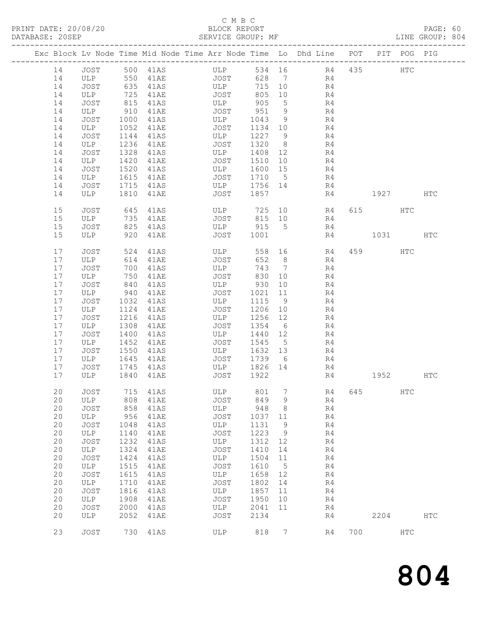### C M B C

| DATABASE: 20SEP | --------------------- |            |              | SERVICE GROUP: MF                                                              |         |                 |                   |     |         |     | LINE GROUP: 804 |
|-----------------|-----------------------|------------|--------------|--------------------------------------------------------------------------------|---------|-----------------|-------------------|-----|---------|-----|-----------------|
|                 |                       |            |              | Exc Block Lv Node Time Mid Node Time Arr Node Time Lo Dhd Line POT PIT POG PIG |         |                 |                   |     |         |     |                 |
| 14              |                       |            |              | JOST 500 41AS ULP                                                              |         |                 | 534 16 R4 435 HTC |     |         |     |                 |
| 14              | ULP 550               |            | 41AE         | JOST                                                                           |         |                 | 628 7 R4          |     |         |     |                 |
| 14              | JOST                  | 635        |              | 41AS ULP                                                                       |         |                 | 715 10 R4         |     |         |     |                 |
| 14              | ULP                   |            |              |                                                                                | 805 10  |                 |                   |     |         |     |                 |
| 14              | JOST                  | 725<br>815 |              | 41AE JOST 805<br>41AS ULP 905                                                  |         | $5\overline{)}$ | R4<br>R4          |     |         |     |                 |
| 14              | ULP                   | 910        | 41AE         | JOST 951                                                                       |         | 9               | R <sub>4</sub>    |     |         |     |                 |
| 14              | JOST                  | 1000       | 41AS         | ULP                                                                            | 1043    | 9               | R4                |     |         |     |                 |
| 14              | ULP                   | 1052       |              | JOST                                                                           | 1134 10 |                 | R4                |     |         |     |                 |
| 14              | JOST                  | 1144       | 41AE<br>41AS | ULP                                                                            | 1227 9  |                 | R4                |     |         |     |                 |
| 14              | ULP                   | 1236       | 41AE         | JOST                                                                           | 1320 8  |                 | R <sub>4</sub>    |     |         |     |                 |
| 14              | JOST                  | 1328       | 41AS         | ULP                                                                            | 1408 12 |                 | R4                |     |         |     |                 |
| 14              | ULP                   | 1420       |              | JOST                                                                           | 1510 10 |                 | R4                |     |         |     |                 |
| 14              | JOST                  | 1520       | 41AE<br>41AS | ULP                                                                            | 1600 15 |                 | R <sub>4</sub>    |     |         |     |                 |
| 14              | ULP                   | 1615       | 41AE         | JOST                                                                           | 1710 5  |                 | R4                |     |         |     |                 |
| 14              | JOST                  | 1715       | 41AS         | ULP 1756 14                                                                    |         |                 | R4                |     |         |     |                 |
| 14              | ULP                   | 1810       | 41AE         | JOST 1857                                                                      |         |                 |                   |     | R4 1927 |     | HTC             |
|                 |                       |            |              |                                                                                |         |                 |                   |     |         |     |                 |
| 15              | JOST                  | 645        | 41AS         |                                                                                |         |                 | ULP 725 10 R4     |     | 615 HTC |     |                 |
| 15              | ULP                   | 735        | 41AE         | JOST 815 10                                                                    |         |                 | R4                |     |         |     |                 |
| 15              | JOST                  | 825        | 41AS         | ULP 915 5                                                                      |         |                 | R4                |     |         |     |                 |
| 15              | ULP                   |            | 920 41AE     | JOST 1001                                                                      |         |                 | R4                |     | 1031    |     | HTC             |
| 17              | JOST                  | 524        | 41AS         | ULP                                                                            |         |                 | 558 16 R4         |     | 459     | HTC |                 |
| 17              | ULP                   | 614        | 41AE         | JOST                                                                           | 652 8   |                 | R4                |     |         |     |                 |
| 17              | JOST                  | 700        | 41AS         | ULP                                                                            | 743 7   |                 | R4                |     |         |     |                 |
| 17              | ULP                   | 750        | 41AE         | JOST                                                                           | 830 10  |                 | R <sub>4</sub>    |     |         |     |                 |
| 17              | JOST                  | 840        | 41AS         | ULP 930                                                                        |         | 10              | R4                |     |         |     |                 |
| 17              | ULP                   | 940        | 41AE         | JOST                                                                           | 1021    | 11              | R4                |     |         |     |                 |
| 17              | JOST                  | 1032       | 41AS         | ULP                                                                            | 1115 9  |                 | R <sub>4</sub>    |     |         |     |                 |
| 17              | ULP                   | 1124       | 41AE         | JOST                                                                           | 1206 10 |                 | R <sub>4</sub>    |     |         |     |                 |
| 17              | JOST                  | 1216       | 41AS         | ULP                                                                            | 1256 12 |                 | R4                |     |         |     |                 |
| 17              | ULP                   | 1308       | 41AE         | JOST                                                                           | 1354 6  |                 | R4                |     |         |     |                 |
| 17              | JOST                  | 1400       |              | ULP                                                                            | 1440 12 |                 | R4                |     |         |     |                 |
| 17              | ULP                   | 1452       | 41AS<br>41AE | JOST                                                                           | 1545 5  |                 | R4                |     |         |     |                 |
| 17              | JOST                  | 1550       | 41AS         | ULP                                                                            | 1632 13 |                 | R4                |     |         |     |                 |
| 17              | ULP                   | 1645       | 41AE         | JOST                                                                           | 1739    | 6               | R4                |     |         |     |                 |
| 17              | JOST                  | 1745       | 41AS         |                                                                                | 1826 14 |                 | R4                |     |         |     |                 |
| 17              | ULP 1840 41AB         |            |              | ULP 1826<br>JOST 1922                                                          |         |                 | R4                |     | 1952    |     | HTC             |
|                 |                       |            |              |                                                                                |         |                 |                   |     |         |     |                 |
| 20              | JOST                  | 715        | 41AS         | ULP                                                                            | 801     | 7               | R4                | 645 |         | HTC |                 |
| 20              | ULP                   | 808        | 41AE         | JOST                                                                           | 849     | 9               | R4                |     |         |     |                 |
| 20              | JOST                  | 858        | 41AS         | ULP                                                                            | 948     | 8               | R4                |     |         |     |                 |
| 20              | ULP                   | 956        | 41AE         | JOST                                                                           | 1037    | 11              | R4                |     |         |     |                 |
| 20              | JOST                  | 1048       | 41AS         | ULP                                                                            | 1131    | 9               | R4                |     |         |     |                 |
| 20              | ULP                   | 1140       | 41AE         | <b>JOST</b>                                                                    | 1223    | 9               | R4                |     |         |     |                 |
| 20              | JOST                  | 1232       | 41AS         | ULP                                                                            | 1312    | 12              | R4                |     |         |     |                 |
| 20              | ULP                   | 1324       | 41AE         | JOST                                                                           | 1410    | 14              | R4                |     |         |     |                 |
| 20              | JOST                  | 1424       | 41AS         | ULP                                                                            | 1504    | 11              | R4                |     |         |     |                 |
| 20              | ULP                   | 1515       | 41AE         | JOST                                                                           | 1610    | 5               | R4                |     |         |     |                 |
| 20              | JOST                  | 1615       | 41AS         | ULP                                                                            | 1658    | 12              | R4                |     |         |     |                 |
| 20              | ULP                   | 1710       | <b>41AE</b>  | JOST                                                                           | 1802    | 14              | R4                |     |         |     |                 |
| 20              | JOST                  | 1816       | 41AS         | ULP                                                                            | 1857    | 11              | R4                |     |         |     |                 |
| 20              | ULP                   | 1908       | <b>41AE</b>  | JOST                                                                           | 1950    | 10              | R4                |     |         |     |                 |
| 20              | JOST                  | 2000       | 41AS         | ULP                                                                            | 2041    | 11              | R4                |     |         |     |                 |
| 20              | ULP                   | 2052       | <b>41AE</b>  | JOST                                                                           | 2134    |                 | R4                |     | 2204    |     | HTC             |
| 23              | JOST                  | 730        | 41AS         | ULP                                                                            | 818     | 7               | R4                | 700 |         | HTC |                 |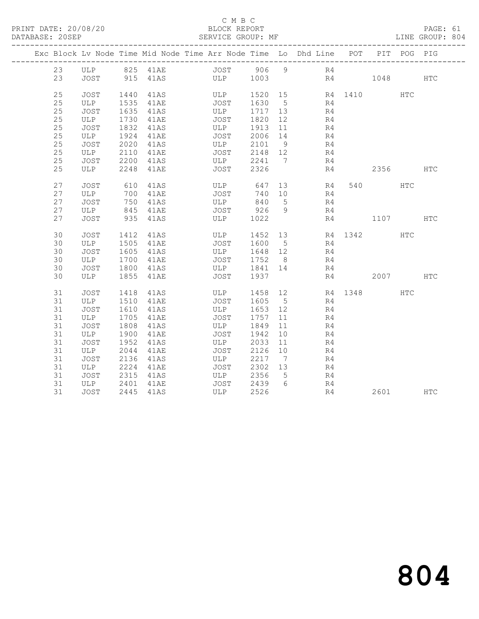### C M B C<br>BLOCK REPORT

PAGE: 61<br>LINE GROUP: 804

| Exc Block Lv Node Time Mid Node Time Arr Node Time Lo Dhd Line POT |                                                                                         |      |             |                   |             |                         |    |                |                |    |                     | PIT POG PIG |     |
|--------------------------------------------------------------------|-----------------------------------------------------------------------------------------|------|-------------|-------------------|-------------|-------------------------|----|----------------|----------------|----|---------------------|-------------|-----|
| 23                                                                 |                                                                                         |      |             |                   |             |                         |    |                |                |    |                     |             |     |
| 23                                                                 | JOST                                                                                    |      |             | 915 41AS ULP 1003 |             |                         |    |                |                |    | R4 1048 HTC         |             |     |
| 25                                                                 |                                                                                         |      | 41AS        | ULP               |             |                         |    |                |                |    | 1520 15 R4 1410     | <b>HTC</b>  |     |
| 25                                                                 | JOST 1440<br>ULP 1535                                                                   |      | 41AE        |                   | JOST        | 1630 5                  |    |                | R4             |    |                     |             |     |
| 25                                                                 | JOST                                                                                    | 1635 | 41AS        |                   | ULP         | 1717 13                 |    | R <sub>4</sub> |                |    |                     |             |     |
| 25                                                                 | ULP                                                                                     | 1730 | 41AE        |                   | JOST        | 1820 12                 |    |                | R <sub>4</sub> |    |                     |             |     |
| 25                                                                 | JOST                                                                                    | 1832 | 41AS        |                   | ULP<br>JOST | 1913 11                 |    |                | R <sub>4</sub> |    |                     |             |     |
| 25                                                                 | $\begin{array}{ccc}\n\text{UDB} & \text{IOB2} \\ \text{ULP} & \text{1924}\n\end{array}$ |      | 41AE        |                   |             | 2006 14                 |    |                | R4             |    |                     |             |     |
| 25                                                                 | JOST                                                                                    | 2020 | 41AS        |                   | ULP         |                         |    | 2101 9 R4      |                |    |                     |             |     |
| 25                                                                 | ULP                                                                                     | 2110 | 41AE        |                   | JOST        | 2148 12                 |    | R <sub>4</sub> |                |    |                     |             |     |
| 25                                                                 | JOST<br>ULP                                                                             | 2200 | 41AS        |                   | ULP<br>JOST | 2241 7                  |    |                | R4             |    |                     |             |     |
| 25                                                                 |                                                                                         |      | 2248 41AE   |                   |             | 2326                    |    |                | R4             |    | 2356                |             | HTC |
| 27                                                                 | <b>JOST</b>                                                                             | 610  | 41AS        |                   |             | ULP 647                 |    | 13 R4          |                |    | 540 540             | <b>HTC</b>  |     |
| 27                                                                 | ULP                                                                                     |      | 700 41AE    |                   | JOST        | 740 10                  |    |                | R4             |    |                     |             |     |
| 27                                                                 | JOST                                                                                    | 750  | 41AS        |                   | ULP<br>ULP  | 840 5                   |    |                | R4             |    |                     |             |     |
| 27                                                                 | ULP                                                                                     |      | 845 41AE    |                   |             |                         |    | JOST 926 9 R4  |                |    |                     |             |     |
| 27                                                                 | JOST                                                                                    |      | 935 41AS    |                   | ULP         | 1022                    |    |                |                |    | R4 1107             |             | HTC |
| 30                                                                 | JOST                                                                                    | 1412 | 41AS        |                   | ULP         |                         |    |                |                |    | 1452 13 R4 1342     | HTC         |     |
| 30                                                                 | ULP                                                                                     | 1505 | 41AE        |                   | <b>JOST</b> | 1600 5                  |    | R <sub>4</sub> |                |    |                     |             |     |
| 30                                                                 | JOST                                                                                    | 1605 | 41AS        |                   | ULP         | 1648 12                 |    | R <sub>4</sub> |                |    |                     |             |     |
| 30                                                                 | ULP                                                                                     | 1700 | 41AE        |                   |             | JOST 1752 8             |    |                | R4             |    |                     |             |     |
| 30                                                                 | JOST                                                                                    | 1800 | 41AS        |                   |             | ULP 1841 14             |    |                | R4             |    |                     |             |     |
| 30                                                                 | ULP                                                                                     |      | 1855 41AE   |                   | JOST        | 1937                    |    |                |                | R4 | 2007 HTC            |             |     |
| 31                                                                 | JOST                                                                                    | 1418 | 41AS        |                   | ULP         |                         |    |                |                |    | 1458 12 R4 1348 HTC |             |     |
| 31                                                                 | ULP                                                                                     | 1510 | <b>41AE</b> |                   | <b>JOST</b> | 1605 5                  |    |                | R <sub>4</sub> |    |                     |             |     |
| 31                                                                 | JOST                                                                                    | 1610 | 41AS        |                   | ULP         | 1653 12                 |    |                | R4             |    |                     |             |     |
| 31                                                                 | ULP                                                                                     | 1705 | 41AE        |                   | JOST        | 1757                    | 11 |                | R4             |    |                     |             |     |
| 31                                                                 | JOST                                                                                    | 1808 | 41AS        | ULP               |             | 1849                    | 11 |                | R4             |    |                     |             |     |
| 31                                                                 | ULP                                                                                     | 1900 | 41AE        |                   | <b>JOST</b> | 1942                    | 10 |                | R4             |    |                     |             |     |
| 31                                                                 | JOST                                                                                    | 1952 | 41AS        |                   | ULP         | 2033                    | 11 |                | R4             |    |                     |             |     |
| 31                                                                 | ULP                                                                                     | 2044 | 41AE        |                   | JOST        | 2126 10                 |    |                | R4             |    |                     |             |     |
| 31                                                                 | JOST                                                                                    | 2136 | 41AS        | ULP               |             | 2217 7                  |    |                | R4             |    |                     |             |     |
| 31                                                                 | ULP                                                                                     | 2224 | 41AE        |                   | <b>JOST</b> | 2302 13                 |    | R4             |                |    |                     |             |     |
| 31                                                                 | JOST                                                                                    | 2315 | 41AS        |                   | ULP         | 2356 5                  |    |                | R4             |    |                     |             |     |
| 31                                                                 | ULP<br>JOST                                                                             | 2401 | 41AE        |                   |             | JOST 2439 6<br>ULP 2526 |    |                | R4             |    |                     |             |     |
| 31                                                                 | JOST                                                                                    |      | 2445 41AS   |                   |             |                         |    |                | R4             |    | 2601 HTC            |             |     |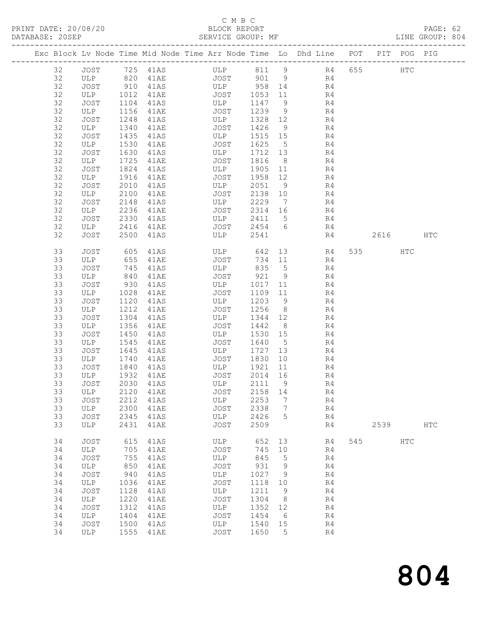### C M B C<br>BLOCK REPORT

PAGE: 62<br>LINE GROUP: 804

|          |               |                  | Exc Block Lv Node Time Mid Node Time Arr Node Time Lo Dhd Line POT PIT POG PIG |              |                    |                   |                |    |                |     |          |            |            |
|----------|---------------|------------------|--------------------------------------------------------------------------------|--------------|--------------------|-------------------|----------------|----|----------------|-----|----------|------------|------------|
| 32       | JOST 725 41AS |                  |                                                                                |              | ULP 811 9 R4 655   |                   |                |    |                |     |          | HTC        |            |
| 32       |               |                  |                                                                                |              |                    |                   |                |    | R4             |     |          |            |            |
| 32       |               |                  |                                                                                |              |                    |                   |                |    | R4             |     |          |            |            |
| 32       | ULP 1012      |                  | 41AE JOST                                                                      |              |                    | 1053 11           |                |    | R <sub>4</sub> |     |          |            |            |
| 32       | JOST          | 1104             | 41AS ULP                                                                       |              |                    | 1147              | 9              |    | R <sub>4</sub> |     |          |            |            |
| 32       | ULP           | 1156             | <b>41AE</b>                                                                    |              | JOST               | 1239              | 9              |    | R4             |     |          |            |            |
| 32       | JOST          | 1248             | 41AS                                                                           |              | ULP                | 1328 12           |                |    | R4             |     |          |            |            |
| 32       | ULP           | 1340             | 41AE                                                                           |              | JOST               | 1426              | 9              |    | R4             |     |          |            |            |
|          |               |                  |                                                                                |              |                    |                   |                |    |                |     |          |            |            |
| 32<br>32 | JOST          | 1435             | 41AS                                                                           |              | ULP<br>JOST        | 1515 15<br>1625 5 |                |    | R4<br>R4       |     |          |            |            |
| 32       | ULP<br>JOST   | 1530<br>1630     | 41AE                                                                           |              | ULP                | 1712 13           |                |    | R4             |     |          |            |            |
| 32       |               | 1725             | 41AS<br>41AE                                                                   |              | JOST               | 1816              | 8 <sup>8</sup> |    | R4             |     |          |            |            |
| 32       | ULP<br>JOST   | 1824             | 41AS                                                                           |              | ULP                | 1905 11           |                | R4 |                |     |          |            |            |
| 32       | ULP           |                  |                                                                                |              | JOST               |                   | 12             |    | R4             |     |          |            |            |
| 32       |               | 1916             | 41AE                                                                           |              |                    | 1958              |                |    |                |     |          |            |            |
|          | JOST          | 2010             | 41AS                                                                           |              | ULP                | 2051              | 9              |    | R4             |     |          |            |            |
| 32       | ULP           | 2100             | 41AE                                                                           |              | JOST               | 2138              | 10             |    | R4             |     |          |            |            |
| 32       | JOST          | 2148             | 41AS                                                                           |              | <b>ULP</b>         | 2229              | $\overline{7}$ | R4 |                |     |          |            |            |
| 32       | ULP           | 2236             | 41AE                                                                           |              | JOST               | 2314 16           |                |    | R4             |     |          |            |            |
| 32       | JOST          | 2330             | 41AS                                                                           |              | ULP<br><b>JOST</b> | 2411 5            |                |    | R4             |     |          |            |            |
| 32       | ULP           | 2416             | 41AE                                                                           |              |                    | 2454 6            |                |    | R4             |     |          |            |            |
| 32       | JOST          | 2500             | 41AS                                                                           |              | ULP                | 2541              |                |    | R4             |     | 2616 HTC |            |            |
| 33       | <b>JOST</b>   | 605              | 41AS                                                                           |              | ULP                | 642               | 13             |    | R4             |     | 535 731  | HTC        |            |
| 33       | ULP           | 655              | 41AE                                                                           |              | JOST               | 734 11            |                |    | R4             |     |          |            |            |
| 33       | JOST          | 745              | 41AS                                                                           |              | ULP                | 835               | 5 <sup>5</sup> |    | R4             |     |          |            |            |
| 33       | ULP           | 840              | 41AE                                                                           |              | JOST               | 921               | 9              |    | R4             |     |          |            |            |
| 33       | JOST          | $\frac{930}{10}$ | 41AS                                                                           |              | ULP                | 1017              | 11             |    | R4             |     |          |            |            |
| 33       | ULP           | 1028             | 41AE                                                                           |              | JOST               | 1109 11           |                |    | R4             |     |          |            |            |
| 33       | JOST          | 1120             | 41AS                                                                           |              | ULP                | 1203              | 9              |    | R4             |     |          |            |            |
| 33       | ULP           | 1212             | 41AE                                                                           |              | JOST               | 1256              | 8 <sup>8</sup> |    | R4             |     |          |            |            |
| 33       | JOST          | 1304             | 41AS                                                                           |              | ULP                | 1344              | 12             |    | R4             |     |          |            |            |
| 33       | ULP           | 1356             | 41AE                                                                           |              | JOST               | 1442              | 8 <sup>8</sup> |    | R4             |     |          |            |            |
| 33       | JOST          | 1450             | 41AS                                                                           |              | ULP                | 1530              | 15             |    | R4             |     |          |            |            |
| 33       | ULP           | 1545             | 41AE                                                                           |              | JOST               | 1640              | $5^{\circ}$    |    | R4             |     |          |            |            |
| 33       | JOST          | 1645             | 41AS                                                                           |              | ULP                | 1727              | 13             |    | R4             |     |          |            |            |
| 33       | ULP           | 1740             | 41AE                                                                           |              | JOST               | 1830              | 10             |    | R4             |     |          |            |            |
| 33       | JOST          | 1840             | 41AS                                                                           |              | ULP                | 1921              | 11             |    | R4             |     |          |            |            |
| 33       | ULP           | 1932             | 41AE                                                                           | JOST 2014 16 |                    |                   |                |    | R4             |     |          |            |            |
| 33       | JOST          | 2030             | 41AS                                                                           | ULP          |                    | 2111              | 9              |    | R4             |     |          |            |            |
| 33       |               |                  | ULP 2120 41AE                                                                  |              | JOST 2158 14       |                   |                |    | R <sub>4</sub> |     |          |            |            |
| 33       | JOST          | 2212             | 41AS                                                                           |              | ULP                | 2253              | 7              |    | R4             |     |          |            |            |
| 33       | ULP           | 2300             | 41AE                                                                           |              | JOST               | 2338              | 7              |    | R4             |     |          |            |            |
| 33       | <b>JOST</b>   | 2345             | 41AS                                                                           |              | ULP                | 2426              | 5              |    | R4             |     |          |            |            |
| 33       | ULP           | 2431             | 41AE                                                                           |              | <b>JOST</b>        | 2509              |                |    | R4             |     | 2539     |            | <b>HTC</b> |
| 34       | JOST          | 615              | 41AS                                                                           |              | ULP                | 652               | 13             |    | R4             | 545 |          | <b>HTC</b> |            |
| 34       | ULP           | 705              | 41AE                                                                           |              | <b>JOST</b>        | 745               | 10             |    | R4             |     |          |            |            |
| 34       | JOST          | 755              | 41AS                                                                           |              | ULP                | 845               | 5              |    | R4             |     |          |            |            |
| 34       | ULP           | 850              | 41AE                                                                           |              | JOST               | 931               | 9              |    | R4             |     |          |            |            |
| 34       | JOST          | 940              | 41AS                                                                           |              | ULP                | 1027              | 9              |    | R4             |     |          |            |            |
| 34       | ULP           | 1036             | 41AE                                                                           |              | JOST               | 1118              | 10             |    | R4             |     |          |            |            |
| 34       | JOST          | 1128             | 41AS                                                                           |              | ULP                | 1211              | 9              |    | R4             |     |          |            |            |
| 34       | ULP           | 1220             | 41AE                                                                           |              | <b>JOST</b>        | 1304              | 8              |    | R4             |     |          |            |            |
| 34       | JOST          | 1312             | 41AS                                                                           |              | ULP                | 1352              | 12             |    | R4             |     |          |            |            |
| 34       | ULP           | 1404             | 41AE                                                                           |              | JOST               | 1454              | 6              |    | R4             |     |          |            |            |
| 34       | JOST          | 1500             | 41AS                                                                           |              | ULP                | 1540              | 15             |    | R4             |     |          |            |            |
| 34       | ULP           | 1555             | 41AE                                                                           |              | <b>JOST</b>        | 1650              | 5              |    | R4             |     |          |            |            |
|          |               |                  |                                                                                |              |                    |                   |                |    |                |     |          |            |            |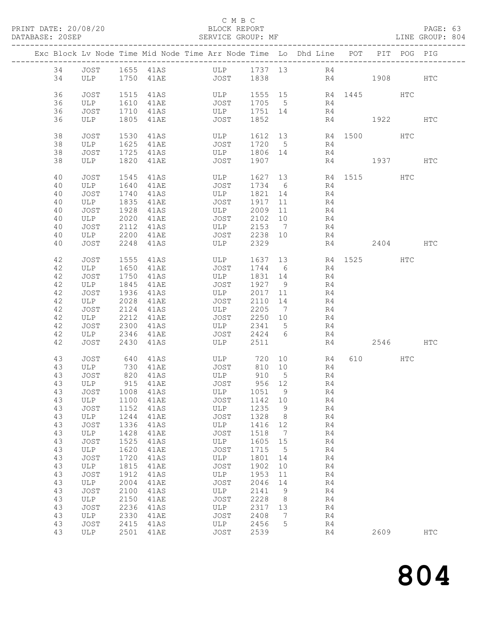### C M B C<br>BLOCK REPORT

PAGE: 63<br>LINE GROUP: 804

|          |             |              |                      | Exc Block Lv Node Time Mid Node Time Arr Node Time Lo Dhd Line POT |                    |                              |                                           |             |          | PIT POG PIG |            |
|----------|-------------|--------------|----------------------|--------------------------------------------------------------------|--------------------|------------------------------|-------------------------------------------|-------------|----------|-------------|------------|
| 34       |             |              |                      |                                                                    |                    |                              |                                           |             |          |             |            |
| 34       |             |              |                      |                                                                    |                    |                              |                                           | R4 1908 HTC |          |             |            |
| 36       | JOST        |              | 1515 41AS            | ULP                                                                |                    |                              | 1555 15 R4 1445 HTC                       |             |          |             |            |
| 36       | ULP         | 1610         | 41AE                 | JOST 1705 5                                                        |                    |                              | R4<br>R4                                  |             |          |             |            |
| 36       | JOST        |              | 1710 41AS            | $ULP$ $1751$ $14$                                                  |                    |                              |                                           |             |          |             |            |
| 36       | ULP         |              | 1805 41AE            | <b>JOST</b>                                                        | 1852               |                              |                                           | R4 1922     |          |             | HTC        |
| 38       | JOST        | 1530         | 41AS                 |                                                                    |                    |                              | ULP 1612 13 R4 1500 HTC<br>JOST 1720 5 R4 |             |          |             |            |
| 38       | ULP         |              | 1625 41AE            |                                                                    |                    |                              |                                           |             |          |             |            |
| 38       | JOST        |              | 1725 41AS            | ULP 1806 14                                                        |                    |                              | R4                                        |             |          |             |            |
| 38       | ULP         | 1820         | 41AE                 | JOST                                                               | 1907               |                              |                                           | R4 1937 HTC |          |             |            |
| 40       | JOST        | 1545         | 41AS                 | ULP                                                                |                    |                              | 1627 13 R4 1515                           |             |          | HTC         |            |
| 40       | ULP         | 1640         | 41AE                 | JOST                                                               | 1734 6             |                              | R4                                        |             |          |             |            |
| 40       | JOST        | 1740         | 41AS                 | ULP                                                                | 1821 14            |                              | R4                                        |             |          |             |            |
| 40       | ULP         | 1835         | 41AE                 | JOST<br>ULP                                                        | 1917 11            |                              | R4                                        |             |          |             |            |
| 40<br>40 | JOST        | 1928<br>2020 | 41AS<br>41AE         | <b>JOST</b>                                                        | 2009 11<br>2102 10 |                              | R4                                        |             |          |             |            |
| 40       | ULP<br>JOST | 2112         | 41AS                 | ULP 2153 7                                                         |                    |                              | R4<br>R4                                  |             |          |             |            |
| 40       | ULP         | 2200         | 41AE                 | JOST                                                               | 2238 10            |                              | R4                                        |             |          |             |            |
| 40       | JOST        | 2248         | 41AS                 | ULP                                                                | 2329               |                              | R4                                        |             | 2404 HTC |             |            |
| 42       |             | 1555         |                      |                                                                    |                    |                              |                                           |             |          | <b>HTC</b>  |            |
| 42       | JOST<br>ULP | 1650         | 41AS<br>41AE         | ULP<br>JOST                                                        | 1744 6             |                              | 1637 13 R4 1525<br>R4                     |             |          |             |            |
| 42       | JOST        | 1750         | 41AS                 | ULP                                                                | 1831 14            |                              | R <sub>4</sub>                            |             |          |             |            |
| 42       | ULP         |              | 1845 41AE            | JOST                                                               | 1927 9             |                              | R4                                        |             |          |             |            |
| 42       | JOST        | 1936         | 41AS                 | ULP                                                                | 2017 11            |                              | R <sub>4</sub>                            |             |          |             |            |
| 42       | ULP         | 2028         | 41AE                 | JOST                                                               | 2110 14            |                              | R4                                        |             |          |             |            |
| 42       | JOST        | 2124         | 41AS                 | ULP                                                                | 2205 7             |                              | R4                                        |             |          |             |            |
| 42       | ULP         | 2212         | 41AE                 | JOST                                                               | $2250$ 10          |                              | R4                                        |             |          |             |            |
| 42       | JOST        | 2300         | 41AS                 | ULP 2341 5                                                         |                    |                              | R4                                        |             |          |             |            |
| 42       | ULP         | 2346         | 41AE                 | JOST 2424 6                                                        |                    |                              | R4                                        |             |          |             |            |
| 42       | JOST        | 2430         | 41AS                 | ULP                                                                | 2511               |                              | R4                                        |             | 2546     |             | HTC        |
| 43       | JOST        |              | 640 41AS             | ULP 720 10                                                         |                    |                              | R4                                        |             | 610 HTC  |             |            |
| 43       | ULP         |              | 730 41AE             | JOST                                                               | 810 10             |                              | R4                                        |             |          |             |            |
| 43       | JOST        |              | 820 41AS<br>915 41AE | $ULP$<br>Tost 910 J<br>Tost 956 12                                 |                    |                              | R4                                        |             |          |             |            |
| 43       | ULP         |              |                      | 43 JOST 1008 41AS ULP 1051 9                                       |                    |                              | R4<br>R <sub>4</sub>                      |             |          |             |            |
| 43       | ULP         | 1100         | 41AE                 | JOST                                                               | 1142 10            |                              | R4                                        |             |          |             |            |
| 43       | JOST        | 1152         | 41AS                 | ULP                                                                | 1235               | 9                            | R4                                        |             |          |             |            |
| 43       | ULP         | 1244         | 41AE                 | JOST                                                               | 1328               | 8 <sup>8</sup>               | R4                                        |             |          |             |            |
| 43       | JOST        | 1336         | 41AS                 | ULP                                                                | 1416               | 12                           | R4                                        |             |          |             |            |
| 43       | ULP         | 1428         | 41AE                 | JOST                                                               | 1518               | $\overline{7}$               | R4                                        |             |          |             |            |
| 43       | <b>JOST</b> | 1525         | 41AS                 | ULP                                                                | 1605               | 15                           | R4                                        |             |          |             |            |
| 43       | ULP         | 1620         | 41AE                 | <b>JOST</b>                                                        | 1715               | $5^{\circ}$                  | R4                                        |             |          |             |            |
| 43       | JOST        | 1720         | 41AS                 | ULP                                                                | 1801               | 14                           | R4                                        |             |          |             |            |
| 43       | ULP         | 1815         | 41AE                 | JOST                                                               | 1902               | 10                           | R4                                        |             |          |             |            |
| 43       | <b>JOST</b> | 1912         | 41AS                 | ULP                                                                | 1953               | 11                           | R4                                        |             |          |             |            |
| 43       | ULP         | 2004         | 41AE                 | JOST                                                               | 2046               | 14                           | R4                                        |             |          |             |            |
| 43<br>43 | JOST<br>ULP | 2100<br>2150 | 41AS<br>41AE         | ULP<br><b>JOST</b>                                                 | 2141<br>2228       | 9<br>8                       | R4<br>R4                                  |             |          |             |            |
| 43       | <b>JOST</b> | 2236         | 41AS                 | ULP                                                                | 2317               | 13                           | R4                                        |             |          |             |            |
| 43       | ULP         | 2330         | 41AE                 | JOST                                                               | 2408               | $7\phantom{.0}\phantom{.0}7$ | R4                                        |             |          |             |            |
| 43       | JOST        | 2415         | 41AS                 | ULP                                                                | 2456               | 5                            | R4                                        |             |          |             |            |
| 43       | ULP         | 2501         | 41AE                 | JOST                                                               | 2539               |                              | R4                                        |             | 2609     |             | <b>HTC</b> |
|          |             |              |                      |                                                                    |                    |                              |                                           |             |          |             |            |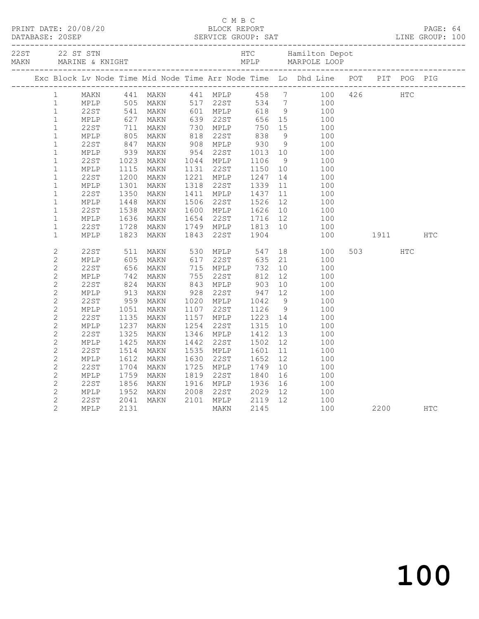|              |                        |      |                                                             |                                                                                                                                                                                                                                        |                      | C M B C                                                                                                                                      |    |                                                                                                                                                                                                                                            |             |                                                                                                                                                                                                                                 |            |  |
|--------------|------------------------|------|-------------------------------------------------------------|----------------------------------------------------------------------------------------------------------------------------------------------------------------------------------------------------------------------------------------|----------------------|----------------------------------------------------------------------------------------------------------------------------------------------|----|--------------------------------------------------------------------------------------------------------------------------------------------------------------------------------------------------------------------------------------------|-------------|---------------------------------------------------------------------------------------------------------------------------------------------------------------------------------------------------------------------------------|------------|--|
|              |                        |      |                                                             |                                                                                                                                                                                                                                        |                      |                                                                                                                                              |    |                                                                                                                                                                                                                                            |             |                                                                                                                                                                                                                                 |            |  |
|              |                        |      |                                                             |                                                                                                                                                                                                                                        |                      |                                                                                                                                              |    | Exc Block Lv Node Time Mid Node Time Arr Node Time Lo Dhd Line POT PIT POG PIG                                                                                                                                                             |             |                                                                                                                                                                                                                                 |            |  |
|              | $\mathbf{1}$           |      |                                                             | MAKN 441 MAKN 441 MPLP 458 7                                                                                                                                                                                                           |                      |                                                                                                                                              |    |                                                                                                                                                                                                                                            | 100 426 HTC |                                                                                                                                                                                                                                 |            |  |
|              | $1 \quad \blacksquare$ |      |                                                             |                                                                                                                                                                                                                                        |                      |                                                                                                                                              |    |                                                                                                                                                                                                                                            |             |                                                                                                                                                                                                                                 |            |  |
|              | $\mathbf{1}$           |      |                                                             |                                                                                                                                                                                                                                        |                      |                                                                                                                                              |    |                                                                                                                                                                                                                                            |             |                                                                                                                                                                                                                                 |            |  |
|              | $\mathbf{1}$           |      |                                                             |                                                                                                                                                                                                                                        |                      |                                                                                                                                              |    | MAKN 441 MAKN 441 MPLP 458 7 100<br>MPLP 505 MAKN 517 22ST 534 7 100<br>22ST 541 MAKN 601 MPLP 618 9 100<br>MPLP 627 MAKN 639 22ST 656 15 100<br>22ST 711 MAKN 730 MPLP 750 15 100<br>MPLP 805 MAKN 818 22ST 838 9 100<br>22ST 847 MAKN 90 |             |                                                                                                                                                                                                                                 |            |  |
| $\mathbf{1}$ |                        |      |                                                             |                                                                                                                                                                                                                                        |                      |                                                                                                                                              |    |                                                                                                                                                                                                                                            |             |                                                                                                                                                                                                                                 |            |  |
|              | $\mathbf{1}$           |      |                                                             |                                                                                                                                                                                                                                        |                      |                                                                                                                                              |    |                                                                                                                                                                                                                                            |             |                                                                                                                                                                                                                                 |            |  |
|              | $\mathbf{1}$           |      |                                                             |                                                                                                                                                                                                                                        |                      |                                                                                                                                              |    |                                                                                                                                                                                                                                            |             |                                                                                                                                                                                                                                 |            |  |
| $1\,$        |                        |      |                                                             |                                                                                                                                                                                                                                        |                      |                                                                                                                                              |    |                                                                                                                                                                                                                                            |             |                                                                                                                                                                                                                                 |            |  |
|              | $\mathbf{1}$           |      |                                                             |                                                                                                                                                                                                                                        |                      |                                                                                                                                              |    |                                                                                                                                                                                                                                            |             |                                                                                                                                                                                                                                 |            |  |
|              | $\mathbf{1}$           |      |                                                             |                                                                                                                                                                                                                                        |                      |                                                                                                                                              |    |                                                                                                                                                                                                                                            |             |                                                                                                                                                                                                                                 |            |  |
| $\mathbf 1$  |                        |      |                                                             |                                                                                                                                                                                                                                        |                      |                                                                                                                                              |    |                                                                                                                                                                                                                                            |             |                                                                                                                                                                                                                                 |            |  |
|              | $\mathbf{1}$           |      |                                                             |                                                                                                                                                                                                                                        |                      |                                                                                                                                              |    |                                                                                                                                                                                                                                            |             |                                                                                                                                                                                                                                 |            |  |
|              | $\mathbf{1}$           | 22ST |                                                             | MAKN                                                                                                                                                                                                                                   |                      |                                                                                                                                              |    | 100                                                                                                                                                                                                                                        |             |                                                                                                                                                                                                                                 |            |  |
| $\mathbf{1}$ |                        | MPLP | $\begin{array}{c} 1350 \\ 1350 \\ 1448 \\ 1538 \end{array}$ | MAKN                                                                                                                                                                                                                                   |                      |                                                                                                                                              |    | 100                                                                                                                                                                                                                                        |             |                                                                                                                                                                                                                                 |            |  |
| $1\,$        |                        | 22ST |                                                             | MAKN                                                                                                                                                                                                                                   |                      |                                                                                                                                              |    | 100                                                                                                                                                                                                                                        |             |                                                                                                                                                                                                                                 |            |  |
| $\mathbf 1$  |                        | MPLP |                                                             | MAKN                                                                                                                                                                                                                                   |                      |                                                                                                                                              |    | 100                                                                                                                                                                                                                                        |             |                                                                                                                                                                                                                                 |            |  |
| $\mathbf{1}$ |                        | 22ST | 1636<br>1728                                                | MAKN                                                                                                                                                                                                                                   |                      |                                                                                                                                              |    | 100                                                                                                                                                                                                                                        |             |                                                                                                                                                                                                                                 |            |  |
| $\mathbf{1}$ |                        | MPLP | 1823                                                        | MAKN                                                                                                                                                                                                                                   |                      | 1318 22ST 1339 11<br>1411 MPLP 1437 11<br>1506 22ST 1526 12<br>1600 MPLP 1626 10<br>1654 22ST 1716 12<br>1749 MPLP 1813 10<br>1843 22ST 1904 |    | 100                                                                                                                                                                                                                                        |             | 1911 — 1911 — 1912 — 1923 — 1924 — 1925 — 1926 — 1927 — 1927 — 1928 — 1928 — 1928 — 1928 — 1928 — 1928 — 1928 — 1928 — 1928 — 1928 — 1928 — 1928 — 1928 — 1928 — 1928 — 1928 — 1928 — 1928 — 1928 — 1928 — 1928 — 1928 — 1928 — | <b>HTC</b> |  |
|              | $\overline{c}$         | 22ST | 511<br>605                                                  | MAKN 530 MPLP 547<br>MAKN 617 22ST 635                                                                                                                                                                                                 |                      |                                                                                                                                              |    | $\begin{array}{c} 18 \\ 21 \end{array}$<br>100                                                                                                                                                                                             |             | HTC                                                                                                                                                                                                                             |            |  |
|              | $\mathbf{2}$           | MPLP |                                                             | MAKN                                                                                                                                                                                                                                   |                      |                                                                                                                                              |    | 100                                                                                                                                                                                                                                        |             |                                                                                                                                                                                                                                 |            |  |
|              | $\mathbf{2}$           | 22ST | 056<br>542<br>824<br>913<br>959<br>1051<br>1135             | MAKN                                                                                                                                                                                                                                   | 715 MPLP<br>755 22ST | 732                                                                                                                                          |    | $\begin{array}{c} 10 \\ 12 \end{array}$<br>100                                                                                                                                                                                             |             |                                                                                                                                                                                                                                 |            |  |
| $\mathbf{2}$ |                        | MPLP |                                                             | MAKN                                                                                                                                                                                                                                   |                      | 812                                                                                                                                          |    | 100                                                                                                                                                                                                                                        |             |                                                                                                                                                                                                                                 |            |  |
| $\mathbf{2}$ |                        | 22ST |                                                             | MAKN                                                                                                                                                                                                                                   |                      |                                                                                                                                              |    | 10<br>100                                                                                                                                                                                                                                  |             |                                                                                                                                                                                                                                 |            |  |
| $\mathbf{2}$ |                        | MPLP |                                                             | MAKN                                                                                                                                                                                                                                   |                      |                                                                                                                                              |    | 100                                                                                                                                                                                                                                        |             |                                                                                                                                                                                                                                 |            |  |
|              | $\mathbf{2}$           | 22ST |                                                             | MAKN                                                                                                                                                                                                                                   |                      | $755$ 2251<br>$843$ MPLP 903 10<br>$928$ 22ST 947 12<br>$1020$ MPLP 1042 9<br>$1107$ 22ST 1126 9                                             |    | 9<br>100                                                                                                                                                                                                                                   |             |                                                                                                                                                                                                                                 |            |  |
| $\mathbf{2}$ |                        | MPLP |                                                             | MAKN                                                                                                                                                                                                                                   |                      |                                                                                                                                              |    | 100                                                                                                                                                                                                                                        |             |                                                                                                                                                                                                                                 |            |  |
| $\mathbf{2}$ |                        | 22ST |                                                             | MAKN                                                                                                                                                                                                                                   | 1157 MPLP            | $\frac{1}{1223}$ 14                                                                                                                          |    | 100                                                                                                                                                                                                                                        |             |                                                                                                                                                                                                                                 |            |  |
| $\mathbf{2}$ |                        | MPLP | 1237<br>1325                                                | MAKN                                                                                                                                                                                                                                   | 1254 22ST            | 1315                                                                                                                                         | 10 | 100                                                                                                                                                                                                                                        |             |                                                                                                                                                                                                                                 |            |  |
| $\mathbf{2}$ |                        | 22ST |                                                             | MAKN                                                                                                                                                                                                                                   | 1346 MPLP            | 1412                                                                                                                                         | 13 | 100                                                                                                                                                                                                                                        |             |                                                                                                                                                                                                                                 |            |  |
| $\mathbf{2}$ |                        | MPLP | 1425<br>1514                                                | MAKN                                                                                                                                                                                                                                   | 1442 22ST            | 1502<br>1601                                                                                                                                 | 12 | 100                                                                                                                                                                                                                                        |             |                                                                                                                                                                                                                                 |            |  |
| $\mathbf{2}$ |                        | 22ST |                                                             | MAKN                                                                                                                                                                                                                                   | 1535 MPLP            |                                                                                                                                              | 11 | 100                                                                                                                                                                                                                                        |             |                                                                                                                                                                                                                                 |            |  |
| $\mathbf{2}$ |                        | MPLP | 1612                                                        |                                                                                                                                                                                                                                        |                      |                                                                                                                                              |    | 100                                                                                                                                                                                                                                        |             |                                                                                                                                                                                                                                 |            |  |
| $\mathbf{2}$ |                        | 22ST | 1704                                                        |                                                                                                                                                                                                                                        |                      |                                                                                                                                              |    | 100                                                                                                                                                                                                                                        |             |                                                                                                                                                                                                                                 |            |  |
|              | $\mathbf{2}$           | MPLP | 1759                                                        |                                                                                                                                                                                                                                        |                      |                                                                                                                                              |    | 100                                                                                                                                                                                                                                        |             |                                                                                                                                                                                                                                 |            |  |
| $\mathbf{2}$ |                        | 22ST | 1856                                                        |                                                                                                                                                                                                                                        |                      |                                                                                                                                              |    | 16 16<br>100                                                                                                                                                                                                                               |             |                                                                                                                                                                                                                                 |            |  |
|              | $\mathbf{2}$           | MPLP | 1952                                                        |                                                                                                                                                                                                                                        |                      |                                                                                                                                              |    | 100                                                                                                                                                                                                                                        |             |                                                                                                                                                                                                                                 |            |  |
|              | $\overline{c}$         | 22ST | 2041                                                        |                                                                                                                                                                                                                                        |                      |                                                                                                                                              |    | 100                                                                                                                                                                                                                                        |             |                                                                                                                                                                                                                                 |            |  |
|              | $\overline{c}$         | MPLP | 2131                                                        | MAKN 1630 22ST 1652 12<br>MAKN 1630 22ST 1652 12<br>MAKN 1725 MPLP 1749 10<br>MAKN 1819 22ST 1840 16<br>MAKN 1916 MPLP 1936 16<br>MAKN 2008 22ST 2029 12<br>MAKN 2101 MPLP 2119 12<br>MAKN 2101 MPLP 2119 12<br>MAKN 2101 MPLP 2119 12 |                      |                                                                                                                                              |    | 12<br>100                                                                                                                                                                                                                                  |             | 2200 HTC                                                                                                                                                                                                                        |            |  |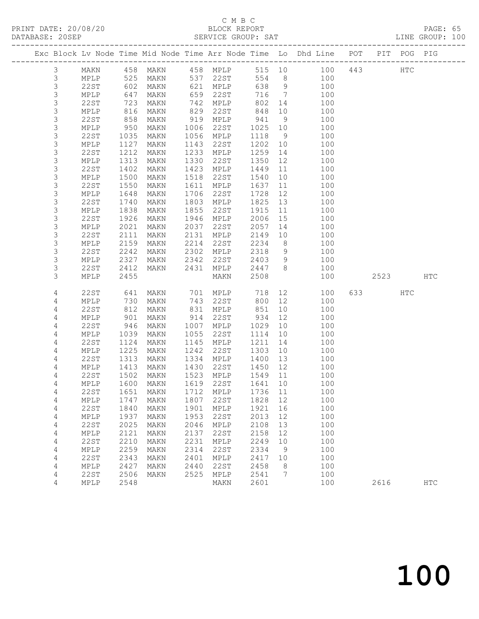### C M B C

|  | DATABASE: 20SEP |                         |                   |                        |              | SERVICE GROUP: SAT               |                  |          | LINE GROUP: 100                                                                |          |            |  |
|--|-----------------|-------------------------|-------------------|------------------------|--------------|----------------------------------|------------------|----------|--------------------------------------------------------------------------------|----------|------------|--|
|  |                 |                         |                   |                        |              |                                  |                  |          | Exc Block Lv Node Time Mid Node Time Arr Node Time Lo Dhd Line POT PIT POG PIG |          |            |  |
|  | 3               |                         |                   |                        |              |                                  |                  |          | MAKN 458 MAKN 458 MPLP 515 10 100 443 HTC                                      |          |            |  |
|  | 3               |                         | MPLP 525          |                        |              | MAKN 537 22ST                    |                  |          | 554 8 100                                                                      |          |            |  |
|  | 3               | 22ST                    | 602<br>647<br>723 | MAKN                   |              | 621 MPLP                         | 638 9            |          | 100                                                                            |          |            |  |
|  | $\mathsf S$     | MPLP                    |                   | MAKN                   |              | 659 22ST<br>742 MPLP             | 716 7            |          | 100                                                                            |          |            |  |
|  | $\mathsf S$     | 22ST                    |                   | MAKN                   |              |                                  | 802              | 14       | 100                                                                            |          |            |  |
|  | $\mathsf S$     | MPLP                    | 816               | MAKN                   |              | 829 22ST                         | 848              |          | 10<br>100                                                                      |          |            |  |
|  | 3               | 22ST                    | 858               | MAKN                   |              | 919 MPLP                         | 941              | 9        | 100                                                                            |          |            |  |
|  | $\mathsf S$     | MPLP                    | 950               | MAKN                   |              | 1006 22ST                        | 1025 10          |          | 100                                                                            |          |            |  |
|  | $\mathsf 3$     | 22ST                    | 1035              | MAKN                   |              | 1056 MPLP                        | 1118             | 9        | 100                                                                            |          |            |  |
|  | 3               | MPLP                    | 1127              | MAKN                   | 1143         | 22ST                             | 1202 10          |          | 100                                                                            |          |            |  |
|  | 3               | 22ST                    | 1212              | MAKN                   | 1233         | MPLP                             | 1259             | 14       | 100                                                                            |          |            |  |
|  | $\mathsf S$     | MPLP                    | 1313              | MAKN                   | 1330         | 22ST                             | 1350             | 12       | 100                                                                            |          |            |  |
|  | $\mathsf S$     | 22ST                    | 1402              | MAKN                   |              | 1423 MPLP                        | 1449             | 11       | 100                                                                            |          |            |  |
|  | $\mathsf 3$     | MPLP                    | 1500              | MAKN                   |              | 1518 22ST                        | 1540             |          | 10<br>100                                                                      |          |            |  |
|  | $\mathsf S$     | 22ST                    | 1550              | MAKN                   | 1611         | MPLP                             | 1637             |          | 11<br>100                                                                      |          |            |  |
|  | 3               | MPLP                    | 1648              | MAKN                   |              | 1706 22ST                        | 1728             | 12       | 100                                                                            |          |            |  |
|  | $\mathsf S$     | 22ST                    | 1740              | MAKN                   |              | 1803 MPLP                        | 1825             | 13       | 100                                                                            |          |            |  |
|  | 3               | MPLP                    | 1838              | MAKN                   | 1855         | 22ST                             | 1915             | 11       | 100                                                                            |          |            |  |
|  | 3               | 22ST                    | 1926              | MAKN                   |              | 1946 MPLP                        | 2006             | 15       | 100                                                                            |          |            |  |
|  | 3               | MPLP                    | 2021              | MAKN                   |              | 2037 22ST                        | 2057             | 14       | 100                                                                            |          |            |  |
|  | $\mathsf S$     | 22ST                    | 2111              | MAKN                   |              | 2131 MPLP                        | 2149             | 10       | 100<br>8 100                                                                   |          |            |  |
|  | 3               | MPLP                    | 2159              | MAKN                   |              | 2214 22ST                        | 2234             |          |                                                                                |          |            |  |
|  | 3               | 22ST                    | 2242              | MAKN                   |              | 2302 MPLP                        | 2318             |          | 9 100                                                                          |          |            |  |
|  | 3<br>3          | MPLP                    | 2327              |                        |              | MAKN 2342 22ST<br>MAKN 2431 MPLP | 2403 9<br>2447 8 |          | 100                                                                            |          |            |  |
|  | 3               | 22ST<br>MPLP            | 2412<br>2455      |                        |              | MAKN                             | 2508             |          | 100<br>100                                                                     | 2523 HTC |            |  |
|  |                 |                         |                   |                        |              |                                  |                  |          |                                                                                |          |            |  |
|  | 4               | 22ST                    | 641               |                        |              | MAKN 701 MPLP 718                |                  |          | 12 and $\overline{a}$<br>100                                                   | 633 HTC  |            |  |
|  | 4               | MPLP                    | 730<br>812        | MAKN                   |              | 743 22ST                         | 800 12           |          | 100                                                                            |          |            |  |
|  | 4               | 22ST                    |                   | MAKN                   |              | 831 MPLP                         | 851              |          | 10<br>100                                                                      |          |            |  |
|  | 4               | MPLP                    | 901               | MAKN                   |              | 914 22ST                         | 934              | 12       | 100                                                                            |          |            |  |
|  | 4               | 22ST                    | 946               | MAKN                   |              | 1007 MPLP                        | 1029             | 10       | 100                                                                            |          |            |  |
|  | 4               | MPLP                    | 1039              | MAKN                   |              | 1055 22ST                        | 1114             | 10       | 100                                                                            |          |            |  |
|  | 4               | 22ST                    | 1124              | MAKN                   |              | 1145 MPLP                        | 1211             | 14       | 100                                                                            |          |            |  |
|  | 4               | MPLP                    | 1225              | MAKN                   | 1242         | 22ST                             | 1303             | 10       | 100                                                                            |          |            |  |
|  | 4               | 22ST                    | 1313              | MAKN                   |              | 1334 MPLP                        | 1400             | 13       | 100                                                                            |          |            |  |
|  | 4               | MPLP                    |                   | 1413 MAKN<br>1502 MAKN |              | 1430 22ST                        | 1450 12          |          | 100                                                                            |          |            |  |
|  | 4               | 22ST                    |                   |                        |              | 1523 MPLP                        | 1549 11          |          | 100                                                                            |          |            |  |
|  | 4               |                         |                   |                        |              |                                  |                  |          | MPLP 1600 MAKN 1619 22ST 1641 10 100                                           |          |            |  |
|  | 4               | 22ST                    | 1651              | MAKN                   | 1712         | MPLP                             | 1736             | 11       | 100                                                                            |          |            |  |
|  | 4               | MPLP                    | 1747              | MAKN                   | 1807<br>1901 | 22ST                             | 1828             | 12       | 100                                                                            |          |            |  |
|  | 4               | 22ST                    | 1840              | MAKN                   | 1953         | MPLP                             | 1921             | 16       | 100                                                                            |          |            |  |
|  | 4               | MPLP                    | 1937              | MAKN                   |              | 22ST                             | 2013             | 12       | 100                                                                            |          |            |  |
|  | 4<br>4          | 22ST<br>$\texttt{MPLP}$ | 2025<br>2121      | MAKN<br>MAKN           | 2046<br>2137 | MPLP<br>22ST                     | 2108<br>2158     | 13<br>12 | 100<br>100                                                                     |          |            |  |
|  | 4               | <b>22ST</b>             | 2210              | MAKN                   | 2231         | MPLP                             | 2249             | 10       | 100                                                                            |          |            |  |
|  | 4               | MPLP                    | 2259              | MAKN                   | 2314         | 22ST                             | 2334             | 9        | 100                                                                            |          |            |  |
|  | 4               | 22ST                    | 2343              | MAKN                   | 2401         | MPLP                             | 2417             | 10       | 100                                                                            |          |            |  |
|  | 4               | MPLP                    | 2427              | MAKN                   | 2440         | 22ST                             | 2458             | 8        | 100                                                                            |          |            |  |
|  | 4               | 22ST                    | 2506              | MAKN                   | 2525         | MPLP                             | 2541             | 7        | 100                                                                            |          |            |  |
|  | 4               | MPLP                    | 2548              |                        |              | MAKN                             | 2601             |          | 100                                                                            | 2616     | <b>HTC</b> |  |
|  |                 |                         |                   |                        |              |                                  |                  |          |                                                                                |          |            |  |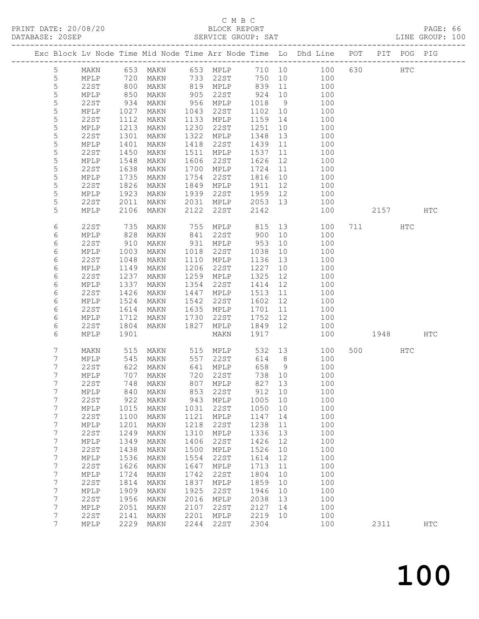### C M B C<br>BLOCK REPORT

| DATABASE: 20SEP     |              |                   |                                |            | SERVICE GROUP: SAT   |              |          |                                                                                |          |     | LINE GROUP: 100 |
|---------------------|--------------|-------------------|--------------------------------|------------|----------------------|--------------|----------|--------------------------------------------------------------------------------|----------|-----|-----------------|
|                     |              |                   |                                |            |                      |              |          | Exc Block Lv Node Time Mid Node Time Arr Node Time Lo Dhd Line POT PIT POG PIG |          |     |                 |
| 5                   |              |                   |                                |            |                      |              |          | MAKN 653 MAKN 653 MPLP 710 10 100 630 HTC                                      |          |     |                 |
| 5                   | MPLP 720     |                   |                                |            | MAKN 733 22ST        |              |          | 750 10 100                                                                     |          |     |                 |
| 5                   | 22ST         | 800<br>850<br>934 | MAKN                           |            | 819 MPLP 839         |              |          | 11 100                                                                         |          |     |                 |
| $\mathsf S$         | MPLP         |                   | MAKN                           |            |                      |              |          | 100                                                                            |          |     |                 |
| 5                   | 22ST         |                   | MAKN                           |            |                      |              |          | $\frac{1}{100}$                                                                |          |     |                 |
| 5                   | MPLP         | 1027              | MAKN                           |            | 1043 22ST            | 1102         | 10       | 100                                                                            |          |     |                 |
| 5                   | 22ST         | 1112              | MAKN                           |            | 1133 MPLP            | 1159         | 14       | 100                                                                            |          |     |                 |
| $\mathsf S$         | MPLP         | 1213              | MAKN                           |            | 1230 22ST            | 1251         | 10       | 100                                                                            |          |     |                 |
| 5                   | 22ST         | 1301              | MAKN                           |            | 1322 MPLP            | 1348         | 13       | 100                                                                            |          |     |                 |
| 5                   | MPLP         | 1401              | MAKN                           | 1418       | 22ST                 | 1439         | 11       | 100                                                                            |          |     |                 |
| 5                   | 22ST         | 1450              | MAKN                           | 1511       | MPLP                 | 1537         | 11       | 100                                                                            |          |     |                 |
| 5                   | MPLP         | 1548              | MAKN                           | 1606       | 22ST                 | 1626         | 12       | 100                                                                            |          |     |                 |
| 5                   | 22ST         | 1638              | MAKN                           |            | 1700 MPLP            | 1724         | 11       | 100                                                                            |          |     |                 |
| 5                   | MPLP         | 1735              | MAKN                           |            | 1754 22ST            | 1816         |          | 10<br>100                                                                      |          |     |                 |
| 5                   | 22ST         | 1826              | MAKN                           |            | 1849 MPLP            | 1911         |          | 12 and $\overline{a}$<br>100                                                   |          |     |                 |
| 5                   | MPLP         | 1923              | MAKN                           |            | 1939 22ST            | 1959 12      |          | 100                                                                            |          |     |                 |
| 5                   | 22ST         | 2011<br>2106      | MAKN                           |            | 2031 MPLP<br>22ST    | 2053 13      |          | 100                                                                            |          |     |                 |
| 5                   | MPLP         |                   | MAKN                           | 2122       |                      | 2142         |          | 100                                                                            | 2157 HTC |     |                 |
| 6                   | 22ST         | $\frac{735}{1}$   | MAKN                           |            |                      |              |          |                                                                                | 711 HTC  |     |                 |
| 6                   | MPLP         | 828               | MAKN                           |            |                      |              |          |                                                                                |          |     |                 |
| 6                   | 22ST         | 910               | MAKN                           |            | 931 MPLP             | 953          | 10       | 100                                                                            |          |     |                 |
| 6                   | MPLP         | 1003              | MAKN                           |            | 1018 22ST            | 1038         | 10       | 100                                                                            |          |     |                 |
| 6                   | 22ST         | 1048              | MAKN                           |            | 1110 MPLP            | 1136         | 13       | 100                                                                            |          |     |                 |
| 6                   | MPLP         | 1149              | MAKN                           |            | 1206 22ST            | 1227         | 10       | 100                                                                            |          |     |                 |
| 6                   | 22ST         | 1237              | MAKN                           |            | 1259 MPLP            | 1325         | 12       | 100                                                                            |          |     |                 |
| 6                   | MPLP         | 1337              | MAKN                           | 1354       | 22ST                 | 1414         | 12       | 100                                                                            |          |     |                 |
| 6                   | 22ST         | 1426              | MAKN                           | 1447       | MPLP                 | 1513         | 11       | 100                                                                            |          |     |                 |
| 6                   | MPLP         | 1524              | MAKN                           |            | 1542 22ST            | 1602 12      |          | 100                                                                            |          |     |                 |
| 6                   | 22ST         | 1614              | MAKN                           |            | 1635 MPLP            | 1701         |          | 11<br>100                                                                      |          |     |                 |
| 6                   | MPLP         | 1712              | MAKN                           | 1730       | 22ST                 | 1752 12      |          | 100                                                                            |          |     |                 |
| 6                   | 22ST         | 1804              | MAKN                           | 1827       | MPLP                 | 1849 12      |          | 100                                                                            |          |     |                 |
| 6                   | MPLP         | 1901              |                                |            | MAKN                 | 1917         |          | 100                                                                            | 1948 HTC |     |                 |
| 7                   | MAKN         | 515               |                                |            | MAKN 515 MPLP        |              |          | 532 13<br>100                                                                  | 500 000  | HTC |                 |
| 7                   | MPLP         | 545               | MAKN                           |            | 557 22ST             |              | 614 8    | 100                                                                            |          |     |                 |
| 7                   | 22ST         | 622<br>707        | MAKN                           |            | 641 MPLP<br>720 22ST | 658 9        |          | 100                                                                            |          |     |                 |
| 7                   | MPLP         |                   | MAKN                           |            |                      | 738 10       |          | 100                                                                            |          |     |                 |
| 7                   | 22ST         |                   |                                |            |                      |              |          | 748 MAKN 807 MPLP 827 13 100                                                   |          |     |                 |
| 7                   | MPLP<br>22ST | 840<br>922        | MAKN                           | 853<br>943 | 22ST                 | 912          | 10<br>10 | 100<br>100                                                                     |          |     |                 |
| 7<br>$\overline{7}$ | MPLP         | 1015              | MAKN<br>MAKN                   | 1031       | MPLP<br>22ST         | 1005<br>1050 | 10       | 100                                                                            |          |     |                 |
| 7                   | 22ST         | 1100              | MAKN                           | 1121       | MPLP                 | 1147         | 14       | 100                                                                            |          |     |                 |
| 7                   | MPLP         | 1201              | MAKN                           | 1218       | 22ST                 | 1238         | 11       | 100                                                                            |          |     |                 |
| $\overline{7}$      | 22ST         | 1249              | MAKN                           | 1310       | MPLP                 | 1336         | 13       | 100                                                                            |          |     |                 |
| $\overline{7}$      | MPLP         | 1349              | MAKN                           | 1406       | 22ST                 | 1426         | 12       | 100                                                                            |          |     |                 |
| 7                   | 22ST         | 1438              | MAKN                           | 1500       | MPLP                 | 1526         | 10       | 100                                                                            |          |     |                 |
| 7                   | MPLP         | 1536              | MAKN                           | 1554       | 22ST                 | 1614         | 12       | 100                                                                            |          |     |                 |
| 7                   | <b>22ST</b>  | 1626              | MAKN                           | 1647       | MPLP                 | 1713         | 11       | 100                                                                            |          |     |                 |
| $\overline{7}$      | MPLP         | 1724              | MAKN                           | 1742       | 22ST                 | 1804         | 10       | 100                                                                            |          |     |                 |
| 7                   | 22ST         | 1814              | $\operatorname{\mathsf{MAXN}}$ | 1837       | MPLP                 | 1859         | 10       | 100                                                                            |          |     |                 |
| $\overline{7}$      | MPLP         | 1909              | MAKN                           | 1925       | 22ST                 | 1946         | 10       | 100                                                                            |          |     |                 |
| 7                   | 22ST         | 1956              | MAKN                           | 2016       | MPLP                 | 2038         | 13       | 100                                                                            |          |     |                 |
| 7                   | MPLP         | 2051              | MAKN                           | 2107       | 22ST                 | 2127         | 14       | 100                                                                            |          |     |                 |
| 7                   | 22ST         | 2141              | MAKN                           | 2201       | MPLP                 | 2219         | 10       | 100                                                                            |          |     |                 |
| $7\overline{ }$     | MPLP         | 2229              | MAKN                           | 2244       | 22ST                 | 2304         |          | 100                                                                            | 2311     |     | <b>HTC</b>      |
|                     |              |                   |                                |            |                      |              |          |                                                                                |          |     |                 |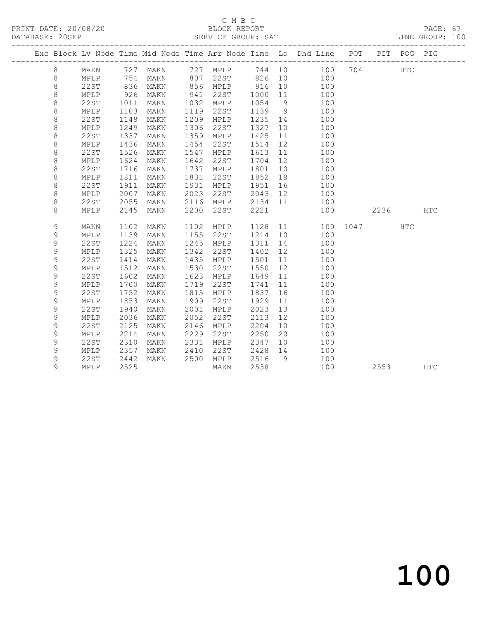### C M B C<br>BLOCK REPORT

PAGE: 67<br>LINE GROUP: 100

|             |                 |      |                   |      |          |         |    | Exc Block Lv Node Time Mid Node Time Arr Node Time Lo Dhd Line POT | PIT      | POG PIG    |            |
|-------------|-----------------|------|-------------------|------|----------|---------|----|--------------------------------------------------------------------|----------|------------|------------|
| $8\,$       | MAKN            |      | 727 MAKN 727 MPLP |      |          |         |    | 744 10 100                                                         | 704      | <b>HTC</b> |            |
| 8           | MPLP            | 754  | MAKN              |      |          |         |    | 807 22ST 826 10 100                                                |          |            |            |
| $\,8\,$     | 22ST            | 836  | MAKN              |      | 856 MPLP | 916     | 10 | 100                                                                |          |            |            |
| $\,8\,$     | MPLP            | 926  | MAKN              | 941  | 22ST     | 1000 11 |    | 100                                                                |          |            |            |
| $\,8\,$     | 22ST            | 1011 | MAKN              | 1032 | MPLP     | 1054 9  |    | 100                                                                |          |            |            |
| $\,8\,$     | MPLP            | 1103 | MAKN              | 1119 | 22ST     | 1139 9  |    | 100                                                                |          |            |            |
| $\,8\,$     | 22ST            | 1148 | MAKN              | 1209 | MPLP     | 1235 14 |    | 100                                                                |          |            |            |
| $\,8\,$     | MPLP            | 1249 | MAKN              | 1306 | 22ST     | 1327    | 10 | 100                                                                |          |            |            |
| $\,8\,$     | 22ST            | 1337 | MAKN              | 1359 | MPLP     | 1425    | 11 | 100                                                                |          |            |            |
| $\,8\,$     | $\texttt{MPLP}$ | 1436 | MAKN              | 1454 | 22ST     | 1514    | 12 | 100                                                                |          |            |            |
| $\,8\,$     | 22ST            | 1526 | MAKN              | 1547 | MPLP     | 1613    | 11 | 100                                                                |          |            |            |
| $\,8\,$     | MPLP            | 1624 | MAKN              | 1642 | 22ST     | 1704    | 12 | 100                                                                |          |            |            |
| $\,8\,$     | 22ST            | 1716 | MAKN              | 1737 | MPLP     | 1801    | 10 | 100                                                                |          |            |            |
| 8           | MPLP            | 1811 | MAKN              | 1831 | 22ST     | 1852    | 19 | 100                                                                |          |            |            |
| 8           | 22ST            | 1911 | MAKN              | 1931 | MPLP     | 1951    | 16 | 100                                                                |          |            |            |
| 8           | MPLP            | 2007 | MAKN              | 2023 | 22ST     | 2043 12 |    | 100                                                                |          |            |            |
| $\,8\,$     | 22ST            | 2055 | MAKN              | 2116 | MPLP     |         |    | 2134 11 100                                                        |          |            |            |
| 8           | MPLP            | 2145 | MAKN              | 2200 | 22ST     | 2221    |    | 100                                                                | 2236     |            | <b>HTC</b> |
| 9           | MAKN            | 1102 | MAKN              | 1102 | MPLP     |         |    | 1128 11                                                            | 100 1047 | HTC        |            |
| 9           | MPLP            | 1139 | MAKN              | 1155 | 22ST     | 1214 10 |    | 100                                                                |          |            |            |
| 9           | 22ST            | 1224 | MAKN              | 1245 | MPLP     | 1311    | 14 | 100                                                                |          |            |            |
| 9           | MPLP            | 1325 | MAKN              | 1342 | 22ST     | 1402    | 12 | 100                                                                |          |            |            |
| $\mathsf 9$ | <b>22ST</b>     | 1414 | MAKN              | 1435 | MPLP     | 1501    | 11 | 100                                                                |          |            |            |
| 9           | MPLP            | 1512 | MAKN              | 1530 | 22ST     | 1550    | 12 | 100                                                                |          |            |            |
| 9           | 22ST            | 1602 | MAKN              | 1623 | MPLP     | 1649    | 11 | 100                                                                |          |            |            |
| $\mathsf 9$ | MPLP            | 1700 | MAKN              | 1719 | 22ST     | 1741    | 11 | 100                                                                |          |            |            |
| $\mathsf 9$ | 22ST            | 1752 | MAKN              | 1815 | MPLP     | 1837    | 16 | 100                                                                |          |            |            |
| 9           | MPLP            | 1853 | MAKN              | 1909 | 22ST     | 1929    | 11 | 100                                                                |          |            |            |
| 9           | 22ST            | 1940 | MAKN              | 2001 | MPLP     | 2023    | 13 | 100                                                                |          |            |            |
| 9           | MPLP            | 2036 | MAKN              | 2052 | 22ST     | 2113    | 12 | 100                                                                |          |            |            |
| 9           | 22ST            | 2125 | MAKN              | 2146 | MPLP     | 2204    | 10 | 100                                                                |          |            |            |
| 9           | MPLP            | 2214 | MAKN              | 2229 | 22ST     | 2250    | 20 | 100                                                                |          |            |            |
| 9           | <b>22ST</b>     | 2310 | MAKN              | 2331 | MPLP     | 2347    | 10 | 100                                                                |          |            |            |
| 9           | MPLP            | 2357 | MAKN              | 2410 | 22ST     | 2428 14 |    | 100                                                                |          |            |            |
| 9           | 22ST            | 2442 | MAKN              | 2500 | MPLP     | 2516    | 9  | 100                                                                |          |            |            |
| 9           | MPLP            | 2525 |                   |      | MAKN     | 2538    |    | 100                                                                | 2553     |            | <b>HTC</b> |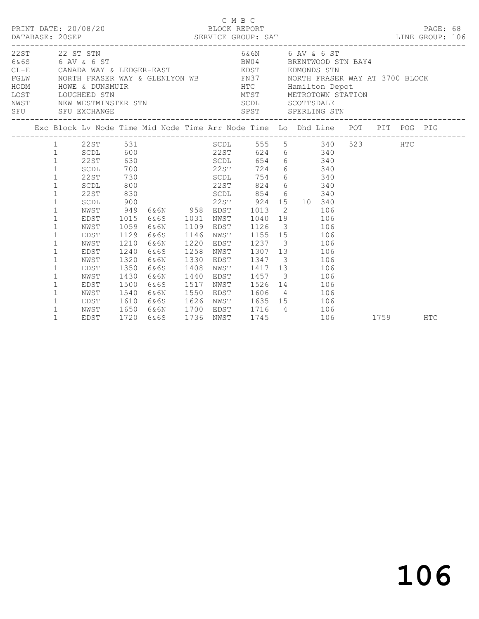|                                    |                                                                                                                                                                                                                                                                                                                                           |                                                                                                                                                              |                                                                                                                                                      |                                                                                                                                                                                      |                                                                                      |                                                                                      | C M B C<br>BLOCK REPORT                                                                                                              |                                                                                                                                                                                                           |                   |         |            |  |
|------------------------------------|-------------------------------------------------------------------------------------------------------------------------------------------------------------------------------------------------------------------------------------------------------------------------------------------------------------------------------------------|--------------------------------------------------------------------------------------------------------------------------------------------------------------|------------------------------------------------------------------------------------------------------------------------------------------------------|--------------------------------------------------------------------------------------------------------------------------------------------------------------------------------------|--------------------------------------------------------------------------------------|--------------------------------------------------------------------------------------|--------------------------------------------------------------------------------------------------------------------------------------|-----------------------------------------------------------------------------------------------------------------------------------------------------------------------------------------------------------|-------------------|---------|------------|--|
| 22ST 22 ST STN<br>SFU SFU EXCHANGE |                                                                                                                                                                                                                                                                                                                                           |                                                                                                                                                              |                                                                                                                                                      |                                                                                                                                                                                      |                                                                                      |                                                                                      | 6&6N 6 AV & 6 ST<br>SPST SPERLING STN                                                                                                |                                                                                                                                                                                                           |                   |         |            |  |
|                                    |                                                                                                                                                                                                                                                                                                                                           |                                                                                                                                                              |                                                                                                                                                      | Exc Block Lv Node Time Mid Node Time Arr Node Time Lo Dhd Line POT PIT POG PIG                                                                                                       |                                                                                      |                                                                                      |                                                                                                                                      |                                                                                                                                                                                                           |                   |         |            |  |
|                                    | $\mathbf{1}$<br>$\mathbf{1}$<br>$\mathbf{1}$<br>$\mathbf{1}$<br>$\mathbf{1}$<br>$\mathbf{1}$<br>$\mathbf{1}$<br>$\mathbf{1}$<br>$\mathbf{1}$<br>$\mathbf{1}$<br>$\mathbf{1}$<br>$\mathbf{1}$<br>$\mathbf{1}$<br>$\mathbf{1}$<br>$\mathbf{1}$<br>$\mathbf{1}$<br>$\mathbf{1}$<br>$\mathbf{1}$<br>$\mathbf 1$<br>$\mathbf 1$<br>$\mathbf 1$ | SCDL<br>22ST<br>SCDL<br>22ST<br>SCDL<br>22ST<br>SCDL<br>NWST<br>EDST<br>NWST<br>EDST<br>NWST<br>EDST<br>NWST<br>EDST<br>NWST<br>EDST<br>NWST<br>EDST<br>NWST | 600<br>630<br>700<br>730<br>800<br>830<br>900<br>949<br>1015<br>1059<br>1129<br>1210<br>1240<br>1320<br>1350<br>1430<br>1500<br>1540<br>1610<br>1650 | 22ST 531<br>22ST<br><b>SCDL</b><br>22ST<br><b>SCDL</b><br>22ST<br>6&6N 958 EDST<br>6&6S 1031<br>6&6N<br>6&6S<br>6&6N<br>6&6S<br>6&6N<br>6&6S<br>6&6N<br>6&6S<br>6&6N<br>6&6S<br>6&6N | 1109<br>1146<br>1220<br>1258<br>1330<br>1408<br>1440<br>1517<br>1550<br>1626<br>1700 | NWST<br>EDST<br>NWST<br>EDST<br>NWST<br>EDST<br>NWST<br>EDST<br>NWST<br>EDST<br>NWST | SCDL 555 5 340<br>654<br>724<br>754<br>824<br>SCDL 854 6 340<br>22ST 924<br>1013<br>1126<br>1606 4 106<br>1635 15 106<br>EDST 1716 4 | 624 6 340<br>6 340<br>6 340<br>6 340<br>6 340<br>15 10 340<br>$\overline{2}$<br>1040 19<br>3 106<br>1155 15 106<br>1237 3 106<br>1307 13 106<br>1347 3 106<br>1417 13<br>1457 3 106<br>1526 14 106<br>106 | 106<br>106<br>106 | 523 HTC |            |  |
|                                    | $\mathbf{1}$                                                                                                                                                                                                                                                                                                                              | EDST                                                                                                                                                         | 1720                                                                                                                                                 | 6&6S                                                                                                                                                                                 | 1736                                                                                 | NWST                                                                                 | 1745                                                                                                                                 |                                                                                                                                                                                                           | 106               | 1759    | <b>HTC</b> |  |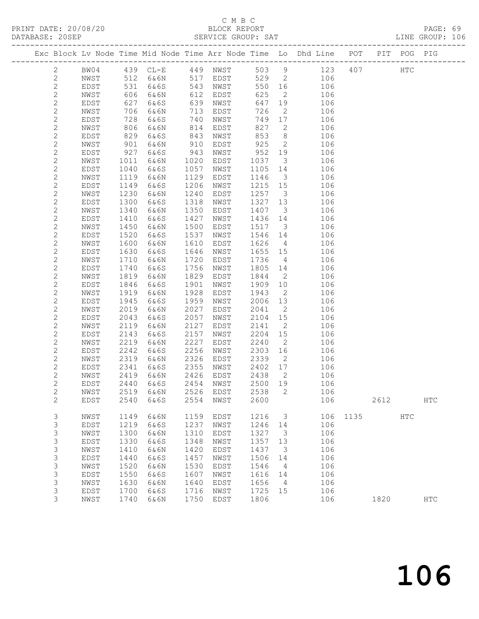### C M B C

|                |              |      |      |      |                                                                    |         |                          |                                                                                |             |  | PAGE: 69<br>LINE GROUP: 106 |  |
|----------------|--------------|------|------|------|--------------------------------------------------------------------|---------|--------------------------|--------------------------------------------------------------------------------|-------------|--|-----------------------------|--|
|                |              |      |      |      |                                                                    |         |                          | Exc Block Lv Node Time Mid Node Time Arr Node Time Lo Dhd Line POT PIT POG PIG |             |  |                             |  |
| $\mathbf{2}$   |              |      |      |      | BW04 439 CL-E 449 NWST 503                                         |         |                          | $9 \left( \frac{1}{2} \right)$                                                 | 123 407 HTC |  |                             |  |
| $\mathbf{2}$   | NWST<br>EDST | 512  |      |      |                                                                    |         |                          | 106                                                                            |             |  |                             |  |
| $\mathbf{2}$   | EDST         | 531  |      |      | 6&6N 517 EDST 529 2<br>6&6S 543 NWST 550 16<br>6&6N 612 EDST 625 2 |         |                          | 106                                                                            |             |  |                             |  |
| $\mathbf{2}$   | NWST         | 606  |      |      |                                                                    |         |                          | $\overline{2}$<br>106                                                          |             |  |                             |  |
| $\mathbf{2}$   | EDST         | 627  | 6&6S |      | 639 NWST                                                           | 647 19  |                          | 106                                                                            |             |  |                             |  |
| $\mathbf{2}$   | NWST         | 706  | 6&6N | 713  | EDST                                                               | 726     |                          | 106<br>$\overline{2}$                                                          |             |  |                             |  |
| $\overline{c}$ | EDST         | 728  | 6&6S |      | 740 NWST                                                           | 749 17  |                          | 106                                                                            |             |  |                             |  |
| $\overline{2}$ | NWST         | 806  | 6&6N |      | 814 EDST                                                           | 827     | $\overline{2}$           | 106                                                                            |             |  |                             |  |
| $\overline{c}$ | EDST         | 829  | 6&6S | 843  | NWST                                                               | 853 8   |                          | 106                                                                            |             |  |                             |  |
| $\overline{2}$ | NWST         | 901  | 6&6N | 910  | EDST                                                               | 925     | $\overline{2}$           | 106                                                                            |             |  |                             |  |
| $\overline{c}$ | EDST         | 927  | 6&6S | 943  | NWST                                                               | 952 19  |                          | 106                                                                            |             |  |                             |  |
| $\overline{2}$ | NWST         | 1011 | 6&6N | 1020 | EDST                                                               | 1037    |                          | $\overline{\mathbf{3}}$<br>106                                                 |             |  |                             |  |
| $\overline{c}$ | EDST         | 1040 | 6&6S | 1057 | NWST                                                               | 1105 14 |                          | 106                                                                            |             |  |                             |  |
| $\mathbf{2}$   | NWST         | 1119 | 6&6N | 1129 | EDST                                                               | 1146    | $\overline{\mathbf{3}}$  | 106                                                                            |             |  |                             |  |
| $\overline{c}$ | EDST         | 1149 | 6&6S | 1206 | NWST                                                               | 1215 15 |                          | 106                                                                            |             |  |                             |  |
| $\overline{2}$ | NWST         | 1230 | 6&6N | 1240 | EDST                                                               | 1257    | 3 <sup>1</sup>           | 106                                                                            |             |  |                             |  |
| $\overline{c}$ | EDST         | 1300 | 6&6S | 1318 | NWST                                                               | 1327 13 |                          | 106                                                                            |             |  |                             |  |
| $\overline{2}$ | NWST         | 1340 | 6&6N | 1350 | EDST                                                               | 1407    | $\overline{\mathbf{3}}$  | 106                                                                            |             |  |                             |  |
| $\overline{c}$ | EDST         | 1410 | 6&6S | 1427 | NWST                                                               | 1436 14 |                          | 106                                                                            |             |  |                             |  |
| $\overline{c}$ | NWST         | 1450 | 6&6N | 1500 | EDST                                                               | 1517    |                          | $\overline{\mathbf{3}}$<br>106                                                 |             |  |                             |  |
| $\sqrt{2}$     | EDST         | 1520 | 6&6S | 1537 | NWST                                                               | 1546 14 |                          | 106                                                                            |             |  |                             |  |
| $\overline{c}$ | NWST         | 1600 | 6&6N | 1610 | EDST                                                               | 1626    | $4\overline{4}$          | 106                                                                            |             |  |                             |  |
| $\sqrt{2}$     | EDST         | 1630 | 6&6S | 1646 | NWST                                                               | 1655 15 |                          | 106                                                                            |             |  |                             |  |
| $\overline{c}$ | NWST         | 1710 | 6&6N | 1720 | EDST                                                               | 1736    |                          | $4\overline{ }$<br>106                                                         |             |  |                             |  |
| $\overline{c}$ | EDST         | 1740 | 6&6S | 1756 | NWST                                                               | 1805 14 |                          | 106                                                                            |             |  |                             |  |
| $\overline{2}$ | NWST         | 1819 | 6&6N | 1829 | EDST                                                               | 1844    | $\overline{2}$           | 106                                                                            |             |  |                             |  |
| $\overline{2}$ | EDST         | 1846 | 6&6S | 1901 | NWST                                                               | 1909 10 |                          | 106                                                                            |             |  |                             |  |
| $\overline{2}$ | NWST         | 1919 | 6&6N | 1928 | EDST                                                               | 1943    | $\overline{2}$           | 106                                                                            |             |  |                             |  |
| $\overline{2}$ | EDST         | 1945 | 6&6S | 1959 | NWST                                                               | 2006 13 |                          | 106                                                                            |             |  |                             |  |
| $\overline{c}$ | NWST         | 2019 | 6&6N | 2027 | EDST                                                               | 2041    | $\overline{\phantom{a}}$ | 106                                                                            |             |  |                             |  |
| $\sqrt{2}$     | EDST         | 2043 | 6&6S | 2057 | NWST                                                               | 2104    | 15                       | 106                                                                            |             |  |                             |  |
| $\overline{c}$ | NWST         | 2119 | 6&6N | 2127 | EDST                                                               | 2141    | $\overline{2}$           | 106                                                                            |             |  |                             |  |
| $\overline{c}$ | EDST         | 2143 | 6&6S | 2157 | NWST                                                               | 2204 15 |                          | 106                                                                            |             |  |                             |  |
| $\overline{c}$ | NWST         | 2219 | 6&6N | 2227 | EDST                                                               | 2240    | $\overline{2}$           | 106                                                                            |             |  |                             |  |
| $\overline{2}$ | EDST         | 2242 | 6&6S | 2256 | NWST                                                               | 2303    | 16                       | 106                                                                            |             |  |                             |  |
| $\overline{2}$ | NWST         | 2319 | 6&6N | 2326 | EDST                                                               | 2339    | $\overline{2}$           | 106                                                                            |             |  |                             |  |
| $\overline{2}$ | EDST         | 2341 | 6&6S | 2355 | NWST                                                               | 2402 17 |                          | 106                                                                            |             |  |                             |  |
| $\overline{2}$ | NWST         | 2419 | 6&6N | 2426 | EDST                                                               | 2438    | 2                        | 106                                                                            |             |  |                             |  |

2 EDST 2540 6&6S 2554 NWST 2600 106 2612 HTC

1740 6&6N 1750 EDST 1806 106 1820 HTC

3 NWST 1149 6&6N 1159 EDST 1216 3 106 1135 HTC

 2 NWST 2419 6&6N 2426 EDST 2438 2 106 2 EDST 2440 6&6S 2454 NWST 2500 19 106

3 NWST 1520 6&6N 1530 EDST 1546 4 106

3 EDST 1700 6&6S 1716 NWST 1725 15 106

2 NWST 2519 6&6N 2526 EDST 2538 2 106

 3 EDST 1219 6&6S 1237 NWST 1246 14 106 3 NWST 1300 6&6N 1310 EDST 1327 3 106 3 EDST 1330 6&6S 1348 NWST 1357 13 106 3 NWST 1410 6&6N 1420 EDST 1437 3 106 3 EDST 1440 6&6S 1457 NWST 1506 14 106

 3 EDST 1550 6&6S 1607 NWST 1616 14 106 3 NWST 1630 6&6N 1640 EDST 1656 4 106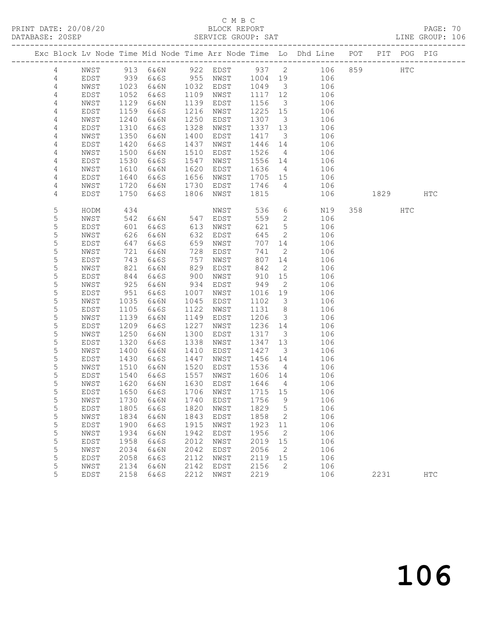### C M B C<br>BLOCK REPORT

|  | DATABASE: 20SEP |              |              |               |      | SERVICE GROUP: SAT              |         |                          |                                                                                |         |     | LINE GROUP: 106 |  |
|--|-----------------|--------------|--------------|---------------|------|---------------------------------|---------|--------------------------|--------------------------------------------------------------------------------|---------|-----|-----------------|--|
|  |                 |              |              |               |      |                                 |         |                          | Exc Block Lv Node Time Mid Node Time Arr Node Time Lo Dhd Line POT PIT POG PIG |         |     |                 |  |
|  | 4               |              |              |               |      |                                 |         |                          | NWST 913 6&6N 922 EDST 937 2 106 859 HTC                                       |         |     |                 |  |
|  | 4               | EDST         | 939          |               |      |                                 |         |                          | 6&6S 955 NWST 1004 19 106                                                      |         |     |                 |  |
|  | 4               | NWST         |              |               |      | 6&6N 1032 EDST                  | 1049 3  |                          | 106                                                                            |         |     |                 |  |
|  | $\overline{4}$  | EDST         | 1023<br>1052 | 6&6S          |      | 1109 NWST                       | 1117 12 |                          | 106                                                                            |         |     |                 |  |
|  | 4               | NWST         | 1129         | 6&6N          | 1139 | EDST                            | 1156    | $\overline{\mathbf{3}}$  | 106                                                                            |         |     |                 |  |
|  | 4               | EDST         | 1159         | 6&6S          | 1216 | NWST                            | 1225 15 |                          | 106                                                                            |         |     |                 |  |
|  | 4               | NWST         | 1240         | 6&6N          | 1250 | EDST                            | 1307    | $\overline{\mathbf{3}}$  | 106                                                                            |         |     |                 |  |
|  | 4               | EDST         | 1310         | 6&6S          | 1328 | NWST                            | 1337 13 |                          | 106                                                                            |         |     |                 |  |
|  | 4               | NWST         | 1350         | 6&6N          | 1400 | EDST                            | 1417 3  |                          | 106                                                                            |         |     |                 |  |
|  | 4               | EDST         | 1420         | 6&6S          | 1437 | NWST                            | 1446 14 |                          | 106                                                                            |         |     |                 |  |
|  | 4               | NWST         | 1500         | 6&6N          | 1510 | EDST                            | 1526    | $\overline{4}$           | 106                                                                            |         |     |                 |  |
|  | 4               | EDST         | 1530         | 6&6S          | 1547 | NWST                            | 1556 14 |                          | 106                                                                            |         |     |                 |  |
|  |                 |              | 1610         |               | 1620 |                                 | 1636    | $4\overline{4}$          | 106                                                                            |         |     |                 |  |
|  | 4               | NWST         |              | 6&6N          |      | EDST                            |         |                          | 1705 15                                                                        |         |     |                 |  |
|  | 4               | EDST         | 1640         | 6&6S          | 1656 | NWST                            |         |                          | 106                                                                            |         |     |                 |  |
|  | 4               | NWST         | 1720         | 6&6N          | 1730 | EDST                            | 1746    |                          | $4\overline{ }$<br>106                                                         |         |     |                 |  |
|  | 4               | EDST         | 1750         | 6&6S          | 1806 | NWST                            | 1815    |                          | 106                                                                            | 1829    |     | HTC             |  |
|  | 5               | HODM         | 434          |               |      | NWST                            | 536     |                          | $6\overline{6}$<br>N19                                                         | 358 358 | HTC |                 |  |
|  | 5               | NWST         | 542          | 6&6N 547 EDST |      |                                 | 559     | $\overline{2}$           | 106                                                                            |         |     |                 |  |
|  | 5               | EDST         | 601          | 6&6S          | 613  | NWST                            | 621     | 5 <sup>5</sup>           | 106                                                                            |         |     |                 |  |
|  | 5               | NWST         | 626          | 6&6N          | 632  | EDST                            | 645     | 2                        | 106                                                                            |         |     |                 |  |
|  | 5               | EDST         | 647          | 6&6S          | 659  | NWST                            | 707     | 14                       | 106                                                                            |         |     |                 |  |
|  | 5               | NWST         | 721          | 6&6N          | 728  | EDST                            | 741     | $\overline{2}$           | 106                                                                            |         |     |                 |  |
|  | 5               | EDST         |              | 6&6S          | 757  | NWST                            | 807     | 14                       | 106                                                                            |         |     |                 |  |
|  | 5               | NWST         | 743<br>821   | 6&6N          | 829  | EDST                            | 842     | $\overline{2}$           | 106                                                                            |         |     |                 |  |
|  | 5               | EDST         | 844          | 6&6S          | 900  | NWST                            | 910     | 15                       | 106                                                                            |         |     |                 |  |
|  | 5               | NWST         | 925          | 6&6N          | 934  | EDST                            | 949     | $\overline{2}$           | 106                                                                            |         |     |                 |  |
|  | 5               | EDST         | 951          | 6&6S          | 1007 | NWST                            | 1016    | 19                       | 106                                                                            |         |     |                 |  |
|  | 5               | NWST         | 1035         | 6&6N          | 1045 | EDST                            | 1102    | $\overline{\mathbf{3}}$  | 106                                                                            |         |     |                 |  |
|  | 5               | EDST         | 1105         | 6&6S          | 1122 | NWST                            | 1131 8  |                          | 106                                                                            |         |     |                 |  |
|  | 5               | NWST         | 1139         | 6&6N          | 1149 | EDST                            | 1206    | $\overline{\mathbf{3}}$  | 106                                                                            |         |     |                 |  |
|  | 5               | EDST         | 1209         | 6&6S          | 1227 | NWST                            | 1236 14 |                          | 106                                                                            |         |     |                 |  |
|  | 5               | NWST         | 1250         | 6&6N          | 1300 | EDST                            | 1317 3  |                          | 106                                                                            |         |     |                 |  |
|  | 5               | EDST         | 1320         | 6&6S          | 1338 | NWST                            | 1347    | 13                       | 106                                                                            |         |     |                 |  |
|  | 5               | NWST         | 1400         | 6&6N          | 1410 | EDST                            | 1427    | $\overline{\mathbf{3}}$  | 106                                                                            |         |     |                 |  |
|  | 5               |              |              |               |      |                                 |         |                          |                                                                                |         |     |                 |  |
|  | 5               | EDST<br>NWST | 1430<br>1510 | 6&6S          | 1447 | NWST<br>1520 EDST               | 1456 14 | $4\overline{4}$          | 106<br>106                                                                     |         |     |                 |  |
|  |                 |              | 1540         | 6&6N          |      |                                 | 1536    |                          |                                                                                |         |     |                 |  |
|  | 5               | EDST         |              | 6&6S          |      | 1557 NWST                       | 1606 14 |                          | 106                                                                            |         |     |                 |  |
|  | 5               |              |              |               |      | NWST 1620 6&6N 1630 EDST 1646 4 |         |                          | 106                                                                            |         |     |                 |  |
|  | 5               | EDST         | 1650         | 6&6S          | 1706 | NWST                            | 1715 15 |                          | 106                                                                            |         |     |                 |  |
|  | 5               | NWST         | 1730         | 6&6N          | 1740 | EDST                            | 1756    | 9                        | 106                                                                            |         |     |                 |  |
|  | 5               | EDST         | 1805         | 6&6S          | 1820 | NWST                            | 1829    | $5\overline{)}$          | 106                                                                            |         |     |                 |  |
|  | 5               | NWST         | 1834         | 6&6N          | 1843 | EDST                            | 1858    | $\overline{\phantom{a}}$ | 106                                                                            |         |     |                 |  |
|  | 5               | EDST         | 1900         | 6&6S          | 1915 | NWST                            | 1923    | 11                       | 106                                                                            |         |     |                 |  |
|  | $\mathsf S$     | NWST         | 1934         | 6&6N          | 1942 | EDST                            | 1956    | $\overline{2}$           | 106                                                                            |         |     |                 |  |
|  | $\mathsf S$     | EDST         | 1958         | 6&6S          | 2012 | NWST                            | 2019    | 15                       | 106                                                                            |         |     |                 |  |
|  | $\mathsf S$     | NWST         | 2034         | 6&6N          | 2042 | EDST                            | 2056    | $\overline{2}$           | 106                                                                            |         |     |                 |  |
|  | 5               | EDST         | 2058         | 6&6S          | 2112 | NWST                            | 2119    | 15                       | 106                                                                            |         |     |                 |  |
|  | 5               | NWST         | 2134         | 6&6N          | 2142 | EDST                            | 2156    | 2                        | 106                                                                            |         |     |                 |  |
|  | 5               | EDST         | 2158         | 6&6S          | 2212 | NWST                            | 2219    |                          | 106                                                                            | 2231    |     | $_{\rm{HTC}}$   |  |
|  |                 |              |              |               |      |                                 |         |                          |                                                                                |         |     |                 |  |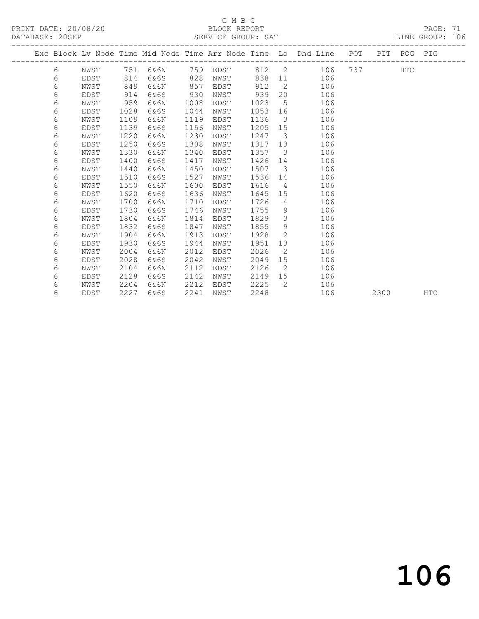### C M B C<br>BLOCK REPORT

PRINT DATE: 20/08/20 BLOCK REPORT BATABASE: 20SEP

PAGE: 71<br>LINE GROUP: 106

|  |   |      |      |          |      |      |      |                         | Exc Block Lv Node Time Mid Node Time Arr Node Time Lo Dhd Line POT |     |      | PIT POG PIG |            |
|--|---|------|------|----------|------|------|------|-------------------------|--------------------------------------------------------------------|-----|------|-------------|------------|
|  | 6 | NWST |      | 751 6&6N | 759  | EDST |      |                         | 812 2 106                                                          | 737 |      | <b>HTC</b>  |            |
|  | 6 | EDST | 814  | 6&6S     | 828  | NWST | 838  | 11                      | 106                                                                |     |      |             |            |
|  | 6 | NWST | 849  | 6&6N     | 857  | EDST | 912  | $\overline{2}$          | 106                                                                |     |      |             |            |
|  | 6 | EDST | 914  | 6&6S     | 930  | NWST | 939  |                         | 106<br>20                                                          |     |      |             |            |
|  | 6 | NWST | 959  | 6&6N     | 1008 | EDST | 1023 | $5\overline{)}$         | 106                                                                |     |      |             |            |
|  | 6 | EDST | 1028 | 6&6S     | 1044 | NWST | 1053 | 16                      | 106                                                                |     |      |             |            |
|  | 6 | NWST | 1109 | 6&6N     | 1119 | EDST | 1136 | $\mathbf{3}$            | 106                                                                |     |      |             |            |
|  | 6 | EDST | 1139 | 6&6S     | 1156 | NWST | 1205 | 15                      | 106                                                                |     |      |             |            |
|  | 6 | NWST | 1220 | 6&6N     | 1230 | EDST | 1247 | $\overline{\mathbf{3}}$ | 106                                                                |     |      |             |            |
|  | 6 | EDST | 1250 | 6&6S     | 1308 | NWST | 1317 | 13                      | 106                                                                |     |      |             |            |
|  | 6 | NWST | 1330 | 6&6N     | 1340 | EDST | 1357 | $\overline{\mathbf{3}}$ | 106                                                                |     |      |             |            |
|  | 6 | EDST | 1400 | 6&6S     | 1417 | NWST | 1426 | 14                      | 106                                                                |     |      |             |            |
|  | 6 | NWST | 1440 | 6&6N     | 1450 | EDST | 1507 | $\overline{\mathbf{3}}$ | 106                                                                |     |      |             |            |
|  | 6 | EDST | 1510 | 6&6S     | 1527 | NWST | 1536 | 14                      | 106                                                                |     |      |             |            |
|  | 6 | NWST | 1550 | 6&6N     | 1600 | EDST | 1616 | $4\overline{4}$         | 106                                                                |     |      |             |            |
|  | 6 | EDST | 1620 | 6&6S     | 1636 | NWST | 1645 | 15                      | 106                                                                |     |      |             |            |
|  | 6 | NWST | 1700 | 6&6N     | 1710 | EDST | 1726 | $\overline{4}$          | 106                                                                |     |      |             |            |
|  | 6 | EDST | 1730 | 6&6S     | 1746 | NWST | 1755 | 9                       | 106                                                                |     |      |             |            |
|  | 6 | NWST | 1804 | 6&6N     | 1814 | EDST | 1829 | 3 <sup>7</sup>          | 106                                                                |     |      |             |            |
|  | 6 | EDST | 1832 | 6&6S     | 1847 | NWST | 1855 | 9                       | 106                                                                |     |      |             |            |
|  | 6 | NWST | 1904 | 6&6N     | 1913 | EDST | 1928 | 2                       | 106                                                                |     |      |             |            |
|  | 6 | EDST | 1930 | 6&6S     | 1944 | NWST | 1951 | 13                      | 106                                                                |     |      |             |            |
|  | 6 | NWST | 2004 | 6&6N     | 2012 | EDST | 2026 | 2                       | 106                                                                |     |      |             |            |
|  | 6 | EDST | 2028 | 6&6S     | 2042 | NWST | 2049 | 15                      | 106                                                                |     |      |             |            |
|  | 6 | NWST | 2104 | 6&6N     | 2112 | EDST | 2126 | 2                       | 106                                                                |     |      |             |            |
|  | 6 | EDST | 2128 | 6&6S     | 2142 | NWST | 2149 | 15                      | 106                                                                |     |      |             |            |
|  | 6 | NWST | 2204 | 6&6N     | 2212 | EDST | 2225 | 2                       | 106                                                                |     |      |             |            |
|  | 6 | EDST | 2227 | 6&6S     | 2241 | NWST | 2248 |                         | 106                                                                |     | 2300 |             | <b>HTC</b> |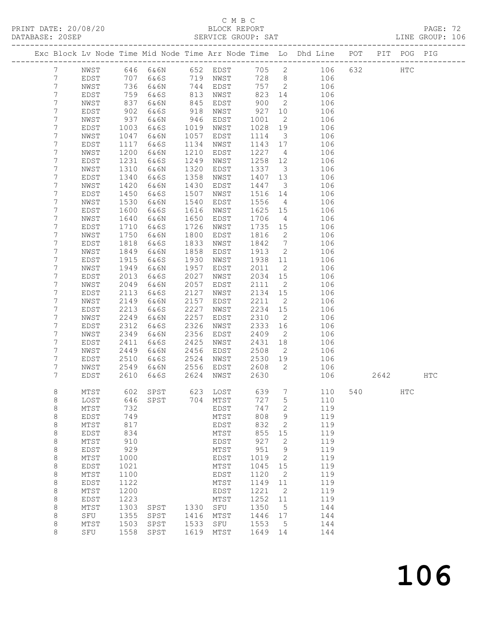### C M B C<br>BLOCK REPORT

|                       |              |              |                          |              |              |                 |                         |                                                                                |     |      |            | PAGE: 72<br>LINE GROUP: 106 |  |
|-----------------------|--------------|--------------|--------------------------|--------------|--------------|-----------------|-------------------------|--------------------------------------------------------------------------------|-----|------|------------|-----------------------------|--|
|                       |              |              |                          |              |              |                 |                         | Exc Block Lv Node Time Mid Node Time Arr Node Time Lo Dhd Line POT PIT POG PIG |     |      |            |                             |  |
| $7\overline{ }$       |              |              |                          |              |              |                 |                         | NWST 646 6&6N 652 EDST 705 2 106 632 HTC                                       |     |      |            |                             |  |
| $7\phantom{.0}$       |              |              |                          |              |              |                 |                         | EDST 707 6&6S 719 NWST 728 8 106                                               |     |      |            |                             |  |
| 7                     | NWST         |              | 736 6&6N                 |              | 744 EDST     |                 |                         | 757 2 106                                                                      |     |      |            |                             |  |
| 7                     | EDST         | 759<br>837   | 6&6S                     |              | 813 NWST     | 823<br>900      |                         | 14 106                                                                         |     |      |            |                             |  |
| 7                     | NWST         |              | 6&6N                     | 845          | EDST         |                 | $\overline{2}$          | 106                                                                            |     |      |            |                             |  |
| $\overline{7}$        | EDST         | 902          | 6&6S                     | 918          | NWST         | 927             | 10                      | 106                                                                            |     |      |            |                             |  |
| 7                     | NWST         | 937          | 6 & 6 N                  | 946          | EDST         | 1001            | $\overline{2}$          | 106                                                                            |     |      |            |                             |  |
| 7                     | EDST         | 1003         | 6&6S                     |              | 1019 NWST    | 1028            | 19                      | 106                                                                            |     |      |            |                             |  |
| $\overline{7}$        | NWST         | 1047         | 6&6N                     | 1057         | EDST         | 1114            | $\overline{\mathbf{3}}$ | 106                                                                            |     |      |            |                             |  |
| $\boldsymbol{7}$<br>7 | EDST<br>NWST | 1117<br>1200 | 6&6S                     | 1134<br>1210 | NWST<br>EDST | 1143 17<br>1227 |                         | 106<br>106                                                                     |     |      |            |                             |  |
| 7                     | EDST         | 1231         | 6&6N<br>6&6S             | 1249         | NWST         | 1258            | $\overline{4}$<br>12    | 106                                                                            |     |      |            |                             |  |
| 7                     | NWST         | 1310         | 6&6N                     | 1320         | EDST         | 1337            | $\overline{\mathbf{3}}$ | 106                                                                            |     |      |            |                             |  |
| $\overline{7}$        | EDST         | 1340         | 6&6S                     | 1358         | NWST         | 1407            | 13                      | 106                                                                            |     |      |            |                             |  |
| 7                     | NWST         | 1420         | 6&6N                     | 1430         | EDST         | 1447            | $\overline{\mathbf{3}}$ | 106                                                                            |     |      |            |                             |  |
| 7                     | EDST         | 1450         | 6&6S                     | 1507         | NWST         | 1516            | 14                      | 106                                                                            |     |      |            |                             |  |
| 7                     | NWST         | 1530         | 6&6N                     | 1540         | EDST         | 1556            | $4\overline{4}$         | 106                                                                            |     |      |            |                             |  |
| $\overline{7}$        | EDST         | 1600         | 6&6S                     | 1616         | NWST         | 1625            | 15                      | 106                                                                            |     |      |            |                             |  |
| 7                     | NWST         | 1640         | 6&6N                     | 1650         | EDST         | 1706            | $\overline{4}$          | 106                                                                            |     |      |            |                             |  |
| 7                     | EDST         | 1710         | 6&6S                     | 1726         | NWST         | 1735            | 15                      | 106                                                                            |     |      |            |                             |  |
| $\overline{7}$        | NWST         | 1750         | 6&6N                     | 1800         | EDST         | 1816            | $\overline{2}$          | 106                                                                            |     |      |            |                             |  |
| 7                     | EDST         | 1818         | 6&6S                     | 1833         | NWST         | 1842            | $7\overline{ }$         | 106                                                                            |     |      |            |                             |  |
| $\overline{7}$        | NWST         | 1849         | 6&6N                     | 1858         | EDST         | 1913            | $\overline{2}$          | 106                                                                            |     |      |            |                             |  |
| 7                     | EDST         | 1915         | 6&6S                     | 1930         | NWST         | 1938            | 11                      | 106                                                                            |     |      |            |                             |  |
| $\overline{7}$        | NWST         | 1949         | 6&6N                     | 1957         | EDST         | 2011            | $\overline{2}$          | 106                                                                            |     |      |            |                             |  |
| 7                     | EDST         | 2013         | 6&6S                     | 2027         | NWST         | 2034            | 15                      | 106                                                                            |     |      |            |                             |  |
| $\overline{7}$        | NWST         | 2049         | 6&6N                     | 2057         | EDST         | 2111            | $\overline{2}$          | 106                                                                            |     |      |            |                             |  |
| 7                     | EDST         | 2113         | 6&6S                     | 2127         | NWST         | 2134 15         |                         | 106                                                                            |     |      |            |                             |  |
| 7<br>7                | NWST         | 2149<br>2213 | 6&6N                     | 2157<br>2227 | EDST         | 2211<br>2234    | $\overline{2}$<br>15    | 106<br>106                                                                     |     |      |            |                             |  |
| 7                     | EDST<br>NWST | 2249         | 6&6S<br>6&6N             | 2257         | NWST<br>EDST | 2310            | $\overline{2}$          | 106                                                                            |     |      |            |                             |  |
| 7                     | EDST         | 2312         | 6&6S                     | 2326         | NWST         | 2333            | 16                      | 106                                                                            |     |      |            |                             |  |
| 7                     | NWST         | 2349         | 6&6N                     | 2356         | EDST         | 2409            | $\overline{2}$          | 106                                                                            |     |      |            |                             |  |
| $\overline{7}$        | EDST         | 2411         | 6&6S                     | 2425         | NWST         | 2431            | 18                      | 106                                                                            |     |      |            |                             |  |
| 7                     | NWST         | 2449         | 6&6N                     |              | 2456 EDST    | 2508            | $\overline{2}$          | 106                                                                            |     |      |            |                             |  |
| 7                     | EDST         | 2510         | 6&6S                     |              | 2524 NWST    | 2530 19         |                         | 106                                                                            |     |      |            |                             |  |
| 7                     | NWST         | 2549         | 6&6N                     |              | 2556 EDST    | 2608            |                         | $\overline{2}$<br>106                                                          |     |      |            |                             |  |
| $\overline{7}$        | EDST         |              | 2610 6&6S 2624 NWST 2630 |              |              |                 |                         | 106                                                                            |     | 2642 |            | $_{\rm HTC}$                |  |
| 8                     | MTST         | 602          | SPST                     | 623          | LOST         | 639             | 7                       | 110                                                                            | 540 |      | <b>HTC</b> |                             |  |
| $\,8\,$               | LOST         | 646<br>732   | SPST                     | 704          | MTST         | 727             | $\mathsf S$             | 110                                                                            |     |      |            |                             |  |
| $\,8\,$               | MTST         | 749          |                          |              | EDST         | 747<br>808      | $\mathbf{2}$            | 119<br>119                                                                     |     |      |            |                             |  |
| 8<br>8                | EDST<br>MTST | 817          |                          |              | MTST<br>EDST | 832             | $\mathsf 9$<br>2        | 119                                                                            |     |      |            |                             |  |
| 8                     | EDST         | 834          |                          |              | MTST         | 855             | 15                      | 119                                                                            |     |      |            |                             |  |
| $\,8\,$               | MTST         | 910          |                          |              | EDST         | 927             | $\mathbf{2}$            | 119                                                                            |     |      |            |                             |  |
| 8                     | EDST         | 929          |                          |              | MTST         | 951             | $\mathsf 9$             | 119                                                                            |     |      |            |                             |  |
| 8                     | MTST         | 1000         |                          |              | EDST         | 1019            | $\sqrt{2}$              | 119                                                                            |     |      |            |                             |  |
| 8                     | EDST         | 1021         |                          |              | MTST         | 1045            | 15                      | 119                                                                            |     |      |            |                             |  |
| $\,8\,$               | MTST         | 1100         |                          |              | EDST         | 1120            | 2                       | 119                                                                            |     |      |            |                             |  |
| 8                     | EDST         | 1122         |                          |              | MTST         | 1149            | 11                      | 119                                                                            |     |      |            |                             |  |
| 8                     | MTST         | 1200         |                          |              | EDST         | 1221            | $\mathbf{2}$            | 119                                                                            |     |      |            |                             |  |
| 8                     | EDST         | 1223         |                          |              | MTST         | 1252            | 11                      | 119                                                                            |     |      |            |                             |  |
| 8                     | MTST         | 1303         | SPST                     | 1330         | ${\tt SFU}$  | 1350            | 5                       | 144                                                                            |     |      |            |                             |  |
| 8                     | SFU          | 1355         | SPST                     | 1416         | MTST         | 1446            | 17                      | 144                                                                            |     |      |            |                             |  |
| 8                     | MTST         | 1503         | SPST                     | 1533         | SFU          | 1553            | 5                       | 144                                                                            |     |      |            |                             |  |
| 8                     | SFU          | 1558         | SPST                     | 1619         | MTST         | 1649            | 14                      | 144                                                                            |     |      |            |                             |  |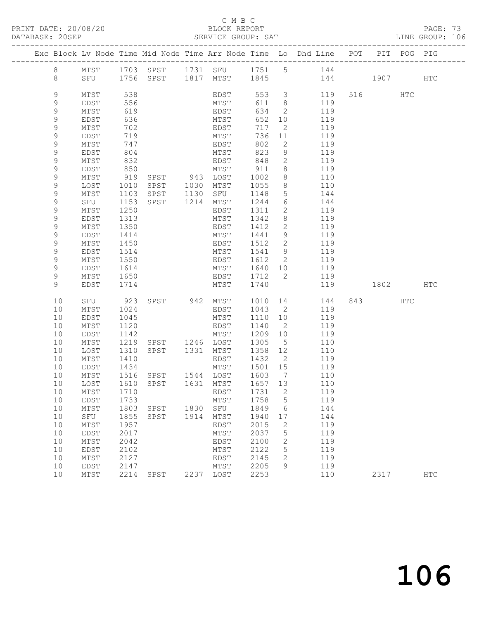#### C M B C<br>BLOCK REPORT

PAGE: 73<br>LINE GROUP: 106

|                  |              |                      |                                                           |                                                 |               |                                   | Exc Block Lv Node Time Mid Node Time Arr Node Time Lo Dhd Line POT     |         | PIT POG PIG |     |
|------------------|--------------|----------------------|-----------------------------------------------------------|-------------------------------------------------|---------------|-----------------------------------|------------------------------------------------------------------------|---------|-------------|-----|
| 8                |              |                      |                                                           |                                                 |               |                                   | MTST 1703 SPST 1731 SFU 1751 5 144<br>SFU 1756 SPST 1817 MTST 1845 144 |         |             |     |
| 8                |              |                      |                                                           |                                                 |               |                                   | 144 1907 HTC                                                           |         |             |     |
| 9                | MTST         | 538                  |                                                           |                                                 |               |                                   | EDST 553 3 119                                                         | 516 HTC |             |     |
| 9                | EDST         | 556<br>619           |                                                           | MTST<br>EDST                                    | 611 8         |                                   | 119                                                                    |         |             |     |
| $\mathsf 9$<br>9 | MTST<br>EDST | 636                  |                                                           | MTST                                            | 634<br>652 10 | $\overline{2}$                    | 119<br>119                                                             |         |             |     |
| 9                | MTST         | 702                  |                                                           | EDST                                            | 717           | $\overline{2}$                    | 119                                                                    |         |             |     |
| $\mathsf 9$      | EDST         | 719                  |                                                           |                                                 | 736           | 11                                | 119                                                                    |         |             |     |
| 9                | MTST         | 747                  |                                                           | MTST<br>EDST                                    | 802           | $\overline{2}$                    | 119                                                                    |         |             |     |
| 9                | EDST         | 804                  |                                                           | MTST                                            | 823           | 9                                 | 119                                                                    |         |             |     |
| 9                | MTST         | 832                  |                                                           | EDST                                            | 848           |                                   | $2 \left( \frac{1}{2} \right)$<br>119                                  |         |             |     |
| 9                | EDST         | 850<br>919           |                                                           | MTST                                            | 911           | 8 <sup>8</sup>                    | 119                                                                    |         |             |     |
| 9                | MTST         |                      | SPST 943 LOST                                             | SPST 1030 MTST                                  | 1002          | 8                                 | 110<br>110                                                             |         |             |     |
| $\mathsf 9$<br>9 | LOST<br>MTST | 1010<br>1103         |                                                           | SPST 1130 SFU                                   | 1055<br>1148  | 8 <sup>8</sup><br>$5\overline{)}$ | 144                                                                    |         |             |     |
| 9                | SFU          | 1153                 |                                                           | SPST 1214 MTST                                  | 1244          | 6                                 | 144                                                                    |         |             |     |
| 9                | MTST         | 1250                 |                                                           | EDST                                            | 1311          | $\overline{2}$                    | 119                                                                    |         |             |     |
| 9                | EDST         | 1313                 |                                                           | MTST                                            | 1342          | 8 <sup>8</sup>                    | 119                                                                    |         |             |     |
| 9                | MTST         | 1350                 |                                                           | EDST                                            | 1412          | $\overline{2}$                    | 119                                                                    |         |             |     |
| 9                | EDST         | 1414                 |                                                           | MTST                                            | 1441 9        |                                   | 119                                                                    |         |             |     |
| $\mathsf 9$      | MTST         | 1450                 |                                                           | EDST                                            | 1512          | $\overline{2}$                    | 119<br>119                                                             |         |             |     |
| $\mathsf 9$<br>9 | EDST         | 1514<br>1550         |                                                           | MTST                                            | 1541 9        |                                   | EDST 1612 2 119                                                        |         |             |     |
| 9                | MTST<br>EDST | 1614                 |                                                           | MTST 1640 10                                    |               |                                   | 119                                                                    |         |             |     |
| 9                | MTST         |                      |                                                           | EDST 1712 2                                     |               |                                   | 119                                                                    |         |             |     |
| 9                | EDST         | 1650<br>1714<br>1714 |                                                           | MTST 1740                                       |               |                                   | 119 1802 HTC                                                           |         |             |     |
| 10               | SFU          | 923                  |                                                           |                                                 |               |                                   | SPST 942 MTST 1010 14 144                                              | 843 HTC |             |     |
| 10               | MTST         | 1024                 |                                                           | EDST                                            | 1043 2        |                                   | 119                                                                    |         |             |     |
| 10               | EDST         | 1045                 |                                                           | MTST                                            | 1110 10       |                                   | 119                                                                    |         |             |     |
| 10               | MTST         | 1120                 |                                                           | EDST                                            | 1140          | $\overline{2}$                    | 119                                                                    |         |             |     |
| 10               | EDST         | 1142                 |                                                           | MTST                                            | 1209 10       |                                   | 119                                                                    |         |             |     |
| 10<br>10         | MTST<br>LOST | 1219<br>1310         |                                                           | SPST 1246 LOST 1305 5<br>SPST 1331 MTST 1358 12 | 1305 5        |                                   | 110<br>110                                                             |         |             |     |
| 10               | MTST         | 1410                 |                                                           | EDST 1432 2                                     |               |                                   | 119                                                                    |         |             |     |
| 10               | EDST         | 1434                 |                                                           | MTST 1501 15                                    |               |                                   | 119                                                                    |         |             |     |
| 10 <sup>°</sup>  | MTST         |                      | 1516 SPST 1544 LOST 1603 7<br>1610 SPST 1631 MTST 1657 13 |                                                 |               |                                   | 110                                                                    |         |             |     |
| 10               | LOST         |                      |                                                           |                                                 |               |                                   | 110                                                                    |         |             |     |
|                  | 10 MTST      |                      | 1710 EDST 1731 2                                          |                                                 |               |                                   | 119                                                                    |         |             |     |
| 10               | EDST         | 1733                 |                                                           | MTST                                            | 1758          | 5                                 | 119                                                                    |         |             |     |
| 10<br>10         | MTST<br>SFU  | 1855                 | 1803 SPST<br>SPST                                         | 1830 SFU<br>1914 MTST                           | 1849<br>1940  | 6<br>17                           | 144<br>144                                                             |         |             |     |
| 10               | MTST         | 1957                 |                                                           | EDST                                            | 2015          | 2                                 | 119                                                                    |         |             |     |
| 10               | EDST         | 2017                 |                                                           | MTST                                            | 2037          | 5                                 | 119                                                                    |         |             |     |
| 10               | MTST         | 2042                 |                                                           | EDST                                            | 2100          | 2                                 | 119                                                                    |         |             |     |
| 10               | EDST         | 2102                 |                                                           | MTST                                            | 2122          | 5                                 | 119                                                                    |         |             |     |
| 10               | MTST         | 2127                 |                                                           | EDST                                            | 2145          | 2                                 | 119                                                                    |         |             |     |
| 10<br>10         | EDST<br>MTST | 2147<br>2214         |                                                           | MTST<br>2237 LOST                               | 2205<br>2253  | 9                                 | 119<br>110                                                             | 2317    |             |     |
|                  |              |                      | SPST                                                      |                                                 |               |                                   |                                                                        |         |             | HTC |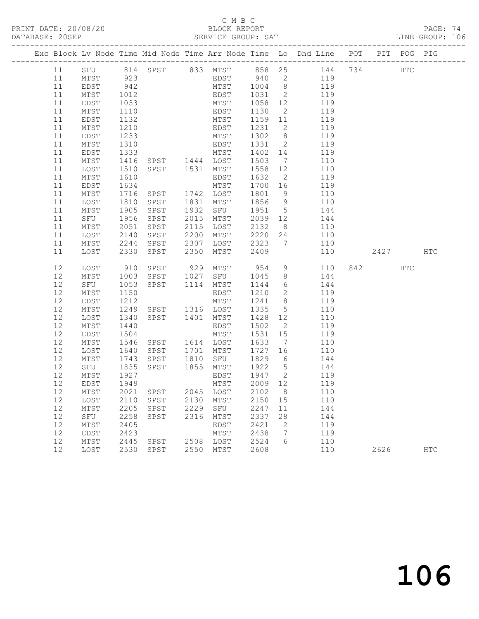## C M B C<br>BLOCK REPORT

PAGE: 74<br>LINE GROUP: 106

|  |          |                   |              |                                |      |                  |              |                      | Exc Block Lv Node Time Mid Node Time Arr Node Time Lo Dhd Line POT PIT POG PIG |      |               |            |
|--|----------|-------------------|--------------|--------------------------------|------|------------------|--------------|----------------------|--------------------------------------------------------------------------------|------|---------------|------------|
|  | 11       |                   |              |                                |      |                  |              |                      | SFU 814 SPST 833 MTST 858 25 144 734                                           |      | $_{\rm{HTC}}$ |            |
|  | 11       | MTST              | 923          |                                |      |                  |              |                      |                                                                                |      |               |            |
|  | 11       | EDST              | 942          |                                |      |                  |              |                      | EDST 940 2 119<br>MTST 1004 8 119                                              |      |               |            |
|  | 11       | MTST              | 1012         |                                |      | EDST             | 1031         | $\overline{2}$       | 119                                                                            |      |               |            |
|  | 11       | EDST              | 1033         |                                |      | MTST             | 1058 12      |                      | 119                                                                            |      |               |            |
|  | 11       | MTST              | 1110         |                                |      | EDST             | 1130         | $\overline{2}$       | 119                                                                            |      |               |            |
|  | 11       | EDST              | 1132         |                                |      | MTST             | 1159 11      |                      | 119                                                                            |      |               |            |
|  | 11       | MTST              | 1210         |                                |      | EDST             | 1231         | $\overline{2}$       | 119                                                                            |      |               |            |
|  | 11       | EDST              | 1233         | MTST                           |      |                  | 1302         | 8 <sup>8</sup>       | 119                                                                            |      |               |            |
|  | 11       | MTST              | 1310         |                                |      |                  | 1331         | $\overline{2}$       | 119                                                                            |      |               |            |
|  | 11       | EDST              | 1333         |                                |      |                  | 1402 14      |                      | 119                                                                            |      |               |            |
|  | 11       | MTST              | 1416         | EDST<br>MTST<br>SPST 1444 LOST |      |                  | 1503         | $7\overline{ }$      | 110                                                                            |      |               |            |
|  | 11       | LOST              | 1510         | SPST 1531 MTST                 |      |                  | 1558         | 12                   | 110                                                                            |      |               |            |
|  | 11       | MTST              | 1610         |                                |      | EDST             | 1632         | 2                    | 119                                                                            |      |               |            |
|  | 11       | EDST              | 1634         |                                |      | MTST             | 1700 16      |                      | 119                                                                            |      |               |            |
|  | 11       | MTST              | 1716         | SPST                           |      | 1742 LOST        | 1801         | 9                    | 110                                                                            |      |               |            |
|  | 11       | LOST              | 1810         | SPST                           | 1831 | MTST             | 1856         | 9                    | 110                                                                            |      |               |            |
|  | 11       | MTST              | 1905         | SPST                           | 1932 | SFU              | 1951         | $5\overline{)}$      | 144                                                                            |      |               |            |
|  | 11       | SFU               | 1956         | SPST                           | 2015 | MTST             | 2039 12      |                      | 144                                                                            |      |               |            |
|  | 11       | MTST              | 2051         | SPST                           | 2115 | LOST             | 2132         | 8 <sup>8</sup>       | 110                                                                            |      |               |            |
|  | 11       | LOST              | 2140         | SPST                           | 2200 | MTST             | 2220         | 24                   | 110                                                                            |      |               |            |
|  | 11       | MTST              | 2244         | SPST                           | 2307 | LOST             | 2323         | $\overline{7}$       | 110                                                                            |      |               |            |
|  | 11       | LOST              | 2330         | SPST                           | 2350 | MTST             | 2409         |                      | 110                                                                            | 2427 |               | HTC        |
|  |          |                   |              |                                |      |                  |              |                      |                                                                                |      |               |            |
|  | 12       | LOST              | 910          | SPST                           | 929  | MTST             | 954          |                      | $9 \left( \frac{1}{2} \right)$<br>110                                          | 842  | HTC           |            |
|  | 12       | MTST              | 1003         | SPST                           | 1027 | SFU              | 1045         | 8 <sup>8</sup>       | 144                                                                            |      |               |            |
|  | 12       | SFU               | 1053         | SPST                           |      | 1114 MTST        | 1144         | 6                    | 144                                                                            |      |               |            |
|  | 12       | MTST              | 1150         |                                |      | EDST             | 1210         | $\overline{2}$       | 119                                                                            |      |               |            |
|  | 12       | EDST              | 1212         | SPST 1316 LOST                 |      | MTST             | 1241         | 8 <sup>8</sup>       | 119                                                                            |      |               |            |
|  | 12       | MTST              | 1249         |                                |      |                  | 1335         | $5\overline{)}$      | 110                                                                            |      |               |            |
|  | 12<br>12 | LOST              | 1340<br>1440 | SPST 1401                      |      | MTST             | 1428<br>1502 | 12<br>$\overline{2}$ | 110<br>119                                                                     |      |               |            |
|  | 12       | MTST<br>EDST      | 1504         |                                |      | EDST<br>MTST     | 1531         | 15                   | 119                                                                            |      |               |            |
|  | 12       | MTST              | 1546         | SPST                           |      | 1614 LOST        | 1633         | $\overline{7}$       | 110                                                                            |      |               |            |
|  | 12       | LOST              | 1640         | SPST                           | 1701 | MTST             | 1727         | 16                   | 110                                                                            |      |               |            |
|  | 12       | MTST              | 1743         | SPST                           |      | 1810 SFU         | 1829         | $6\overline{6}$      | 144                                                                            |      |               |            |
|  | 12       | SFU               | 1835         | SPST                           |      | 1855 MTST        | 1922 5       |                      | 144                                                                            |      |               |            |
|  | 12       | MTST              | 1927         |                                |      | EDST             | 1947 2       |                      | 119                                                                            |      |               |            |
|  | 12       | EDST              | 1949         |                                |      | MTST             | 2009 12      |                      | 119                                                                            |      |               |            |
|  |          | 12 MTST 2021 SPST |              |                                |      | 2045 LOST 2102 8 |              |                      | 110                                                                            |      |               |            |
|  | 12       | LOST              | 2110         | SPST                           | 2130 | MTST             | 2150         | 15                   | 110                                                                            |      |               |            |
|  | 12       | MTST              | 2205         | SPST                           | 2229 | SFU              | 2247         | 11                   | 144                                                                            |      |               |            |
|  | 12       | SFU               | 2258         | SPST                           | 2316 | MTST             | 2337         | 28                   | 144                                                                            |      |               |            |
|  | 12       | MTST              | 2405         |                                |      | EDST             | 2421         | 2                    | 119                                                                            |      |               |            |
|  | 12       | EDST              | 2423         |                                |      | MTST             | 2438         | 7                    | 119                                                                            |      |               |            |
|  | 12       | MTST              | 2445         | SPST                           | 2508 | LOST             | 2524         | 6                    | 110                                                                            |      |               |            |
|  | 12       | LOST              | 2530         | SPST                           | 2550 | MTST             | 2608         |                      | 110                                                                            | 2626 |               | <b>HTC</b> |
|  |          |                   |              |                                |      |                  |              |                      |                                                                                |      |               |            |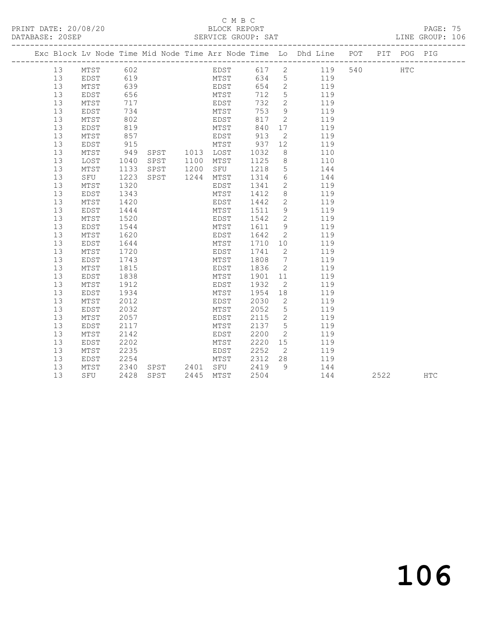#### C M B C<br>BLOCK REPORT SERVICE GROUP: SAT

|  |    |             |      |      |      |      |      |                | Exc Block Lv Node Time Mid Node Time Arr Node Time Lo Dhd Line POT PIT POG PIG |     |     |  |
|--|----|-------------|------|------|------|------|------|----------------|--------------------------------------------------------------------------------|-----|-----|--|
|  | 13 | MTST        | 602  |      |      | EDST | 617  | $2^{\circ}$    | 119                                                                            | 540 | HTC |  |
|  | 13 | EDST        | 619  |      |      | MTST | 634  | 5 <sup>5</sup> | 119                                                                            |     |     |  |
|  | 13 | MTST        | 639  |      |      | EDST | 654  | $\overline{2}$ | 119                                                                            |     |     |  |
|  | 13 | EDST        | 656  |      |      | MTST | 712  | 5              | 119                                                                            |     |     |  |
|  | 13 | MTST        | 717  |      |      | EDST | 732  | $\overline{2}$ | 119                                                                            |     |     |  |
|  | 13 | EDST        | 734  |      |      | MTST | 753  | $\mathcal{G}$  | 119                                                                            |     |     |  |
|  | 13 | MTST        | 802  |      |      | EDST | 817  | 2              | 119                                                                            |     |     |  |
|  | 13 | EDST        | 819  |      |      | MTST | 840  | 17             | 119                                                                            |     |     |  |
|  | 13 | MTST        | 857  |      |      | EDST | 913  | 2              | 119                                                                            |     |     |  |
|  | 13 | EDST        | 915  |      |      | MTST | 937  | 12             | 119                                                                            |     |     |  |
|  | 13 | MTST        | 949  | SPST | 1013 | LOST | 1032 | 8              | 110                                                                            |     |     |  |
|  | 13 | LOST        | 1040 | SPST | 1100 | MTST | 1125 | 8              | 110                                                                            |     |     |  |
|  | 13 | MTST        | 1133 | SPST | 1200 | SFU  | 1218 | 5              | 144                                                                            |     |     |  |
|  | 13 | SFU         | 1223 | SPST | 1244 | MTST | 1314 | 6              | 144                                                                            |     |     |  |
|  | 13 | MTST        | 1320 |      |      | EDST | 1341 | $\mathbf{2}$   | 119                                                                            |     |     |  |
|  | 13 | EDST        | 1343 |      |      | MTST | 1412 | 8              | 119                                                                            |     |     |  |
|  | 13 | MTST        | 1420 |      |      | EDST | 1442 | $\mathbf{2}$   | 119                                                                            |     |     |  |
|  | 13 | EDST        | 1444 |      |      | MTST | 1511 | 9              | 119                                                                            |     |     |  |
|  | 13 | MTST        | 1520 |      |      | EDST | 1542 | $\mathbf{2}$   | 119                                                                            |     |     |  |
|  | 13 | EDST        | 1544 |      |      | MTST | 1611 | 9              | 119                                                                            |     |     |  |
|  | 13 | MTST        | 1620 |      |      | EDST | 1642 | 2              | 119                                                                            |     |     |  |
|  | 13 | EDST        | 1644 |      |      | MTST | 1710 | 10             | 119                                                                            |     |     |  |
|  | 13 | MTST        | 1720 |      |      | EDST | 1741 | 2              | 119                                                                            |     |     |  |
|  | 13 | EDST        | 1743 |      |      | MTST | 1808 | 7              | 119                                                                            |     |     |  |
|  | 13 | MTST        | 1815 |      |      | EDST | 1836 | 2              | 119                                                                            |     |     |  |
|  | 13 | EDST        | 1838 |      |      | MTST | 1901 | 11             | 119                                                                            |     |     |  |
|  | 13 | MTST        | 1912 |      |      | EDST | 1932 | $\mathbf{2}$   | 119                                                                            |     |     |  |
|  | 13 | EDST        | 1934 |      |      | MTST | 1954 | 18             | 119                                                                            |     |     |  |
|  | 13 | MTST        | 2012 |      |      | EDST | 2030 | 2              | 119                                                                            |     |     |  |
|  | 13 | <b>EDST</b> | 2032 |      |      | MTST | 2052 | $\overline{5}$ | 119                                                                            |     |     |  |
|  | 13 | MTST        | 2057 |      |      | EDST | 2115 | 2              | 119                                                                            |     |     |  |
|  | 13 | EDST        | 2117 |      |      | MTST | 2137 | 5              | 119                                                                            |     |     |  |
|  | 13 | MTST        | 2142 |      |      | EDST | 2200 | 2              | 119                                                                            |     |     |  |
|  | 13 | EDST        | 2202 |      |      | MTST | 2220 | 15             | 119                                                                            |     |     |  |
|  | 13 | MTST        | 2235 |      |      | EDST | 2252 | $\overline{2}$ | 119                                                                            |     |     |  |

13 SFU 2428 SPST 2445 MTST 2504 144 2522 HTC

 13 EDST 2254 MTST 2312 28 119 13 MTST 2340 SPST 2401 SFU 2419 9 144

# 106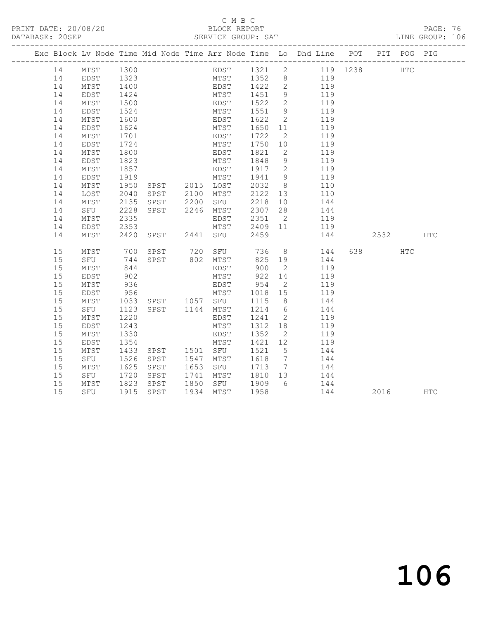### C M B C

|    |                                                                                         |                 |      |                                                                                                                                                                                                                                                                             |  |                                                                                                      |      | PAGE: 76<br>LINE GROUP: 106 |  |
|----|-----------------------------------------------------------------------------------------|-----------------|------|-----------------------------------------------------------------------------------------------------------------------------------------------------------------------------------------------------------------------------------------------------------------------------|--|------------------------------------------------------------------------------------------------------|------|-----------------------------|--|
|    |                                                                                         |                 |      |                                                                                                                                                                                                                                                                             |  | Exc Block Lv Node Time Mid Node Time Arr Node Time Lo Dhd Line POT PIT POG PIG                       |      |                             |  |
| 14 | MTST 1300                                                                               |                 |      |                                                                                                                                                                                                                                                                             |  | EDST 1321 2 119 1238 HTC                                                                             |      |                             |  |
| 14 |                                                                                         |                 |      |                                                                                                                                                                                                                                                                             |  |                                                                                                      |      |                             |  |
| 14 | EDST 1323<br>MTST 1400<br>EDST 1424<br>MTST 1500<br>EDST 1524<br>MTST 1600<br>EDST 1624 |                 |      |                                                                                                                                                                                                                                                                             |  | MTST 1352 8 119<br>EDST 1422 2 119<br>MTST 1451 9 119                                                |      |                             |  |
| 14 |                                                                                         |                 |      |                                                                                                                                                                                                                                                                             |  |                                                                                                      |      |                             |  |
| 14 |                                                                                         |                 |      |                                                                                                                                                                                                                                                                             |  | EDST 1522 2 119<br>MTST 1551 9 119                                                                   |      |                             |  |
| 14 |                                                                                         |                 |      |                                                                                                                                                                                                                                                                             |  |                                                                                                      |      |                             |  |
| 14 |                                                                                         |                 |      |                                                                                                                                                                                                                                                                             |  | EDST 1622 2 119                                                                                      |      |                             |  |
| 14 | EDST                                                                                    | 1624            |      |                                                                                                                                                                                                                                                                             |  | MTST 1650 11 119<br>EDST 1722 2 119                                                                  |      |                             |  |
| 14 | MTST                                                                                    | 1701            |      |                                                                                                                                                                                                                                                                             |  |                                                                                                      |      |                             |  |
| 14 | EDST                                                                                    | 1724            |      |                                                                                                                                                                                                                                                                             |  | MTST 1750 10 119                                                                                     |      |                             |  |
| 14 | MTST                                                                                    | 1800            |      | EDST 1821<br>MTST 1848                                                                                                                                                                                                                                                      |  | $\begin{array}{ccc} 2 & & 119 \\ 9 & & 119 \end{array}$                                              |      |                             |  |
| 14 | EDST                                                                                    | 1823            |      |                                                                                                                                                                                                                                                                             |  |                                                                                                      |      |                             |  |
| 14 | MTST                                                                                    | 1857            |      |                                                                                                                                                                                                                                                                             |  | EDST 1917 2<br>EDST 1917 2 119<br>MTST 1941 9 119<br>SPST 2015 LOST 2032 8 110                       |      |                             |  |
| 14 | EDST                                                                                    | 1919            |      |                                                                                                                                                                                                                                                                             |  |                                                                                                      |      |                             |  |
| 14 | MTST                                                                                    | 1950            |      |                                                                                                                                                                                                                                                                             |  |                                                                                                      |      |                             |  |
| 14 | LOST                                                                                    |                 |      |                                                                                                                                                                                                                                                                             |  |                                                                                                      |      |                             |  |
| 14 | MTST                                                                                    |                 |      |                                                                                                                                                                                                                                                                             |  | 2040 SPST 2100 MTST 2122 13 110<br>2135 SPST 2200 SFU 2218 10 144<br>2228 SPST 2246 MTST 2307 28 144 |      |                             |  |
| 14 | SFU                                                                                     |                 |      |                                                                                                                                                                                                                                                                             |  |                                                                                                      |      |                             |  |
| 14 | MTST                                                                                    | 2335            |      |                                                                                                                                                                                                                                                                             |  | EDST 2351 2 119<br>MTST 2409 11 119                                                                  |      |                             |  |
| 14 | EDST                                                                                    | 2353            |      |                                                                                                                                                                                                                                                                             |  |                                                                                                      |      |                             |  |
| 14 | MTST                                                                                    |                 |      | 2420 SPST 2441 SFU 2459                                                                                                                                                                                                                                                     |  | $\frac{1}{144}$ 2532                                                                                 |      | <b>HTC</b>                  |  |
| 15 |                                                                                         |                 |      |                                                                                                                                                                                                                                                                             |  | MTST 700 SPST 720 SFU 736 8 144 638 HTC<br>SFU 744 SPST 802 MTST 825 19 144                          |      |                             |  |
| 15 |                                                                                         |                 |      |                                                                                                                                                                                                                                                                             |  |                                                                                                      |      |                             |  |
| 15 | MTST                                                                                    | 844<br>902      |      |                                                                                                                                                                                                                                                                             |  | EDST 900 2 119<br>MTST 922 14 119<br>119                                                             |      |                             |  |
| 15 | EDST                                                                                    |                 |      |                                                                                                                                                                                                                                                                             |  |                                                                                                      |      |                             |  |
| 15 | MTST                                                                                    | 936             |      |                                                                                                                                                                                                                                                                             |  |                                                                                                      |      |                             |  |
| 15 | EDST                                                                                    | $956$<br>$1033$ |      |                                                                                                                                                                                                                                                                             |  |                                                                                                      |      |                             |  |
| 15 | MTST                                                                                    |                 |      |                                                                                                                                                                                                                                                                             |  |                                                                                                      |      |                             |  |
| 15 | SFU                                                                                     |                 |      |                                                                                                                                                                                                                                                                             |  | 1123 SPST 1144 MTST 1214 6 144                                                                       |      |                             |  |
| 15 | MTST                                                                                    |                 |      |                                                                                                                                                                                                                                                                             |  | 1241  2  119<br>1312  18  119                                                                        |      |                             |  |
| 15 | EDST                                                                                    |                 |      |                                                                                                                                                                                                                                                                             |  |                                                                                                      |      |                             |  |
| 15 | MTST                                                                                    |                 |      |                                                                                                                                                                                                                                                                             |  | 2 119                                                                                                |      |                             |  |
| 15 | EDST                                                                                    |                 |      |                                                                                                                                                                                                                                                                             |  | 119                                                                                                  |      |                             |  |
| 15 | MTST                                                                                    |                 |      | $\begin{tabular}{ccccc} 1220 & \multicolumn{1}{c }{EDST} & 1241 & 2 \\ 1243 & \multicolumn{1}{c }{MTST} & 1312 & 18 \\ 1330 & \multicolumn{1}{c }{EDST} & 1352 & 2 \\ 1354 & \multicolumn{1}{c }{MTST} & 1421 & 12 \\ 1433 & SPST & 1501 & SFU & 1521 & 5 \\ \end{tabular}$ |  | 144                                                                                                  |      |                             |  |
| 15 | SFU                                                                                     | 1526            |      |                                                                                                                                                                                                                                                                             |  | SPST 1547 MTST 1618 7 144<br>SPST 1653 SFU 1713 7 144<br>SPST 1741 MTST 1810 13 144                  |      |                             |  |
| 15 | MTST 1625<br>SFU 1720                                                                   |                 |      |                                                                                                                                                                                                                                                                             |  |                                                                                                      |      |                             |  |
| 15 |                                                                                         |                 |      |                                                                                                                                                                                                                                                                             |  |                                                                                                      |      |                             |  |
| 15 | MTST                                                                                    | 1823            | SPST |                                                                                                                                                                                                                                                                             |  | 1850 SFU 1909 6 144<br>1934 MTST 1958 144                                                            |      |                             |  |
| 15 | SFU                                                                                     | 1915            | SPST |                                                                                                                                                                                                                                                                             |  | 144                                                                                                  | 2016 | HTC                         |  |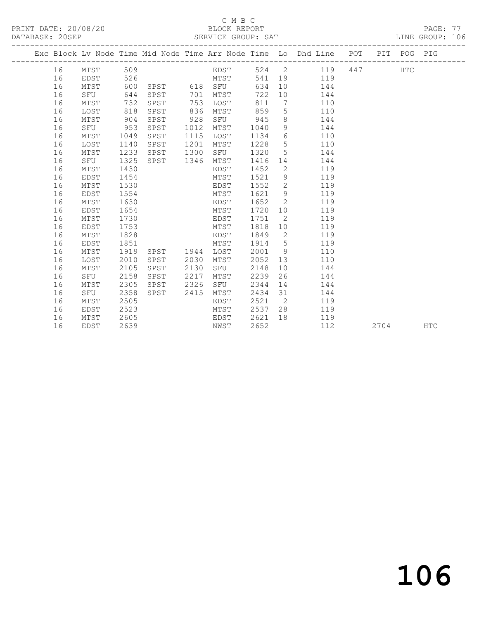#### C M B C<br>BLOCK REPORT

PAGE: 77<br>LINE GROUP: 106

|  |    |          |      |                |      |               |         |                | Exc Block Lv Node Time Mid Node Time Arr Node Time Lo Dhd Line POT PIT POG PIG |      |            |            |
|--|----|----------|------|----------------|------|---------------|---------|----------------|--------------------------------------------------------------------------------|------|------------|------------|
|  | 16 | MTST 509 |      |                |      |               |         |                | EDST 524 2 119 447                                                             |      | <b>HTC</b> |            |
|  | 16 | EDST     | 526  |                |      |               |         |                | 541 19 119                                                                     |      |            |            |
|  | 16 | MTST     | 600  |                |      |               | 634     |                | 10 144                                                                         |      |            |            |
|  | 16 | SFU      | 644  |                |      | SPST 701 MTST | 722     |                | 10 144                                                                         |      |            |            |
|  | 16 | MTST     | 732  | SPST           |      | 753 LOST      | 811     |                | 7 110                                                                          |      |            |            |
|  | 16 | LOST     | 818  | SPST           | 836  | MTST          | 859     |                | $5\overline{}$<br>110                                                          |      |            |            |
|  | 16 | MTST     | 904  | SPST           | 928  | SFU 945       |         |                | 8 144                                                                          |      |            |            |
|  | 16 | SFU      | 953  | SPST           | 1012 | MTST          | 1040    | 9              | 144                                                                            |      |            |            |
|  | 16 | MTST     | 1049 | SPST           | 1115 | LOST          | 1134 6  |                | 110                                                                            |      |            |            |
|  | 16 | LOST     | 1140 | SPST           | 1201 | MTST          | 1228    | 5 <sup>5</sup> | 110                                                                            |      |            |            |
|  | 16 | MTST     | 1233 | SPST           | 1300 | SFU           | 1320    | 5 <sup>5</sup> | 144                                                                            |      |            |            |
|  | 16 | SFU      | 1325 | SPST 1346      |      | MTST          | 1416    |                | 144                                                                            |      |            |            |
|  | 16 | MTST     | 1430 |                |      | EDST          | 1452    |                | $2 \left( \frac{1}{2} \right)$<br>119                                          |      |            |            |
|  | 16 | EDST     | 1454 |                |      | MTST          | 1521    |                | $9 \quad \bullet$<br>119                                                       |      |            |            |
|  | 16 | MTST     | 1530 |                |      | EDST 1552 2   |         |                | 119                                                                            |      |            |            |
|  | 16 | EDST     | 1554 |                |      | MTST          |         |                | 1621 9 119                                                                     |      |            |            |
|  | 16 | MTST     | 1630 |                |      | EDST          | 1652    | $\overline{2}$ | 119                                                                            |      |            |            |
|  | 16 | EDST     | 1654 |                |      | MTST          | 1720 10 |                | 119                                                                            |      |            |            |
|  | 16 | MTST     | 1730 |                |      | EDST          | 1751    | $\overline{2}$ | 119                                                                            |      |            |            |
|  | 16 | EDST     | 1753 |                |      | MTST          | 1818    |                | 10<br>119                                                                      |      |            |            |
|  | 16 | MTST     | 1828 |                |      | EDST          | 1849    |                | $\overline{2}$<br>119                                                          |      |            |            |
|  | 16 | EDST     | 1851 |                |      | MTST          | 1914 5  |                | 119                                                                            |      |            |            |
|  | 16 | MTST     | 1919 | SPST 1944 LOST |      |               |         |                | 2001 9<br>110                                                                  |      |            |            |
|  | 16 | LOST     | 2010 | SPST           | 2030 | MTST          | 2052 13 |                | 110                                                                            |      |            |            |
|  | 16 | MTST     | 2105 | SPST           | 2130 | SFU           | 2148    | 10             | 144                                                                            |      |            |            |
|  | 16 | SFU      | 2158 | SPST           | 2217 | MTST          | 2239    | 26             | 144                                                                            |      |            |            |
|  | 16 | MTST     | 2305 | SPST           | 2326 | SFU           | 2344    | 14             | 144                                                                            |      |            |            |
|  | 16 | SFU      | 2358 | SPST           | 2415 | MTST          | 2434 31 |                | 144                                                                            |      |            |            |
|  | 16 | MTST     | 2505 |                |      | EDST          | 2521    |                | $\overline{2}$<br>119                                                          |      |            |            |
|  | 16 | EDST     | 2523 |                |      | MTST          | 2537    |                | 28<br>119                                                                      |      |            |            |
|  | 16 | MTST     | 2605 |                |      | EDST 2621     |         |                | 18 119                                                                         |      |            |            |
|  | 16 | EDST     | 2639 |                |      | NWST          | 2652    |                | 112                                                                            | 2704 |            | <b>HTC</b> |

106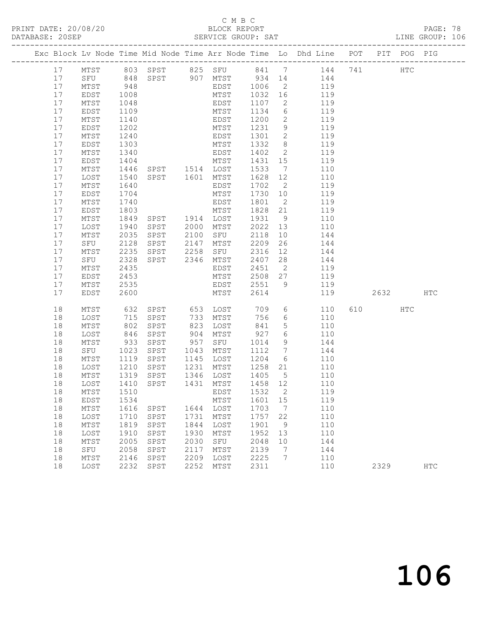### C M B C<br>BLOCK REPORT

| DATABASE: 20SEP |                                    |                      |                                |      |                              |                                   |                 |                                                                                |          |     |            |  |
|-----------------|------------------------------------|----------------------|--------------------------------|------|------------------------------|-----------------------------------|-----------------|--------------------------------------------------------------------------------|----------|-----|------------|--|
|                 |                                    |                      |                                |      |                              |                                   |                 | Exc Block Lv Node Time Mid Node Time Arr Node Time Lo Dhd Line POT PIT POG PIG |          |     |            |  |
| 17              |                                    |                      |                                |      |                              |                                   |                 | MTST 803 SPST 825 SFU 841 7 144 741 HTC                                        |          |     |            |  |
| 17              |                                    |                      |                                |      |                              |                                   |                 | SFU 848 SPST 907 MTST 934 14 144                                               |          |     |            |  |
| 17              | MTST 948<br>EDST 1008<br>MTST 1048 |                      |                                |      |                              |                                   |                 | EDST 1006 2 119<br>MTST 1032 16 119<br>EDST 1107 2 119                         |          |     |            |  |
| 17              |                                    |                      |                                |      |                              |                                   |                 |                                                                                |          |     |            |  |
| 17              |                                    |                      |                                |      | EDST                         |                                   |                 |                                                                                |          |     |            |  |
| 17              | EDST                               | 1109                 |                                |      | MTST                         | 1134                              |                 | 6 119                                                                          |          |     |            |  |
| 17              | MTST                               | 1140                 |                                |      |                              | 1200                              |                 | 2 119                                                                          |          |     |            |  |
| 17              | EDST                               | 1202                 | EDST<br>MTST<br>EDST<br>MTST   |      | EDST 1301 2                  | 1231 9                            |                 | 119                                                                            |          |     |            |  |
| 17              | MTST                               | 1240                 |                                |      |                              |                                   |                 | 119                                                                            |          |     |            |  |
| 17              | EDST                               | 1303                 |                                |      |                              |                                   |                 | 1332 8 119                                                                     |          |     |            |  |
| 17              | MTST                               | 1340                 |                                |      | EDST                         | 1402                              |                 | $\overline{2}$<br>119                                                          |          |     |            |  |
| 17              | EDST                               | 1404<br>1446         | EDST<br>MTST<br>SPST 1514 LOST |      |                              | $\overline{1431}$ $\overline{15}$ |                 | 119                                                                            |          |     |            |  |
| 17<br>17        | MTST                               | 1540                 |                                |      | SPST 1601 MTST               | 1533<br>1628 12                   | $7\overline{ }$ | 110<br>110                                                                     |          |     |            |  |
| 17              | LOST<br>MTST                       | 1640                 |                                |      | EDST                         |                                   |                 | 1702 2 119                                                                     |          |     |            |  |
| 17              | EDST                               |                      |                                |      | MTST                         | 1730 10                           |                 | 119                                                                            |          |     |            |  |
| 17              | MTST                               | 1704<br>1740         |                                |      | EDST                         | 1801 2                            |                 | 119                                                                            |          |     |            |  |
| 17              | EDST                               | 1803                 |                                |      | MTST                         | 1828 21                           |                 | 119                                                                            |          |     |            |  |
| 17              | MTST                               | 1849                 | SPST 1914 LOST                 |      |                              | 1931                              |                 | 9 110                                                                          |          |     |            |  |
| 17              | LOST                               |                      |                                |      |                              |                                   |                 | 2022 13 110                                                                    |          |     |            |  |
| 17              | MTST                               | 1940<br>2035<br>2035 |                                |      |                              | 2118 10                           |                 | 144                                                                            |          |     |            |  |
| 17              | SFU                                | 2128                 | SPST                           |      | 2147 MTST                    | 2209                              |                 | 26 144                                                                         |          |     |            |  |
| 17              | MTST                               | 2235                 |                                |      | SPST 2258 SFU                |                                   |                 | 2316 12 144                                                                    |          |     |            |  |
| 17              | SFU                                | 2328                 |                                |      | SPST 2346 MTST               | 2407 28                           |                 | 144                                                                            |          |     |            |  |
| 17              | MTST                               | 2435                 |                                |      | EDST                         | 2451 2                            |                 | 119                                                                            |          |     |            |  |
| 17              | EDST                               | 2453                 |                                |      | MTST                         |                                   |                 | 2508 27 119                                                                    |          |     |            |  |
| 17              | MTST                               | 2535                 |                                |      |                              |                                   |                 | EDST 2551 9 119                                                                |          |     |            |  |
| 17              | EDST                               | 2600                 |                                |      | MTST                         | 2614                              |                 | 119                                                                            | 2632 HTC |     |            |  |
| 18              | MTST                               | 632                  |                                |      | SPST 653 LOST                | 709                               |                 | $6\overline{6}$<br>110                                                         | 610 000  | HTC |            |  |
| 18              | LOST                               | 715                  | SPST                           |      | 733 MTST                     | 756                               |                 | 6 110                                                                          |          |     |            |  |
| 18              | MTST                               | 802<br>846<br>933    | SPST                           |      | 823 LOST                     | 841                               | 5 <sup>5</sup>  | 110                                                                            |          |     |            |  |
| 18              | LOST                               |                      | SPST                           |      |                              |                                   | $6\overline{6}$ | 110                                                                            |          |     |            |  |
| 18              | MTST                               |                      | SPST                           |      | 904 MTST 927<br>957 SFU 1014 |                                   |                 | 9<br>144                                                                       |          |     |            |  |
| 18              | SFU 1023                           |                      | SPST 1043 MTST                 |      |                              |                                   |                 | 1112 7 144                                                                     |          |     |            |  |
| 18              | MTST                               | 1119                 | SPST                           |      | 1145 LOST                    |                                   |                 | 1204 6 110                                                                     |          |     |            |  |
| 18              | LOST                               |                      | 1210 SPST<br>1319 SPST<br>SPST |      | 1231 MTST<br>1346 LOST       | 1258   21<br>1405   5             |                 | 110                                                                            |          |     |            |  |
| 18              | MTST                               |                      |                                |      |                              |                                   |                 | 110                                                                            |          |     |            |  |
|                 |                                    |                      |                                |      |                              |                                   |                 | 18 LOST 1410 SPST 1431 MTST 1458 12 110<br>119                                 |          |     |            |  |
| 18<br>18        | MTST<br>EDST                       | 1510<br>1534         |                                |      | EDST<br>MTST                 | 1532<br>1601                      | 2<br>15         | 119                                                                            |          |     |            |  |
| 18              | MTST                               | 1616                 | SPST                           |      | 1644 LOST                    | 1703                              | $\overline{7}$  | 110                                                                            |          |     |            |  |
| 18              | LOST                               | 1710                 | SPST                           | 1731 | MTST                         | 1757                              | 22              | 110                                                                            |          |     |            |  |
| 18              | MTST                               | 1819                 | SPST                           | 1844 | LOST                         | 1901                              | - 9             | 110                                                                            |          |     |            |  |
| 18              | LOST                               | 1910                 | SPST                           | 1930 | MTST                         | 1952                              | 13              | 110                                                                            |          |     |            |  |
| 18              | MTST                               | 2005                 | SPST                           | 2030 | SFU                          | 2048                              | 10              | 144                                                                            |          |     |            |  |
| 18              | SFU                                | 2058                 | SPST                           | 2117 | MTST                         | 2139                              | $7\phantom{.0}$ | 144                                                                            |          |     |            |  |
| 18              | MTST                               | 2146                 | SPST                           | 2209 | LOST                         | 2225                              | 7               | 110                                                                            |          |     |            |  |
| 18              | LOST                               | 2232                 | SPST                           | 2252 | MTST                         | 2311                              |                 | 110                                                                            | 2329     |     | <b>HTC</b> |  |
|                 |                                    |                      |                                |      |                              |                                   |                 |                                                                                |          |     |            |  |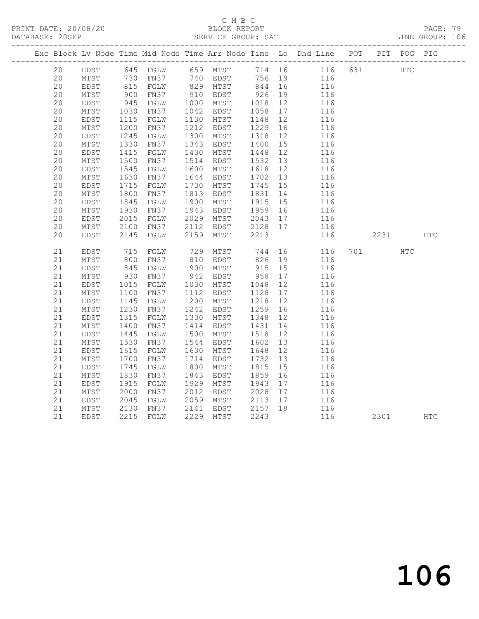## C M B C<br>BLOCK REPORT

PAGE: 79<br>LINE GROUP: 106

|  |    |                 |                 |      |      |                   |         |    | Exc Block Lv Node Time Mid Node Time Arr Node Time Lo Dhd Line POT PIT POG PIG |     |      |            |            |
|--|----|-----------------|-----------------|------|------|-------------------|---------|----|--------------------------------------------------------------------------------|-----|------|------------|------------|
|  | 20 | EDST            |                 |      |      | 645 FGLW 659 MTST |         |    | 714 16 116 631                                                                 |     | HTC  |            |            |
|  | 20 | MTST            |                 |      |      | FN37 740 EDST     |         |    | 756 19<br>116                                                                  |     |      |            |            |
|  | 20 | EDST            | 730<br>815      | FGLW |      | 829 MTST          | 844 16  |    | 116                                                                            |     |      |            |            |
|  | 20 | MTST            | 900             | FN37 |      | 910 EDST          | 926     | 19 | 116                                                                            |     |      |            |            |
|  | 20 | EDST            |                 | FGLW | 1000 | MTST              | 1018    | 12 | 116                                                                            |     |      |            |            |
|  | 20 | MTST            | 945<br>1030     | FN37 | 1042 | EDST              | 1058    | 17 | 116                                                                            |     |      |            |            |
|  | 20 | EDST            | 1115            | FGLW | 1130 | MTST              | 1148    | 12 | 116                                                                            |     |      |            |            |
|  | 20 | $\mathtt{MTST}$ | 1200            | FN37 | 1212 | EDST              | 1229    | 16 | 116                                                                            |     |      |            |            |
|  | 20 | EDST            | 1245            | FGLW | 1300 | MTST              | 1318    | 12 | 116                                                                            |     |      |            |            |
|  | 20 | MTST            | 1330            | FN37 | 1343 | EDST              | 1400    | 15 | 116                                                                            |     |      |            |            |
|  | 20 | EDST            | 1415            | FGLW | 1430 | MTST              | 1448    | 12 | 116                                                                            |     |      |            |            |
|  | 20 | MTST            | 1500            | FN37 | 1514 | EDST              | 1532    | 13 | 116                                                                            |     |      |            |            |
|  | 20 | EDST            | 1545            | FGLW | 1600 | MTST              | 1618    | 12 | 116                                                                            |     |      |            |            |
|  | 20 | MTST            | 1630            | FN37 | 1644 | EDST              | 1702    | 13 | 116                                                                            |     |      |            |            |
|  | 20 | EDST            | 1715            | FGLW | 1730 | MTST              | 1745    | 15 | 116                                                                            |     |      |            |            |
|  | 20 | $\mathtt{MTST}$ | 1800            | FN37 | 1813 | EDST              | 1831    | 14 | 116                                                                            |     |      |            |            |
|  | 20 | EDST            | 1845            | FGLW | 1900 | MTST              | 1915    | 15 | 116                                                                            |     |      |            |            |
|  | 20 | $\mathtt{MTST}$ | 1930            | FN37 | 1943 | EDST              | 1959    | 16 | 116                                                                            |     |      |            |            |
|  | 20 | EDST            | 2015            | FGLW | 2029 | MTST              | 2043    | 17 | 116                                                                            |     |      |            |            |
|  | 20 | MTST            | 2100            | FN37 | 2112 | EDST              | 2128 17 |    | 116                                                                            |     |      |            |            |
|  | 20 | EDST            | 2145            | FGLW | 2159 | MTST              | 2213    |    | 116                                                                            |     | 2231 |            | <b>HTC</b> |
|  |    |                 |                 |      |      |                   |         |    |                                                                                |     |      |            |            |
|  | 21 | EDST            | 715             | FGLW | 729  | MTST              | 744     | 16 | 116                                                                            | 701 |      | <b>HTC</b> |            |
|  | 21 | MTST            | 800             | FN37 | 810  | EDST              | 826     | 19 | 116                                                                            |     |      |            |            |
|  | 21 | EDST            | 845             | FGLW | 900  | MTST              | 915     | 15 | 116                                                                            |     |      |            |            |
|  | 21 | $\mathtt{MTST}$ | $930$<br>$1015$ | FN37 | 942  | EDST              | 958     | 17 | 116                                                                            |     |      |            |            |
|  | 21 | EDST            | 1015            | FGLW | 1030 | MTST              | 1048    | 12 | 116                                                                            |     |      |            |            |
|  | 21 | MTST            | 1100            | FN37 | 1112 | EDST              | 1128    | 17 | 116                                                                            |     |      |            |            |
|  | 21 | EDST            | 1145            | FGLW | 1200 | MTST              | 1218    | 12 | 116                                                                            |     |      |            |            |
|  | 21 | $\mathtt{MTST}$ | 1230            | FN37 | 1242 | EDST              | 1259    | 16 | 116                                                                            |     |      |            |            |
|  | 21 | EDST            | 1315            | FGLW | 1330 | MTST              | 1348    | 12 | 116                                                                            |     |      |            |            |
|  | 21 | MTST            | 1400            | FN37 | 1414 | EDST              | 1431    | 14 | 116                                                                            |     |      |            |            |
|  | 21 | EDST            | 1445            | FGLW | 1500 | MTST              | 1518    | 12 | 116                                                                            |     |      |            |            |
|  | 21 | $\mathtt{MTST}$ | 1530            | FN37 | 1544 | EDST              | 1602    | 13 | 116                                                                            |     |      |            |            |
|  | 21 | EDST            | 1615            | FGLW | 1630 | MTST              | 1648    | 12 | 116                                                                            |     |      |            |            |
|  | 21 | MTST            | 1700            | FN37 | 1714 | EDST              | 1732    | 13 | 116                                                                            |     |      |            |            |
|  | 21 | EDST            | 1745            | FGLW | 1800 | MTST              | 1815    | 15 | 116                                                                            |     |      |            |            |
|  | 21 | $\mathtt{MTST}$ | 1830            | FN37 | 1843 | EDST              | 1859    | 16 | 116                                                                            |     |      |            |            |
|  | 21 | EDST            | 1915            | FGLW | 1929 | MTST              | 1943    | 17 | 116                                                                            |     |      |            |            |
|  | 21 | $\mathtt{MTST}$ | 2000            | FN37 | 2012 | EDST              | 2028    | 17 | 116                                                                            |     |      |            |            |
|  | 21 | EDST            | 2045            | FGLW | 2059 | MTST              | 2113    | 17 | 116                                                                            |     |      |            |            |
|  | 21 | MTST            | 2130            | FN37 | 2141 | EDST              | 2157 18 |    | 116                                                                            |     |      |            |            |
|  | 21 | EDST            | 2215            | FGLW |      | 2229 MTST         | 2243    |    | 116                                                                            |     | 2301 |            | <b>HTC</b> |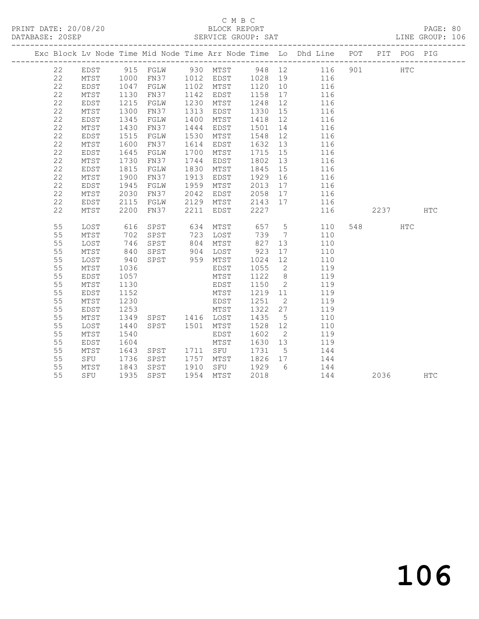## C M B C<br>BLOCK REPORT

PAGE: 80<br>LINE GROUP: 106

|    |      |      |                   |            |           |      |                | Exc Block Lv Node Time Mid Node Time Arr Node Time Lo Dhd Line POT |      | PIT POG PIG |     |
|----|------|------|-------------------|------------|-----------|------|----------------|--------------------------------------------------------------------|------|-------------|-----|
| 22 | EDST |      | 915 FGLW 930 MTST |            |           |      |                | 948 12 116 901                                                     |      | <b>HTC</b>  |     |
| 22 | MTST | 1000 | FN37 1012 EDST    |            |           |      |                |                                                                    |      |             |     |
| 22 | EDST | 1047 | FGLW              |            | 1102 MTST |      |                | 1028  19  116<br>1120  10  116                                     |      |             |     |
| 22 | MTST | 1130 | FN37              | 1142       | EDST      | 1158 | 17             | 116                                                                |      |             |     |
| 22 | EDST | 1215 | FGLW              | 1230       | MTST      | 1248 | 12             | 116                                                                |      |             |     |
| 22 | MTST | 1300 | FN37              | 1313       | EDST      | 1330 | 15             | 116                                                                |      |             |     |
| 22 | EDST | 1345 | FGLW              | 1400       | MTST      | 1418 | 12             | 116                                                                |      |             |     |
| 22 | MTST | 1430 | FN37              | 1444       | EDST      | 1501 | 14             | 116                                                                |      |             |     |
| 22 | EDST | 1515 | FGLW              | 1530       | MTST      | 1548 | 12             | 116                                                                |      |             |     |
| 22 | MTST | 1600 | FN37              | 1614       | EDST      | 1632 | 13             | 116                                                                |      |             |     |
| 22 | EDST | 1645 | FGLW              | 1700       | MTST      | 1715 | 15             | 116                                                                |      |             |     |
| 22 | MTST | 1730 | FN37              | 1744       | EDST      | 1802 | 13             | 116                                                                |      |             |     |
| 22 | EDST | 1815 | FGLW              | 1830       | MTST      | 1845 | 15             | 116                                                                |      |             |     |
| 22 | MTST | 1900 | FN37              | 1913       | EDST      | 1929 | 16             | 116                                                                |      |             |     |
| 22 | EDST | 1945 | FGLW              | 1959       | MTST      | 2013 | 17             | 116                                                                |      |             |     |
| 22 | MTST | 2030 | FN37              | 2042       | EDST      | 2058 | 17             | 116                                                                |      |             |     |
| 22 | EDST | 2115 | FGLW              |            | 2129 MTST | 2143 | 17             | 116                                                                |      |             |     |
| 22 | MTST | 2200 | FN37              |            | 2211 EDST | 2227 |                | 116                                                                | 2237 |             | HTC |
| 55 | LOST | 616  | SPST              |            | MTST      | 657  | 5 <sub>5</sub> | 110                                                                |      | HTC         |     |
| 55 | MTST | 702  | SPST              | 634<br>723 | LOST      | 739  | $\overline{7}$ | 110                                                                |      |             |     |
| 55 | LOST | 746  | SPST              | 804        | MTST      | 827  | 13             | 110                                                                |      |             |     |
| 55 | MTST |      | 840 SPST          |            | 904 LOST  | 923  | 17             | 110                                                                |      |             |     |
| 55 | LOST | 940  | SPST              |            | 959 MTST  | 1024 | 12             | 110                                                                |      |             |     |
| 55 | MTST | 1036 |                   |            | EDST      | 1055 | $\overline{2}$ | 119                                                                |      |             |     |
| 55 | EDST | 1057 |                   |            | MTST      | 1122 | 8 <sup>8</sup> | 119                                                                |      |             |     |
| 55 | MTST | 1130 |                   |            | EDST      | 1150 | $\overline{2}$ | 119                                                                |      |             |     |
| 55 | EDST | 1152 |                   |            | MTST      | 1219 | 11             | 119                                                                |      |             |     |
| 55 | MTST | 1230 |                   |            | EDST      | 1251 | $\overline{2}$ | 119                                                                |      |             |     |
| 55 | EDST | 1253 |                   |            | MTST      | 1322 | 27             | 119                                                                |      |             |     |
| 55 | MTST | 1349 | SPST 1416 LOST    |            |           | 1435 | $5^{\circ}$    | 110                                                                |      |             |     |
| 55 | LOST | 1440 | SPST 1501 MTST    |            |           | 1528 | 12             | 110                                                                |      |             |     |
| 55 | MTST | 1540 |                   |            | EDST      | 1602 | $\overline{2}$ | 119                                                                |      |             |     |
| 55 | EDST | 1604 |                   |            | MTST      | 1630 | 13             | 119                                                                |      |             |     |
| 55 | MTST | 1643 | SPST 1711 SFU     |            |           | 1731 | $5^{\circ}$    | 144                                                                |      |             |     |
| 55 | SFU  | 1736 | SPST              |            | 1757 MTST | 1826 | 17             | 144                                                                |      |             |     |
| 55 | MTST | 1843 | SPST              |            | 1910 SFU  | 1929 | 6              | 144                                                                |      |             |     |
| 55 | SFU  | 1935 | SPST              |            | 1954 MTST | 2018 |                | 144                                                                | 2036 |             | HTC |

# 106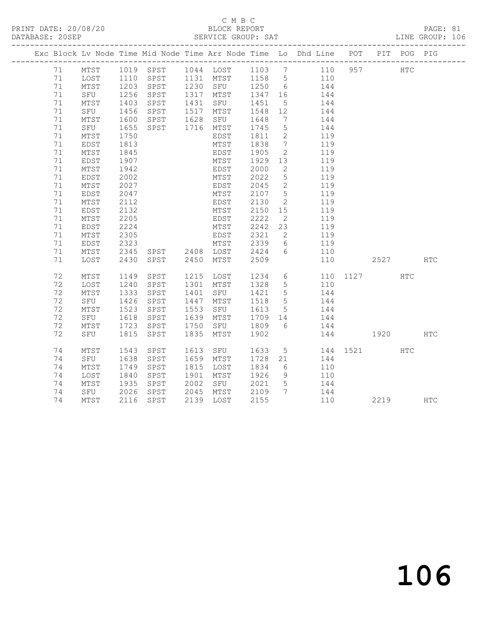## C M B C

| DATABASE: 20SEP |                 |                     |           |      | SERVICE GROUP: SAT |         |                              |                                                                                |          |         |     | LINE GROUP: 106 |
|-----------------|-----------------|---------------------|-----------|------|--------------------|---------|------------------------------|--------------------------------------------------------------------------------|----------|---------|-----|-----------------|
|                 |                 |                     |           |      |                    |         |                              | Exc Block Lv Node Time Mid Node Time Arr Node Time Lo Dhd Line POT PIT POG PIG |          |         |     |                 |
| 71              | MTST            |                     | 1019 SPST |      | 1044 LOST 1103 7   |         |                              | 110                                                                            |          | 957 HTC |     |                 |
| 71              | LOST            | 1110                | SPST      |      | 1131 MTST          | 1158 5  |                              | 110                                                                            |          |         |     |                 |
| 71              | MTST            | 1203                | SPST      |      | 1230 SFU 1250 6    |         |                              | 144                                                                            |          |         |     |                 |
| 71              | SFU             | $\frac{1256}{1403}$ | SPST      |      | 1317 MTST          | 1347    | 16                           | 144                                                                            |          |         |     |                 |
| 71              | MTST            | 1403                | SPST      |      | 1431 SFU           | 1451    | $5\overline{)}$              | 144                                                                            |          |         |     |                 |
| 71              | SFU             | 1456                | SPST      | 1517 | MTST               | 1548 12 |                              | 144                                                                            |          |         |     |                 |
| 71              | MTST            | 1600                | SPST      | 1628 | SFU                | 1648    | 7                            | 144                                                                            |          |         |     |                 |
| 71              | SFU             | 1655                | SPST      |      | 1716 MTST          | 1745    | $5\phantom{.0}$              | 144                                                                            |          |         |     |                 |
| 71              | $\mathtt{MTST}$ | 1750                |           |      | EDST               | 1811    | 2                            | 119                                                                            |          |         |     |                 |
| 71              | EDST            | 1813                |           |      | MTST               | 1838    | $7\phantom{.0}\phantom{.0}7$ | 119                                                                            |          |         |     |                 |
| 71              | MTST            | 1845                |           |      | EDST               | 1905    | 2                            | 119                                                                            |          |         |     |                 |
| 71              | EDST            | 1907                |           |      | MTST               | 1929    | 13                           | 119                                                                            |          |         |     |                 |
| 71              | MTST            | 1942                |           |      | EDST               | 2000    | $\mathbf{2}$                 | 119                                                                            |          |         |     |                 |
| 71              | EDST            | 2002                |           |      | MTST               | 2022    | $5\phantom{.0}$              | 119                                                                            |          |         |     |                 |
| 71              | MTST            | 2027                |           |      | EDST               | 2045    | $\overline{2}$               | 119                                                                            |          |         |     |                 |
| 71              | EDST            | 2047                |           |      | MTST               | 2107    | $5^{\circ}$                  | 119                                                                            |          |         |     |                 |
| 71              | MTST            | 2112                |           |      | EDST               | 2130    | 2                            | 119                                                                            |          |         |     |                 |
| 71              | EDST            | 2132                |           |      | MTST               | 2150    | 15                           | 119                                                                            |          |         |     |                 |
| 71              | MTST            | 2205                |           |      | EDST               | 2222    | 2                            | 119                                                                            |          |         |     |                 |
| 71              | EDST            | 2224                |           |      | MTST               | 2242    | 23                           | 119                                                                            |          |         |     |                 |
| 71              | MTST            | 2305                |           |      | EDST               | 2321    | 2                            | 119                                                                            |          |         |     |                 |
| 71              | EDST            | 2323                |           |      | MTST               | 2339    | 6                            | 119                                                                            |          |         |     |                 |
| 71              | MTST            | 2345                |           |      |                    | 2424    | 6                            | 110                                                                            |          |         |     |                 |
| 71              | LOST            | 2430                | SPST      | 2450 | MTST               | 2509    |                              | 110                                                                            |          | 2527    |     | <b>HTC</b>      |
| 72              | MTST            | 1149                | SPST      |      | 1215 LOST          | 1234    | $6\overline{6}$              |                                                                                | 110 1127 |         | HTC |                 |
| 72              | LOST            | 1240                | SPST      | 1301 | MTST               | 1328    | $5\overline{)}$              | 110                                                                            |          |         |     |                 |
| 72              | MTST            | 1333                | SPST      | 1401 | SFU                | 1421    | 5                            | 144                                                                            |          |         |     |                 |
| 72              | SFU             | 1426                | SPST      | 1447 | MTST               | 1518    | $5\overline{)}$              | 144                                                                            |          |         |     |                 |
| 72              | MTST            | 1523                | SPST      | 1553 | SFU                | 1613    | $5\overline{)}$              | 144                                                                            |          |         |     |                 |
| 72              | SFU             | 1618                | SPST      | 1639 | MTST               | 1709    | 14                           | 144                                                                            |          |         |     |                 |
| 72              | MTST            | 1723                | SPST      | 1750 | SFU                | 1809    | 6                            | 144                                                                            |          |         |     |                 |
| 72              | SFU             | 1815                | SPST      | 1835 | MTST               | 1902    |                              | 144                                                                            | 1920     |         |     | <b>HTC</b>      |
| 74              | MTST            | 1543                | SPST      |      | 1613 SFU           | 1633    | 5 <sup>5</sup>               |                                                                                | 144 1521 |         | HTC |                 |
| 74              | SFU             | 1638                | SPST      | 1659 | MTST               | 1728    | 21                           | 144                                                                            |          |         |     |                 |
| 74              | MTST            | 1749                | SPST      | 1815 | LOST               | 1834    | 6                            | 110                                                                            |          |         |     |                 |
| 74              | LOST            | 1840                | SPST      | 1901 | MTST               | 1926    | 9                            | 110                                                                            |          |         |     |                 |
| 74              | MTST            | 1935                | SPST      | 2002 | SFU                | 2021    | 5                            | 144                                                                            |          |         |     |                 |
| 74              | SFU             | 2026                | SPST      | 2045 | MTST               | 2109    | $7\phantom{0}$               | 144                                                                            |          |         |     |                 |
| 74              | MTST            | 2116                | SPST      |      | 2139 LOST          | 2155    |                              | 110                                                                            |          | 2219    |     | <b>HTC</b>      |

106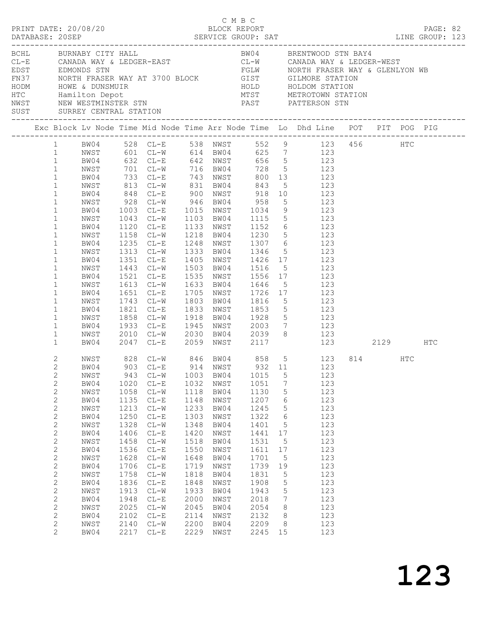|              | BCHL BURNABY CITY HALL |      |                        |      |      |         |                 | BW04 BRENTWOOD STN BAY4<br>ENGANDA WAY & LEDGER-EAST<br>CL-E<br>CONADA WAY & LEDGER-EAST<br>EDST<br>EDST<br>EDMONDS STN<br>NORTH FRASER WAY AT 3700 BLOCK<br>HOLD<br>HOLD<br>HOLD HOLDOM STATION<br>HOLD HOLDOM STATION<br>HOLD HOLDOM STATION<br>NET METROTOWN STATION<br>NEST NEW |          |  |  |
|--------------|------------------------|------|------------------------|------|------|---------|-----------------|-------------------------------------------------------------------------------------------------------------------------------------------------------------------------------------------------------------------------------------------------------------------------------------|----------|--|--|
|              |                        |      |                        |      |      |         |                 | Exc Block Lv Node Time Mid Node Time Arr Node Time Lo Dhd Line POT PIT POG PIG                                                                                                                                                                                                      |          |  |  |
|              |                        |      |                        |      |      |         |                 |                                                                                                                                                                                                                                                                                     |          |  |  |
|              |                        |      |                        |      |      |         |                 | 1 BW04 528 CL-E 538 NWST 552 9 123 456 HTC<br>1 NWST 601 CL-W 614 BW04 625 7 123                                                                                                                                                                                                    |          |  |  |
|              |                        |      |                        |      |      |         |                 |                                                                                                                                                                                                                                                                                     |          |  |  |
|              |                        |      |                        |      |      |         |                 | 1 BW04 632 CL-E 642 NWST 656 5 123                                                                                                                                                                                                                                                  |          |  |  |
| 1            |                        |      |                        |      |      |         |                 | NWST 701 CL-W 716 BW04 728 5 123<br>BW04 733 CL-E 743 NWST 800 13 123<br>NWST 813 CL-W 831 BW04 843 5 123<br>BW04 848 CL-E 900 NWST 918 10 123                                                                                                                                      |          |  |  |
| $\mathbf{1}$ |                        |      |                        |      |      |         |                 |                                                                                                                                                                                                                                                                                     |          |  |  |
| $\mathbf{1}$ |                        |      |                        |      |      |         |                 |                                                                                                                                                                                                                                                                                     |          |  |  |
| $\mathbf{1}$ |                        |      |                        |      |      |         |                 |                                                                                                                                                                                                                                                                                     |          |  |  |
| $\mathbf{1}$ | NWST                   |      | 928 CL-W 946 BW04 958  |      |      |         |                 | 5 123                                                                                                                                                                                                                                                                               |          |  |  |
| $\mathbf{1}$ | BW04                   |      |                        |      |      |         |                 | 1003 CL-E 1015 NWST 1034 9 123<br>1043 CL-W 1103 BW04 1115 5 123                                                                                                                                                                                                                    |          |  |  |
| $\mathbf{1}$ | NWST                   |      |                        |      |      |         |                 |                                                                                                                                                                                                                                                                                     |          |  |  |
| $\mathbf{1}$ | BW04                   |      |                        |      |      |         |                 | 1120 CL-E 1133 NWST 1152 6 123                                                                                                                                                                                                                                                      |          |  |  |
| $\mathbf{1}$ | NWST                   |      | 1158 CL-W              |      |      |         |                 | 1218 BW04 1230 5 123                                                                                                                                                                                                                                                                |          |  |  |
| $\mathbf{1}$ | BW04                   |      | 1235 CL-E              |      |      |         |                 |                                                                                                                                                                                                                                                                                     |          |  |  |
| $\mathbf 1$  | NWST                   |      | 1313 CL-W              |      |      |         |                 | 1248 NWST 1307 6 123<br>1333 BW04 1346 5 123                                                                                                                                                                                                                                        |          |  |  |
| $\mathbf{1}$ | BW04                   | 1351 | $CL-E$                 |      |      |         |                 | 1405 NWST 1426 17 123                                                                                                                                                                                                                                                               |          |  |  |
| $\mathbf{1}$ | NWST                   |      | 1443 CL-W              |      |      |         |                 | 1503 BW04 1516 5 123                                                                                                                                                                                                                                                                |          |  |  |
| $\mathbf{1}$ |                        |      |                        |      |      |         |                 |                                                                                                                                                                                                                                                                                     |          |  |  |
|              | BW04                   | 1521 | $CL-E$                 |      |      |         |                 | 1535 NWST 1556 17 123                                                                                                                                                                                                                                                               |          |  |  |
| $\mathbf{1}$ | NWST                   |      | 1613 CL-W<br>1651 CL-E |      |      |         |                 | 1633 BW04 1646 5 123<br>1705 NWST 1726 17 123                                                                                                                                                                                                                                       |          |  |  |
| $\mathbf{1}$ | BW04                   |      |                        |      |      |         |                 |                                                                                                                                                                                                                                                                                     |          |  |  |
| $\mathbf{1}$ | NWST                   |      | 1743 CL-W              |      |      |         |                 | 1803 BW04 1816 5 123                                                                                                                                                                                                                                                                |          |  |  |
| $\mathbf{1}$ | BW04                   |      | 1821 CL-E              |      |      |         |                 | 1821 CL-E 1833 NWST 1853 5 123<br>1858 CL-W 1918 BW04 1928 5 123<br>1933 CL-E 1945 NWST 2003 7 123                                                                                                                                                                                  |          |  |  |
| $\mathbf 1$  | NWST                   |      |                        |      |      |         |                 |                                                                                                                                                                                                                                                                                     |          |  |  |
| $\mathbf{1}$ | BW04                   |      |                        |      |      |         |                 |                                                                                                                                                                                                                                                                                     |          |  |  |
| $\mathbf{1}$ | NWST                   |      |                        |      |      |         |                 | 2010 CL-W 2030 BW04 2039 8 123                                                                                                                                                                                                                                                      |          |  |  |
| $\mathbf{1}$ | BW04                   |      |                        |      |      |         |                 | 2047 CL-E 2059 NWST 2117 123                                                                                                                                                                                                                                                        | 2129 HTC |  |  |
| 2            |                        |      |                        |      |      |         |                 | NWST 828 CL-W 846 BW04 858 5 123 814 HTC                                                                                                                                                                                                                                            |          |  |  |
| $\mathbf{2}$ |                        |      |                        |      |      |         |                 | BW04 903 CL-E 914 NWST 932 11 123                                                                                                                                                                                                                                                   |          |  |  |
| $\mathbf{2}$ | NWST                   |      | 943 CL-W               | 1003 | BW04 | 1015    | 5               | 123                                                                                                                                                                                                                                                                                 |          |  |  |
| $\mathbf{2}$ | BW04                   | 1020 | $CL-E$                 | 1032 | NWST | 1051    | $7\phantom{.0}$ | 123                                                                                                                                                                                                                                                                                 |          |  |  |
| $\mathbf{2}$ | NWST                   | 1058 | $CL-W$                 | 1118 | BW04 | 1130    | $\mathsf S$     | 123                                                                                                                                                                                                                                                                                 |          |  |  |
| $\mathbf{2}$ | BW04                   | 1135 | $CL-E$                 | 1148 | NWST | 1207    | 6               | 123                                                                                                                                                                                                                                                                                 |          |  |  |
| $\mathbf{2}$ | NWST                   | 1213 | $CL-W$                 | 1233 | BW04 | 1245    |                 | 123                                                                                                                                                                                                                                                                                 |          |  |  |
| $\mathbf{2}$ |                        | 1250 |                        | 1303 |      | 1322    | 5<br>6          | 123                                                                                                                                                                                                                                                                                 |          |  |  |
|              | BW04                   |      | $CL-E$                 |      | NWST |         |                 |                                                                                                                                                                                                                                                                                     |          |  |  |
| $\sqrt{2}$   | NWST                   | 1328 | $CL-W$                 | 1348 | BW04 | 1401    | $5\phantom{.0}$ | 123                                                                                                                                                                                                                                                                                 |          |  |  |
| $\mathbf{2}$ | BW04                   | 1406 | $CL-E$                 | 1420 | NWST | 1441 17 |                 | 123                                                                                                                                                                                                                                                                                 |          |  |  |
| $\mathbf{2}$ | NWST                   | 1458 | $CL - W$               | 1518 | BW04 | 1531    | $5\phantom{0}$  | 123                                                                                                                                                                                                                                                                                 |          |  |  |
| $\mathbf{2}$ | BW04                   | 1536 | $CL-E$                 | 1550 | NWST | 1611    | 17              | 123                                                                                                                                                                                                                                                                                 |          |  |  |
| $\sqrt{2}$   | NWST                   | 1628 | $CL-W$                 | 1648 | BW04 | 1701    | $5\phantom{.0}$ | 123                                                                                                                                                                                                                                                                                 |          |  |  |
| $\mathbf{2}$ | BW04                   | 1706 | $CL-E$                 | 1719 | NWST | 1739    | 19              | 123                                                                                                                                                                                                                                                                                 |          |  |  |
| $\sqrt{2}$   | NWST                   | 1758 | $CL-W$                 | 1818 | BW04 | 1831    | 5               | 123                                                                                                                                                                                                                                                                                 |          |  |  |
| $\mathbf{2}$ | BW04                   | 1836 | $CL-E$                 | 1848 | NWST | 1908    | $5\phantom{.0}$ | 123                                                                                                                                                                                                                                                                                 |          |  |  |
| $\sqrt{2}$   | NWST                   | 1913 | $CL-W$                 | 1933 | BW04 | 1943    | $5\phantom{.0}$ | 123                                                                                                                                                                                                                                                                                 |          |  |  |
| $\mathbf{2}$ | BW04                   | 1948 | $CL-E$                 | 2000 | NWST | 2018    | $\overline{7}$  | 123                                                                                                                                                                                                                                                                                 |          |  |  |
| $\mathbf{2}$ | NWST                   | 2025 | $CL-W$                 | 2045 | BW04 | 2054    | 8 <sup>8</sup>  | 123                                                                                                                                                                                                                                                                                 |          |  |  |
| $\mathbf{2}$ | BW04                   | 2102 | $CL-E$                 | 2114 | NWST | 2132    | 8 <sup>8</sup>  | 123                                                                                                                                                                                                                                                                                 |          |  |  |
| $\mathbf{2}$ | NWST                   | 2140 | $CL-W$                 | 2200 | BW04 | 2209    | 8               | 123                                                                                                                                                                                                                                                                                 |          |  |  |
| 2            | BW04                   |      | 2217 CL-E              | 2229 | NWST | 2245 15 |                 | 123                                                                                                                                                                                                                                                                                 |          |  |  |
|              |                        |      |                        |      |      |         |                 |                                                                                                                                                                                                                                                                                     |          |  |  |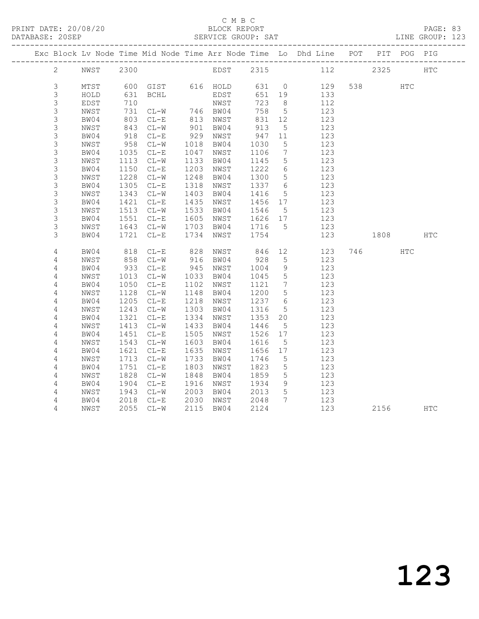#### C M B C<br>BLOCK REPORT

PAGE: 83<br>LINE GROUP: 123

|                            |              |            |                     |      |                      |            |                      | Exc Block Lv Node Time Mid Node Time Arr Node Time Lo Dhd Line POT PIT POG PIG |          |     |     |
|----------------------------|--------------|------------|---------------------|------|----------------------|------------|----------------------|--------------------------------------------------------------------------------|----------|-----|-----|
| $\overline{2}$             | NWST         | 2300       |                     |      |                      |            |                      | EDST 2315 112                                                                  | 2325     |     | HTC |
| 3                          | MTST         | 600        |                     |      |                      |            |                      | 129                                                                            | 538 HTC  |     |     |
| 3                          |              |            | GIST 616 HOLD 631 0 |      |                      |            |                      |                                                                                |          |     |     |
|                            | HOLD         | 631        | BCHL                |      | EDST                 | 651        | 19<br>8 <sup>8</sup> | 133                                                                            |          |     |     |
| $\mathsf S$<br>$\mathsf 3$ | EDST         | 710<br>731 |                     |      | NWST                 | 723<br>758 | $5\overline{)}$      | 112<br>123                                                                     |          |     |     |
| 3                          | NWST<br>BW04 | 803        | $CL-W$<br>$CL-E$    |      | 746 BW04<br>813 NWST | 831        | 12                   | 123                                                                            |          |     |     |
| $\mathsf S$                |              | 843        | $CL-W$              | 901  |                      | 913        | $5\overline{)}$      | 123                                                                            |          |     |     |
| $\mathsf S$                | NWST<br>BW04 | 918        | $CL-E$              | 929  | BW04<br>NWST         | 947        | 11                   | 123                                                                            |          |     |     |
| 3                          | NWST         | 958        | $CL-W$              | 1018 | BW04                 | 1030       | 5                    | 123                                                                            |          |     |     |
| 3                          | BW04         | 1035       | $CL-E$              | 1047 | NWST                 | 1106       | $7\phantom{.0}$      | 123                                                                            |          |     |     |
| $\mathsf 3$                | NWST         | 1113       | $CL-W$              | 1133 | BW04                 | 1145       | 5                    | 123                                                                            |          |     |     |
| $\mathsf S$                | BW04         | 1150       | $CL-E$              | 1203 | NWST                 | 1222       | 6                    | 123                                                                            |          |     |     |
| $\mathsf 3$                | NWST         | 1228       | $CL-W$              | 1248 | BW04                 | 1300       | $5\phantom{.0}$      | 123                                                                            |          |     |     |
| $\mathsf S$                | BW04         | 1305       | $CL-E$              | 1318 | NWST                 | 1337       | $6\overline{6}$      | 123                                                                            |          |     |     |
| 3                          | NWST         | 1343       | $CL-W$              | 1403 | BW04                 | 1416       | $5\overline{)}$      | 123                                                                            |          |     |     |
| 3                          | BW04         | 1421       | $CL-E$              | 1435 | NWST                 | 1456       | 17                   | 123                                                                            |          |     |     |
| 3                          | NWST         | 1513       | $CL-W$              | 1533 | BW04                 | 1546       | $5^{\circ}$          | 123                                                                            |          |     |     |
| $\mathsf S$                | BW04         | 1551       | $CL-E$              | 1605 | NWST                 | 1626 17    |                      | 123                                                                            |          |     |     |
| 3                          | NWST         | 1643       | $CL-W$              | 1703 | BW04                 | 1716       | $5^{\circ}$          | 123                                                                            |          |     |     |
| 3                          | BW04         | 1721       | $CL-E$              | 1734 | NWST                 | 1754       |                      | 123                                                                            | 1808     |     | HTC |
|                            |              |            |                     |      |                      |            |                      |                                                                                |          |     |     |
| 4                          | BW04         | 818        | $CL-E$              | 828  | NWST                 | 846        | 12                   | 123                                                                            | 746      | HTC |     |
| 4                          | NWST         | 858        | $CL-W$              | 916  | BW04                 | 928        | 5                    | 123                                                                            |          |     |     |
| 4                          | BW04         | 933        | $CL-E$              | 945  | NWST                 | 1004       | 9                    | 123                                                                            |          |     |     |
| $\sqrt{4}$                 | NWST         | 1013       | $CL-W$              | 1033 | BW04                 | 1045       | $5\overline{)}$      | 123                                                                            |          |     |     |
| $\sqrt{4}$                 | BW04         | 1050       | $CL-E$              | 1102 | NWST                 | 1121       | 7                    | 123                                                                            |          |     |     |
| 4                          | NWST         | 1128       | $CL-W$              | 1148 | BW04                 | 1200       | $5\overline{)}$      | 123                                                                            |          |     |     |
| $\overline{4}$             | BW04         | 1205       | $CL-E$              | 1218 | NWST                 | 1237       | $6\overline{6}$      | 123                                                                            |          |     |     |
| 4                          | NWST         | 1243       | $CL-W$              | 1303 | BW04                 | 1316       | 5                    | 123                                                                            |          |     |     |
| 4                          | BW04         | 1321       | $CL-E$              | 1334 | NWST                 | 1353       | 20                   | 123                                                                            |          |     |     |
| 4                          | NWST         | 1413       | $CL-W$              | 1433 | BW04                 | 1446       | $5\overline{)}$      | 123                                                                            |          |     |     |
| $\overline{4}$             | BW04         | 1451       | $CL-E$              | 1505 | NWST                 | 1526       | 17                   | 123                                                                            |          |     |     |
| $\sqrt{4}$                 | NWST         | 1543       | $CL-W$              | 1603 | BW04                 | 1616       | $5^{\circ}$          | 123                                                                            |          |     |     |
| $\overline{4}$             | BW04         | 1621       | $CL-E$              | 1635 | NWST                 | 1656       | 17                   | 123                                                                            |          |     |     |
| 4                          | NWST         | 1713       | $CL-W$              | 1733 | BW04                 | 1746       | $5\phantom{.0}$      | 123                                                                            |          |     |     |
| 4                          | BW04         | 1751       | $CL-E$              | 1803 | NWST                 | 1823       | $5\overline{)}$      | 123                                                                            |          |     |     |
| 4                          | NWST         | 1828       | $CL-W$              | 1848 | BW04                 | 1859       | $5\overline{)}$      | 123                                                                            |          |     |     |
| 4                          | BW04         | 1904       | $CL-E$              | 1916 | NWST                 | 1934       | 9                    | 123                                                                            |          |     |     |
| $\sqrt{4}$                 | NWST         | 1943       | $CL-W$              | 2003 | BW04                 | 2013       | $5\overline{)}$      | 123                                                                            |          |     |     |
| 4                          | BW04         | 2018       | $CL-E$              | 2030 | NWST                 | 2048       | $7\phantom{0}$       | 123                                                                            |          |     |     |
| 4                          | NWST         |            | 2055 CL-W           | 2115 | BW04                 | 2124       |                      | 123                                                                            | 2156 HTC |     |     |
|                            |              |            |                     |      |                      |            |                      |                                                                                |          |     |     |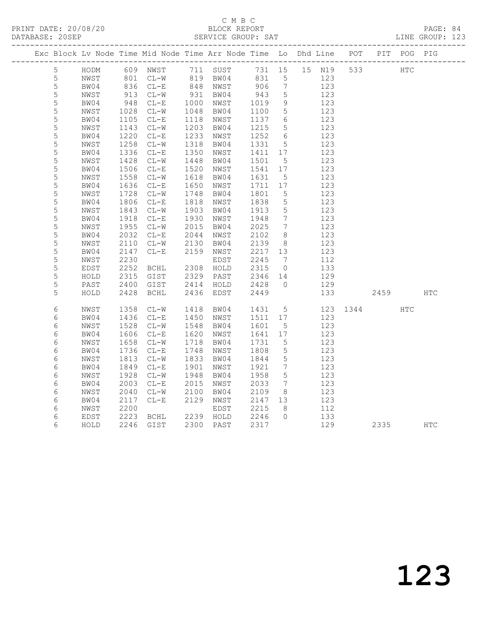## C M B C<br>BLOCK REPORT

PAGE: 84<br>LINE GROUP: 123

|  |             |      |      |                                           |      | Exc Block Lv Node Time Mid Node Time Arr Node Time Lo Dhd Line POT |        |                 |        |     | PIT  | POG | PIG        |
|--|-------------|------|------|-------------------------------------------|------|--------------------------------------------------------------------|--------|-----------------|--------|-----|------|-----|------------|
|  | 5           | HODM |      | 609 NWST 711 SUST                         |      |                                                                    | 731 15 |                 | 15 N19 | 533 |      | HTC |            |
|  | 5           | NWST | 801  | $CL-W$                                    | 819  | BW04                                                               | 831    | 5               | 123    |     |      |     |            |
|  | $\mathsf S$ | BW04 | 836  | $CL-E$                                    |      | 848 NWST                                                           | 906    | $7\phantom{.0}$ | 123    |     |      |     |            |
|  | $\mathsf S$ | NWST | 913  | $CL-W$                                    | 931  | BW04                                                               | 943    | $\overline{5}$  | 123    |     |      |     |            |
|  | 5           | BW04 | 948  | $CL-E$                                    | 1000 | NWST                                                               | 1019   | 9               | 123    |     |      |     |            |
|  | 5           | NWST | 1028 | $CL-W$                                    | 1048 | BW04                                                               | 1100   | 5               | 123    |     |      |     |            |
|  | 5           | BW04 | 1105 | $CL-E$                                    | 1118 | NWST                                                               | 1137   | - 6             | 123    |     |      |     |            |
|  | 5           | NWST | 1143 | $CL - W$                                  | 1203 | BW04                                                               | 1215   | $5\phantom{.0}$ | 123    |     |      |     |            |
|  | 5           | BW04 | 1220 | $CL-E$                                    | 1233 | NWST                                                               | 1252   | 6               | 123    |     |      |     |            |
|  | 5           | NWST | 1258 | $CL-W$                                    | 1318 | BW04                                                               | 1331   | 5               | 123    |     |      |     |            |
|  | $\mathsf S$ | BW04 | 1336 | $CL-E$                                    | 1350 | NWST                                                               | 1411   | 17              | 123    |     |      |     |            |
|  | 5           | NWST | 1428 | $CL-W$                                    | 1448 | BW04                                                               | 1501   | 5               | 123    |     |      |     |            |
|  | 5           | BW04 | 1506 | $\mathbb{C}\mathbb{L}\text{--}\mathbb{E}$ | 1520 | NWST                                                               | 1541   | 17              | 123    |     |      |     |            |
|  | $\mathsf S$ | NWST | 1558 | $CL-W$                                    | 1618 | BW04                                                               | 1631   | $5\phantom{.0}$ | 123    |     |      |     |            |
|  | 5           | BW04 | 1636 | $\mathbb{C}\mathbb{L}\text{--}\mathbb{E}$ | 1650 | NWST                                                               | 1711   | 17              | 123    |     |      |     |            |
|  | $\mathsf S$ | NWST | 1728 | $\mathtt{CL}-\mathtt{W}$                  | 1748 | BW04                                                               | 1801   | 5               | 123    |     |      |     |            |
|  | 5           | BW04 | 1806 | $CL-E$                                    | 1818 | NWST                                                               | 1838   | 5               | 123    |     |      |     |            |
|  | 5           | NWST | 1843 | $CL-W$                                    | 1903 | BW04                                                               | 1913   | $\overline{5}$  | 123    |     |      |     |            |
|  | 5           | BW04 | 1918 | $\mathbb{C}\mathbb{L}\text{--}\mathbb{E}$ | 1930 | NWST                                                               | 1948   | $7\phantom{.0}$ | 123    |     |      |     |            |
|  | 5           | NWST | 1955 | $CL-W$                                    | 2015 | BW04                                                               | 2025   | $7\overline{ }$ | 123    |     |      |     |            |
|  | 5           | BW04 | 2032 | $CL - E$                                  | 2044 | NWST                                                               | 2102   | 8               | 123    |     |      |     |            |
|  | 5           | NWST | 2110 | $CL-W$                                    | 2130 | BW04                                                               | 2139   | 8 <sup>8</sup>  | 123    |     |      |     |            |
|  | 5           | BW04 | 2147 | $CL-E$                                    | 2159 | NWST                                                               | 2217   | 13              | 123    |     |      |     |            |
|  | 5           | NWST | 2230 |                                           |      | EDST                                                               | 2245   | $7\phantom{.0}$ | 112    |     |      |     |            |
|  | 5           | EDST | 2252 | <b>BCHL</b>                               | 2308 | HOLD                                                               | 2315   | $\overline{0}$  | 133    |     |      |     |            |
|  | 5           | HOLD | 2315 | GIST                                      | 2329 | PAST                                                               | 2346   | 14              | 129    |     |      |     |            |
|  | 5           | PAST | 2400 | GIST                                      | 2414 | HOLD                                                               | 2428   | $\Omega$        | 129    |     |      |     |            |
|  | 5           | HOLD | 2428 | <b>BCHL</b>                               | 2436 | EDST                                                               | 2449   |                 | 133    |     | 2459 |     | <b>HTC</b> |
|  | 6           | NWST | 1358 | $CL-W$                                    | 1418 | BW04                                                               | 1431   | $5^{\circ}$     | 123    |     | 1344 | HTC |            |
|  | 6           | BW04 | 1436 | $CL-E$                                    | 1450 | NWST                                                               | 1511   | 17              | 123    |     |      |     |            |
|  | $\sqrt{6}$  | NWST | 1528 | $CL-W$                                    | 1548 | BW04                                                               | 1601   | 5               | 123    |     |      |     |            |
|  | 6           | BW04 | 1606 | $CL-E$                                    | 1620 | NWST                                                               | 1641   | 17              | 123    |     |      |     |            |
|  | 6           | NWST | 1658 | $CL-W$                                    | 1718 | BW04                                                               | 1731   | $5\phantom{.0}$ | 123    |     |      |     |            |
|  | 6           | BW04 | 1736 | $CL-E$                                    | 1748 | NWST                                                               | 1808   | $\mathsf S$     | 123    |     |      |     |            |
|  | $\epsilon$  | NWST | 1813 | $\mathtt{CL}-\mathtt{W}$                  | 1833 | BW04                                                               | 1844   | $\mathsf S$     | 123    |     |      |     |            |
|  | $\epsilon$  | BW04 | 1849 | $\mathbb{C}\mathbb{L}\text{--}\mathbb{E}$ | 1901 | NWST                                                               | 1921   | $7\phantom{.0}$ | 123    |     |      |     |            |
|  | 6           | NWST | 1928 | $\mathtt{CL}-\mathtt{W}$                  | 1948 | BW04                                                               | 1958   | $\overline{5}$  | 123    |     |      |     |            |
|  | $\epsilon$  | BW04 | 2003 | $\mathbb{C}\mathbb{L}\text{--}\mathbb{E}$ | 2015 | NWST                                                               | 2033   | $7\phantom{.0}$ | 123    |     |      |     |            |
|  | $\epsilon$  | NWST | 2040 | $CL-W$                                    | 2100 | BW04                                                               | 2109   | 8               | 123    |     |      |     |            |
|  | 6           | BW04 | 2117 | $\mathbb{C}\mathbb{L}\text{--}\mathbb{E}$ | 2129 | NWST                                                               | 2147   | 13              | 123    |     |      |     |            |
|  | $\epsilon$  | NWST | 2200 |                                           |      | EDST                                                               | 2215   | 8               | 112    |     |      |     |            |
|  | 6           | EDST | 2223 | <b>BCHL</b>                               | 2239 | HOLD                                                               | 2246   | $\Omega$        | 133    |     |      |     |            |
|  | 6           | HOLD | 2246 | GIST                                      | 2300 | PAST                                                               | 2317   |                 | 129    |     | 2335 |     | <b>HTC</b> |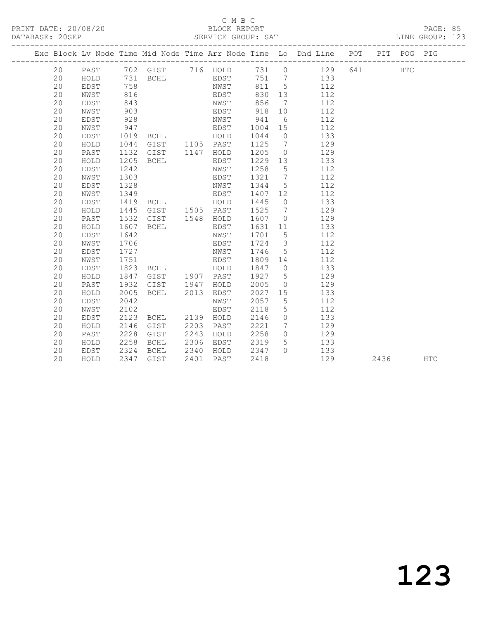#### C M B C<br>BLOCK REPORT SERVICE GROUP: SAT

|    |              |                   |                |      |              |         |                 | Exc Block Lv Node Time Mid Node Time Arr Node Time Lo Dhd Line POT PIT POG PIG |     |      |     |            |
|----|--------------|-------------------|----------------|------|--------------|---------|-----------------|--------------------------------------------------------------------------------|-----|------|-----|------------|
| 20 | PAST         |                   | 702 GIST       |      | 716 HOLD     | 731 0   |                 | 129                                                                            | 641 |      | HTC |            |
| 20 | HOLD         | 731               | BCHL           |      | EDST         | 751 7   |                 | 133                                                                            |     |      |     |            |
| 20 | EDST         | $\frac{758}{215}$ |                |      | NWST<br>EDST | 811 5   |                 | 112                                                                            |     |      |     |            |
| 20 | NWST         | 816               |                |      |              | 830     | 13              | 112                                                                            |     |      |     |            |
| 20 | EDST         | 843               |                |      | NWST         | 856     | $\overline{7}$  | 112                                                                            |     |      |     |            |
| 20 | NWST         | 903               |                |      | EDST         | 918     | 10              | 112                                                                            |     |      |     |            |
| 20 | EDST         | 928               |                |      | NWST         | 941     | 6               | 112                                                                            |     |      |     |            |
| 20 | NWST         | 947               |                |      | EDST         | 1004    | 15              | 112                                                                            |     |      |     |            |
| 20 | EDST         | 1019              | <b>BCHL</b>    |      | HOLD         | 1044    | $\overline{0}$  | 133                                                                            |     |      |     |            |
| 20 | ${\tt HOLD}$ | 1044              | GIST 1105 PAST |      |              | 1125    | $\overline{7}$  | 129                                                                            |     |      |     |            |
| 20 | PAST         | 1132              | GIST           |      | 1147 HOLD    | 1205    | $\overline{0}$  | 129                                                                            |     |      |     |            |
| 20 | HOLD         | 1205              | BCHL           |      | EDST         | 1229    | 13              | 133                                                                            |     |      |     |            |
| 20 | EDST         | 1242              |                |      | NWST         | 1258    | $5\overline{)}$ | 112                                                                            |     |      |     |            |
| 20 | NWST         | 1303              |                |      | EDST         | 1321    | $\overline{7}$  | 112                                                                            |     |      |     |            |
| 20 | EDST         | 1328              |                |      | NWST         | 1344    | $5\overline{)}$ | 112                                                                            |     |      |     |            |
| 20 | NWST         | 1349              |                |      | EDST         | 1407 12 |                 | 112                                                                            |     |      |     |            |
| 20 | EDST         | 1419              | <b>BCHL</b>    |      | HOLD         | 1445    | $\overline{0}$  | 133                                                                            |     |      |     |            |
| 20 | HOLD         | 1445              | GIST 1505 PAST |      |              | 1525    | $\overline{7}$  | 129                                                                            |     |      |     |            |
| 20 | PAST         | 1532              | GIST 1548 HOLD |      |              | 1607    | $\overline{0}$  | 129                                                                            |     |      |     |            |
| 20 | HOLD         | 1607              | BCHL           |      | EDST         | 1631    | 11              | 133                                                                            |     |      |     |            |
| 20 | EDST         | 1642              |                |      | NWST         | 1701    | $5^{\circ}$     | 112                                                                            |     |      |     |            |
| 20 | NWST         | 1706              |                |      | EDST         | 1724    | $\mathcal{S}$   | 112                                                                            |     |      |     |            |
| 20 | EDST         | 1727              |                |      | NWST         | 1746    | $5\overline{)}$ | 112                                                                            |     |      |     |            |
| 20 | NWST         | 1751              |                |      | EDST         | 1809 14 |                 | 112                                                                            |     |      |     |            |
| 20 | EDST         | 1823              | BCHL           |      | HOLD         | 1847    | $\overline{0}$  | 133                                                                            |     |      |     |            |
| 20 | HOLD         | 1847              | GIST           |      | 1907 PAST    | 1927    | $5\overline{)}$ | 129                                                                            |     |      |     |            |
| 20 | PAST         | 1932              | GIST           | 1947 | HOLD         | 2005    | $\overline{0}$  | 129                                                                            |     |      |     |            |
| 20 | HOLD         | 2005              | BCHL           | 2013 | EDST         | 2027    | 15              | 133                                                                            |     |      |     |            |
| 20 | EDST         | 2042              |                |      | NWST         | 2057    | $5\phantom{.0}$ | 112                                                                            |     |      |     |            |
| 20 | NWST         | 2102              |                |      | EDST         | 2118    | $5\overline{)}$ | 112                                                                            |     |      |     |            |
| 20 | EDST         | 2123              | BCHL           | 2139 | HOLD         | 2146    | $\overline{0}$  | 133                                                                            |     |      |     |            |
| 20 | HOLD         | 2146              | GIST           | 2203 | PAST         | 2221    | $7\overline{ }$ | 129                                                                            |     |      |     |            |
| 20 | PAST         | 2228              | GIST           | 2243 | HOLD         | 2258    | $\overline{0}$  | 129                                                                            |     |      |     |            |
| 20 | HOLD         | 2258              | BCHL           | 2306 | EDST         | 2319    | 5 <sup>5</sup>  | 133                                                                            |     |      |     |            |
| 20 | EDST         | 2324              | BCHL           | 2340 | HOLD         | 2347    | $\bigcap$       | 133                                                                            |     |      |     |            |
| 20 | HOLD         |                   | 2347 GIST      | 2401 | PAST         | 2418    |                 | 129                                                                            |     | 2436 |     | <b>HTC</b> |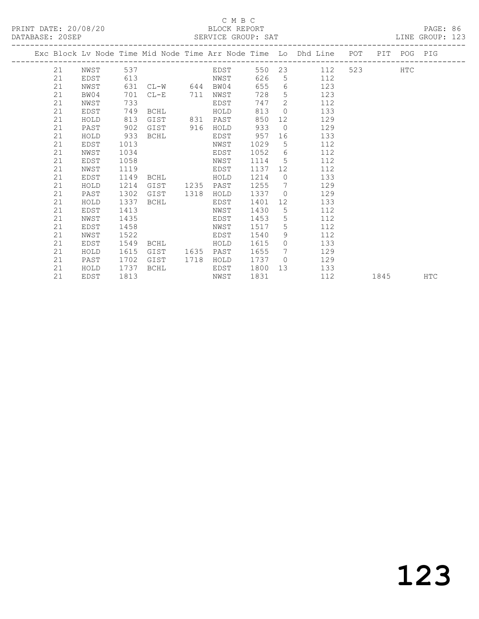#### C M B C<br>BLOCK REPORT SERVICE GROUP: SAT

|  |    |      |      |                 |      |      |      |                 | Exc Block Lv Node Time Mid Node Time Arr Node Time Lo Dhd Line POT PIT POG PIG |      |            |            |
|--|----|------|------|-----------------|------|------|------|-----------------|--------------------------------------------------------------------------------|------|------------|------------|
|  | 21 | NWST | 537  |                 |      | EDST |      |                 | 550 23 112                                                                     |      | <b>HTC</b> |            |
|  | 21 | EDST | 613  |                 |      | NWST | 626  |                 | $5 \quad \bullet$<br>112                                                       |      |            |            |
|  | 21 | NWST | 631  | $CL-W$ 644 BW04 |      |      | 655  | 6               | 123                                                                            |      |            |            |
|  | 21 | BW04 | 701  | $CL-E$          | 711  | NWST | 728  | 5               | 123                                                                            |      |            |            |
|  | 21 | NWST | 733  |                 |      | EDST | 747  | 2               | 112                                                                            |      |            |            |
|  | 21 | EDST | 749  | BCHL            |      | HOLD | 813  | $\overline{0}$  | 133                                                                            |      |            |            |
|  | 21 | HOLD | 813  | GIST            | 831  | PAST | 850  | 12              | 129                                                                            |      |            |            |
|  | 21 | PAST | 902  | GIST            | 916  | HOLD | 933  | $\overline{0}$  | 129                                                                            |      |            |            |
|  | 21 | HOLD | 933  | BCHL            |      | EDST | 957  | 16              | 133                                                                            |      |            |            |
|  | 21 | EDST | 1013 |                 |      | NWST | 1029 | 5               | 112                                                                            |      |            |            |
|  | 21 | NWST | 1034 |                 |      | EDST | 1052 | 6               | 112                                                                            |      |            |            |
|  | 21 | EDST | 1058 |                 |      | NWST | 1114 | $5\overline{)}$ | 112                                                                            |      |            |            |
|  | 21 | NWST | 1119 |                 |      | EDST | 1137 | 12 <sup>°</sup> | 112                                                                            |      |            |            |
|  | 21 | EDST | 1149 | BCHL            |      | HOLD | 1214 | $\circ$         | 133                                                                            |      |            |            |
|  | 21 | HOLD | 1214 | GIST            | 1235 | PAST | 1255 | 7               | 129                                                                            |      |            |            |
|  | 21 | PAST | 1302 | GIST            | 1318 | HOLD | 1337 | $\overline{0}$  | 129                                                                            |      |            |            |
|  | 21 | HOLD | 1337 | BCHL            |      | EDST | 1401 | 12              | 133                                                                            |      |            |            |
|  | 21 | EDST | 1413 |                 |      | NWST | 1430 | $5\overline{)}$ | 112                                                                            |      |            |            |
|  | 21 | NWST | 1435 |                 |      | EDST | 1453 | 5               | 112                                                                            |      |            |            |
|  | 21 | EDST | 1458 |                 |      | NWST | 1517 | 5               | 112                                                                            |      |            |            |
|  | 21 | NWST | 1522 |                 |      | EDST | 1540 | 9               | 112                                                                            |      |            |            |
|  | 21 | EDST | 1549 | BCHL            |      | HOLD | 1615 | $\Omega$        | 133                                                                            |      |            |            |
|  | 21 | HOLD | 1615 | GIST            | 1635 | PAST | 1655 | 7               | 129                                                                            |      |            |            |
|  | 21 | PAST | 1702 | GIST            | 1718 | HOLD | 1737 | $\bigcirc$      | 129                                                                            |      |            |            |
|  | 21 | HOLD | 1737 | BCHL            |      | EDST | 1800 |                 | 133<br>13                                                                      |      |            |            |
|  | 21 | EDST | 1813 |                 |      | NWST | 1831 |                 | 112                                                                            | 1845 |            | <b>HTC</b> |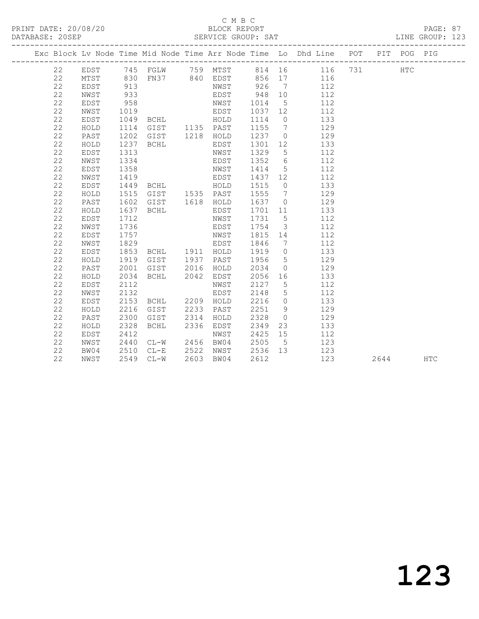#### C M B C<br>BLOCK REPORT

PAGE: 87<br>LINE GROUP: 123

|  |    |      |      |                                                                      |      |                     |                           |                         | Exc Block Lv Node Time Mid Node Time Arr Node Time Lo Dhd Line POT PIT POG PIG |      |            |            |
|--|----|------|------|----------------------------------------------------------------------|------|---------------------|---------------------------|-------------------------|--------------------------------------------------------------------------------|------|------------|------------|
|  | 22 |      |      |                                                                      |      |                     |                           |                         | EDST 745 FGLW 759 MTST 814 16 116 731                                          |      | <b>HTC</b> |            |
|  | 22 | MTST |      |                                                                      |      |                     |                           |                         | 830 FN37 840 EDST 856 17 116                                                   |      |            |            |
|  | 22 | EDST | 913  |                                                                      |      |                     |                           |                         | NWST 926 7 112                                                                 |      |            |            |
|  | 22 | NWST | 933  |                                                                      |      | EDST                | 948 10                    |                         | 112                                                                            |      |            |            |
|  | 22 | EDST | 958  |                                                                      |      | NWST                | 1014                      |                         | 5 112                                                                          |      |            |            |
|  | 22 | NWST |      | 1019<br>1049 BCHL HOLD<br>1114 GIST 1135 PAST<br>1202 GIST 1218 HOLD |      |                     | 1037 12                   |                         | 112                                                                            |      |            |            |
|  | 22 | EDST |      |                                                                      |      |                     | 1114                      | $\overline{0}$          | 133                                                                            |      |            |            |
|  | 22 | HOLD |      |                                                                      |      |                     | 1155                      | $7\overline{)}$         | 129                                                                            |      |            |            |
|  | 22 | PAST |      |                                                                      |      |                     | $1237 \qquad 0$           |                         | 129                                                                            |      |            |            |
|  | 22 | HOLD |      | 1237 BCHL                                                            |      | EDST                | 1301 12                   |                         | 133                                                                            |      |            |            |
|  | 22 | EDST | 1313 |                                                                      |      | NWST                | 1329                      | $5\overline{)}$         | 112                                                                            |      |            |            |
|  | 22 | NWST | 1334 |                                                                      |      | EDST                | 1352                      | 6 <sup>6</sup>          | 112                                                                            |      |            |            |
|  | 22 | EDST | 1358 |                                                                      |      | NWST                | 1414                      | $5\overline{)}$         | 112                                                                            |      |            |            |
|  | 22 | NWST | 1419 |                                                                      |      | EDST                | 1437 12                   |                         | 112                                                                            |      |            |            |
|  | 22 | EDST |      | 1449 BCHL HOLD                                                       |      |                     | 1515                      |                         | $\overline{O}$<br>133                                                          |      |            |            |
|  | 22 | HOLD | 1515 |                                                                      |      | GIST 1535 PAST 1555 |                           | $\overline{7}$          | 129                                                                            |      |            |            |
|  | 22 | PAST | 1602 | GIST 1618 HOLD                                                       |      |                     | 1637                      | $\overline{0}$          | 129                                                                            |      |            |            |
|  | 22 | HOLD | 1637 | BCHL                                                                 |      | EDST                | 1701 11                   |                         | 133                                                                            |      |            |            |
|  | 22 | EDST | 1712 |                                                                      |      | NWST                | 1731                      | $5\overline{)}$         | 112                                                                            |      |            |            |
|  | 22 | NWST | 1736 |                                                                      |      | EDST                | 1754                      | $\overline{\mathbf{3}}$ | 112                                                                            |      |            |            |
|  | 22 | EDST | 1757 |                                                                      |      | NWST                | 1815 14                   |                         | 112                                                                            |      |            |            |
|  | 22 | NWST | 1829 |                                                                      |      | EDST                | 1846                      | $\overline{7}$          | 112                                                                            |      |            |            |
|  | 22 | EDST | 1853 | BCHL 1911 HOLD                                                       |      |                     | 1919                      | $\overline{0}$          | 133                                                                            |      |            |            |
|  | 22 | HOLD |      | 1919 GIST 1937 PAST                                                  |      |                     | 1956                      | $5\overline{)}$         | 129                                                                            |      |            |            |
|  | 22 | PAST | 2001 | GIST                                                                 |      | 2016 HOLD           | 2034                      | $\overline{0}$          | 129                                                                            |      |            |            |
|  | 22 | HOLD | 2034 | BCHL                                                                 |      | 2042 EDST           | 2056                      |                         | 16 133                                                                         |      |            |            |
|  | 22 | EDST | 2112 |                                                                      |      | NWST                | 2127                      | $5^{\circ}$             | 112                                                                            |      |            |            |
|  | 22 | NWST | 2132 |                                                                      |      | EDST                | 2148                      | $5\overline{)}$         | 112                                                                            |      |            |            |
|  | 22 | EDST | 2153 | BCHL 2209 HOLD                                                       |      |                     | 2216                      | $\overline{0}$          | 133                                                                            |      |            |            |
|  | 22 | HOLD | 2216 | GIST                                                                 |      | 2233 PAST           | 2251                      | 9                       | 129                                                                            |      |            |            |
|  | 22 | PAST | 2300 | GIST                                                                 | 2314 | HOLD                | 2328                      | $\overline{0}$          | 129                                                                            |      |            |            |
|  | 22 | HOLD | 2328 | BCHL                                                                 |      | 2336 EDST           | 2349                      |                         | 23 and $\sim$<br>133                                                           |      |            |            |
|  | 22 | EDST | 2412 |                                                                      |      | NWST                | 2425                      | 15                      | 112                                                                            |      |            |            |
|  | 22 | NWST | 2440 | CL-W 2456 BW04<br>CL-E 2522 NWST<br>CL-W 2603 BW04                   |      |                     | 2505 5<br>2536 13<br>2612 | $5^{\circ}$             | 123                                                                            |      |            |            |
|  | 22 | BW04 | 2510 |                                                                      |      |                     |                           |                         | 123                                                                            |      |            |            |
|  | 22 | NWST |      | 2549 CL-W                                                            |      | 2603 BW04           | 2612                      |                         | 123                                                                            | 2644 |            | <b>HTC</b> |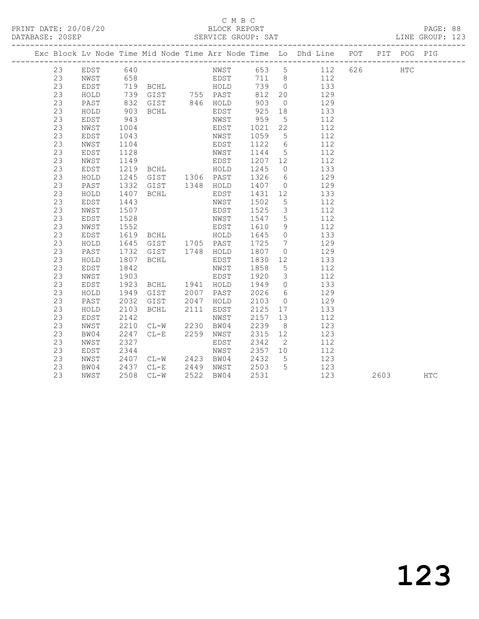## C M B C<br>BLOCK REPORT

PAGE: 88<br>LINE GROUP: 123

|  |    |      |              |                |      |             |         |                         | Exc Block Lv Node Time Mid Node Time Arr Node Time Lo Dhd Line POT PIT POG PIG |     |            |            |
|--|----|------|--------------|----------------|------|-------------|---------|-------------------------|--------------------------------------------------------------------------------|-----|------------|------------|
|  | 23 | EDST | 640          |                |      |             |         |                         | NWST 653 5 112                                                                 | 626 | <b>HTC</b> |            |
|  | 23 | NWST | 658          |                |      | <b>EDST</b> |         |                         | 711 8 112                                                                      |     |            |            |
|  | 23 | EDST |              |                |      |             | 739 0   |                         | 133                                                                            |     |            |            |
|  | 23 | HOLD |              |                |      |             | 812     | 20                      | 129                                                                            |     |            |            |
|  | 23 | PAST |              |                |      |             | 903     | $\overline{0}$          | 129                                                                            |     |            |            |
|  | 23 | HOLD | 903          | BCHL           |      | EDST        | 925     | 18                      | 133                                                                            |     |            |            |
|  | 23 | EDST | 943          |                |      | NWST        | 959     | $5\overline{)}$         | 112                                                                            |     |            |            |
|  | 23 | NWST | 1004         |                |      | EDST        | 1021    | 22                      | 112                                                                            |     |            |            |
|  | 23 | EDST | 1043         |                |      | NWST        | 1059    | $5\overline{)}$         | 112                                                                            |     |            |            |
|  | 23 | NWST | 1104         |                |      | EDST        | 1122    | $6\overline{6}$         | 112                                                                            |     |            |            |
|  | 23 | EDST | 1128         |                |      | NWST        | 1144    | $5\overline{)}$         | 112                                                                            |     |            |            |
|  | 23 | NWST | 1149         | <b>EDST</b>    |      |             | 1207 12 |                         | 112                                                                            |     |            |            |
|  | 23 | EDST | 1219         | BCHL HOLD      |      |             | 1245    | $\overline{0}$          | 133                                                                            |     |            |            |
|  | 23 | HOLD | 1245         | GIST 1306 PAST |      |             | 1326    | $6\overline{6}$         | 129                                                                            |     |            |            |
|  | 23 | PAST | 1332         | GIST 1348 HOLD |      |             | 1407 0  |                         | 129                                                                            |     |            |            |
|  | 23 | HOLD | 1407         | BCHL           |      | EDST        | 1431    | 12                      | 133                                                                            |     |            |            |
|  | 23 | EDST | 1443         |                |      | NWST        | 1502    | $5\overline{)}$         | 112                                                                            |     |            |            |
|  | 23 | NWST | 1507         |                |      | EDST        | 1525    | $\overline{\mathbf{3}}$ | 112                                                                            |     |            |            |
|  | 23 | EDST | 1528         |                |      | NWST        | 1547    | $5\overline{)}$         | 112                                                                            |     |            |            |
|  | 23 | NWST | 1552         |                |      | EDST        | 1610    | 9                       | 112                                                                            |     |            |            |
|  | 23 | EDST | 1619         | BCHL           |      | HOLD        | 1645    | $\overline{0}$          | 133                                                                            |     |            |            |
|  | 23 | HOLD | 1645         | GIST 1705 PAST |      |             | 1725    | $7\overline{ }$         | 129                                                                            |     |            |            |
|  | 23 | PAST | 1732         | GIST 1748 HOLD |      |             | 1807    | $\overline{0}$          | 129                                                                            |     |            |            |
|  | 23 | HOLD | 1807         | BCHL           |      | EDST        | 1830    | 12 <sup>°</sup>         | 133                                                                            |     |            |            |
|  | 23 | EDST | 1842         |                |      | NWST        | 1858    | $5^{\circ}$             | 112                                                                            |     |            |            |
|  | 23 | NWST | 1903         |                |      | EDST        | 1920    | $\overline{\mathbf{3}}$ | 112                                                                            |     |            |            |
|  | 23 | EDST | 1923         | BCHL 1941 HOLD |      |             | 1949    | $\overline{0}$          | 133                                                                            |     |            |            |
|  | 23 | HOLD | 1949         | GIST           |      | 2007 PAST   | 2026    | 6                       | 129                                                                            |     |            |            |
|  | 23 | PAST | 2032         | GIST           | 2047 | HOLD        | 2103    | $\overline{0}$          | 129                                                                            |     |            |            |
|  | 23 | HOLD | 2103         | <b>BCHL</b>    | 2111 | EDST        | 2125    | 17                      | 133                                                                            |     |            |            |
|  | 23 | EDST | 2142         |                |      | NWST        | 2157    | 13                      | 112                                                                            |     |            |            |
|  | 23 | NWST | 2210         | $CL-W$         |      | 2230 BW04   | 2239    | 8 <sup>8</sup>          | 123                                                                            |     |            |            |
|  | 23 | BW04 | 2247         | $CL-E$ 2259    |      | NWST        | 2315    | 12                      | 123                                                                            |     |            |            |
|  | 23 | NWST | 2327         |                |      | EDST        | 2342    | $\overline{2}$          | 112                                                                            |     |            |            |
|  | 23 | EDST | 2344         |                |      | NWST        | 2357    | 10                      | 112                                                                            |     |            |            |
|  | 23 | NWST | 2407<br>2437 | CL-W 2423 BW04 |      |             | 2432    | $5^{\circ}$             | 123                                                                            |     |            |            |
|  | 23 | BW04 |              | CL-E 2449 NWST |      |             | 2503    | $5\overline{)}$         | 123                                                                            |     |            |            |
|  | 23 | NWST | 2508         | $CL-W$         | 2522 | BW04        | 2531    |                         | 123                                                                            |     | 2603       | <b>HTC</b> |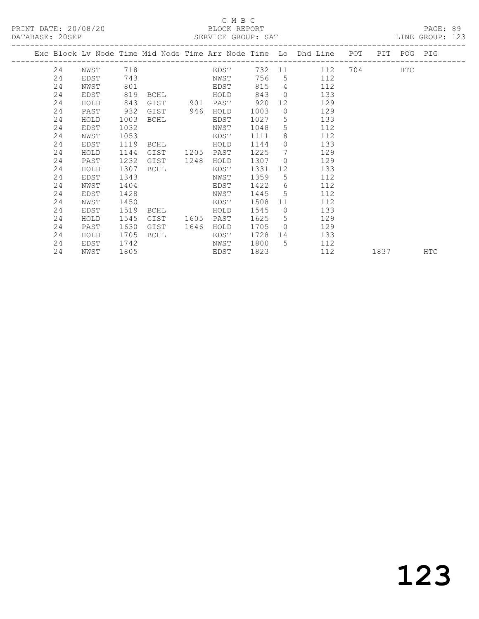### C M B C<br>BLOCK REPORT

PAGE: 89<br>LINE GROUP: 123

|  |    |      |      |             |      |      |      |                 | Exc Block Lv Node Time Mid Node Time Arr Node Time Lo Dhd Line POT PIT POG PIG |     |                                                                                                                                                                                                                                 |            |     |
|--|----|------|------|-------------|------|------|------|-----------------|--------------------------------------------------------------------------------|-----|---------------------------------------------------------------------------------------------------------------------------------------------------------------------------------------------------------------------------------|------------|-----|
|  | 24 | NWST | 718  |             |      | EDST |      |                 | 732 11<br>112                                                                  | 704 |                                                                                                                                                                                                                                 | <b>HTC</b> |     |
|  | 24 | EDST | 743  |             |      | NWST | 756  |                 | 5 <sub>5</sub><br>112                                                          |     |                                                                                                                                                                                                                                 |            |     |
|  | 24 | NWST | 801  |             |      | EDST | 815  | $4\overline{ }$ | 112                                                                            |     |                                                                                                                                                                                                                                 |            |     |
|  | 24 | EDST | 819  | <b>BCHL</b> |      | HOLD | 843  |                 | $\Omega$<br>133                                                                |     |                                                                                                                                                                                                                                 |            |     |
|  | 24 | HOLD | 843  | GIST        | 901  | PAST | 920  | 12              | 129                                                                            |     |                                                                                                                                                                                                                                 |            |     |
|  | 24 | PAST | 932  | GIST        | 946  | HOLD | 1003 | $\circ$         | 129                                                                            |     |                                                                                                                                                                                                                                 |            |     |
|  | 24 | HOLD | 1003 | BCHL        |      | EDST | 1027 | 5               | 133                                                                            |     |                                                                                                                                                                                                                                 |            |     |
|  | 24 | EDST | 1032 |             |      | NWST | 1048 | 5               | 112                                                                            |     |                                                                                                                                                                                                                                 |            |     |
|  | 24 | NWST | 1053 |             |      | EDST | 1111 | 8               | 112                                                                            |     |                                                                                                                                                                                                                                 |            |     |
|  | 24 | EDST | 1119 | BCHL        |      | HOLD | 1144 | $\Omega$        | 133                                                                            |     |                                                                                                                                                                                                                                 |            |     |
|  | 24 | HOLD | 1144 | GIST        | 1205 | PAST | 1225 | $7\overline{ }$ | 129                                                                            |     |                                                                                                                                                                                                                                 |            |     |
|  | 24 | PAST | 1232 | GIST        | 1248 | HOLD | 1307 | $\overline{0}$  | 129                                                                            |     |                                                                                                                                                                                                                                 |            |     |
|  | 24 | HOLD | 1307 | BCHL        |      | EDST | 1331 | 12 <sup>°</sup> | 133                                                                            |     |                                                                                                                                                                                                                                 |            |     |
|  | 24 | EDST | 1343 |             |      | NWST | 1359 | 5 <sup>7</sup>  | 112                                                                            |     |                                                                                                                                                                                                                                 |            |     |
|  | 24 | NWST | 1404 |             |      | EDST | 1422 | 6               | 112                                                                            |     |                                                                                                                                                                                                                                 |            |     |
|  | 24 | EDST | 1428 |             |      | NWST | 1445 | 5 <sup>5</sup>  | 112                                                                            |     |                                                                                                                                                                                                                                 |            |     |
|  | 24 | NWST | 1450 |             |      | EDST | 1508 | 11              | 112                                                                            |     |                                                                                                                                                                                                                                 |            |     |
|  | 24 | EDST | 1519 | BCHL        |      | HOLD | 1545 | $\overline{0}$  | 133                                                                            |     |                                                                                                                                                                                                                                 |            |     |
|  | 24 | HOLD | 1545 | GIST        | 1605 | PAST | 1625 | 5               | 129                                                                            |     |                                                                                                                                                                                                                                 |            |     |
|  | 24 | PAST | 1630 | GIST        | 1646 | HOLD | 1705 | $\bigcirc$      | 129                                                                            |     |                                                                                                                                                                                                                                 |            |     |
|  | 24 | HOLD | 1705 | BCHL        |      | EDST | 1728 |                 | 133                                                                            |     |                                                                                                                                                                                                                                 |            |     |
|  | 24 | EDST | 1742 |             |      | NWST | 1800 | $5^{\circ}$     | 112                                                                            |     |                                                                                                                                                                                                                                 |            |     |
|  | 24 | NWST | 1805 |             |      | EDST | 1823 |                 | 112                                                                            |     | 1837 — 1837 — 1848 — 1848 — 1848 — 1848 — 1848 — 1848 — 1848 — 1848 — 1848 — 1848 — 1848 — 1848 — 1848 — 1848 — 1848 — 1848 — 1848 — 1848 — 1848 — 1848 — 1848 — 1848 — 1848 — 1848 — 1848 — 1848 — 1848 — 1848 — 1848 — 1848 — |            | HTC |
|  |    |      |      |             |      |      |      |                 |                                                                                |     |                                                                                                                                                                                                                                 |            |     |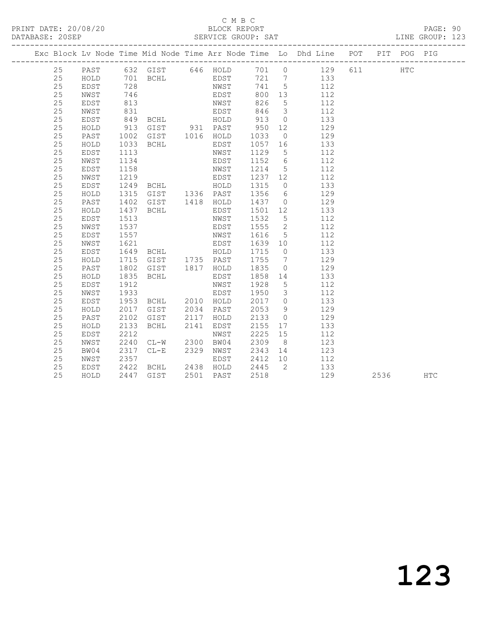### C M B C<br>BLOCK REPORT

#### PAGE: 90<br>LINE GROUP: 123

|    |       |     |          |     |       |     |                          | Exc Block Ly Node Time Mid Node Time Arr Node Time Lo Dhd Line | POT | PTT | POG  | PTG |
|----|-------|-----|----------|-----|-------|-----|--------------------------|----------------------------------------------------------------|-----|-----|------|-----|
| 25 | PAST  |     | 632 GIST | 646 | HOLD. | 701 |                          | 129                                                            | 611 |     | HTC. |     |
| 25 | HOLD  | 701 | BCHL     |     | EDST  | 721 |                          | 133                                                            |     |     |      |     |
| 25 | EDST  | 728 |          |     | NWST  | 741 | $\overline{\phantom{a}}$ | 112                                                            |     |     |      |     |
| 25 | NWST  | 746 |          |     | EDST  | 800 | 13                       | 112                                                            |     |     |      |     |
| 25 | EDST. | 813 |          |     | NWST  | 826 | $\overline{\phantom{a}}$ | 112                                                            |     |     |      |     |

| 25     | NWST | 831  |                |           | EDST      | 846  | 3               | 112 |      |     |
|--------|------|------|----------------|-----------|-----------|------|-----------------|-----|------|-----|
| 25     | EDST | 849  | BCHL           |           | HOLD      | 913  | $\overline{0}$  | 133 |      |     |
| 25     | HOLD | 913  | GIST           | 931 PAST  |           | 950  | 12              | 129 |      |     |
| 25     | PAST | 1002 | GIST           | 1016      | HOLD      | 1033 | $\overline{0}$  | 129 |      |     |
| 25     | HOLD | 1033 | BCHL           |           | EDST      | 1057 | 16              | 133 |      |     |
| $2\,5$ | EDST | 1113 |                |           | NWST      | 1129 | $5\phantom{.0}$ | 112 |      |     |
| 25     | NWST | 1134 |                |           | EDST      | 1152 | 6               | 112 |      |     |
| 25     | EDST | 1158 |                |           | NWST      | 1214 | $5\overline{)}$ | 112 |      |     |
| 25     | NWST | 1219 |                |           | EDST      | 1237 | 12              | 112 |      |     |
| 25     | EDST | 1249 | <b>BCHL</b>    |           | HOLD      | 1315 | $\overline{0}$  | 133 |      |     |
| 25     | HOLD | 1315 | GIST           | 1336 PAST |           | 1356 | 6               | 129 |      |     |
| 25     | PAST | 1402 | GIST           | 1418      | HOLD      | 1437 | $\overline{0}$  | 129 |      |     |
| 25     | HOLD | 1437 | BCHL           |           | EDST      | 1501 | 12              | 133 |      |     |
| 25     | EDST | 1513 |                |           | NWST      | 1532 | $5\phantom{.0}$ | 112 |      |     |
| $2\,5$ | NWST | 1537 |                |           | EDST      | 1555 | 2               | 112 |      |     |
| 25     | EDST | 1557 |                |           | NWST      | 1616 | $5\overline{)}$ | 112 |      |     |
| 25     | NWST | 1621 |                |           | EDST      | 1639 | 10              | 112 |      |     |
| 25     | EDST | 1649 | <b>BCHL</b>    |           | HOLD      | 1715 | $\overline{0}$  | 133 |      |     |
| 25     | HOLD | 1715 | GIST 1735 PAST |           |           | 1755 | $\overline{7}$  | 129 |      |     |
| 25     | PAST | 1802 | GIST           | 1817      | HOLD      | 1835 | $\circ$         | 129 |      |     |
| 25     | HOLD | 1835 | BCHL           |           | EDST      | 1858 | 14              | 133 |      |     |
| 25     | EDST | 1912 |                |           | NWST      | 1928 | $5\phantom{.0}$ | 112 |      |     |
| 25     | NWST | 1933 |                |           | EDST      | 1950 | $\mathcal{S}$   | 112 |      |     |
| 25     | EDST | 1953 | BCHL           | 2010      | HOLD      | 2017 | $\circ$         | 133 |      |     |
| 25     | HOLD | 2017 | GIST           | 2034      | PAST      | 2053 | 9               | 129 |      |     |
| 25     | PAST | 2102 | GIST           | 2117      | HOLD      | 2133 | $\bigcirc$      | 129 |      |     |
| 25     | HOLD | 2133 | BCHL           | 2141      | EDST      | 2155 | 17              | 133 |      |     |
| 25     | EDST | 2212 |                |           | NWST      | 2225 | 15              | 112 |      |     |
| 25     | NWST | 2240 | $CL-W$         | 2300      | BW04      | 2309 | 8 <sup>8</sup>  | 123 |      |     |
| 25     | BW04 | 2317 | $CL-E$         | 2329      | NWST      | 2343 | 14              | 123 |      |     |
| 25     | NWST | 2357 |                |           | EDST      | 2412 | 10              | 112 |      |     |
| 25     | EDST | 2422 | BCHL           |           | 2438 HOLD | 2445 | 2               | 133 |      |     |
| 25     | HOLD | 2447 | GIST           | 2501      | PAST      | 2518 |                 | 129 | 2536 | HTC |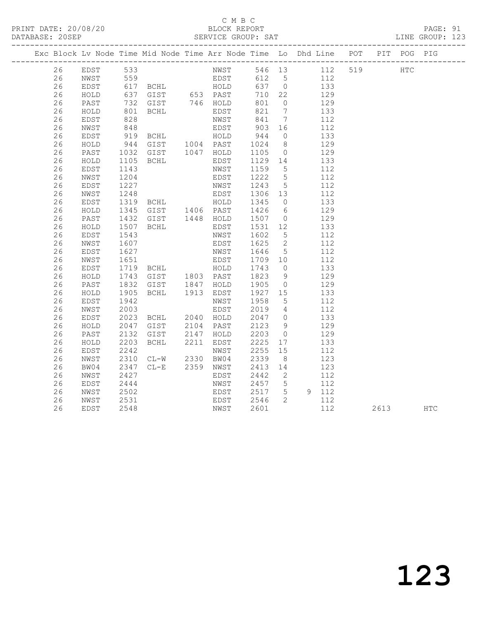## C M B C<br>BLOCK REPORT

PAGE: 91<br>LINE GROUP: 123

|  |          |              |                      | Exc Block Lv Node Time Mid Node Time Arr Node Time Lo Dhd Line POT PIT POG PIG                                                                                                    |                                            |                               |                                 |                                           |                 |          |  |
|--|----------|--------------|----------------------|-----------------------------------------------------------------------------------------------------------------------------------------------------------------------------------|--------------------------------------------|-------------------------------|---------------------------------|-------------------------------------------|-----------------|----------|--|
|  | 26       |              |                      | EDST 533 NWST 546 13 112 519 HTC<br>EDST 533 NWST 546 13 112 519 HTC<br>EDST 617 BCHL HOLD 637 0 133<br>HOLD 637 GIST 653 PAST 710 22 129<br>PAST 732 GIST 746 HOLD 801 0 129     |                                            |                               |                                 |                                           |                 |          |  |
|  | 26       |              |                      |                                                                                                                                                                                   |                                            |                               |                                 |                                           |                 |          |  |
|  | 26       |              |                      |                                                                                                                                                                                   |                                            |                               |                                 |                                           |                 |          |  |
|  | 26       |              |                      |                                                                                                                                                                                   |                                            |                               |                                 |                                           |                 |          |  |
|  | 26       |              |                      |                                                                                                                                                                                   |                                            |                               |                                 |                                           |                 |          |  |
|  | 26       | HOLD         | 801<br>828           | BCHL EDST                                                                                                                                                                         | EDST 821 7<br>NWST 841 7                   |                               |                                 |                                           | $\frac{133}{ }$ |          |  |
|  | 26       | EDST         |                      |                                                                                                                                                                                   |                                            |                               |                                 |                                           | 112             |          |  |
|  | 26       | NWST         | 848                  |                                                                                                                                                                                   | EDST 903 16                                |                               |                                 | 112                                       |                 |          |  |
|  | 26       | EDST         |                      |                                                                                                                                                                                   |                                            |                               | $\overline{0}$                  |                                           | 133<br>129      |          |  |
|  | 26       | HOLD         |                      |                                                                                                                                                                                   |                                            |                               |                                 |                                           |                 |          |  |
|  | 26       | PAST         |                      | 1032 GIST 1047 HOLD 1105 0 129                                                                                                                                                    |                                            |                               |                                 |                                           |                 |          |  |
|  | 26       | HOLD         | 1105                 | BCHL EDST                                                                                                                                                                         |                                            | 1129  14  133<br>1159  5  112 |                                 |                                           |                 |          |  |
|  | 26       | EDST         | 1143                 |                                                                                                                                                                                   | NWST                                       |                               |                                 |                                           |                 |          |  |
|  | 26       | NWST         | 1204                 |                                                                                                                                                                                   | EDST                                       |                               |                                 | 112                                       |                 |          |  |
|  | 26       | EDST         |                      | 1227 NWST<br>1248 EDST<br>1319 BCHL HOLD<br>1345 GIST 1406 PAST<br>1432 GIST 1448 HOLD                                                                                            | EDST 1222 5<br>NWST 1243 5<br>EDST 1306 13 |                               |                                 | $\begin{array}{c} 112 \\ 112 \end{array}$ | 112             |          |  |
|  | 26       | NWST         |                      |                                                                                                                                                                                   |                                            |                               |                                 |                                           |                 |          |  |
|  | 26       | EDST         |                      |                                                                                                                                                                                   |                                            | 1345 0                        |                                 | 133                                       |                 |          |  |
|  | 26       | HOLD         |                      |                                                                                                                                                                                   |                                            | 1426 6 129<br>1507 0 129      |                                 |                                           |                 |          |  |
|  | 26       | PAST         |                      |                                                                                                                                                                                   |                                            |                               |                                 |                                           |                 |          |  |
|  | 26       | HOLD         | 1507                 | <b>BCHL</b>                                                                                                                                                                       | EDST                                       | 1531 12                       |                                 | 133                                       |                 |          |  |
|  | 26       | EDST         | 1543                 |                                                                                                                                                                                   | NWST                                       | 1602 5<br>1625 2              |                                 |                                           | 112             |          |  |
|  | 26       | NWST         | 1607                 |                                                                                                                                                                                   | EDST                                       |                               |                                 |                                           | 112             |          |  |
|  | 26       | EDST         |                      | 1627 MWST 1646 5 112<br>1651 EDST 1709 10 112<br>1719 BCHL HOLD 1743 0 133<br>1743 GIST 1803 PAST 1823 9 129<br>1832 GIST 1847 HOLD 1905 0 129<br>1905 BCHL 1913 EDST 1927 15 133 |                                            |                               |                                 |                                           |                 |          |  |
|  | 26       | NWST         |                      |                                                                                                                                                                                   |                                            |                               |                                 |                                           |                 |          |  |
|  | 26       | EDST         |                      |                                                                                                                                                                                   |                                            |                               |                                 |                                           |                 |          |  |
|  | 26       | HOLD         |                      |                                                                                                                                                                                   |                                            |                               |                                 |                                           |                 |          |  |
|  | 26       | PAST         |                      |                                                                                                                                                                                   |                                            |                               |                                 |                                           |                 |          |  |
|  | 26<br>26 | HOLD         |                      |                                                                                                                                                                                   |                                            |                               |                                 |                                           |                 |          |  |
|  | 26       | EDST<br>NWST | 1942<br>2003<br>2003 |                                                                                                                                                                                   | NWST<br>EDST                               | 1958 5<br>2019 4              |                                 |                                           | 112<br>112      |          |  |
|  | 26       | EDST         | 2023                 | BCHL 2040 HOLD                                                                                                                                                                    |                                            | 2047 0 133                    |                                 |                                           |                 |          |  |
|  | 26       | HOLD         | 2047                 |                                                                                                                                                                                   |                                            |                               |                                 |                                           | 129             |          |  |
|  | 26       | PAST         | 2132                 | GIST 2104 PAST<br>GIST 2147 HOLD                                                                                                                                                  |                                            | 2123<br>2203                  | $\frac{9}{0}$<br>$\overline{0}$ |                                           | 129             |          |  |
|  | 26       | HOLD         | 2203                 | BCHL 2211 EDST                                                                                                                                                                    |                                            | 2225 17                       |                                 | 133                                       |                 |          |  |
|  | 26       | EDST         |                      |                                                                                                                                                                                   |                                            |                               |                                 |                                           | 112             |          |  |
|  | 26       | NWST         |                      | 2242 NWST<br>2310 CL-W 2330 BW04                                                                                                                                                  |                                            | 2255 15<br>2339 8             | 8 <sup>8</sup>                  |                                           | 123             |          |  |
|  | 26       | BW04         |                      | 2347 CL-E 2359 NWST                                                                                                                                                               |                                            | 2413 14                       |                                 | 123                                       |                 |          |  |
|  | 26       | NWST         | 2427                 |                                                                                                                                                                                   | EDST                                       |                               |                                 |                                           | 112             |          |  |
|  | 26       | EDST         | 2444                 |                                                                                                                                                                                   | NWST                                       | $2442$ 2<br>2457 5            |                                 |                                           | 112             |          |  |
|  | 26       | NWST         | 2502                 |                                                                                                                                                                                   | EDST 2517 5 9 112                          |                               |                                 |                                           |                 |          |  |
|  | 26       | NWST         | 2531                 |                                                                                                                                                                                   |                                            |                               | $\overline{2}$                  |                                           | 112             |          |  |
|  | 26       | EDST         | 2548                 | EDST<br>EDST<br>NWST                                                                                                                                                              | EDST 2546<br>NWST 2601                     | 2601                          |                                 |                                           | 112             | 2613 HTC |  |
|  |          |              |                      |                                                                                                                                                                                   |                                            |                               |                                 |                                           |                 |          |  |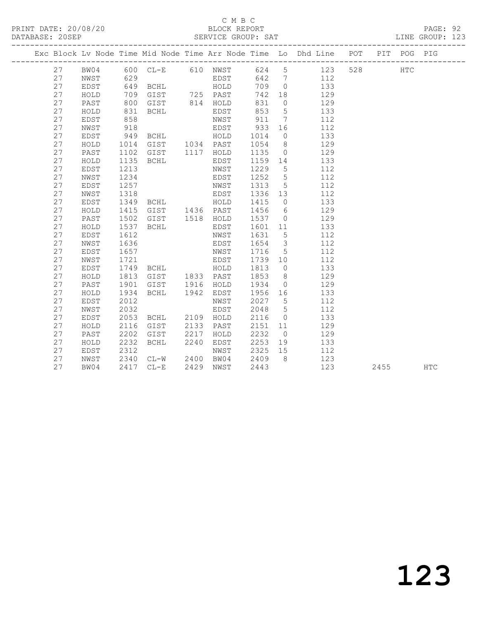## C M B C<br>BLOCK REPORT

#### PAGE: 92<br>LINE GROUP: 123

|          |               |              |                                                                          |      |      |         |                | Exc Block Lv Node Time Mid Node Time Arr Node Time Lo Dhd Line POT |        |      | PIT POG PIG |     |
|----------|---------------|--------------|--------------------------------------------------------------------------|------|------|---------|----------------|--------------------------------------------------------------------|--------|------|-------------|-----|
| 27       | BW04          |              |                                                                          |      |      |         |                | 600 CL-E 610 NWST 624 5 123                                        | 528 32 |      | HTC         |     |
| 27       | NWST          | 629          |                                                                          |      | EDST |         |                | 642 7 112                                                          |        |      |             |     |
| 27       | EDST          |              | 649 BCHL HOLD<br>709 GIST 725 PAST<br>800 GIST 814 HOLD<br>831 BCHL EDST |      |      | 709 0   |                | 133                                                                |        |      |             |     |
| 27       | HOLD          |              |                                                                          |      |      | 742 18  |                | 129                                                                |        |      |             |     |
| 27       | PAST          |              |                                                                          |      |      | 831     | $\overline{0}$ | 129                                                                |        |      |             |     |
| 27       | $\verb HOLD $ | 831          |                                                                          |      | EDST | 853 5   |                | 133                                                                |        |      |             |     |
| 27       | EDST          | 858          |                                                                          |      | NWST | 911 7   |                | 112                                                                |        |      |             |     |
| 27       | NWST          | 918          |                                                                          |      |      |         |                | EDST 933 16 112                                                    |        |      |             |     |
| 27       | EDST          |              | 949 BCHL HOLD 1014                                                       |      |      |         |                | $\overline{0}$<br>133                                              |        |      |             |     |
| 27       | HOLD          | 1014         | GIST 1034 PAST                                                           |      |      | 1054 8  |                | 129                                                                |        |      |             |     |
| 27       | PAST          | 1102<br>1135 | GIST 1117 HOLD                                                           |      |      | 1135 0  |                | 129                                                                |        |      |             |     |
| 27       | ${\tt HOLD}$  |              | BCHL                                                                     |      | EDST | 1159 14 |                | 133                                                                |        |      |             |     |
| 27       | EDST          | 1213         |                                                                          |      | NWST | 1229 5  |                | 112                                                                |        |      |             |     |
| 27       | NWST          | 1234         |                                                                          |      | EDST | 1252 5  |                | 112                                                                |        |      |             |     |
| 27       | EDST          | 1257         |                                                                          |      | NWST | 1313 5  |                | 112                                                                |        |      |             |     |
| 27       | NWST          | 1318         | EDST                                                                     |      |      | 1336 13 |                | 112                                                                |        |      |             |     |
| 27       | EDST          | 1349         | BCHL HOLD                                                                |      |      | 1415 0  |                | 133                                                                |        |      |             |     |
| 27       | HOLD          | 1415         | GIST 1436 PAST                                                           |      |      | 1456 6  |                | 129                                                                |        |      |             |     |
| 27       | PAST          | 1502         | GIST 1518 HOLD                                                           |      |      | 1537 0  |                | 129                                                                |        |      |             |     |
| 27       | HOLD          | 1537<br>1612 | <b>BCHL</b>                                                              |      | EDST | 1601 11 |                | 133                                                                |        |      |             |     |
| 27       | EDST          |              |                                                                          |      | NWST | 1631 5  |                | 112                                                                |        |      |             |     |
| 27       | NWST          | 1636         |                                                                          |      | EDST | 1654 3  |                | 112                                                                |        |      |             |     |
| 27       | EDST          | 1657         |                                                                          |      | NWST | 1716 5  |                | 112                                                                |        |      |             |     |
| 27       | NWST          | 1721         | <b>EDST</b>                                                              |      |      | 1739 10 |                | 112                                                                |        |      |             |     |
| 27       | EDST          | 1749         | BCHL HOLD                                                                |      |      | 1813    | $\overline{0}$ | 133                                                                |        |      |             |     |
| 27       | HOLD          | 1813         | GIST 1833 PAST                                                           |      |      | 1853    | 8 <sup>8</sup> | 129                                                                |        |      |             |     |
| 27       | PAST          | 1901         | GIST 1916 HOLD                                                           |      |      | 1934    | $\overline{0}$ | 129                                                                |        |      |             |     |
| 27       | HOLD          | 1934         | BCHL 1942 EDST                                                           |      |      | 1956 16 |                | 133                                                                |        |      |             |     |
| 27       | EDST          | 2012         |                                                                          |      | NWST | 2027 5  |                | 112                                                                |        |      |             |     |
| 27       | NWST          | 2032         |                                                                          |      | EDST | 2048    | 5 <sup>5</sup> | 112                                                                |        |      |             |     |
| 27       | EDST          | 2053         | BCHL 2109 HOLD                                                           |      |      | 2116    | $\overline{0}$ | 133                                                                |        |      |             |     |
| 27       | HOLD          | 2116         | GIST 2133 PAST                                                           |      |      | 2151 11 |                | 129                                                                |        |      |             |     |
| 27       | PAST          | 2202         | GIST 2217                                                                |      | HOLD | 2232    | $\overline{0}$ | 129                                                                |        |      |             |     |
| 27       | HOLD          | 2232         | BCHL                                                                     | 2240 | EDST |         |                | 2253 19 133                                                        |        |      |             |     |
| 27<br>27 | EDST          | 2312         |                                                                          |      |      | 2325 15 | 8 <sup>8</sup> | 112                                                                |        |      |             |     |
|          | NWST          | 2340<br>2417 |                                                                          |      |      | 2409    |                | 123                                                                |        |      |             |     |
| 27       | BW04          |              | 2417 CL-E                                                                |      |      | 2443    |                | 123                                                                |        | 2455 |             | HTC |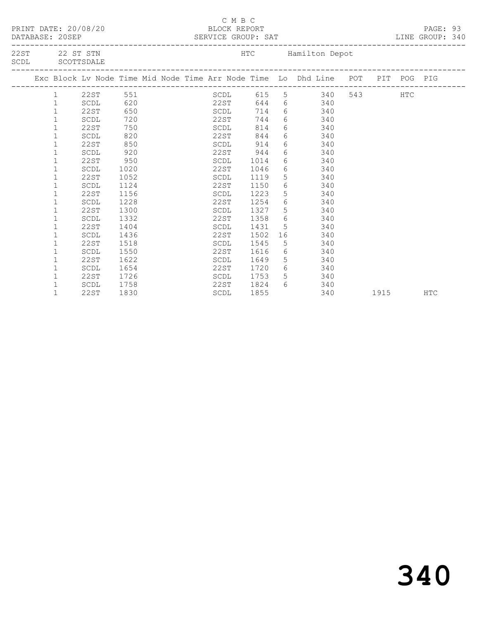|  | DATABASE: 20SEP | PRINT DATE: 20/08/20              |      |  | C M B C<br>BLOCK REPORT<br>SERVICE GROUP: SAT<br>_______________ |      |                                                                                |                |            | PAGE: 93<br>LINE GROUP: 340 |  |
|--|-----------------|-----------------------------------|------|--|------------------------------------------------------------------|------|--------------------------------------------------------------------------------|----------------|------------|-----------------------------|--|
|  |                 | 22ST 22 ST STN<br>SCDL SCOTTSDALE |      |  |                                                                  |      | HTC Hamilton Depot                                                             |                |            |                             |  |
|  |                 |                                   |      |  |                                                                  |      | Exc Block Lv Node Time Mid Node Time Arr Node Time Lo Dhd Line POT PIT POG PIG |                |            |                             |  |
|  | 1               | 22ST 551                          |      |  |                                                                  |      | SCDL 615 5 340                                                                 | 543 and $\sim$ | <b>HTC</b> |                             |  |
|  | $\mathbf{1}$    | SCDL                              | 620  |  | 22ST                                                             |      | 644 6 340                                                                      |                |            |                             |  |
|  | $\mathbf{1}$    | 22ST                              | 650  |  | SCDL                                                             | 714  | 6 340                                                                          |                |            |                             |  |
|  | 1               | SCDL                              | 720  |  | 22ST                                                             | 744  | 6 340                                                                          |                |            |                             |  |
|  | $\mathbf 1$     | 22ST                              | 750  |  | SCDL                                                             | 814  | 6 340                                                                          |                |            |                             |  |
|  | 1               | SCDL                              | 820  |  | 22ST                                                             | 844  | 6 340                                                                          |                |            |                             |  |
|  | $\mathbf 1$     | 22ST                              | 850  |  | SCDL                                                             | 914  | 6 340                                                                          |                |            |                             |  |
|  | 1               | SCDL                              | 920  |  | 22ST                                                             | 944  | 6 340                                                                          |                |            |                             |  |
|  | 1               | 22ST                              | 950  |  | SCDL                                                             | 1014 | 6 340                                                                          |                |            |                             |  |
|  | 1               | SCDL                              | 1020 |  | 22ST                                                             | 1046 | 6 340                                                                          |                |            |                             |  |
|  | 1               | 22ST                              | 1052 |  | SCDL                                                             | 1119 | 5 340                                                                          |                |            |                             |  |
|  | $\mathbf 1$     | SCDL                              | 1124 |  | 22ST                                                             | 1150 | 6 340                                                                          |                |            |                             |  |
|  | 1               | 22ST                              | 1156 |  | SCDL                                                             | 1223 | $5^{\circ}$<br>340                                                             |                |            |                             |  |
|  | 1               | SCDL                              | 1228 |  | 22ST                                                             | 1254 | $6 \quad \text{or}$<br>340                                                     |                |            |                             |  |
|  | 1               | 22ST                              | 1300 |  | SCDL                                                             | 1327 | 5 340                                                                          |                |            |                             |  |
|  | 1               | SCDL                              | 1332 |  | 22ST 1358                                                        |      | 6 340                                                                          |                |            |                             |  |
|  | $\mathbf 1$     | 22ST                              | 1404 |  | SCDL                                                             | 1431 | 5 340                                                                          |                |            |                             |  |
|  | 1               | SCDL                              | 1436 |  | 22ST                                                             | 1502 | 340                                                                            |                |            |                             |  |
|  |                 | 22ST                              | 1518 |  | SCDL                                                             | 1545 | 5 340                                                                          |                |            |                             |  |
|  | 1               | SCDL                              | 1550 |  | 22ST                                                             | 1616 | 6 340                                                                          |                |            |                             |  |
|  | 1               | 22ST                              | 1622 |  | SCDL                                                             | 1649 | 5 340                                                                          |                |            |                             |  |
|  | 1               | SCDL                              | 1654 |  | 22ST                                                             | 1720 | $6\overline{6}$<br>340                                                         |                |            |                             |  |
|  | $\mathbf{1}$    | 22ST                              | 1726 |  | SCDL                                                             | 1753 | $5 \quad \overline{\phantom{1}}$<br>340                                        |                |            |                             |  |
|  | $\mathbf{1}$    | SCDL                              | 1758 |  | 22ST 1824                                                        |      | $6 \overline{}$<br>340                                                         |                |            |                             |  |
|  | $\mathbf{1}$    | 22ST                              | 1830 |  | SCDL                                                             | 1855 | 340                                                                            | 1915           |            | <b>HTC</b>                  |  |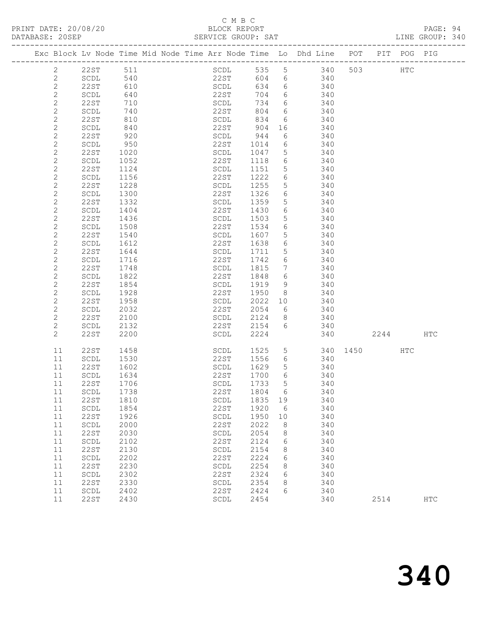DATABASE: 20SEP

#### C M B C N B C N B C N B C N B C C M B C PAGE: 94<br>BLOCK REPORT PAGE: 2011<br>PAGE: 2040<br>T.TNE GROUP: 340

|  | DATABASE: ZUSEP |                       |                             |  |                      | -SERVICE GROUP: SAT  |                                                                                |  |               | LINE GROUP: 340 |  |
|--|-----------------|-----------------------|-----------------------------|--|----------------------|----------------------|--------------------------------------------------------------------------------|--|---------------|-----------------|--|
|  |                 |                       |                             |  |                      |                      | Exc Block Ly Node Time Mid Node Time Arr Node Time Lo Dhd Line POT PIT POG PIG |  |               |                 |  |
|  |                 | 22ST 511<br>$\bigcap$ | $\Gamma$ $\Lambda$ $\Omega$ |  | $\cap$ $\cap$ $\cap$ | $\sim$ $\sim$ $\sim$ | SCDL 535 5 340 503<br>$\cap$ $\cap$                                            |  | $_{\rm{HTC}}$ |                 |  |

|                                            | 2201                           | ◡⊥⊥  | いへいせ                           | JJJ  | $\cup$          | しせい | JUJ. |      | 11 T C |               |
|--------------------------------------------|--------------------------------|------|--------------------------------|------|-----------------|-----|------|------|--------|---------------|
| $\mathbf{2}$                               | SCDL                           | 540  | 22ST                           | 604  | 6               | 340 |      |      |        |               |
|                                            |                                |      |                                |      |                 |     |      |      |        |               |
|                                            | 22ST                           | 610  | SCDL                           | 634  | 6               | 340 |      |      |        |               |
|                                            | $\operatorname{\mathsf{SCDL}}$ | 640  | 22ST                           | 704  | 6               | 340 |      |      |        |               |
| $\begin{array}{c} 2 \\ 2 \\ 2 \end{array}$ | 22ST                           | 710  | $\operatorname{\mathsf{SCDL}}$ | 734  | 6               | 340 |      |      |        |               |
|                                            | $\operatorname{\mathsf{SCDL}}$ | 740  | 22ST                           | 804  | 6               | 340 |      |      |        |               |
| $\frac{2}{2}$                              |                                |      |                                |      |                 |     |      |      |        |               |
|                                            | 22ST                           | 810  | SCDL                           | 834  | 6               | 340 |      |      |        |               |
| $\mathbf{2}$                               | $\operatorname{\mathsf{SCDL}}$ | 840  | 22ST                           | 904  | 16              | 340 |      |      |        |               |
| $\overline{c}$                             | <b>22ST</b>                    | 920  | SCDL                           | 944  | 6               | 340 |      |      |        |               |
| $\sqrt{2}$                                 | SCDL                           | 950  | 22ST                           | 1014 | 6               | 340 |      |      |        |               |
| $\mathbf{2}$                               | 22ST                           | 1020 | SCDL                           | 1047 | 5               | 340 |      |      |        |               |
|                                            |                                |      |                                |      |                 |     |      |      |        |               |
| $\sqrt{2}$                                 | $\operatorname{\mathsf{SCDL}}$ | 1052 | 22ST                           | 1118 | 6               | 340 |      |      |        |               |
| $\mathbf{2}$                               | 22ST                           | 1124 | $\operatorname{\mathsf{SCDL}}$ | 1151 | $\mathsf S$     | 340 |      |      |        |               |
| $\sqrt{2}$                                 | $\operatorname{\mathsf{SCDL}}$ | 1156 | 22ST                           | 1222 | 6               | 340 |      |      |        |               |
| $\sqrt{2}$                                 | <b>22ST</b>                    | 1228 | $\operatorname{\mathsf{SCDL}}$ | 1255 | 5               | 340 |      |      |        |               |
|                                            |                                | 1300 | 22ST                           | 1326 | $6\,$           | 340 |      |      |        |               |
| $\mathbf{2}$                               | SCDL                           |      |                                |      |                 |     |      |      |        |               |
| $\mathbf{2}$                               | 22ST                           | 1332 | $\operatorname{\mathsf{SCDL}}$ | 1359 | 5               | 340 |      |      |        |               |
| $\overline{c}$                             | SCDL                           | 1404 | 22ST                           | 1430 | 6               | 340 |      |      |        |               |
| $\mathbf{2}$                               | <b>22ST</b>                    | 1436 | SCDL                           | 1503 | 5               | 340 |      |      |        |               |
| $\mathbf{2}$                               | SCDL                           | 1508 | 22ST                           | 1534 | $\epsilon$      | 340 |      |      |        |               |
| $\mathbf{2}$                               | 22ST                           | 1540 | $\operatorname{\mathsf{SCDL}}$ | 1607 | 5               | 340 |      |      |        |               |
|                                            |                                |      |                                |      |                 |     |      |      |        |               |
| $\mathbf{2}$                               | $\operatorname{\mathsf{SCDL}}$ | 1612 | 22ST                           | 1638 | 6               | 340 |      |      |        |               |
| $\sqrt{2}$                                 | <b>22ST</b>                    | 1644 | $\operatorname{\mathsf{SCDL}}$ | 1711 | $\overline{5}$  | 340 |      |      |        |               |
| $\mathbf{2}$                               | SCDL                           | 1716 | 22ST                           | 1742 | $\epsilon$      | 340 |      |      |        |               |
| $\mathbf{2}$                               | <b>22ST</b>                    | 1748 | $\operatorname{\mathsf{SCDL}}$ | 1815 | $7\phantom{.0}$ | 340 |      |      |        |               |
| $\mathbf{2}$                               | $\operatorname{\mathsf{SCDL}}$ | 1822 | 22ST                           | 1848 | $6\overline{6}$ | 340 |      |      |        |               |
|                                            |                                |      |                                |      |                 |     |      |      |        |               |
|                                            | 22ST                           | 1854 | SCDL                           | 1919 | 9               | 340 |      |      |        |               |
|                                            | $\operatorname{\mathsf{SCDL}}$ | 1928 | 22ST                           | 1950 | 8               | 340 |      |      |        |               |
|                                            | <b>22ST</b>                    | 1958 | $\operatorname{\mathsf{SCDL}}$ | 2022 | 10              | 340 |      |      |        |               |
|                                            | $\operatorname{\mathsf{SCDL}}$ | 2032 | 22ST                           | 2054 | 6               | 340 |      |      |        |               |
|                                            | 22ST                           | 2100 | $\operatorname{\mathsf{SCDL}}$ | 2124 | 8               | 340 |      |      |        |               |
|                                            |                                |      |                                |      |                 |     |      |      |        |               |
| 222222                                     | $\operatorname{\mathsf{SCDL}}$ | 2132 | 22ST                           | 2154 | 6               | 340 |      |      |        |               |
|                                            | <b>22ST</b>                    | 2200 | $\operatorname{\mathsf{SCDL}}$ | 2224 |                 | 340 |      | 2244 |        | ${\tt HTC}$   |
|                                            |                                |      |                                |      |                 | 340 |      |      |        |               |
| 11                                         | 22ST                           | 1458 | SCDL                           | 1525 | $5\phantom{.0}$ |     | 1450 |      | HTC    |               |
| 11                                         | $\operatorname{\mathsf{SCDL}}$ | 1530 | 22ST                           | 1556 | 6               | 340 |      |      |        |               |
| 11                                         | <b>22ST</b>                    | 1602 | $\operatorname{\mathsf{SCDL}}$ | 1629 | 5               | 340 |      |      |        |               |
| 11                                         | $\operatorname{\mathsf{SCDL}}$ | 1634 | 22ST                           | 1700 | $6\,$           | 340 |      |      |        |               |
| 11                                         | <b>22ST</b>                    | 1706 | $\operatorname{\mathsf{SCDL}}$ | 1733 | 5               | 340 |      |      |        |               |
| 11                                         | $\operatorname{\mathsf{SCDL}}$ | 1738 | 22ST                           | 1804 | 6               | 340 |      |      |        |               |
|                                            |                                |      |                                |      |                 |     |      |      |        |               |
| 11                                         | <b>22ST</b>                    | 1810 | $\operatorname{\mathsf{SCDL}}$ | 1835 | 19              | 340 |      |      |        |               |
| 11                                         | SCDL                           | 1854 | 22ST                           | 1920 | 6               | 340 |      |      |        |               |
| 11                                         | <b>22ST</b>                    | 1926 | $\operatorname{\mathsf{SCDL}}$ | 1950 | 10              | 340 |      |      |        |               |
| 11                                         | $\operatorname{\mathsf{SCDL}}$ | 2000 | 22ST                           | 2022 | 8               | 340 |      |      |        |               |
| 11                                         | <b>22ST</b>                    | 2030 | $\operatorname{\mathsf{SCDL}}$ | 2054 | 8               | 340 |      |      |        |               |
|                                            |                                |      |                                |      |                 | 340 |      |      |        |               |
| 11                                         | SCDL                           | 2102 | 22ST                           | 2124 | 6               |     |      |      |        |               |
| 11                                         | <b>22ST</b>                    | 2130 | SCDL                           | 2154 | 8               | 340 |      |      |        |               |
| 11                                         | SCDL                           | 2202 | 22ST                           | 2224 | 6               | 340 |      |      |        |               |
| 11                                         | 22ST                           | 2230 | SCDL                           | 2254 | 8               | 340 |      |      |        |               |
| 11                                         | SCDL                           | 2302 | 22ST                           | 2324 | 6               | 340 |      |      |        |               |
| 11                                         | 22ST                           | 2330 | SCDL                           | 2354 | 8               | 340 |      |      |        |               |
|                                            |                                |      |                                |      |                 |     |      |      |        |               |
| 11                                         | SCDL                           | 2402 | 22ST                           | 2424 | 6               | 340 |      |      |        |               |
| 11                                         | <b>22ST</b>                    | 2430 | SCDL                           | 2454 |                 | 340 |      | 2514 |        | $_{\rm{HTC}}$ |
|                                            |                                |      |                                |      |                 |     |      |      |        |               |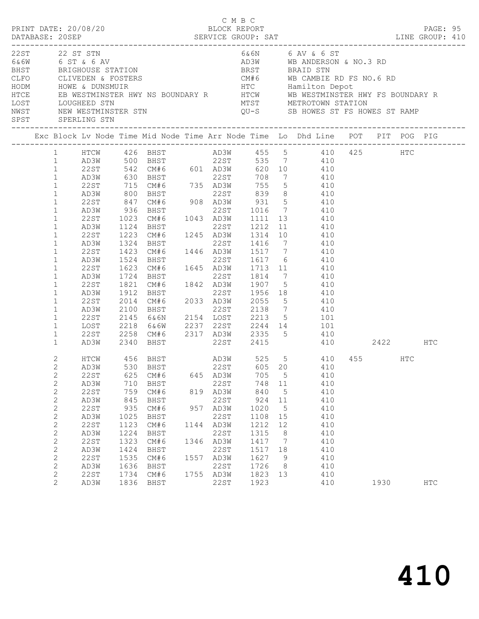|                      |                | PRINT DATE: 20/08/20           |                                            |                                                                |     | C M B C<br>BLOCK REPORT |         |                |                                                                                                                                                                                                                                                                                                                                                                                                                                                                                                                |          | PAGE: 95   |  |
|----------------------|----------------|--------------------------------|--------------------------------------------|----------------------------------------------------------------|-----|-------------------------|---------|----------------|----------------------------------------------------------------------------------------------------------------------------------------------------------------------------------------------------------------------------------------------------------------------------------------------------------------------------------------------------------------------------------------------------------------------------------------------------------------------------------------------------------------|----------|------------|--|
| HTCE<br>LOST<br>NWST |                | 22ST 22 ST STN<br>LOUGHEED STN |                                            |                                                                |     |                         |         |                | 6&6N 6 AV & 6 ST<br>Exait (ASSES)<br>CASE OF A CASE OF A CASE OF A CASE OF A CASE OF A CASE OF A CASE OF A CASE OF BRIGHOUSE STATION<br>CASE OF BRIGHOUSE STATION<br>CASE OF BRIGHOUSE STATION<br>CASE OF BRAID STN<br>CAMBIE RD FS NO.6 F<br>HODM HOWE & DUNS<br>ENGHOUSE STATION<br>CLIVEDEN & FOSTERS<br>HOWE & DUNSMUIR<br>HOWE & DUNSMUIR<br>EB WESTMINSTER HWY NS BOUNDARY R<br>HOWE ME WE WESTMINSTER HWY FS BOUNDARY R<br>HOWE ME WESTMINSTER HWY FS BOUNDARY R<br>HOWE ME WESTMINSTER HWY FS BOUNDARY |          |            |  |
| SPST                 |                |                                |                                            |                                                                |     |                         |         |                | Exc Block Lv Node Time Mid Node Time Arr Node Time Lo Dhd Line POT PIT POG PIG                                                                                                                                                                                                                                                                                                                                                                                                                                 |          |            |  |
|                      |                |                                |                                            |                                                                |     |                         |         |                |                                                                                                                                                                                                                                                                                                                                                                                                                                                                                                                |          |            |  |
|                      |                |                                |                                            |                                                                |     |                         |         |                | 1 HTCW 426 BHST AD3W 455 5 410 425 HTC<br>535 7 410                                                                                                                                                                                                                                                                                                                                                                                                                                                            |          |            |  |
|                      |                |                                |                                            | 1 AD3W 500 BHST 22ST                                           |     |                         |         |                |                                                                                                                                                                                                                                                                                                                                                                                                                                                                                                                |          |            |  |
|                      | $\mathbf{1}$   |                                |                                            |                                                                |     |                         |         |                | 22 ST 542 CM#6 601 AD3W 620 10 410<br>AD3W 630 BHST 22 ST 708 7 410<br>22 ST 715 CM#6 735 AD3W 755 5 410<br>AD3W 800 BHST 22 ST 839 8 410                                                                                                                                                                                                                                                                                                                                                                      |          |            |  |
|                      | $\mathbf{1}$   |                                |                                            |                                                                |     |                         |         |                |                                                                                                                                                                                                                                                                                                                                                                                                                                                                                                                |          |            |  |
|                      | $\mathbf{1}$   |                                |                                            |                                                                |     |                         |         |                |                                                                                                                                                                                                                                                                                                                                                                                                                                                                                                                |          |            |  |
|                      | $\mathbf{1}$   |                                |                                            |                                                                |     |                         |         |                |                                                                                                                                                                                                                                                                                                                                                                                                                                                                                                                |          |            |  |
|                      | $\mathbf{1}$   | 22ST                           | 847                                        |                                                                |     |                         |         |                | CM#6 908 AD3W 931 5 410                                                                                                                                                                                                                                                                                                                                                                                                                                                                                        |          |            |  |
|                      | $\mathbf{1}$   | AD3W                           | $\begin{array}{c} 936 \\ 1023 \end{array}$ | 936 BHST 22ST 1016 7<br>1023 CM#6 1043 AD3W 1111 13            |     |                         |         |                | 410                                                                                                                                                                                                                                                                                                                                                                                                                                                                                                            |          |            |  |
|                      | $\mathbf{1}$   | 22ST                           |                                            |                                                                |     |                         |         |                | 410                                                                                                                                                                                                                                                                                                                                                                                                                                                                                                            |          |            |  |
|                      | $\mathbf{1}$   | AD3W                           |                                            | $1124$ BHST                                                    |     |                         |         |                | 22ST 1212 11 410                                                                                                                                                                                                                                                                                                                                                                                                                                                                                               |          |            |  |
|                      | $\mathbf{1}$   | 22ST                           |                                            |                                                                |     |                         |         |                | 1223 CM#6 1245 AD3W 1314 10 410                                                                                                                                                                                                                                                                                                                                                                                                                                                                                |          |            |  |
|                      | $\mathbf{1}$   | AD3W                           | 1324                                       |                                                                |     |                         |         |                | 1324 BHST 22ST 1416 7 410<br>1423 CM#6 1446 AD3W 1517 7 410                                                                                                                                                                                                                                                                                                                                                                                                                                                    |          |            |  |
|                      | $\mathbf{1}$   | 22ST                           |                                            |                                                                |     |                         |         |                |                                                                                                                                                                                                                                                                                                                                                                                                                                                                                                                |          |            |  |
|                      | $\mathbf{1}$   | AD3W                           | 1524                                       |                                                                |     |                         |         |                | BHST 22ST 1617 6 410<br>CM#6 1645 AD3W 1713 11 410                                                                                                                                                                                                                                                                                                                                                                                                                                                             |          |            |  |
|                      | $\mathbf{1}$   | 22ST                           | 1623                                       |                                                                |     |                         |         |                |                                                                                                                                                                                                                                                                                                                                                                                                                                                                                                                |          |            |  |
|                      | $\mathbf 1$    | AD3W                           | 1724                                       | BHST 22ST 1814 /<br>CM#6 1842 AD3W 1907 5<br>BHST 22ST 1956 18 |     |                         |         |                | 22ST 1814 7 410                                                                                                                                                                                                                                                                                                                                                                                                                                                                                                |          |            |  |
|                      | $\mathbf{1}$   | 22ST                           | 1821                                       |                                                                |     |                         |         |                | 410                                                                                                                                                                                                                                                                                                                                                                                                                                                                                                            |          |            |  |
|                      | $\mathbf{1}$   | AD3W                           | 1912                                       |                                                                |     |                         |         |                | 22ST 1956 18 410                                                                                                                                                                                                                                                                                                                                                                                                                                                                                               |          |            |  |
|                      | $\mathbf{1}$   | 22ST                           | 2014                                       |                                                                |     |                         |         |                | CM#6 2033 AD3W 2055 5 410                                                                                                                                                                                                                                                                                                                                                                                                                                                                                      |          |            |  |
|                      | $\mathbf{1}$   | AD3W                           | 2100                                       |                                                                |     |                         |         |                |                                                                                                                                                                                                                                                                                                                                                                                                                                                                                                                |          |            |  |
|                      | $\mathbf{1}$   | 22ST                           | 2145                                       |                                                                |     |                         |         |                | BHST 22ST 2138 7 410<br>6&6N 2154 LOST 2213 5 101<br>6&6W 2237 22ST 2244 14 101                                                                                                                                                                                                                                                                                                                                                                                                                                |          |            |  |
|                      | $\mathbf{1}$   | LOST                           |                                            | 2218 6&6W                                                      |     |                         |         |                |                                                                                                                                                                                                                                                                                                                                                                                                                                                                                                                |          |            |  |
|                      | $\mathbf{1}$   | 22ST                           | 2258                                       |                                                                |     |                         |         |                | CM#6 2317 AD3W 2335 5 410                                                                                                                                                                                                                                                                                                                                                                                                                                                                                      |          |            |  |
|                      | $\mathbf{1}$   | AD3W                           | 2340                                       | BHST                                                           |     | 22ST                    |         |                | 2415 410                                                                                                                                                                                                                                                                                                                                                                                                                                                                                                       | 2422 HTC |            |  |
|                      | 2              | HTCW                           |                                            |                                                                |     |                         |         |                |                                                                                                                                                                                                                                                                                                                                                                                                                                                                                                                | 455 HTC  |            |  |
|                      | $\mathbf{2}$   |                                |                                            |                                                                |     |                         |         |                | AD3W 530 BHST 22ST 605 20 410                                                                                                                                                                                                                                                                                                                                                                                                                                                                                  |          |            |  |
|                      | $\mathbf{2}$   | 22ST                           | 625                                        | CM#6                                                           |     | 645 AD3W                | 705     | $5^{\circ}$    | 410                                                                                                                                                                                                                                                                                                                                                                                                                                                                                                            |          |            |  |
|                      | $\mathbf{2}$   | AD3W                           | 710                                        | BHST                                                           |     | 22ST                    | 748 11  |                | 410                                                                                                                                                                                                                                                                                                                                                                                                                                                                                                            |          |            |  |
|                      | $\sqrt{2}$     | 22ST                           | 759                                        | CM#6                                                           |     | 819 AD3W                | 840     | 5              | 410                                                                                                                                                                                                                                                                                                                                                                                                                                                                                                            |          |            |  |
|                      | $\sqrt{2}$     | AD3W                           | 845                                        | BHST                                                           |     | 22ST                    | 924     | 11             | 410                                                                                                                                                                                                                                                                                                                                                                                                                                                                                                            |          |            |  |
|                      | $\sqrt{2}$     | 22ST                           | 935                                        | CM# 6                                                          | 957 | AD3W                    | 1020    | $5^{\circ}$    | 410                                                                                                                                                                                                                                                                                                                                                                                                                                                                                                            |          |            |  |
|                      | $\sqrt{2}$     | AD3W                           | 1025                                       | BHST                                                           |     | 22ST                    | 1108    | 15             | 410                                                                                                                                                                                                                                                                                                                                                                                                                                                                                                            |          |            |  |
|                      | $\sqrt{2}$     | 22ST                           | 1123                                       | CM#6                                                           |     | 1144 AD3W               | 1212    | 12             | 410                                                                                                                                                                                                                                                                                                                                                                                                                                                                                                            |          |            |  |
|                      | $\mathbf{2}$   | AD3W                           | 1224                                       | BHST                                                           |     | 22ST                    | 1315    | 8 <sup>8</sup> | 410                                                                                                                                                                                                                                                                                                                                                                                                                                                                                                            |          |            |  |
|                      | $\mathbf{2}$   | 22ST                           | 1323                                       | CM#6                                                           |     | 1346 AD3W               | 1417    | $\overline{7}$ | 410                                                                                                                                                                                                                                                                                                                                                                                                                                                                                                            |          |            |  |
|                      | $\mathbf{2}$   | AD3W                           | 1424                                       | BHST                                                           |     | 22ST                    | 1517 18 |                | 410                                                                                                                                                                                                                                                                                                                                                                                                                                                                                                            |          |            |  |
|                      |                | 22ST                           | 1535                                       | CM#6                                                           |     | 1557 AD3W               | 1627    | - 9            | 410                                                                                                                                                                                                                                                                                                                                                                                                                                                                                                            |          |            |  |
|                      | $\sqrt{2}$     |                                |                                            |                                                                |     |                         |         |                |                                                                                                                                                                                                                                                                                                                                                                                                                                                                                                                |          |            |  |
|                      | $\mathbf{2}$   | AD3W                           | 1636                                       | BHST                                                           |     | 22ST                    | 1726    | 8 <sup>8</sup> | 410                                                                                                                                                                                                                                                                                                                                                                                                                                                                                                            |          |            |  |
|                      | $\mathbf{2}$   | 22ST                           | 1734                                       | CM# 6                                                          |     | 1755 AD3W               | 1823 13 |                | 410                                                                                                                                                                                                                                                                                                                                                                                                                                                                                                            |          |            |  |
|                      | $\overline{2}$ | AD3W                           | 1836                                       | BHST                                                           |     | 22ST                    | 1923    |                | 410                                                                                                                                                                                                                                                                                                                                                                                                                                                                                                            | 1930     | <b>HTC</b> |  |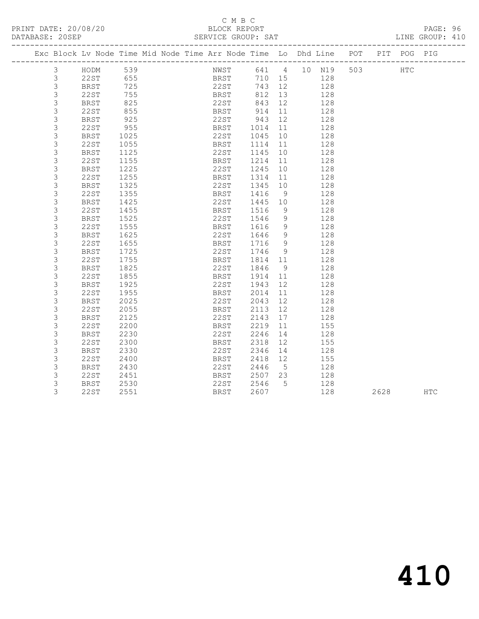#### C M B C<br>BLOCK REPORT SERVICE GROUP: SAT

|  |                |             |              | Exc Block Lv Node Time Mid Node Time Arr Node Time Lo Dhd Line POT |                   |         |                |     |     |      | PIT POG PIG  |            |
|--|----------------|-------------|--------------|--------------------------------------------------------------------|-------------------|---------|----------------|-----|-----|------|--------------|------------|
|  | 3              | HODM        | 539          |                                                                    | NWST 641 4 10 N19 |         |                |     | 503 |      | $_{\rm HTC}$ |            |
|  | $\mathcal{S}$  | 22ST        | $655$<br>725 |                                                                    | BRST<br>22ST      | 710 15  |                | 128 |     |      |              |            |
|  | $\mathfrak{S}$ | <b>BRST</b> | 725          |                                                                    |                   | 743 12  |                | 128 |     |      |              |            |
|  | $\mathcal{S}$  | 22ST        | 755          |                                                                    | <b>BRST</b>       | 812 13  |                | 128 |     |      |              |            |
|  | 3              | BRST        | 825          |                                                                    | 22ST              | 843     | 12             | 128 |     |      |              |            |
|  | $\mathsf 3$    | 22ST        | 855          |                                                                    | BRST              | 914     | 11             | 128 |     |      |              |            |
|  | $\mathsf S$    | BRST        | 925          |                                                                    | $22ST$ 943        |         | 12             | 128 |     |      |              |            |
|  | 3              | 22ST        | 955          |                                                                    | BRST              | 1014    | 11             | 128 |     |      |              |            |
|  | 3              | <b>BRST</b> | 1025         |                                                                    | 22ST              | 1045    | 10             | 128 |     |      |              |            |
|  | 3              | 22ST        | 1055         |                                                                    | BRST              | 1114    | 11             | 128 |     |      |              |            |
|  | 3              | BRST        | 1125         |                                                                    | 22ST              | 1145    | 10             | 128 |     |      |              |            |
|  | 3              | 22ST        | 1155         |                                                                    | BRST              | 1214    | 11             | 128 |     |      |              |            |
|  | 3              | <b>BRST</b> | 1225         |                                                                    | 22ST              | 1245    | 10             | 128 |     |      |              |            |
|  | 3              | 22ST        | 1255         |                                                                    | BRST              | 1314    | 11             | 128 |     |      |              |            |
|  | 3              | <b>BRST</b> | 1325         |                                                                    | 22ST              | 1345    | 10             | 128 |     |      |              |            |
|  | 3              | 22ST        | 1355         |                                                                    | BRST              | 1416    | - 9            | 128 |     |      |              |            |
|  | 3              | <b>BRST</b> | 1425         |                                                                    | 22ST              | 1445 10 |                | 128 |     |      |              |            |
|  | 3              | 22ST        | 1455         |                                                                    | BRST              | 1516    | 9              | 128 |     |      |              |            |
|  | 3              | BRST        | 1525         |                                                                    | 22ST              | 1546    | 9              | 128 |     |      |              |            |
|  | 3              | 22ST        | 1555         |                                                                    | BRST              | 1616    | 9              | 128 |     |      |              |            |
|  | $\mathsf S$    | <b>BRST</b> | 1625         |                                                                    | 22ST              | 1646    | 9              | 128 |     |      |              |            |
|  | 3              | 22ST        | 1655         |                                                                    | BRST              | 1716    | 9              | 128 |     |      |              |            |
|  | 3              | <b>BRST</b> | 1725         |                                                                    | 22ST              | 1746    | $\overline{9}$ | 128 |     |      |              |            |
|  | 3              | 22ST        | 1755         |                                                                    | BRST              | 1814 11 |                | 128 |     |      |              |            |
|  | $\mathsf S$    | <b>BRST</b> | 1825         |                                                                    | 22ST              | 1846    | - 9            | 128 |     |      |              |            |
|  | 3              | 22ST        | 1855         |                                                                    | BRST              | 1914    | 11             | 128 |     |      |              |            |
|  | 3              | <b>BRST</b> | 1925         |                                                                    | 22ST              | 1943    | 12             | 128 |     |      |              |            |
|  | 3              | 22ST        | 1955         |                                                                    | BRST              | 2014    | 11             | 128 |     |      |              |            |
|  | $\mathsf S$    | <b>BRST</b> | 2025         |                                                                    | 22ST              | 2043    | 12             | 128 |     |      |              |            |
|  | 3              | 22ST        | 2055         |                                                                    | BRST              | 2113    | 12             | 128 |     |      |              |            |
|  | 3              | <b>BRST</b> | 2125         |                                                                    | 22ST              | 2143    | 17             | 128 |     |      |              |            |
|  | 3              | 22ST        | 2200         |                                                                    | BRST              | 2219    | 11             | 155 |     |      |              |            |
|  | 3              | BRST        | 2230         |                                                                    | 22ST              | 2246    | 14             | 128 |     |      |              |            |
|  | 3              | 22ST        | 2300         |                                                                    | BRST              | 2318    | 12             | 155 |     |      |              |            |
|  | 3              | <b>BRST</b> | 2330         |                                                                    | 22ST              | 2346    | 14             | 128 |     |      |              |            |
|  | 3              | 22ST        | 2400         |                                                                    | BRST              | 2418    | 12             | 155 |     |      |              |            |
|  | 3              | <b>BRST</b> | 2430         |                                                                    | 22ST              | 2446    | $5^{\circ}$    | 128 |     |      |              |            |
|  | 3              | 22ST        | 2451         |                                                                    | BRST              | 2507    | 23             | 128 |     |      |              |            |
|  | 3              | <b>BRST</b> | 2530         |                                                                    | 22ST              | 2546    | $5^{\circ}$    | 128 |     |      |              |            |
|  | 3              | 22ST        | 2551         |                                                                    | BRST              | 2607    |                | 128 |     | 2628 |              | <b>HTC</b> |
|  |                |             |              |                                                                    |                   |         |                |     |     |      |              |            |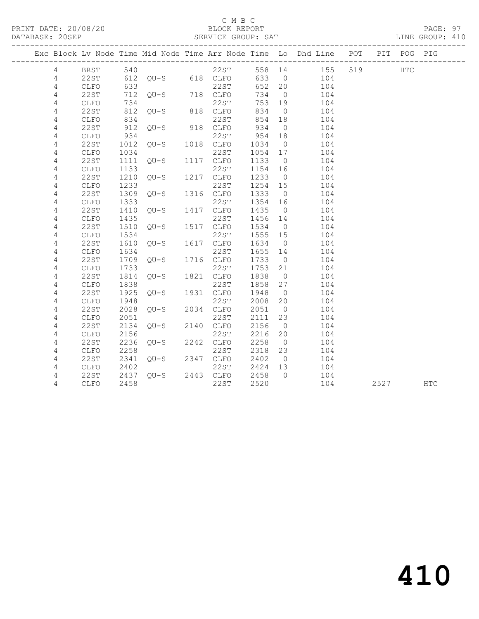#### C M B C<br>BLOCK REPORT

#### SERVICE GROUP: SAT

|                |              |      |                        |                    |         |                | Exc Block Lv Node Time Mid Node Time Arr Node Time Lo Dhd Line POT PIT POG PIG |         |      |     |
|----------------|--------------|------|------------------------|--------------------|---------|----------------|--------------------------------------------------------------------------------|---------|------|-----|
| $\overline{4}$ |              |      |                        |                    |         |                | BRST 540 22ST 558 14 155<br>22ST 612 QU-S 618 CLFO 633 0 104                   | 519 HTC |      |     |
| 4              |              |      |                        |                    |         |                |                                                                                |         |      |     |
| 4              | CLFO         | 633  |                        | 22ST               | 652 20  |                | 104                                                                            |         |      |     |
| 4              | 22ST         |      | 712 QU-S 718 CLFO      |                    | 734     | $\overline{0}$ | 104                                                                            |         |      |     |
| 4              | CLFO         | 734  |                        | 22ST               | 753 19  |                | 104                                                                            |         |      |     |
| 4              | <b>22ST</b>  | 812  | $QU-S$ 818 $CLFO$      |                    | 834     | $\overline{0}$ | 104                                                                            |         |      |     |
| 4              | CLFO         | 834  |                        | 22ST               | 854 18  |                | 104                                                                            |         |      |     |
| 4              | 22ST         | 912  | $QU-S$ 918 $CLFO$      |                    | 934     | $\overline{0}$ | 104                                                                            |         |      |     |
| 4              | CLFO         | 934  | 22ST<br>QU-S 1018 CLFO | 22ST               | 954     | 18             | 104                                                                            |         |      |     |
| 4              | 22ST         | 1012 |                        |                    | 1034 0  |                | 104                                                                            |         |      |     |
| 4              | CLFO         | 1034 |                        | 22ST               | 1054 17 |                | 104                                                                            |         |      |     |
| $\overline{4}$ | 22ST         | 1111 | $QU-S$                 | 1117 CLFO          | 1133 0  |                | 104                                                                            |         |      |     |
| 4              | CLFO         | 1133 |                        | 22ST               | 1154 16 |                | 104                                                                            |         |      |     |
| 4              | 22ST         | 1210 | $QU-S$ 1217 $CLFO$     |                    | 1233    | $\overline{0}$ | 104                                                                            |         |      |     |
| 4              | CLFO         | 1233 |                        | 22ST               | 1254 15 |                | 104                                                                            |         |      |     |
| 4              | <b>22ST</b>  | 1309 | $QU-S$                 | 1316 CLFO          | 1333    | $\overline{0}$ | 104                                                                            |         |      |     |
| 4              | CLFO         | 1333 |                        | 22ST               | 1354 16 |                | 104                                                                            |         |      |     |
| 4              | 22ST         | 1410 | $QU-S$                 | 1417 CLFO          | 1435    | $\overline{0}$ | 104                                                                            |         |      |     |
| 4              | CLFO         | 1435 | $QU-S$                 | 22ST               | 1456 14 |                | 104                                                                            |         |      |     |
| 4              | 22ST         | 1510 |                        | 1517 CLFO          | 1534 0  |                | 104                                                                            |         |      |     |
| 4              | CLFO         | 1534 |                        | 22ST               | 1555 15 |                | 104                                                                            |         |      |     |
| 4              | 22ST         | 1610 | $QU-S$                 | 1617 CLFO          | 1634    | $\overline{0}$ | 104                                                                            |         |      |     |
| 4              | CLFO         | 1634 |                        | 22ST               | 1655 14 |                | 104                                                                            |         |      |     |
| 4              | 22ST         | 1709 | $QU-S$ 1716 $CLFO$     |                    | 1733    | $\overline{0}$ | 104                                                                            |         |      |     |
| 4              | CLFO         | 1733 |                        | 22ST               | 1753 21 |                | 104                                                                            |         |      |     |
| 4              | 22ST         | 1814 | $QU-S$ 1821 $CLFO$     |                    | 1838    | $\overline{0}$ | 104                                                                            |         |      |     |
| 4              | CLFO         | 1838 |                        | 22ST               | 1858    | 27             | 104                                                                            |         |      |     |
| 4              | 22ST         | 1925 | $QU-S$                 | 1931 CLFO          | 1948    | $\overline{0}$ | 104                                                                            |         |      |     |
| 4              | CLFO         | 1948 | $QU-S$                 | 22ST               | 2008 20 |                | 104                                                                            |         |      |     |
| 4              | 22ST         | 2028 |                        | 2034 CLFO          | 2051 0  |                | 104                                                                            |         |      |     |
| 4              | CLFO         | 2051 | 22ST<br>QU-S 2140 CLFO | 22ST               | 2111    | 23             | 104                                                                            |         |      |     |
| 4              | 22ST         | 2134 |                        |                    | 2156    | $\overline{0}$ | 104                                                                            |         |      |     |
| 4              | ${\tt CLFO}$ | 2156 |                        | 22ST               | 2216    | 20             | 104                                                                            |         |      |     |
| 4              | 22ST         | 2236 | $QU-S$                 | 2242 CLFO          | 2258    | $\overline{0}$ | 104                                                                            |         |      |     |
| 4              | CLFO         | 2258 |                        | 22ST               | 2318 23 |                | 104                                                                            |         |      |     |
| 4              | 22ST         | 2341 |                        | $QU-S$ 2347 $CLFO$ | 2402    | $\overline{0}$ | 104                                                                            |         |      |     |
| 4              | CLFO         | 2402 |                        | 22ST               | 2424 13 |                | 104                                                                            |         |      |     |
| 4              | 22ST         | 2437 | $QU-S$ 2443 $CLFO$     |                    | 2458 0  |                | 104                                                                            |         |      |     |
| 4              | CLFO         | 2458 |                        | 22ST               | 2520    |                | 104                                                                            |         | 2527 | HTC |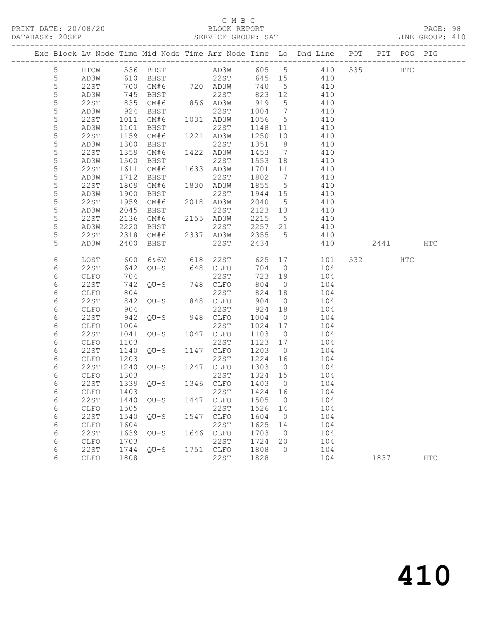## C M B C<br>BLOCK REPORT

PAGE: 98<br>LINE GROUP: 410

|                 |             |      |                     |      |                                          |         |                          | Exc Block Lv Node Time Mid Node Time Arr Node Time Lo Dhd Line POT |      | PIT POG PIG |     |
|-----------------|-------------|------|---------------------|------|------------------------------------------|---------|--------------------------|--------------------------------------------------------------------|------|-------------|-----|
| $5\phantom{.0}$ | HTCW        |      | 536 BHST            |      |                                          |         |                          | AD3W 605 5 410 535                                                 |      | HTC         |     |
| $5\phantom{.0}$ | AD3W        |      | 610 BHST            |      | BHST 22ST 645 15<br>CM#6 720 AD3W 740 5  |         |                          | 410                                                                |      |             |     |
| 5               | 22ST        | 700  |                     |      |                                          |         |                          | 410                                                                |      |             |     |
| 5               | AD3W        | 745  | BHST                |      | 22ST                                     | 823 12  |                          | 410                                                                |      |             |     |
| 5               | 22ST        | 835  | CM#6                |      | 856 AD3W                                 | 919     | 5                        | 410                                                                |      |             |     |
| $\mathsf S$     | AD3W        | 924  | BHST                |      | 22ST                                     | 1004 7  |                          | 410                                                                |      |             |     |
| 5               | 22ST        | 1011 | CM#6                |      | 1031 AD3W                                | 1056    | $5\overline{)}$          | 410                                                                |      |             |     |
| 5               | AD3W        | 1101 | BHST                |      | 22ST                                     | 1148 11 |                          | 410                                                                |      |             |     |
| 5               | 22ST        | 1159 | CM#6                |      | 1221 AD3W                                | 1250    | 10                       | 410                                                                |      |             |     |
| 5               | AD3W        | 1300 | BHST                |      | 22ST                                     | 1351 8  |                          | 410                                                                |      |             |     |
| 5               | 22ST        | 1359 | CM#6                |      | 1422 AD3W                                | 1453    | $\overline{7}$           | 410                                                                |      |             |     |
| 5               | AD3W        | 1500 | BHST                |      | 22ST                                     | 1553 18 |                          | 410                                                                |      |             |     |
| 5               | 22ST        | 1611 | CM#6                |      | 1633 AD3W                                | 1701    | 11                       | 410                                                                |      |             |     |
| $\mathsf S$     | AD3W        | 1712 | BHST                |      | 22ST                                     | 1802    | $\overline{7}$           | 410                                                                |      |             |     |
| $\mathsf S$     | 22ST        | 1809 | CM#6                |      | 1830 AD3W                                | 1855    | 5 <sup>5</sup>           | 410                                                                |      |             |     |
| 5               | AD3W        | 1900 | BHST                |      | 22ST                                     | 1944 15 |                          | 410                                                                |      |             |     |
| $\mathsf S$     | 22ST        | 1959 | CM#6                |      | 2018 AD3W                                | 2040    | $5^{\circ}$              | 410                                                                |      |             |     |
| 5               | AD3W        | 2045 | BHST                |      | 22ST                                     | 2123 13 |                          | 410                                                                |      |             |     |
| $\mathsf S$     | 22ST        | 2136 | CM#6                |      | 2155 AD3W                                | 2215 5  |                          | 410                                                                |      |             |     |
| 5               | AD3W        | 2220 | BHST                |      | 22ST                                     | 2257 21 |                          | 410                                                                |      |             |     |
| 5               | 22ST        | 2318 | CM#6                |      | 2337 AD3W                                | 2355    | $5\overline{)}$          | 410                                                                |      |             |     |
| 5               | AD3W        | 2400 | BHST                |      | 22ST                                     | 2434    |                          | 410                                                                | 2441 |             | HTC |
| 6               | LOST        | 600  | 6&6W                |      | 618 22ST                                 | 625     |                          | 17<br>101                                                          | 532  | HTC         |     |
| 6               | 22ST        | 642  | QU-S                |      | 648 CLFO                                 | 704     | $\overline{0}$           | 104                                                                |      |             |     |
| 6               | CLFO        | 704  |                     |      | 22ST                                     | 723     | 19                       | 104                                                                |      |             |     |
| $\epsilon$      | 22ST        | 742  | QU-S                |      | 748 CLFO                                 | 804     | $\overline{0}$           | 104                                                                |      |             |     |
| 6               | CLFO        | 804  |                     |      | 22ST                                     | 824 18  |                          | 104                                                                |      |             |     |
| 6               | 22ST        | 842  | $QU-S$ 848          |      | 848 CLFO                                 | 904     | $\overline{0}$           | 104                                                                |      |             |     |
| 6               | CLFO        | 904  |                     |      | 22ST                                     | 924     | 18                       | 104                                                                |      |             |     |
| 6               | 22ST        | 942  | $QU-S$              |      | 948 CLFO                                 | 1004    | $\overline{0}$           | 104                                                                |      |             |     |
| 6               | CLFO        | 1004 |                     |      | 22ST                                     | 1024 17 |                          | 104                                                                |      |             |     |
| 6               | 22ST        | 1041 | QU-S                |      | 1047 CLFO                                | 1103    | $\overline{0}$           | 104                                                                |      |             |     |
| 6               | <b>CLFO</b> | 1103 |                     |      | 22ST                                     | 1123    | 17                       | 104                                                                |      |             |     |
| $\epsilon$      | 22ST        | 1140 | $QU-S$              |      | 1147 CLFO                                | 1203 0  |                          | 104                                                                |      |             |     |
| 6               | CLFO        | 1203 |                     |      | 22ST<br>22ST 1224<br>QU-S 1247 CLFO 1303 | 1224 16 |                          | 104                                                                |      |             |     |
| 6               | 22ST        | 1240 |                     |      |                                          |         | $\overline{0}$           | 104                                                                |      |             |     |
| 6               | CLFO        | 1303 |                     |      | 22ST                                     | 1324 15 |                          | 104                                                                |      |             |     |
| 6               | 22ST        |      | 1339 QU-S 1346 CLFO |      |                                          | 1403    | $\overline{0}$           | 104                                                                |      |             |     |
| 6               | CLFO 1403   |      |                     |      | 22ST 1424 16                             |         |                          | 104                                                                |      |             |     |
| 6               | 22ST        | 1440 | $QU-S$              | 1447 | CLFO                                     | 1505    | $\overline{\phantom{0}}$ | 104                                                                |      |             |     |
| 6               | CLFO        | 1505 |                     |      | 22ST                                     | 1526    | 14                       | 104                                                                |      |             |     |
| 6               | 22ST        | 1540 | $QU-S$              | 1547 | CLFO                                     | 1604    | $\overline{0}$           | 104                                                                |      |             |     |
| 6               | CLFO        | 1604 |                     |      | 22ST                                     | 1625    | 14                       | 104                                                                |      |             |     |
| 6               | 22ST        | 1639 | $QU-S$              | 1646 | CLFO                                     | 1703    | $\overline{\phantom{0}}$ | 104                                                                |      |             |     |
| 6               | CLFO        | 1703 |                     |      | 22ST                                     | 1724    | 20                       | 104                                                                |      |             |     |
| 6               | <b>22ST</b> | 1744 | $QU-S$              | 1751 | CLFO                                     | 1808    | $\circ$                  | 104                                                                |      |             |     |
| 6               | CLFO        | 1808 |                     |      | 22ST                                     | 1828    |                          | 104                                                                | 1837 |             | HTC |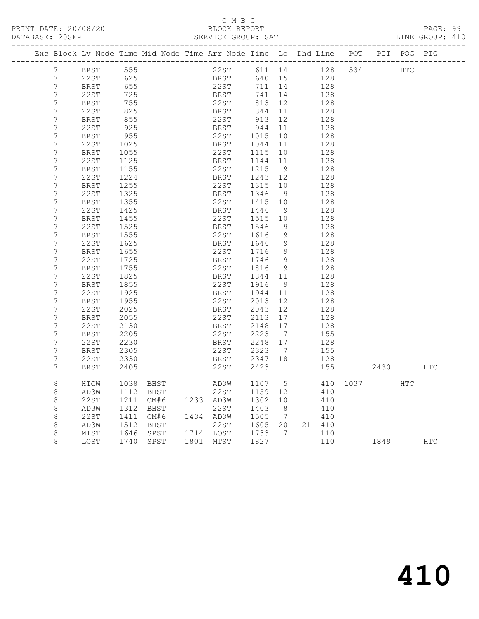## C M B C<br>BLOCK REPORT

PAGE: 99<br>LINE GROUP: 410

|                  |             |            | Exc Block Lv Node Time Mid Node Time Arr Node Time Lo Dhd Line POT PIT POG PIG |                              |                                         |                 |        |          |      |     |            |
|------------------|-------------|------------|--------------------------------------------------------------------------------|------------------------------|-----------------------------------------|-----------------|--------|----------|------|-----|------------|
|                  | 7 BRST 555  |            |                                                                                | 22ST 611 14 128 534 HTC      |                                         |                 |        |          |      |     |            |
| $7\phantom{.0}$  | 22ST        |            |                                                                                |                              | $640$ 15                                |                 | 128    |          |      |     |            |
| $\overline{7}$   | BRST        | 625<br>655 |                                                                                | BRST<br>22ST                 | 711 14                                  |                 | 128    |          |      |     |            |
| $\overline{7}$   | 22ST        |            |                                                                                |                              | 741                                     | 14              | 128    |          |      |     |            |
| 7                | BRST        | 755        |                                                                                | BRST<br>22ST                 | 813 12                                  |                 | 128    |          |      |     |            |
| 7                | 22ST        | 825        |                                                                                | BRST                         | $844$ 11<br>913 12                      |                 | 128    |          |      |     |            |
| $7\phantom{.0}$  | BRST        | 855        |                                                                                | 22st                         |                                         |                 | 128    |          |      |     |            |
| $\overline{7}$   | 22ST        | 925        |                                                                                | BRST                         | 944                                     | 11              | 128    |          |      |     |            |
| $\overline{7}$   | <b>BRST</b> | 955        |                                                                                | 22ST 1015                    |                                         | 10              | 128    |          |      |     |            |
| $\boldsymbol{7}$ | 22ST        | 1025       |                                                                                | BRST<br>22ST                 | 1044                                    | 11              | 128    |          |      |     |            |
| $\boldsymbol{7}$ | BRST        | 1055       |                                                                                |                              | 1115 10                                 |                 | 128    |          |      |     |            |
| $\overline{7}$   | 22ST        | 1125       |                                                                                | <b>BRST</b>                  | 1144 11                                 |                 | 128    |          |      |     |            |
| $7\phantom{.0}$  | <b>BRST</b> | 1155       |                                                                                | 22ST                         | 1215                                    | - 9             | 128    |          |      |     |            |
| $\overline{7}$   | 22ST        | 1224       |                                                                                | BRST                         | 1243 12                                 |                 | 128    |          |      |     |            |
| $7\phantom{.0}$  | <b>BRST</b> | 1255       |                                                                                | 22ST                         | 1315 10                                 |                 | 128    |          |      |     |            |
| $\boldsymbol{7}$ | 22ST        | 1325       |                                                                                | BRST                         | 1346                                    | 9               | 128    |          |      |     |            |
| $7\phantom{.0}$  | BRST        | 1355       |                                                                                | 22ST                         | 1415 10                                 |                 | 128    |          |      |     |            |
| $7\phantom{.0}$  | 22ST        | 1425       |                                                                                | BRST 1446                    |                                         | - 9             | 128    |          |      |     |            |
| $7\phantom{.0}$  | BRST        | 1455       |                                                                                | 22ST                         | 1515 10                                 |                 | 128    |          |      |     |            |
| $7\phantom{.0}$  | 22ST        | 1525       |                                                                                | BRST                         | 1546                                    | - 9             | 128    |          |      |     |            |
| 7                | BRST        | 1555       |                                                                                | 22ST                         | 1616                                    | 9               | 128    |          |      |     |            |
| $7\phantom{.0}$  | 22ST        | 1625       |                                                                                | BRST                         | 1646                                    | 9               | 128    |          |      |     |            |
| 7                | BRST        | 1655       |                                                                                | 22ST                         | 1716                                    | 9               | 128    |          |      |     |            |
| 7                | 22ST        | 1725       |                                                                                | BRST                         | 1746                                    | - 9             | 128    |          |      |     |            |
| 7                | BRST        | 1755       |                                                                                | 22ST 1816 9<br>BRST 1844 11  |                                         | 9               | 128    |          |      |     |            |
| $7\phantom{.0}$  | 22ST        | 1825       |                                                                                |                              |                                         |                 | 128    |          |      |     |            |
| $\overline{7}$   | <b>BRST</b> | 1855       |                                                                                | 22ST                         | $1916$ $\frac{9}{1944}$ $\frac{11}{12}$ |                 | 128    |          |      |     |            |
| $7\phantom{.0}$  | 22ST        | 1925       |                                                                                | BRST                         |                                         |                 | 128    |          |      |     |            |
| 7                | BRST        | 1955       |                                                                                | 22ST 2013 12<br>BRST 2043 12 |                                         |                 | 128    |          |      |     |            |
| $7\phantom{.0}$  | 22ST        | 2025       |                                                                                |                              |                                         |                 | 128    |          |      |     |            |
| $\overline{7}$   | BRST        | 2055       |                                                                                | 22ST                         | 2113 17<br>2148 17                      |                 | 128    |          |      |     |            |
| $7\phantom{.0}$  | 22ST        | 2130       |                                                                                | BRST                         |                                         |                 | 128    |          |      |     |            |
| $\overline{7}$   | BRST        | 2205       |                                                                                | 22ST 2223 7<br>BRST 2248 17  |                                         |                 | 155    |          |      |     |            |
| $\overline{7}$   | 22ST        | 2230       |                                                                                |                              |                                         |                 | 128    |          |      |     |            |
| $\boldsymbol{7}$ | BRST        | 2305       |                                                                                | 22ST 2323 7<br>BRST 2347 18  |                                         | $\overline{7}$  | 155    |          |      |     |            |
| 7                | 22ST        | 2330       |                                                                                |                              |                                         |                 | 128    |          |      |     |            |
| 7                | <b>BRST</b> | 2405       |                                                                                | 22ST                         | 2423                                    |                 | 155    | 2430     |      |     | <b>HTC</b> |
| $\,8\,$          | HTCW        | 1038       | BHST AD3W                                                                      |                              | 1107                                    | 5 <sup>5</sup>  |        | 410 1037 |      | HTC |            |
| 8                | AD3W        |            | 1112 BHST                                                                      | 22ST                         | 1159 12                                 |                 | 410    |          |      |     |            |
| 8                | 22ST        |            | 1211 CM#6                                                                      | 1233 AD3W                    | 1302 10                                 |                 | 410    |          |      |     |            |
| 8                | AD3W        | 1312       | BHST                                                                           | 22st                         | 1403                                    | 8 <sup>8</sup>  | 410    |          |      |     |            |
| 8                | 22ST        |            | 1411 CM#6 1434 AD3W                                                            |                              | 1505                                    | $\overline{7}$  | 410    |          |      |     |            |
| 8                | AD3W        | 1512       | BHST                                                                           | 22st                         | 1605 20                                 |                 | 21 410 |          |      |     |            |
| 8                | MTST        |            | 1646 SPST                                                                      | 1714 LOST                    | 1733                                    | $7\overline{ }$ | 110    |          |      |     |            |
| 8                | LOST        |            | 1740 SPST                                                                      | 1801 MTST                    | 1827                                    |                 | 110    |          | 1849 |     | <b>HTC</b> |
|                  |             |            |                                                                                |                              |                                         |                 |        |          |      |     |            |

410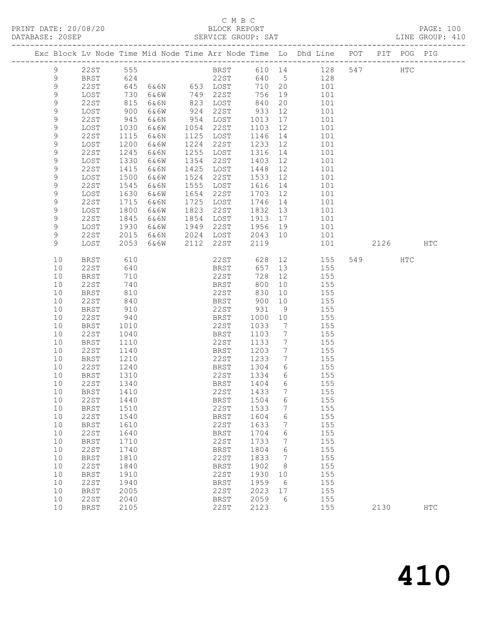### C M B C<br>BLOCK REPORT

| PRINT DATE: 20/08/20 BLOCK REPORT DATABASE: 20SEP SERVICE GROUP: |                     |              |          |      |                                                        |                          |                      | BLOCK REPORT<br>SERVICE GROUP: SAT                                                                                    |  |     | PAGE: 100<br>LINE GROUP: 410 |
|------------------------------------------------------------------|---------------------|--------------|----------|------|--------------------------------------------------------|--------------------------|----------------------|-----------------------------------------------------------------------------------------------------------------------|--|-----|------------------------------|
|                                                                  |                     |              |          |      |                                                        |                          |                      | Exc Block Lv Node Time Mid Node Time Arr Node Time Lo Dhd Line POT PIT POG PIG                                        |  |     |                              |
| 9                                                                |                     |              | 22ST 555 |      |                                                        |                          |                      | BRST 610 14 128 547 HTC                                                                                               |  |     |                              |
| $\mathsf 9$                                                      |                     |              |          |      |                                                        |                          |                      |                                                                                                                       |  |     |                              |
| $\mathsf 9$                                                      |                     |              |          |      |                                                        |                          |                      |                                                                                                                       |  |     |                              |
| $\mathsf 9$                                                      |                     |              |          |      |                                                        |                          |                      |                                                                                                                       |  |     |                              |
| $\mathsf 9$                                                      |                     |              |          |      |                                                        |                          |                      | 9 1287<br>228T 645 6&6N 653 LOST 710 20 101<br>228T 730 6&6W 749 228T 756 19 101<br>228T 815 6&6N 823 LOST 840 20 101 |  |     |                              |
| $\mathsf 9$                                                      | LOST                | 900          | 6&6W     |      | 924 22ST 933                                           |                          | 12                   | 101                                                                                                                   |  |     |                              |
| $\mathsf 9$                                                      | 22ST                | 945          | 6&6N     |      | 954 LOST                                               |                          |                      | 1013  17  101<br>1103  12  101                                                                                        |  |     |                              |
| $\mathsf 9$                                                      | LOST                | 1030         | 6&6W     |      | 1054 22ST                                              |                          |                      |                                                                                                                       |  |     |                              |
| $\mathsf 9$                                                      | 22ST                | 1115         | 6&6N     | 1125 | LOST                                                   |                          |                      | 1146 14 101                                                                                                           |  |     |                              |
| $\mathcal{G}$                                                    | LOST                | 1200         | 6&6W     | 1224 | 22ST                                                   |                          |                      | 1233 12 101                                                                                                           |  |     |                              |
| $\mathsf 9$                                                      | 22ST                | 1245         | 6&6N     | 1255 | LOST                                                   | 1316<br>1403             |                      | 14 101                                                                                                                |  |     |                              |
| 9                                                                | LOST                | 1330         | 6&6W     | 1354 | 22ST                                                   |                          | 12                   | 101                                                                                                                   |  |     |                              |
| 9                                                                | 22ST                | 1415         | 6&6N     | 1425 | LOST                                                   | 1448                     |                      | 12<br>101                                                                                                             |  |     |                              |
| $\mathsf 9$                                                      | LOST                | 1500         | 6&6W     | 1524 | 22ST                                                   |                          |                      | 1533 12 101                                                                                                           |  |     |                              |
| $\mathsf 9$                                                      | 22ST                | 1545         | 6&6N     | 1555 | LOST                                                   | 1616                     |                      | 14 101                                                                                                                |  |     |                              |
| $\mathsf 9$                                                      | LOST                | 1630         | 6&6W     | 1654 | 22ST                                                   | 1703    12<br>1746    14 |                      | 101                                                                                                                   |  |     |                              |
| 9                                                                | 22ST                | 1715         | 6&6N     | 1725 | LOST                                                   |                          |                      | 101                                                                                                                   |  |     |                              |
| $\mathcal{G}$                                                    | LOST                | 1800         | 6&6W     | 1823 | 22ST                                                   |                          |                      | 1832 13 101                                                                                                           |  |     |                              |
| $\mathsf 9$                                                      | 22ST                | 1845         | 6&6N     | 1854 | LOST                                                   |                          |                      | 1913 17 101                                                                                                           |  |     |                              |
| $\mathsf 9$                                                      | LOST                | 1930         | 6&6W     | 1949 | 22ST 1956 19<br>1949 2231 1950 19<br>2024 LOST 2043 10 |                          |                      | 101                                                                                                                   |  |     |                              |
| 9                                                                | 22ST                | 2015         | 6&6N     |      |                                                        |                          |                      | 101<br>101 2126                                                                                                       |  |     |                              |
| 9                                                                | LOST                | 2053         | 6&6W     |      | 2112 22ST                                              | 2119                     |                      |                                                                                                                       |  |     | HTC                          |
| 10                                                               | BRST                | 610          |          |      |                                                        |                          |                      | 22ST 628 12 155 549<br>BRST 657 13 155                                                                                |  | HTC |                              |
| 10                                                               | 22ST                | 640          |          |      |                                                        |                          |                      |                                                                                                                       |  |     |                              |
| 10                                                               | BRST                | 710          |          |      | 22ST                                                   | 728                      | 12                   | 155                                                                                                                   |  |     |                              |
| 10                                                               | 22ST                | 740          |          |      | <b>BRST</b>                                            | 800                      |                      | 10 155                                                                                                                |  |     |                              |
| 10                                                               | <b>BRST</b>         | 810          |          |      | 22ST<br>22ST 830<br>BRST 900                           | 830                      | 10                   | 155                                                                                                                   |  |     |                              |
| 10                                                               | 22ST                | 840          |          |      |                                                        |                          | 10                   | 155                                                                                                                   |  |     |                              |
| 10                                                               | BRST                | 910          |          |      | 22ST                                                   | 931                      | 9                    | 155                                                                                                                   |  |     |                              |
| 10                                                               | 22ST                | 940          |          |      | BRST                                                   | 1000                     | 10                   | 155                                                                                                                   |  |     |                              |
| 10                                                               | BRST                | 1010         |          |      | 22ST                                                   | 1033                     | $\overline{7}$       | 155                                                                                                                   |  |     |                              |
| 10                                                               | 22ST                | 1040         |          |      | BRST                                                   | 1103                     | $7\overline{ }$      | 155<br>155                                                                                                            |  |     |                              |
| 10                                                               | BRST                | 1110         |          |      | 22ST                                                   | 1133                     | $7\overline{ }$      |                                                                                                                       |  |     |                              |
| 10                                                               | 22ST                | 1140         |          |      | BRST                                                   | 1203                     | $\overline{7}$       | 155                                                                                                                   |  |     |                              |
| 10<br>10                                                         | <b>BRST</b><br>22ST | 1210<br>1240 |          |      | 22ST<br>BRST                                           | 1233<br>1304             | $7\overline{ }$<br>6 | 155<br>155                                                                                                            |  |     |                              |
| 10 BRST                                                          |                     | 1310         |          |      | 22ST 1334 6                                            |                          |                      | 155                                                                                                                   |  |     |                              |
| 10                                                               | 22ST                | 1340         |          |      | BRST                                                   | 1404                     | 6                    | 155                                                                                                                   |  |     |                              |
| 10                                                               | <b>BRST</b>         | 1410         |          |      | 22ST                                                   | 1433                     | 7                    | 155                                                                                                                   |  |     |                              |
| 10                                                               | <b>22ST</b>         | 1440         |          |      | <b>BRST</b>                                            | 1504                     | 6                    | 155                                                                                                                   |  |     |                              |
| 10                                                               | BRST                | 1510         |          |      | 22ST                                                   | 1533                     | 7                    | 155                                                                                                                   |  |     |                              |
| 10                                                               | <b>22ST</b>         | 1540         |          |      | BRST                                                   | 1604                     | 6                    | 155                                                                                                                   |  |     |                              |
| 10                                                               | <b>BRST</b>         | 1610         |          |      | 22ST                                                   | 1633                     | 7                    | 155                                                                                                                   |  |     |                              |
| 10                                                               | 22ST                | 1640         |          |      | <b>BRST</b>                                            | 1704                     | 6                    | 155                                                                                                                   |  |     |                              |
| 10                                                               | <b>BRST</b>         | 1710         |          |      | 22ST                                                   | 1733                     | $7\phantom{.}$       | 155                                                                                                                   |  |     |                              |
| 10                                                               | 22ST                | 1740         |          |      | BRST                                                   | 1804                     | 6                    | 155                                                                                                                   |  |     |                              |
| 10                                                               | <b>BRST</b>         | 1810         |          |      | 22ST                                                   | 1833                     | 7                    | 155                                                                                                                   |  |     |                              |
| 10                                                               | 22ST                | 1840         |          |      | BRST                                                   | 1902                     | 8                    | 155                                                                                                                   |  |     |                              |
| 10                                                               | <b>BRST</b>         | 1910         |          |      | 22ST                                                   | 1930                     | 10                   | 155                                                                                                                   |  |     |                              |
| 10                                                               | 22ST                | 1940         |          |      | BRST                                                   | 1959                     | $6\overline{6}$      | 155                                                                                                                   |  |     |                              |
| 10                                                               | <b>BRST</b>         | 2005         |          |      | 22ST                                                   | 2023 17                  |                      | 155                                                                                                                   |  |     |                              |

10 22ST 2040 BRST 2059 6 155

10 BRST 2105 22ST 2123 155 2130 HTC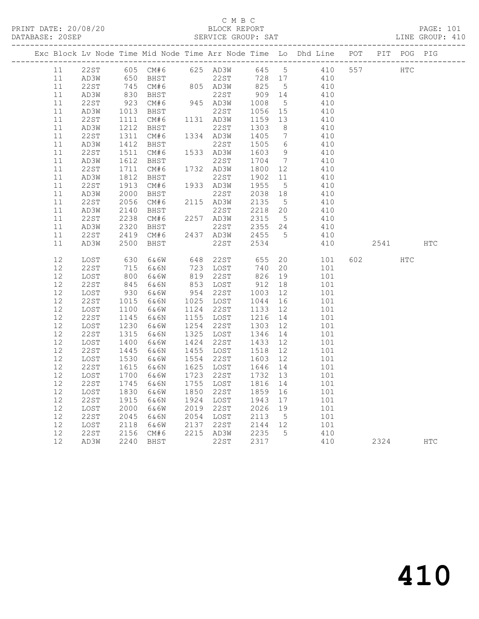#### C M B C<br>BLOCK REPORT SERVICE GROUP: SAT

|  |    |      |      | Exc Block Lv Node Time Mid Node Time Arr Node Time Lo Dhd Line POT |           |           |         |                              |     |     |     | PIT POG PIG |            |            |
|--|----|------|------|--------------------------------------------------------------------|-----------|-----------|---------|------------------------------|-----|-----|-----|-------------|------------|------------|
|  | 11 | 22ST |      | 605 CM#6 625 AD3W 645 5                                            |           |           |         |                              | 410 |     | 557 |             | HTC        |            |
|  | 11 | AD3W |      | 650 BHST                                                           |           | 22ST      | 728 17  |                              |     | 410 |     |             |            |            |
|  | 11 | 22ST |      |                                                                    |           | 805 AD3W  | 825 5   |                              | 410 |     |     |             |            |            |
|  | 11 | AD3W |      | 745 CM#6<br>830 BHST                                               |           | 22ST      | 909 14  |                              |     | 410 |     |             |            |            |
|  | 11 | 22ST | 923  | CM#6                                                               |           | 945 AD3W  | 1008    | $5^{\circ}$                  |     | 410 |     |             |            |            |
|  | 11 | AD3W | 1013 | BHST                                                               |           | 22ST      | 1056    | 15                           |     | 410 |     |             |            |            |
|  | 11 | 22ST | 1111 | CM# 6                                                              |           | 1131 AD3W | 1159    | 13                           |     | 410 |     |             |            |            |
|  | 11 | AD3W | 1212 | BHST                                                               |           | 22ST      | 1303    | 8 <sup>8</sup>               |     | 410 |     |             |            |            |
|  | 11 | 22ST | 1311 | CM#6                                                               |           | 1334 AD3W | 1405    | $7\phantom{.0}\phantom{.0}7$ |     | 410 |     |             |            |            |
|  | 11 | AD3W | 1412 | BHST                                                               |           | 22ST      | 1505    | 6                            |     | 410 |     |             |            |            |
|  | 11 | 22ST | 1511 | CM#6                                                               |           | 1533 AD3W | 1603    | - 9                          |     | 410 |     |             |            |            |
|  | 11 | AD3W | 1612 | BHST                                                               |           | 22ST      | 1704    | $\overline{7}$               |     | 410 |     |             |            |            |
|  | 11 | 22ST | 1711 | CM#6                                                               |           | 1732 AD3W | 1800    | 12                           |     | 410 |     |             |            |            |
|  | 11 | AD3W | 1812 | BHST                                                               |           | 22ST      | 1902    | 11                           |     | 410 |     |             |            |            |
|  | 11 | 22ST | 1913 | CM#6                                                               |           | 1933 AD3W | 1955    | $5^{\circ}$                  |     | 410 |     |             |            |            |
|  | 11 | AD3W | 2000 | BHST                                                               |           | 22ST      | 2038    | 18                           |     | 410 |     |             |            |            |
|  | 11 | 22ST | 2056 | CM#6                                                               |           | 2115 AD3W | 2135    | $5^{\circ}$                  |     | 410 |     |             |            |            |
|  | 11 | AD3W | 2140 | BHST                                                               |           | 22ST      | 2218    | 20                           |     | 410 |     |             |            |            |
|  | 11 | 22ST | 2238 | CM#6                                                               |           | 2257 AD3W | 2315    | $5\overline{)}$              |     | 410 |     |             |            |            |
|  | 11 | AD3W | 2320 | BHST                                                               |           | 22ST      | 2355 24 |                              | 410 |     |     |             |            |            |
|  | 11 | 22ST | 2419 | CM#6                                                               |           | 2437 AD3W | 2455    | $5^{\circ}$                  |     | 410 |     |             |            |            |
|  | 11 | AD3W | 2500 | BHST                                                               |           | 22ST      | 2534    |                              |     | 410 |     | 2541        |            | <b>HTC</b> |
|  | 12 | LOST | 630  | 6&6W                                                               | 648       | 22ST      | 655     | 20                           |     | 101 | 602 |             | <b>HTC</b> |            |
|  | 12 | 22ST | 715  | 6&6N                                                               |           | 723 LOST  | 740     | 20                           |     | 101 |     |             |            |            |
|  | 12 | LOST | 800  | 6&6W                                                               | 819       | 22ST      | 826     | 19                           |     | 101 |     |             |            |            |
|  | 12 | 22ST | 845  | 6&6N                                                               |           | 853 LOST  | 912     | 18                           |     | 101 |     |             |            |            |
|  | 12 | LOST | 930  | 6&6W                                                               | 954 22ST  |           | 1003    | 12                           |     | 101 |     |             |            |            |
|  | 12 | 22ST | 1015 | 6&6N                                                               |           | 1025 LOST | 1044    | 16                           |     | 101 |     |             |            |            |
|  | 12 | LOST | 1100 | 6&6W                                                               | 1124      | 22ST      | 1133    | 12                           |     | 101 |     |             |            |            |
|  | 12 | 22ST | 1145 | 6&6N                                                               |           | 1155 LOST | 1216    | 14                           |     | 101 |     |             |            |            |
|  | 12 | LOST | 1230 | 6&6W                                                               | 1254      | 22ST      | 1303    | 12                           |     | 101 |     |             |            |            |
|  | 12 | 22ST | 1315 | 6&6N                                                               | 1325      | LOST      | 1346    | 14                           |     | 101 |     |             |            |            |
|  | 12 | LOST | 1400 | 6&6W                                                               | 1424      | 22ST      | 1433    | 12                           |     | 101 |     |             |            |            |
|  | 12 | 22ST | 1445 | 6&6N                                                               | 1455      | LOST      | 1518    | 12                           |     | 101 |     |             |            |            |
|  | 12 | LOST | 1530 | 6&6W                                                               | 1554      | 22ST      | 1603    | 12                           |     | 101 |     |             |            |            |
|  | 12 | 22ST | 1615 | 6&6N                                                               | 1625      | LOST      | 1646    | 14                           |     | 101 |     |             |            |            |
|  | 12 | LOST | 1700 | 6&6W                                                               | 1723      | 22ST      | 1732    | 13                           |     | 101 |     |             |            |            |
|  | 12 | 22ST | 1745 | 6&6N                                                               | 1755      | LOST      | 1816    | 14                           |     | 101 |     |             |            |            |
|  | 12 | LOST | 1830 | 6&6W                                                               | 1850      | 22ST      | 1859    | 16                           |     | 101 |     |             |            |            |
|  | 12 | 22ST | 1915 | 6&6N                                                               | 1924 LOST |           | 1943    | 17                           |     | 101 |     |             |            |            |
|  | 12 | LOST | 2000 | 6&6W                                                               | 2019      | 22ST      | 2026    | 19                           |     | 101 |     |             |            |            |
|  | 12 | 22ST | 2045 | 6&6N                                                               | 2054 LOST |           | 2113    | $5^{\circ}$                  |     | 101 |     |             |            |            |
|  | 12 | LOST | 2118 | 6&6W                                                               | 2137      | 22ST      | 2144 12 |                              |     | 101 |     |             |            |            |
|  | 12 | 22ST | 2156 | CM#6                                                               |           | 2215 AD3W | 2235    | $5^{\circ}$                  |     | 410 |     |             |            |            |
|  | 12 | AD3W | 2240 | BHST                                                               |           | 22ST      | 2317    |                              |     | 410 |     | 2324        |            | <b>HTC</b> |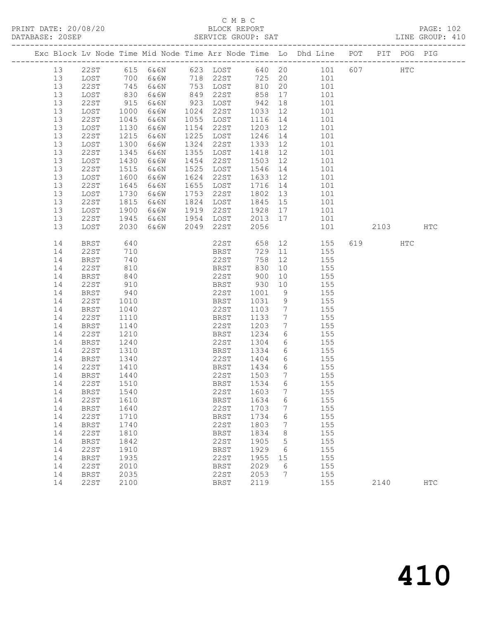#### C M B C<br>BLOCK REPORT SERVICE GROUP: SAT

|          |              |              |              |              |                         |                |                      | Exc Block Lv Node Time Mid Node Time Arr Node Time Lo Dhd Line POT PIT POG PIG |         |              |               |
|----------|--------------|--------------|--------------|--------------|-------------------------|----------------|----------------------|--------------------------------------------------------------------------------|---------|--------------|---------------|
| 13       |              |              |              |              |                         |                |                      | 22ST 615 6&6N 623 LOST 640 20 101 607                                          |         | $_{\rm HTC}$ |               |
| 13       | LOST         |              | 700 6&6W     |              | 718 22ST                |                |                      | 725 20 101                                                                     |         |              |               |
| 13       | 22ST         | 745<br>830   | 6&6N         |              |                         | $810$<br>$858$ |                      | $\begin{array}{ccc} 20 & & 101 \\ 17 & & 101 \end{array}$                      |         |              |               |
| 13       | LOST         |              | 6&6W         |              | 153 LUST<br>122ST - 849 |                |                      |                                                                                |         |              |               |
| 13       | 22ST         | 915          | 6&6N         |              | 923 LOST                | 942            | 18                   | 101                                                                            |         |              |               |
| 13       | LOST         | 1000         | 6&6W         | 1024         | 22ST                    | 1033           | 12                   | 101                                                                            |         |              |               |
| 13       | 22ST         | 1045         | 6&6N         |              | 1055 LOST               | 1116           | 14                   | 101                                                                            |         |              |               |
| 13       | LOST         | 1130         | 6&6W         | 1154         | 22ST                    | 1203           | 12                   | 101                                                                            |         |              |               |
| 13       | 22ST         | 1215         | 6&6N         | 1225         | LOST                    | 1246           |                      | 14 101                                                                         |         |              |               |
| 13       | LOST         | 1300         | 6&6W         | 1324         | 22ST                    | 1333           | 12                   | 101                                                                            |         |              |               |
| 13<br>13 | 22ST         | 1345         | 6&6N         | 1355<br>1454 | LOST<br>22ST            | 1418<br>1503   | 12<br>12             | 101                                                                            |         |              |               |
| 13       | LOST<br>22ST | 1430<br>1515 | 6&6W<br>6&6N | 1525         | LOST                    | 1546           | 14                   | 101<br>101                                                                     |         |              |               |
| 13       | LOST         | 1600         | 6&6W         | 1624         | 22ST                    | 1633           | 12                   | 101                                                                            |         |              |               |
| 13       | 22ST         | 1645         | 6&6N         | 1655         | LOST                    | 1716           | 14                   | 101                                                                            |         |              |               |
| 13       | LOST         | 1730         | 6&6W         | 1753         | 22ST                    | 1802           | 13                   | 101                                                                            |         |              |               |
| 13       | 22ST         | 1815         | 6&6N         |              | 1824 LOST               | 1845           | 15                   | 101                                                                            |         |              |               |
| 13       | LOST         | 1900         | 6&6W         |              | 1919 22ST               | 1928 17        |                      | 101                                                                            |         |              |               |
| 13       | 22ST         | 1945         | 6&6N         |              | 1954 LOST               | 2013 17        |                      | 101                                                                            |         |              |               |
| 13       | LOST         | 2030         | 6&6W         | 2049         | 22ST                    | 2056           |                      | 101                                                                            | 2103    |              | HTC           |
|          |              |              |              |              |                         |                |                      |                                                                                |         |              |               |
| 14       | <b>BRST</b>  | 640          |              |              | 22ST                    |                |                      | 658 12 155                                                                     | 619 HTC |              |               |
| 14       | 22ST         | 710          |              |              | BRST                    | 729            | 11                   | 155                                                                            |         |              |               |
| 14       | <b>BRST</b>  | 740          |              |              | 22ST                    | 758            | 12                   | 155                                                                            |         |              |               |
| 14       | 22ST         | 810          |              |              | BRST                    | 830            | 10                   | 155                                                                            |         |              |               |
| 14       | BRST         | 840          |              |              | 22ST                    | 900            |                      | 10 155                                                                         |         |              |               |
| 14       | 22ST         | 910          |              |              | BRST                    | 930            | 10                   | 155                                                                            |         |              |               |
| 14       | BRST         | 940          |              |              | 22ST                    | 1001           | 9                    | 155                                                                            |         |              |               |
| 14       | 22ST         | 1010         |              |              | BRST                    | 1031           | 9                    | $\frac{155}{155}$                                                              |         |              |               |
| 14       | BRST         | 1040         |              |              | 22ST                    | 1103           | $7\overline{ }$      | 155                                                                            |         |              |               |
| 14       | 22ST         | 1110         |              |              | BRST                    | 1133           | $7\overline{ }$      | 155                                                                            |         |              |               |
| 14       | BRST         | 1140         |              |              | 22ST                    | 1203<br>1234   | $7\overline{ }$<br>6 | 155<br>$\frac{155}{155}$                                                       |         |              |               |
| 14<br>14 | 22ST         | 1210         |              |              | BRST<br>22ST            | 1304           |                      | 6 155                                                                          |         |              |               |
| 14       | BRST<br>22ST | 1240<br>1310 |              |              | BRST                    | 1334           |                      | 6 155                                                                          |         |              |               |
| 14       | BRST         | 1340         |              |              | 22ST                    | 1404           | $6\overline{6}$      | 155                                                                            |         |              |               |
| 14       | 22ST         | 1410         |              |              | BRST                    | 1434           | 6                    | 155                                                                            |         |              |               |
| 14       | BRST         | 1440         |              |              | 22ST                    | 1503           | $\overline{7}$       | 155                                                                            |         |              |               |
| 14       | 22ST         | 1510         |              |              | BRST                    |                |                      | 1534 6 155                                                                     |         |              |               |
| 14 BRST  |              | 1540         |              |              | 22ST 1603 7             |                |                      | 155                                                                            |         |              |               |
| 14       | 22ST         | 1610         |              |              | <b>BRST</b>             | 1634           | 6                    | 155                                                                            |         |              |               |
| 14       | <b>BRST</b>  | 1640         |              |              | 22ST                    | 1703           | 7                    | 155                                                                            |         |              |               |
| 14       | <b>22ST</b>  | 1710         |              |              | <b>BRST</b>             | 1734           | 6                    | 155                                                                            |         |              |               |
| 14       | <b>BRST</b>  | 1740         |              |              | 22ST                    | 1803           | 7                    | 155                                                                            |         |              |               |
| 14       | <b>22ST</b>  | 1810         |              |              | <b>BRST</b>             | 1834           | 8                    | 155                                                                            |         |              |               |
| 14       | <b>BRST</b>  | 1842         |              |              | 22ST                    | 1905           | 5                    | 155                                                                            |         |              |               |
| 14       | <b>22ST</b>  | 1910         |              |              | <b>BRST</b>             | 1929           | 6                    | 155                                                                            |         |              |               |
| 14       | <b>BRST</b>  | 1935         |              |              | 22ST                    | 1955           | 15                   | 155                                                                            |         |              |               |
| 14       | <b>22ST</b>  | 2010         |              |              | <b>BRST</b>             | 2029           | 6                    | 155                                                                            |         |              |               |
| 14       | <b>BRST</b>  | 2035         |              |              | 22ST                    | 2053           | 7                    | 155                                                                            |         |              |               |
| 14       | 22ST         | 2100         |              |              | <b>BRST</b>             | 2119           |                      | 155                                                                            | 2140    |              | $_{\rm{HTC}}$ |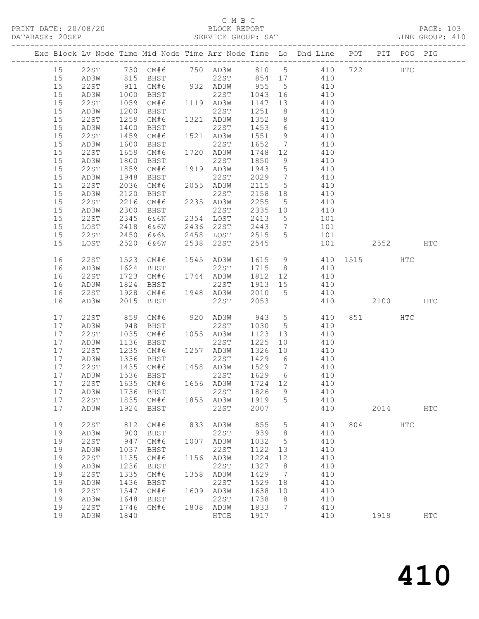## C M B C<br>BLOCK REPORT

|      |             |      |                                       |      |                                                    |                  |                 | Exc Block Lv Node Time Mid Node Time Arr Node Time Lo Dhd Line POT PIT POG PIG                                                               |          |      |              |            |
|------|-------------|------|---------------------------------------|------|----------------------------------------------------|------------------|-----------------|----------------------------------------------------------------------------------------------------------------------------------------------|----------|------|--------------|------------|
|      |             |      |                                       |      |                                                    |                  |                 | 15 22ST 730 CM#6 750 AD3W 810 5 410 722 HTC                                                                                                  |          |      |              |            |
| 15   |             |      |                                       |      |                                                    |                  |                 | AD3W 815 BHST 22ST 854 17 410<br>22ST 911 CM#6 932 AD3W 955 5 410<br>AD3W 1000 BHST 22ST 1043 16 410<br>22ST 1059 CM#6 1119 AD3W 1147 13 410 |          |      |              |            |
| 15   |             |      |                                       |      |                                                    |                  |                 |                                                                                                                                              |          |      |              |            |
| 15   |             |      |                                       |      |                                                    |                  |                 |                                                                                                                                              |          |      |              |            |
| 15   |             |      |                                       |      |                                                    |                  |                 |                                                                                                                                              |          |      |              |            |
| 15   | AD3W        |      | 1200 BHST                             |      | 22ST                                               | 1251             | 8 <sup>8</sup>  | 410                                                                                                                                          |          |      |              |            |
| 15   | 22ST        | 1259 | CM#6                                  |      | 1321 AD3W                                          | 1352             |                 | 8 410                                                                                                                                        |          |      |              |            |
| 15   | AD3W        |      |                                       |      |                                                    |                  |                 |                                                                                                                                              |          |      |              |            |
| 15   | 22ST        |      |                                       |      | 1400 BHST 22ST 1453<br>1459 CM#6 1521 AD3W 1551    |                  |                 | $\begin{array}{ccc} 6 & & 410 \\ 9 & & 410 \end{array}$                                                                                      |          |      |              |            |
| 15   | AD3W        |      | 1600 BHST                             |      | 22ST 1652                                          |                  | $\overline{7}$  | 410                                                                                                                                          |          |      |              |            |
| 15   | 22ST        | 1659 | CM#6                                  |      | 1720 AD3W 1748                                     |                  | 12              | 410                                                                                                                                          |          |      |              |            |
| 15   | AD3W        | 1800 | BHST                                  |      | 22ST                                               |                  | 9               |                                                                                                                                              |          |      |              |            |
| 15   | 22ST        |      | 1859 CM#6 1919 AD3W                   |      |                                                    | 1850<br>1943     | 5 <sup>5</sup>  | $410$<br>$410$                                                                                                                               |          |      |              |            |
| 15   | AD3W        |      | 1948 BHST                             |      | 22ST                                               | 2029             |                 | 7 410                                                                                                                                        |          |      |              |            |
| 15   | 22ST        |      | 2036 CM#6                             |      | 2055 AD3W                                          | 2115             |                 | 5 410                                                                                                                                        |          |      |              |            |
| 15   | AD3W        |      |                                       |      |                                                    |                  |                 |                                                                                                                                              |          |      |              |            |
| 15   | 22ST        |      |                                       |      |                                                    | 2158<br>2255     | $5\overline{)}$ | 18 410<br>410                                                                                                                                |          |      |              |            |
| 15   | AD3W        |      | 2300 BHST                             |      | 22ST                                               |                  |                 | $2335$ 10 410                                                                                                                                |          |      |              |            |
| 15   | 22ST        | 2345 | 6&6N                                  |      | 2354 LOST 2413                                     |                  |                 |                                                                                                                                              |          |      |              |            |
|      |             |      |                                       |      |                                                    |                  |                 | 5 101                                                                                                                                        |          |      |              |            |
| 15   | LOST        | 2418 | 6&6W                                  |      | 2436 22ST                                          |                  |                 | 7 101                                                                                                                                        |          |      |              |            |
| 15   | 22ST        | 2450 | 6&6N                                  |      | 2436 22ST 2443<br>2458 LOST 2515<br>2538 22ST 2545 |                  | $5^{\circ}$     | 101                                                                                                                                          | 101 2552 |      |              |            |
| 15   | LOST        |      | 2520 6&6W                             |      |                                                    |                  |                 |                                                                                                                                              |          |      |              | HTC        |
| 16   | 22ST        |      |                                       |      |                                                    |                  |                 | 1523 CM#6 1545 AD3W 1615 9 410 1515 HTC<br>1624 BHST 22ST 1715 8 410<br>1723 CM#6 1744 AD3W 1812 12 410                                      |          |      |              |            |
| 16   | AD3W        |      |                                       |      |                                                    |                  |                 |                                                                                                                                              |          |      |              |            |
| 16   | 22ST        |      |                                       |      |                                                    |                  |                 |                                                                                                                                              |          |      |              |            |
| 16   | AD3W        |      | 1824 BHST                             |      | 22ST                                               |                  |                 | 1913 15 410                                                                                                                                  |          |      |              |            |
| 16   | 22ST        | 1928 | CM#6 1948 AD3W                        |      |                                                    | 2010             |                 | 5 410                                                                                                                                        |          |      |              |            |
| 16   | AD3W        | 2015 | BHST                                  |      | 22ST                                               | 2053             |                 | 410 2100                                                                                                                                     |          |      |              | HTC        |
| 17   | 22ST        |      | 859 CM#6 920 AD3W                     |      |                                                    |                  |                 | 943 5 410                                                                                                                                    |          | 851  | HTC          |            |
| 17   | AD3W        |      | 948 BHST                              |      | 22ST                                               | 1030             | $5\overline{)}$ | 410                                                                                                                                          |          |      |              |            |
| 17   | 22ST        |      |                                       |      |                                                    | 1123             |                 | $\begin{array}{cc} 13 & 410 \\ 10 & 410 \end{array}$                                                                                         |          |      |              |            |
| 17   | AD3W        |      | 1035 CM#6 1055 AD3W<br>1136 BHST 22ST |      | 22ST                                               | <sup>1</sup> 225 |                 |                                                                                                                                              |          |      |              |            |
| 17   | 22ST        |      | 1235 CM#6 1257 AD3W                   |      |                                                    | 1326 10          |                 | 410                                                                                                                                          |          |      |              |            |
| 17   | AD3W        |      | 1336 BHST                             |      | 22ST                                               | 1429 6           |                 | 410                                                                                                                                          |          |      |              |            |
| 17   | 22ST        |      | 1435 CM#6 1458 AD3W                   |      |                                                    | 1529             | $7\overline{)}$ | 410                                                                                                                                          |          |      |              |            |
|      |             |      |                                       |      |                                                    |                  |                 | 17 AD3W 1536 BHST 22ST 1629 6 410                                                                                                            |          |      |              |            |
| 17   | 22ST        | 1635 | CM#6                                  |      | 1656 AD3W                                          | 1724             | 12              | 410                                                                                                                                          |          |      |              |            |
| 17   | AD3W        | 1736 | BHST                                  |      | 22ST                                               | 1826             | 9               | 410                                                                                                                                          |          |      |              |            |
| $17$ | <b>22ST</b> | 1835 | CM#6                                  |      | 1855 AD3W                                          | 1919             | 5               | 410                                                                                                                                          |          |      |              |            |
| $17$ | AD3W        | 1924 | BHST                                  |      | 22ST                                               | 2007             |                 | 410                                                                                                                                          |          | 2014 |              | <b>HTC</b> |
| 19   | 22ST        | 812  | CM#6                                  | 833  | AD3W                                               | 855              | 5               | 410                                                                                                                                          | 804      |      | $_{\rm HTC}$ |            |
| 19   | AD3W        | 900  | BHST                                  |      | 22ST                                               | 939              | 8               | 410                                                                                                                                          |          |      |              |            |
| 19   | 22ST        | 947  | CM#6                                  |      | 1007 AD3W                                          | 1032             | 5               | 410                                                                                                                                          |          |      |              |            |
| 19   | AD3W        | 1037 | BHST                                  |      | 22ST                                               | 1122             | 13              | 410                                                                                                                                          |          |      |              |            |
| 19   | <b>22ST</b> | 1135 | CM#6                                  |      | 1156 AD3W                                          | 1224             | 12              | 410                                                                                                                                          |          |      |              |            |
| 19   | AD3W        | 1236 | BHST                                  |      | 22ST                                               | 1327             | 8               | 410                                                                                                                                          |          |      |              |            |
| 19   | 22ST        | 1335 | CM#6                                  |      | 1358 AD3W                                          | 1429             | $\overline{7}$  | 410                                                                                                                                          |          |      |              |            |
| 19   | AD3W        | 1436 | BHST                                  |      | 22ST                                               | 1529             | 18              | 410                                                                                                                                          |          |      |              |            |
| 19   | <b>22ST</b> | 1547 | CM#6                                  | 1609 | AD3W                                               | 1638             | 10              | 410                                                                                                                                          |          |      |              |            |
| 19   | AD3W        | 1648 | BHST                                  |      | 22ST                                               | 1738             | 8               | 410                                                                                                                                          |          |      |              |            |
| 19   | 22ST        | 1746 | CM#6                                  |      | 1808 AD3W                                          | 1833             | $\overline{7}$  | 410                                                                                                                                          |          |      |              |            |
| 19   | AD3W        | 1840 |                                       |      | ${\tt HTCE}$                                       | 1917             |                 | 410                                                                                                                                          |          | 1918 |              | <b>HTC</b> |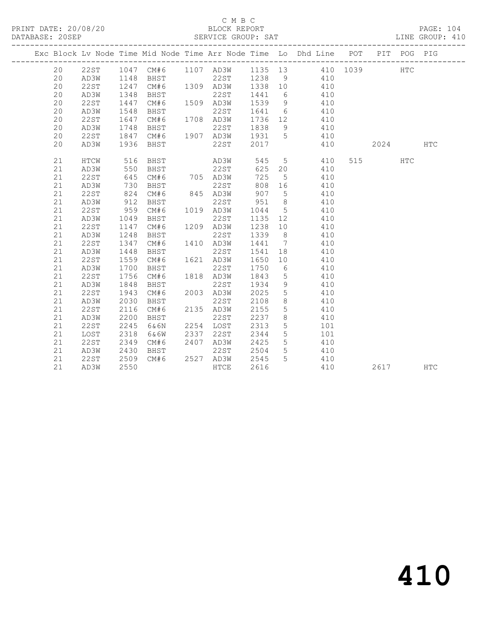#### C M B C<br>BLOCK REPORT SERVICE GROUP: SAT

|  |    |      |      |      |      |                  |         |                 | Exc Block Lv Node Time Mid Node Time Arr Node Time Lo Dhd Line POT |      | PIT POG PIG |            |
|--|----|------|------|------|------|------------------|---------|-----------------|--------------------------------------------------------------------|------|-------------|------------|
|  | 20 | 22ST |      |      |      |                  |         |                 | 1047 CM#6 1107 AD3W 1135 13 410 1039                               |      | <b>HTC</b>  |            |
|  | 20 | AD3W | 1148 |      |      |                  |         |                 | BHST 22ST 1238 9 410                                               |      |             |            |
|  | 20 | 22ST | 1247 | CM#6 |      | 1309 AD3W        | 1338 10 |                 | 410                                                                |      |             |            |
|  | 20 | AD3W | 1348 | BHST |      | 22ST             | 1441    | 6               | 410                                                                |      |             |            |
|  | 20 | 22ST | 1447 | CM#6 |      | 1509 AD3W        | 1539    | 9               | 410                                                                |      |             |            |
|  | 20 | AD3W | 1548 | BHST |      | 22ST             | 1641 6  |                 | 410                                                                |      |             |            |
|  | 20 | 22ST | 1647 | CM#6 |      | 1708 AD3W        | 1736 12 |                 | 410                                                                |      |             |            |
|  | 20 | AD3W | 1748 | BHST |      | 22ST             | 1838    | 9               | 410                                                                |      |             |            |
|  | 20 | 22ST | 1847 | CM#6 |      | 1907 AD3W 1931 5 |         |                 | 410                                                                |      |             |            |
|  | 20 | AD3W | 1936 | BHST |      | 22ST             | 2017    |                 | 410                                                                | 2024 |             | <b>HTC</b> |
|  | 21 | HTCW | 516  | BHST |      | AD3W             | 545     | 5 <sup>5</sup>  | 410                                                                | 515  | <b>HTC</b>  |            |
|  | 21 | AD3W | 550  | BHST |      | 22ST             | 625     | 20              | 410                                                                |      |             |            |
|  | 21 | 22ST | 645  | CM#6 |      | 705 AD3W         | 725     | $5^{\circ}$     | 410                                                                |      |             |            |
|  | 21 | AD3W | 730  | BHST |      | 22ST             | 808 16  |                 | 410                                                                |      |             |            |
|  | 21 | 22ST | 824  | CM#6 |      | 845 AD3W         | 907     | $5^{\circ}$     | 410                                                                |      |             |            |
|  | 21 | AD3W | 912  | BHST |      | 22ST             | 951     | 8 <sup>8</sup>  | 410                                                                |      |             |            |
|  | 21 | 22ST | 959  | CM#6 |      | 1019 AD3W        | 1044    | $5^{\circ}$     | 410                                                                |      |             |            |
|  | 21 | AD3W | 1049 | BHST |      | 22ST             | 1135 12 |                 | 410                                                                |      |             |            |
|  | 21 | 22ST | 1147 | CM#6 |      | 1209 AD3W        | 1238 10 |                 | 410                                                                |      |             |            |
|  | 21 | AD3W | 1248 | BHST |      | 22ST             | 1339 8  |                 | 410                                                                |      |             |            |
|  | 21 | 22ST | 1347 | CM#6 |      | 1410 AD3W        | 1441    | $\overline{7}$  | 410                                                                |      |             |            |
|  | 21 | AD3W | 1448 | BHST |      | 22ST             | 1541 18 |                 | 410                                                                |      |             |            |
|  | 21 | 22ST | 1559 | CM#6 |      | 1621 AD3W        | 1650    | 10              | 410                                                                |      |             |            |
|  | 21 | AD3W | 1700 | BHST |      | 22ST             | 1750    | 6               | 410                                                                |      |             |            |
|  | 21 | 22ST | 1756 | CM#6 |      | 1818 AD3W        | 1843    | $5\overline{)}$ | 410                                                                |      |             |            |
|  | 21 | AD3W | 1848 | BHST |      | 22ST             | 1934    | 9               | 410                                                                |      |             |            |
|  | 21 | 22ST | 1943 | CM#6 |      | 2003 AD3W        | 2025    | $5\phantom{.0}$ | 410                                                                |      |             |            |
|  | 21 | AD3W | 2030 | BHST |      | 22ST             | 2108    | 8               | 410                                                                |      |             |            |
|  | 21 | 22ST | 2116 | CM#6 |      | 2135 AD3W        | 2155    | $5\phantom{.0}$ | 410                                                                |      |             |            |
|  | 21 | AD3W | 2200 | BHST |      | 22ST             | 2237    | 8               | 410                                                                |      |             |            |
|  | 21 | 22ST | 2245 | 6&6N |      | 2254 LOST        | 2313    | $5\phantom{.0}$ | 101                                                                |      |             |            |
|  | 21 | LOST | 2318 | 6&6W |      | 2337 22ST        | 2344    | 5               | 101                                                                |      |             |            |
|  | 21 | 22ST | 2349 | CM#6 | 2407 | AD3W             | 2425    | 5 <sup>5</sup>  | 410                                                                |      |             |            |
|  | 21 | AD3W | 2430 | BHST |      | 22ST             | 2504    | $5\overline{)}$ | 410                                                                |      |             |            |
|  | 21 | 22ST | 2509 | CM#6 |      | 2527 AD3W        | 2545    | 5 <sup>5</sup>  | 410                                                                |      |             |            |
|  | 21 | AD3W | 2550 |      |      | HTCE             | 2616    |                 | 410                                                                | 2617 |             | <b>HTC</b> |
|  |    |      |      |      |      |                  |         |                 |                                                                    |      |             |            |

# 410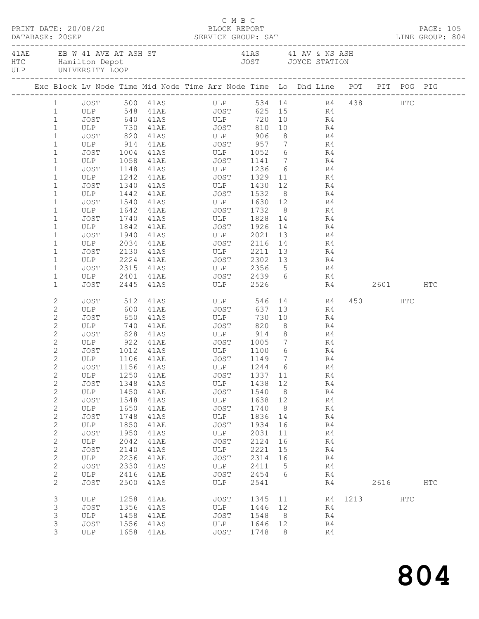|  |                                | PRINT DATE: 20/08/20 |      | DATABASE: 20SEP SERVICE GROUP: SAT LINE GROUP: 804                                                 | BLOCK REPORT | C M B C                    |         |                |           |           |             | PAGE: 105     |  |
|--|--------------------------------|----------------------|------|----------------------------------------------------------------------------------------------------|--------------|----------------------------|---------|----------------|-----------|-----------|-------------|---------------|--|
|  |                                |                      |      | 41AE EB W 41 AVE AT ASH ST 41AS 41 AV & NS ASH HTC Hamilton Depot 41 AV & NS ASH JOYCE STATION ULP |              |                            |         |                |           |           |             |               |  |
|  |                                |                      |      | Exc Block Lv Node Time Mid Node Time Arr Node Time Lo Dhd Line POT PIT POG PIG                     |              |                            |         |                |           |           |             |               |  |
|  |                                |                      |      | 1 JOST 500 41AS ULP 534 14 R4 438 HTC                                                              |              |                            |         |                |           |           |             |               |  |
|  | 1                              |                      |      |                                                                                                    |              |                            |         |                |           |           |             |               |  |
|  | $\mathbf{1}$                   |                      |      |                                                                                                    |              |                            |         |                |           |           |             |               |  |
|  | $\mathbf{1}$                   |                      |      | ULP 730 41AE JOST                                                                                  |              |                            |         |                | 810 10 R4 |           |             |               |  |
|  | $\mathbf{1}$                   |                      |      | JOST 820 41AS ULP 906                                                                              |              |                            |         |                | 8 R4      |           |             |               |  |
|  | $\mathbf 1$                    |                      |      | ULP 914 41AE JOST 957 7 R4<br>JOST 1004 41AS ULP 1052 6 R4                                         |              |                            |         |                |           |           |             |               |  |
|  | $\mathbf{1}$                   |                      |      | ULP 1058 41AE JOST 1141 7 R4                                                                       |              |                            |         |                |           |           |             |               |  |
|  | $\mathbf 1$                    |                      |      |                                                                                                    |              |                            |         |                |           |           |             |               |  |
|  | $\mathbf 1$                    | JOST                 |      | 1148 41AS ULP 1236 6 R4                                                                            |              |                            |         |                |           |           |             |               |  |
|  | $\mathbf 1$<br>$\mathbf{1}$    | ULP<br>JOST          |      | 1242 41AE JOST 1329 11                                                                             |              |                            |         |                |           | R4        |             |               |  |
|  | $\mathbf{1}$                   | ULP                  |      | 1340 41AS ULP 1430<br>1442 41AE JOST 1532                                                          |              | ULP 1430 12<br>JOST 1532 8 |         |                |           | R4<br>R4  |             |               |  |
|  | $\mathbf{1}$                   | JOST                 |      | 1540 41AS ULP 1630 12 R4                                                                           |              |                            |         |                |           |           |             |               |  |
|  | $\mathbf 1$                    | ULP                  |      | 1642 41AE JOST 1732                                                                                |              |                            |         |                | 8 R4      |           |             |               |  |
|  | $\mathbf{1}$                   | JOST                 |      |                                                                                                    |              |                            |         |                |           |           |             |               |  |
|  | $\mathbf 1$                    | ULP                  |      |                                                                                                    |              |                            |         |                |           |           |             |               |  |
|  | $\mathbf{1}$                   | JOST                 |      | 1940 41AS ULP 2021                                                                                 |              |                            |         |                | 13        | R4        |             |               |  |
|  | $\mathbf 1$                    | ULP                  | 2034 | 41AE JOST                                                                                          |              |                            | 2116 14 |                |           | R4        |             |               |  |
|  | $\mathbf 1$                    | JOST                 |      |                                                                                                    |              |                            |         |                |           |           |             |               |  |
|  | $\mathbf{1}$                   | 0 <sub>T</sub>       |      | 2130 41AS ULP 2211 13 R4<br>2224 41AE JOST 2302 13 R4                                              |              |                            |         |                |           |           |             |               |  |
|  | $\mathbf 1$                    | JOST                 |      | 2315 41AS ULP 2356 5 R4                                                                            |              |                            |         |                |           |           |             |               |  |
|  | $\mathbf 1$                    | ULP                  |      | 2401 41AE JOST 2439 6 R4                                                                           |              |                            |         |                |           |           |             |               |  |
|  | $\mathbf{1}$                   | JOST                 |      | 2445 41AS ULP 2526                                                                                 |              |                            |         |                |           |           | R4 2601 HTC |               |  |
|  | 2                              | JOST                 |      | 512 41AS ULP                                                                                       |              |                            |         |                |           | 546 14 R4 | 450 HTC     |               |  |
|  | $\mathbf{2}$                   | ULP 600              |      | 41AE JOST                                                                                          |              |                            | 637     |                | 13        | R4        |             |               |  |
|  | $\mathbf{2}$                   | JOST                 |      | 650 41AS<br>740 41AE<br>41AS ULP<br>41AE JOST                                                      |              |                            | 730     |                | 10        | R4        |             |               |  |
|  | $\mathbf{2}$                   | ULP                  |      | 828 41AS ULP 914 8 R4                                                                              |              |                            | 820     | 8 <sup>8</sup> |           | R4        |             |               |  |
|  | $\mathbf{2}$                   | JOST                 |      |                                                                                                    |              |                            |         |                |           |           |             |               |  |
|  | $\mathbf{2}$                   |                      |      | ULP 922 41AE JOST 1005 7 R4                                                                        |              |                            |         |                |           |           |             |               |  |
|  | $\mathbf{2}$<br>$\overline{c}$ | JOST                 |      |                                                                                                    |              |                            |         | $\overline{7}$ | $6$ R4    | R4        |             |               |  |
|  | 2                              | ULP 1106 41AE        |      | JOST 1156 41AS ULP 1244 6 R4                                                                       |              |                            |         |                |           |           |             |               |  |
|  | 2                              | ULP                  | 1250 | 41AE                                                                                               |              | JOST                       | 1337 11 |                |           | R4        |             |               |  |
|  | $\mathbf{2}$                   | JOST                 | 1348 | 41AS                                                                                               |              | ULP                        | 1438 12 |                |           | R4        |             |               |  |
|  | $\sqrt{2}$                     | ULP                  | 1450 | 41AE                                                                                               |              | JOST                       | 1540    | 8 <sup>8</sup> |           | R4        |             |               |  |
|  | $\sqrt{2}$                     | JOST                 | 1548 | 41AS                                                                                               |              | ULP                        | 1638 12 |                |           | R4        |             |               |  |
|  | $\mathbf{2}$                   | ULP                  | 1650 | 41AE                                                                                               |              | JOST                       | 1740    | 8              |           | R4        |             |               |  |
|  | $\sqrt{2}$                     | <b>JOST</b>          | 1748 | 41AS                                                                                               |              | ULP                        | 1836    | 14             |           | R4        |             |               |  |
|  | $\sqrt{2}$                     | ULP                  | 1850 | 41AE                                                                                               |              | JOST                       | 1934 16 |                |           | R4        |             |               |  |
|  | $\mathbf{2}$                   | JOST                 | 1950 | 41AS                                                                                               |              | ULP                        | 2031    | 11             |           | R4        |             |               |  |
|  | $\mathbf{2}$                   | ULP                  | 2042 | 41AE                                                                                               |              | JOST                       | 2124    | 16             |           | R4        |             |               |  |
|  | $\mathbf{2}$                   | <b>JOST</b>          | 2140 | 41AS                                                                                               |              | ULP                        | 2221    | 15             |           | R4        |             |               |  |
|  | $\mathbf{2}$                   | ULP                  | 2236 | 41AE                                                                                               |              | JOST                       | 2314 16 |                |           | R4        |             |               |  |
|  | $\sqrt{2}$                     | JOST                 | 2330 | 41AS                                                                                               |              | ULP                        | 2411    | $5^{\circ}$    |           | R4        |             |               |  |
|  | $\mathbf{2}$                   | ULP                  | 2416 | 41AE                                                                                               |              | JOST                       | 2454    | 6              |           | R4        |             |               |  |
|  | $\mathbf{2}$                   | <b>JOST</b>          | 2500 | 41AS                                                                                               |              | ULP                        | 2541    |                |           | R4        | 2616        | $_{\rm{HTC}}$ |  |
|  | 3                              | ULP                  | 1258 | 41AE                                                                                               |              | JOST                       | 1345 11 |                |           |           | R4 1213 HTC |               |  |
|  | 3                              | JOST                 | 1356 | 41AS                                                                                               |              | ULP                        | 1446 12 |                |           | R4        |             |               |  |
|  | 3                              | ULP                  | 1458 | 41AE                                                                                               |              | JOST                       | 1548    | 8 <sup>8</sup> |           | R4        |             |               |  |
|  | 3                              | JOST                 | 1556 | 41AS                                                                                               |              | ULP                        | 1646    | 12             |           | R4        |             |               |  |
|  | 3                              | ULP                  |      | 1658 41AE                                                                                          |              | JOST                       | 1748    | - 8            |           | R4        |             |               |  |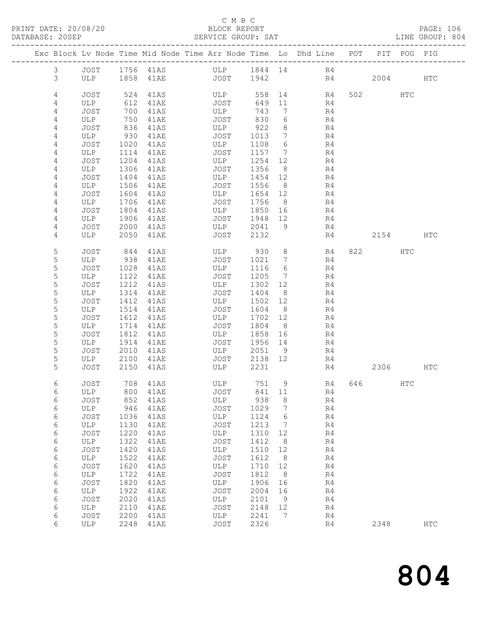#### C M B C<br>BLOCK REPORT

| DATABASE: 20SEP |                |                        |              |              | SERVICE GROUP: SAT                                                                                                   |                 |                        |                |                        |              | LINE GROUP: 804 |  |
|-----------------|----------------|------------------------|--------------|--------------|----------------------------------------------------------------------------------------------------------------------|-----------------|------------------------|----------------|------------------------|--------------|-----------------|--|
|                 |                | ---------------------- |              |              | Exc Block Lv Node Time Mid Node Time Arr Node Time Lo Dhd Line POT PIT POG PIG                                       |                 |                        |                |                        |              |                 |  |
|                 | $\mathfrak{Z}$ |                        |              |              | JOST 1756 41AS ULP 1844 14 R4                                                                                        |                 |                        |                |                        |              |                 |  |
|                 | 3              |                        |              |              | ULP 1858 41AE JOST 1942                                                                                              |                 |                        | R4 2004 HTC    |                        |              |                 |  |
|                 |                |                        |              |              |                                                                                                                      |                 |                        |                |                        |              |                 |  |
|                 | 4<br>4         | JOST<br>ULP            | 524<br>612   | 41AS<br>41AE | ULP 558<br>JOST                                                                                                      | 649 11          |                        | 14 R4<br>R4    | 502 HTC                |              |                 |  |
|                 | 4              | JOST                   | 700          | 41AS         | ULP                                                                                                                  | 743             | $7\overline{ }$        | R4             |                        |              |                 |  |
|                 | 4              | ULP                    | 750          | 41AE         | JOST                                                                                                                 | 830             | 6                      | R4             |                        |              |                 |  |
|                 | 4              | JOST                   | 836          | 41AS         | ULP                                                                                                                  | 922             | 8 <sup>8</sup>         | R4             |                        |              |                 |  |
|                 | 4              | ULP                    | 930          | 41AE<br>41AS | JOST                                                                                                                 | 1013            | $7\overline{ }$        | R4             |                        |              |                 |  |
|                 | 4              | JOST                   | 1020         |              | ULP                                                                                                                  | 1108 6          |                        | R <sub>4</sub> |                        |              |                 |  |
|                 | 4              | ULP                    | 1114         | 41AE         | JOST                                                                                                                 |                 |                        | 1157 7 R4      |                        |              |                 |  |
|                 | 4<br>4         | JOST<br>ULP            | 1204         | 41AS         | ULP<br>JOST                                                                                                          | 1254 12         | 8 <sup>8</sup>         | R4<br>R4       |                        |              |                 |  |
|                 | 4              | JOST                   | 1306<br>1404 | 41AE<br>41AS | ULP                                                                                                                  | 1356<br>1454 12 |                        | R4             |                        |              |                 |  |
|                 | 4              | ULP                    | 1506         | 41AE         | JOST                                                                                                                 | 1556            | 8 <sup>8</sup>         | R4             |                        |              |                 |  |
|                 | 4              | JOST                   | 1604         | 41AS         | ULP                                                                                                                  | 1654            | 12                     | R4             |                        |              |                 |  |
|                 | 4              | ULP                    | 1706         |              | JOST                                                                                                                 | 1756 8          |                        | R4             |                        |              |                 |  |
|                 | 4              | JOST                   | 1804         | 41AE<br>41AS | ULP                                                                                                                  | 1850 16         |                        | R4             |                        |              |                 |  |
|                 | 4              | ULP                    | 1906         | 41AE         | JOST                                                                                                                 | 1948 12         |                        | R <sub>4</sub> |                        |              |                 |  |
|                 | 4              | JOST                   | 2000         | 41AS         | ULP                                                                                                                  |                 |                        | 2041 9<br>R4   |                        |              |                 |  |
|                 | 4              | ULP                    | 2050         | 41AE         | JOST                                                                                                                 | 2132            |                        |                | R4 2154 HTC            |              |                 |  |
|                 | 5              | JOST                   | 844          | 41AS         | ULP 930                                                                                                              |                 |                        | 8 R4           | 822 and $\overline{a}$ | HTC          |                 |  |
|                 | 5              | ULP                    | 938          | 41AE         | JOST                                                                                                                 | 1021 7          |                        | R4             |                        |              |                 |  |
|                 | 5              | JOST                   | 1028         | 41AS         | ULP                                                                                                                  | 1116 6          |                        | R4             |                        |              |                 |  |
|                 | 5              | ULP                    | 1122         | 41AE         | JOST                                                                                                                 | 1205 7          |                        | R4             |                        |              |                 |  |
|                 | 5<br>5         | JOST<br>ULP            | 1212         | 41AS<br>41AE | ULP<br>JOST                                                                                                          | 1302 12<br>1404 | 8 <sup>8</sup>         | R <sub>4</sub> |                        |              |                 |  |
|                 | 5              | JOST                   | 1314<br>1412 | 41AS         | ULP                                                                                                                  | 1502            | 12                     | R4<br>R4       |                        |              |                 |  |
|                 | 5              | ULP                    | 1514         | 41AE         | JOST                                                                                                                 | 1604            | 8 <sup>8</sup>         | R4             |                        |              |                 |  |
|                 | 5              | JOST                   | 1612         | 41AS         | ULP                                                                                                                  | 1702 12         |                        | R4             |                        |              |                 |  |
|                 | 5              | ULP                    | 1714         | 41AE         | JOST                                                                                                                 | 1804            | 8 <sup>8</sup>         | R4             |                        |              |                 |  |
|                 | 5              | JOST                   | 1812         | 41AS         | ULP                                                                                                                  | 1858            | 16                     | R4             |                        |              |                 |  |
|                 | 5              | ULP                    | 1914         | 41AE<br>41AS | JOST                                                                                                                 | 1956 14         |                        | R4<br>R4       |                        |              |                 |  |
|                 | 5              | JOST                   | 2010         |              | ULP                                                                                                                  | 2051 9          |                        |                |                        |              |                 |  |
|                 | 5              | ULP 2100               |              |              | 41AE JOST 2138 12 R4                                                                                                 |                 |                        |                |                        |              |                 |  |
|                 | 5              | JOST                   | 2150         | 41AS         | <b>Example 19 To 19 To 19 To 19 To 19 To 19 To 19 To 19 To 19 To 19 To 19 To 19 To 19 To 19 To 19 To 19 To 19 To</b> | 2231            |                        |                | R4 2306 HTC            |              |                 |  |
|                 | 6              | JOST 708 41AS          |              |              | ULP 751 9 R4 646                                                                                                     |                 |                        |                |                        | $_{\rm HTC}$ |                 |  |
|                 | 6              | ULP                    | 800          | 41AE         | JOST                                                                                                                 | 841             | 11                     | R4             |                        |              |                 |  |
|                 | 6              | <b>JOST</b>            | 852          | 41AS         | ULP                                                                                                                  | 938             | 8                      | R4             |                        |              |                 |  |
|                 | 6<br>6         | ULP<br>JOST            | 946<br>1036  | 41AE<br>41AS | JOST<br>ULP                                                                                                          | 1029<br>1124    | $7\overline{ }$<br>- 6 | R4<br>R4       |                        |              |                 |  |
|                 | 6              | ULP                    | 1130         | 41AE         | JOST                                                                                                                 | 1213            | $\overline{7}$         | R4             |                        |              |                 |  |
|                 | 6              | JOST                   | 1220         | 41AS         | ULP                                                                                                                  | 1310            | 12                     | R4             |                        |              |                 |  |
|                 | 6              | ULP                    | 1322         | 41AE         | JOST                                                                                                                 | 1412            | 8                      | R4             |                        |              |                 |  |
|                 | 6              | JOST                   | 1420         | 41AS         | ULP                                                                                                                  | 1510            | 12                     | R4             |                        |              |                 |  |
|                 | 6              | ULP                    | 1522         | 41AE         | JOST                                                                                                                 | 1612            | 8 <sup>8</sup>         | R4             |                        |              |                 |  |
|                 | 6              | JOST                   | 1620         | 41AS         | ULP                                                                                                                  | 1710            | 12                     | R4             |                        |              |                 |  |
|                 | 6              | ULP                    | 1722         | 41AE         | JOST                                                                                                                 | 1812            | 8 <sup>8</sup>         | R4             |                        |              |                 |  |
|                 | 6              | JOST                   | 1820         | 41AS         | ULP                                                                                                                  | 1906            | 16                     | R4             |                        |              |                 |  |
|                 | 6              | ULP                    | 1922         | 41AE         | JOST                                                                                                                 | 2004            | 16                     | R4             |                        |              |                 |  |
|                 | 6<br>6         | JOST<br>ULP            | 2020<br>2110 | 41AS<br>41AE | ULP<br>JOST                                                                                                          | 2101<br>2148    | - 9<br>12              | R4<br>R4       |                        |              |                 |  |
|                 | 6              | JOST                   | 2200         | 41AS         | ULP                                                                                                                  | 2241            | $7\phantom{.0}\,$      | R4             |                        |              |                 |  |
|                 | 6              | ULP                    |              | 2248 41AE    | JOST                                                                                                                 | 2326            |                        | R4             | 2348                   |              | $_{\rm{HTC}}$   |  |
|                 |                |                        |              |              |                                                                                                                      |                 |                        |                |                        |              |                 |  |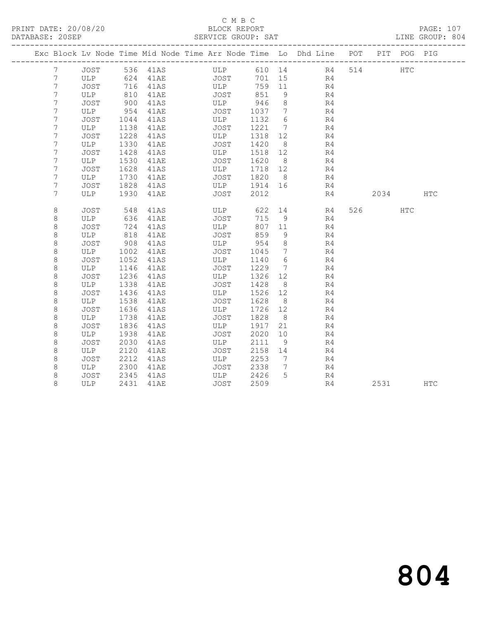#### C M B C<br>BLOCK REPORT SERVICE GROUP: SAT

|                 |             |      |          | Exc Block Lv Node Time Mid Node Time Arr Node Time Lo Dhd Line POT |         |                              |                             |     |        | PIT POG PIG |            |
|-----------------|-------------|------|----------|--------------------------------------------------------------------|---------|------------------------------|-----------------------------|-----|--------|-------------|------------|
| $7\phantom{.0}$ | JOST        |      | 536 41AS | ULP                                                                |         |                              | 610 14 R4                   | 514 |        | HTC         |            |
| 7               | ULP         | 624  | 41AE     | JOST                                                               |         | 701 15                       | R4                          |     |        |             |            |
| 7               | JOST        | 716  | 41AS     | ULP                                                                |         | 759 11                       | R <sub>4</sub>              |     |        |             |            |
| 7               | ULP         | 810  | 41AE     | JOST                                                               | 851     | - 9                          | R4                          |     |        |             |            |
| 7               | JOST        | 900  | 41AS     | ULP                                                                | 946     | 8 <sup>8</sup>               | R4                          |     |        |             |            |
| 7               | ULP         | 954  | 41AE     | JOST                                                               | 1037    | $\overline{7}$               | R <sub>4</sub>              |     |        |             |            |
| 7               | JOST        | 1044 | 41AS     | ULP                                                                | 1132    | 6                            | R4                          |     |        |             |            |
| 7               | ULP         | 1138 | 41AE     | JOST                                                               | 1221    | $\overline{7}$               | R4                          |     |        |             |            |
| 7               | JOST        | 1228 | 41AS     | ULP                                                                | 1318    | 12                           | R4                          |     |        |             |            |
| 7               | ULP         | 1330 | 41AE     | JOST                                                               | 1420    | 8 <sup>8</sup>               | R4                          |     |        |             |            |
| 7               | JOST        | 1428 | 41AS     | ULP                                                                | 1518 12 |                              | R4                          |     |        |             |            |
| 7               | ULP         | 1530 | 41AE     | JOST                                                               | 1620    | 8 <sup>8</sup>               | R4                          |     |        |             |            |
| 7               | JOST        | 1628 | 41AS     | ULP                                                                | 1718 12 |                              | R4                          |     |        |             |            |
| 7               | ULP         | 1730 | 41AE     | JOST                                                               | 1820    | 8 <sup>8</sup>               | R4                          |     |        |             |            |
| 7               | JOST        | 1828 | 41AS     | ULP                                                                | 1914 16 |                              | R4                          |     |        |             |            |
| 7               | ULP         | 1930 | 41AE     | JOST                                                               | 2012    |                              | R4                          |     | 2034   |             | <b>HTC</b> |
| 8               | JOST        | 548  | 41AS     | ULP                                                                | 622     |                              | 14 and $\overline{a}$<br>R4 |     | 526 32 | HTC         |            |
| 8               | ULP         | 636  | 41AE     | JOST                                                               | 715     | 9                            | R4                          |     |        |             |            |
| $\,8\,$         | JOST        | 724  | 41AS     | ULP                                                                | 807 11  |                              | R4                          |     |        |             |            |
| 8               | ULP         | 818  | 41AE     | JOST                                                               | 859     | - 9                          | R4                          |     |        |             |            |
| 8               | JOST        | 908  | 41AS     | ULP                                                                | 954     | 8 <sup>8</sup>               | R4                          |     |        |             |            |
| 8               | ULP         | 1002 | 41AE     | JOST                                                               | 1045    | $7\phantom{.0}$              | R4                          |     |        |             |            |
| 8               | JOST        | 1052 | 41AS     | ULP                                                                | 1140    | 6                            | R4                          |     |        |             |            |
| $\,8\,$         | ULP         | 1146 | 41AE     | JOST                                                               | 1229    | $7\phantom{.0}\phantom{.0}7$ | R4                          |     |        |             |            |
| 8               | JOST        | 1236 | 41AS     | ULP                                                                | 1326    | 12                           | R4                          |     |        |             |            |
| $\,8\,$         | ULP         | 1338 | 41AE     | JOST                                                               | 1428    | 8 <sup>8</sup>               | R4                          |     |        |             |            |
| $\,8\,$         | <b>JOST</b> | 1436 | 41AS     | ULP                                                                | 1526    | 12                           | R4                          |     |        |             |            |
| 8               | ULP         | 1538 | 41AE     | JOST                                                               | 1628    | 8 <sup>8</sup>               | R4                          |     |        |             |            |
| $\,8\,$         | JOST        | 1636 | 41AS     | ULP                                                                | 1726    | 12                           | R4                          |     |        |             |            |
| 8               | ULP         | 1738 | 41AE     | JOST                                                               | 1828    | 8 <sup>8</sup>               | R4                          |     |        |             |            |
| 8               | JOST        | 1836 | 41AS     | ULP                                                                | 1917    | 21                           | R4                          |     |        |             |            |
| 8               | ULP         | 1938 | 41AE     | JOST                                                               | 2020    | 10                           | R4                          |     |        |             |            |
| $\,8\,$         | JOST        | 2030 | 41AS     | ULP                                                                | 2111    | 9                            | R4                          |     |        |             |            |
| 8               | ULP         | 2120 | 41AE     | JOST                                                               | 2158    | 14                           | R4                          |     |        |             |            |
| 8               | JOST        | 2212 | 41AS     | ULP                                                                | 2253    | 7                            | R4                          |     |        |             |            |
| 8               | ULP         | 2300 | 41AE     | JOST                                                               | 2338    | 7                            | R4                          |     |        |             |            |
| 8               | JOST        | 2345 | 41AS     | ULP                                                                | 2426    | 5                            | R4                          |     |        |             |            |
| 8               | ULP         | 2431 | 41AE     | JOST                                                               | 2509    |                              | R4                          |     | 2531   |             | HTC        |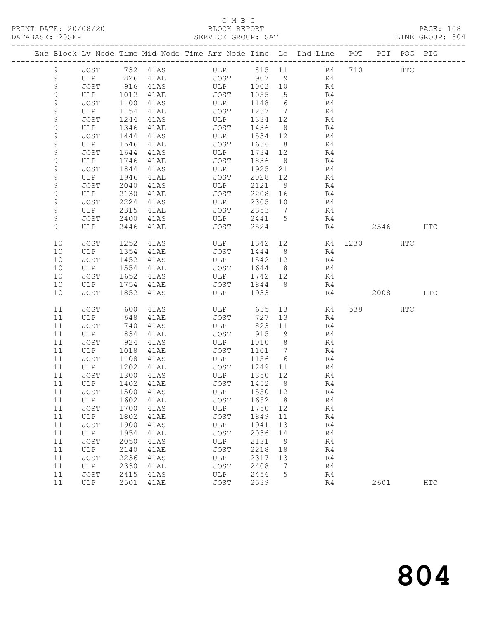## C M B C<br>BLOCK REPORT

PAGE: 108<br>LINE GROUP: 804

|             |             |              |                     | Exc Block Lv Node Time Mid Node Time Arr Node Time Lo Dhd Line POT |              |                              |          |         |      | PIT POG PIG |            |
|-------------|-------------|--------------|---------------------|--------------------------------------------------------------------|--------------|------------------------------|----------|---------|------|-------------|------------|
| 9           | JOST        |              | 732 41AS            | ULP                                                                | 815 11       |                              |          | R4 710  |      | HTC         |            |
| 9           | ULP         | 826          | 41AE                | JOST                                                               | 907          | 9                            | R4       |         |      |             |            |
| 9           | JOST        | 916          | 41AS                | ULP                                                                | 1002         | 10                           | R4       |         |      |             |            |
| 9           | ULP         | 1012         | 41AE                | JOST                                                               | 1055         | $5\overline{)}$              | R4       |         |      |             |            |
| $\mathsf 9$ | JOST        | 1100         | 41AS                | ULP                                                                | 1148         | 6                            | R4       |         |      |             |            |
| 9           | ULP         | 1154         | 41AE                | JOST                                                               | 1237         | $\overline{7}$               | R4       |         |      |             |            |
| 9           | JOST        | 1244         | 41AS                | ULP                                                                | 1334         | 12                           | R4       |         |      |             |            |
| 9           | ULP         | 1346         | 41AE                | JOST                                                               | 1436         | 8 <sup>8</sup>               | R4       |         |      |             |            |
| $\mathsf 9$ | JOST        | 1444         | 41AS                | ULP                                                                | 1534         | 12                           | R4       |         |      |             |            |
| 9           | ULP         | 1546         | 41AE                | JOST                                                               | 1636         | 8 <sup>8</sup>               | R4       |         |      |             |            |
| 9           | JOST        | 1644         | 41AS                | ULP                                                                | 1734         | 12                           | R4       |         |      |             |            |
| 9           | ULP         | 1746         | 41AE                | JOST                                                               | 1836         | 8 <sup>8</sup>               | R4       |         |      |             |            |
| $\mathsf 9$ | JOST        | 1844         | 41AS                | ULP                                                                | 1925         | 21                           | R4       |         |      |             |            |
| 9           | ULP         | 1946         | 41AE                | JOST                                                               | 2028 12      |                              | R4       |         |      |             |            |
| 9           | JOST        | 2040         | 41AS                | ULP                                                                | 2121         | 9                            | R4       |         |      |             |            |
| 9<br>9      | ULP         | 2130<br>2224 | 41AE                | JOST<br>ULP                                                        | 2208<br>2305 | 16<br>10                     | R4       |         |      |             |            |
| 9           | JOST<br>ULP | 2315         | 41AS<br>41AE        | JOST                                                               | 2353         | $\overline{7}$               | R4<br>R4 |         |      |             |            |
| 9           | JOST        | 2400         | 41AS                | ULP                                                                | 2441         | 5                            | R4       |         |      |             |            |
| 9           | ULP         | 2446         | 41AE                | JOST                                                               | 2524         |                              | R4       |         | 2546 |             | HTC        |
|             |             |              |                     |                                                                    |              |                              |          |         |      |             |            |
| 10          | JOST        | 1252         | 41AS                | ULP                                                                | 1342         | 12                           |          | R4 1230 |      | HTC         |            |
| 10          | ULP         | 1354         | 41AE                | JOST                                                               | 1444         | 8 <sup>8</sup>               | R4       |         |      |             |            |
| 10          | JOST        | 1452         | 41AS                | ULP                                                                | 1542         | 12                           | R4       |         |      |             |            |
| 10          | ULP         | 1554         | 41AE                | JOST                                                               | 1644         | 8 <sup>8</sup>               | R4       |         |      |             |            |
| 10          | JOST        | 1652         | 41AS                | ULP                                                                | 1742         | 12                           | R4       |         |      |             |            |
| 10          | ULP         | 1754         | 41AE                | JOST                                                               | 1844         | 8 <sup>8</sup>               | R4       |         |      |             |            |
| 10          | JOST        | 1852         | 41AS                | ULP                                                                | 1933         |                              | R4       |         | 2008 |             | <b>HTC</b> |
| 11          | JOST        | 600          | 41AS                | ULP                                                                | 635          | 13                           | R4       | 538     |      | HTC         |            |
| 11          | ULP         | 648          | 41AE                | JOST                                                               | 727          | 13                           | R4       |         |      |             |            |
| 11          | JOST        | 740          | 41AS                | ULP                                                                | 823          | 11                           | R4       |         |      |             |            |
| 11          | ULP         | 834          | 41AE                | JOST                                                               | 915          | 9                            | R4       |         |      |             |            |
| 11          | JOST        | 924          | 41AS                | ULP                                                                | 1010         | 8 <sup>8</sup>               | R4       |         |      |             |            |
| 11          | ULP         | 1018         | 41AE                | JOST                                                               | 1101         | $7\phantom{.0}\phantom{.0}7$ | R4       |         |      |             |            |
| 11          | JOST        | 1108         | 41AS                | ULP                                                                | 1156         | - 6                          | R4       |         |      |             |            |
| 11          | ULP         | 1202         | 41AE                | JOST                                                               | 1249         | 11                           | R4       |         |      |             |            |
| 11          | JOST        | 1300         | 41AS                | ULP                                                                | 1350         | 12                           | R4       |         |      |             |            |
| 11          | ULP         | 1402         | 41AE                | JOST                                                               | 1452         | 8 <sup>8</sup>               | R4       |         |      |             |            |
| $11$        | JOST        | 1500         | 41AS                | ULP                                                                | 1550         | 12                           | R4       |         |      |             |            |
| 11          | ${\rm ULP}$ | 1602         | 41AE                | <b>JOST</b>                                                        | 1652         | 8                            | R4       |         |      |             |            |
| 11          | JOST        | 1700         | 41AS                | ULP                                                                | 1750         | 12                           | R4       |         |      |             |            |
| 11          | ULP         | 1802         | 41AE                | <b>JOST</b>                                                        | 1849         | 11                           | R4       |         |      |             |            |
| 11          | JOST        | 1900         | 41AS                | ULP                                                                | 1941         | 13                           | R4       |         |      |             |            |
| 11          | ULP         | 1954         | <b>41AE</b>         | <b>JOST</b>                                                        | 2036         | 14                           | R4       |         |      |             |            |
| 11<br>11    | JOST        | 2050<br>2140 | 41AS                | ULP<br><b>JOST</b>                                                 | 2131<br>2218 | 9<br>18                      | R4<br>R4 |         |      |             |            |
| 11          | ULP<br>JOST | 2236         | <b>41AE</b><br>41AS | ULP                                                                | 2317         | 13                           | R4       |         |      |             |            |
| 11          | ULP         | 2330         | 41AE                | <b>JOST</b>                                                        | 2408         | 7                            | R4       |         |      |             |            |
| 11          | JOST        | 2415         | 41AS                | ULP                                                                | 2456         | 5                            | R4       |         |      |             |            |
| 11          | ULP         | 2501         | 41AE                | <b>JOST</b>                                                        | 2539         |                              | R4       |         | 2601 |             | <b>HTC</b> |
|             |             |              |                     |                                                                    |              |                              |          |         |      |             |            |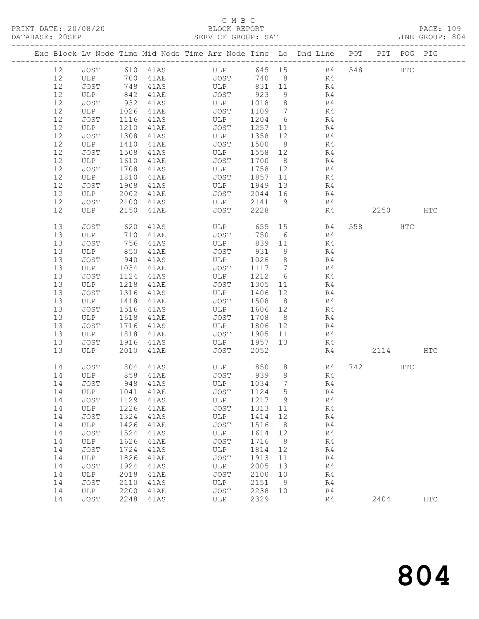### C M B C<br>BLOCK REPORT SERVICE GROUP: SAT

|    |               |              |                           | Exc Block Lv Node Time Mid Node Time Arr Node Time Lo Dhd Line POT PIT POG PIG |         |                 |                |     |        |            |              |
|----|---------------|--------------|---------------------------|--------------------------------------------------------------------------------|---------|-----------------|----------------|-----|--------|------------|--------------|
| 12 | JOST 610 41AS |              |                           | ULP 645 15 R4                                                                  |         |                 |                | 548 |        | <b>HTC</b> |              |
| 12 | ULP 700 41AE  |              |                           | <b>JOST</b>                                                                    |         |                 | 740 8 R4       |     |        |            |              |
| 12 | JOST          | 748          | $41A+$<br>$41AS$<br>$4AF$ | ULP                                                                            | 831 11  |                 | R4             |     |        |            |              |
| 12 | ULP           | 842          |                           | JOST                                                                           | 923     | 9               | R <sub>4</sub> |     |        |            |              |
| 12 | JOST          | 932          | 41AS                      | ULP                                                                            | 1018    | 8 <sup>8</sup>  | R <sub>4</sub> |     |        |            |              |
| 12 | ULP           | 1026         | 41AE                      | JOST                                                                           | 1109    | $7\overline{ }$ | R4             |     |        |            |              |
| 12 | JOST          | 1116         | 41AS                      | ULP                                                                            | 1204    | 6               | R4             |     |        |            |              |
| 12 | ULP           | 1210         | 41AE                      | JOST                                                                           | 1257    | 11              | R4             |     |        |            |              |
| 12 | JOST          | 1308         | 41AS                      | ULP                                                                            | 1358    | 12              | R4             |     |        |            |              |
| 12 | ULP           | 1410         | 41AE                      | JOST                                                                           | 1500    | 8 <sup>8</sup>  | R4             |     |        |            |              |
| 12 | JOST          | 1508         | 41AS                      | ULP                                                                            | 1558 12 |                 | R4             |     |        |            |              |
| 12 | ULP           | 1610         | 41AE                      | JOST                                                                           | 1700    | 8 <sup>1</sup>  | R4             |     |        |            |              |
| 12 | JOST          | 1708         | 41AS                      | ULP                                                                            | 1758 12 |                 | R4             |     |        |            |              |
| 12 | ULP           | 1810         | 41AE                      | JOST                                                                           | 1857    | 11              | R4             |     |        |            |              |
| 12 | JOST          | 1908         | 41AS                      | ULP                                                                            | 1949    | 13              | R4             |     |        |            |              |
| 12 | ULP           | 2002         | 41AE                      | JOST                                                                           | 2044 16 |                 | R4             |     |        |            |              |
| 12 | JOST          |              |                           | ULP                                                                            | 2141    | 9               |                |     |        |            |              |
| 12 | ULP           | 2100<br>2150 | 41AS                      | JOST                                                                           | 2228    |                 | R4             |     | 2250   |            | $_{\rm HTC}$ |
|    |               |              | 41AE                      |                                                                                |         |                 | R4             |     |        |            |              |
| 13 | JOST          | 620          | 41AS                      | ULP                                                                            | 655 15  |                 | R4             |     | 558 30 | HTC        |              |
| 13 | ULP           | 710          | 41AE                      | JOST                                                                           | 750     | 6               | R4             |     |        |            |              |
| 13 | JOST          | 756          | 41AS                      | ULP                                                                            | 839 11  |                 | R4             |     |        |            |              |
| 13 | ULP           | 850          | 41AE                      | JOST                                                                           | 931     | 9               | R4             |     |        |            |              |
| 13 | JOST          | 940          | 41AS                      | ULP                                                                            | 1026    | 8 <sup>8</sup>  | R4             |     |        |            |              |
| 13 | ULP           | 1034         | 41AE                      | JOST                                                                           | 1117    | $\overline{7}$  | R4             |     |        |            |              |
| 13 | JOST          | 1124         | 41AS                      | ULP                                                                            | 1212    | 6               | R4             |     |        |            |              |
| 13 | ULP           | 1218         | 41AE                      | JOST                                                                           | 1305    | 11              | R4             |     |        |            |              |
| 13 | JOST          | 1316         | 41AS                      | ULP                                                                            | 1406    | 12              | R4             |     |        |            |              |
| 13 | ULP           | 1418         | 41AE                      | JOST                                                                           | 1508    | 8 <sup>8</sup>  | R4             |     |        |            |              |
| 13 | JOST          | 1516         | 41AS                      | ULP                                                                            | 1606 12 |                 | R4             |     |        |            |              |
| 13 | ULP           | 1618         | 41AE                      | JOST                                                                           | 1708    | 8 <sup>8</sup>  | R4             |     |        |            |              |
| 13 | JOST          | 1716         | 41AS                      | ULP                                                                            | 1806 12 |                 | R4             |     |        |            |              |
| 13 | ULP           | 1818         | 41AE                      | JOST                                                                           | 1905    | 11              | R4             |     |        |            |              |
| 13 | JOST          | 1916         | 41AS                      | ULP                                                                            | 1957    | 13              | R4             |     |        |            |              |
| 13 | ULP           | 2010         | 41AE                      | JOST                                                                           | 2052    |                 | R4             |     | 2114   |            | HTC          |
| 14 | JOST          | 804          | 41AS                      | ULP 850                                                                        |         | 8 <sup>8</sup>  | R4             |     | 742    | HTC        |              |
| 14 | ULP           |              | 858 41AE                  | JOST 939                                                                       |         | 9               | R <sub>4</sub> |     |        |            |              |
| 14 | JOST          |              | 948 41AS                  | <b>ULP</b>                                                                     | 1034    | $7\phantom{.0}$ | R4             |     |        |            |              |
| 14 | ULP           |              | 1041 41AE                 | JOST 1124 5                                                                    |         |                 | R4             |     |        |            |              |
| 14 | JOST          | 1129         | 41AS                      | ULP                                                                            | 1217    | 9               | R4             |     |        |            |              |
| 14 | ULP           | 1226         | 41AE                      | <b>JOST</b>                                                                    | 1313    | 11              | R4             |     |        |            |              |
| 14 | JOST          | 1324         | 41AS                      | ULP                                                                            | 1414    | 12              | R4             |     |        |            |              |
| 14 | ULP           | 1426         | 41AE                      | JOST                                                                           | 1516    | 8               | R4             |     |        |            |              |
| 14 | JOST          | 1524         | 41AS                      | ULP                                                                            | 1614    | 12              | R4             |     |        |            |              |
| 14 | ULP           | 1626         | 41AE                      | <b>JOST</b>                                                                    | 1716    | 8               | R4             |     |        |            |              |
| 14 | JOST          | 1724         | 41AS                      | ULP                                                                            | 1814    | 12              | R4             |     |        |            |              |
| 14 | ULP           | 1826         | 41AE                      | <b>JOST</b>                                                                    | 1913    | 11              | R4             |     |        |            |              |
| 14 | JOST          | 1924         | 41AS                      | ULP                                                                            | 2005    | 13              | R4             |     |        |            |              |
| 14 | ULP           | 2018         | <b>41AE</b>               | <b>JOST</b>                                                                    | 2100    | 10              | R4             |     |        |            |              |
| 14 | JOST          | 2110         | 41AS                      | ULP                                                                            | 2151    | 9               | R4             |     |        |            |              |
| 14 | ULP           | 2200         | 41AE                      | <b>JOST</b>                                                                    | 2238    | 10              | R4             |     |        |            |              |
| 14 | JOST          | 2248         | 41AS                      | ULP                                                                            | 2329    |                 | R4             |     | 2404   |            | <b>HTC</b>   |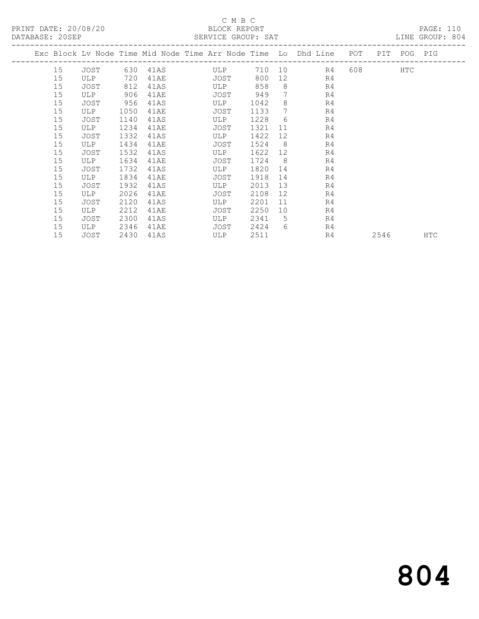#### C M B C SERVICE GROUP: SAT

| PAIADAOE. 20061 |            |      |        | PEIVATOR GIVOLI. PAI                                           |      |     |    |     |     |     | LUB GIVOL. OVI |
|-----------------|------------|------|--------|----------------------------------------------------------------|------|-----|----|-----|-----|-----|----------------|
|                 |            |      |        | Exc Block Lv Node Time Mid Node Time Arr Node Time Lo Dhd Line |      |     |    | POT | PIT | POG | PIG            |
| 15              | JOST       | 630  | 41 A S | ULP                                                            | 710  | 10  | R4 | 608 |     | HTC |                |
| 15              | <b>ULP</b> | 720  | 41AE   | JOST                                                           | 800  | 12  | R4 |     |     |     |                |
| 15              | JOST       | 812  | 41AS   | ULP                                                            | 858  | -8  | R4 |     |     |     |                |
| 15              | <b>ULP</b> | 906  | 41AE   | JOST                                                           | 949  |     | R4 |     |     |     |                |
| 15              | JOST       | 956  | 41AS   | ULP.                                                           | 1042 | 8   | R4 |     |     |     |                |
| 15              | <b>ULP</b> | 1050 | 41AE   | JOST                                                           | 1133 |     | R4 |     |     |     |                |
| 15              | JOST       | 1140 | 41AS   | <b>ULP</b>                                                     | 1228 | 6   | R4 |     |     |     |                |
| 15              | <b>ULP</b> | 1234 | 41AE   | JOST                                                           | 1321 | -11 | R4 |     |     |     |                |
| 15              | JOST       | 1332 | 41AS   | ULP                                                            | 1422 | 12  | R4 |     |     |     |                |

15 JOST 2430 41AS ULP 2511 R4 2546 HTC

15 ULP 1434 41AE JOST 1524 8 R4

 15 ULP 1634 41AE JOST 1724 8 R4 15 JOST 1732 41AS ULP 1820 14 R4 15 ULP 1834 41AE JOST 1918 14 R4 15 JOST 1932 41AS ULP 2013 13 R4 15 ULP 2026 41AE JOST 2108 12 R4 15 JOST 2120 41AS ULP 2201 11 R4 15 ULP 2212 41AE JOST 2250 10 R4 15 JOST 2300 41AS ULP 2341 5 R4 15 ULP 2346 41AE JOST 2424 6 R4

15 JOST 1532 41AS ULP 1622 12 R4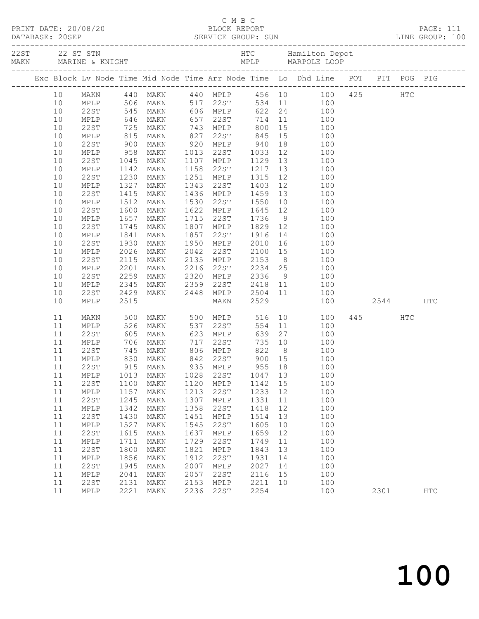|  |                 |             |                   |      |      |                              |                   |                | Exc Block Lv Node Time Mid Node Time Arr Node Time Lo Dhd Line POT PIT POG PIG |      |            |                   |
|--|-----------------|-------------|-------------------|------|------|------------------------------|-------------------|----------------|--------------------------------------------------------------------------------|------|------------|-------------------|
|  | 10 <sup>°</sup> |             |                   |      |      |                              |                   |                | MAKN 440 MAKN 440 MPLP 456 10 100 425 HTC<br>MPLP 506 MAKN 517 22ST 534 11 100 |      |            |                   |
|  | 10              |             |                   |      |      |                              |                   |                |                                                                                |      |            |                   |
|  | 10              | 22ST        | 545               | MAKN |      | 606 MPLP                     |                   |                | 622 24<br>100                                                                  |      |            |                   |
|  | 10              | MPLP        |                   | MAKN |      | 057 22ST<br>743 MPLP         | 714               |                | $\begin{array}{c} 11 \\ 15 \end{array}$<br>100                                 |      |            |                   |
|  | 10              | 22ST        |                   | MAKN |      |                              | 800               |                | 100                                                                            |      |            |                   |
|  | 10              | MPLP        | 646<br>725<br>815 | MAKN | 827  | $22ST$ 845                   |                   | 15             | 100                                                                            |      |            |                   |
|  | 10              | 22ST        | 900               | MAKN |      | 920 MPLP 940                 |                   | 18             | 100                                                                            |      |            |                   |
|  | 10              | MPLP        | 958               | MAKN | 1013 | 22ST                         | 1033              | 12             | 100                                                                            |      |            |                   |
|  | 10              | 22ST        | 1045              | MAKN |      | 1107 MPLP                    | 1129              | 13             | 100                                                                            |      |            |                   |
|  | 10              | MPLP        | 1142              | MAKN | 1158 | 22ST                         | 1217              | 13             | 100                                                                            |      |            |                   |
|  | 10              | 22ST        | 1230              | MAKN | 1251 | MPLP                         | 1315              | 12             | 100                                                                            |      |            |                   |
|  | 10              | MPLP        | 1327              | MAKN | 1343 | 22ST                         | 1403              | 12             | 100                                                                            |      |            |                   |
|  | 10              | 22ST        | 1415              | MAKN | 1436 | MPLP                         | 1459              | 13             | 100                                                                            |      |            |                   |
|  | 10              | MPLP        | 1512              | MAKN | 1530 | 22ST                         | 1550              | 10             | 100                                                                            |      |            |                   |
|  | 10              | 22ST        | 1600              | MAKN | 1622 | MPLP                         | 1645              | 12             | 100                                                                            |      |            |                   |
|  | 10              | MPLP        | 1657              | MAKN | 1715 | 22ST                         | 1736              | 9              | 100                                                                            |      |            |                   |
|  | 10              | 22ST        | 1745              | MAKN | 1807 | MPLP                         | 1829              |                | 100<br>$\begin{array}{c} 12 \\ 14 \end{array}$                                 |      |            |                   |
|  | 10              | MPLP        | 1841              | MAKN | 1857 | 22ST                         | 1916              |                | 100                                                                            |      |            |                   |
|  | 10              | 22ST        | 1930              | MAKN | 1950 | MPLP                         | 2010              | 16             | 100                                                                            |      |            |                   |
|  | 10              | MPLP        | 2026              | MAKN | 2042 | 22ST                         | 2100              | 15             | 100                                                                            |      |            |                   |
|  | 10              | 22ST        | 2115              | MAKN | 2135 | MPLP                         | 2153 8<br>2234 25 |                | 100                                                                            |      |            |                   |
|  | 10              | MPLP        | 2201              | MAKN | 2216 | 22ST                         |                   |                | 100                                                                            |      |            |                   |
|  | 10              | 22ST        | 2259              | MAKN | 2320 | MPLP                         | 2336              |                | 9<br>100                                                                       |      |            |                   |
|  | 10              | MPLP        | 2345              | MAKN | 2359 | 22ST                         | 2418              | 11             | 100                                                                            |      |            |                   |
|  | 10              | 22ST        | 2429              | MAKN | 2448 | MPLP                         | 2504              |                | 11<br>100                                                                      |      |            |                   |
|  | 10              | MPLP        | 2515              |      |      | MAKN                         | 2529              |                | 100                                                                            | 2544 |            | <b>HTC</b>        |
|  | 11              | MAKN        | 500               | MAKN |      | 500 MPLP                     | 516               |                | 10<br>100                                                                      | 445  | <b>HTC</b> |                   |
|  | 11              | MPLP        | 526               | MAKN | 537  | 22ST                         | 554               | 11             | 100                                                                            |      |            |                   |
|  | 11              | 22ST        | $520$<br>$605$    | MAKN |      | 623 MPLP                     | 639               | 27             | 100                                                                            |      |            |                   |
|  | 11              | MPLP        | 706               | MAKN | 717  | 22ST                         | 735               | 10             | 100                                                                            |      |            |                   |
|  | 11              | 22ST        | 745               | MAKN |      | 806 MPLP                     | 822               | 8 <sup>8</sup> | 100                                                                            |      |            |                   |
|  | 11              | MPLP        | 830<br>915        | MAKN |      | 842 22ST<br>935 MPLP<br>22ST | 900 15            |                | 100                                                                            |      |            |                   |
|  | 11              | 22ST        |                   | MAKN |      |                              | 955 18            |                | 100                                                                            |      |            |                   |
|  |                 |             |                   |      |      |                              |                   |                | 11 MPLP 1013 MAKN 1028 22ST 1047 13 100                                        |      |            |                   |
|  | 11              | 22ST        | 1100              | MAKN | 1120 | MPLP                         | 1142 15           |                | 100                                                                            |      |            |                   |
|  | 11              | MPLP        | 1157              | MAKN | 1213 | 22ST                         | 1233              | 12             | 100                                                                            |      |            |                   |
|  | 11              | <b>22ST</b> | 1245              | MAKN | 1307 | MPLP                         | 1331              | 11             | 100                                                                            |      |            |                   |
|  | 11              | MPLP        | 1342              | MAKN | 1358 | 22ST                         | 1418              | 12             | 100                                                                            |      |            |                   |
|  | 11              | 22ST        | 1430              | MAKN | 1451 | MPLP                         | 1514              | 13             | 100                                                                            |      |            |                   |
|  | 11              | MPLP        | 1527              | MAKN | 1545 | 22ST                         | 1605              | 10             | 100                                                                            |      |            |                   |
|  | 11              | 22ST        | 1615              | MAKN | 1637 | MPLP                         | 1659              | 12             | 100                                                                            |      |            |                   |
|  | 11              | MPLP        | 1711              | MAKN | 1729 | 22ST                         | 1749              | 11             | 100                                                                            |      |            |                   |
|  | 11              | 22ST        | 1800              | MAKN | 1821 | MPLP                         | 1843              | 13             | 100                                                                            |      |            |                   |
|  | 11              | MPLP        | 1856              | MAKN | 1912 | 22ST                         | 1931              | 14             | 100                                                                            |      |            |                   |
|  | 11              | 22ST        | 1945              | MAKN | 2007 | $\texttt{MPLP}$              | 2027              | 14             | 100                                                                            |      |            |                   |
|  | 11              | MPLP        | 2041              | MAKN | 2057 | 22ST                         | 2116              | 15             | 100                                                                            |      |            |                   |
|  | 11              | 22ST        | 2131              | MAKN | 2153 | MPLP                         | 2211              | 10             | 100                                                                            |      |            |                   |
|  | 11              | MPLP        | 2221              | MAKN | 2236 | 22ST                         | 2254              |                | 100                                                                            | 2301 |            | $_{\mathrm{HTC}}$ |

C M B C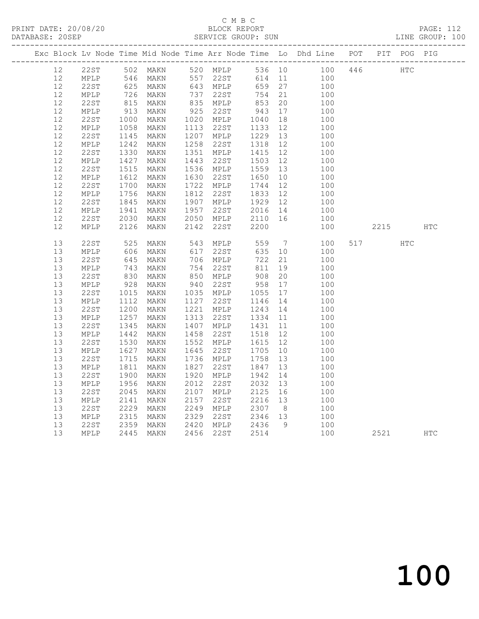### C M B C<br>BLOCK REPORT SERVICE GROUP: SUN

PRINT DATE: 20/08/20 BLOCK REPORT PAGE: 112

|  |                   |              |                 |                                  |                                                       |                                       |    | Exc Block Lv Node Time Mid Node Time Arr Node Time Lo Dhd Line POT PIT POG PIG |     |      |     |            |
|--|-------------------|--------------|-----------------|----------------------------------|-------------------------------------------------------|---------------------------------------|----|--------------------------------------------------------------------------------|-----|------|-----|------------|
|  | 12                |              |                 | 22ST 502 MAKN<br>MPLP 546 MAKN   | 520 MPLP<br>557 22ST                                  |                                       |    | 536 10 100 446<br>614 11 100                                                   |     | HTC  |     |            |
|  | $12 \overline{ }$ |              |                 |                                  |                                                       |                                       |    |                                                                                |     |      |     |            |
|  | 12                | 22ST         |                 | 625 MAKN<br>625 MAKN<br>726 MAKN | 643 MPLP 659 27<br>737 22ST 754 21<br>835 MPLP 853 20 |                                       |    | 100                                                                            |     |      |     |            |
|  | 12                | MPLP         |                 |                                  |                                                       | 754 21                                |    | 100                                                                            |     |      |     |            |
|  | 12                | 22ST         |                 |                                  |                                                       |                                       |    | 100                                                                            |     |      |     |            |
|  | 12                | MPLP         | $913$<br>$1000$ | MAKN                             | 925 22ST<br>1020 MPLP                                 | 943<br>1040                           | 17 | 100                                                                            |     |      |     |            |
|  | 12                | 22ST         |                 | MAKN                             |                                                       |                                       | 18 | 100                                                                            |     |      |     |            |
|  | 12                | MPLP         | 1058<br>1145    | MAKN                             | 1113  22ST  1133  12<br>1207  MPLP  1229  13          |                                       |    | 100                                                                            |     |      |     |            |
|  | 12                | 22ST         | 1145            | MAKN                             |                                                       |                                       |    | 100                                                                            |     |      |     |            |
|  | 12                | MPLP         | 1242<br>1330    | MAKN                             |                                                       |                                       |    | 100                                                                            |     |      |     |            |
|  | 12                | 22ST         |                 | MAKN                             |                                                       |                                       |    | 100                                                                            |     |      |     |            |
|  | 12                | MPLP         | 1427            | MAKN                             | 1443 22ST                                             | 1115<br>1503 12<br>1559 13<br>1650 10 |    | 100                                                                            |     |      |     |            |
|  | 12                | 22ST         | 1515            | MAKN                             | 1536 MPLP                                             |                                       |    | 100                                                                            |     |      |     |            |
|  | 12                | MPLP         | 1612            | MAKN                             | 1630 22ST                                             |                                       |    | 100                                                                            |     |      |     |            |
|  | 12                | 22ST         | 1700            | MAKN                             | 1722 MPLP                                             | 1744 12<br>1833 12                    |    | 100                                                                            |     |      |     |            |
|  | 12<br>12          | MPLP<br>22ST | 1756<br>1845    | MAKN                             | 1812 22ST                                             |                                       |    | 100                                                                            |     |      |     |            |
|  | 12                | MPLP         | 1941            | MAKN<br>MAKN                     | 1907 MPLP 1929 12<br>1957 22ST 2016 14                |                                       |    | 100<br>100                                                                     |     |      |     |            |
|  | 12                | 22ST         | 2030            | MAKN                             |                                                       |                                       |    | 100                                                                            |     |      |     |            |
|  | 12                | MPLP         | 2126            | MAKN                             | 2050 MPLP     2110  16<br>2142   22ST      2200       |                                       |    | 100                                                                            |     | 2215 |     | <b>HTC</b> |
|  |                   |              |                 |                                  |                                                       |                                       |    |                                                                                |     |      |     |            |
|  | 13                | 22ST         |                 | MAKN                             |                                                       | 559                                   |    | $7\overline{ }$<br>100                                                         | 517 |      | HTC |            |
|  | 13                | MPLP         | 525<br>606      | MAKN                             | 543 MPLP<br>617 22ST                                  | 635 10                                |    | 100                                                                            |     |      |     |            |
|  | 13                | 22ST         |                 | MAKN                             |                                                       | 722                                   | 21 | 100                                                                            |     |      |     |            |
|  | 13                | MPLP         | 645<br>743      | MAKN                             | 706 MFLF<br>754 22ST                                  | 811                                   | 19 | 100                                                                            |     |      |     |            |
|  | 13                | 22ST         |                 | MAKN                             |                                                       |                                       | 20 | 100                                                                            |     |      |     |            |
|  | 13                | MPLP         | 830<br>928      | MAKN                             | 850 MPLP<br>940 22ST                                  | 908<br>958                            | 17 | 100                                                                            |     |      |     |            |
|  | 13                | 22ST         | 1015            | MAKN                             | 1035 MPLP 1055 17<br>1127 22ST 1146 14                |                                       |    | 100                                                                            |     |      |     |            |
|  | 13                | MPLP         | 1112            | MAKN                             |                                                       |                                       |    | 100                                                                            |     |      |     |            |
|  | 13                | 22ST         | 1200            | MAKN                             | 1221 MPLP 1243 14                                     |                                       |    | 100                                                                            |     |      |     |            |
|  | 13                | MPLP         | 1257<br>1345    | MAKN                             | 1313 22ST                                             |                                       |    | 100                                                                            |     |      |     |            |
|  | 13                | 22ST         |                 | MAKN                             |                                                       |                                       |    | 100                                                                            |     |      |     |            |
|  | 13                | MPLP         | 1442            | MAKN                             |                                                       |                                       |    | 100                                                                            |     |      |     |            |
|  | 13                | 22ST         | 1530            | MAKN                             |                                                       |                                       |    | 100                                                                            |     |      |     |            |
|  | 13                | MPLP         | 1627            | MAKN                             | 1645 22ST 1705<br>1736 MPLP 1758                      |                                       | 10 | 100                                                                            |     |      |     |            |
|  | 13                | 22ST         | 1715            | MAKN                             |                                                       | 1758 13                               |    | 100                                                                            |     |      |     |            |
|  | 13                | MPLP         | 1811            | MAKN                             | 1827 22ST                                             | 1847 13                               |    | 100                                                                            |     |      |     |            |
|  | 13                | 22ST         | 1900            | MAKN                             | 1920 MPLP                                             | 1942                                  | 14 | 100                                                                            |     |      |     |            |
|  | 13                | MPLP         | 1956            | MAKN                             | 2012 22ST                                             | 2032 13                               |    | 100                                                                            |     |      |     |            |
|  | 13                | 22ST         | 2045            | MAKN                             | 2107 MPLP 2125 16<br>2157 22ST 2216 13                |                                       |    | 100                                                                            |     |      |     |            |
|  | 13                | MPLP         | 2141<br>2229    | MAKN                             | 2157 22ST                                             |                                       |    | 100                                                                            |     |      |     |            |
|  | 13<br>13          | 22ST         | 2315            | MAKN                             | 2249 MPLP     2307    8<br>2329   22ST      2346   13 |                                       |    | 100<br>100                                                                     |     |      |     |            |
|  | 13                | MPLP<br>22ST | 2359            | MAKN<br>MAKN                     |                                                       |                                       | 9  | 100                                                                            |     |      |     |            |
|  | 13                | MPLP         |                 | 2445 MAKN                        | 2420 MPLP 2436<br>2456 22ST 2514                      |                                       |    | 100                                                                            |     | 2521 |     | <b>HTC</b> |
|  |                   |              |                 |                                  |                                                       |                                       |    |                                                                                |     |      |     |            |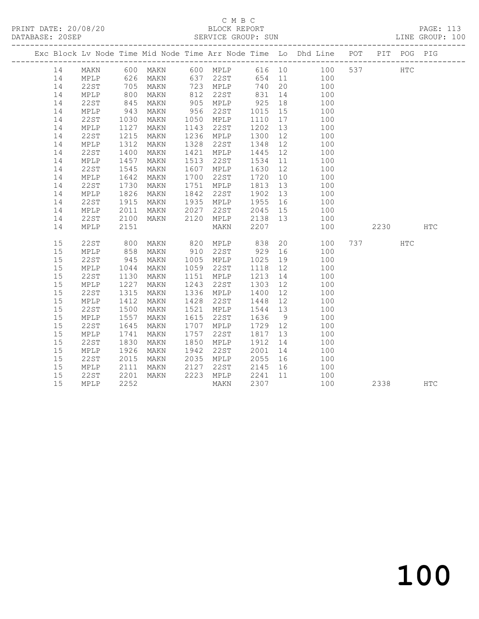## C M B C<br>BLOCK REPORT

|    |      |              |                                  |                                                                            |                               | Exc Block Lv Node Time Mid Node Time Arr Node Time Lo Dhd Line POT PIT POG PIG                              |            |            |  |
|----|------|--------------|----------------------------------|----------------------------------------------------------------------------|-------------------------------|-------------------------------------------------------------------------------------------------------------|------------|------------|--|
|    |      |              |                                  |                                                                            |                               | 14 MAKN 600 MAKN 600 MPLP 616 10 100 537 HTC                                                                |            |            |  |
| 14 |      |              |                                  |                                                                            |                               |                                                                                                             |            |            |  |
| 14 |      |              |                                  |                                                                            |                               |                                                                                                             |            |            |  |
| 14 |      |              |                                  |                                                                            |                               | MPLP 626 MAKN 637 22ST 654 11 100<br>22ST 705 MAKN 723 MPLP 740 20 100<br>MPLP 800 MAKN 812 22ST 831 14 100 |            |            |  |
| 14 | 22ST | 845          |                                  |                                                                            |                               | MAKN 905 MPLP 925 18 100<br>MAKN 956 22ST 1015 15 100<br>MAKN 1050 MPLP 1110 17 100                         |            |            |  |
| 14 | MPLP | 943<br>1030  |                                  |                                                                            |                               |                                                                                                             |            |            |  |
| 14 | 22ST |              |                                  |                                                                            |                               |                                                                                                             |            |            |  |
| 14 | MPLP | 1127         | <b>MAKN</b>                      | 1143 22ST                                                                  | 1202 13                       | 100                                                                                                         |            |            |  |
| 14 | 22ST | 1215         | MAKN                             | 1236 MPLP                                                                  |                               |                                                                                                             |            |            |  |
| 14 | MPLP | 1312         | MAKN                             | 1328 22ST                                                                  | 1348                          | $\begin{array}{cccc} 1300 & 12 & & 100 \\ 1348 & 12 & & 100 \\ 1445 & 12 & & 100 \end{array}$               |            |            |  |
| 14 | 22ST | 1400         | MAKN                             | 1421 MPLP                                                                  |                               |                                                                                                             |            |            |  |
| 14 | MPLP | 1457         | MAKN                             | 1513 22ST                                                                  |                               | 1534 11 100<br>1630 12 100<br>1720 10 100                                                                   |            |            |  |
| 14 | 22ST | 1545         | MAKN                             | 1607 MPLP                                                                  |                               |                                                                                                             |            |            |  |
| 14 | MPLP | 1642         | MAKN                             | 1700 22ST                                                                  |                               |                                                                                                             |            |            |  |
| 14 | 22ST | 1730         | <b>MAKN</b>                      | 1751 MPLP                                                                  | 1813 13                       | 100                                                                                                         |            |            |  |
| 14 | MPLP | 1826<br>1915 |                                  |                                                                            | 1902  13<br>1955  16          | 100                                                                                                         |            |            |  |
| 14 | 22ST |              | MAKN 1842 22ST<br>MAKN 1935 MPLP |                                                                            |                               | 100                                                                                                         |            |            |  |
| 14 | MPLP | 2011         |                                  |                                                                            |                               | 2045 15 100                                                                                                 |            |            |  |
| 14 | 22ST | 2100<br>2151 |                                  |                                                                            |                               | 100                                                                                                         |            |            |  |
| 14 | MPLP |              |                                  | MAKN 1935<br>MAKN 2027 22ST 2045 15<br>MAKN 2120 MPLP 2138 13<br>MAKN 2207 |                               | 100                                                                                                         | 2230 HTC   |            |  |
| 15 | 22ST | 800<br>858   |                                  |                                                                            |                               | MAKN 820 MPLP 838 20 100<br>MAKN 910 22ST 929 16 100                                                        | 737 (1984) | <b>HTC</b> |  |
| 15 | MPLP |              |                                  |                                                                            |                               |                                                                                                             |            |            |  |
| 15 | 22ST | 945          |                                  | MAKN 1005 MPLP                                                             | 1025 19                       | 100                                                                                                         |            |            |  |
| 15 | MPLP | 1044<br>1130 | MAKN                             | 1059 22ST                                                                  |                               | $\begin{array}{cccc} 1118 & 12 & & 100 \\ 1213 & 14 & & 100 \\ 1303 & 12 & & 100 \end{array}$               |            |            |  |
| 15 | 22ST |              | <b>MAKN</b>                      | 1151 MPLP                                                                  |                               |                                                                                                             |            |            |  |
| 15 | MPLP | 1227         | MAKN                             | 1243 22ST                                                                  |                               |                                                                                                             |            |            |  |
| 15 | 22ST | 1315         | MAKN                             | 1336 MPLP                                                                  | 1400 12<br>1448 12<br>1544 13 | 100                                                                                                         |            |            |  |
| 15 | MPLP | 1412<br>1500 | MAKN                             | 1428 22ST                                                                  |                               | 100                                                                                                         |            |            |  |
| 15 | 22ST |              | MAKN                             | 1521 MPLP                                                                  |                               | 100                                                                                                         |            |            |  |
| 15 | MPLP | 1557         | MAKN                             | 1615 22ST                                                                  | 1636 9<br>1729 12<br>1817 13  | 100                                                                                                         |            |            |  |
| 15 | 22ST | 1645         | MAKN                             | 1707 MPLP                                                                  |                               | 100                                                                                                         |            |            |  |
| 15 | MPLP | 1741         | MAKN                             | 1757 22ST                                                                  |                               | 100                                                                                                         |            |            |  |
| 15 | 22ST | 1830         | MAKN                             | 1850 MPLP                                                                  | 1912 14                       | 100                                                                                                         |            |            |  |
| 15 | MPLP | 1926         | MAKN 1942 22ST<br>MAKN 2035 MPLP |                                                                            | 2001 14<br>2055 16            | 100                                                                                                         |            |            |  |
| 15 | 22ST | 2015         |                                  |                                                                            |                               | 100                                                                                                         |            |            |  |
| 15 | MPLP | 2111         |                                  | MAKN 2127 22ST 2145 16                                                     |                               | 100                                                                                                         |            |            |  |
| 15 | 22ST | 2201         | MAKN                             |                                                                            |                               | 2223 MPLP 2241 11 100                                                                                       |            |            |  |
| 15 | MPLP | 2252         |                                  | MAKN                                                                       | 2307                          | 100                                                                                                         | 2338 HTC   |            |  |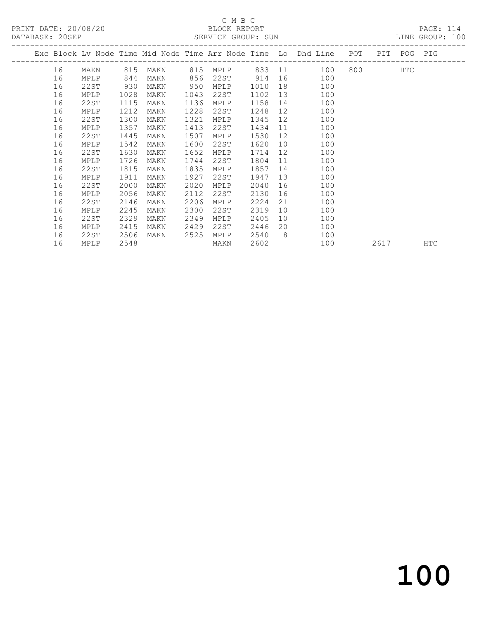PRINT DATE: 20/08/20 BLOCK REPORT<br>
DATABASE: 20SEP

## C M B C<br>BLOCK REPORT

PAGE: 114<br>LINE GROUP: 100

| DAIADAOE. 400EL |    |      |      |      |      | ALLATOL GIVOOL . SON |      |                 |                                                                    |           |             | TIME GIVANT . |
|-----------------|----|------|------|------|------|----------------------|------|-----------------|--------------------------------------------------------------------|-----------|-------------|---------------|
|                 |    |      |      |      |      |                      |      |                 | Exc Block Lv Node Time Mid Node Time Arr Node Time Lo Dhd Line POT |           | PIT POG PIG |               |
|                 | 16 | MAKN | 815  |      |      | MAKN 815 MPLP        |      |                 | 833 11 100                                                         | 800 - 100 | <b>HTC</b>  |               |
|                 | 16 | MPLP | 844  | MAKN | 856  | 22ST                 | 914  | 16              | 100                                                                |           |             |               |
|                 | 16 | 22ST | 930  | MAKN | 950  | MPLP                 | 1010 | 18              | 100                                                                |           |             |               |
|                 | 16 | MPLP | 1028 | MAKN | 1043 | 22ST                 | 1102 | 13              | 100                                                                |           |             |               |
|                 | 16 | 22ST | 1115 | MAKN | 1136 | MPLP                 | 1158 | 14              | 100                                                                |           |             |               |
|                 | 16 | MPLP | 1212 | MAKN | 1228 | 22ST                 | 1248 | 12              | 100                                                                |           |             |               |
|                 | 16 | 22ST | 1300 | MAKN | 1321 | MPLP                 | 1345 | 12              | 100                                                                |           |             |               |
|                 | 16 | MPLP | 1357 | MAKN | 1413 | 22ST                 | 1434 | 11              | 100                                                                |           |             |               |
|                 | 16 | 22ST | 1445 | MAKN | 1507 | MPLP                 | 1530 | 12 <sup>°</sup> | 100                                                                |           |             |               |
|                 | 16 | MPLP | 1542 | MAKN | 1600 | 22ST                 | 1620 | 10              | 100                                                                |           |             |               |
|                 | 16 | 22ST | 1630 | MAKN | 1652 | MPLP                 | 1714 | 12              | 100                                                                |           |             |               |
|                 | 16 | MPLP | 1726 | MAKN | 1744 | 22ST                 | 1804 | 11              | 100                                                                |           |             |               |
|                 | 16 | 22ST | 1815 | MAKN | 1835 | MPLP                 | 1857 | 14              | 100                                                                |           |             |               |
|                 | 16 | MPLP | 1911 | MAKN | 1927 | 22ST                 | 1947 | 13              | 100                                                                |           |             |               |
|                 | 16 | 22ST | 2000 | MAKN | 2020 | MPLP                 | 2040 | 16              | 100                                                                |           |             |               |
|                 | 16 | MPLP | 2056 | MAKN | 2112 | 22ST                 | 2130 | 16              | 100                                                                |           |             |               |
|                 | 16 | 22ST | 2146 | MAKN | 2206 | MPLP                 | 2224 | 21              | 100                                                                |           |             |               |
|                 | 16 | MPLP | 2245 | MAKN | 2300 | 22ST                 | 2319 | 10              | 100                                                                |           |             |               |
|                 | 16 | 22ST | 2329 | MAKN | 2349 | MPLP                 | 2405 | 10              | 100                                                                |           |             |               |
|                 | 16 | MPLP | 2415 | MAKN | 2429 | 22ST                 | 2446 | 20              | 100                                                                |           |             |               |
|                 | 16 | 22ST | 2506 | MAKN | 2525 | MPLP                 | 2540 | - 8             | 100                                                                |           |             |               |
|                 | 16 | MPLP | 2548 |      |      | MAKN                 | 2602 |                 | 100                                                                | 2617      |             | HTC           |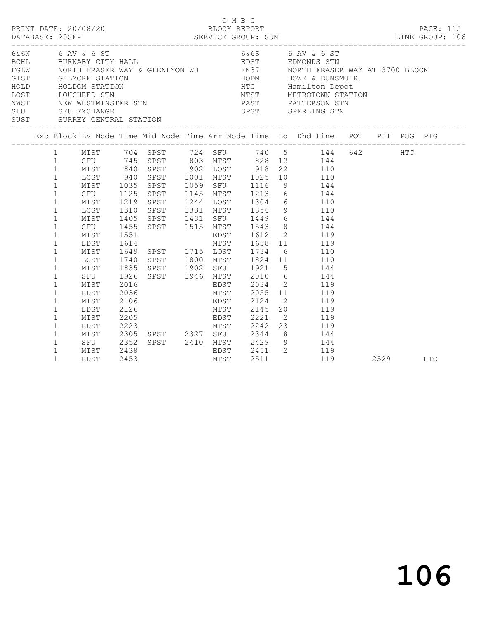| PRINT DATE: 20/08/20                                                 |                                                                                                                                                                                                                   |                                                                                                 |                                                                              |                                                                                            |                      | C M B C<br>BLOCK REPORT                                     |                                                                                                                                                                                                                                                                                                                                                                                                                  |      | <b>PAGE: 115</b> |
|----------------------------------------------------------------------|-------------------------------------------------------------------------------------------------------------------------------------------------------------------------------------------------------------------|-------------------------------------------------------------------------------------------------|------------------------------------------------------------------------------|--------------------------------------------------------------------------------------------|----------------------|-------------------------------------------------------------|------------------------------------------------------------------------------------------------------------------------------------------------------------------------------------------------------------------------------------------------------------------------------------------------------------------------------------------------------------------------------------------------------------------|------|------------------|
| 6& 6N 6 AV & 6 ST<br>SFU SFU EXCHANGE<br>SUST SURREY CENTRAL STATION |                                                                                                                                                                                                                   |                                                                                                 |                                                                              |                                                                                            |                      |                                                             | 6&6S 6 AV & 6 ST<br>BOHL BURNABY CITY HALL BURGER TO AVENUS STN<br>FGLW MORTH FRASER WAY & GLENLYON WB FN37 MORTH FRASER WAY AT 3700 BLOCK<br>TON THODA HOWE & DUNSMUIR<br>NODA HTC Hamilton Depot<br>MTST METROTOWN STATION<br>GIST GILMORE STATION HOM HOM HOWE & DUNSMUI<br>HOLD HOLDOM STATION DEPOT DUGHEED STN METROTOWN STAT<br>NEW WESTMINSTER STN PAST PATTERSON STN<br>SPST SPERLING STN               |      |                  |
|                                                                      |                                                                                                                                                                                                                   |                                                                                                 |                                                                              |                                                                                            |                      |                                                             | Exc Block Lv Node Time Mid Node Time Arr Node Time Lo Dhd Line POT PIT POG PIG                                                                                                                                                                                                                                                                                                                                   |      |                  |
|                                                                      | $\mathbf{1}$<br>1<br>$\mathbf{1}$<br>$\mathbf{1}$<br>$\mathbf{1}$<br>$\mathbf{1}$<br>$\mathbf{1}$<br>$\mathbf{1}$<br>$\mathbf{1}$<br>$\mathbf{1}$<br>$\mathbf{1}$<br>$\mathbf{1}$<br>$\mathbf{1}$<br>$\mathbf{1}$ | MTST<br>SFU<br>MTST<br>LOST<br>MTST<br>SFU<br>MTST<br>EDST<br>MTST<br>LOST                      | 1125<br>1219<br>1310<br>1405<br>1455<br>1740                                 | SPST 1515 MTST 1543<br>1551 EDST 1612 2<br>1614 MTST 1638 11<br>1649 SPST 1715 LOST 1734 6 |                      |                                                             | MTST 704 SPST 724 SFU 740 5<br>SFU 745 SPST 803 MTST 828 12 144 642 HTC<br>MTST 840 SPST 902 LOST 918 22 110<br>LOST 940 SPST 1001 MTST 1025 10 110<br>1035 SPST 1059 SFU 1116 9 144<br>SPST 1145 MTST 1213 6 144<br>SPST 1244 LOST 1304 6 110<br>SPST 1331 MTST 1356 9 110<br>SPST 1431 SFU 1449 6 144<br>8 144<br>$\begin{array}{cc} 2 & 119 \\ 11 & 119 \\ 6 & 110 \end{array}$<br>SPST 1800 MTST 1824 11 110 |      |                  |
|                                                                      | $\mathbf{1}$<br>$\mathbf{1}$<br>$\mathbf{1}$<br>$\mathbf{1}$<br>$\mathbf{1}$<br>$\mathbf{1}$<br>$\mathbf{1}$<br>$\mathbf{1}$<br>$\mathbf{1}$<br>$\mathbf{1}$<br>$\mathbf{1}$<br>$\mathbf 1$                       | MTST<br>SFU<br>MTST<br>EDST<br>MTST<br>EDST<br>MTST<br>EDST<br>MTST<br>SFU 2352<br>MTST<br>EDST | 1835<br>1926<br>2016<br>2036<br>2106<br>2126<br>2205<br>2223<br>2438<br>2453 | 2305 SPST 2327 SFU 2344                                                                    | MTST<br>EDST<br>MTST | EDST 2124<br>2145<br>2221<br>---- ----<br>MTST 2242<br>2511 | SPST 1902 SFU 1921 5 144<br>SPST 1946 MTST 2010 6 144<br>EDST 2034 2 119<br>MTST 2055 11 119<br>2 119<br>20 119<br>$\begin{array}{ccc}\n2 & 119 \\ 23 & 119\n\end{array}$<br>8 144<br>SPST 2410 MTST 2429 9 144<br>EDST 2451 2 119<br>119                                                                                                                                                                        | 2529 | <b>HTC</b>       |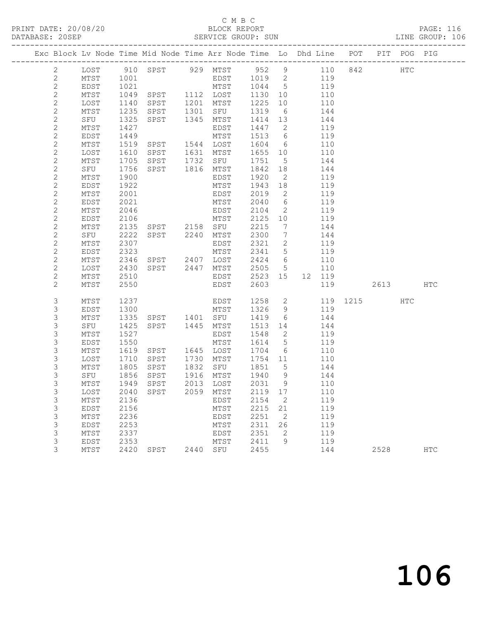## C M B C<br>BLOCK REPORT

#### SERVICE GROUP: SUN

| Exc Block Lv Node Time Mid Node Time Arr Node Time Lo Dhd Line POT PIT POG PIG |              |              |                                          |      |                   |                 |                          |            |              |          |            |
|--------------------------------------------------------------------------------|--------------|--------------|------------------------------------------|------|-------------------|-----------------|--------------------------|------------|--------------|----------|------------|
| $\mathbf{2}$                                                                   |              |              | LOST 910 SPST 929 MTST 952 9 110 842 HTC |      |                   |                 |                          |            |              |          |            |
| 2                                                                              | MTST         | 1001         |                                          |      | $EDST$ $1019$ $2$ |                 |                          | 119        |              |          |            |
| $\sqrt{2}$                                                                     | EDST         | 1021         |                                          |      | MTST 1044 5       |                 |                          | 119        |              |          |            |
| $\mathbf{2}$                                                                   | MTST         | 1049         | SPST 1112 LOST                           |      |                   | 1130            | 10                       | 110        |              |          |            |
| $\mathbf{2}$                                                                   | LOST         | 1140         | SPST                                     |      | 1201 MTST         | 1225            | 10                       | 110        |              |          |            |
| $\mathbf{2}$                                                                   | MTST         | 1235         | SPST                                     |      | 1301 SFU          | 1319            | 6                        | 144        |              |          |            |
| $\mathbf{2}$                                                                   | SFU          | 1325         | SPST                                     |      | 1345 MTST         | 1414 13         |                          | 144        |              |          |            |
| $\mathbf{2}$                                                                   | MTST         | 1427         |                                          |      | EDST              | 1447 2          |                          | 119        |              |          |            |
| $\sqrt{2}$                                                                     | EDST         | 1449         | SPST 1544 LOST                           |      | MTST              | 1513 6          |                          | 119        |              |          |            |
| $\mathbf{2}$<br>$\overline{c}$                                                 | MTST         | 1519         | SPST 1631 MTST                           |      |                   | 1604 6          |                          | 110        |              |          |            |
|                                                                                | LOST<br>MTST | 1610         |                                          |      |                   | 1655 10         |                          | 110<br>144 |              |          |            |
| $\mathbf{2}$<br>$\overline{c}$                                                 | SFU          | 1705<br>1756 | SPST 1732 SFU<br>SPST 1816 MTST          |      |                   | 1751<br>1842 18 | $5\overline{)}$          | 144        |              |          |            |
| $\mathbf{2}$                                                                   | MTST         | 1900         |                                          |      | EDST              | 1920            | $\overline{2}$           | 119        |              |          |            |
| $\sqrt{2}$                                                                     | EDST         | 1922         |                                          |      | MTST              | 1943            | 18                       | 119        |              |          |            |
| $\mathbf{2}$                                                                   | MTST         | 2001         |                                          |      | EDST              | 2019            | $\overline{\phantom{a}}$ | 119        |              |          |            |
| $\mathbf{2}$                                                                   | EDST         | 2021         |                                          |      | MTST              | 2040            | 6                        | 119        |              |          |            |
| $\mathbf{2}$                                                                   | MTST         | 2046         |                                          |      | EDST              | 2104            | $\overline{2}$           | 119        |              |          |            |
| $\mathbf{2}$                                                                   | EDST         | 2106         |                                          |      | MTST              | 2125 10         |                          | 119        |              |          |            |
| $\mathbf{2}$                                                                   | MTST         | 2135         | SPST 2158 SFU                            |      |                   | 2215            | $\overline{7}$           | 144        |              |          |            |
| $\mathbf{2}$                                                                   | SFU          | 2222         | SPST 2240 MTST                           |      |                   | 2300            | $\overline{7}$           | 144        |              |          |            |
| $\mathbf{2}$                                                                   | MTST         | 2307         |                                          |      | EDST              | 2321            | $\overline{2}$           | 119        |              |          |            |
| $\mathbf{2}$                                                                   | EDST         | 2323         |                                          |      | MTST              | 2341 5          |                          | 119        |              |          |            |
| $\mathbf{2}$                                                                   | MTST         | 2346         | SPST 2407 LOST                           |      |                   | 2424 6          |                          | 110        |              |          |            |
| $\overline{c}$                                                                 | LOST         | 2430         | SPST 2447 MTST                           |      |                   | 2505 5          |                          | 110        |              |          |            |
| $\mathbf{2}$                                                                   | MTST         | 2510         |                                          |      | EDST              | 2523 15         |                          | 12 119     |              |          |            |
| $\mathbf{2}$                                                                   | MTST         | 2550         |                                          |      | EDST              | 2603            |                          | 119        |              | 2613 HTC |            |
| 3                                                                              | MTST         | 1237         |                                          |      | EDST              | 1258 2          |                          |            | 119 1215 HTC |          |            |
| 3                                                                              | EDST         | 1300         |                                          |      | MTST              | 1326 9          |                          | 119        |              |          |            |
| $\mathsf S$                                                                    | MTST         | 1335         | SPST 1401 SFU                            |      |                   | 1419            | 6                        | 144        |              |          |            |
| $\mathsf S$                                                                    | SFU          | 1425         | SPST 1445 MTST                           |      |                   | 1513 14         |                          | 144        |              |          |            |
| 3                                                                              | MTST         | 1527         |                                          |      | EDST              | 1548            | $\overline{2}$           | 119        |              |          |            |
| $\mathsf S$                                                                    | EDST         | 1550         |                                          |      | MTST              | 1614            | $5\overline{)}$          | 119        |              |          |            |
| $\mathsf S$                                                                    | MTST         | 1619         | SPST                                     |      | 1645 LOST         | 1704            | 6                        | 110        |              |          |            |
| 3                                                                              | LOST         | 1710         | SPST                                     | 1730 | MTST              | 1754 11         |                          | 110        |              |          |            |
| 3                                                                              | MTST         | 1805         | SPST                                     | 1832 | SFU               | 1851            | $5\overline{)}$          | 144        |              |          |            |
| $\mathsf S$                                                                    | SFU          | 1856         | SPST                                     |      | 1916 MTST         | 1940 9          |                          | 144        |              |          |            |
| $\mathsf S$                                                                    | MTST         | 1949         | SPST                                     |      | 2013 LOST         | 2031 9          |                          | 110        |              |          |            |
| 3                                                                              |              |              | LOST 2040 SPST 2059 MTST 2119 17         |      |                   |                 |                          | 110        |              |          |            |
| 3                                                                              | MTST         | 2136         |                                          |      | EDST              | 2154            | 2                        | 119        |              |          |            |
| 3                                                                              | EDST         | 2156         |                                          |      | MTST              | 2215            | 21                       | 119        |              |          |            |
| 3<br>$\mathfrak{Z}$                                                            | MTST<br>EDST | 2236<br>2253 |                                          |      | EDST<br>MTST      | 2251<br>2311    | $\overline{2}$<br>26     | 119<br>119 |              |          |            |
| 3                                                                              | MTST         | 2337         |                                          |      | EDST              | 2351            | 2                        | 119        |              |          |            |
| 3                                                                              | EDST         | 2353         |                                          |      | MTST              | 2411            | 9                        | 119        |              |          |            |
| 3                                                                              | MTST         | 2420         | SPST                                     | 2440 | SFU               | 2455            |                          | 144        |              | 2528     | <b>HTC</b> |
|                                                                                |              |              |                                          |      |                   |                 |                          |            |              |          |            |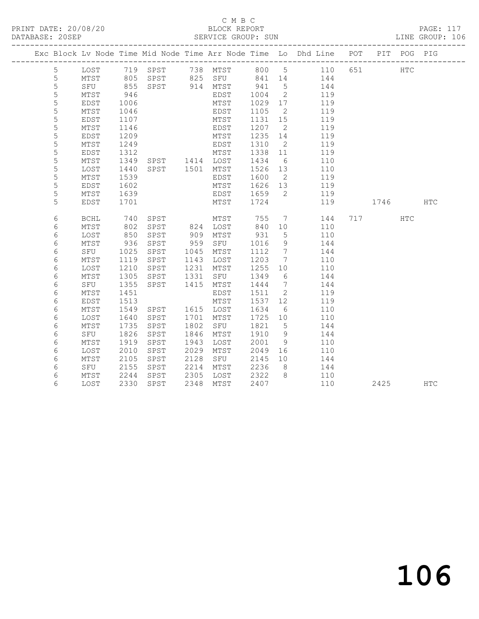### C M B C<br>BLOCK REPORT SERVICE GROUP: SUN

|                 |             |      |                        |      |          |      |                 | Exc Block Lv Node Time Mid Node Time Arr Node Time Lo Dhd Line POT PIT POG PIG |     |      |            |            |
|-----------------|-------------|------|------------------------|------|----------|------|-----------------|--------------------------------------------------------------------------------|-----|------|------------|------------|
| $5\phantom{.0}$ | LOST        |      | 719 SPST               |      | 738 MTST |      |                 | 800 5 110                                                                      | 651 |      | HTC        |            |
| 5               | MTST        | 805  | SPST                   |      | 825 SFU  | 841  | 14              | 144                                                                            |     |      |            |            |
| 5               | SFU         | 855  | SPST                   |      | 914 MTST | 941  | 5               | 144                                                                            |     |      |            |            |
| 5               | MTST        | 946  |                        |      | EDST     | 1004 | 2               | 119                                                                            |     |      |            |            |
| 5               | EDST        | 1006 |                        |      | MTST     | 1029 | 17              | 119                                                                            |     |      |            |            |
| 5               | MTST        | 1046 |                        |      | EDST     | 1105 | 2               | 119                                                                            |     |      |            |            |
| 5               | <b>EDST</b> | 1107 |                        |      | MTST     | 1131 | 15              | 119                                                                            |     |      |            |            |
| 5               | MTST        | 1146 |                        |      | EDST     | 1207 | 2               | 119                                                                            |     |      |            |            |
| 5               | EDST        | 1209 |                        |      | MTST     | 1235 | 14              | 119                                                                            |     |      |            |            |
| 5               | MTST        | 1249 |                        |      | EDST     | 1310 | - 2             | 119                                                                            |     |      |            |            |
| 5               | EDST        | 1312 | MTST<br>SPST 1414 LOST |      | MTST     | 1338 | 11              | 119                                                                            |     |      |            |            |
| 5               | MTST        | 1349 |                        |      |          | 1434 | 6               | 110                                                                            |     |      |            |            |
| $\mathsf S$     | LOST        | 1440 | SPST 1501              |      | MTST     | 1526 | 13              | 110                                                                            |     |      |            |            |
| 5               | MTST        | 1539 |                        |      | EDST     | 1600 | $\overline{2}$  | 119                                                                            |     |      |            |            |
| 5               | <b>EDST</b> | 1602 |                        |      | MTST     | 1626 | 13              | 119                                                                            |     |      |            |            |
| 5               | MTST        | 1639 |                        |      | EDST     | 1659 | 2               | 119                                                                            |     |      |            |            |
| 5               | EDST        | 1701 |                        |      | MTST     | 1724 |                 | 119                                                                            |     | 1746 |            | <b>HTC</b> |
| 6               | <b>BCHL</b> | 740  | SPST                   |      | MTST     | 755  | $7\phantom{.0}$ | 144                                                                            |     | 717  | <b>HTC</b> |            |
| 6               | MTST        | 802  | SPST                   |      | 824 LOST | 840  | 10              | 110                                                                            |     |      |            |            |
| 6               | LOST        | 850  | SPST                   | 909  | MTST     | 931  | $5\phantom{.0}$ | 110                                                                            |     |      |            |            |
| 6               | MTST        | 936  | SPST                   | 959  | SFU      | 1016 | 9               | 144                                                                            |     |      |            |            |
| 6               | SFU         | 1025 | SPST                   | 1045 | MTST     | 1112 | $7\overline{ }$ | 144                                                                            |     |      |            |            |
| 6               | MTST        | 1119 | SPST                   | 1143 | LOST     | 1203 | $7\overline{ }$ | 110                                                                            |     |      |            |            |
| 6               | LOST        | 1210 | SPST                   | 1231 | MTST     | 1255 | 10              | 110                                                                            |     |      |            |            |
| 6               | MTST        | 1305 | SPST                   | 1331 | SFU      | 1349 | - 6             | 144                                                                            |     |      |            |            |
| 6               | SFU         | 1355 | SPST                   | 1415 | MTST     | 1444 | 7               | 144                                                                            |     |      |            |            |
| 6               | MTST        | 1451 |                        |      | EDST     | 1511 | 2               | 119                                                                            |     |      |            |            |
| 6               | <b>EDST</b> | 1513 |                        |      | MTST     | 1537 | 12              | 119                                                                            |     |      |            |            |
| 6               | MTST        | 1549 | SPST                   | 1615 | LOST     | 1634 | - 6             | 110                                                                            |     |      |            |            |
| 6               | LOST        | 1640 | SPST                   | 1701 | MTST     | 1725 | 10              | 110                                                                            |     |      |            |            |
| 6               | MTST        | 1735 | SPST                   | 1802 | SFU      | 1821 | 5               | 144                                                                            |     |      |            |            |
| 6               | SFU         | 1826 | SPST                   | 1846 | MTST     | 1910 | 9               | 144                                                                            |     |      |            |            |
| 6               | MTST        | 1919 | SPST                   | 1943 | LOST     | 2001 | 9               | 110                                                                            |     |      |            |            |
| 6               | LOST        | 2010 | SPST                   | 2029 | MTST     | 2049 | 16              | 110                                                                            |     |      |            |            |
| 6               | MTST        | 2105 | SPST                   | 2128 | SFU      | 2145 | 10              | 144                                                                            |     |      |            |            |
| 6               | SFU         | 2155 | SPST                   | 2214 | MTST     | 2236 | 8               | 144                                                                            |     |      |            |            |
| 6               | MTST        | 2244 | SPST                   | 2305 | LOST     | 2322 | 8               | 110                                                                            |     |      |            |            |
| 6               | LOST        | 2330 | SPST                   | 2348 | MTST     | 2407 |                 | 110                                                                            |     | 2425 |            | HTC        |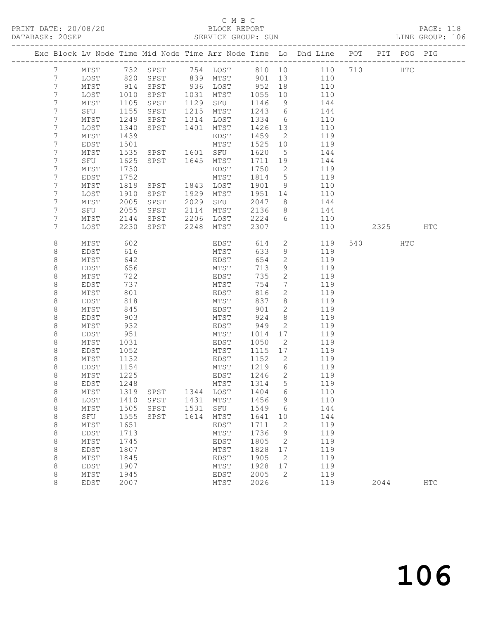#### C M B C<br>BLOCK REPORT SERVICE GROUP: SUN

|         |                 |      |           |      |                  |      |                 | Exc Block Lv Node Time Mid Node Time Arr Node Time Lo Dhd Line POT PIT POG PIG |     |      |              |              |
|---------|-----------------|------|-----------|------|------------------|------|-----------------|--------------------------------------------------------------------------------|-----|------|--------------|--------------|
| 7       | MTST            | 732  | SPST      |      | 754 LOST         |      | 810 10          | 110                                                                            | 710 |      | $_{\rm HTC}$ |              |
| 7       | LOST            | 820  | SPST      | 839  | MTST             | 901  | 13              | 110                                                                            |     |      |              |              |
| 7       | MTST            | 914  | SPST      | 936  | LOST             | 952  | 18              | 110                                                                            |     |      |              |              |
| 7       | LOST            | 1010 | SPST      | 1031 | MTST             | 1055 | 10              | 110                                                                            |     |      |              |              |
| 7       | MTST            | 1105 | SPST      | 1129 | SFU              | 1146 | 9               | 144                                                                            |     |      |              |              |
| 7       | SFU             | 1155 | SPST      | 1215 | MTST             | 1243 | 6               | 144                                                                            |     |      |              |              |
| 7       | MTST            | 1249 | SPST      | 1314 | LOST             | 1334 | 6               | 110                                                                            |     |      |              |              |
| 7       | LOST            | 1340 | SPST      | 1401 | MTST             | 1426 | 13              | 110                                                                            |     |      |              |              |
| 7       | MTST            | 1439 |           |      | EDST             | 1459 | $\overline{2}$  | 119                                                                            |     |      |              |              |
| 7       | EDST            | 1501 |           |      | MTST             | 1525 | 10              | 119                                                                            |     |      |              |              |
| 7       | MTST            | 1535 | SPST      | 1601 | SFU              | 1620 | 5               | 144                                                                            |     |      |              |              |
| 7       | SFU             | 1625 | SPST      | 1645 | MTST             | 1711 | 19              | 144                                                                            |     |      |              |              |
| 7       | MTST            | 1730 |           |      | EDST             | 1750 | $\overline{2}$  | 119                                                                            |     |      |              |              |
| 7       | EDST            | 1752 |           |      | MTST             | 1814 | 5               | 119                                                                            |     |      |              |              |
| 7       | MTST            | 1819 | SPST      | 1843 | LOST             | 1901 | 9               | 110                                                                            |     |      |              |              |
| 7       | LOST            | 1910 | SPST      | 1929 | MTST             | 1951 | 14              | 110                                                                            |     |      |              |              |
| 7       | MTST            | 2005 | SPST      | 2029 | SFU              | 2047 | 8               | 144                                                                            |     |      |              |              |
| 7       | SFU             | 2055 | SPST      | 2114 | MTST             | 2136 | 8               | 144                                                                            |     |      |              |              |
| 7       | MTST            | 2144 | SPST      | 2206 | LOST             | 2224 | 6               | 110                                                                            |     |      |              |              |
| 7       | LOST            | 2230 | SPST      | 2248 | MTST             | 2307 |                 | 110                                                                            |     | 2325 |              | HTC          |
| 8       | MTST            | 602  |           |      | EDST             | 614  | $\mathbf{2}$    | 119                                                                            | 540 |      | HTC          |              |
| 8       | EDST            | 616  |           |      | MTST             | 633  | 9               | 119                                                                            |     |      |              |              |
| $\,8\,$ | MTST            | 642  |           |      | EDST             | 654  | $\mathbf{2}$    | 119                                                                            |     |      |              |              |
| 8       | EDST            | 656  |           |      | MTST             | 713  | $\mathcal{G}$   | 119                                                                            |     |      |              |              |
| 8       | MTST            | 722  |           |      | EDST             | 735  | $\mathbf{2}$    | 119                                                                            |     |      |              |              |
| $\,8\,$ | <b>EDST</b>     | 737  |           |      | MTST             | 754  | $7\phantom{.0}$ | 119                                                                            |     |      |              |              |
| $\,8\,$ | MTST            | 801  |           |      | EDST             | 816  | $\mathbf{2}$    | 119                                                                            |     |      |              |              |
| 8       | EDST            | 818  |           |      | MTST             | 837  | 8               | 119                                                                            |     |      |              |              |
| 8       | MTST            | 845  |           |      | EDST             | 901  | 2               | 119                                                                            |     |      |              |              |
| 8       | EDST            | 903  |           |      | MTST             | 924  | 8               | 119                                                                            |     |      |              |              |
| $\,8\,$ | MTST            | 932  |           |      | EDST             | 949  | 2               | 119                                                                            |     |      |              |              |
| 8       | EDST            | 951  |           |      | MTST             | 1014 | 17              | 119                                                                            |     |      |              |              |
| 8       | MTST            | 1031 |           |      | EDST             | 1050 | 2               | 119                                                                            |     |      |              |              |
| $\,8\,$ | EDST            | 1052 |           |      | MTST             | 1115 | 17              | 119                                                                            |     |      |              |              |
| $\,8\,$ | MTST            | 1132 |           |      | EDST             | 1152 | 2               | 119                                                                            |     |      |              |              |
| 8       | EDST            | 1154 |           |      | MTST             | 1219 | 6               | 119                                                                            |     |      |              |              |
| 8       | MTST            | 1225 |           |      | EDST             | 1246 | 2               | 119                                                                            |     |      |              |              |
| 8       | <b>EDST</b>     | 1248 |           |      | MTST             | 1314 | 5               | 119                                                                            |     |      |              |              |
| $\,8\,$ | $\mathtt{MTST}$ |      | 1319 SPST |      | 1344 LOST 1404 6 |      |                 | 110                                                                            |     |      |              |              |
| $\,8\,$ | LOST            | 1410 | SPST      | 1431 | MTST             | 1456 | 9               | 110                                                                            |     |      |              |              |
| 8       | MTST            | 1505 | SPST      | 1531 | SFU              | 1549 | 6               | 144                                                                            |     |      |              |              |
| $\,8\,$ | SFU             | 1555 | SPST      | 1614 | MTST             | 1641 | 10              | 144                                                                            |     |      |              |              |
| $\,8\,$ | MTST            | 1651 |           |      | EDST             | 1711 | 2               | 119                                                                            |     |      |              |              |
| $\,8\,$ | EDST            | 1713 |           |      | MTST             | 1736 | 9               | 119                                                                            |     |      |              |              |
| 8       | $MTST$          | 1745 |           |      | EDST             | 1805 | 2               | 119                                                                            |     |      |              |              |
| 8       | <b>EDST</b>     | 1807 |           |      | MTST             | 1828 | 17              | 119                                                                            |     |      |              |              |
| $\,8\,$ | MTST            | 1845 |           |      | EDST             | 1905 | 2               | 119                                                                            |     |      |              |              |
| $\,8\,$ | EDST            | 1907 |           |      | MTST             | 1928 | 17              | 119                                                                            |     |      |              |              |
| 8       | MTST            | 1945 |           |      | EDST             | 2005 | 2               | 119                                                                            |     |      |              |              |
| 8       | EDST            | 2007 |           |      | MTST             | 2026 |                 | 119                                                                            |     | 2044 |              | $_{\rm HTC}$ |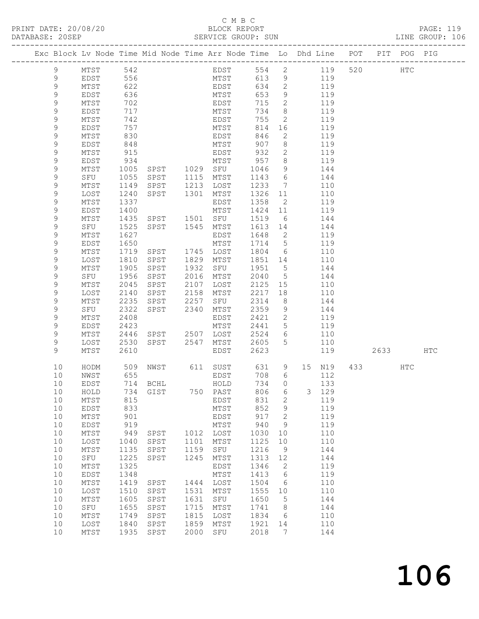#### C M B C<br>BLOCK REPORT SERVICE GROUP: SUN

PRINT DATE: 20/08/20 BLOCK REPORT PAGE: 119

| Exc Block Lv Node Time Mid Node Time Arr Node Time Lo Dhd Line POT PIT POG PIG |                 |              |                   |              |                   |              |                      |                |               |     |  |
|--------------------------------------------------------------------------------|-----------------|--------------|-------------------|--------------|-------------------|--------------|----------------------|----------------|---------------|-----|--|
| 9                                                                              | MTST            | 542          |                   |              |                   |              |                      | EDST 554 2 119 | 520 HTC       |     |  |
| 9                                                                              | EDST            | 556          |                   |              | MTST              | 613          | 9                    | 119            |               |     |  |
| 9                                                                              | MTST            | 622          |                   |              | EDST              | 634          | $\overline{2}$       | 119            |               |     |  |
| 9                                                                              | EDST            | 636          |                   |              | MTST              | 653          | 9                    | 119            |               |     |  |
| 9                                                                              | MTST            | 702          |                   |              | EDST              | 715          | $\overline{2}$       | 119            |               |     |  |
| 9                                                                              | EDST            | 717          |                   |              | $MTST$            | 734          | 8 <sup>8</sup>       | 119            |               |     |  |
| 9                                                                              | MTST            | 742          |                   |              | EDST              | 755          | $\overline{2}$       | 119            |               |     |  |
| 9                                                                              | EDST            | 757          |                   |              | MTST              | 814          | 16                   | 119            |               |     |  |
| 9                                                                              | MTST            | 830          |                   |              | EDST              | 846          | $\overline{2}$       | 119            |               |     |  |
| 9                                                                              | EDST            | 848          |                   |              | MTST              | 907          | 8                    | 119            |               |     |  |
| 9                                                                              | MTST            | 915          |                   |              | EDST              | 932          | 2                    | 119            |               |     |  |
| 9                                                                              | EDST            | 934          |                   |              | MTST              | 957          | 8 <sup>8</sup>       | 119            |               |     |  |
| 9                                                                              | MTST            | 1005         |                   |              |                   | 1046         | 9                    | 144            |               |     |  |
| 9                                                                              | SFU             | 1055         |                   |              |                   | 1143         | 6                    | 144            |               |     |  |
| 9                                                                              | MTST            | 1149         | SPST              | 1213         | LOST              | 1233         | $\overline{7}$       | 110            |               |     |  |
| 9                                                                              | LOST            | 1240         | SPST 1301 MTST    |              |                   | 1326         | 11                   | 110            |               |     |  |
| 9                                                                              | MTST            | 1337         |                   |              | EDST              | 1358         | $\overline{2}$       | 119            |               |     |  |
| 9                                                                              | EDST            | 1400         |                   |              | MTST              | 1424 11      |                      | 119            |               |     |  |
| 9                                                                              | MTST            | 1435         | SPST 1501 SFU     |              |                   | 1519         | 6                    | 144            |               |     |  |
| 9                                                                              | SFU             | 1525         |                   |              | SPST 1545 MTST    | 1613 14      |                      | 144            |               |     |  |
| 9                                                                              | MTST            | 1627         |                   |              | EDST              | 1648         | $\overline{2}$       | 119            |               |     |  |
| 9                                                                              | EDST            | 1650         |                   |              | MTST              | 1714 5       |                      | 119            |               |     |  |
| 9                                                                              | MTST            | 1719         | SPST 1745 LOST    |              |                   | 1804         | 6                    | 110            |               |     |  |
| 9                                                                              | LOST            | 1810         | SPST              |              | 1829 MTST         | 1851 14      |                      | 110            |               |     |  |
| 9                                                                              | MTST            | 1905         | SPST              |              | 1932 SFU          | 1951         | $5\overline{)}$      | 144            |               |     |  |
| 9                                                                              | SFU             | 1956         | SPST              |              | 2016 MTST         | 2040         | $5\overline{)}$      | 144            |               |     |  |
| $\mathsf 9$                                                                    | MTST            | 2045         | SPST              | 2107         | LOST              | 2125 15      |                      | 110            |               |     |  |
| 9                                                                              | LOST            | 2140         | SPST              | 2158         | MTST              | 2217 18      |                      | 110            |               |     |  |
| 9                                                                              | MTST            | 2235         | SPST              | 2257         | SFU               | 2314         | 8 <sup>8</sup>       | 144            |               |     |  |
| 9                                                                              | SFU             | 2322         | SPST              |              | 2340 MTST         | 2359         | 9                    | 144            |               |     |  |
| 9                                                                              | MTST            | 2408         |                   |              | EDST              | 2421         | $\overline{2}$       | 119            |               |     |  |
| 9<br>9                                                                         | EDST            | 2423         |                   |              | MTST              | 2441<br>2524 | $5\overline{)}$<br>6 | 119<br>110     |               |     |  |
|                                                                                | MTST            | 2446         | SPST 2507<br>SPST |              | LOST<br>2547 MTST | 2605         | 5                    | 110            |               |     |  |
| 9<br>9                                                                         | LOST<br>MTST    | 2530<br>2610 |                   |              | EDST              | 2623         |                      | 119            | 2633 HTC      |     |  |
|                                                                                |                 |              |                   |              |                   |              |                      |                |               |     |  |
| 10                                                                             | HODM            | 509          | NWST              |              | 611 SUST          | 631          | 9                    | 15 N19         | 433 and $433$ | HTC |  |
| 10                                                                             | NWST            | 655          |                   |              | EDST              | 708          | 6                    | 112            |               |     |  |
| 10                                                                             | <b>EDST</b>     |              | 714 BCHL          |              | HOLD              | 734          | $\circ$              | 133            |               |     |  |
| 10                                                                             | HOLD            |              | 734 GIST 750 PAST |              |                   | 806 6        |                      | 3 129          |               |     |  |
| 10                                                                             | MTST            | 815          |                   |              | EDST              | 831          | 2                    | 119            |               |     |  |
| 10                                                                             | EDST            | 833          |                   |              | MTST              | 852          | 9                    | 119            |               |     |  |
| 10                                                                             | $MTST$          | 901          |                   |              | EDST              | 917          | $\mathbf{2}$         | 119            |               |     |  |
| 10                                                                             | EDST            | 919          |                   |              | MTST              | 940          | 9                    | 119            |               |     |  |
| 10                                                                             | MTST            | 949          | SPST              | 1012         | LOST              | 1030         | 10                   | 110            |               |     |  |
| 10                                                                             | LOST            | 1040         | SPST              | 1101         | MTST              | 1125         | 10                   | 110            |               |     |  |
| $10$                                                                           | $\mathtt{MTST}$ | 1135         | SPST              | 1159         | SFU               | 1216         | 9                    | 144            |               |     |  |
| 10                                                                             | SFU             | 1225         | SPST              | 1245         | MTST              | 1313         | 12                   | 144            |               |     |  |
| $10$                                                                           | MTST            | 1325         |                   |              | EDST              | 1346         | $\overline{2}$       | 119            |               |     |  |
| 10                                                                             | EDST            | 1348         |                   |              | MTST              | 1413         | 6                    | 119            |               |     |  |
| 10                                                                             | MTST            | 1419         | SPST              | 1444         | LOST              | 1504         | $6\overline{6}$      | 110            |               |     |  |
| 10                                                                             | LOST            | 1510         | SPST              | 1531         | MTST              | 1555         | 10                   | 110            |               |     |  |
| 10                                                                             | MTST            | 1605         | SPST              | 1631         | SFU               | 1650         | $5^{\circ}$          | 144            |               |     |  |
| 10<br>10                                                                       | SFU             | 1655<br>1749 | SPST              | 1715<br>1815 | MTST              | 1741<br>1834 | 8<br>6               | 144<br>110     |               |     |  |
| 10                                                                             | MTST<br>LOST    | 1840         | SPST<br>SPST      | 1859         | LOST<br>MTST      | 1921         | 14                   | 110            |               |     |  |
| 10                                                                             | MTST            | 1935         | SPST              | 2000         | SFU               | 2018         | 7                    | 144            |               |     |  |
|                                                                                |                 |              |                   |              |                   |              |                      |                |               |     |  |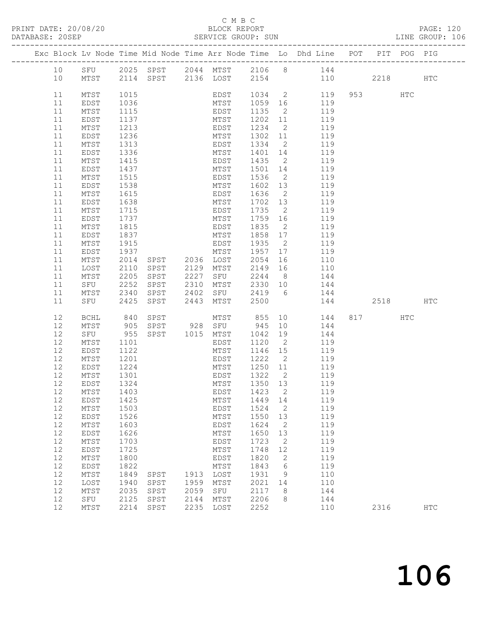## C M B C

| DATABASE: 20SEP |        |           |      |                |      |                |                                   |                          |                                                                                |      |      |     |  |
|-----------------|--------|-----------|------|----------------|------|----------------|-----------------------------------|--------------------------|--------------------------------------------------------------------------------|------|------|-----|--|
|                 |        |           |      |                |      |                |                                   |                          | Exc Block Lv Node Time Mid Node Time Arr Node Time Lo Dhd Line POT PIT POG PIG |      |      |     |  |
|                 | 10     |           |      |                |      |                |                                   |                          | SFU 2025 SPST 2044 MTST 2106 8 144                                             |      |      |     |  |
|                 | 10     |           |      |                |      |                |                                   |                          | MTST 2114 SPST 2136 LOST 2154 110 2218 HTC                                     |      |      |     |  |
|                 | 11     | MTST      | 1015 |                |      |                |                                   |                          | EDST 1034 2 119                                                                |      | HTC  |     |  |
|                 | 11     | EDST      | 1036 |                |      | MTST           | 1059 16                           |                          | 119                                                                            |      |      |     |  |
|                 | 11     | MTST      | 1115 |                |      | EDST           | 1135                              |                          | 2 119                                                                          |      |      |     |  |
|                 | 11     | EDST      | 1137 |                |      | MTST           | 1202                              | 11                       | 119                                                                            |      |      |     |  |
|                 | 11     | MTST      | 1213 |                |      | EDST           | 1234                              | $\overline{2}$           | 119                                                                            |      |      |     |  |
|                 | 11     | EDST      | 1236 |                |      | MTST           | 1302 11                           |                          | 119                                                                            |      |      |     |  |
|                 | 11     | MTST      | 1313 |                |      | EDST 1334      |                                   | $\overline{2}$           | 119                                                                            |      |      |     |  |
|                 | 11     | EDST      | 1336 |                |      | MTST           | 1401                              | 14                       | 119                                                                            |      |      |     |  |
|                 | 11     | MTST      | 1415 |                |      | EDST           | 1435                              | $\overline{2}$           | 119                                                                            |      |      |     |  |
|                 | 11     | EDST      | 1437 |                |      | MTST           | 1501 14                           |                          | 119                                                                            |      |      |     |  |
|                 | 11     | MTST      | 1515 |                |      | <b>EDST</b>    | 1536                              | $\overline{2}$           | 119                                                                            |      |      |     |  |
|                 | 11     | EDST      | 1538 |                |      | MTST           | 1602                              | 13                       | 119                                                                            |      |      |     |  |
|                 | 11     | MTST      | 1615 |                |      | EDST           | 1636                              | $\overline{2}$           | 119                                                                            |      |      |     |  |
|                 | 11     | EDST      | 1638 |                |      | MTST           | 1702 13                           |                          | 119                                                                            |      |      |     |  |
|                 | 11     | MTST      | 1715 |                |      | EDST           | 1735                              | $\overline{2}$           | 119                                                                            |      |      |     |  |
|                 | 11     |           | 1737 |                |      | MTST           | 1759 16                           |                          | 119                                                                            |      |      |     |  |
|                 | 11     | EDST      |      |                |      |                | 1835                              | $\overline{2}$           |                                                                                |      |      |     |  |
|                 |        | MTST      | 1815 |                |      | EDST           |                                   |                          | 119                                                                            |      |      |     |  |
|                 | 11     | EDST      | 1837 |                |      | MTST           | 1858 17<br>1935                   |                          | 119<br>119                                                                     |      |      |     |  |
|                 | 11     | MTST      | 1915 |                |      | EDST           |                                   | $\overline{2}$           |                                                                                |      |      |     |  |
|                 | 11     | EDST      | 1937 |                |      | MTST           | 1957                              | 17                       | 119                                                                            |      |      |     |  |
|                 | 11     | MTST      | 2014 | SPST 2036 LOST |      |                | $2054$ + $\frac{1}{2}$<br>2149 16 |                          | 110                                                                            |      |      |     |  |
|                 | 11     | LOST      | 2110 | SPST           |      | 2129 MTST      |                                   |                          | 110                                                                            |      |      |     |  |
|                 | 11     | MTST      | 2205 | SPST           | 2227 | SFU 2244       |                                   |                          | 8 144                                                                          |      |      |     |  |
|                 | 11     | SFU       | 2252 | SPST           | 2310 | MTST 2330 10   |                                   |                          | 144                                                                            |      |      |     |  |
|                 | 11     | MTST      | 2340 | SPST           | 2402 | SFU 2419       |                                   |                          | 6 144                                                                          |      |      |     |  |
|                 | 11     | SFU       | 2425 | SPST           |      | 2443 MTST 2500 |                                   |                          | 144                                                                            |      | 2518 | HTC |  |
|                 | 12     | BCHL      | 840  | SPST           |      | MTST 855       |                                   |                          | 10<br>144                                                                      | 817  | HTC  |     |  |
|                 | 12     | MTST      | 905  | SPST 928 SFU   |      |                | 945                               | 10                       | 144                                                                            |      |      |     |  |
|                 | 12     | SFU       | 955  | SPST 1015 MTST |      |                | 1042                              | 19                       | 144                                                                            |      |      |     |  |
|                 | 12     | MTST      | 1101 |                |      | EDST           | 1120                              | $\overline{2}$           | 119                                                                            |      |      |     |  |
|                 | 12     | EDST      | 1122 |                |      | MTST           | 1146 15                           |                          | 119                                                                            |      |      |     |  |
|                 | 12     | MTST      | 1201 |                |      | EDST           | 1222                              | $\overline{2}$           | 119                                                                            |      |      |     |  |
|                 | 12     | EDST      | 1224 |                |      | MTST           | 1250 11                           |                          | 119                                                                            |      |      |     |  |
|                 | 12     | MTST      | 1301 |                |      | EDST           | 1322                              | $\overline{2}$           | 119                                                                            |      |      |     |  |
|                 | 12     | EDST 1324 |      |                |      |                |                                   |                          | MTST 1350 13 119                                                               |      |      |     |  |
|                 | 12     | MTST      | 1403 |                |      | EDST           | 1423                              | 2                        | 119                                                                            |      |      |     |  |
|                 | $12\,$ | EDST      | 1425 |                |      | MTST           | 1449                              | 14                       | 119                                                                            |      |      |     |  |
|                 | 12     | MTST      | 1503 |                |      | EDST           | 1524                              | $\overline{2}$           | 119                                                                            |      |      |     |  |
|                 | 12     | EDST      | 1526 |                |      | MTST           | 1550                              | 13                       | 119                                                                            |      |      |     |  |
|                 | 12     | MTST      | 1603 |                |      | EDST           | 1624                              | 2                        | 119                                                                            |      |      |     |  |
|                 | $12$   | EDST      | 1626 |                |      | MTST           | 1650                              | 13                       | 119                                                                            |      |      |     |  |
|                 | 12     | MTST      | 1703 |                |      | EDST           | 1723                              | $\overline{\phantom{a}}$ | 119                                                                            |      |      |     |  |
|                 | 12     | EDST      | 1725 |                |      | MTST           | 1748                              | 12                       | 119                                                                            |      |      |     |  |
|                 | 12     | MTST      | 1800 |                |      | EDST           | 1820                              | 2                        | 119                                                                            |      |      |     |  |
|                 | 12     | EDST      | 1822 |                |      | MTST           | 1843                              | 6                        | 119                                                                            |      |      |     |  |
|                 | 12     | MTST      | 1849 | SPST           |      | 1913 LOST      | 1931                              | 9                        | 110                                                                            |      |      |     |  |
|                 | 12     | LOST      | 1940 | SPST           | 1959 | MTST           | 2021                              | 14                       | 110                                                                            |      |      |     |  |
|                 | 12     | MTST      | 2035 | SPST           | 2059 | SFU            | 2117                              | 8                        | 144                                                                            |      |      |     |  |
|                 | 12     | SFU       | 2125 | SPST           | 2144 | MTST           | 2206                              | 8                        | 144                                                                            |      |      |     |  |
|                 | 12     | MTST      | 2214 | SPST           | 2235 | LOST           | 2252                              |                          | 110                                                                            | 2316 |      | HTC |  |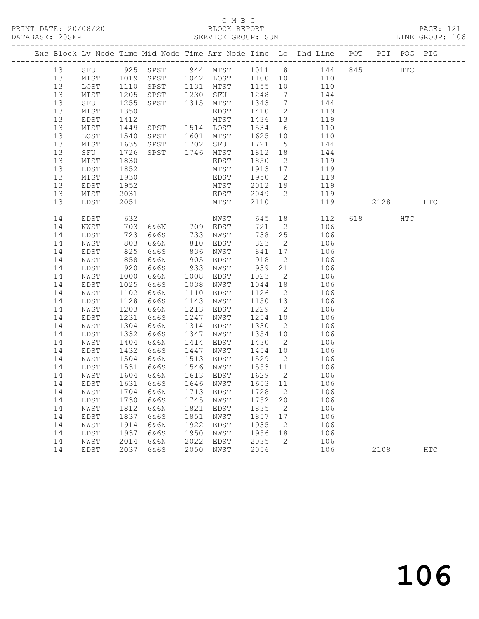## C M B C<br>BLOCK REPORT

| DATABASE: 20SEP |              |                      |                                          |      |                                |                                            |                            |                                                                                     |          |     | LINE GROUP: 106 |  |
|-----------------|--------------|----------------------|------------------------------------------|------|--------------------------------|--------------------------------------------|----------------------------|-------------------------------------------------------------------------------------|----------|-----|-----------------|--|
|                 |              |                      |                                          |      |                                |                                            |                            | Exc Block Lv Node Time Mid Node Time Arr Node Time Lo Dhd Line POT PIT POG PIG      |          |     |                 |  |
| 13              |              |                      |                                          |      |                                |                                            |                            | SFU 925 SPST 944 MTST 1011 8 144 845 HTC                                            |          |     |                 |  |
| 13              |              |                      |                                          |      |                                |                                            |                            | MTST 1019 SPST 1042 LOST 1100 10 110                                                |          |     |                 |  |
| 13              | LOST         | 1110<br>1205<br>1255 |                                          |      |                                |                                            |                            | SPST 1131 MTST 1155 10 110<br>SPST 1230 SFU 1248 7 144<br>SPST 1315 MTST 1343 7 144 |          |     |                 |  |
| 13              | MTST         |                      |                                          |      |                                |                                            |                            |                                                                                     |          |     |                 |  |
| 13              | SFU          |                      |                                          |      |                                |                                            |                            |                                                                                     |          |     |                 |  |
| 13              | MTST         | 1350                 |                                          |      | EDST                           |                                            |                            | 1410 2 119                                                                          |          |     |                 |  |
| 13              | EDST         | 1412                 | MTST<br>SPST 1514 LOST<br>SPST 1601 MTST |      |                                |                                            |                            | 1436 13 119                                                                         |          |     |                 |  |
| 13              | MTST         | 1449<br>1540         |                                          |      |                                | 1534 6                                     |                            | 110                                                                                 |          |     |                 |  |
| 13              | LOST         |                      |                                          |      |                                | $1625$ 10                                  |                            | 110                                                                                 |          |     |                 |  |
| 13              | MTST         | 1635                 |                                          |      | SPST 1702 SFU                  |                                            |                            | 1721 5 144                                                                          |          |     |                 |  |
| 13              | SFU          | 1726                 | SPST 1746 MTST                           |      |                                | 1812 18                                    |                            | 144                                                                                 |          |     |                 |  |
| 13              | MTST         | 1830                 |                                          |      | EDST                           | 1850                                       | $\overline{2}$             | 119                                                                                 |          |     |                 |  |
| 13              | EDST         | 1852                 |                                          |      | MTST                           | $\frac{1913}{125}$ $\frac{17}{7}$          |                            | 119                                                                                 |          |     |                 |  |
| 13              | MTST         | 1930                 |                                          |      | EDST                           | 1950                                       |                            | 2 119                                                                               |          |     |                 |  |
| 13              | EDST         | 1952                 |                                          |      | MTST                           |                                            |                            | 2012 19 119                                                                         |          |     |                 |  |
| 13              | MTST         | 2031                 |                                          |      | EDST 2049 2<br>MTST 2110       |                                            |                            | 119                                                                                 |          |     |                 |  |
| 13              | EDST         | 2051                 |                                          |      |                                |                                            |                            | 119                                                                                 | 2128 HTC |     |                 |  |
| 14              | EDST         | 632                  |                                          |      | NWST 645 18                    |                                            |                            | 112                                                                                 | 618 8    | HTC |                 |  |
| 14              | NWST         |                      |                                          |      | 6&6N 709 EDST<br>6&6S 733 NWST | $721$ 2                                    |                            | 106                                                                                 |          |     |                 |  |
| 14              | EDST         | 703<br>723<br>803    |                                          |      |                                |                                            | 738 25                     | 106                                                                                 |          |     |                 |  |
| 14              | NWST         |                      | 6&6N                                     |      | 810 EDST                       | 823                                        |                            | 2 106                                                                               |          |     |                 |  |
| 14              | EDST         | 825                  | 6&6S                                     |      | 836 NWST                       | 841                                        |                            | 17<br>106                                                                           |          |     |                 |  |
| 14              | NWST         | 858<br>920           | 6&6N                                     | 905  | EDST                           | 918                                        |                            | $\overline{2}$<br>106                                                               |          |     |                 |  |
| 14              | EDST         |                      | 6&6S                                     | 933  | NWST                           | 939                                        | 21                         | 106                                                                                 |          |     |                 |  |
| 14              | NWST         | 1000                 | 6&6N                                     | 1008 | EDST                           | 1023                                       |                            | $\overline{2}$<br>106                                                               |          |     |                 |  |
| 14              | EDST         | 1025                 | 6&6S                                     | 1038 | NWST                           |                                            |                            | 1044 18<br>106                                                                      |          |     |                 |  |
| 14              | NWST         | 1102                 | 6&6N                                     | 1110 | EDST                           | 1126                                       |                            | $\overline{2}$<br>106                                                               |          |     |                 |  |
| 14              | EDST         | 1128                 | 6&6S                                     | 1143 | NWST                           | 1150 13                                    |                            | 106                                                                                 |          |     |                 |  |
| 14              | NWST         | 1203                 | 6&6N                                     | 1213 | EDST                           | 1229                                       |                            | $\frac{2}{1}$<br>106                                                                |          |     |                 |  |
| 14              | EDST         | 1231                 | 6&6S                                     | 1247 | NWST                           |                                            |                            | 1254 10<br>106                                                                      |          |     |                 |  |
| 14              | NWST         | 1304                 | 6&6N                                     | 1314 | EDST                           | 1330                                       | $\overline{2}$             | 106                                                                                 |          |     |                 |  |
| 14              | EDST         | 1332                 | 6&6S                                     | 1347 | NWST                           | 1354 10                                    |                            | 106                                                                                 |          |     |                 |  |
| 14              | NWST         | 1404                 | 6&6N                                     | 1414 | EDST                           | 1430                                       | $\overline{2}$             | 106                                                                                 |          |     |                 |  |
| 14              | EDST         | 1432                 | 6&6S                                     | 1447 | NWST                           |                                            |                            | 1454 10<br>106                                                                      |          |     |                 |  |
| 14              | NWST         | 1504                 | 6&6N                                     | 1513 | EDST                           | 1529 2                                     |                            | 106                                                                                 |          |     |                 |  |
| 14              | EDST         | 1531<br>1604         | 6&6S                                     |      | 1546 NWST                      | 1553 11                                    |                            | $\begin{array}{c}\n 106\n \end{array}$                                              |          |     |                 |  |
| 14              | NWST         |                      | 6&6N                                     |      | 1613 EDST                      | $\begin{array}{c}\n1629 \\ 2\n\end{array}$ |                            | 106                                                                                 |          |     |                 |  |
|                 |              |                      |                                          |      |                                |                                            |                            | 14 EDST 1631 6&6S 1646 NWST 1653 11 106                                             |          |     |                 |  |
| 14              | NWST         | 1704                 | 6 & 6 N                                  | 1713 | EDST                           | 1728                                       | $\overline{\phantom{0}}^2$ | 106                                                                                 |          |     |                 |  |
| 14              | EDST         | 1730                 | 6&6S                                     | 1745 | NWST                           | 1752                                       | 20                         | 106                                                                                 |          |     |                 |  |
| 14              | NWST         | 1812                 | 6&6N                                     | 1821 | EDST                           | 1835                                       | $\overline{\phantom{0}}^2$ | 106                                                                                 |          |     |                 |  |
| 14              | EDST         | 1837                 | 6&6S                                     | 1851 | NWST                           | 1857                                       | 17                         | 106                                                                                 |          |     |                 |  |
| 14              | ${\tt NWST}$ | 1914                 | 6&6N                                     | 1922 | EDST                           | 1935                                       | $\overline{2}$             | 106                                                                                 |          |     |                 |  |
| 14              | EDST         | 1937                 | 6&6S                                     | 1950 | NWST                           | 1956                                       | 18                         | 106                                                                                 |          |     |                 |  |
| 14              | NWST         | 2014                 | 6&6N                                     | 2022 | EDST                           | 2035                                       | $\overline{2}$             | 106                                                                                 |          |     |                 |  |
| 14              | EDST         | 2037                 | 6&6S                                     | 2050 | NWST                           | 2056                                       |                            | 106                                                                                 | 2108     |     | <b>HTC</b>      |  |
|                 |              |                      |                                          |      |                                |                                            |                            |                                                                                     |          |     |                 |  |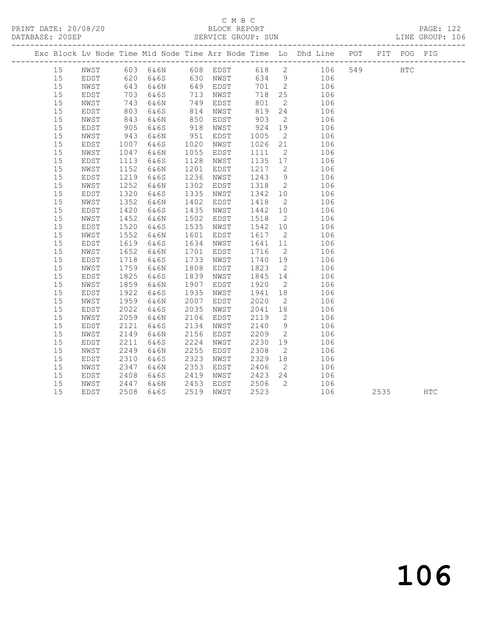## SERVICE GROUP: SUN

|                      | СМВС               |                  |
|----------------------|--------------------|------------------|
| PRINT DATE: 20/08/20 | BLOCK REPORT       | <b>PAGE: 122</b> |
| DATABASE: 20SEP      | SERVICE GROUP: SUN | LINE GROUP: 106  |

|  |          |              |              |              |              |              |                 |                | Exc Block Lv Node Time Mid Node Time Arr Node Time Lo Dhd Line POT |     |      | PIT POG PIG |            |
|--|----------|--------------|--------------|--------------|--------------|--------------|-----------------|----------------|--------------------------------------------------------------------|-----|------|-------------|------------|
|  | 15       | NWST         |              |              |              |              |                 |                |                                                                    | 549 |      | <b>HTC</b>  |            |
|  | 15       | EDST         |              |              |              |              |                 |                |                                                                    |     |      |             |            |
|  | 15       | NWST         | 643          | 6&6N         |              | 649 EDST     | 701 2           |                | 106                                                                |     |      |             |            |
|  | 15       | EDST         | 703          | 6&6S         | 713          | NWST         | 718             | 25             | 106                                                                |     |      |             |            |
|  | 15       | NWST         | 743          | 6&6N         | 749          | EDST         | 801             | $\overline{2}$ | 106                                                                |     |      |             |            |
|  | 15       | EDST         | 803          | 6&6S         | 814          | NWST         | 819             | 24             | 106                                                                |     |      |             |            |
|  | 15       | NWST         | 843          | 6&6N         | 850          | EDST         | 903             | $\overline{2}$ | 106                                                                |     |      |             |            |
|  | 15       | EDST         | 905          | 6&6S         | 918          | NWST         | 924             | 19             | 106                                                                |     |      |             |            |
|  | 15       | NWST         | 943          | 6&6N         | 951          | EDST         | 1005            | $\overline{2}$ | 106                                                                |     |      |             |            |
|  | 15       | EDST         | 1007         | 6&6S         | 1020         | NWST         | 1026            | 21             | 106                                                                |     |      |             |            |
|  | 15       | NWST         | 1047         | 6&6N         | 1055         | EDST         | 1111            | $\overline{2}$ | 106                                                                |     |      |             |            |
|  | 15       | EDST         | 1113         | 6&6S         | 1128         | NWST         | 1135            | 17             | 106                                                                |     |      |             |            |
|  | 15       | NWST         | 1152         | 6&6N         | 1201         | EDST         | 1217            | $\overline{2}$ | 106                                                                |     |      |             |            |
|  | 15       | EDST         | 1219         | 6&6S         | 1236         | NWST         | 1243            | 9              | 106                                                                |     |      |             |            |
|  | 15       | NWST         | 1252         | 6&6N         | 1302         | EDST         | 1318            | $\overline{2}$ | 106                                                                |     |      |             |            |
|  | 15       | EDST         | 1320         | 6&6S         | 1335         | NWST         | 1342            | 10             | 106                                                                |     |      |             |            |
|  | 15       | NWST         | 1352         | 6&6N         | 1402         | EDST         | 1418            | $\overline{2}$ | 106                                                                |     |      |             |            |
|  | 15       | EDST         | 1420         | 6&6S         | 1435         | NWST         | 1442 10         |                | 106                                                                |     |      |             |            |
|  | 15<br>15 | NWST         | 1452         | 6&6N         | 1502<br>1535 | EDST         | 1518<br>1542 10 | $\overline{2}$ | 106                                                                |     |      |             |            |
|  | 15       | EDST         | 1520<br>1552 | 6&6S         |              | NWST         |                 | $\overline{2}$ | 106                                                                |     |      |             |            |
|  | 15       | NWST<br>EDST | 1619         | 6&6N<br>6&6S | 1601<br>1634 | EDST<br>NWST | 1617<br>1641    | 11             | 106<br>106                                                         |     |      |             |            |
|  | 15       | NWST         | 1652         | 6&6N         | 1701         | EDST         | 1716            | $\overline{2}$ | 106                                                                |     |      |             |            |
|  | 15       | EDST         | 1718         | 6&6S         | 1733         | NWST         | 1740            | 19             | 106                                                                |     |      |             |            |
|  | 15       | NWST         | 1759         | 6&6N         | 1808         | EDST         | 1823            | $\overline{2}$ | 106                                                                |     |      |             |            |
|  | 15       | EDST         | 1825         | 6&6S         | 1839         | NWST         | 1845            | 14             | 106                                                                |     |      |             |            |
|  | 15       | NWST         | 1859         | 6&6N         | 1907         | EDST         | 1920            | $\overline{2}$ | 106                                                                |     |      |             |            |
|  | 15       | EDST         | 1922         | 6&6S         | 1935         | NWST         | 1941            | 18             | 106                                                                |     |      |             |            |
|  | 15       | NWST         | 1959         | 6&6N         | 2007         | EDST         | 2020            | $\overline{2}$ | 106                                                                |     |      |             |            |
|  | 15       | EDST         | 2022         | 6&6S         | 2035         | NWST         | 2041            | 18             | 106                                                                |     |      |             |            |
|  | 15       | NWST         | 2059         | 6&6N         | 2106         | EDST         | 2119            | $\overline{2}$ | 106                                                                |     |      |             |            |
|  | 15       | EDST         | 2121         | 6&6S         | 2134         | NWST         | 2140            | 9              | 106                                                                |     |      |             |            |
|  | 15       | NWST         | 2149         | 6&6N         | 2156         | EDST         | 2209            | $\overline{2}$ | 106                                                                |     |      |             |            |
|  | 15       | EDST         | 2211         | 6&6S         | 2224         | NWST         | 2230            | 19             | 106                                                                |     |      |             |            |
|  | 15       | NWST         | 2249         | 6&6N         | 2255         | EDST         | 2308            | 2              | 106                                                                |     |      |             |            |
|  | 15       | EDST         | 2310         | 6&6S         | 2323         | NWST         | 2329            | 18             | 106                                                                |     |      |             |            |
|  | 15       | NWST         | 2347         | 6&6N         | 2353         | EDST         | 2406            | $\overline{2}$ | 106                                                                |     |      |             |            |
|  | 15       | EDST         | 2408         | 6&6S         | 2419         | NWST         | 2423            | 24             | 106                                                                |     |      |             |            |
|  | 15       | NWST         | 2447         | 6&6N         | 2453         | EDST         | 2506            | $\overline{2}$ | 106                                                                |     |      |             |            |
|  | 15       | EDST         | 2508         | 6&6S         | 2519         | NWST         | 2523            |                | 106                                                                |     | 2535 |             | <b>HTC</b> |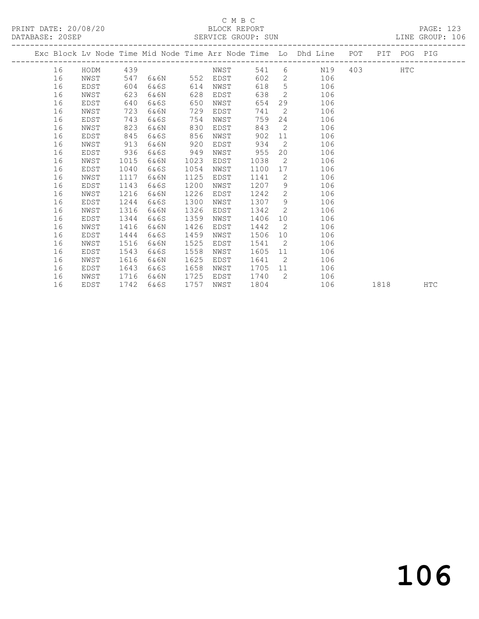#### C M B C<br>BLOCK REPORT SERVICE GROUP: SUN

PRINT DATE: 20/08/20 BLOCK REPORT PAGE: 123

|  |    |      |      |      |      |      |      |                | Exc Block Lv Node Time Mid Node Time Arr Node Time Lo Dhd Line POT |     |      | PIT POG PIG |            |
|--|----|------|------|------|------|------|------|----------------|--------------------------------------------------------------------|-----|------|-------------|------------|
|  | 16 | HODM | 439  |      |      | NWST | 541  |                | $6 \quad \text{or}$<br>N19                                         | 403 |      | <b>HTC</b>  |            |
|  | 16 | NWST | 547  | 6&6N | 552  | EDST | 602  |                | 2 106                                                              |     |      |             |            |
|  | 16 | EDST | 604  | 6&6S | 614  | NWST | 618  |                | 5 <sub>1</sub><br>106                                              |     |      |             |            |
|  | 16 | NWST | 623  | 6&6N | 628  | EDST | 638  |                | $\overline{2}$<br>106                                              |     |      |             |            |
|  | 16 | EDST | 640  | 6&6S | 650  | NWST | 654  |                | 29<br>106                                                          |     |      |             |            |
|  | 16 | NWST | 723  | 6&6N | 729  | EDST | 741  | $\overline{2}$ | 106                                                                |     |      |             |            |
|  | 16 | EDST | 743  | 6&6S | 754  | NWST | 759  |                | 24<br>106                                                          |     |      |             |            |
|  | 16 | NWST | 823  | 6&6N | 830  | EDST | 843  | $\overline{c}$ | 106                                                                |     |      |             |            |
|  | 16 | EDST | 845  | 6&6S | 856  | NWST | 902  | 11             | 106                                                                |     |      |             |            |
|  | 16 | NWST | 913  | 6&6N | 920  | EDST | 934  | $\overline{2}$ | 106                                                                |     |      |             |            |
|  | 16 | EDST | 936  | 6&6S | 949  | NWST | 955  |                | 20<br>106                                                          |     |      |             |            |
|  | 16 | NWST | 1015 | 6&6N | 1023 | EDST | 1038 | $\overline{2}$ | 106                                                                |     |      |             |            |
|  | 16 | EDST | 1040 | 6&6S | 1054 | NWST | 1100 | 17             | 106                                                                |     |      |             |            |
|  | 16 | NWST | 1117 | 6&6N | 1125 | EDST | 1141 | $\overline{2}$ | 106                                                                |     |      |             |            |
|  | 16 | EDST | 1143 | 6&6S | 1200 | NWST | 1207 |                | $9 \quad \Box$<br>106                                              |     |      |             |            |
|  | 16 | NWST | 1216 | 6&6N | 1226 | EDST | 1242 | $\overline{2}$ | 106                                                                |     |      |             |            |
|  | 16 | EDST | 1244 | 6&6S | 1300 | NWST | 1307 | 9              | 106                                                                |     |      |             |            |
|  | 16 | NWST | 1316 | 6&6N | 1326 | EDST | 1342 | $\overline{2}$ | 106                                                                |     |      |             |            |
|  | 16 | EDST | 1344 | 6&6S | 1359 | NWST | 1406 |                | 106<br>10                                                          |     |      |             |            |
|  | 16 | NWST | 1416 | 6&6N | 1426 | EDST | 1442 | $\overline{2}$ | 106                                                                |     |      |             |            |
|  | 16 | EDST | 1444 | 6&6S | 1459 | NWST | 1506 |                | 106<br>10                                                          |     |      |             |            |
|  | 16 | NWST | 1516 | 6&6N | 1525 | EDST | 1541 | $\overline{2}$ | 106                                                                |     |      |             |            |
|  | 16 | EDST | 1543 | 6&6S | 1558 | NWST | 1605 |                | 106<br>11                                                          |     |      |             |            |
|  | 16 | NWST | 1616 | 6&6N | 1625 | EDST | 1641 | $\overline{2}$ | 106                                                                |     |      |             |            |
|  | 16 | EDST | 1643 | 6&6S | 1658 | NWST | 1705 |                | 11 —<br>106                                                        |     |      |             |            |
|  | 16 | NWST | 1716 | 6&6N | 1725 | EDST | 1740 | $\overline{2}$ | 106                                                                |     |      |             |            |
|  | 16 | EDST | 1742 | 6&6S | 1757 | NWST | 1804 |                | 106                                                                |     | 1818 |             | <b>HTC</b> |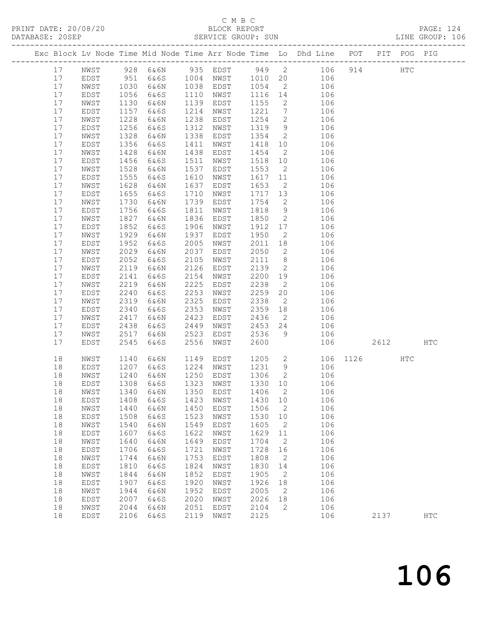#### C M B C<br>BLOCK REPORT SERVICE GROUP: SUN

PRINT DATE: 20/08/20 BLOCK REPORT PAGE: 124

|  |    |      |      |      |      |                                 |         |                 | Exc Block Lv Node Time Mid Node Time Arr Node Time Lo Dhd Line POT |     |          | PIT POG PIG |            |
|--|----|------|------|------|------|---------------------------------|---------|-----------------|--------------------------------------------------------------------|-----|----------|-------------|------------|
|  | 17 | NWST |      |      |      |                                 |         |                 | 928 6&6N 935 EDST 949 2 106                                        | 914 |          | HTC         |            |
|  | 17 | EDST | 951  | 6&6S |      | $1004$ NWST                     |         |                 | 1010 20 106                                                        |     |          |             |            |
|  | 17 | NWST | 1030 | 6&6N | 1038 | EDST                            | 1054    | $\overline{2}$  | 106                                                                |     |          |             |            |
|  | 17 | EDST | 1056 | 6&6S | 1110 | NWST                            | 1116 14 |                 | 106                                                                |     |          |             |            |
|  | 17 | NWST | 1130 | 6&6N | 1139 | EDST                            | 1155    | $\overline{2}$  | 106                                                                |     |          |             |            |
|  | 17 | EDST | 1157 | 6&6S | 1214 | NWST                            | 1221    | $7\overline{ }$ | 106                                                                |     |          |             |            |
|  | 17 | NWST | 1228 | 6&6N | 1238 | EDST                            | 1254    | $\overline{2}$  | 106                                                                |     |          |             |            |
|  | 17 |      | 1256 |      | 1312 |                                 | 1319    | 9               |                                                                    |     |          |             |            |
|  |    | EDST |      | 6&6S |      | NWST                            |         |                 | 106                                                                |     |          |             |            |
|  | 17 | NWST | 1328 | 6&6N | 1338 | EDST                            | 1354    | $\overline{2}$  | 106                                                                |     |          |             |            |
|  | 17 | EDST | 1356 | 6&6S | 1411 | NWST                            | 1418 10 |                 | 106                                                                |     |          |             |            |
|  | 17 | NWST | 1428 | 6&6N | 1438 | EDST                            | 1454    | $\overline{2}$  | 106                                                                |     |          |             |            |
|  | 17 | EDST | 1456 | 6&6S | 1511 | NWST                            | 1518    | 10              | 106                                                                |     |          |             |            |
|  | 17 | NWST | 1528 | 6&6N | 1537 | EDST                            | 1553    | $\overline{2}$  | 106                                                                |     |          |             |            |
|  | 17 | EDST | 1555 | 6&6S | 1610 | NWST                            | 1617    | 11              | 106                                                                |     |          |             |            |
|  | 17 | NWST | 1628 | 6&6N | 1637 | EDST                            | 1653    | $\overline{2}$  | 106                                                                |     |          |             |            |
|  | 17 | EDST | 1655 | 6&6S | 1710 | NWST                            | 1717    | 13              | 106                                                                |     |          |             |            |
|  | 17 | NWST | 1730 | 6&6N | 1739 | EDST                            | 1754    | $\overline{2}$  | 106                                                                |     |          |             |            |
|  | 17 | EDST | 1756 | 6&6S | 1811 | NWST                            | 1818    | 9               | 106                                                                |     |          |             |            |
|  | 17 | NWST | 1827 | 6&6N | 1836 | EDST                            | 1850    | $\overline{2}$  | 106                                                                |     |          |             |            |
|  | 17 | EDST | 1852 | 6&6S | 1906 | NWST                            | 1912    | 17              | 106                                                                |     |          |             |            |
|  | 17 | NWST | 1929 | 6&6N | 1937 | EDST                            | 1950    | $\overline{2}$  | 106                                                                |     |          |             |            |
|  | 17 | EDST | 1952 | 6&6S | 2005 | NWST                            | 2011    | 18              | 106                                                                |     |          |             |            |
|  | 17 | NWST | 2029 | 6&6N | 2037 | EDST                            | 2050    | $\overline{2}$  | 106                                                                |     |          |             |            |
|  | 17 | EDST | 2052 | 6&6S | 2105 | NWST                            | 2111    | 8 <sup>8</sup>  | 106                                                                |     |          |             |            |
|  | 17 | NWST | 2119 | 6&6N | 2126 | EDST                            | 2139    | $\overline{2}$  | 106                                                                |     |          |             |            |
|  | 17 | EDST | 2141 | 6&6S | 2154 | NWST                            | 2200 19 |                 | 106                                                                |     |          |             |            |
|  | 17 | NWST | 2219 | 6&6N | 2225 | EDST                            | 2238    | $\overline{2}$  | 106                                                                |     |          |             |            |
|  | 17 | EDST | 2240 | 6&6S | 2253 | NWST                            | 2259    | 20              | 106                                                                |     |          |             |            |
|  | 17 | NWST | 2319 | 6&6N | 2325 | EDST                            | 2338    | $\overline{2}$  | 106                                                                |     |          |             |            |
|  | 17 | EDST | 2340 | 6&6S | 2353 | NWST                            | 2359 18 |                 | 106                                                                |     |          |             |            |
|  | 17 | NWST | 2417 | 6&6N | 2423 | EDST                            | 2436    | $\overline{2}$  | 106                                                                |     |          |             |            |
|  | 17 | EDST | 2438 | 6&6S | 2449 | NWST                            | 2453 24 |                 | 106                                                                |     |          |             |            |
|  | 17 | NWST | 2517 | 6&6N | 2523 | EDST                            | 2536    | 9               | 106                                                                |     |          |             |            |
|  | 17 | EDST | 2545 | 6&6S | 2556 | NWST                            | 2600    |                 | 106                                                                |     | 2612     |             | HTC        |
|  |    |      |      |      |      |                                 |         |                 |                                                                    |     |          |             |            |
|  | 18 | NWST | 1140 | 6&6N | 1149 | EDST                            | 1205    |                 | $\overline{2}$                                                     |     | 106 1126 | HTC         |            |
|  | 18 | EDST | 1207 | 6&6S | 1224 | NWST                            | 1231    | 9               | 106                                                                |     |          |             |            |
|  | 18 | NWST | 1240 | 6&6N | 1250 | EDST                            | 1306    | $\overline{2}$  | 106                                                                |     |          |             |            |
|  | 18 | EDST | 1308 | 6&6S | 1323 | NWST                            | 1330 10 |                 | 106                                                                |     |          |             |            |
|  | 18 |      |      |      |      | NWST 1340 6&6N 1350 EDST 1406 2 |         |                 | 106                                                                |     |          |             |            |
|  | 18 | EDST | 1408 | 6&6S | 1423 | NWST                            | 1430    | 10              | 106                                                                |     |          |             |            |
|  | 18 | NWST | 1440 | 6&6N | 1450 | EDST                            | 1506    | $\overline{2}$  | 106                                                                |     |          |             |            |
|  | 18 | EDST | 1508 | 6&6S | 1523 | NWST                            | 1530    | 10              | 106                                                                |     |          |             |            |
|  | 18 | NWST | 1540 | 6&6N | 1549 | EDST                            | 1605    | $\overline{2}$  | 106                                                                |     |          |             |            |
|  | 18 | EDST | 1607 | 6&6S | 1622 | NWST                            | 1629    | 11              | 106                                                                |     |          |             |            |
|  | 18 | NWST | 1640 | 6&6N | 1649 | EDST                            | 1704    | $\overline{2}$  | 106                                                                |     |          |             |            |
|  | 18 | EDST | 1706 | 6&6S | 1721 | NWST                            | 1728    | 16              | 106                                                                |     |          |             |            |
|  | 18 | NWST | 1744 | 6&6N | 1753 | EDST                            | 1808    | $\overline{2}$  | 106                                                                |     |          |             |            |
|  | 18 | EDST | 1810 | 6&6S | 1824 | NWST                            | 1830    | 14              | 106                                                                |     |          |             |            |
|  | 18 | NWST | 1844 | 6&6N | 1852 | EDST                            | 1905    | $\overline{2}$  | 106                                                                |     |          |             |            |
|  | 18 | EDST | 1907 | 6&6S | 1920 | NWST                            | 1926    | 18              | 106                                                                |     |          |             |            |
|  | 18 | NWST | 1944 | 6&6N | 1952 | EDST                            | 2005    | $\overline{2}$  | 106                                                                |     |          |             |            |
|  | 18 | EDST | 2007 | 6&6S | 2020 | NWST                            | 2026    | 18              | 106                                                                |     |          |             |            |
|  | 18 | NWST | 2044 | 6&6N | 2051 | EDST                            | 2104    | 2               | 106                                                                |     |          |             |            |
|  | 18 | EDST | 2106 | 6&6S | 2119 | NWST                            | 2125    |                 | 106                                                                |     | 2137     |             | <b>HTC</b> |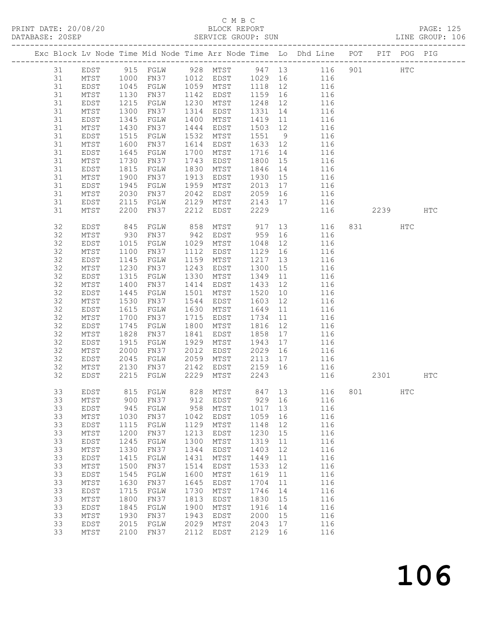## C M B C<br>BLOCK REPORT

| DATABASE: 20SEP |    |                         |                  |                        |      | SERVICE GROUP: SUN     |         |      |                                                                                |     |          |     | LINE GROUP: 106 |  |
|-----------------|----|-------------------------|------------------|------------------------|------|------------------------|---------|------|--------------------------------------------------------------------------------|-----|----------|-----|-----------------|--|
|                 |    | ----------------------- |                  |                        |      |                        |         |      | Exc Block Lv Node Time Mid Node Time Arr Node Time Lo Dhd Line POT PIT POG PIG |     |          |     |                 |  |
|                 | 31 |                         |                  |                        |      |                        |         |      | EDST 915 FGLW 928 MTST 947 13 116 901 HTC                                      |     |          |     |                 |  |
|                 | 31 | MTST                    | 1000             |                        |      |                        |         |      | FN37 1012 EDST 1029 16 116                                                     |     |          |     |                 |  |
|                 | 31 | EDST                    |                  |                        |      | FGLW 1059 MTST 1118 12 |         |      | 116                                                                            |     |          |     |                 |  |
|                 | 31 | MTST                    | 1045<br>1130     | FN37                   |      | 1142 EDST              | 1159 16 |      | 116                                                                            |     |          |     |                 |  |
|                 | 31 |                         | $\frac{1}{1215}$ |                        | 1230 | MTST                   | 1248    | 12   |                                                                                |     |          |     |                 |  |
|                 |    | EDST                    |                  | FGLW                   |      |                        |         |      | 116                                                                            |     |          |     |                 |  |
|                 | 31 | MTST                    | 1300             | FN37                   | 1314 | EDST                   | 1331    | 14   | 116                                                                            |     |          |     |                 |  |
|                 | 31 | EDST                    | 1345             | FGLW                   | 1400 | MTST                   | 1419    | 11   | 116                                                                            |     |          |     |                 |  |
|                 | 31 | MTST                    | 1430             | FN37                   | 1444 | EDST                   | 1503 12 |      | 116                                                                            |     |          |     |                 |  |
|                 | 31 | EDST                    | 1515             | FGLW                   | 1532 | MTST                   | 1551    | 9    | 116                                                                            |     |          |     |                 |  |
|                 | 31 | MTST                    | 1600             | FN37                   | 1614 | EDST                   | 1633 12 |      | 116                                                                            |     |          |     |                 |  |
|                 | 31 | EDST                    | 1645             | FGLW                   | 1700 | MTST                   | 1716    | 14   | 116                                                                            |     |          |     |                 |  |
|                 | 31 | MTST                    | 1730             | FN37                   | 1743 | EDST                   | 1800 15 |      | 116                                                                            |     |          |     |                 |  |
|                 | 31 | EDST                    | 1815             | FGLW                   | 1830 | MTST                   | 1846    | 14   | 116                                                                            |     |          |     |                 |  |
|                 | 31 | MTST                    | 1900             | FN37                   | 1913 | EDST                   | 1930    | 15   | 116                                                                            |     |          |     |                 |  |
|                 | 31 |                         | 1945             |                        | 1959 | MTST                   |         | 17   |                                                                                |     |          |     |                 |  |
|                 |    | EDST                    |                  | FGLW                   |      |                        | 2013    |      | 116                                                                            |     |          |     |                 |  |
|                 | 31 | MTST                    | 2030             | FN37                   |      |                        | 2059 16 |      | 116                                                                            |     |          |     |                 |  |
|                 | 31 | EDST                    | 2115             | FGLW                   |      | 2042 EDST<br>2129 MTST | 2143 17 |      | 116                                                                            |     |          |     |                 |  |
|                 | 31 | MTST                    | 2200             | FN37                   | 2212 | EDST                   | 2229    |      | 116                                                                            |     | 2239 HTC |     |                 |  |
|                 | 32 | EDST                    | 845<br>930       | FGLW                   | 858  | MTST 917<br>EDST 959   |         |      | 13 116                                                                         |     |          | HTC |                 |  |
|                 | 32 | MTST                    |                  | FN37                   | 942  |                        |         | 16   | 116                                                                            |     |          |     |                 |  |
|                 | 32 | EDST                    | 1015             | FGLW                   | 1029 | MTST                   | 1048    | 12   | 116                                                                            |     |          |     |                 |  |
|                 | 32 | MTST                    | 1100             | FN37                   | 1112 | EDST                   | 1129    | 16   | 116                                                                            |     |          |     |                 |  |
|                 | 32 | EDST                    | 1145             | FGLW                   | 1159 | MTST                   | 1217    | 13   | 116                                                                            |     |          |     |                 |  |
|                 | 32 |                         | 1230             | FN37                   | 1243 |                        | 1300    | 15   |                                                                                |     |          |     |                 |  |
|                 |    | MTST                    |                  |                        |      | EDST                   |         |      | 116                                                                            |     |          |     |                 |  |
|                 | 32 | EDST                    | 1315             | FGLW                   | 1330 | MTST                   | 1349    | 11   | 116                                                                            |     |          |     |                 |  |
|                 | 32 | MTST                    | 1400             | FN37                   | 1414 | EDST                   | 1433    | 12   | 116                                                                            |     |          |     |                 |  |
|                 | 32 | EDST                    | 1445             | FGLW                   | 1501 | MTST                   | 1520    | 10   | 116                                                                            |     |          |     |                 |  |
|                 | 32 | MTST                    | 1530             | FN37                   | 1544 | EDST                   | 1603    | 12   | 116                                                                            |     |          |     |                 |  |
|                 | 32 | EDST                    | 1615             | FGLW                   | 1630 | MTST                   | 1649    | 11   | 116                                                                            |     |          |     |                 |  |
|                 | 32 | MTST                    | 1700             | FN37                   | 1715 | EDST                   | 1734    | 11   | 116                                                                            |     |          |     |                 |  |
|                 | 32 | EDST                    | 1745             | FGLW                   | 1800 | MTST                   | 1816    | 12   | 116                                                                            |     |          |     |                 |  |
|                 | 32 | MTST                    | 1828             | FN37                   | 1841 | EDST                   | 1858    | 17   | 116                                                                            |     |          |     |                 |  |
|                 | 32 | EDST                    | 1915             | FGLW                   | 1929 | MTST                   | 1943    | 17   | 116                                                                            |     |          |     |                 |  |
|                 | 32 | MTST                    | 2000             | FN37                   | 2012 | EDST                   | 2029    | 16   | 116                                                                            |     |          |     |                 |  |
|                 |    |                         |                  |                        | 2059 |                        |         |      |                                                                                |     |          |     |                 |  |
|                 | 32 | EDST                    | 2045             | FGLW                   |      | MTST                   | 2113 17 |      | 116                                                                            |     |          |     |                 |  |
|                 | 32 | MTST                    |                  |                        | 2142 | EDST                   | 2159 16 |      | 116                                                                            |     |          |     |                 |  |
|                 | 32 | EDST                    |                  | 2130 FN37<br>2215 FGLW |      | 2229 MTST              | 2243    |      | 116                                                                            |     | 2301     |     | HTC             |  |
|                 | 33 | EDST                    | 815              | FGLW                   | 828  | MTST                   | 847     | 13   | 116                                                                            | 801 |          | HTC |                 |  |
|                 | 33 | $\mathtt{MTST}$         | 900              | FN37                   | 912  | EDST                   | 929     | 16   | 116                                                                            |     |          |     |                 |  |
|                 | 33 | EDST                    | 945              | FGLW                   | 958  | MTST                   | 1017    | 13   | 116                                                                            |     |          |     |                 |  |
|                 | 33 | MTST                    | 1030             | FN37                   | 1042 | EDST                   | 1059    | 16   | 116                                                                            |     |          |     |                 |  |
|                 | 33 | EDST                    | 1115             | FGLW                   | 1129 | $\mathtt{MTST}$        | 1148    | 12   | 116                                                                            |     |          |     |                 |  |
|                 | 33 | $\mathtt{MTST}$         | 1200             | FN37                   | 1213 | EDST                   | 1230    | 15   | 116                                                                            |     |          |     |                 |  |
|                 | 33 | EDST                    | 1245             | FGLW                   | 1300 | MTST                   | 1319    | 11   | 116                                                                            |     |          |     |                 |  |
|                 |    |                         |                  |                        |      |                        |         |      |                                                                                |     |          |     |                 |  |
|                 | 33 | MTST                    | 1330             | FN37                   | 1344 | EDST                   | 1403    | 12   | 116                                                                            |     |          |     |                 |  |
|                 | 33 | EDST                    | 1415             | FGLW                   | 1431 | MTST                   | 1449    | 11   | 116                                                                            |     |          |     |                 |  |
|                 | 33 | $\mathtt{MTST}$         | 1500             | FN37                   | 1514 | EDST                   | 1533    | 12   | 116                                                                            |     |          |     |                 |  |
|                 | 33 | EDST                    | 1545             | FGLW                   | 1600 | MTST                   | 1619    | 11   | 116                                                                            |     |          |     |                 |  |
|                 | 33 | $\mathtt{MTST}$         | 1630             | FN37                   | 1645 | EDST                   | 1704    | $11$ | 116                                                                            |     |          |     |                 |  |
|                 | 33 | EDST                    | 1715             | FGLW                   | 1730 | MTST                   | 1746    | 14   | 116                                                                            |     |          |     |                 |  |
|                 | 33 | $\mathtt{MTST}$         | 1800             | FN37                   | 1813 | EDST                   | 1830    | 15   | 116                                                                            |     |          |     |                 |  |
|                 | 33 | EDST                    | 1845             | FGLW                   | 1900 | MTST                   | 1916    | 14   | 116                                                                            |     |          |     |                 |  |
|                 | 33 | $\mathtt{MTST}$         | 1930             | FN37                   | 1943 | EDST                   | 2000    | 15   | 116                                                                            |     |          |     |                 |  |
|                 | 33 | EDST                    | 2015             | FGLW                   | 2029 | MTST                   | 2043    | 17   | 116                                                                            |     |          |     |                 |  |
|                 |    |                         |                  |                        |      |                        |         |      |                                                                                |     |          |     |                 |  |
|                 | 33 | MTST                    | 2100             | FN37                   | 2112 | EDST                   | 2129    | 16   | 116                                                                            |     |          |     |                 |  |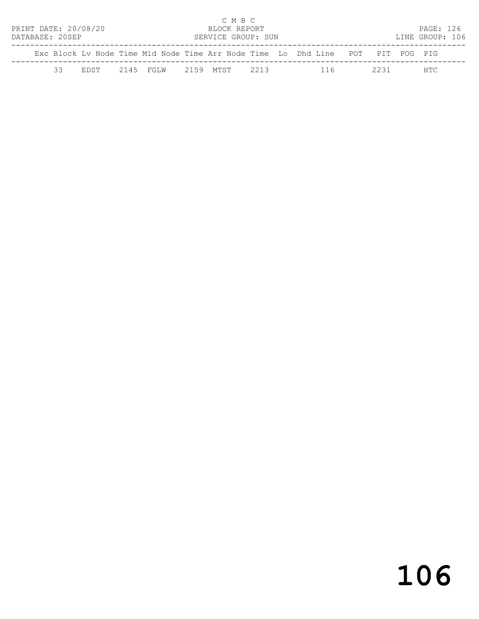|                                       |    |  |  |                               |  | C M B C      |  |  |                                                                                |  |      |                 |  |
|---------------------------------------|----|--|--|-------------------------------|--|--------------|--|--|--------------------------------------------------------------------------------|--|------|-----------------|--|
| PRINT DATE: 20/08/20                  |    |  |  |                               |  | BLOCK REPORT |  |  |                                                                                |  |      | PAGE: 126       |  |
| DATABASE: 20SEP<br>SERVICE GROUP: SUN |    |  |  |                               |  |              |  |  |                                                                                |  |      | LINE GROUP: 106 |  |
|                                       |    |  |  |                               |  |              |  |  | Exc Block Ly Node Time Mid Node Time Arr Node Time Lo Dhd Line POT PIT POG PIG |  |      |                 |  |
|                                       | 33 |  |  | EDST 2145 FGLW 2159 MTST 2213 |  |              |  |  | 116                                                                            |  | 2231 | HTC.            |  |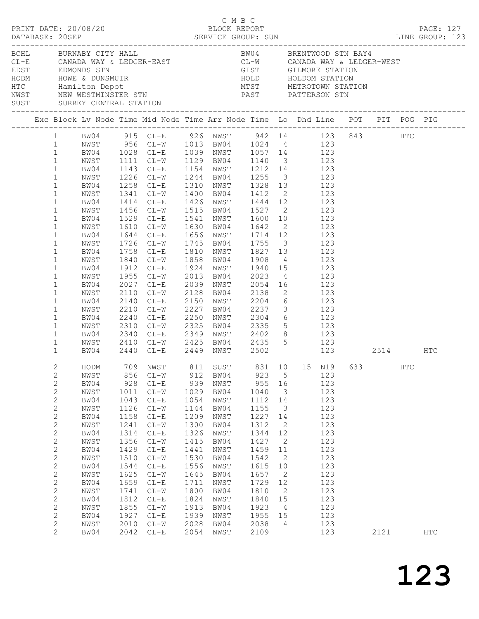|                                                                                                                                                                                                                                                                                                                                                                              | PRINT DATE: 20/08/20                                                                                                                                                                                                                                                                                          |                                                                                                                                                            |                                                                                                                                                                                                                                                                                                                                                                                                                                                                                                                                                                                                                                                                                                                                                                                                    |                                                                                                                                                            | C M B C<br>BLOCK REPORT                                                                                                                                      |                                                                                                                                                            |                                                                                                                                                                                                                    |                                                                                                                                          |      |     | PAGE: 127  |  |
|------------------------------------------------------------------------------------------------------------------------------------------------------------------------------------------------------------------------------------------------------------------------------------------------------------------------------------------------------------------------------|---------------------------------------------------------------------------------------------------------------------------------------------------------------------------------------------------------------------------------------------------------------------------------------------------------------|------------------------------------------------------------------------------------------------------------------------------------------------------------|----------------------------------------------------------------------------------------------------------------------------------------------------------------------------------------------------------------------------------------------------------------------------------------------------------------------------------------------------------------------------------------------------------------------------------------------------------------------------------------------------------------------------------------------------------------------------------------------------------------------------------------------------------------------------------------------------------------------------------------------------------------------------------------------------|------------------------------------------------------------------------------------------------------------------------------------------------------------|--------------------------------------------------------------------------------------------------------------------------------------------------------------|------------------------------------------------------------------------------------------------------------------------------------------------------------|--------------------------------------------------------------------------------------------------------------------------------------------------------------------------------------------------------------------|------------------------------------------------------------------------------------------------------------------------------------------|------|-----|------------|--|
|                                                                                                                                                                                                                                                                                                                                                                              |                                                                                                                                                                                                                                                                                                               |                                                                                                                                                            |                                                                                                                                                                                                                                                                                                                                                                                                                                                                                                                                                                                                                                                                                                                                                                                                    |                                                                                                                                                            |                                                                                                                                                              |                                                                                                                                                            |                                                                                                                                                                                                                    |                                                                                                                                          |      |     |            |  |
|                                                                                                                                                                                                                                                                                                                                                                              | BCHL BURNABY CITY HALL<br>CL-E CANADA WAY & LEDGER-EAST<br>EDST EDMONDS STN GIST GILMORE STATION<br>HODM HOWE & DUNSMUIR<br>HODM HOWE & DUNSMUIR<br>HOLD HOLDOM STATION<br>HOLD HOLDOM STATION<br>NWST NEW WEST PATTERSON STN<br>NETROTOWN STATION<br>NETROTOWN STATION<br><br>SUST SURREY CENTRAL STATION    |                                                                                                                                                            |                                                                                                                                                                                                                                                                                                                                                                                                                                                                                                                                                                                                                                                                                                                                                                                                    |                                                                                                                                                            | BW04 BRENTWOOD STN BAY4                                                                                                                                      |                                                                                                                                                            |                                                                                                                                                                                                                    |                                                                                                                                          |      |     |            |  |
|                                                                                                                                                                                                                                                                                                                                                                              | Exc Block Lv Node Time Mid Node Time Arr Node Time Lo Dhd Line POT PIT POG PIG                                                                                                                                                                                                                                |                                                                                                                                                            |                                                                                                                                                                                                                                                                                                                                                                                                                                                                                                                                                                                                                                                                                                                                                                                                    |                                                                                                                                                            |                                                                                                                                                              |                                                                                                                                                            |                                                                                                                                                                                                                    |                                                                                                                                          |      |     |            |  |
| $\mathbf{1}$<br>$\mathbf{1}$<br>$\mathbf{1}$<br>$\mathbf{1}$<br>$\mathbf{1}$<br>$\mathbf{1}$<br>$\mathbf{1}$<br>$\mathbf{1}$<br>$\mathbf{1}$<br>$\mathbf{1}$<br>$\mathbf{1}$<br>$\mathbf{1}$<br>$\mathbf{1}$<br>$\mathbf{1}$<br>$\mathbf{1}$<br>$\mathbf{1}$<br>$\mathbf{1}$<br>$\mathbf{1}$<br>$\mathbf{1}$<br>$\mathbf{1}$<br>$\mathbf{1}$<br>$\mathbf{1}$<br>$\mathbf{1}$ | 1 BW04 915 CL-E 926 NWST 942 14 123 843 HTC<br>1 NWST 956 CL-W 1013 BW04 1024 4 123<br>1 BW04 1028 CL-E 1039 NWST 1057 14 123<br>BW04<br>NWST<br>BW04<br>NWST<br>BW04<br>NWST<br>BW04<br>NWST<br>BW04<br>NWST<br>BW04<br>NWST<br>BW04<br>NWST<br>BW04<br>NWST<br>BW04<br>NWST<br>BW04<br>NWST<br>BW04<br>NWST |                                                                                                                                                            | NWST 1111 CL-W 1129 BW04 1140 3 123<br>1143 CL-E 1154 NWST 1212 14 123<br>1226 CL-W 1244 BW04 1255 3 123<br>1258 CL-E 1310 NWST 1328 13 123<br>1341 CL-W 1400 BW04 1412 2 123<br>1414 CL-E 1426 NWST 1444 12 123<br>1456 CL-W 1515 BW04 1527 2 123<br>1529 CL-E 1541 NWST 1600 10 123<br>1610 CL-W 1630 BW04 1642 2 123<br>1644 CL-E 1656 NWST 1714 12 123<br>1726 CL-W 1745 BW04 1755 3 123<br>1758 CL-E 1810 NWST 1827 13 123<br>1840 CL-W 1858 BW04 1908 4 123<br>1912 CL-E 1924 NWST 1940 15 123<br>1955 CL-W 2013 BW04 2023 4 123<br>2027 CL-E 2039 NWST 2054 16 123<br>2110 CL-W 2128 BW04 2138 2 123<br>2140 CL-E<br>2210 CL-W 2227 BW04 2237 3 123<br>2240 CL-E 2250 NWST 2304 6 123<br>2310 CL-W 2325 BW04 2335 5 123<br>2340 CL-E 2349 NWST 2402 8 123<br>2410 CL-W 2425 BW04 2435 5 123 |                                                                                                                                                            | 2150 NWST 2204 6 123                                                                                                                                         |                                                                                                                                                            |                                                                                                                                                                                                                    |                                                                                                                                          |      |     |            |  |
| $\mathbf{1}$<br>$\mathbf{2}$<br>$\mathbf{2}$<br>$\mathbf{2}$<br>$\mathbf{2}$<br>$\mathbf{2}$<br>$\mathbf{2}$<br>$\mathbf{2}$<br>$\mathbf{2}$<br>2<br>$\mathbf{2}$<br>$\mathbf{2}$<br>$\sqrt{2}$<br>$\sqrt{2}$<br>$\sqrt{2}$<br>$\mathbf{2}$<br>$\mathbf{2}$<br>$\mathbf{2}$<br>$\mathbf{2}$<br>2<br>$\mathbf{2}$<br>$\overline{2}$                                           | HODM 709 NWST 811 SUST 831 10 15 N19 633<br>NWST<br>BW04<br>NWST<br>BW04<br>NWST<br>BW04<br>NWST<br>BW04<br>NWST<br>BW04<br>NWST<br>BW04<br>NWST<br>BW04<br>NWST<br>BW04<br>NWST<br>BW04<br>NWST<br>BW04                                                                                                      | 856<br>928<br>1011<br>1043<br>1126<br>1158<br>1241<br>1314<br>1356<br>1429<br>1510<br>1544<br>1625<br>1659<br>1741<br>1812<br>1855<br>1927<br>2010<br>2042 | BW04 2440 CL-E 2449 NWST 2502 123 2514 HTC<br>$CL-W$<br>$CL-E$<br>$CL-W$<br>$CL-E$<br>$CL-W$<br>$CL-E$<br>$CL-W$<br>$CL-E$<br>$CL-W$<br>$CL-E$<br>$CL-W$<br>$CL-E$<br>$CL-W$<br>$CL-E$<br>$CL-W$<br>$CL-E$<br>$CL-W$<br>$CL-E$<br>$CL-W$<br>$CL-E$                                                                                                                                                                                                                                                                                                                                                                                                                                                                                                                                                 | 912<br>939<br>1029<br>1054<br>1144<br>1209<br>1300<br>1326<br>1415<br>1441<br>1530<br>1556<br>1645<br>1711<br>1800<br>1824<br>1913<br>1939<br>2028<br>2054 | BW04<br>NWST<br>BW04<br>NWST<br>BW04<br>NWST<br>BW04<br>NWST<br>BW04<br>NWST<br>BW04<br>NWST<br>BW04<br>NWST<br>BW04<br>NWST<br>BW04<br>NWST<br>BW04<br>NWST | 923<br>955<br>1040<br>1112<br>1155<br>1227<br>1312<br>1344<br>1427<br>1459<br>1542<br>1615<br>1657<br>1729<br>1810<br>1840<br>1923<br>1955<br>2038<br>2109 | 5<br>16<br>$\overline{\mathbf{3}}$<br>14<br>3<br>14<br>$\overline{2}$<br>12<br>$\overline{2}$<br>11<br>$\overline{2}$<br>10<br>$\overline{2}$<br>12<br>$\overline{\phantom{a}}$<br>15<br>$\overline{4}$<br>15<br>4 | 123<br>123<br>123<br>123<br>123<br>123<br>123<br>123<br>123<br>123<br>123<br>123<br>123<br>123<br>123<br>123<br>123<br>123<br>123<br>123 | 2121 | HTC | <b>HTC</b> |  |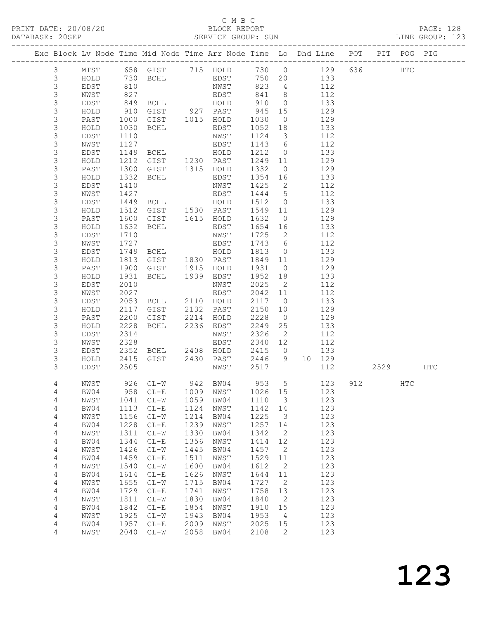## C M B C<br>BLOCK REPORT

4 NWST 2040 CL-W 2058 BW04 2108 2 123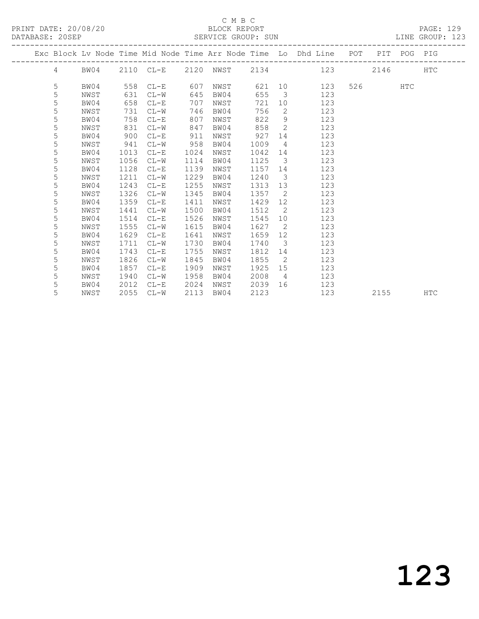## C M B C<br>BLOCK REPORT

LINE GROUP: 123

|  | DAIADAJE. ZVJET |                              |                   |                                  |            |                                      | OBAVICE GAUUL. OUN          |                                      |                                                                |     |      |     | LIND UNVUE. IZJ |  |
|--|-----------------|------------------------------|-------------------|----------------------------------|------------|--------------------------------------|-----------------------------|--------------------------------------|----------------------------------------------------------------|-----|------|-----|-----------------|--|
|  |                 |                              |                   |                                  |            |                                      |                             |                                      | Exc Block Ly Node Time Mid Node Time Arr Node Time Lo Dhd Line | POT | PIT  |     | POG PIG         |  |
|  | 4               | BW04                         |                   | 2110 CL-E                        |            | 2120 NWST                            | 2134                        |                                      | 123                                                            |     | 2146 |     | HTC             |  |
|  | 5<br>5<br>5     | BW04<br>NWST<br>BW04<br>NWST | 631<br>658<br>731 | 558 CL-E<br>CL-W<br>CL-E<br>CL-W | 607<br>707 | NWST<br>645 BW04<br>NWST<br>746 BW04 | 621 10<br>655<br>721<br>756 | $\overline{\phantom{a}}$<br>10<br>-2 | 123<br>123<br>123<br>123                                       | 526 |      | HTC |                 |  |

| 5 | BW04 | 758  | $CL-E$ | 807  | NWST | 822  | 9  | 123 |      |     |
|---|------|------|--------|------|------|------|----|-----|------|-----|
| 5 | NWST | 831  | $CL-W$ | 847  | BW04 | 858  | 2  | 123 |      |     |
| 5 | BW04 | 900  | $CL-E$ | 911  | NWST | 927  | 14 | 123 |      |     |
| 5 | NWST | 941  | $CL-W$ | 958  | BW04 | 1009 | 4  | 123 |      |     |
| 5 | BW04 | 1013 | $CL-E$ | 1024 | NWST | 1042 | 14 | 123 |      |     |
| 5 | NWST | 1056 | $CL-W$ | 1114 | BW04 | 1125 | 3  | 123 |      |     |
| 5 | BW04 | 1128 | $CL-E$ | 1139 | NWST | 1157 | 14 | 123 |      |     |
| 5 | NWST | 1211 | $CL-W$ | 1229 | BW04 | 1240 | 3  | 123 |      |     |
| 5 | BW04 | 1243 | $CL-E$ | 1255 | NWST | 1313 | 13 | 123 |      |     |
| 5 | NWST | 1326 | $CL-W$ | 1345 | BW04 | 1357 | 2  | 123 |      |     |
| 5 | BW04 | 1359 | $CL-E$ | 1411 | NWST | 1429 | 12 | 123 |      |     |
| 5 | NWST | 1441 | $CL-W$ | 1500 | BW04 | 1512 | 2  | 123 |      |     |
| 5 | BW04 | 1514 | $CL-E$ | 1526 | NWST | 1545 | 10 | 123 |      |     |
| 5 | NWST | 1555 | $CL-W$ | 1615 | BW04 | 1627 | 2  | 123 |      |     |
| 5 | BW04 | 1629 | $CL-E$ | 1641 | NWST | 1659 | 12 | 123 |      |     |
| 5 | NWST | 1711 | $CL-W$ | 1730 | BW04 | 1740 | 3  | 123 |      |     |
| 5 | BW04 | 1743 | $CL-E$ | 1755 | NWST | 1812 | 14 | 123 |      |     |
| 5 | NWST | 1826 | $CL-W$ | 1845 | BW04 | 1855 | 2  | 123 |      |     |
| 5 | BW04 | 1857 | $CL-E$ | 1909 | NWST | 1925 | 15 | 123 |      |     |
| 5 | NWST | 1940 | $CL-W$ | 1958 | BW04 | 2008 | 4  | 123 |      |     |
| 5 | BW04 | 2012 | $CL-E$ | 2024 | NWST | 2039 | 16 | 123 |      |     |
| 5 | NWST | 2055 | $CL-W$ | 2113 | BW04 | 2123 |    | 123 | 2155 | HTC |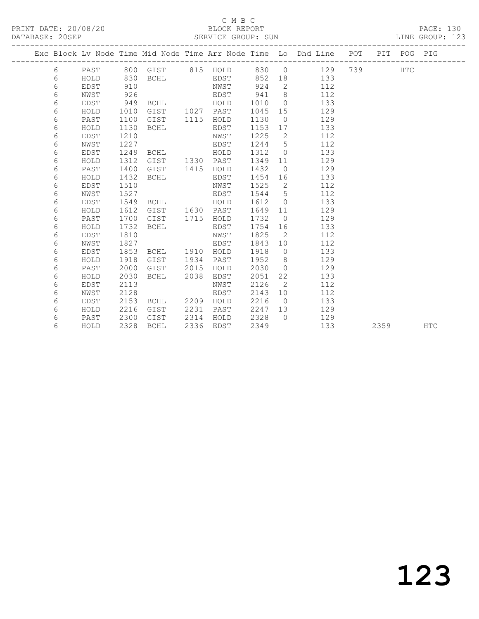### C M B C<br>BLOCK REPORT SERVICE GROUP: SUN

|  |   |      |      |                |      |                   |      |                 | Exc Block Lv Node Time Mid Node Time Arr Node Time Lo Dhd Line POT PIT POG PIG<br>------------------------ |                                                                                                                                                                                                                                |      |     |            |
|--|---|------|------|----------------|------|-------------------|------|-----------------|------------------------------------------------------------------------------------------------------------|--------------------------------------------------------------------------------------------------------------------------------------------------------------------------------------------------------------------------------|------|-----|------------|
|  | 6 | PAST |      |                |      | 800 GIST 815 HOLD |      |                 | 830 0<br>129                                                                                               | 739 — 1739 — 1740 — 1740 — 1754 — 1755 — 1755 — 1755 — 1755 — 1755 — 1755 — 1755 — 1755 — 1755 — 1755 — 1755 — 1755 — 1755 — 1755 — 1755 — 1755 — 1755 — 1755 — 1755 — 1755 — 1755 — 1755 — 1755 — 1755 — 1755 — 1755 — 1755 — |      | HTC |            |
|  | 6 | HOLD | 830  | <b>BCHL</b>    |      | EDST              |      |                 | 852 18<br>133                                                                                              |                                                                                                                                                                                                                                |      |     |            |
|  | 6 | EDST | 910  |                |      | NWST              | 924  | $2^{\circ}$     | 112                                                                                                        |                                                                                                                                                                                                                                |      |     |            |
|  | 6 | NWST | 926  |                |      | EDST              | 941  | 8               | 112                                                                                                        |                                                                                                                                                                                                                                |      |     |            |
|  | 6 | EDST | 949  | <b>BCHL</b>    |      | HOLD              | 1010 | $\overline{0}$  | 133                                                                                                        |                                                                                                                                                                                                                                |      |     |            |
|  | 6 | HOLD | 1010 | GIST           |      | 1027 PAST         | 1045 | 15              | 129                                                                                                        |                                                                                                                                                                                                                                |      |     |            |
|  | 6 | PAST | 1100 | GIST           | 1115 | HOLD              | 1130 | $\overline{0}$  | 129                                                                                                        |                                                                                                                                                                                                                                |      |     |            |
|  | 6 | HOLD | 1130 | <b>BCHL</b>    |      | EDST              | 1153 | 17              | 133                                                                                                        |                                                                                                                                                                                                                                |      |     |            |
|  | 6 | EDST | 1210 |                |      | NWST              | 1225 | 2               | 112                                                                                                        |                                                                                                                                                                                                                                |      |     |            |
|  | 6 | NWST | 1227 |                |      | EDST              | 1244 | 5               | 112                                                                                                        |                                                                                                                                                                                                                                |      |     |            |
|  | 6 | EDST | 1249 | BCHL           |      | HOLD              | 1312 | $\overline{0}$  | 133                                                                                                        |                                                                                                                                                                                                                                |      |     |            |
|  | 6 | HOLD | 1312 | GIST           |      | 1330 PAST         | 1349 | 11              | 129                                                                                                        |                                                                                                                                                                                                                                |      |     |            |
|  | 6 | PAST | 1400 | GIST           | 1415 | HOLD              | 1432 | $\overline{0}$  | 129                                                                                                        |                                                                                                                                                                                                                                |      |     |            |
|  | 6 | HOLD | 1432 | BCHL           |      | EDST              | 1454 | 16              | 133                                                                                                        |                                                                                                                                                                                                                                |      |     |            |
|  | 6 | EDST | 1510 |                |      | NWST              | 1525 | $\overline{2}$  | 112                                                                                                        |                                                                                                                                                                                                                                |      |     |            |
|  | 6 | NWST | 1527 |                |      | EDST              | 1544 | $5\overline{)}$ | 112                                                                                                        |                                                                                                                                                                                                                                |      |     |            |
|  | 6 | EDST | 1549 | BCHL           |      | HOLD              | 1612 | $\overline{0}$  | 133                                                                                                        |                                                                                                                                                                                                                                |      |     |            |
|  | 6 | HOLD | 1612 | GIST 1630 PAST |      |                   | 1649 | 11              | 129                                                                                                        |                                                                                                                                                                                                                                |      |     |            |
|  | 6 | PAST | 1700 | GIST           |      | 1715 HOLD         | 1732 | $\overline{0}$  | 129                                                                                                        |                                                                                                                                                                                                                                |      |     |            |
|  | 6 | HOLD | 1732 | BCHL           |      | EDST              | 1754 | 16              | 133                                                                                                        |                                                                                                                                                                                                                                |      |     |            |
|  | 6 | EDST | 1810 |                |      | NWST              | 1825 | 2               | 112                                                                                                        |                                                                                                                                                                                                                                |      |     |            |
|  | 6 | NWST | 1827 |                |      | EDST              | 1843 | 10              | 112                                                                                                        |                                                                                                                                                                                                                                |      |     |            |
|  | 6 | EDST | 1853 | BCHL           | 1910 | HOLD              | 1918 | $\overline{0}$  | 133                                                                                                        |                                                                                                                                                                                                                                |      |     |            |
|  | 6 | HOLD | 1918 | GIST           | 1934 | PAST              | 1952 | 8 <sup>8</sup>  | 129                                                                                                        |                                                                                                                                                                                                                                |      |     |            |
|  | 6 | PAST | 2000 | GIST           | 2015 | HOLD              | 2030 | $\bigcirc$      | 129                                                                                                        |                                                                                                                                                                                                                                |      |     |            |
|  | 6 | HOLD | 2030 | BCHL           | 2038 | EDST              | 2051 | 22              | 133                                                                                                        |                                                                                                                                                                                                                                |      |     |            |
|  | 6 | EDST | 2113 |                |      | NWST              | 2126 | 2               | 112                                                                                                        |                                                                                                                                                                                                                                |      |     |            |
|  | 6 | NWST | 2128 |                |      | EDST              | 2143 | 10              | 112                                                                                                        |                                                                                                                                                                                                                                |      |     |            |
|  | 6 | EDST | 2153 | BCHL           | 2209 | HOLD              | 2216 | $\overline{0}$  | 133                                                                                                        |                                                                                                                                                                                                                                |      |     |            |
|  | 6 | HOLD | 2216 | GIST           | 2231 | PAST              | 2247 | 13              | 129                                                                                                        |                                                                                                                                                                                                                                |      |     |            |
|  | 6 | PAST | 2300 | GIST           | 2314 | HOLD              | 2328 | $\bigcap$       | 129                                                                                                        |                                                                                                                                                                                                                                |      |     |            |
|  | 6 | HOLD | 2328 | BCHL           | 2336 | EDST              | 2349 |                 | 133                                                                                                        |                                                                                                                                                                                                                                | 2359 |     | <b>HTC</b> |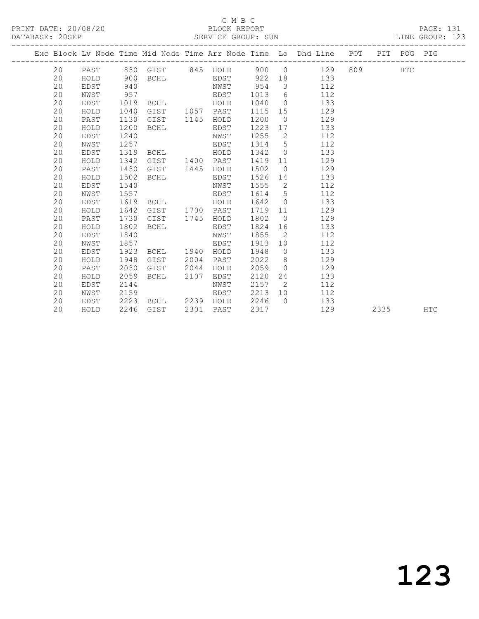PRINT DATE: 20/08/20 BLOCK REPORT PAGE: 131 DATABASE: 20SEP

## C M B C<br>BLOCK REPORT

| DAIADAJE. ZVJEF |      |      |                     |      | OLAVICE GAUUF, OUN |         |                |                                                                    |  |             | TIME GRAAL. TYP |
|-----------------|------|------|---------------------|------|--------------------|---------|----------------|--------------------------------------------------------------------|--|-------------|-----------------|
|                 |      |      |                     |      |                    |         |                | Exc Block Lv Node Time Mid Node Time Arr Node Time Lo Dhd Line POT |  | PIT POG PIG |                 |
| 20              |      |      |                     |      |                    |         |                | PAST 830 GIST 845 HOLD 900 0 129 809 HTC                           |  |             |                 |
| 20              | HOLD | 900  | <b>BCHL</b>         |      | EDST               | 922     |                | 18 133                                                             |  |             |                 |
| 20              | EDST | 940  |                     |      | NWST 954           |         |                | $3 \left( \frac{1}{2} \right)$<br>112                              |  |             |                 |
| 20              | NWST | 957  |                     |      | EDST               | 1013 6  |                | 112                                                                |  |             |                 |
| 20              | EDST | 1019 | BCHL                |      | HOLD               | 1040    |                | 133<br>$\overline{0}$                                              |  |             |                 |
| 20              | HOLD | 1040 | GIST 1057           |      | PAST               | 1115 15 |                | 129                                                                |  |             |                 |
| 20              | PAST | 1130 | GIST                | 1145 | HOLD               | 1200    | $\overline{0}$ | 129                                                                |  |             |                 |
| 20              | HOLD | 1200 | BCHL                |      | EDST               | 1223    |                | 133                                                                |  |             |                 |
| 20              | EDST | 1240 |                     |      | NWST               | 1255    | $\overline{2}$ | 112                                                                |  |             |                 |
| 20              | NWST | 1257 |                     |      | EDST               | 1314    | $5 -$          | 112                                                                |  |             |                 |
| 20              | EDST | 1319 | <b>BCHL</b>         |      | HOLD               | 1342 0  |                | 133                                                                |  |             |                 |
| 20              | HOLD | 1342 | GIST                | 1400 | PAST               | 1419    | 11             | 129                                                                |  |             |                 |
| 20              | PAST | 1430 | GIST                | 1445 | HOLD               | 1502    |                | $\overline{0}$<br>129                                              |  |             |                 |
| 20              | HOLD | 1502 | BCHL                |      | EDST               | 1526    |                | 133<br>14 \                                                        |  |             |                 |
| 20              | EDST | 1540 |                     |      | NWST               | 1555 2  |                | 112                                                                |  |             |                 |
| 20              | NWST | 1557 |                     |      | EDST               | 1614 5  |                | 112                                                                |  |             |                 |
| 20              | EDST | 1619 | BCHL                |      | HOLD               | 1642    | $\circ$        | 133                                                                |  |             |                 |
| 20              | HOLD | 1642 | GIST 1700           |      | PAST               | 1719    | 11             | 129                                                                |  |             |                 |
| 20              | PAST | 1730 | GIST                | 1745 | HOLD               | 1802    | $\overline{0}$ | 129                                                                |  |             |                 |
| 20              | HOLD | 1802 | BCHL                |      | EDST               | 1824    |                | 133                                                                |  |             |                 |
| 20              | EDST | 1840 |                     |      | NWST               | 1855    | $\overline{2}$ | 112                                                                |  |             |                 |
| 20              | NWST | 1857 |                     |      | EDST               | 1913    |                | 112                                                                |  |             |                 |
| 20              | EDST |      | 1923 BCHL 1940 HOLD |      |                    | 1948 0  |                | 133                                                                |  |             |                 |

 20 HOLD 1948 GIST 2004 PAST 2022 8 129 20 PAST 2030 GIST 2044 HOLD 2059 0 129 20 HOLD 2059 BCHL 2107 EDST 2120 24 133 20 EDST 2144 NWST 2157 2 112

20 EDST 2223 BCHL 2239 HOLD 2246 0 133

20 NWST 2159 EDST 2213 10 112

20 HOLD 2246 GIST 2301 PAST 2317 129 2335 HTC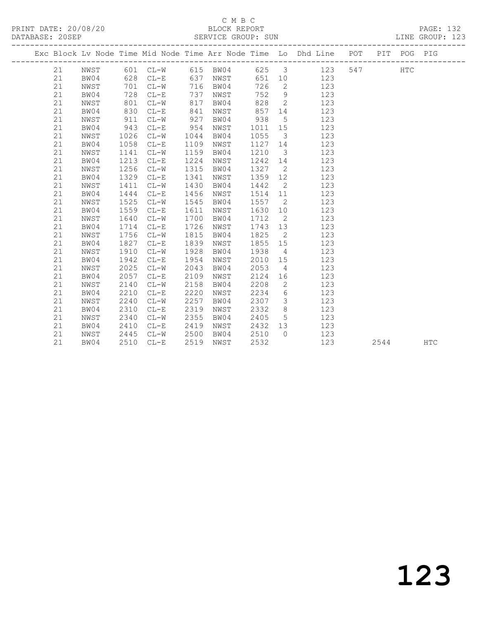PRINT DATE: 20/08/20 BLOCK REPORT<br>DATABASE: 20SEP SERVICE GROUP: SUN

## C M B C<br>BLOCK REPORT

PAGE: 132<br>LINE GROUP: 123

|    |      |      |                   |      | DUINTED OROOL. DON |         |                          |                                                                                |      |            |            |
|----|------|------|-------------------|------|--------------------|---------|--------------------------|--------------------------------------------------------------------------------|------|------------|------------|
|    |      |      |                   |      |                    |         |                          | Exc Block Lv Node Time Mid Node Time Arr Node Time Lo Dhd Line POT PIT POG PIG |      |            |            |
| 21 | NWST |      |                   |      |                    |         |                          | 601 CL-W 615 BW04 625 3 123 547                                                |      | <b>HTC</b> |            |
| 21 | BW04 |      | 628 CL-E 637 NWST |      |                    |         |                          | 651 10<br>123                                                                  |      |            |            |
| 21 | NWST | 701  | $CL-W$            |      | 716 BW04           | 726     | $\overline{2}$           | 123                                                                            |      |            |            |
| 21 | BW04 | 728  | $CL-E$            | 737  | NWST               | 752     | 9                        | 123                                                                            |      |            |            |
| 21 | NWST | 801  | $CL-W$            | 817  | BW04               | 828     | $\overline{2}$           | 123                                                                            |      |            |            |
| 21 | BW04 | 830  | $CL-E$            | 841  | NWST               |         | 857 14                   | 123                                                                            |      |            |            |
| 21 | NWST | 911  | $CL-W$            | 927  | BW04               | 938     | 5 <sup>5</sup>           | 123                                                                            |      |            |            |
| 21 | BW04 | 943  | $CL-E$            | 954  | NWST               | 1011 15 |                          | 123                                                                            |      |            |            |
| 21 | NWST | 1026 | $CL-W$            | 1044 | BW04               | 1055    | $\overline{\mathbf{3}}$  | 123                                                                            |      |            |            |
| 21 | BW04 | 1058 | $CL-E$            | 1109 | NWST               | 1127 14 |                          | 123                                                                            |      |            |            |
| 21 | NWST | 1141 | $CL-W$            | 1159 | BW04               | 1210    | $\overline{\mathbf{3}}$  | 123                                                                            |      |            |            |
| 21 | BW04 | 1213 | $CL-E$            | 1224 | NWST               | 1242 14 |                          | 123                                                                            |      |            |            |
| 21 | NWST | 1256 | $CL-W$            | 1315 | BW04               | 1327    | $\overline{2}$           | 123                                                                            |      |            |            |
| 21 | BW04 |      | 1329 CL-E         | 1341 | NWST               | 1359    | 12                       | 123                                                                            |      |            |            |
| 21 | NWST | 1411 | $CL-W$            | 1430 | BW04               | 1442    | $\overline{2}$           | 123                                                                            |      |            |            |
| 21 | BW04 | 1444 | $CL-E$            | 1456 | NWST               | 1514 11 |                          | 123                                                                            |      |            |            |
| 21 | NWST | 1525 | $CL-W$            | 1545 | BW04               | 1557    | $\overline{2}$           | 123                                                                            |      |            |            |
| 21 | BW04 | 1559 | $CL-E$            | 1611 | NWST               | 1630    | 10                       | 123                                                                            |      |            |            |
| 21 | NWST | 1640 | $CL-W$            | 1700 | BW04               | 1712    | $\overline{2}$           | 123                                                                            |      |            |            |
| 21 | BW04 | 1714 | $CL-E$            | 1726 | NWST               | 1743 13 |                          | 123                                                                            |      |            |            |
| 21 | NWST | 1756 | $CL-W$            | 1815 | BW04               | 1825    | $\overline{2}$           | 123                                                                            |      |            |            |
| 21 | BW04 | 1827 | $CL-E$            | 1839 | NWST               | 1855    | 15                       | 123                                                                            |      |            |            |
| 21 | NWST | 1910 | $CL-W$            | 1928 | BW04               | 1938    | $\overline{4}$           | 123                                                                            |      |            |            |
| 21 | BW04 | 1942 | $CL-E$            | 1954 | NWST               | 2010    | 15                       | 123                                                                            |      |            |            |
| 21 | NWST | 2025 | $CL-W$            | 2043 | BW04               | 2053    | $\overline{4}$           | 123                                                                            |      |            |            |
| 21 | BW04 | 2057 | $CL-E$            | 2109 | NWST               | 2124    | 16                       | 123                                                                            |      |            |            |
| 21 | NWST | 2140 | $CL-W$            | 2158 | BW04               | 2208    | $\overline{\phantom{a}}$ | 123                                                                            |      |            |            |
| 21 | BW04 | 2210 | $CL-E$            | 2220 | NWST               | 2234    | 6                        | 123                                                                            |      |            |            |
| 21 | NWST | 2240 | $CL-W$            | 2257 | BW04               | 2307    | $\overline{\mathbf{3}}$  | 123                                                                            |      |            |            |
| 21 | BW04 | 2310 | $CL-E$            | 2319 | NWST               | 2332    | 8 <sup>8</sup>           | 123                                                                            |      |            |            |
| 21 | NWST | 2340 | $CL-W$            | 2355 | BW04               | 2405    | $5\overline{)}$          | 123                                                                            |      |            |            |
| 21 | BW04 | 2410 | $CL-E$            | 2419 | NWST               | 2432 13 |                          | 123                                                                            |      |            |            |
| 21 | NWST | 2445 | $CL-W$            | 2500 | BW04               | 2510    | $\bigcirc$               | 123                                                                            |      |            |            |
| 21 | BW04 | 2510 | $CL-E$            | 2519 | NWST               | 2532    |                          | 123                                                                            | 2544 |            | <b>HTC</b> |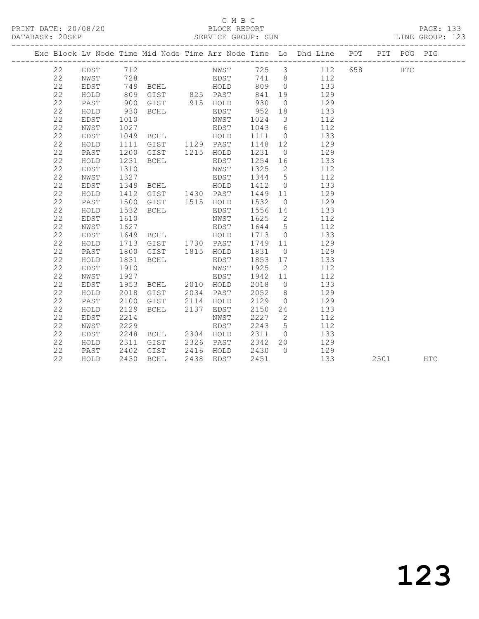### C M B C<br>BLOCK REPORT SERVICE GROUP: SUN

|  |    |          |                                      |                                               |                       |         |                         | Exc Block Lv Node Time Mid Node Time Arr Node Time Lo Dhd Line POT PIT POG PIG |      |            |     |  |
|--|----|----------|--------------------------------------|-----------------------------------------------|-----------------------|---------|-------------------------|--------------------------------------------------------------------------------|------|------------|-----|--|
|  | 22 | EDST 712 |                                      |                                               |                       |         |                         | NWST 725 3 112 658                                                             |      | <b>HTC</b> |     |  |
|  | 22 | NWST     | 728                                  |                                               |                       |         |                         | EDST 741 8 112                                                                 |      |            |     |  |
|  | 22 | EDST     |                                      | 749 BCHL HOLD                                 |                       |         |                         | 809 0 133                                                                      |      |            |     |  |
|  | 22 | HOLD     | 809                                  |                                               | GIST 825 PAST         | 841     |                         | 19 129                                                                         |      |            |     |  |
|  | 22 | PAST     | 900                                  | GIST 915 HOLD                                 |                       | 930     |                         | $0$ 129                                                                        |      |            |     |  |
|  | 22 | HOLD     | 930                                  | BCHL                                          | EDST                  | 952 18  |                         | 133                                                                            |      |            |     |  |
|  | 22 | EDST     | 1010                                 |                                               | NWST                  | 1024    | $\overline{\mathbf{3}}$ | 112                                                                            |      |            |     |  |
|  | 22 | NWST     | 1027                                 |                                               | EDST                  | 1043 6  |                         | 112                                                                            |      |            |     |  |
|  | 22 | EDST     |                                      |                                               |                       | 1111 0  |                         | 133                                                                            |      |            |     |  |
|  | 22 | HOLD     | 1111                                 |                                               |                       | 1148 12 |                         | 129                                                                            |      |            |     |  |
|  | 22 | PAST     | 1200                                 | GIST 1215 HOLD                                |                       | 1231 0  |                         | 129                                                                            |      |            |     |  |
|  | 22 | HOLD     | 1231                                 | BCHL                                          | EDST                  | 1254 16 |                         | 133                                                                            |      |            |     |  |
|  | 22 | EDST     | 1310                                 |                                               | NWST                  |         |                         | 1325 2 112                                                                     |      |            |     |  |
|  | 22 | NWST     | 1327                                 | EDST <sub>1</sub>                             |                       |         |                         | 1344 5 112                                                                     |      |            |     |  |
|  | 22 | EDST     | 1349                                 | BCHL HOLD                                     |                       |         |                         | 1412 0<br>133                                                                  |      |            |     |  |
|  | 22 | HOLD     | 1412                                 | GIST 1430 PAST                                |                       |         |                         | 1449 11 129                                                                    |      |            |     |  |
|  | 22 | PAST     | 1500                                 | GIST 1515 HOLD                                |                       | 1532    |                         | $0 \qquad \qquad 129$                                                          |      |            |     |  |
|  | 22 | HOLD     | 1532                                 | BCHL                                          | EDST                  |         |                         | 1556 14<br>133                                                                 |      |            |     |  |
|  | 22 | EDST     | 1610                                 |                                               | NWST                  | 1625 2  |                         | 112                                                                            |      |            |     |  |
|  | 22 | NWST     | 1627<br>1627<br>1649<br>1713<br>1800 |                                               | EDST                  | 1644 5  |                         | 112                                                                            |      |            |     |  |
|  | 22 | EDST     |                                      | BCHL HOLD<br>GIST 1730 PAST<br>GIST 1815 HOLD |                       | 1713 0  |                         | 133                                                                            |      |            |     |  |
|  | 22 | HOLD     |                                      |                                               |                       | 1749 11 |                         | 129                                                                            |      |            |     |  |
|  | 22 | PAST     |                                      |                                               |                       | 1831 0  |                         | $\frac{1}{129}$                                                                |      |            |     |  |
|  | 22 | HOLD     | 1831                                 | BCHL                                          | EDST                  |         |                         | 1853 17 133                                                                    |      |            |     |  |
|  | 22 | EDST     | 1910                                 |                                               | NWST                  | 1925    | $\overline{2}$          | 112                                                                            |      |            |     |  |
|  | 22 | NWST     | 1927                                 |                                               | EDST                  | 1942 11 |                         | 112                                                                            |      |            |     |  |
|  | 22 | EDST     | 1953                                 | BCHL 2010 HOLD                                |                       |         |                         | 2018 0 133                                                                     |      |            |     |  |
|  | 22 | HOLD     | 2018                                 | GIST 2034 PAST                                |                       |         |                         | 2052 8 129                                                                     |      |            |     |  |
|  | 22 | PAST     | 2100                                 | GIST 2114 HOLD                                |                       | 2129    |                         | $0 \qquad \qquad 129$                                                          |      |            |     |  |
|  | 22 | HOLD     | 2129                                 | BCHL 2137 EDST                                |                       | 2150    |                         | 24 133                                                                         |      |            |     |  |
|  | 22 | EDST     | 2214                                 |                                               | NWST                  |         |                         | 2227 2<br>112                                                                  |      |            |     |  |
|  | 22 | NWST     | 2229                                 |                                               | EDST                  | 2243 5  |                         | 112                                                                            |      |            |     |  |
|  | 22 | EDST     | 2248                                 | BCHL 2304 HOLD                                |                       | 2311 0  |                         | 133                                                                            |      |            |     |  |
|  | 22 | HOLD     | 2311<br>2402<br>2430                 | GIST 2326 PAST                                |                       | 2342 20 |                         | 129                                                                            |      |            |     |  |
|  | 22 | PAST     |                                      |                                               | GIST 2416 HOLD 2430 0 |         |                         | 129                                                                            |      |            |     |  |
|  | 22 | HOLD     | 2430                                 | BCHL                                          | 2438 EDST             | 2451    |                         | 133                                                                            | 2501 |            | HTC |  |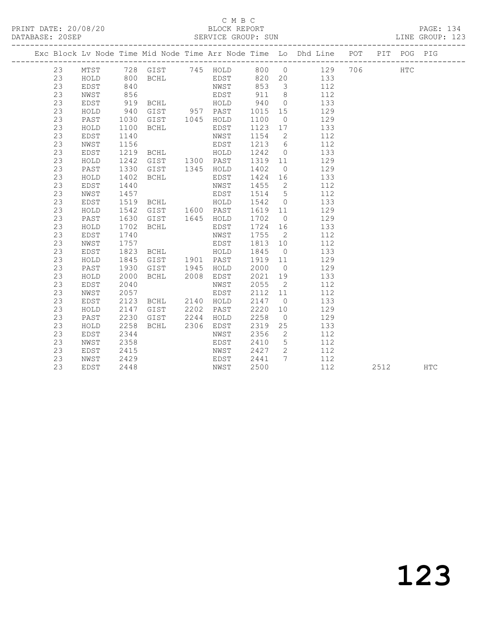## C M B C<br>BLOCK REPORT

#### SERVICE GROUP: SUN

|  |    |      |      |                                                                                                  |      |           |         |                | Exc Block Lv Node Time Mid Node Time Arr Node Time Lo Dhd Line POT |      | PIT POG PIG |     |
|--|----|------|------|--------------------------------------------------------------------------------------------------|------|-----------|---------|----------------|--------------------------------------------------------------------|------|-------------|-----|
|  | 23 | MTST |      |                                                                                                  |      |           |         |                | 728 GIST 745 HOLD 800 0 129 706                                    |      | HTC         |     |
|  | 23 | HOLD | 800  | <b>BCHL</b>                                                                                      |      | EDST      |         |                | 820 20 133                                                         |      |             |     |
|  | 23 | EDST |      | 800 BCHL<br>840 MWST 853 3<br>856 EDST 911 8<br>919 BCHL HOLD 940 0<br>940 GIST 957 PAST 1015 15 |      |           |         |                | 112                                                                |      |             |     |
|  | 23 | NWST |      |                                                                                                  |      |           |         |                | 112                                                                |      |             |     |
|  | 23 | EDST |      |                                                                                                  |      |           |         |                | 133                                                                |      |             |     |
|  | 23 | HOLD |      |                                                                                                  |      |           |         |                | 129                                                                |      |             |     |
|  | 23 | PAST | 1030 | GIST 1045 HOLD                                                                                   |      |           | 1100    | $\overline{0}$ | 129                                                                |      |             |     |
|  | 23 | HOLD | 1100 | <b>BCHL</b>                                                                                      |      | EDST      | 1123 17 |                | 133                                                                |      |             |     |
|  | 23 | EDST | 1140 |                                                                                                  |      | NWST      | 1154    |                | $\overline{2}$<br>112                                              |      |             |     |
|  | 23 | NWST | 1156 |                                                                                                  |      | EDST      |         |                | 1213 6<br>112                                                      |      |             |     |
|  | 23 | EDST |      |                                                                                                  |      |           | 1242    | $\overline{O}$ | 133                                                                |      |             |     |
|  | 23 | HOLD |      | 1219 BCHL HOLD<br>1242 GIST 1300 PAST<br>1330 GIST 1345 HOLD                                     |      |           | 1319 11 |                | 129                                                                |      |             |     |
|  | 23 | PAST |      |                                                                                                  |      |           | 1402    | $\overline{0}$ | 129                                                                |      |             |     |
|  | 23 | HOLD | 1402 | BCHL                                                                                             |      | EDST      | 1424 16 |                | 133                                                                |      |             |     |
|  | 23 | EDST | 1440 |                                                                                                  |      | NWST      | 1455    | $\overline{2}$ | 112                                                                |      |             |     |
|  | 23 | NWST | 1457 |                                                                                                  |      | EDST      | 1514    |                | $5\overline{}$<br>112                                              |      |             |     |
|  | 23 | EDST | 1519 | BCHL HOLD                                                                                        |      |           | 1542    | $\overline{0}$ | 133                                                                |      |             |     |
|  | 23 | HOLD | 1542 | GIST 1600 PAST                                                                                   |      |           | 1619    | 11             | 129                                                                |      |             |     |
|  | 23 | PAST | 1630 | GIST 1645 HOLD                                                                                   |      |           | 1702    | $\overline{0}$ | 129                                                                |      |             |     |
|  | 23 | HOLD | 1702 | BCHL                                                                                             |      | EDST      | 1724 16 |                | 133                                                                |      |             |     |
|  | 23 | EDST | 1740 |                                                                                                  |      | NWST      | 1755    | $\overline{2}$ | 112                                                                |      |             |     |
|  | 23 | NWST | 1757 |                                                                                                  |      | EDST      | 1813 10 |                | 112                                                                |      |             |     |
|  | 23 | EDST |      | 1823 BCHL HOLD                                                                                   |      |           | 1845    | $\overline{0}$ | 133                                                                |      |             |     |
|  | 23 | HOLD | 1845 | GIST 1901 PAST                                                                                   |      |           | 1919 11 |                | 129                                                                |      |             |     |
|  | 23 | PAST | 1930 | GIST 1945                                                                                        |      | HOLD      | 2000    | $\overline{0}$ | 129                                                                |      |             |     |
|  | 23 | HOLD | 2000 | BCHL                                                                                             | 2008 | EDST      | 2021 19 |                | 133                                                                |      |             |     |
|  | 23 | EDST | 2040 |                                                                                                  |      | NWST      | 2055    | $\overline{2}$ | 112                                                                |      |             |     |
|  | 23 | NWST | 2057 |                                                                                                  |      | EDST      | 2112 11 |                | 112                                                                |      |             |     |
|  | 23 | EDST | 2123 | BCHL 2140 HOLD                                                                                   |      |           | 2147    | $\overline{0}$ | 133                                                                |      |             |     |
|  | 23 | HOLD | 2147 | GIST                                                                                             |      | 2202 PAST | 2220    | 10             | 129                                                                |      |             |     |
|  | 23 | PAST | 2230 | GIST                                                                                             |      | 2244 HOLD | 2258    | $\overline{0}$ | 129                                                                |      |             |     |
|  | 23 | HOLD | 2258 | BCHL                                                                                             |      | 2306 EDST | 2319    | 25             | 133                                                                |      |             |     |
|  | 23 | EDST | 2344 |                                                                                                  |      | NWST      | 2356    | $\overline{2}$ | 112                                                                |      |             |     |
|  | 23 | NWST | 2358 |                                                                                                  |      | EDST      | 2410    |                | 5 <sub>1</sub><br>112                                              |      |             |     |
|  | 23 | EDST | 2415 |                                                                                                  |      | NWST      | 2427    | $\overline{2}$ | 112                                                                |      |             |     |
|  | 23 | NWST | 2429 |                                                                                                  |      | EDST      | 2441    | $7\phantom{0}$ | 112                                                                |      |             |     |
|  | 23 | EDST | 2448 |                                                                                                  |      | NWST      | 2500    |                | 112                                                                | 2512 |             | HTC |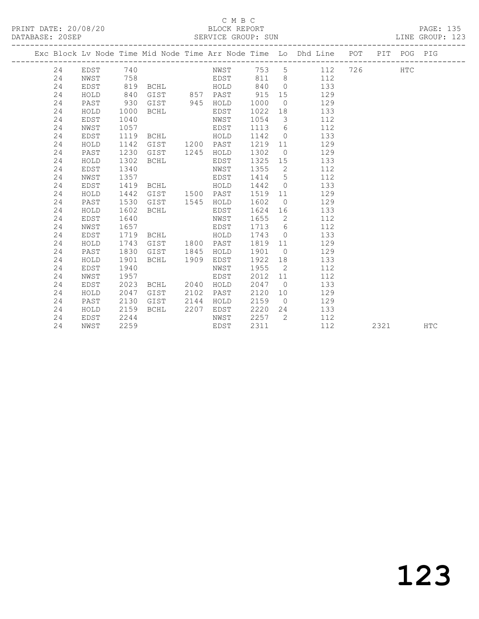### C M B C<br>BLOCK REPORT SERVICE GROUP: SUN

|  |    |             |      |                |      |           |      |                          | Exc Block Lv Node Time Mid Node Time Arr Node Time Lo Dhd Line POT |     |      | PIT POG PIG |            |
|--|----|-------------|------|----------------|------|-----------|------|--------------------------|--------------------------------------------------------------------|-----|------|-------------|------------|
|  | 24 | EDST        | 740  |                |      | NWST 753  |      |                          | $5^{\circ}$<br>112                                                 | 726 |      | HTC         |            |
|  | 24 | NWST        | 758  |                |      | EDST      | 811  |                          | 8 <sup>1</sup><br>112                                              |     |      |             |            |
|  | 24 | EDST        | 819  | BCHL           |      | HOLD      | 840  | $\bigcirc$               | 133                                                                |     |      |             |            |
|  | 24 | HOLD        | 840  | GIST 857 PAST  |      |           | 915  | 15                       | 129                                                                |     |      |             |            |
|  | 24 | PAST        | 930  | GIST           |      | 945 HOLD  | 1000 | $\overline{0}$           | 129                                                                |     |      |             |            |
|  | 24 | HOLD        | 1000 | BCHL           |      | EDST      | 1022 | 18                       | 133                                                                |     |      |             |            |
|  | 24 | EDST        | 1040 |                |      | NWST      | 1054 | $\mathcal{S}$            | 112                                                                |     |      |             |            |
|  | 24 | NWST        | 1057 |                |      | EDST      | 1113 | 6                        | 112                                                                |     |      |             |            |
|  | 24 | EDST        | 1119 | BCHL           |      | HOLD      | 1142 | $\overline{0}$           | 133                                                                |     |      |             |            |
|  | 24 | HOLD        | 1142 | GIST           |      | 1200 PAST | 1219 | 11                       | 129                                                                |     |      |             |            |
|  | 24 | PAST        | 1230 | GIST           | 1245 | HOLD      | 1302 | $\overline{0}$           | 129                                                                |     |      |             |            |
|  | 24 | HOLD        | 1302 | <b>BCHL</b>    |      | EDST      | 1325 | 15                       | 133                                                                |     |      |             |            |
|  | 24 | EDST        | 1340 |                |      | NWST      | 1355 | $\overline{2}$           | 112                                                                |     |      |             |            |
|  | 24 | NWST        | 1357 |                |      | EDST      | 1414 | 5                        | 112                                                                |     |      |             |            |
|  | 24 | EDST        | 1419 | BCHL           |      | HOLD      | 1442 | $\bigcirc$               | 133                                                                |     |      |             |            |
|  | 24 | HOLD        | 1442 | GIST 1500 PAST |      |           | 1519 | 11                       | 129                                                                |     |      |             |            |
|  | 24 | PAST        | 1530 | GIST           | 1545 | HOLD      | 1602 | $\overline{0}$           | 129                                                                |     |      |             |            |
|  | 24 | HOLD        | 1602 | <b>BCHL</b>    |      | EDST      | 1624 | 16                       | 133                                                                |     |      |             |            |
|  | 24 | <b>EDST</b> | 1640 |                |      | NWST      | 1655 | $\overline{\phantom{a}}$ | 112                                                                |     |      |             |            |
|  | 24 | NWST        | 1657 |                |      | EDST      | 1713 | 6                        | 112                                                                |     |      |             |            |
|  | 24 | EDST        | 1719 | BCHL           |      | HOLD      | 1743 | $\bigcirc$               | 133                                                                |     |      |             |            |
|  | 24 | HOLD        | 1743 | GIST           | 1800 | PAST      | 1819 | 11                       | 129                                                                |     |      |             |            |
|  | 24 | PAST        | 1830 | GIST           | 1845 | HOLD      | 1901 | $\overline{0}$           | 129                                                                |     |      |             |            |
|  | 24 | HOLD        | 1901 | BCHL           | 1909 | EDST      | 1922 | 18                       | 133                                                                |     |      |             |            |
|  | 24 | <b>EDST</b> | 1940 |                |      | NWST      | 1955 | $\overline{2}$           | 112                                                                |     |      |             |            |
|  | 24 | NWST        | 1957 |                |      | EDST      | 2012 | 11                       | 112                                                                |     |      |             |            |
|  | 24 | <b>EDST</b> | 2023 | BCHL           | 2040 | HOLD      | 2047 | $\overline{0}$           | 133                                                                |     |      |             |            |
|  | 24 | HOLD        | 2047 | GIST           | 2102 | PAST      | 2120 | 10 <sup>°</sup>          | 129                                                                |     |      |             |            |
|  | 24 | PAST        | 2130 | GIST           | 2144 | HOLD      | 2159 | $\overline{0}$           | 129                                                                |     |      |             |            |
|  | 24 | HOLD        | 2159 | BCHL           | 2207 | EDST      | 2220 | 24                       | 133                                                                |     |      |             |            |
|  | 24 | EDST        | 2244 |                |      | NWST      | 2257 | 2                        | 112                                                                |     |      |             |            |
|  | 24 | NWST        | 2259 |                |      | EDST      | 2311 |                          | 112                                                                |     | 2321 |             | <b>HTC</b> |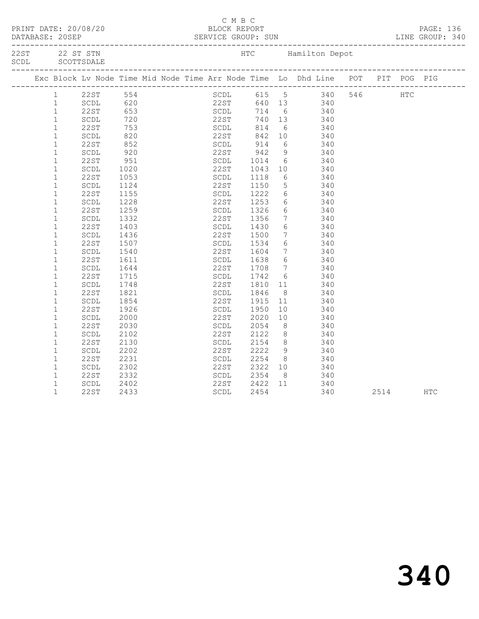| Exc Block Lv Node Time Mid Node Time Arr Node Time Lo Dhd Line POT PIT POG PIG<br>SCDL 615 5 340 546 HTC<br>22ST 640 13 340<br>22 3T 554<br>COL 620<br>22 3T 653<br>COL 720<br>22 3T 653<br>COL 720<br>22 3T 740 13<br>23 340<br>22 314 6<br>242 10<br>2340<br>22 340<br>22 340<br>22 340<br>22 340<br>22 340<br>22 340<br>22 340<br>22 340<br>22 340<br>22 340<br>22 340<br>22 340<br>22 340<br>22 340<br>22 3<br>$\mathbf{1}$<br>$\mathbf{1}$<br>$\mathbf{1}$<br>22ST<br>$\mathbf{1}$<br>$\mathbf{1}$<br>$\mathbf{1}$<br>852<br>920<br>SCDL 914 6 340<br>22ST 942 9 340<br>$\mathbf{1}$<br>22ST<br>$\mathbf{1}$<br>SCDL<br>1014<br>1043<br>$\mathbf{1}$<br>22ST<br>6 340<br>951<br>SCDL<br>$\mathbf{1}$<br>22ST<br>SCDL<br>1020<br>10<br>340<br>1053<br>1118<br>6 340<br>SCDL<br>$\mathbf{1}$<br>22ST<br>$\mathbf{1}$<br>22ST<br>SCDL<br>$\begin{array}{ccc} 5 & 340 \\ 6 & 340 \end{array}$<br>SCDL<br>1124<br>1150<br>1222<br>$\mathbf{1}$<br>22ST<br>1155<br>6 340<br>$\mathbf 1$<br>1228<br>22ST<br>1253<br>SCDL<br>$\mathbf{1}$<br>1259<br>1326<br>1356<br>$\begin{array}{ccc} 6 & 340 \\ 7 & 340 \end{array}$<br>22ST<br>SCDL<br>22ST<br>$\mathbf{1}$<br>SCDL<br>1332<br>$\mathbf{1}$<br>22ST<br>6 340<br>1403<br>SCDL<br>1430<br>$\mathbf{1}$<br>1500<br>$7\overline{ }$<br>1436<br>22ST<br>SCDL<br>340<br>340<br>1534<br>SCDL<br>$6\overline{6}$<br>$\mathbf{1}$<br>22ST<br>1507<br>$\frac{7}{6}$ 340<br>$\mathbf{1}$<br>22ST<br>1604<br>1638<br>SCDL<br>1540<br>$\mathbf{1}$<br>$6\overline{6}$<br>22ST<br>1611<br>SCDL<br>340<br>1708<br>7 340<br>$\mathbf{1}$<br>1644<br>22ST<br>SCDL<br>$\mathbf 1$<br>22ST<br>1715<br>1742<br>1810<br>$\begin{array}{ccc} 6 & 340 \\ 11 & 340 \end{array}$<br>SCDL<br>22ST<br>$\mathbf{1}$<br>SCDL<br>1748<br>$\mathbf{1}$<br><b>22ST</b><br>1821<br>SCDL<br>1846<br>8 340<br>$\mathbf{1}$<br>SCDL<br>1854<br>22ST<br>1915<br>11<br>340<br>$10$ 340<br>1950<br>SCDL<br>$\mathbf{1}$<br>22ST<br>1926<br>$\mathbf 1$<br>22ST<br>SCDL<br>SCDL<br>2000<br>2020<br>10<br>340<br>$\mathbf{1}$<br><b>22ST</b><br>2054<br>8 <sup>8</sup><br>2030<br>340<br>340<br>$\mathbf 1$<br>22ST<br>2122<br>8 <sup>8</sup><br>SCDL<br>2102<br>2154 8<br>2222 9<br>$\mathbf{1}$<br>22ST<br>2130<br>SCDL<br>340<br>22ST<br>$\mathbf{1}$<br>2202<br>SCDL<br>340<br>$\mathbf 1$<br>22ST<br>2231<br>2254<br>8 340<br>SCDL<br>$\mathbf 1$<br>$\operatorname{\mathsf{SCDL}}$<br>2302<br>22ST<br>2322<br>10<br>340<br>$8 \t 340$<br>SCDL<br>2354<br>$\mathbf 1$<br>22ST<br>2332<br>$\mathbf{1}$<br>22ST<br>2422<br>11 340<br>SCDL<br>2402<br>$\mathbf{1}$<br>22ST<br>2433<br>2454<br>340<br>2514<br>SCDL<br>HTC | смвс<br>PRINT DATE: 20/08/20<br>BLOCK REPORT |  |  |  |  |  |  |  |  |  |  |  |  |
|-------------------------------------------------------------------------------------------------------------------------------------------------------------------------------------------------------------------------------------------------------------------------------------------------------------------------------------------------------------------------------------------------------------------------------------------------------------------------------------------------------------------------------------------------------------------------------------------------------------------------------------------------------------------------------------------------------------------------------------------------------------------------------------------------------------------------------------------------------------------------------------------------------------------------------------------------------------------------------------------------------------------------------------------------------------------------------------------------------------------------------------------------------------------------------------------------------------------------------------------------------------------------------------------------------------------------------------------------------------------------------------------------------------------------------------------------------------------------------------------------------------------------------------------------------------------------------------------------------------------------------------------------------------------------------------------------------------------------------------------------------------------------------------------------------------------------------------------------------------------------------------------------------------------------------------------------------------------------------------------------------------------------------------------------------------------------------------------------------------------------------------------------------------------------------------------------------------------------------------------------------------------------------------------------------------------------------------------------------------------------------------------------------------------------------------------------------------------------------------------------------------------------------------------------------------------------------------------------------------------------------------|----------------------------------------------|--|--|--|--|--|--|--|--|--|--|--|--|
|                                                                                                                                                                                                                                                                                                                                                                                                                                                                                                                                                                                                                                                                                                                                                                                                                                                                                                                                                                                                                                                                                                                                                                                                                                                                                                                                                                                                                                                                                                                                                                                                                                                                                                                                                                                                                                                                                                                                                                                                                                                                                                                                                                                                                                                                                                                                                                                                                                                                                                                                                                                                                                     |                                              |  |  |  |  |  |  |  |  |  |  |  |  |
|                                                                                                                                                                                                                                                                                                                                                                                                                                                                                                                                                                                                                                                                                                                                                                                                                                                                                                                                                                                                                                                                                                                                                                                                                                                                                                                                                                                                                                                                                                                                                                                                                                                                                                                                                                                                                                                                                                                                                                                                                                                                                                                                                                                                                                                                                                                                                                                                                                                                                                                                                                                                                                     |                                              |  |  |  |  |  |  |  |  |  |  |  |  |
|                                                                                                                                                                                                                                                                                                                                                                                                                                                                                                                                                                                                                                                                                                                                                                                                                                                                                                                                                                                                                                                                                                                                                                                                                                                                                                                                                                                                                                                                                                                                                                                                                                                                                                                                                                                                                                                                                                                                                                                                                                                                                                                                                                                                                                                                                                                                                                                                                                                                                                                                                                                                                                     |                                              |  |  |  |  |  |  |  |  |  |  |  |  |
|                                                                                                                                                                                                                                                                                                                                                                                                                                                                                                                                                                                                                                                                                                                                                                                                                                                                                                                                                                                                                                                                                                                                                                                                                                                                                                                                                                                                                                                                                                                                                                                                                                                                                                                                                                                                                                                                                                                                                                                                                                                                                                                                                                                                                                                                                                                                                                                                                                                                                                                                                                                                                                     |                                              |  |  |  |  |  |  |  |  |  |  |  |  |
|                                                                                                                                                                                                                                                                                                                                                                                                                                                                                                                                                                                                                                                                                                                                                                                                                                                                                                                                                                                                                                                                                                                                                                                                                                                                                                                                                                                                                                                                                                                                                                                                                                                                                                                                                                                                                                                                                                                                                                                                                                                                                                                                                                                                                                                                                                                                                                                                                                                                                                                                                                                                                                     |                                              |  |  |  |  |  |  |  |  |  |  |  |  |
|                                                                                                                                                                                                                                                                                                                                                                                                                                                                                                                                                                                                                                                                                                                                                                                                                                                                                                                                                                                                                                                                                                                                                                                                                                                                                                                                                                                                                                                                                                                                                                                                                                                                                                                                                                                                                                                                                                                                                                                                                                                                                                                                                                                                                                                                                                                                                                                                                                                                                                                                                                                                                                     |                                              |  |  |  |  |  |  |  |  |  |  |  |  |
|                                                                                                                                                                                                                                                                                                                                                                                                                                                                                                                                                                                                                                                                                                                                                                                                                                                                                                                                                                                                                                                                                                                                                                                                                                                                                                                                                                                                                                                                                                                                                                                                                                                                                                                                                                                                                                                                                                                                                                                                                                                                                                                                                                                                                                                                                                                                                                                                                                                                                                                                                                                                                                     |                                              |  |  |  |  |  |  |  |  |  |  |  |  |
|                                                                                                                                                                                                                                                                                                                                                                                                                                                                                                                                                                                                                                                                                                                                                                                                                                                                                                                                                                                                                                                                                                                                                                                                                                                                                                                                                                                                                                                                                                                                                                                                                                                                                                                                                                                                                                                                                                                                                                                                                                                                                                                                                                                                                                                                                                                                                                                                                                                                                                                                                                                                                                     |                                              |  |  |  |  |  |  |  |  |  |  |  |  |
|                                                                                                                                                                                                                                                                                                                                                                                                                                                                                                                                                                                                                                                                                                                                                                                                                                                                                                                                                                                                                                                                                                                                                                                                                                                                                                                                                                                                                                                                                                                                                                                                                                                                                                                                                                                                                                                                                                                                                                                                                                                                                                                                                                                                                                                                                                                                                                                                                                                                                                                                                                                                                                     |                                              |  |  |  |  |  |  |  |  |  |  |  |  |
|                                                                                                                                                                                                                                                                                                                                                                                                                                                                                                                                                                                                                                                                                                                                                                                                                                                                                                                                                                                                                                                                                                                                                                                                                                                                                                                                                                                                                                                                                                                                                                                                                                                                                                                                                                                                                                                                                                                                                                                                                                                                                                                                                                                                                                                                                                                                                                                                                                                                                                                                                                                                                                     |                                              |  |  |  |  |  |  |  |  |  |  |  |  |
|                                                                                                                                                                                                                                                                                                                                                                                                                                                                                                                                                                                                                                                                                                                                                                                                                                                                                                                                                                                                                                                                                                                                                                                                                                                                                                                                                                                                                                                                                                                                                                                                                                                                                                                                                                                                                                                                                                                                                                                                                                                                                                                                                                                                                                                                                                                                                                                                                                                                                                                                                                                                                                     |                                              |  |  |  |  |  |  |  |  |  |  |  |  |
|                                                                                                                                                                                                                                                                                                                                                                                                                                                                                                                                                                                                                                                                                                                                                                                                                                                                                                                                                                                                                                                                                                                                                                                                                                                                                                                                                                                                                                                                                                                                                                                                                                                                                                                                                                                                                                                                                                                                                                                                                                                                                                                                                                                                                                                                                                                                                                                                                                                                                                                                                                                                                                     |                                              |  |  |  |  |  |  |  |  |  |  |  |  |
|                                                                                                                                                                                                                                                                                                                                                                                                                                                                                                                                                                                                                                                                                                                                                                                                                                                                                                                                                                                                                                                                                                                                                                                                                                                                                                                                                                                                                                                                                                                                                                                                                                                                                                                                                                                                                                                                                                                                                                                                                                                                                                                                                                                                                                                                                                                                                                                                                                                                                                                                                                                                                                     |                                              |  |  |  |  |  |  |  |  |  |  |  |  |
|                                                                                                                                                                                                                                                                                                                                                                                                                                                                                                                                                                                                                                                                                                                                                                                                                                                                                                                                                                                                                                                                                                                                                                                                                                                                                                                                                                                                                                                                                                                                                                                                                                                                                                                                                                                                                                                                                                                                                                                                                                                                                                                                                                                                                                                                                                                                                                                                                                                                                                                                                                                                                                     |                                              |  |  |  |  |  |  |  |  |  |  |  |  |
|                                                                                                                                                                                                                                                                                                                                                                                                                                                                                                                                                                                                                                                                                                                                                                                                                                                                                                                                                                                                                                                                                                                                                                                                                                                                                                                                                                                                                                                                                                                                                                                                                                                                                                                                                                                                                                                                                                                                                                                                                                                                                                                                                                                                                                                                                                                                                                                                                                                                                                                                                                                                                                     |                                              |  |  |  |  |  |  |  |  |  |  |  |  |
|                                                                                                                                                                                                                                                                                                                                                                                                                                                                                                                                                                                                                                                                                                                                                                                                                                                                                                                                                                                                                                                                                                                                                                                                                                                                                                                                                                                                                                                                                                                                                                                                                                                                                                                                                                                                                                                                                                                                                                                                                                                                                                                                                                                                                                                                                                                                                                                                                                                                                                                                                                                                                                     |                                              |  |  |  |  |  |  |  |  |  |  |  |  |
|                                                                                                                                                                                                                                                                                                                                                                                                                                                                                                                                                                                                                                                                                                                                                                                                                                                                                                                                                                                                                                                                                                                                                                                                                                                                                                                                                                                                                                                                                                                                                                                                                                                                                                                                                                                                                                                                                                                                                                                                                                                                                                                                                                                                                                                                                                                                                                                                                                                                                                                                                                                                                                     |                                              |  |  |  |  |  |  |  |  |  |  |  |  |
|                                                                                                                                                                                                                                                                                                                                                                                                                                                                                                                                                                                                                                                                                                                                                                                                                                                                                                                                                                                                                                                                                                                                                                                                                                                                                                                                                                                                                                                                                                                                                                                                                                                                                                                                                                                                                                                                                                                                                                                                                                                                                                                                                                                                                                                                                                                                                                                                                                                                                                                                                                                                                                     |                                              |  |  |  |  |  |  |  |  |  |  |  |  |
|                                                                                                                                                                                                                                                                                                                                                                                                                                                                                                                                                                                                                                                                                                                                                                                                                                                                                                                                                                                                                                                                                                                                                                                                                                                                                                                                                                                                                                                                                                                                                                                                                                                                                                                                                                                                                                                                                                                                                                                                                                                                                                                                                                                                                                                                                                                                                                                                                                                                                                                                                                                                                                     |                                              |  |  |  |  |  |  |  |  |  |  |  |  |
|                                                                                                                                                                                                                                                                                                                                                                                                                                                                                                                                                                                                                                                                                                                                                                                                                                                                                                                                                                                                                                                                                                                                                                                                                                                                                                                                                                                                                                                                                                                                                                                                                                                                                                                                                                                                                                                                                                                                                                                                                                                                                                                                                                                                                                                                                                                                                                                                                                                                                                                                                                                                                                     |                                              |  |  |  |  |  |  |  |  |  |  |  |  |
|                                                                                                                                                                                                                                                                                                                                                                                                                                                                                                                                                                                                                                                                                                                                                                                                                                                                                                                                                                                                                                                                                                                                                                                                                                                                                                                                                                                                                                                                                                                                                                                                                                                                                                                                                                                                                                                                                                                                                                                                                                                                                                                                                                                                                                                                                                                                                                                                                                                                                                                                                                                                                                     |                                              |  |  |  |  |  |  |  |  |  |  |  |  |
|                                                                                                                                                                                                                                                                                                                                                                                                                                                                                                                                                                                                                                                                                                                                                                                                                                                                                                                                                                                                                                                                                                                                                                                                                                                                                                                                                                                                                                                                                                                                                                                                                                                                                                                                                                                                                                                                                                                                                                                                                                                                                                                                                                                                                                                                                                                                                                                                                                                                                                                                                                                                                                     |                                              |  |  |  |  |  |  |  |  |  |  |  |  |
|                                                                                                                                                                                                                                                                                                                                                                                                                                                                                                                                                                                                                                                                                                                                                                                                                                                                                                                                                                                                                                                                                                                                                                                                                                                                                                                                                                                                                                                                                                                                                                                                                                                                                                                                                                                                                                                                                                                                                                                                                                                                                                                                                                                                                                                                                                                                                                                                                                                                                                                                                                                                                                     |                                              |  |  |  |  |  |  |  |  |  |  |  |  |
|                                                                                                                                                                                                                                                                                                                                                                                                                                                                                                                                                                                                                                                                                                                                                                                                                                                                                                                                                                                                                                                                                                                                                                                                                                                                                                                                                                                                                                                                                                                                                                                                                                                                                                                                                                                                                                                                                                                                                                                                                                                                                                                                                                                                                                                                                                                                                                                                                                                                                                                                                                                                                                     |                                              |  |  |  |  |  |  |  |  |  |  |  |  |
|                                                                                                                                                                                                                                                                                                                                                                                                                                                                                                                                                                                                                                                                                                                                                                                                                                                                                                                                                                                                                                                                                                                                                                                                                                                                                                                                                                                                                                                                                                                                                                                                                                                                                                                                                                                                                                                                                                                                                                                                                                                                                                                                                                                                                                                                                                                                                                                                                                                                                                                                                                                                                                     |                                              |  |  |  |  |  |  |  |  |  |  |  |  |
|                                                                                                                                                                                                                                                                                                                                                                                                                                                                                                                                                                                                                                                                                                                                                                                                                                                                                                                                                                                                                                                                                                                                                                                                                                                                                                                                                                                                                                                                                                                                                                                                                                                                                                                                                                                                                                                                                                                                                                                                                                                                                                                                                                                                                                                                                                                                                                                                                                                                                                                                                                                                                                     |                                              |  |  |  |  |  |  |  |  |  |  |  |  |
|                                                                                                                                                                                                                                                                                                                                                                                                                                                                                                                                                                                                                                                                                                                                                                                                                                                                                                                                                                                                                                                                                                                                                                                                                                                                                                                                                                                                                                                                                                                                                                                                                                                                                                                                                                                                                                                                                                                                                                                                                                                                                                                                                                                                                                                                                                                                                                                                                                                                                                                                                                                                                                     |                                              |  |  |  |  |  |  |  |  |  |  |  |  |
|                                                                                                                                                                                                                                                                                                                                                                                                                                                                                                                                                                                                                                                                                                                                                                                                                                                                                                                                                                                                                                                                                                                                                                                                                                                                                                                                                                                                                                                                                                                                                                                                                                                                                                                                                                                                                                                                                                                                                                                                                                                                                                                                                                                                                                                                                                                                                                                                                                                                                                                                                                                                                                     |                                              |  |  |  |  |  |  |  |  |  |  |  |  |
|                                                                                                                                                                                                                                                                                                                                                                                                                                                                                                                                                                                                                                                                                                                                                                                                                                                                                                                                                                                                                                                                                                                                                                                                                                                                                                                                                                                                                                                                                                                                                                                                                                                                                                                                                                                                                                                                                                                                                                                                                                                                                                                                                                                                                                                                                                                                                                                                                                                                                                                                                                                                                                     |                                              |  |  |  |  |  |  |  |  |  |  |  |  |
|                                                                                                                                                                                                                                                                                                                                                                                                                                                                                                                                                                                                                                                                                                                                                                                                                                                                                                                                                                                                                                                                                                                                                                                                                                                                                                                                                                                                                                                                                                                                                                                                                                                                                                                                                                                                                                                                                                                                                                                                                                                                                                                                                                                                                                                                                                                                                                                                                                                                                                                                                                                                                                     |                                              |  |  |  |  |  |  |  |  |  |  |  |  |
|                                                                                                                                                                                                                                                                                                                                                                                                                                                                                                                                                                                                                                                                                                                                                                                                                                                                                                                                                                                                                                                                                                                                                                                                                                                                                                                                                                                                                                                                                                                                                                                                                                                                                                                                                                                                                                                                                                                                                                                                                                                                                                                                                                                                                                                                                                                                                                                                                                                                                                                                                                                                                                     |                                              |  |  |  |  |  |  |  |  |  |  |  |  |
|                                                                                                                                                                                                                                                                                                                                                                                                                                                                                                                                                                                                                                                                                                                                                                                                                                                                                                                                                                                                                                                                                                                                                                                                                                                                                                                                                                                                                                                                                                                                                                                                                                                                                                                                                                                                                                                                                                                                                                                                                                                                                                                                                                                                                                                                                                                                                                                                                                                                                                                                                                                                                                     |                                              |  |  |  |  |  |  |  |  |  |  |  |  |
|                                                                                                                                                                                                                                                                                                                                                                                                                                                                                                                                                                                                                                                                                                                                                                                                                                                                                                                                                                                                                                                                                                                                                                                                                                                                                                                                                                                                                                                                                                                                                                                                                                                                                                                                                                                                                                                                                                                                                                                                                                                                                                                                                                                                                                                                                                                                                                                                                                                                                                                                                                                                                                     |                                              |  |  |  |  |  |  |  |  |  |  |  |  |
|                                                                                                                                                                                                                                                                                                                                                                                                                                                                                                                                                                                                                                                                                                                                                                                                                                                                                                                                                                                                                                                                                                                                                                                                                                                                                                                                                                                                                                                                                                                                                                                                                                                                                                                                                                                                                                                                                                                                                                                                                                                                                                                                                                                                                                                                                                                                                                                                                                                                                                                                                                                                                                     |                                              |  |  |  |  |  |  |  |  |  |  |  |  |
|                                                                                                                                                                                                                                                                                                                                                                                                                                                                                                                                                                                                                                                                                                                                                                                                                                                                                                                                                                                                                                                                                                                                                                                                                                                                                                                                                                                                                                                                                                                                                                                                                                                                                                                                                                                                                                                                                                                                                                                                                                                                                                                                                                                                                                                                                                                                                                                                                                                                                                                                                                                                                                     |                                              |  |  |  |  |  |  |  |  |  |  |  |  |
|                                                                                                                                                                                                                                                                                                                                                                                                                                                                                                                                                                                                                                                                                                                                                                                                                                                                                                                                                                                                                                                                                                                                                                                                                                                                                                                                                                                                                                                                                                                                                                                                                                                                                                                                                                                                                                                                                                                                                                                                                                                                                                                                                                                                                                                                                                                                                                                                                                                                                                                                                                                                                                     |                                              |  |  |  |  |  |  |  |  |  |  |  |  |
|                                                                                                                                                                                                                                                                                                                                                                                                                                                                                                                                                                                                                                                                                                                                                                                                                                                                                                                                                                                                                                                                                                                                                                                                                                                                                                                                                                                                                                                                                                                                                                                                                                                                                                                                                                                                                                                                                                                                                                                                                                                                                                                                                                                                                                                                                                                                                                                                                                                                                                                                                                                                                                     |                                              |  |  |  |  |  |  |  |  |  |  |  |  |
|                                                                                                                                                                                                                                                                                                                                                                                                                                                                                                                                                                                                                                                                                                                                                                                                                                                                                                                                                                                                                                                                                                                                                                                                                                                                                                                                                                                                                                                                                                                                                                                                                                                                                                                                                                                                                                                                                                                                                                                                                                                                                                                                                                                                                                                                                                                                                                                                                                                                                                                                                                                                                                     |                                              |  |  |  |  |  |  |  |  |  |  |  |  |
|                                                                                                                                                                                                                                                                                                                                                                                                                                                                                                                                                                                                                                                                                                                                                                                                                                                                                                                                                                                                                                                                                                                                                                                                                                                                                                                                                                                                                                                                                                                                                                                                                                                                                                                                                                                                                                                                                                                                                                                                                                                                                                                                                                                                                                                                                                                                                                                                                                                                                                                                                                                                                                     |                                              |  |  |  |  |  |  |  |  |  |  |  |  |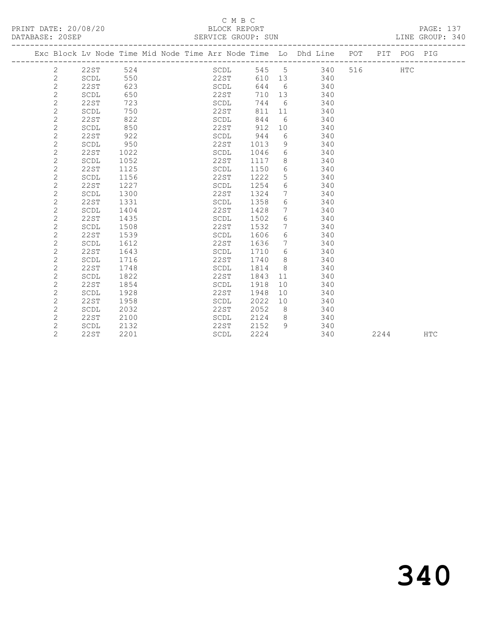#### C M B C<br>BLOCK REPORT SERVICE GROUP: SUN

|                | Exc Block Lv Node Time Mid Node Time Arr Node Time Lo Dhd Line POT |      |  |      |      |      |                 |    |     |                   | PIT POG PIG |  |
|----------------|--------------------------------------------------------------------|------|--|------|------|------|-----------------|----|-----|-------------------|-------------|--|
| 2              | -----------------------------<br>22ST                              | 524  |  |      | SCDL |      |                 |    |     | 545 5 340 516 HTC |             |  |
| $\mathbf{2}$   | SCDL                                                               | 550  |  |      | 22ST | 610  |                 | 13 | 340 |                   |             |  |
| $\overline{c}$ | 22ST                                                               | 623  |  | SCDL |      | 644  | 6               |    | 340 |                   |             |  |
| $\overline{c}$ | SCDL                                                               | 650  |  |      | 22ST | 710  |                 | 13 | 340 |                   |             |  |
| $\mathbf{2}$   | 22ST                                                               | 723  |  | SCDL |      | 744  | 6               |    | 340 |                   |             |  |
| $\overline{c}$ | SCDL                                                               | 750  |  | 22ST |      | 811  | 11              |    | 340 |                   |             |  |
| $\overline{c}$ | 22ST                                                               | 822  |  | SCDL |      | 844  | - 6             |    | 340 |                   |             |  |
| $\overline{c}$ | SCDL                                                               | 850  |  | 22ST |      | 912  | 10              |    | 340 |                   |             |  |
| $\overline{c}$ | 22ST                                                               | 922  |  | SCDL |      | 944  | 6               |    | 340 |                   |             |  |
| $\overline{c}$ | SCDL                                                               | 950  |  | 22ST |      | 1013 | 9               |    | 340 |                   |             |  |
| 2              | 22ST                                                               | 1022 |  | SCDL |      | 1046 | 6               |    | 340 |                   |             |  |
| 2              | SCDL                                                               | 1052 |  | 22ST |      | 1117 | 8               |    | 340 |                   |             |  |
| $\overline{c}$ | 22ST                                                               | 1125 |  | SCDL |      | 1150 | 6               |    | 340 |                   |             |  |
| $\overline{c}$ | SCDL                                                               | 1156 |  | 22ST |      | 1222 | 5               |    | 340 |                   |             |  |
| $\overline{2}$ | <b>22ST</b>                                                        | 1227 |  | SCDL |      | 1254 | 6               |    | 340 |                   |             |  |
| 2              | SCDL                                                               | 1300 |  | 22ST |      | 1324 | $7\phantom{.0}$ |    | 340 |                   |             |  |
| $\overline{c}$ | 22ST                                                               | 1331 |  | SCDL |      | 1358 | 6               |    | 340 |                   |             |  |
| $\overline{c}$ | SCDL                                                               | 1404 |  | 22ST |      | 1428 | 7               |    | 340 |                   |             |  |
| $\overline{c}$ | 22ST                                                               | 1435 |  | SCDL |      | 1502 | 6               |    | 340 |                   |             |  |
| $\overline{c}$ | SCDL                                                               | 1508 |  | 22ST |      | 1532 | $7\phantom{.0}$ |    | 340 |                   |             |  |
| $\overline{c}$ | 22ST                                                               | 1539 |  | SCDL |      | 1606 | 6               |    | 340 |                   |             |  |
| $\overline{c}$ | SCDL                                                               | 1612 |  | 22ST |      | 1636 | $7\phantom{0}$  |    | 340 |                   |             |  |
| $\overline{c}$ | 22ST                                                               | 1643 |  | SCDL |      | 1710 | 6               |    | 340 |                   |             |  |
| $\overline{c}$ | SCDL                                                               | 1716 |  | 22ST |      | 1740 | 8               |    | 340 |                   |             |  |
| $\overline{c}$ | 22ST                                                               | 1748 |  | SCDL |      | 1814 | 8               |    | 340 |                   |             |  |
| 2              | SCDL                                                               | 1822 |  | 22ST |      | 1843 | 11              |    | 340 |                   |             |  |
| $\overline{c}$ | 22ST                                                               | 1854 |  | SCDL |      | 1918 | 10              |    | 340 |                   |             |  |
| $\overline{2}$ | SCDL                                                               | 1928 |  | 22ST |      | 1948 | 10 <sup>°</sup> |    | 340 |                   |             |  |
| $\overline{2}$ | 22ST                                                               | 1958 |  | SCDL |      | 2022 | 10              |    | 340 |                   |             |  |

 2 SCDL 2032 22ST 2052 8 340 2 22ST 2100 SCDL 2124 8 340 2 SCDL 2132 22ST 2152 9 340

2 22ST 2201 SCDL 2224 340 2244 HTC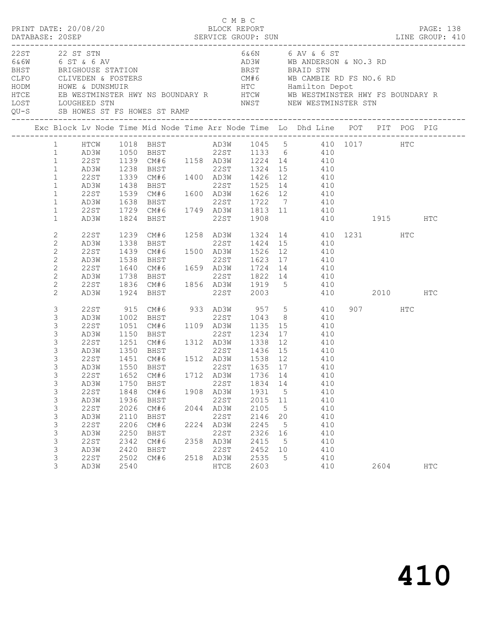| PRINT DATE: 20/08/20<br>22ST 22 ST STN<br>6&6W 6 ST & 6 AV<br>BHST            BRIGHOUSE  STATION<br>CLFO           CLIVEDEN  &  FOSTERS<br>HODM            HOWE  &  DUNSMUIR |                                                                                                                                                                           |                                                                                                                                                    |                                                                                                      |                                                                                                                                                                                                                                |      | C M B C<br>BLOCK REPORT                                                                                  |                                                                                                                        |                                                                                                                | 6&6N 6 AV & 6 ST<br>AD3W WB ANDERSON & NO.3 RD<br>BRIGHOUSE STATION BRST BRAID STN<br>CLIVEDEN & FOSTERS CM#6 WB CAMBIE RD FS NO.6 RD<br>HOWE & DUNSMUIR HOWE HTC Hamilton Depot<br>EB WESTMINSTER HWY NS BOUNDARY R HTCW WB WESTMINSTER HWY FS BOUNDARY R |              |           |     | PAGE: 138  |
|------------------------------------------------------------------------------------------------------------------------------------------------------------------------------|---------------------------------------------------------------------------------------------------------------------------------------------------------------------------|----------------------------------------------------------------------------------------------------------------------------------------------------|------------------------------------------------------------------------------------------------------|--------------------------------------------------------------------------------------------------------------------------------------------------------------------------------------------------------------------------------|------|----------------------------------------------------------------------------------------------------------|------------------------------------------------------------------------------------------------------------------------|----------------------------------------------------------------------------------------------------------------|------------------------------------------------------------------------------------------------------------------------------------------------------------------------------------------------------------------------------------------------------------|--------------|-----------|-----|------------|
| <b>HTCE</b><br>LOST                                                                                                                                                          |                                                                                                                                                                           | LOUGHEED STN                                                                                                                                       |                                                                                                      | QU-S SB HOWES ST FS HOWES ST RAMP                                                                                                                                                                                              |      |                                                                                                          |                                                                                                                        |                                                                                                                | NWST NEW WESTMINSTER STN                                                                                                                                                                                                                                   |              |           |     |            |
|                                                                                                                                                                              |                                                                                                                                                                           |                                                                                                                                                    |                                                                                                      |                                                                                                                                                                                                                                |      |                                                                                                          |                                                                                                                        |                                                                                                                | Exc Block Lv Node Time Mid Node Time Arr Node Time Lo Dhd Line POT PIT POG PIG                                                                                                                                                                             |              |           |     |            |
|                                                                                                                                                                              | $\mathbf{1}$<br>$\mathbf{1}$<br>$\mathbf{1}$<br>$\mathbf{1}$<br>$\mathbf{1}$<br>$\mathbf{1}$<br>$\mathbf{1}$<br>$\mathbf{1}$                                              | HTCW<br>AD3W<br>22ST<br>AD3W<br>22ST<br>AD3W<br>22ST<br>AD3W                                                                                       | 1238<br>1539<br>1638                                                                                 | 1139 CM#0<br>1238 BHST 22ST 1347 -<br>1339 CM#6 1400 AD3W 1426 12<br>22ST 1525 14<br>22ST 1525 14<br><b>BHST</b>                                                                                                               |      |                                                                                                          |                                                                                                                        |                                                                                                                | 1139 CM#6 1158 AD3W 1224 14 410<br>410<br>410<br>410<br>CM#6 1600 AD3W 1626 12 410<br>22ST 1722 7 410                                                                                                                                                      |              |           |     |            |
|                                                                                                                                                                              | $\mathbf{1}$<br>$\mathbf{1}$                                                                                                                                              | 22ST<br>AD3W                                                                                                                                       |                                                                                                      | 1729 CM#6 1749 AD3W 1813 11<br>1824 BHST                                                                                                                                                                                       |      |                                                                                                          | 22ST 1908                                                                                                              |                                                                                                                | 410                                                                                                                                                                                                                                                        | 410 1915 HTC |           |     |            |
|                                                                                                                                                                              | 2<br>$\mathbf{2}$<br>$\mathbf{2}$<br>$\mathbf{2}$<br>$\mathbf{2}$<br>$\mathbf{2}$<br>$\overline{c}$<br>2                                                                  | 22ST<br>AD3W<br>22ST<br>AD3W<br>22ST<br>AD3W<br>22ST<br>AD3W                                                                                       | 1239<br>1338<br>1439<br>1538<br>1640<br>1738<br>1836                                                 | CM#6 1258 AD3W 1324<br>BHST<br>CM#6<br>BHST<br>CM#6 1659 AD3W 1724 14<br>BHST<br>CM#6 1856 AD3W 1919 5<br>1924 BHST                                                                                                            |      | 22ST<br>22ST<br>22ST                                                                                     | 1424 15<br>1500 AD3W 1526 12<br>2003                                                                                   |                                                                                                                | 14 410 1231<br>410<br>410<br>22ST 1623 17 410<br>410<br>1822 14 410<br>410<br>410                                                                                                                                                                          |              | 2010 HTC  | HTC |            |
|                                                                                                                                                                              | 3<br>3<br>3<br>3<br>3<br>$\mathsf 3$<br>3<br>3<br>$\mathfrak{Z}$<br>3<br>$\mathsf 3$<br>3<br>$\mathsf 3$<br>$\mathsf 3$<br>$\mathsf 3$<br>3<br>$\mathsf 3$<br>$\mathsf 3$ | 22ST<br>AD3W<br>22ST<br>AD3W<br>22ST<br>AD3W<br>22ST<br>22ST<br>AD3W<br><b>22ST</b><br>AD3W<br>22ST<br>AD3W<br>22ST<br>AD3W<br><b>22ST</b><br>AD3W | 1051<br>1150<br>1251<br>1652<br>1750<br>1848<br>1936<br>2026<br>2110<br>2206<br>2250<br>2342<br>2420 | 915 CM#6<br>1002 BHST<br>CM#6 1109 AD3W 1135 15<br><b>BHST</b><br>CM#6 1312 AD3W 1338<br>1350 BHST 22ST 1436 15<br>1451 CM#6 1512 AD3W 1538 12<br>CM#6<br>BHST<br>CM#6<br>BHST<br>CM#6<br>BHST<br>CM#6<br>BHST<br>CM#6<br>BHST | 2044 | 22ST<br>1712 AD3W<br>22ST<br>1908 AD3W<br>22ST<br>AD3W<br>22ST<br>2224 AD3W<br>22ST<br>2358 AD3W<br>22ST | 933 AD3W 957 5<br>1043<br>22ST 1234<br>1736<br>1834 14<br>1931<br>2015<br>2105<br>2146<br>2245<br>2326<br>2415<br>2452 | 8 <sup>8</sup><br>12<br>14<br>$5^{\circ}$<br>11<br>$5^{\circ}$<br>20<br>$5^{\circ}$<br>16<br>$5^{\circ}$<br>10 | 410<br>410<br>410<br>17 410<br>410<br>410<br>410<br>AD3W 1550 BHST 22ST 1635 17 410<br>410<br>410<br>410<br>410<br>410<br>410<br>410<br>410<br>410<br>410                                                                                                  |              | 907 — 100 | HTC |            |
|                                                                                                                                                                              | $\mathsf 3$<br>3                                                                                                                                                          | 22ST<br>AD3W                                                                                                                                       | 2502<br>2540                                                                                         | CM#6                                                                                                                                                                                                                           |      | 2518 AD3W<br>${\tt HTCE}$                                                                                | 2535<br>2603                                                                                                           | $5^{\circ}$                                                                                                    | 410<br>410                                                                                                                                                                                                                                                 |              | 2604      |     | <b>HTC</b> |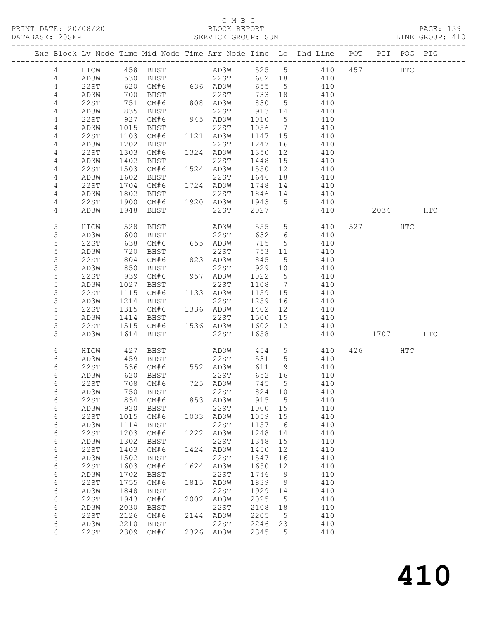## C M B C<br>BLOCK REPORT

| DATABASE: 20SEP |                |                     |                          |                         |      | SERVICE GROUP: SUN                 |                 |                 |                                                                                |          |     | LINE GROUP: 410 |  |
|-----------------|----------------|---------------------|--------------------------|-------------------------|------|------------------------------------|-----------------|-----------------|--------------------------------------------------------------------------------|----------|-----|-----------------|--|
|                 |                | ------------------- |                          |                         |      |                                    |                 |                 | Exc Block Lv Node Time Mid Node Time Arr Node Time Lo Dhd Line POT PIT POG PIG |          |     |                 |  |
|                 | 4              |                     |                          |                         |      |                                    |                 |                 | HTCW 458 BHST AD3W 525 5 410 457 HTC                                           |          |     |                 |  |
|                 | $\overline{4}$ |                     |                          |                         |      |                                    |                 |                 | AD3W 530 BHST 22ST 602 18 410                                                  |          |     |                 |  |
|                 | 4              | 22 S T              |                          | 620 CM#6 636 AD3W       |      |                                    | 655 5           |                 | 410                                                                            |          |     |                 |  |
|                 | $\overline{4}$ | AD3W                |                          |                         |      |                                    | 733 18          |                 | 410                                                                            |          |     |                 |  |
|                 | 4              | 22ST                | 700<br>751               |                         |      | BHST 22ST 733<br>CM#6 808 AD3W 830 |                 |                 | $\frac{15}{5}$ $\frac{115}{410}$                                               |          |     |                 |  |
|                 | 4              | AD3W                | 835                      | BHST                    |      | 22ST                               | 913 14          |                 | 410                                                                            |          |     |                 |  |
|                 | 4              | 22ST                | 927                      | CM#6                    |      | 945 AD3W                           | 1010 5          |                 | 410                                                                            |          |     |                 |  |
|                 | 4              | AD3W                | 1015                     | BHST                    |      | 22ST                               | 1056 7          |                 | 410                                                                            |          |     |                 |  |
|                 | $\overline{4}$ | 22ST                |                          | 1010 DHD 1<br>1103 CM#6 |      | 1121 AD3W                          | 1147 15         |                 | 410                                                                            |          |     |                 |  |
|                 | 4              | AD3W                | 1202                     | BHST                    |      | 22ST                               | 1247            | 16              | 410                                                                            |          |     |                 |  |
|                 | 4              | 22ST                | 1303                     |                         |      |                                    |                 |                 |                                                                                |          |     |                 |  |
|                 |                |                     |                          |                         |      | CM#6 1324 AD3W                     | 1350<br>1448 15 | 12              | 410                                                                            |          |     |                 |  |
|                 | 4              | AD3W                | 1402<br>$\frac{1}{1503}$ | BHST                    |      | 22ST                               |                 |                 | 410                                                                            |          |     |                 |  |
|                 | 4              | 22ST                |                          | CM#6                    |      | 1524 AD3W                          | 1550            | 12              | 410                                                                            |          |     |                 |  |
|                 | 4              | AD3W                | 1602                     | BHST                    |      | 22ST 1646                          |                 |                 | 18 410                                                                         |          |     |                 |  |
|                 | 4              | 22ST                | 1704                     | CM#6                    |      | 1724 AD3W 1748                     |                 |                 | 14 410                                                                         |          |     |                 |  |
|                 | 4              | AD3W                |                          |                         |      |                                    |                 |                 | 410                                                                            |          |     |                 |  |
|                 | 4              | 22ST                |                          |                         |      |                                    |                 |                 | 410                                                                            |          |     |                 |  |
|                 | 4              | AD3W                | 1948                     | BHST                    |      | 22ST 2027                          |                 |                 | 410                                                                            | 2034 HTC |     |                 |  |
|                 | 5              | HTCW                | 528                      | <b>BHST</b>             |      | AD3W<br>22ST                       |                 | 555 5           | 410                                                                            | 527 HTC  |     |                 |  |
|                 | 5              | AD3W                | 600                      | BHST                    |      |                                    | 632 6           |                 | 410                                                                            |          |     |                 |  |
|                 | 5              | 22ST                |                          | $638$ CM#6 $655$ AD3W   |      |                                    | 715             | $5\overline{)}$ | 410                                                                            |          |     |                 |  |
|                 | 5              | AD3W                | 720                      | BHST                    |      | 22ST                               |                 |                 | 753 11 410                                                                     |          |     |                 |  |
|                 | 5              | 22ST                |                          | CM#6                    |      | 823 AD3W                           | 845             | 5 <sup>5</sup>  | 410                                                                            |          |     |                 |  |
|                 | 5              | AD3W                | 804<br>850               | BHST                    |      | 22ST                               | 929 10          |                 | 410                                                                            |          |     |                 |  |
|                 | 5              | 22ST                |                          | 939 CM#6 957 AD3W       |      |                                    | 1022 5          |                 | 410                                                                            |          |     |                 |  |
|                 | 5              | AD3W                | 1027                     | BHST                    |      | 22ST                               |                 |                 | 1108 7 410                                                                     |          |     |                 |  |
|                 | 5              | 22ST                | 1115                     | CM#6 1133 AD3W          |      |                                    | 1159 15         |                 | 410                                                                            |          |     |                 |  |
|                 | $\mathsf S$    | AD3W                | 1214                     | BHST                    |      | 22ST                               | 1259 16         |                 | 410                                                                            |          |     |                 |  |
|                 | 5              | 22ST                |                          | 1315 CM#6 1336 AD3W     |      |                                    | 1402 12         |                 | 410                                                                            |          |     |                 |  |
|                 | 5              | AD3W                | 1414                     | <b>BHST</b>             |      | 22ST 1500 15                       |                 |                 | 410                                                                            |          |     |                 |  |
|                 | 5              | 22ST                | 1515                     |                         |      | CM#6 1536 AD3W 1602 12             |                 |                 | 410                                                                            |          |     |                 |  |
|                 | 5              | AD3W                | 1614                     | BHST                    |      | 22ST                               | 1658            |                 | 410                                                                            | 1707 HTC |     |                 |  |
|                 | 6              | HTCW                | 427                      |                         |      |                                    |                 |                 | BHST AD3W 454 5 410                                                            | 426      | HTC |                 |  |
|                 |                |                     |                          |                         |      |                                    |                 |                 |                                                                                |          |     |                 |  |
|                 | 6              | AD3W                | 459                      | <b>BHST</b>             |      | 22ST                               |                 |                 | 531 5 410                                                                      |          |     |                 |  |
|                 | 6              | 22ST                |                          |                         |      |                                    | 611 9           |                 | 410                                                                            |          |     |                 |  |
|                 | 6              | AD3W                |                          |                         |      |                                    | 652 16          |                 | 410                                                                            |          |     |                 |  |
|                 | 6              |                     |                          | 22ST 708 CM#6           |      | 725 AD3W                           |                 |                 | 745 5 410                                                                      |          |     |                 |  |
|                 | 6              | AD3W                | 750                      | BHST                    |      | 22ST                               | 824             | 10              | 410                                                                            |          |     |                 |  |
|                 | 6              | 22ST                | 834                      | CM#6                    |      | 853 AD3W                           | 915             | $5\overline{)}$ | 410                                                                            |          |     |                 |  |
|                 | 6              | AD3W                | 920                      | BHST                    |      | 22ST                               | 1000            | 15              | 410                                                                            |          |     |                 |  |
|                 | 6              | 22ST                | 1015                     | CM#6                    |      | 1033 AD3W                          | 1059            | 15              | 410                                                                            |          |     |                 |  |
|                 | 6              | AD3W                | 1114                     | BHST                    |      | 22ST                               | 1157            | - 6             | 410                                                                            |          |     |                 |  |
|                 | 6              | 22ST                | 1203                     | CM#6                    |      | 1222 AD3W                          | 1248            | 14              | 410                                                                            |          |     |                 |  |
|                 | 6              | AD3W                | 1302                     | BHST                    |      | 22ST                               | 1348            | 15              | 410                                                                            |          |     |                 |  |
|                 | 6              | 22ST                | 1403                     | CM#6                    |      | 1424 AD3W                          | 1450            | 12              | 410                                                                            |          |     |                 |  |
|                 | 6              | AD3W                | 1502                     | BHST                    |      | 22ST                               | 1547            | 16              | 410                                                                            |          |     |                 |  |
|                 | 6              | <b>22ST</b>         | 1603                     | CM#6                    |      | 1624 AD3W                          | 1650            | 12              | 410                                                                            |          |     |                 |  |
|                 | 6              | AD3W                | 1702                     | BHST                    |      | 22ST                               | 1746            | 9               | 410                                                                            |          |     |                 |  |
|                 | 6              | 22ST                | 1755                     | CM#6                    |      | 1815 AD3W                          | 1839            | 9               | 410                                                                            |          |     |                 |  |
|                 | 6              | AD3W                | 1848                     | BHST                    |      | 22ST                               | 1929            | 14              | 410                                                                            |          |     |                 |  |
|                 | 6              | 22ST                | 1943                     | CM#6                    | 2002 | AD3W                               | 2025            | 5               | 410                                                                            |          |     |                 |  |
|                 | 6              | AD3W                | 2030                     | BHST                    |      | 22ST                               | 2108            | 18              | 410                                                                            |          |     |                 |  |
|                 | 6              | 22ST                | 2126                     | CM#6                    |      | 2144 AD3W                          | 2205            | $5^{\circ}$     | 410                                                                            |          |     |                 |  |
|                 | 6              | AD3W                | 2210                     | BHST                    |      | 22ST                               | 2246            | 23              | 410                                                                            |          |     |                 |  |
|                 | 6              | 22ST                |                          | 2309 CM#6               |      | 2326 AD3W                          | 2345            | 5               |                                                                                |          |     |                 |  |
|                 |                |                     |                          |                         |      |                                    |                 |                 | 410                                                                            |          |     |                 |  |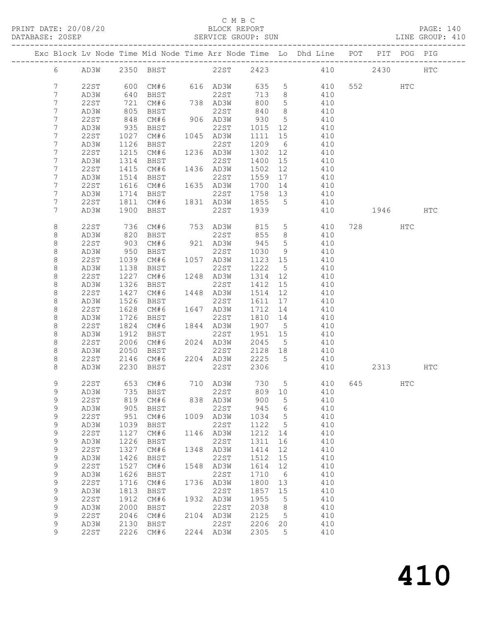### C M B C

| DATABASE: 20SEP |                |      |                  |                             |      | SERVICE GROUP: SUN     |         |                 |                                                                                |          |          | LINE GROUP: 410 |  |
|-----------------|----------------|------|------------------|-----------------------------|------|------------------------|---------|-----------------|--------------------------------------------------------------------------------|----------|----------|-----------------|--|
|                 |                |      |                  |                             |      |                        |         |                 | Exc Block Lv Node Time Mid Node Time Arr Node Time Lo Dhd Line POT PIT POG PIG |          |          |                 |  |
|                 |                |      |                  |                             |      |                        |         |                 | 6 AD3W 2350 BHST 22ST 2423 410 2430 HTC                                        |          |          |                 |  |
|                 | 7              | 22ST |                  | 600 CM#6 616 AD3W 635 5     |      |                        |         |                 | 410 552 HTC                                                                    |          |          |                 |  |
|                 | 7              | AD3W |                  |                             |      |                        |         |                 | 410                                                                            |          |          |                 |  |
|                 | 7              | 22ST |                  |                             |      |                        |         |                 | 410                                                                            |          |          |                 |  |
|                 | 7              | AD3W | 805              | BHST                        |      | 22ST                   | 840     | 8 <sup>8</sup>  | 410                                                                            |          |          |                 |  |
|                 | 7              | 22ST | 848              | CM#6                        |      | 906 AD3W               | 930 5   |                 | 410                                                                            |          |          |                 |  |
|                 | 7              | AD3W | 935              | BHST                        |      | 22ST 1015 12           |         |                 | 410                                                                            |          |          |                 |  |
|                 | 7              | 22ST |                  | $1027$ $CM#6$               |      | 1045 AD3W              | 1111 15 |                 | 410                                                                            |          |          |                 |  |
|                 | 7              | AD3W | 1126             | BHST                        |      | 22ST                   |         |                 | 1209 6 410                                                                     |          |          |                 |  |
|                 | 7              | 22ST | 1215             |                             |      |                        |         |                 | 1302 12 410                                                                    |          |          |                 |  |
|                 | 7              |      | 1314             |                             |      | CM#6 1236 AD3W<br>22ST |         |                 | 410                                                                            |          |          |                 |  |
|                 |                | AD3W | $\frac{1}{1415}$ | BHST                        |      |                        | 1400 15 |                 |                                                                                |          |          |                 |  |
|                 | 7              | 22ST |                  | CM#6                        |      | 1436 AD3W              | 1502 12 |                 | 410                                                                            |          |          |                 |  |
|                 | 7              | AD3W | 1514             | BHST                        |      | 22ST                   |         |                 | 1559 17 410                                                                    |          |          |                 |  |
|                 | 7              | 22ST | 1616             |                             |      |                        |         |                 | CM#6 1635 AD3W 1700 14 410                                                     |          |          |                 |  |
|                 | 7              | AD3W |                  |                             |      |                        |         |                 | 410                                                                            |          |          |                 |  |
|                 | $7\phantom{.}$ | 22ST |                  |                             |      |                        |         |                 | 410                                                                            |          |          |                 |  |
|                 | 7              | AD3W |                  | 1900 BHST                   |      | 22ST 1939              |         |                 | 410                                                                            | 1946 HTC |          |                 |  |
|                 | 8              | 22ST | 736<br>820       | CM# 6                       |      |                        |         |                 | 753 AD3W 815 5 410 728 HTC                                                     |          |          |                 |  |
|                 | 8              | AD3W |                  | BHST                        |      | 22ST                   | 855 8   |                 | 410                                                                            |          |          |                 |  |
|                 | 8              | 22ST |                  | 903 CM#6                    |      | 921 AD3W 945           |         | 5 <sup>5</sup>  | 410                                                                            |          |          |                 |  |
|                 | 8              | AD3W | 950              | BHST                        |      |                        |         |                 | 22ST 1030 9 410                                                                |          |          |                 |  |
|                 | 8              | 22ST | 1039             | CM#6 1057 AD3W              |      |                        | 1123 15 |                 | 410                                                                            |          |          |                 |  |
|                 | 8              | AD3W | 1138             | BHST                        |      | 22ST                   | 1222 5  |                 | 410                                                                            |          |          |                 |  |
|                 | 8              | 22ST | 1227             |                             |      | $CM#6$ $1248$ $AD3W$   |         |                 | 1314 12 410                                                                    |          |          |                 |  |
|                 | 8              | AD3W | 1326             | BHST                        |      |                        |         |                 | 22ST 1412 15 410                                                               |          |          |                 |  |
|                 | 8              | 22ST | 1427             |                             |      | CM#6 1448 AD3W         | 1514 12 |                 | 410                                                                            |          |          |                 |  |
|                 | 8              | AD3W | 1526             | BHST                        |      | 22ST                   | 1611 17 |                 | 410                                                                            |          |          |                 |  |
|                 | 8              | 22ST | 1628             | CM#6                        |      | 1647 AD3W              | 1712 14 |                 | 410                                                                            |          |          |                 |  |
|                 | 8              | AD3W | 1726             | BHST                        |      |                        |         |                 | 22ST 1810 14 410                                                               |          |          |                 |  |
|                 | 8              | 22ST | 1824             | CM#6                        |      | 1844 AD3W              | 1907 5  |                 | 410                                                                            |          |          |                 |  |
|                 | 8              | AD3W | 1912             | BHST                        |      | 22ST                   | 1951 15 |                 | 410                                                                            |          |          |                 |  |
|                 | 8              | 22ST |                  | $2006$ $CM#6$ $2024$ $AD3W$ |      |                        | 2045 5  |                 | 410                                                                            |          |          |                 |  |
|                 | 8              | AD3W | 2050             | <b>BHST</b>                 |      | 22ST 2128 18           |         |                 | 410                                                                            |          |          |                 |  |
|                 | 8              | 22ST |                  |                             |      |                        |         |                 | 2146 CM#6 2204 AD3W 2225 5 410                                                 |          |          |                 |  |
|                 | 8              | AD3W |                  | 2230 BHST                   |      | 22ST                   | 2306    |                 | 410                                                                            |          | 2313 HTC |                 |  |
|                 |                |      |                  |                             |      |                        |         |                 |                                                                                |          |          |                 |  |
|                 | 9              |      |                  |                             |      |                        |         |                 | 22ST 653 CM#6 710 AD3W 730 5 410 645                                           |          | HTC      |                 |  |
|                 | 9              | AD3W | 735              | BHST                        |      | 22ST                   | 809     | 10              | 410                                                                            |          |          |                 |  |
|                 | 9              | 22ST | 819              | CM#6                        |      | 838 AD3W               | 900     | 5               | 410                                                                            |          |          |                 |  |
|                 | 9              | AD3W | 905              | BHST                        |      | 22ST                   | 945     | 6               | 410                                                                            |          |          |                 |  |
|                 | 9              | 22ST | 951              | CM#6                        |      | 1009 AD3W              | 1034    | 5               | 410                                                                            |          |          |                 |  |
|                 | 9              | AD3W | 1039             | BHST                        |      | 22ST                   | 1122    | 5               | 410                                                                            |          |          |                 |  |
|                 | 9              | 22ST | 1127             | CM#6                        |      | 1146 AD3W              | 1212    | 14              | 410                                                                            |          |          |                 |  |
|                 | $\mathsf 9$    | AD3W | 1226             | BHST                        |      | 22ST                   | 1311    | 16              | 410                                                                            |          |          |                 |  |
|                 | 9              | 22ST | 1327             | CM#6                        |      | 1348 AD3W              | 1414    | 12              | 410                                                                            |          |          |                 |  |
|                 | 9              | AD3W | 1426             | BHST                        |      | 22ST                   | 1512    | 15              | 410                                                                            |          |          |                 |  |
|                 | 9              | 22ST | 1527             | CM#6                        | 1548 | AD3W                   | 1614    | 12              | 410                                                                            |          |          |                 |  |
|                 | $\mathsf 9$    | AD3W | 1626             | BHST                        |      | 22ST                   | 1710    | $6\overline{6}$ | 410                                                                            |          |          |                 |  |
|                 | $\mathsf 9$    | 22ST | 1716             | CM#6                        |      | 1736 AD3W              | 1800    | 13              | 410                                                                            |          |          |                 |  |
|                 | 9              | AD3W | 1813             | BHST                        |      | 22ST                   | 1857    | 15              | 410                                                                            |          |          |                 |  |
|                 | 9              | 22ST | 1912             | CM#6                        | 1932 | AD3W                   | 1955    | 5               | 410                                                                            |          |          |                 |  |
|                 | 9              | AD3W | 2000             | BHST                        |      | 22ST                   | 2038    | 8 <sup>8</sup>  | 410                                                                            |          |          |                 |  |
|                 | $\mathsf 9$    | 22ST | 2046             | CM#6                        |      | 2104 AD3W              | 2125    | $5^{\circ}$     | 410                                                                            |          |          |                 |  |
|                 | 9              | AD3W | 2130             | BHST                        |      | 22ST                   | 2206    | 20              | 410                                                                            |          |          |                 |  |
|                 | 9              | 22ST |                  | 2226 CM#6                   |      | 2244 AD3W              | 2305    | 5               | 410                                                                            |          |          |                 |  |
|                 |                |      |                  |                             |      |                        |         |                 |                                                                                |          |          |                 |  |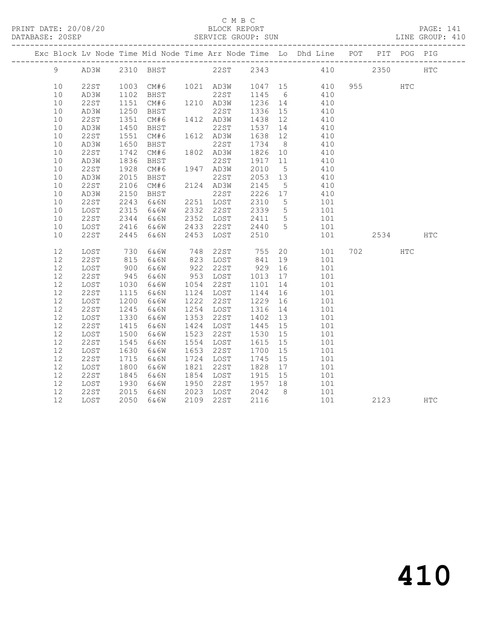### C M B C<br>BLOCK REPORT

| DATABASE: 20SEP |    |             |            |                                                                    |           |           | SERVICE GROUP: SUN |                 |     |          |             |            | LINE GROUP: 410 |
|-----------------|----|-------------|------------|--------------------------------------------------------------------|-----------|-----------|--------------------|-----------------|-----|----------|-------------|------------|-----------------|
|                 |    |             |            | Exc Block Lv Node Time Mid Node Time Arr Node Time Lo Dhd Line POT |           |           |                    |                 |     |          | PIT POG PIG |            |                 |
|                 | 9  | AD3W        |            | 2310 BHST                                                          |           |           | 22ST 2343          |                 |     | 410      | 2350        |            | <b>HTC</b>      |
|                 | 10 | 22ST        | 1003       | CM#6                                                               |           |           | 1021 AD3W 1047 15  |                 | 410 | 955 — 10 |             | <b>HTC</b> |                 |
|                 | 10 | AD3W        | 1102       | BHST                                                               |           | 22ST      | 1145 6             |                 | 410 |          |             |            |                 |
|                 | 10 | 22ST        | 1151       |                                                                    |           |           | 1236 14            |                 | 410 |          |             |            |                 |
|                 | 10 | AD3W        | 1250       | BHST                                                               |           | 22ST      | 1336               | 15              | 410 |          |             |            |                 |
|                 | 10 | 22ST        | 1351       | CM#6                                                               | 1412 AD3W |           | 1438               | 12              | 410 |          |             |            |                 |
|                 | 10 | AD3W        | 1450       | BHST                                                               |           | 22ST      | 1537               | 14              | 410 |          |             |            |                 |
|                 | 10 | <b>22ST</b> | 1551       | CM#6                                                               | 1612 AD3W |           | 1638               | 12              | 410 |          |             |            |                 |
|                 | 10 | AD3W        | 1650       | BHST                                                               |           | 22ST      | 1734               | 8 <sup>8</sup>  | 410 |          |             |            |                 |
|                 | 10 | 22ST        | 1742       | CM#6                                                               | 1802 AD3W |           | 1826               | 10              | 410 |          |             |            |                 |
|                 | 10 | AD3W        | 1836       | BHST                                                               |           | 22ST      | 1917               | 11              | 410 |          |             |            |                 |
|                 | 10 | 22ST        | 1928       | CM#6                                                               | 1947 AD3W |           | 2010               | $5^{\circ}$     | 410 |          |             |            |                 |
|                 | 10 | AD3W        | 2015       | BHST                                                               |           | 22ST      | 2053               | 13              | 410 |          |             |            |                 |
|                 | 10 | 22ST        | 2106       | CM#6                                                               |           | 2124 AD3W | 2145               | $5\overline{)}$ | 410 |          |             |            |                 |
|                 | 10 | AD3W        | 2150       | BHST                                                               |           | 22ST      | 2226               | 17              | 410 |          |             |            |                 |
|                 | 10 | 22ST        | 2243       | 6&6N                                                               |           | 2251 LOST | 2310               | $5^{\circ}$     | 101 |          |             |            |                 |
|                 | 10 | LOST        | 2315       | 6&6W                                                               | 2332 22ST |           | 2339               | $5\overline{)}$ | 101 |          |             |            |                 |
|                 | 10 | 22ST        | 2344       | 6&6N                                                               |           | 2352 LOST | 2411               | $5^{\circ}$     | 101 |          |             |            |                 |
|                 | 10 | LOST        | 2416       | 6&6W                                                               | 2433 22ST |           | 2440               | 5               | 101 |          |             |            |                 |
|                 | 10 | 22ST        | 2445       | 6&6N                                                               | 2453      | LOST      | 2510               |                 | 101 |          | 2534        |            | <b>HTC</b>      |
|                 | 12 | LOST        | 730        | 6&6W                                                               | 748       | 22ST      | 755                | 20              | 101 | 702      |             | HTC        |                 |
|                 | 12 | 22ST        | 815        | 6&6N                                                               |           | 823 LOST  | 841                | 19              | 101 |          |             |            |                 |
|                 | 12 | LOST        | 900<br>945 | 6&6W                                                               |           | 922 22ST  | 929                | 16              | 101 |          |             |            |                 |
|                 | 12 | 22ST        |            | 6&6N                                                               | 953 LOST  |           | 1013               | 17              | 101 |          |             |            |                 |
|                 | 12 | LOST        | 1030       | 6&6W                                                               |           | 1054 22ST | 1101               | 14              | 101 |          |             |            |                 |
|                 | 12 | 22ST        | 1115       | 6&6N                                                               | 1124 LOST |           | 1144               | 16              | 101 |          |             |            |                 |
|                 | 12 | LOST        | 1200       | 6&6W                                                               | 1222      | 22ST      | 1229               | 16              | 101 |          |             |            |                 |
|                 | 12 | 22ST        | 1245       | 6&6N                                                               | 1254 LOST |           | 1316               | 14              | 101 |          |             |            |                 |
|                 | 12 | LOST        | 1330       | 6&6W                                                               | 1353 22ST |           | 1402               | 13              | 101 |          |             |            |                 |
|                 | 12 | 22ST        | 1415       | 6&6N                                                               | 1424 LOST |           | 1445               | 15              | 101 |          |             |            |                 |
|                 | 12 | LOST        | 1500       | 6&6W                                                               | 1523      | 22ST      | 1530               | 15              | 101 |          |             |            |                 |
|                 | 12 | 22ST        | 1545       | 6&6N                                                               | 1554 LOST |           | 1615               | 15              | 101 |          |             |            |                 |
|                 | 12 | LOST        | 1630       | 6&6W                                                               | 1653      | 22ST      | 1700               | 15              | 101 |          |             |            |                 |
|                 | 12 | <b>22ST</b> | 1715       | 6&6N                                                               | 1724 LOST |           | 1745               | 15              | 101 |          |             |            |                 |
|                 | 12 | LOST        | 1800       | 6&6W                                                               | 1821 22ST |           | 1828               | 17              | 101 |          |             |            |                 |
|                 | 12 | 22ST        | 1845       | 6&6N                                                               | 1854 LOST |           | 1915 15            |                 | 101 |          |             |            |                 |
|                 | 12 | LOST        | 1930       | 6&6W                                                               | 1950      | 22ST      | 1957               | 18              | 101 |          |             |            |                 |
|                 | 12 | 22ST        | 2015       | 6&6N                                                               | 2023 LOST |           | 2042               | 8 <sup>8</sup>  | 101 |          |             |            |                 |
|                 | 12 | LOST        | 2050       | 6&6W                                                               | 2109 22ST |           | 2116               |                 | 101 |          | 2123        |            | HTC             |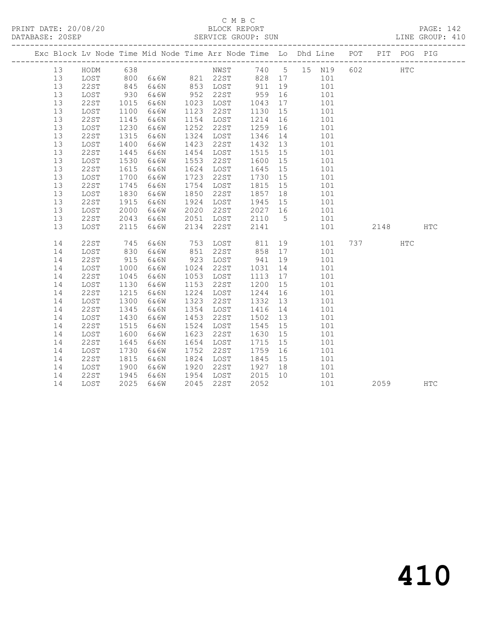#### C M B C<br>BLOCK REPORT PRINT DATE: 20/08/20 BLOCK REPORT PAGE: 142 SERVICE GROUP: SUN

|  |    |             |      | Exc Block Lv Node Time Mid Node Time Arr Node Time Lo Dhd Line POT                           |      |                   |         |    |                                           |     |     |      | PIT POG PIG |     |
|--|----|-------------|------|----------------------------------------------------------------------------------------------|------|-------------------|---------|----|-------------------------------------------|-----|-----|------|-------------|-----|
|  | 13 | HODM        | 638  |                                                                                              |      | NWST 740 5 15 N19 |         |    |                                           |     | 602 |      | <b>HTC</b>  |     |
|  | 13 | LOST        |      |                                                                                              |      |                   |         |    |                                           |     |     |      |             |     |
|  | 13 | 22ST        |      |                                                                                              |      |                   |         |    |                                           |     |     |      |             |     |
|  | 13 | LOST        |      | 800 6&6W 821 22ST 828 17 101<br>845 6&6N 853 LOST 911 19 101<br>930 6&6W 952 22ST 959 16 101 |      | 952 22ST          |         |    | 101                                       |     |     |      |             |     |
|  | 13 | 22ST        | 1015 | 6&6N                                                                                         |      | 1023 LOST 1043 17 |         |    | 101                                       |     |     |      |             |     |
|  | 13 | LOST        | 1100 | 6&6W                                                                                         | 1123 | 22ST              | 1130    | 15 |                                           | 101 |     |      |             |     |
|  | 13 | 22ST        | 1145 | 6&6N                                                                                         |      | 1154 LOST         | 1214    | 16 |                                           | 101 |     |      |             |     |
|  | 13 | LOST        | 1230 | 6&6W                                                                                         | 1252 | 22ST              | 1259    | 16 |                                           | 101 |     |      |             |     |
|  | 13 | 22ST        | 1315 | 6&6N                                                                                         |      | 1324 LOST         | 1346    | 14 | 101                                       |     |     |      |             |     |
|  | 13 | LOST        | 1400 | 6&6W                                                                                         |      | 1423 22ST         | 1432 13 |    | 101                                       |     |     |      |             |     |
|  | 13 | 22ST        | 1445 | 6&6N                                                                                         |      | 1454 LOST         | 1515 15 |    | 101                                       |     |     |      |             |     |
|  | 13 | LOST        | 1530 | 6&6W                                                                                         |      | 1553 22ST         | 1600 15 |    |                                           | 101 |     |      |             |     |
|  | 13 | 22ST        | 1615 | 6&6N                                                                                         |      | 1624 LOST         | 1645 15 |    | 101                                       |     |     |      |             |     |
|  | 13 | LOST        | 1700 | 6&6W                                                                                         | 1723 | 22ST              | 1730 15 |    |                                           | 101 |     |      |             |     |
|  | 13 | 22ST        | 1745 | 6&6N                                                                                         | 1754 | LOST              | 1815 15 |    |                                           | 101 |     |      |             |     |
|  | 13 | LOST        | 1830 | 6&6W                                                                                         | 1850 | 22ST              | 1857 18 |    |                                           | 101 |     |      |             |     |
|  | 13 | 22ST        | 1915 | 6&6N                                                                                         |      | 1924 LOST         | 1945 15 |    | $\begin{array}{c} 101 \\ 101 \end{array}$ |     |     |      |             |     |
|  | 13 | LOST        | 2000 | 6&6W                                                                                         |      | 2020 22ST         | 2027 16 |    | 101                                       |     |     |      |             |     |
|  | 13 | 22ST        | 2043 | 6&6N                                                                                         |      | 2051 LOST         | 2110 5  |    | 101                                       |     |     |      |             |     |
|  | 13 | LOST        | 2115 | 6&6W                                                                                         | 2134 | 22ST              | 2141    |    |                                           | 101 |     | 2148 |             | HTC |
|  | 14 | 22ST        | 745  | 6&6N                                                                                         |      | 753 LOST 811      |         |    | 19                                        | 101 |     | 737  | HTC         |     |
|  | 14 | LOST        | 830  | 6&6W                                                                                         |      | 851 22ST          | 858 17  |    |                                           | 101 |     |      |             |     |
|  | 14 | 22ST        | 915  | 6&6N                                                                                         |      | 923 LOST          | 941     | 19 |                                           | 101 |     |      |             |     |
|  | 14 | LOST        | 1000 | 6&6W                                                                                         |      | 1024 22ST         | 1031    | 14 |                                           | 101 |     |      |             |     |
|  | 14 | 22ST        | 1045 | 6&6N                                                                                         |      | 1053 LOST         | 1113    | 17 |                                           | 101 |     |      |             |     |
|  | 14 | LOST        | 1130 | 6&6W                                                                                         |      | 1153 22ST         | 1200 15 |    | 101                                       |     |     |      |             |     |
|  | 14 | 22ST        | 1215 | 6&6N                                                                                         |      | 1224 LOST         | 1244    | 16 |                                           | 101 |     |      |             |     |
|  | 14 | LOST        | 1300 | 6&6W                                                                                         | 1323 | 22ST              | 1332 13 |    |                                           | 101 |     |      |             |     |
|  | 14 | 22ST        | 1345 | 6&6N                                                                                         |      | 1354 LOST         | 1416 14 |    |                                           | 101 |     |      |             |     |
|  | 14 | LOST        | 1430 | 6&6W                                                                                         | 1453 | 22ST              | 1502 13 |    | 101                                       |     |     |      |             |     |
|  | 14 | 22ST        | 1515 | 6&6N                                                                                         |      | 1524 LOST         | 1545 15 |    |                                           | 101 |     |      |             |     |
|  | 14 | LOST        | 1600 | 6&6W                                                                                         | 1623 | 22ST              | 1630    | 15 |                                           | 101 |     |      |             |     |
|  | 14 | <b>22ST</b> | 1645 | 6&6N                                                                                         |      | 1654 LOST         | 1715    | 15 |                                           | 101 |     |      |             |     |
|  | 14 | LOST        | 1730 | 6&6W                                                                                         | 1752 | 22ST              | 1759    | 16 |                                           | 101 |     |      |             |     |
|  | 14 | 22ST        | 1815 | 6&6N                                                                                         |      | 1824 LOST         | 1845 15 |    | 101                                       |     |     |      |             |     |
|  | 14 | LOST        | 1900 | 6&6W                                                                                         |      | 1920 22ST         | 1927 18 |    | 101                                       |     |     |      |             |     |
|  | 14 | 22ST        | 1945 | 6&6N                                                                                         |      | 1954 LOST         | 2015 10 |    |                                           | 101 |     |      |             |     |
|  | 14 | LOST        | 2025 | 6&6W                                                                                         |      | 2045 22ST         | 2052    |    |                                           | 101 |     | 2059 |             | HTC |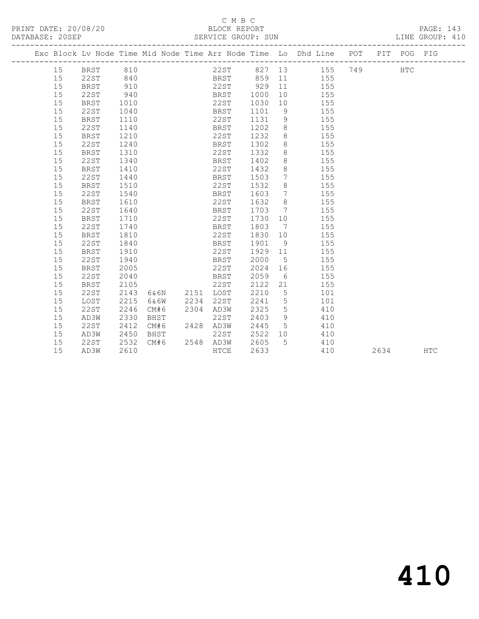## C M B C<br>BLOCK REPORT

PAGE: 143<br>LINE GROUP: 410

|    |             |      |                |      |                            |         |                 | Exc Block Lv Node Time Mid Node Time Arr Node Time Lo Dhd Line POT PIT POG PIG |      |            |            |
|----|-------------|------|----------------|------|----------------------------|---------|-----------------|--------------------------------------------------------------------------------|------|------------|------------|
| 15 | BRST        | 810  |                |      |                            |         |                 | 22ST 827 13 155 749                                                            |      | <b>HTC</b> |            |
| 15 | 22ST        | 840  |                |      |                            |         |                 | BRST 859 11 155                                                                |      |            |            |
| 15 | BRST        | 910  |                |      | 22ST 929                   |         |                 | 11 155                                                                         |      |            |            |
| 15 | 22ST        | 940  |                |      | <b>BRST</b>                | 1000    |                 | 10 155                                                                         |      |            |            |
| 15 | BRST        | 1010 |                |      | 22ST                       | 1030    |                 | 10 155                                                                         |      |            |            |
| 15 | 22ST        | 1040 |                |      | BRST                       | 1101    |                 | 9 155                                                                          |      |            |            |
| 15 | <b>BRST</b> | 1110 |                |      | 22ST                       | 1131    | 9               | 155                                                                            |      |            |            |
| 15 | 22ST        | 1140 |                |      | <b>BRST</b>                | 1202    | 8 <sup>8</sup>  | 155                                                                            |      |            |            |
| 15 | <b>BRST</b> | 1210 |                |      | 22ST                       | 1232    | 8 <sup>1</sup>  | 155                                                                            |      |            |            |
| 15 | 22ST        | 1240 |                |      | BRST                       | 1302    | 8 <sup>8</sup>  | 155                                                                            |      |            |            |
| 15 | <b>BRST</b> | 1310 |                |      | 22ST                       | 1332    | 8 <sup>8</sup>  | 155                                                                            |      |            |            |
| 15 | 22ST        | 1340 |                |      | BRST                       | 1402    | 8 <sup>8</sup>  | 155                                                                            |      |            |            |
| 15 | <b>BRST</b> | 1410 |                |      | 22ST                       | 1432    | 8 <sup>8</sup>  | 155                                                                            |      |            |            |
| 15 | 22ST        | 1440 |                |      | BRST                       | 1503    | $7\overline{ }$ | 155                                                                            |      |            |            |
| 15 | BRST        | 1510 |                |      | 22ST                       | 1532    | 8 <sup>8</sup>  | 155                                                                            |      |            |            |
| 15 | 22ST        | 1540 |                |      | BRST                       | 1603    | $7\overline{ }$ | 155                                                                            |      |            |            |
| 15 | BRST        | 1610 |                |      | 22ST                       | 1632    | 8 <sup>8</sup>  | 155                                                                            |      |            |            |
| 15 | 22ST        | 1640 |                |      | BRST                       | 1703 7  |                 | 155                                                                            |      |            |            |
| 15 | BRST        | 1710 |                |      | 22ST                       | 1730    | 10              | 155                                                                            |      |            |            |
| 15 | 22ST        | 1740 |                |      | BRST                       | 1803    | $7\overline{ }$ | 155                                                                            |      |            |            |
| 15 | BRST        | 1810 |                |      | 22ST                       |         |                 | 1830 10 155                                                                    |      |            |            |
| 15 | 22ST        | 1840 |                |      | BRST                       | 1901    | 9 <sup>°</sup>  | 155                                                                            |      |            |            |
| 15 | BRST        | 1910 |                |      | 22ST                       | 1929 11 |                 | 155                                                                            |      |            |            |
| 15 | 22ST        | 1940 |                |      | BRST                       | 2000    | $5^{\circ}$     | 155                                                                            |      |            |            |
| 15 | BRST        | 2005 |                |      | 22ST                       | 2024    |                 | 16 155                                                                         |      |            |            |
| 15 | 22ST        | 2040 |                |      | <b>EXAMPLE IN THE BRST</b> | 2059    |                 | 6 155                                                                          |      |            |            |
| 15 | <b>BRST</b> | 2105 |                |      | 22ST                       | 2122    |                 | 155                                                                            |      |            |            |
| 15 | 22ST        | 2143 | 6&6N 2151 LOST |      |                            | 2210    | $5^{\circ}$     | 101                                                                            |      |            |            |
| 15 | LOST        | 2215 | 6&6W           | 2234 | 22ST                       | 2241 5  |                 | 101                                                                            |      |            |            |
| 15 | 22ST        | 2246 | CM#6           |      | 2304 AD3W                  | 2325    | $5\overline{)}$ | 410                                                                            |      |            |            |
| 15 | AD3W        | 2330 | BHST           |      | 22ST                       | 2403    | 9               | 410                                                                            |      |            |            |
| 15 | 22ST        | 2412 | CM#6           |      | 2428 AD3W                  | 2445 5  |                 | 410                                                                            |      |            |            |
| 15 | AD3W        | 2450 | BHST           |      | 22ST                       | 2522 10 |                 | 410                                                                            |      |            |            |
| 15 | 22ST        | 2532 | CM#6           |      | 2548 AD3W                  | 2605    | $5^{\circ}$     | 410                                                                            |      |            |            |
| 15 | AD3W        | 2610 |                |      | HTCE                       | 2633    |                 | 410                                                                            | 2634 |            | <b>HTC</b> |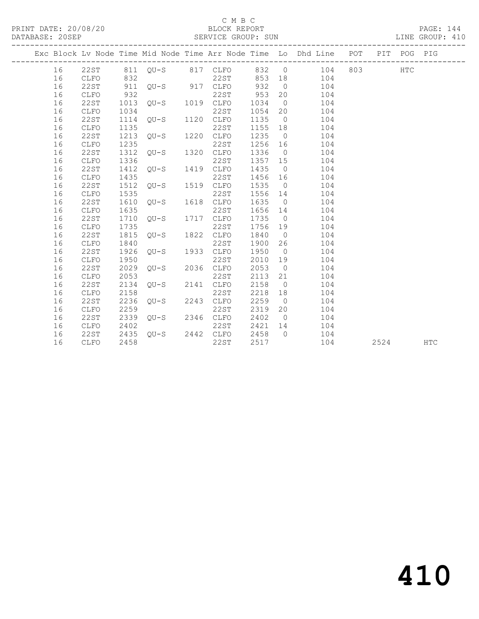## C M B C<br>BLOCK REPORT

| DATABASE: 20SEP |    | SERVICE GROUP: SUN |      |        |      |                   |       |                |                                                                                |     |      |            | LINE GROUP: 410 |  |
|-----------------|----|--------------------|------|--------|------|-------------------|-------|----------------|--------------------------------------------------------------------------------|-----|------|------------|-----------------|--|
|                 |    |                    |      |        |      |                   |       |                | Exc Block Lv Node Time Mid Node Time Arr Node Time Lo Dhd Line POT PIT POG PIG |     |      |            |                 |  |
|                 | 16 | 22ST               |      |        |      | 811 QU-S 817 CLFO | 832 0 |                | 104                                                                            | 803 |      | <b>HTC</b> |                 |  |
|                 | 16 | CLFO               | 832  |        |      | 22ST              | 853   | 18             | 104                                                                            |     |      |            |                 |  |
|                 | 16 | 22ST               | 911  | $QU-S$ |      | 917 CLFO          | 932   | $\overline{0}$ | 104                                                                            |     |      |            |                 |  |
|                 | 16 | CLFO               | 932  |        |      | 22ST              | 953   | 20             | 104                                                                            |     |      |            |                 |  |
|                 | 16 | 22ST               | 1013 | OU-S   |      | 1019 CLFO         | 1034  | $\overline{0}$ | 104                                                                            |     |      |            |                 |  |
|                 | 16 | <b>CLFO</b>        | 1034 |        |      | 22ST              | 1054  | 20             | 104                                                                            |     |      |            |                 |  |
|                 | 16 | 22ST               | 1114 | $OU-S$ |      | 1120 CLFO         | 1135  | $\overline{0}$ | 104                                                                            |     |      |            |                 |  |
|                 | 16 | CLFO               | 1135 |        |      | 22ST              | 1155  | 18             | 104                                                                            |     |      |            |                 |  |
|                 | 16 | 22ST               | 1213 | $OU-S$ | 1220 | CLFO              | 1235  | $\overline{0}$ | 104                                                                            |     |      |            |                 |  |
|                 | 16 | CLFO               | 1235 |        |      | 22ST              | 1256  | 16             | 104                                                                            |     |      |            |                 |  |
|                 | 16 | 22ST               | 1312 | OU-S   | 1320 | CLFO              | 1336  | $\overline{0}$ | 104                                                                            |     |      |            |                 |  |
|                 | 16 | <b>CLFO</b>        | 1336 |        |      | 22ST              | 1357  | 15             | 104                                                                            |     |      |            |                 |  |
|                 | 16 | 22ST               | 1412 | OU-S   | 1419 | CLFO              | 1435  | $\overline{0}$ | 104                                                                            |     |      |            |                 |  |
|                 | 16 | <b>CLFO</b>        | 1435 |        |      | 22ST              | 1456  | 16             | 104                                                                            |     |      |            |                 |  |
|                 | 16 | 22ST               | 1512 | $QU-S$ | 1519 | CLFO              | 1535  | $\bigcirc$     | 104                                                                            |     |      |            |                 |  |
|                 | 16 | <b>CLFO</b>        | 1535 |        |      | 22ST              | 1556  | 14             | 104                                                                            |     |      |            |                 |  |
|                 | 16 | 22ST               | 1610 | OU-S   | 1618 | CLFO              | 1635  | $\overline{0}$ | 104                                                                            |     |      |            |                 |  |
|                 | 16 | <b>CLFO</b>        | 1635 |        |      | 22ST              | 1656  | 14             | 104                                                                            |     |      |            |                 |  |
|                 | 16 | 22ST               | 1710 | OU-S   | 1717 | CLFO              | 1735  | $\overline{0}$ | 104                                                                            |     |      |            |                 |  |
|                 | 16 | <b>CLFO</b>        | 1735 |        |      | 22ST              | 1756  | 19             | 104                                                                            |     |      |            |                 |  |
|                 | 16 | <b>22ST</b>        | 1815 | OU-S   | 1822 | CLFO              | 1840  | $\overline{0}$ | 104                                                                            |     |      |            |                 |  |
|                 | 16 | <b>CLFO</b>        | 1840 |        |      | 22ST              | 1900  | 26             | 104                                                                            |     |      |            |                 |  |
|                 | 16 | 22ST               | 1926 | $OU-S$ | 1933 | CLFO              | 1950  | $\bigcirc$     | 104                                                                            |     |      |            |                 |  |
|                 | 16 | <b>CLFO</b>        | 1950 |        |      | 22ST              | 2010  | 19             | 104                                                                            |     |      |            |                 |  |
|                 | 16 | <b>22ST</b>        | 2029 | $OU-S$ |      | 2036 CLFO         | 2053  | $\overline{0}$ | 104                                                                            |     |      |            |                 |  |
|                 | 16 | ${\tt CLFO}$       | 2053 |        |      | 22ST              | 2113  | 21             | 104                                                                            |     |      |            |                 |  |
|                 | 16 | <b>22ST</b>        | 2134 | $OU-S$ | 2141 | CLFO              | 2158  | $\overline{0}$ | 104                                                                            |     |      |            |                 |  |
|                 | 16 | <b>CLFO</b>        | 2158 |        |      | 22ST              | 2218  | 18             | 104                                                                            |     |      |            |                 |  |
|                 | 16 | <b>22ST</b>        | 2236 | $OU-S$ |      | 2243 CLFO         | 2259  | $\overline{0}$ | 104                                                                            |     |      |            |                 |  |
|                 | 16 | <b>CLFO</b>        | 2259 |        |      | 22ST              | 2319  | 20             | 104                                                                            |     |      |            |                 |  |
|                 | 16 | 22ST               | 2339 | OU-S   |      | 2346 CLFO         | 2402  | $\bigcirc$     | 104                                                                            |     |      |            |                 |  |
|                 | 16 | <b>CLFO</b>        | 2402 |        |      | 22ST              | 2421  | 14             | 104                                                                            |     |      |            |                 |  |
|                 | 16 | 22ST               | 2435 | $OU-S$ |      | 2442 CLFO         | 2458  | $\bigcirc$     | 104                                                                            |     |      |            |                 |  |
|                 | 16 | CLFO               | 2458 |        |      | 22ST              | 2517  |                | 104                                                                            |     | 2524 |            | <b>HTC</b>      |  |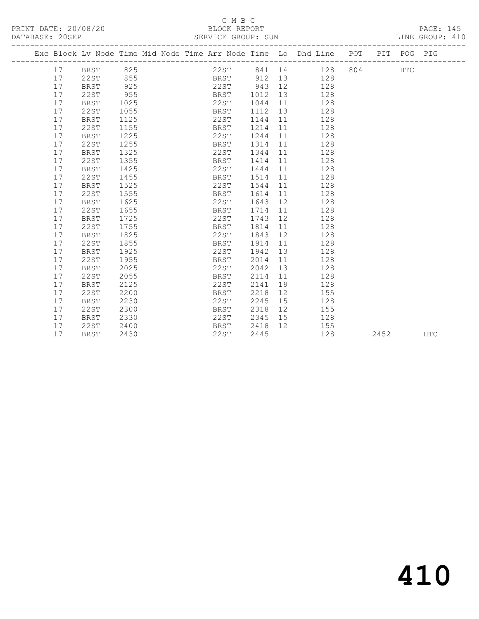PRINT DATE: 20/08/20 BLOCK REPORT PAGE: 145 DATABASE: 20SEP

### C M B C<br>BLOCK REPORT

-------------------------------------------------------------------------------------------------

|     | Exc Block Lv Node Time Mid Node Time Arr Node Time Lo Dhd Line |      |  |             |        |      |     | POT | PIT | POG        | PIG |
|-----|----------------------------------------------------------------|------|--|-------------|--------|------|-----|-----|-----|------------|-----|
| 17  | BRST                                                           | 825  |  | 22ST        | 841 14 |      | 128 | 804 |     | <b>HTC</b> |     |
| 17  | 22ST                                                           | 855  |  | BRST        | 912    | - 13 | 128 |     |     |            |     |
| 17  | <b>BRST</b>                                                    | 925  |  | 22ST        | 943    | 12   | 128 |     |     |            |     |
| 17  | 22ST                                                           | 955  |  | <b>BRST</b> | 1012   | - 13 | 128 |     |     |            |     |
| 17  | <b>BRST</b>                                                    | 1025 |  | 22ST        | 1044   | - 11 | 128 |     |     |            |     |
| 17  | 22ST                                                           | 1055 |  | <b>BRST</b> | 1112   | - 13 | 128 |     |     |            |     |
| T 7 | <b>BRST</b>                                                    | 1125 |  | 22ST        | 1144   |      | 128 |     |     |            |     |

| ⊥ / | ムムいエ        | エロンシ | ד חודת      | ᆂᆂᆂᄼ | ∸∸                | ᆂᅀᇰ |      |     |
|-----|-------------|------|-------------|------|-------------------|-----|------|-----|
| 17  | <b>BRST</b> | 1125 | 22ST        | 1144 | 11                | 128 |      |     |
| 17  | 22ST        | 1155 | <b>BRST</b> | 1214 | 11                | 128 |      |     |
| 17  | <b>BRST</b> | 1225 | 22ST        | 1244 | 11                | 128 |      |     |
| 17  | 22ST        | 1255 | <b>BRST</b> | 1314 | 11                | 128 |      |     |
| 17  | BRST        | 1325 | 22ST        | 1344 | 11                | 128 |      |     |
| 17  | 22ST        | 1355 | <b>BRST</b> | 1414 | 11                | 128 |      |     |
| 17  | BRST        | 1425 | 22ST        | 1444 | 11                | 128 |      |     |
| 17  | 22ST        | 1455 | BRST        | 1514 | 11                | 128 |      |     |
| 17  | BRST        | 1525 | 22ST        | 1544 | 11                | 128 |      |     |
| 17  | 22ST        | 1555 | <b>BRST</b> | 1614 | 11                | 128 |      |     |
| 17  | BRST        | 1625 | 22ST        | 1643 | 12                | 128 |      |     |
| 17  | 22ST        | 1655 | <b>BRST</b> | 1714 | 11                | 128 |      |     |
| 17  | BRST        | 1725 | 22ST        | 1743 | 12                | 128 |      |     |
| 17  | 22ST        | 1755 | <b>BRST</b> | 1814 | 11                | 128 |      |     |
| 17  | <b>BRST</b> | 1825 | 22ST        | 1843 | 12                | 128 |      |     |
| 17  | 22ST        | 1855 | BRST        | 1914 | 11                | 128 |      |     |
| 17  | <b>BRST</b> | 1925 | 22ST        | 1942 | 13                | 128 |      |     |
| 17  | 22ST        | 1955 | BRST        | 2014 | 11                | 128 |      |     |
| 17  | BRST        | 2025 | 22ST        | 2042 | 13                | 128 |      |     |
| 17  | 22ST        | 2055 | <b>BRST</b> | 2114 | 11                | 128 |      |     |
| 17  | BRST        | 2125 | 22ST        | 2141 | 19                | 128 |      |     |
| 17  | 22ST        | 2200 | BRST        | 2218 | $12 \overline{ }$ | 155 |      |     |
| 17  | BRST        | 2230 | 22ST        | 2245 | 15                | 128 |      |     |
| 17  | 22ST        | 2300 | <b>BRST</b> | 2318 | 12                | 155 |      |     |
| 17  | BRST        | 2330 | 22ST        | 2345 | 15                | 128 |      |     |
| 17  | 22ST        | 2400 | <b>BRST</b> | 2418 | 12                | 155 |      |     |
| 17  | <b>BRST</b> | 2430 | 22ST        | 2445 |                   | 128 | 2452 | HTC |
|     |             |      |             |      |                   |     |      |     |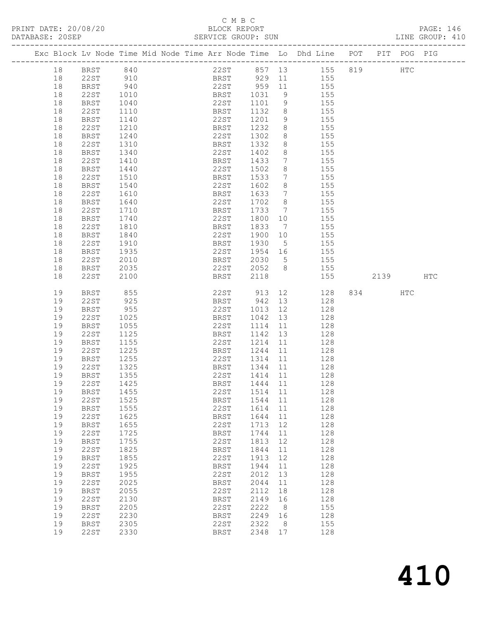## C M B C<br>BLOCK REPORT<br>SERVICE GROUP: SUN

| DATABASE: 20SEP |    |             |                                                                                | SERVICE GROUP: SUN |         |                 |                                                       |          | LINE GROUP: 410 |  |
|-----------------|----|-------------|--------------------------------------------------------------------------------|--------------------|---------|-----------------|-------------------------------------------------------|----------|-----------------|--|
|                 |    |             | Exc Block Lv Node Time Mid Node Time Arr Node Time Lo Dhd Line POT PIT POG PIG |                    |         |                 |                                                       |          |                 |  |
|                 | 18 | BRST 840    |                                                                                |                    |         |                 | 22ST 857 13 155 819 HTC                               |          |                 |  |
|                 | 18 | 22ST 910    |                                                                                |                    |         |                 | BRST 929 11 155                                       |          |                 |  |
|                 | 18 | BRST        |                                                                                |                    |         |                 |                                                       |          |                 |  |
|                 | 18 | 22ST        | $940$<br>$1010$<br>$1040$                                                      |                    |         |                 | 22ST 959 11 155<br>BRST 1031 9 155<br>22ST 1101 9 155 |          |                 |  |
|                 | 18 | BRST        |                                                                                |                    |         |                 |                                                       |          |                 |  |
|                 | 18 | 22ST        | 1110                                                                           | <b>BRST</b>        | 1132    |                 | 8 155                                                 |          |                 |  |
|                 | 18 |             |                                                                                | 22ST               | 1201    | 9               | 155                                                   |          |                 |  |
|                 |    | BRST        | 1140                                                                           |                    |         |                 | 155                                                   |          |                 |  |
|                 | 18 | 22ST        | 1210                                                                           | BRST               | 1232    | 8 <sup>8</sup>  |                                                       |          |                 |  |
|                 | 18 | BRST        | 1240                                                                           | 22ST               | 1302    | 8 <sup>8</sup>  | 155                                                   |          |                 |  |
|                 | 18 | 22ST        | 1310                                                                           | BRST               | 1332    | 8 <sup>8</sup>  | 155                                                   |          |                 |  |
|                 | 18 | BRST        | 1340                                                                           | 22ST               | 1402    | 8               | 155                                                   |          |                 |  |
|                 | 18 | 22ST        | 1410                                                                           | BRST               | 1433    | $7\overline{ }$ | 155                                                   |          |                 |  |
|                 | 18 | BRST        | 1440                                                                           | 22ST               | 1502    | 8               | 155                                                   |          |                 |  |
|                 | 18 | 22ST        | 1510                                                                           | BRST               | 1533    |                 | 7 155                                                 |          |                 |  |
|                 | 18 | BRST        | 1540                                                                           | 22ST               | 1602    | 8 <sup>8</sup>  | 155                                                   |          |                 |  |
|                 | 18 | 22ST        | 1610<br>1640                                                                   | BRST               | 1633    | $7\overline{ }$ | 155                                                   |          |                 |  |
|                 | 18 | BRST        |                                                                                | 22ST               | 1702 8  |                 | 155                                                   |          |                 |  |
|                 | 18 | 22ST        | 1710                                                                           | <b>BRST</b>        | 1733 7  |                 | 155                                                   |          |                 |  |
|                 | 18 | BRST        | 1740                                                                           | 22ST               | 1800    | 10              | 155                                                   |          |                 |  |
|                 | 18 | 22ST        | 1810                                                                           | BRST               | 1833    | $\overline{7}$  | 155                                                   |          |                 |  |
|                 | 18 | BRST        | 1840                                                                           | 22ST               | 1900 10 |                 | 155                                                   |          |                 |  |
|                 | 18 | 22ST        | 1910                                                                           | <b>BRST</b>        | 1930    | $5^{\circ}$     | 155                                                   |          |                 |  |
|                 | 18 | BRST        | 1935                                                                           | 22ST               |         |                 | 1954 16 155                                           |          |                 |  |
|                 | 18 | 22ST        | 2010                                                                           | <b>BRST</b>        | 2030 5  |                 | 155                                                   |          |                 |  |
|                 | 18 | BRST        | 2035                                                                           | 22ST               | 2052 8  |                 | 155                                                   |          |                 |  |
|                 | 18 | 22ST        | 2100                                                                           | <b>BRST</b>        | 2118    |                 | 155                                                   | 2139 HTC |                 |  |
|                 |    |             |                                                                                |                    |         |                 |                                                       |          |                 |  |
|                 | 19 | <b>BRST</b> | 855                                                                            | 22ST 913           |         | 12              | 128                                                   | 834 HTC  |                 |  |
|                 | 19 | 22ST        | 925                                                                            | <b>BRST</b>        | 942 13  |                 | 128                                                   |          |                 |  |
|                 | 19 | BRST        | 955                                                                            | 22ST               | 1013 12 |                 | 128                                                   |          |                 |  |
|                 | 19 | 22ST        | 1025                                                                           | <b>BRST</b>        | 1042 13 |                 | 128                                                   |          |                 |  |
|                 | 19 | BRST        | 1055                                                                           | 22ST               | 1114    | 11              | 128                                                   |          |                 |  |
|                 | 19 | 22ST        | 1125                                                                           | BRST               | 1142 13 |                 | 128                                                   |          |                 |  |
|                 | 19 | BRST        | 1155                                                                           | 22ST               | 1214    | 11              | 128                                                   |          |                 |  |
|                 | 19 | 22ST        | 1225                                                                           | <b>BRST</b>        | 1244    |                 | 11 128                                                |          |                 |  |
|                 | 19 | BRST        | 1255                                                                           | 22ST               | 1314    | 11              | 128                                                   |          |                 |  |
|                 | 19 | 22ST        |                                                                                | BRST               | 1344 11 |                 | 128                                                   |          |                 |  |
|                 | 19 | BRST        | 1325<br>1355                                                                   | 22ST               | 1414 11 |                 | 128                                                   |          |                 |  |
|                 | 19 | 22ST 1425   |                                                                                | BRST 1444 11 128   |         |                 |                                                       |          |                 |  |
|                 | 19 | BRST        | 1455                                                                           | 22ST               | 1514    | 11              | 128                                                   |          |                 |  |
|                 | 19 | 22ST        | 1525                                                                           | BRST               | 1544 11 |                 | 128                                                   |          |                 |  |
|                 | 19 | <b>BRST</b> | 1555                                                                           | 22ST               | 1614    | 11              | 128                                                   |          |                 |  |
|                 | 19 | 22ST        | 1625                                                                           | BRST               | 1644    | 11              | 128                                                   |          |                 |  |
|                 | 19 | <b>BRST</b> | 1655                                                                           | 22ST               | 1713    | 12              | 128                                                   |          |                 |  |
|                 | 19 | 22ST        | 1725                                                                           | BRST               | 1744    | 11              | 128                                                   |          |                 |  |
|                 | 19 | <b>BRST</b> | 1755                                                                           | 22ST               | 1813    | 12              | 128                                                   |          |                 |  |
|                 | 19 | 22ST        | 1825                                                                           | BRST               | 1844    |                 | 128                                                   |          |                 |  |
|                 | 19 |             | 1855                                                                           | 22ST               | 1913    | 11<br>12        | 128                                                   |          |                 |  |
|                 |    | BRST        |                                                                                |                    |         |                 |                                                       |          |                 |  |
|                 | 19 | 22ST        | 1925                                                                           | BRST               | 1944    | 11              | 128                                                   |          |                 |  |
|                 | 19 | <b>BRST</b> | 1955                                                                           | 22ST               | 2012    | 13              | 128                                                   |          |                 |  |
|                 | 19 | 22ST        | 2025                                                                           | BRST               | 2044    | 11              | 128                                                   |          |                 |  |
|                 | 19 | <b>BRST</b> | 2055                                                                           | 22ST               | 2112    | 18              | 128                                                   |          |                 |  |
|                 | 19 | 22ST        | 2130                                                                           | BRST               | 2149    | 16              | 128                                                   |          |                 |  |
|                 | 19 | <b>BRST</b> | 2205                                                                           | 22ST               | 2222    | 8               | 155                                                   |          |                 |  |
|                 | 19 | 22ST        | 2230                                                                           | BRST               | 2249    | 16              | 128                                                   |          |                 |  |
|                 | 19 | <b>BRST</b> | 2305                                                                           | 22ST               | 2322    | 8               | 155                                                   |          |                 |  |
|                 | 19 | 22ST        | 2330                                                                           | <b>BRST</b>        | 2348 17 |                 | 128                                                   |          |                 |  |
|                 |    |             |                                                                                |                    |         |                 |                                                       |          |                 |  |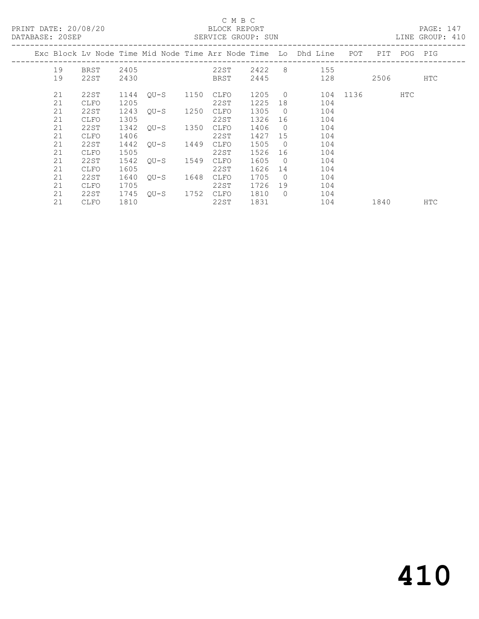| PRINT DATE: 20/08/20<br>DATABASE: 20SEP |                   |              |                |      | C M B C<br>BLOCK REPORT<br>SERVICE GROUP: SUN |                 |                      |                                                                    |              |             | PAGE: 147<br>LINE GROUP: 410 |  |
|-----------------------------------------|-------------------|--------------|----------------|------|-----------------------------------------------|-----------------|----------------------|--------------------------------------------------------------------|--------------|-------------|------------------------------|--|
|                                         |                   |              |                |      |                                               |                 |                      | Exc Block Lv Node Time Mid Node Time Arr Node Time Lo Dhd Line POT |              | PIT POG PIG |                              |  |
| 19<br>19                                | BRST 2405<br>22ST | 2430         |                |      | BRST                                          |                 |                      | 22ST 2422 8 155<br>2445 128                                        |              | 2506 7      | HTC                          |  |
| 21<br>21                                | 22ST<br>CLFO      | 1144<br>1205 | OU-S 1150      |      | CLFO<br>22ST                                  | 1205 0<br>1225  | 18                   | 104                                                                | 104 1136 HTC |             |                              |  |
| 21<br>21                                | 22ST<br>CLFO      | 1305         | 1243 QU-S 1250 |      | CLFO<br>22ST                                  | 1305 0<br>1326  | 16                   | 104<br>104                                                         |              |             |                              |  |
| 21<br>21                                | 22ST<br>CLFO      | 1342<br>1406 | OU-S 1350      |      | CLFO<br>22ST                                  | 1406<br>1427 15 | $\overline{0}$       | 104<br>104                                                         |              |             |                              |  |
| 21<br>21                                | 22ST<br>CLFO      | 1442<br>1505 | OU-S           | 1449 | CLFO<br>22ST                                  | 1505<br>1526    | $\bigcirc$<br>16     | 104<br>104                                                         |              |             |                              |  |
| 21<br>21                                | 22ST<br>CLFO      | 1542<br>1605 | OU-S 1549      |      | CLFO<br>22ST                                  | 1605<br>1626    | $\overline{0}$<br>14 | 104<br>104                                                         |              |             |                              |  |
| 21<br>21                                | 22ST<br>CLFO      | 1640<br>1705 | OU-S 1648      |      | CLFO<br>22ST                                  | 1705<br>1726    | $\overline{0}$<br>19 | 104<br>104                                                         |              |             |                              |  |
| 21<br>21                                | 22ST<br>CLFO      | 1745<br>1810 | OU-S 1752 CLFO |      | 22ST                                          | 1810<br>1831    | $\bigcirc$           | 104<br>104                                                         | 1840         |             | HTC                          |  |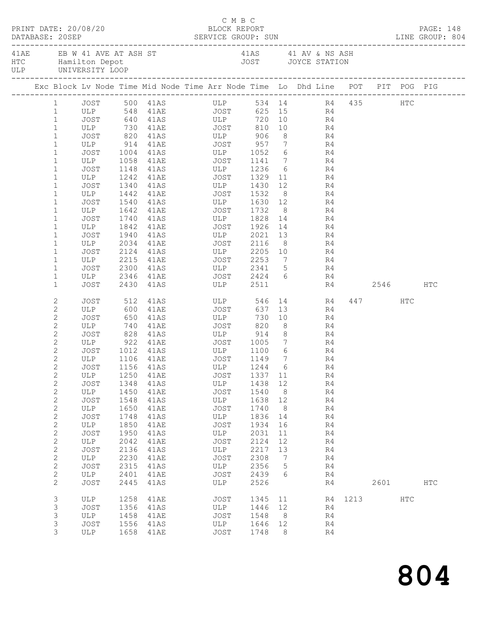|  |                              | PRINT DATE: 20/08/20 |      | DATABASE: 20SEP SERVICE GROUP: SUN LINE GROUP: 804                                                 | C M B C<br>BLOCK REPORT    |         |                |           |          |             |           | PAGE: 148     |  |
|--|------------------------------|----------------------|------|----------------------------------------------------------------------------------------------------|----------------------------|---------|----------------|-----------|----------|-------------|-----------|---------------|--|
|  |                              |                      |      | 41AE EB W 41 AVE AT ASH ST 41AS 41 AV & NS ASH HTC Hamilton Depot 41 AV & NS ASH JOYCE STATION ULP |                            |         |                |           |          |             |           |               |  |
|  |                              |                      |      | Exc Block Lv Node Time Mid Node Time Arr Node Time Lo Dhd Line POT PIT POG PIG                     |                            |         |                |           |          |             |           |               |  |
|  |                              |                      |      | 1 JOST 500 41AS ULP 534 14 R4 435 HTC                                                              |                            |         |                |           |          |             |           |               |  |
|  | 1                            |                      |      |                                                                                                    |                            |         |                |           |          |             |           |               |  |
|  | $\mathbf{1}$                 |                      |      |                                                                                                    |                            |         |                |           |          |             |           |               |  |
|  | $\mathbf{1}$                 |                      |      | ULP 730 41AE JOST                                                                                  |                            |         |                | 810 10 R4 |          |             |           |               |  |
|  | $\mathbf{1}$                 |                      |      | JOST 820 41AS ULP 906                                                                              |                            |         |                | 8 R4      |          |             |           |               |  |
|  | $\mathbf 1$                  |                      |      | ULP 914 41AE JOST 957 7 R4<br>JOST 1004 41AS ULP 1052 6 R4                                         |                            |         |                |           |          |             |           |               |  |
|  | $\mathbf 1$                  |                      |      | 50 JOST 1004 41 AS ULP 1052 6 R4<br>ULP 1058 41 AE JOST 1141 7 R4                                  |                            |         |                |           |          |             |           |               |  |
|  | $\mathbf 1$                  |                      |      |                                                                                                    |                            |         |                |           |          |             |           |               |  |
|  | $\mathbf 1$                  | JOST                 |      | 1148 41AS ULP 1236 6 R4                                                                            |                            |         |                |           |          |             |           |               |  |
|  | $\mathbf 1$<br>$\mathbf{1}$  | ULP<br>JOST          |      | 1242 41AE JOST 1329 11                                                                             |                            |         |                |           | R4       |             |           |               |  |
|  | $\mathbf{1}$                 | ULP                  |      | 1340 41AS ULP 1430<br>1442 41AE JOST 1532                                                          | ULP 1430 12<br>JOST 1532 8 |         |                |           | R4<br>R4 |             |           |               |  |
|  | $\mathbf{1}$                 | JOST                 |      | 1540 41AS ULP 1630 12 R4                                                                           |                            |         |                |           |          |             |           |               |  |
|  | $\mathbf{1}$                 | ULP                  |      | 1642 41AE JOST 1732                                                                                |                            |         |                | 8 R4      |          |             |           |               |  |
|  | $\mathbf{1}$                 | JOST                 |      |                                                                                                    |                            |         |                |           |          |             |           |               |  |
|  | $\mathbf 1$                  | ULP                  |      |                                                                                                    |                            |         |                |           |          |             |           |               |  |
|  | $\mathbf{1}$                 | JOST                 |      | 1940 41AS ULP 2021 13 R4                                                                           |                            |         |                |           |          |             |           |               |  |
|  | $\mathbf 1$                  | ULP                  | 2034 | 41AE JOST 2116                                                                                     |                            |         |                | $8 - 1$   | R4       |             |           |               |  |
|  | $\mathbf 1$                  | JOST                 |      |                                                                                                    |                            |         |                |           |          |             |           |               |  |
|  | $\mathbf{1}$                 | ULP                  |      | 2124 41AS ULP 2205 10 R4<br>2215 41AE JOST 2253 7 R4                                               |                            |         |                |           |          |             |           |               |  |
|  | $\mathbf 1$                  | JOST                 |      | 2300 41AS ULP 2341 5 R4                                                                            |                            |         |                |           |          |             |           |               |  |
|  | $\mathbf 1$                  | ULP                  |      | 2346 41AE JOST 2424 6 R4                                                                           |                            |         |                |           |          |             |           |               |  |
|  | $\mathbf{1}$                 | JOST                 |      | 2430 41AS ULP 2511                                                                                 |                            |         |                |           |          | R4 2546     |           | HTC           |  |
|  | 2                            | JOST                 |      | 512 41AS ULP                                                                                       |                            | 546     |                |           | 14 R4    |             | 447 HTC   |               |  |
|  | $\mathbf{2}$                 | ULP 600              |      | 41AE JOST                                                                                          |                            | 637     |                | 13        | R4       |             |           |               |  |
|  | $\mathbf{2}$                 | JOST                 |      | 650 41AS<br>740 41AE<br>41AS ULP<br>41AE JOST                                                      |                            | 730     |                | 10        | R4       |             |           |               |  |
|  | $\mathbf{2}$                 | ULP                  |      | 828 41AS ULP 914 8 R4                                                                              |                            | 820     | 8 <sup>8</sup> |           | R4       |             |           |               |  |
|  | $\mathbf{2}$                 | JOST                 |      |                                                                                                    |                            |         |                |           |          |             |           |               |  |
|  | $\mathbf{2}$<br>$\mathbf{2}$ | JOST                 |      | ULP 922 41AE JOST 1005 7 R4                                                                        |                            |         |                |           |          |             |           |               |  |
|  | $\overline{c}$               | ULP 1106 41AE        |      |                                                                                                    |                            |         | $\overline{7}$ | $6$ R4    | R4       |             |           |               |  |
|  | 2                            |                      |      | JOST 1156 41AS ULP 1244 6 R4                                                                       |                            |         |                |           |          |             |           |               |  |
|  | 2                            | ULP                  | 1250 | 41AE                                                                                               | JOST                       | 1337 11 |                |           | R4       |             |           |               |  |
|  | $\mathbf{2}$                 | JOST                 | 1348 | 41AS                                                                                               | ULP                        | 1438 12 |                |           | R4       |             |           |               |  |
|  | $\sqrt{2}$                   | ULP                  | 1450 | 41AE                                                                                               | JOST                       | 1540    | 8 <sup>8</sup> |           | R4       |             |           |               |  |
|  | $\sqrt{2}$                   | JOST                 | 1548 | 41AS                                                                                               | ULP                        | 1638    | 12             |           | R4       |             |           |               |  |
|  | $\sqrt{2}$                   | ULP                  | 1650 | 41AE                                                                                               | JOST                       | 1740    | 8              |           | R4       |             |           |               |  |
|  | $\sqrt{2}$                   | <b>JOST</b>          | 1748 | 41AS                                                                                               | ULP                        | 1836    | 14             |           | R4       |             |           |               |  |
|  | $\sqrt{2}$                   | ULP                  | 1850 | 41AE                                                                                               | JOST                       | 1934    | 16             |           | R4       |             |           |               |  |
|  | $\mathbf{2}$                 | JOST                 | 1950 | 41AS                                                                                               | ULP                        | 2031    | 11             |           | R4       |             |           |               |  |
|  | $\mathbf{2}$                 | ULP                  | 2042 | 41AE                                                                                               | JOST                       | 2124    | 12             |           | R4       |             |           |               |  |
|  | $\mathbf{2}$                 | <b>JOST</b>          | 2136 | 41AS                                                                                               | ULP                        | 2217    | 13             |           | R4       |             |           |               |  |
|  | $\mathbf{2}$                 | ULP                  | 2230 | 41AE                                                                                               | JOST                       | 2308    | $\overline{7}$ |           | R4       |             |           |               |  |
|  | $\sqrt{2}$                   | JOST                 | 2315 | 41AS                                                                                               | ULP                        | 2356    | $5^{\circ}$    |           | R4       |             |           |               |  |
|  | $\mathbf{2}$                 | ULP                  | 2401 | 41AE                                                                                               | JOST                       | 2439    | 6              |           | R4       |             |           |               |  |
|  | $\mathbf{2}$                 | <b>JOST</b>          | 2445 | 41AS                                                                                               | ULP                        | 2526    |                |           | R4       |             | 2601 2002 | $_{\rm{HTC}}$ |  |
|  | 3                            | ULP                  | 1258 | 41AE                                                                                               | JOST                       | 1345 11 |                |           |          | R4 1213 HTC |           |               |  |
|  | 3                            | JOST                 | 1356 | 41AS                                                                                               | ULP                        | 1446 12 |                |           | R4       |             |           |               |  |
|  | 3                            | ULP                  | 1458 | 41AE                                                                                               | JOST                       | 1548    | 8 <sup>8</sup> |           | R4       |             |           |               |  |
|  | 3                            | JOST                 | 1556 | 41AS                                                                                               | ULP                        | 1646    | 12             |           | R4       |             |           |               |  |
|  | 3                            | ULP                  |      | 1658 41AE                                                                                          | JOST                       | 1748    | - 8            |           | R4       |             |           |               |  |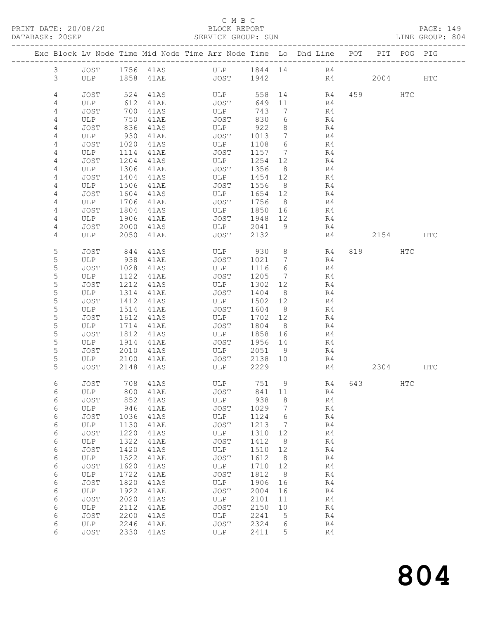PRINT DATE: 20/08/20<br>DATABASE: 20SEP

## C M B C<br>BLOCK REPORT<br>SERVICE GROUP: SUN

PAGE: 149<br>LINE GROUP: 804

|  | DAIABASE; ZUSEF |             |              |                                                                    | PERATOR GROOF: POM |                 |                      |    |                      |                        |             | TIME GROOF: 004 |
|--|-----------------|-------------|--------------|--------------------------------------------------------------------|--------------------|-----------------|----------------------|----|----------------------|------------------------|-------------|-----------------|
|  |                 |             |              | Exc Block Lv Node Time Mid Node Time Arr Node Time Lo Dhd Line POT |                    |                 |                      |    |                      |                        | PIT POG PIG |                 |
|  | $\mathfrak{Z}$  | JOST        |              | 1756 41AS                                                          | ULP                | 1844 14         |                      | R4 |                      |                        |             |                 |
|  | 3               | ULP         |              | 1858 41AE                                                          | JOST               | 1942            |                      |    | R4                   | 2004                   |             | <b>HTC</b>      |
|  | 4               | JOST        | 524          | 41AS                                                               | ULP                | 558             |                      |    | R4                   | 459 and $\overline{a}$ | HTC         |                 |
|  | 4               | ULP         | 612          | 41AE                                                               | JOST               | 649             | 11                   |    | R4                   |                        |             |                 |
|  | 4               | JOST        | 700          | 41AS                                                               | ULP                | 743             | $7\phantom{.0}\,$    |    | R4                   |                        |             |                 |
|  | 4               | ULP         | 750          | 41AE                                                               | JOST               | 830             | 6                    |    | R4                   |                        |             |                 |
|  | 4               | JOST        | 836          | 41AS                                                               | ULP                | 922             | 8                    |    | R4                   |                        |             |                 |
|  | 4               | ULP         | 930          | 41AE                                                               | JOST               | 1013            | $\overline{7}$       |    | R4                   |                        |             |                 |
|  | 4               | JOST        | 1020         | 41AS                                                               | ULP                | 1108            | 6                    |    | R4                   |                        |             |                 |
|  | 4               | ULP         | 1114         | 41AE                                                               | JOST               | 1157            | $\overline{7}$       |    | R4                   |                        |             |                 |
|  | 4               | JOST        | 1204         | 41AS                                                               | ULP                | 1254            | 12                   |    | R4                   |                        |             |                 |
|  | 4<br>4          | ULP<br>JOST | 1306<br>1404 | 41AE<br>41AS                                                       | JOST<br>ULP        | 1356<br>1454 12 | 8                    |    | R4<br>R4             |                        |             |                 |
|  | 4               | ULP         | 1506         | 41AE                                                               | JOST               | 1556            | 8 <sup>8</sup>       |    | R4                   |                        |             |                 |
|  | 4               | JOST        | 1604         | 41AS                                                               | ULP                | 1654 12         |                      |    | R4                   |                        |             |                 |
|  | 4               | ULP         | 1706         | 41AE                                                               | JOST               | 1756            | 8 <sup>8</sup>       |    | R4                   |                        |             |                 |
|  | 4               | JOST        | 1804         | 41AS                                                               | ULP                | 1850 16         |                      |    | R4                   |                        |             |                 |
|  | 4               | ULP         | 1906         | 41AE                                                               | JOST               | 1948 12         |                      |    | R4                   |                        |             |                 |
|  | 4               | JOST        | 2000         | 41AS                                                               | ULP                | 2041            | 9                    |    | R4                   |                        |             |                 |
|  | 4               | ULP         | 2050         | 41AE                                                               | JOST               | 2132            |                      |    | R4                   | 2154                   |             | HTC             |
|  | 5               | JOST        | 844          | 41AS                                                               | ULP                | 930             | 8                    |    | 819<br>R4            |                        | HTC         |                 |
|  | 5               | ULP         | 938          | 41AE                                                               | JOST               | 1021            | $7\overline{ }$      |    | R4                   |                        |             |                 |
|  | 5               | JOST        | 1028         | 41AS                                                               | ULP                | 1116            | 6                    |    | R4                   |                        |             |                 |
|  | $\mathsf S$     | ULP         | 1122         | 41AE                                                               | JOST               | 1205            | $\overline{7}$       |    | R4                   |                        |             |                 |
|  | 5               | JOST        | 1212         | 41AS                                                               | ULP                | 1302            | 12                   |    | R4                   |                        |             |                 |
|  | 5               | ULP         | 1314         | 41AE                                                               | JOST               | 1404            | 8 <sup>8</sup>       |    | R4                   |                        |             |                 |
|  | 5<br>5          | JOST<br>ULP | 1412<br>1514 | 41AS<br>41AE                                                       | ULP<br>JOST        | 1502<br>1604    | 12<br>8 <sup>8</sup> |    | R4<br>R4             |                        |             |                 |
|  | 5               | JOST        | 1612         | 41AS                                                               | ULP                | 1702 12         |                      |    | R4                   |                        |             |                 |
|  | 5               | ULP         | 1714         | 41AE                                                               | JOST               | 1804            | 8 <sup>8</sup>       |    | R4                   |                        |             |                 |
|  | 5               | JOST        | 1812         | 41AS                                                               | ULP                | 1858            | 16                   |    | R4                   |                        |             |                 |
|  | 5               | ULP         | 1914         | 41AE                                                               | JOST               | 1956            | 14                   |    | R4                   |                        |             |                 |
|  | 5               | JOST        | 2010         | 41AS                                                               | ULP                | 2051            | 9                    |    | R4                   |                        |             |                 |
|  | 5               | ULP         | 2100         | 41AE                                                               | JOST               | 2138            | 10                   |    | R4                   |                        |             |                 |
|  | 5               | JOST        | 2148         | 41AS                                                               | ULP                | 2229            |                      |    | R4                   | 2304                   |             | <b>HTC</b>      |
|  | 6               | JOST        |              | 708 41AS                                                           | ULP                | 751             | 9                    |    | R4<br>643            |                        | HTC         |                 |
|  | 6               | ULP         | 800          | <b>41AE</b>                                                        | JOST               | 841             | 11                   |    | R4                   |                        |             |                 |
|  | 6               | <b>JOST</b> | 852          | 41AS                                                               | ULP                | 938             | 8                    |    | R4                   |                        |             |                 |
|  | 6<br>6          | ULP<br>JOST | 946<br>1036  | <b>41AE</b><br>41AS                                                | JOST<br>ULP        | 1029<br>1124    | 7<br>6               |    | R4<br>R4             |                        |             |                 |
|  | 6               | ULP         | 1130         | 41AE                                                               | JOST               | 1213            | 7                    |    | R4                   |                        |             |                 |
|  | 6               | JOST        | 1220         | 41AS                                                               | ULP                | 1310            | 12                   |    | R4                   |                        |             |                 |
|  | 6               | ULP         | 1322         | 41AE                                                               | JOST               | 1412            | 8                    |    | R4                   |                        |             |                 |
|  | 6               | <b>JOST</b> | 1420         | 41AS                                                               | ULP                | 1510            | 12                   |    | R4                   |                        |             |                 |
|  | 6               | ULP         | 1522         | 41AE                                                               | JOST               | 1612            | 8                    |    | R4                   |                        |             |                 |
|  | 6               | <b>JOST</b> | 1620         | 41AS                                                               | ULP                | 1710            | 12                   |    | R4                   |                        |             |                 |
|  | 6               | ULP         | 1722         | 41AE                                                               | JOST               | 1812            | 8                    |    | R4                   |                        |             |                 |
|  | 6               | <b>JOST</b> | 1820         | 41AS                                                               | ULP                | 1906            | 16                   |    | R4                   |                        |             |                 |
|  | 6<br>6          | ULP<br>JOST | 1922<br>2020 | 41AE<br>41AS                                                       | JOST<br>ULP        | 2004<br>2101    | 16<br>11             |    | R <sub>4</sub><br>R4 |                        |             |                 |
|  | 6               | ULP         | 2112         | 41AE                                                               | JOST               | 2150            | 10                   |    | R <sub>4</sub>       |                        |             |                 |
|  | 6               | <b>JOST</b> | 2200         | 41AS                                                               | ULP                | 2241            | 5                    |    | R <sub>4</sub>       |                        |             |                 |
|  | 6               | ULP         | 2246         | 41AE                                                               | JOST               | 2324            | 6                    |    | R4                   |                        |             |                 |
|  | 6               | JOST        | 2330         | 41AS                                                               | ULP                | 2411            | 5                    |    | R4                   |                        |             |                 |
|  |                 |             |              |                                                                    |                    |                 |                      |    |                      |                        |             |                 |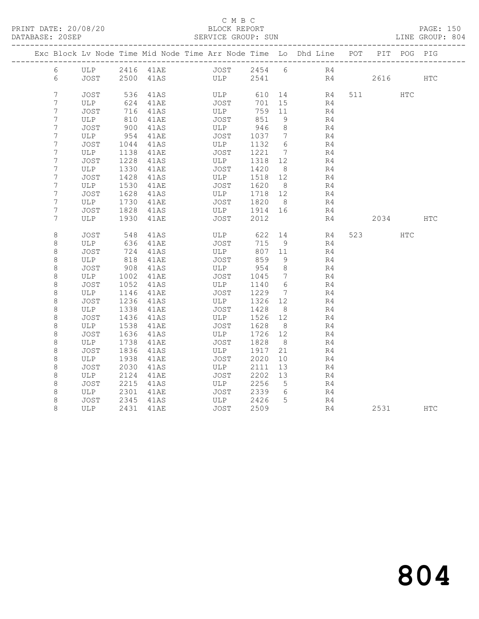#### C M B C<br>BLOCK REPORT SERVICE GROUP: SUN

|                  |             |              |              | Exc Block Lv Node Time Mid Node Time Arr Node Time Lo Dhd Line POT PIT POG PIG |                 |                 |                |    |          |            |            |
|------------------|-------------|--------------|--------------|--------------------------------------------------------------------------------|-----------------|-----------------|----------------|----|----------|------------|------------|
| 6                |             |              |              |                                                                                |                 |                 |                |    |          |            |            |
| 6                |             |              |              | JOST 2500 41AS ULP 2541                                                        |                 |                 |                | R4 | 2616     |            | <b>HTC</b> |
| $7\phantom{.}$   | JOST        | 536          | 41AS         | ULP                                                                            |                 |                 | 610 14 R4      |    | 511 72   | HTC        |            |
| 7                | ULP         | 624          | 41AE         | JOST                                                                           | 701 15          |                 | R4             |    |          |            |            |
| $\boldsymbol{7}$ | JOST        |              | 716 41AS     | ULP                                                                            | 759 11          |                 | R4             |    |          |            |            |
| 7                | ULP         | 810          | 41AE         | JOST                                                                           | 851             | - 9             | R4             |    |          |            |            |
| 7                | JOST        | 900          | 41AS         | ULP                                                                            | 946             | 8 <sup>8</sup>  | R4             |    |          |            |            |
| 7                | ULP         | 954          | 41AE         | JOST                                                                           | 1037            | $7\phantom{0}$  | R4             |    |          |            |            |
| 7                | JOST        | 1044         | 41AS         | ULP                                                                            | 1132            | 6               | R4             |    |          |            |            |
| 7                | ULP         | 1138         | 41AE         | JOST                                                                           | 1221 7          |                 | R4             |    |          |            |            |
| 7                | JOST        | 1228         | 41AS         | ULP                                                                            | 1318 12         |                 | R4             |    |          |            |            |
| 7                | ULP         | 1330         | 41AE         | JOST                                                                           | 1420            | 8 <sup>8</sup>  | R4             |    |          |            |            |
| 7                | JOST        | 1428         | 41AS         | ULP                                                                            | 1518 12         |                 | R4             |    |          |            |            |
| 7                | ULP         | 1530         | 41AE         | JOST                                                                           | 1620 8          |                 | R4             |    |          |            |            |
| 7                | JOST        | 1628         | 41AS         | ULP                                                                            | 1718 12         |                 | R4             |    |          |            |            |
| 7                | ULP         | 1730         | 41AE         | JOST                                                                           | 1820 8          |                 | R4             |    |          |            |            |
| $\overline{7}$   | JOST        | 1828         | 41AS         | ULP 1914 16                                                                    |                 |                 | R4             |    |          |            |            |
| 7                | ULP         | 1930         | 41AE         | JOST                                                                           | 2012            |                 | R4             |    | 2034 HTC |            |            |
|                  |             |              |              |                                                                                |                 |                 |                |    |          |            |            |
| 8                | JOST        | 548          | 41AS         | ULP <sub>2</sub>                                                               | 622             |                 | 14 R4          |    | 523      | <b>HTC</b> |            |
| 8                | ULP         | 636          | 41AE         | JOST                                                                           | 715 9           |                 | R4             |    |          |            |            |
| 8                | JOST        | 724          | 41AS         | ULP                                                                            | 807 11          |                 | R4             |    |          |            |            |
| 8                | ULP         | 818          | 41AE         | JOST                                                                           | 859             | - 9             | R4             |    |          |            |            |
| $\,8\,$          | JOST        | 908          | 41AS         | ULP                                                                            | 954             | 8 <sup>8</sup>  | R4             |    |          |            |            |
| $\,8\,$          | ULP         | 1002         | 41AE         | JOST                                                                           | 1045            | $7\phantom{0}$  | R <sub>4</sub> |    |          |            |            |
| $\,8\,$          | JOST        | 1052         | 41AS         | ULP                                                                            | 1140            | $6\overline{6}$ | R4             |    |          |            |            |
| $\,8\,$          | ULP         | 1146         | 41AE         | JOST                                                                           | 1229            | $\overline{7}$  | R4             |    |          |            |            |
| 8                | JOST        | 1236         | 41AS         | ULP                                                                            | 1326 12         |                 | R4             |    |          |            |            |
| 8<br>$\,8\,$     | ULP<br>JOST | 1338<br>1436 | 41AE<br>41AS | JOST<br>ULP                                                                    | 1428<br>1526 12 | 8 <sup>8</sup>  | R4<br>R4       |    |          |            |            |
| 8                | ULP         | 1538         | 41AE         | JOST                                                                           | 1628            | 8               | R4             |    |          |            |            |
| $\,8\,$          | JOST        | 1636         | 41AS         | ULP                                                                            | 1726            | 12              | R4             |    |          |            |            |
| $\,8\,$          | ULP         | 1738         | 41AE         | JOST                                                                           | 1828 8          |                 | R4             |    |          |            |            |
| 8                | JOST        | 1836         | 41AS         | ULP                                                                            | 1917            | 21              | R4             |    |          |            |            |
| 8                | ULP         | 1938         | 41AE         | JOST                                                                           | 2020            | 10              | R4             |    |          |            |            |
| $\,8\,$          | JOST        | 2030         | 41AS         | ULP                                                                            | 2111            | 13              | R4             |    |          |            |            |
| $\,8\,$          | ULP         | 2124         | 41AE         | JOST                                                                           | 2202            | 13              | R4             |    |          |            |            |
| 8                | JOST        | 2215         | 41AS         | ULP                                                                            | 2256            | $5\overline{)}$ | R4             |    |          |            |            |
| 8                | ULP         | 2301         | 41AE         | JOST                                                                           | 2339            | 6               | R4             |    |          |            |            |
| 8                | JOST        | 2345         | 41AS         | ULP                                                                            | 2426            | $5^{\circ}$     | R4             |    |          |            |            |
| 8                | ULP         |              | 2431 41AE    | JOST                                                                           | 2509            |                 | R4             |    | 2531     |            | HTC        |
|                  |             |              |              |                                                                                |                 |                 |                |    |          |            |            |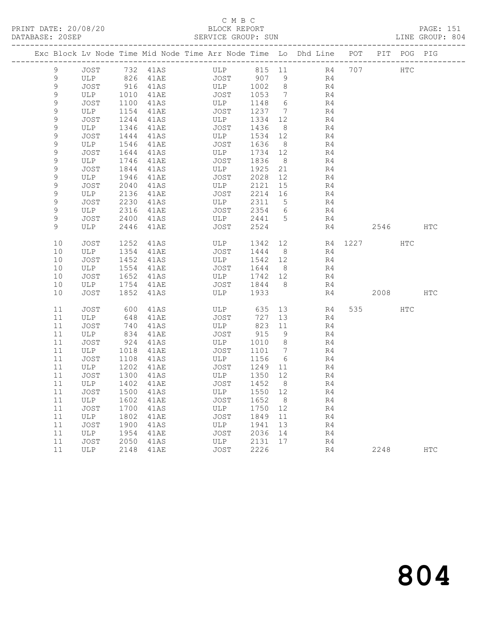### C M B C<br>BLOCK REPORT SERVICE GROUP: SUN

|               |      |      |          | Exc Block Lv Node Time Mid Node Time Arr Node Time Lo Dhd Line POT PIT POG PIG |         |                 |                |                     |          |  |
|---------------|------|------|----------|--------------------------------------------------------------------------------|---------|-----------------|----------------|---------------------|----------|--|
| 9             | JOST |      | 732 41AS | ULP 815 11<br>JOST 907 9<br>ULP 1002 8                                         |         |                 | R4 707 HTC     | ------------------- |          |  |
| 9             | ULP  |      | 826 41AE |                                                                                |         |                 | R4             |                     |          |  |
| $\mathsf{S}$  | JOST | 916  | 41AS     |                                                                                |         |                 | R <sub>4</sub> |                     |          |  |
| $\mathcal{G}$ | ULP  | 1010 | 41AE     | JOST                                                                           | 1053    | $7\phantom{.0}$ | R4             |                     |          |  |
| 9             | JOST | 1100 | 41AS     | ULP                                                                            | 1148    | 6               | R4             |                     |          |  |
| 9             | ULP  | 1154 | 41AE     | JOST                                                                           | 1237    | $\overline{7}$  | R4             |                     |          |  |
| 9             | JOST | 1244 | 41AS     | ULP                                                                            | 1334    | 12              | R4             |                     |          |  |
| 9             | ULP  | 1346 | 41AE     | JOST                                                                           | 1436    | 8 <sup>8</sup>  | R4             |                     |          |  |
| 9             | JOST | 1444 | 41AS     | ULP                                                                            | 1534 12 |                 | R4             |                     |          |  |
| 9             | ULP  | 1546 | 41AE     | JOST                                                                           | 1636    | 8               | R4             |                     |          |  |
| 9             | JOST | 1644 | 41AS     | ULP                                                                            | 1734    | 12              | R4             |                     |          |  |
| $\mathcal{G}$ | ULP  | 1746 | 41AE     | JOST                                                                           | 1836    | 8               | R4             |                     |          |  |
| $\mathcal{G}$ | JOST | 1844 | 41AS     | ULP                                                                            | 1925    | 21              | R4             |                     |          |  |
| 9             | ULP  | 1946 | 41AE     | JOST                                                                           | 2028    | 12              | R4             |                     |          |  |
| 9             | JOST | 2040 | 41AS     | ULP                                                                            | 2121    | 15              | R4             |                     |          |  |
| 9             | ULP  | 2136 | 41AE     | JOST                                                                           | 2214    | 16              | R4             |                     |          |  |
| 9             | JOST | 2230 | 41AS     | ULP                                                                            | 2311    | 5               | R4             |                     |          |  |
| 9             | ULP  | 2316 | 41AE     | JOST                                                                           | 2354    | 6               | R4             |                     |          |  |
| 9             | JOST | 2400 | 41AS     | ULP 2441                                                                       |         | $5\overline{)}$ | R4             |                     |          |  |
| 9             | ULP  | 2446 | 41AE     | JOST                                                                           | 2524    |                 | R4             |                     | 2546 HTC |  |
| 10            | JOST | 1252 | 41AS     | ULP                                                                            | 1342 12 |                 |                | R4 1227             | HTC      |  |
| 10            | ULP  | 1354 | 41AE     | JOST                                                                           | 1444 8  |                 | R4             |                     |          |  |
| 10            | JOST | 1452 | 41AS     | ULP                                                                            | 1542    | 12              | R4             |                     |          |  |
| 10            | ULP  | 1554 | 41AE     | JOST                                                                           | 1644    | 8 <sup>8</sup>  | R4             |                     |          |  |
| 10            | JOST | 1652 | 41AS     | ULP                                                                            | 1742    | 12              | R4             |                     |          |  |
| 10            | ULP  | 1754 | 41AE     | JOST                                                                           | 1844    | 8               | R4             |                     |          |  |
| 10            | JOST | 1852 | 41AS     | ULP                                                                            | 1933    |                 | R4             |                     | 2008 HTC |  |
| 11            | JOST | 600  | 41AS     | ULP 635 13                                                                     |         |                 | R4             |                     | 535 HTC  |  |
| 11            | ULP  | 648  | 41AE     | JOST                                                                           | 727     | 13              | R4             |                     |          |  |
| 11            | JOST | 740  | 41AS     | ULP                                                                            | 823     | 11              | R4             |                     |          |  |
| 11            | ULP  | 834  | 41AE     | JOST                                                                           | 915     | 9               | R4             |                     |          |  |
| 11            | JOST | 924  | 41AS     | ULP                                                                            | 1010    | 8               | R4             |                     |          |  |
| 11            | ULP  | 1018 | 41AE     | JOST                                                                           | 1101    | $7\phantom{.0}$ | R4             |                     |          |  |
| 11            | JOST | 1108 | 41AS     | ULP                                                                            | 1156    | 6               | R4             |                     |          |  |
| 11            | ULP  | 1202 | 41AE     | JOST                                                                           | 1249    | 11              | R4             |                     |          |  |
| 11            | JOST | 1300 | 41AS     | ULP                                                                            | 1350    | 12              | R4             |                     |          |  |
| 11            | ULP  | 1402 | 41AE     | JOST                                                                           | 1452    | 8               | R <sub>4</sub> |                     |          |  |

 11 JOST 1500 41AS ULP 1550 12 R4 11 ULP 1602 41AE JOST 1652 8 R4 11 JOST 1700 41AS ULP 1750 12 R4 11 ULP 1802 41AE JOST 1849 11 R4 11 JOST 1900 41AS ULP 1941 13 R4 11 ULP 1954 41AE JOST 2036 14 R4 11 JOST 2050 41AS ULP 2131 17 R4

11 ULP 2148 41AE JOST 2226 R4 2248 HTC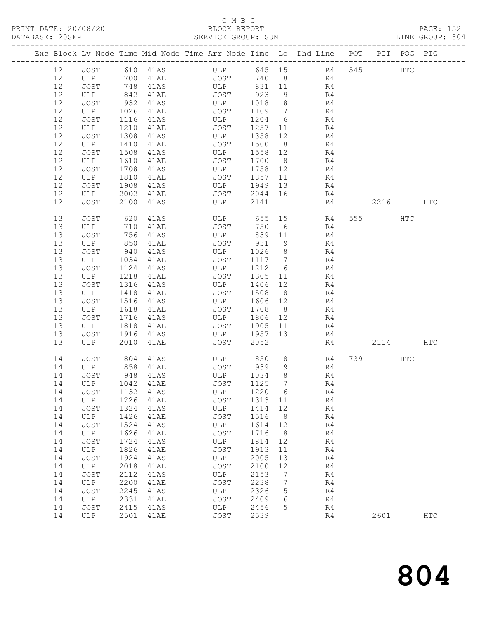### C M B C<br>BLOCK REPORT SERVICE GROUP: SUN

|  |    |                |      |          | Exc Block Lv Node Time Mid Node Time Arr Node Time Lo Dhd Line POT PIT POG PIG |       |                 |                |     |           |               |              |
|--|----|----------------|------|----------|--------------------------------------------------------------------------------|-------|-----------------|----------------|-----|-----------|---------------|--------------|
|  | 12 | JOST           |      | 610 41AS | ULP                                                                            |       |                 | 645 15 R4      | 545 |           | $_{\rm{HTC}}$ |              |
|  | 12 | ULP            | 700  | 41AE     | JOST                                                                           | 740 8 |                 | R4             |     |           |               |              |
|  | 12 | JOST           | 748  | 41AS     | ULP                                                                            | 831   | 11              | R4             |     |           |               |              |
|  | 12 | ULP            | 842  | 41AE     | JOST                                                                           | 923   | 9               | R4             |     |           |               |              |
|  | 12 | JOST           | 932  | 41AS     | ULP                                                                            | 1018  | 8 <sup>8</sup>  | R4             |     |           |               |              |
|  | 12 | ULP            | 1026 | 41AE     | JOST                                                                           | 1109  | $\overline{7}$  | R4             |     |           |               |              |
|  | 12 | JOST           | 1116 | 41AS     | ULP                                                                            | 1204  | 6               | R4             |     |           |               |              |
|  | 12 | ULP            | 1210 | 41AE     | JOST                                                                           | 1257  | 11              | R4             |     |           |               |              |
|  | 12 | JOST           | 1308 | 41AS     | ULP                                                                            | 1358  | 12              | R4             |     |           |               |              |
|  | 12 | ULP            | 1410 | 41AE     | JOST                                                                           | 1500  | 8 <sup>8</sup>  | R4             |     |           |               |              |
|  | 12 | JOST           | 1508 | 41AS     | ULP                                                                            | 1558  | 12              | R4             |     |           |               |              |
|  | 12 | ULP            | 1610 | 41AE     | JOST                                                                           | 1700  | 8 <sup>8</sup>  | R4             |     |           |               |              |
|  | 12 | JOST           | 1708 | 41AS     | ULP                                                                            | 1758  | 12              | R4             |     |           |               |              |
|  | 12 | ULP            | 1810 | 41AE     | JOST                                                                           | 1857  | 11              | R4             |     |           |               |              |
|  | 12 | JOST           | 1908 | 41AS     | ULP                                                                            | 1949  | 13              | R4             |     |           |               |              |
|  | 12 | ULP            | 2002 | 41AE     | JOST                                                                           | 2044  | 16              | R4             |     |           |               |              |
|  | 12 | JOST           | 2100 | 41AS     | ULP                                                                            | 2141  |                 | R4             |     | 2216      |               | <b>HTC</b>   |
|  | 13 | JOST           | 620  | 41AS     | ULP                                                                            | 655   | 15              | R4             |     | 555 75    | HTC           |              |
|  | 13 | ULP            | 710  | 41AE     | JOST                                                                           | 750   | 6               | R4             |     |           |               |              |
|  | 13 | <b>JOST</b>    | 756  | 41AS     | ULP                                                                            | 839   | 11              | R4             |     |           |               |              |
|  | 13 | ULP            | 850  | 41AE     | JOST                                                                           | 931   | 9               | R4             |     |           |               |              |
|  | 13 | JOST           | 940  | 41AS     | ULP                                                                            | 1026  | 8 <sup>8</sup>  | R4             |     |           |               |              |
|  | 13 | ULP            | 1034 | 41AE     | JOST                                                                           | 1117  | $\overline{7}$  | R4             |     |           |               |              |
|  | 13 | JOST           | 1124 | 41AS     | ULP                                                                            | 1212  | 6               | R4             |     |           |               |              |
|  | 13 | ULP            | 1218 | 41AE     | JOST                                                                           | 1305  | 11              | R4             |     |           |               |              |
|  | 13 | JOST           | 1316 | 41AS     | ULP                                                                            | 1406  | 12              | R4             |     |           |               |              |
|  | 13 | ULP            | 1418 | 41AE     | JOST                                                                           | 1508  | 8 <sup>8</sup>  | R4             |     |           |               |              |
|  | 13 | JOST           | 1516 | 41AS     | ULP                                                                            | 1606  | 12              | R4             |     |           |               |              |
|  | 13 | ULP            | 1618 | 41AE     | JOST                                                                           | 1708  | 8 <sup>8</sup>  | R4             |     |           |               |              |
|  | 13 | JOST           | 1716 | 41AS     | ULP                                                                            | 1806  | 12              | R4             |     |           |               |              |
|  | 13 | ULP            | 1818 | 41AE     | JOST                                                                           | 1905  | 11              | R4             |     |           |               |              |
|  | 13 | JOST           | 1916 | 41AS     | ULP                                                                            | 1957  | 13              | R4             |     |           |               |              |
|  | 13 | ULP            | 2010 | 41AE     | JOST                                                                           | 2052  |                 | R4             |     | 2114      |               | HTC          |
|  | 14 | JOST           | 804  | 41AS     | ULP 850                                                                        |       | 8               | R4             |     | 739 — 139 | HTC           |              |
|  | 14 | ULP            | 858  | 41AE     | JOST                                                                           | 939   | 9               | R4             |     |           |               |              |
|  | 14 | JOST           | 948  | 41AS     | ULP                                                                            | 1034  | 8               | R4             |     |           |               |              |
|  | 14 | ULP            | 1042 | 41AE     | JOST                                                                           | 1125  | $7\overline{ }$ | R4             |     |           |               |              |
|  | 14 | JOST 1132 41AS |      |          | ULP 1220 6                                                                     |       |                 | R <sub>4</sub> |     |           |               |              |
|  | 14 | ULP            | 1226 | 41AE     | JOST                                                                           | 1313  | 11              | R4             |     |           |               |              |
|  | 14 | JOST           | 1324 | 41AS     | ULP                                                                            | 1414  | 12              | R4             |     |           |               |              |
|  | 14 | ULP            | 1426 | 41AE     | JOST                                                                           | 1516  | 8               | R4             |     |           |               |              |
|  | 14 | JOST           | 1524 | 41AS     | ULP                                                                            | 1614  | 12              | R4             |     |           |               |              |
|  | 14 | ULP            | 1626 | 41AE     | JOST                                                                           | 1716  | 8               | R4             |     |           |               |              |
|  | 14 | JOST           | 1724 | 41AS     | ULP                                                                            | 1814  | 12              | R4             |     |           |               |              |
|  | 14 | ULP            | 1826 | 41AE     | <b>JOST</b>                                                                    | 1913  | 11              | R4             |     |           |               |              |
|  | 14 | JOST           | 1924 | 41AS     | ULP                                                                            | 2005  | 13              | R4             |     |           |               |              |
|  | 14 | ULP            | 2018 | 41AE     | JOST                                                                           | 2100  | 12              | R4             |     |           |               |              |
|  | 14 | JOST           | 2112 | 41AS     | ULP                                                                            | 2153  | 7               | R4             |     |           |               |              |
|  | 14 | ULP            | 2200 | 41AE     | JOST                                                                           | 2238  | 7               | R4             |     |           |               |              |
|  | 14 | JOST           | 2245 | 41AS     | ULP                                                                            | 2326  | 5               | R4             |     |           |               |              |
|  | 14 | ULP            | 2331 | 41AE     | <b>JOST</b>                                                                    | 2409  | 6               | R4             |     |           |               |              |
|  | 14 | JOST           | 2415 | 41AS     | ULP                                                                            | 2456  | 5               | R4             |     |           |               |              |
|  | 14 | ULP            | 2501 | 41AE     | <b>JOST</b>                                                                    | 2539  |                 | R4             |     | 2601      |               | $_{\rm HTC}$ |
|  |    |                |      |          |                                                                                |       |                 |                |     |           |               |              |